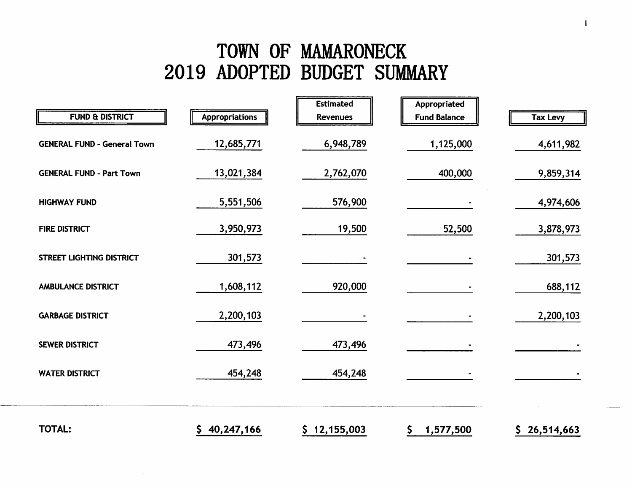# TOWN OF MAMARONECK 2019 ADOPTED BUDGET SUMMARY

| <b>FUND &amp; DISTRICT</b>         | <b>Appropriations</b> | <b>Estimated</b><br><b>Revenues</b> | Appropriated<br><b>Fund Balance</b> | <b>Tax Levy</b> |
|------------------------------------|-----------------------|-------------------------------------|-------------------------------------|-----------------|
| <b>GENERAL FUND - General Town</b> | 12,685,771            | 6,948,789                           | 1,125,000                           | 4,611,982       |
| <b>GENERAL FUND - Part Town</b>    | 13,021,384            | 2,762,070                           | 400,000                             | 9,859,314       |
| <b>HIGHWAY FUND</b>                | 5,551,506             | 576,900                             |                                     | 4,974,606       |
| <b>FIRE DISTRICT</b>               | 3,950,973             | 19,500                              | 52,500                              | 3,878,973       |
| <b>STREET LIGHTING DISTRICT</b>    | 301,573               |                                     |                                     | 301,573         |
| <b>AMBULANCE DISTRICT</b>          | 1,608,112             | 920,000                             |                                     | 688,112         |
| <b>GARBAGE DISTRICT</b>            | 2,200,103             |                                     |                                     | 2,200,103       |
| <b>SEWER DISTRICT</b>              | 473,496               | 473,496                             |                                     |                 |
| <b>WATER DISTRICT</b>              | 454,248               | 454,248                             |                                     |                 |
|                                    |                       |                                     |                                     |                 |
| TOTAL:                             | 40,247,166            | \$12,155,003                        | \$<br>1,577,500                     | 26,514,663      |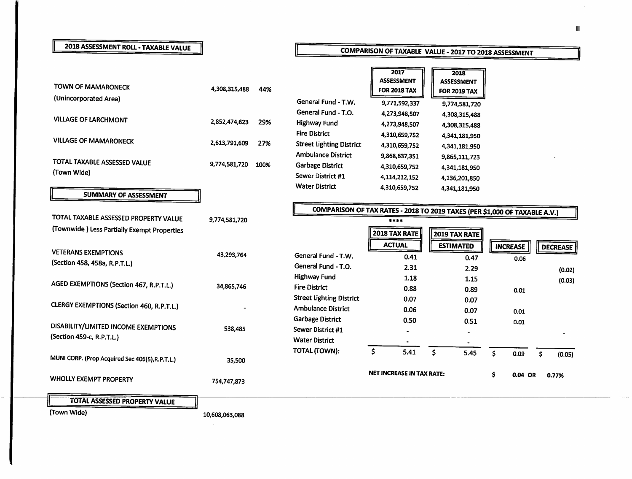### **2018 ASSESSMENT ROLL - TAXABLE VALUE**

### **COMPARISON OF TAXABLE VALUE - 2017 TO 2018 ASSESSMENT**

| <b>TOWN OF MAMARONECK</b><br>(Unincorporated Area)                | 4,308,315,488 | 44%  | General Fund - T.W.                                                                  | 2017<br><b>ASSESSMENT</b><br><b>FOR 2018 TAX</b><br>9,771,592,337                  | 2018<br><b>ASSESSMENT</b><br><b>FOR 2019 TAX</b><br>9,774,581,720 |                         |                  |
|-------------------------------------------------------------------|---------------|------|--------------------------------------------------------------------------------------|------------------------------------------------------------------------------------|-------------------------------------------------------------------|-------------------------|------------------|
| <b>VILLAGE OF LARCHMONT</b>                                       | 2,852,474,623 | 29%  | General Fund - T.O.<br><b>Highway Fund</b>                                           | 4,273,948,507<br>4,273,948,507                                                     | 4,308,315,488<br>4,308,315,488                                    |                         |                  |
| <b>VILLAGE OF MAMARONECK</b>                                      | 2,613,791,609 | 27%  | <b>Fire District</b><br><b>Street Lighting District</b><br><b>Ambulance District</b> | 4,310,659,752<br>4,310,659,752                                                     | 4,341,181,950<br>4,341,181,950                                    |                         |                  |
| TOTAL TAXABLE ASSESSED VALUE<br>(Town Wide)                       | 9,774,581,720 | 100% | <b>Garbage District</b><br>Sewer District #1<br><b>Water District</b>                | 9,868,637,351<br>4,310,659,752<br>4,114,212,152                                    | 9,865,111,723<br>4,341,181,950<br>4,136,201,850                   |                         |                  |
| <b>SUMMARY OF ASSESSMENT</b>                                      |               |      |                                                                                      | 4,310,659,752                                                                      | 4,341,181,950                                                     |                         |                  |
| TOTAL TAXABLE ASSESSED PROPERTY VALUE                             | 9,774,581,720 |      |                                                                                      | COMPARISON OF TAX RATES - 2018 TO 2019 TAXES (PER \$1,000 OF TAXABLE A.V.)<br>**** |                                                                   |                         |                  |
| (Townwide) Less Partially Exempt Properties                       |               |      |                                                                                      | <b>2018 TAX RATE</b><br><b>ACTUAL</b>                                              | 2019 TAX RATE<br><b>ESTIMATED</b>                                 |                         |                  |
| <b>VETERANS EXEMPTIONS</b><br>(Section 458, 458a, R.P.T.L.)       | 43,293,764    |      | General Fund - T.W.<br>General Fund - T.O.                                           | 0.41                                                                               | 0.47                                                              | <b>INCREASE</b><br>0.06 | <b>DECREASE</b>  |
| AGED EXEMPTIONS (Section 467, R.P.T.L.)                           | 34,865,746    |      | <b>Highway Fund</b><br><b>Fire District</b>                                          | 2.31<br>1.18<br>0.88                                                               | 2.29<br>1.15<br>0.89                                              | 0.01                    | (0.02)<br>(0.03) |
| <b>CLERGY EXEMPTIONS (Section 460, R.P.T.L.)</b>                  |               |      | <b>Street Lighting District</b><br><b>Ambulance District</b>                         | 0.07<br>0.06                                                                       | 0.07<br>0.07                                                      | 0.01                    |                  |
| DISABILITY/LIMITED INCOME EXEMPTIONS<br>(Section 459-c, R.P.T.L.) | 538,485       |      | <b>Garbage District</b><br>Sewer District #1<br><b>Water District</b>                | 0.50                                                                               | 0.51                                                              | 0.01                    |                  |
| MUNI CORP. (Prop Acquired Sec 406(5), R.P.T.L.)                   | 35,500        |      | TOTAL (TOWN):                                                                        | \$<br>5.41                                                                         | \$<br>5.45                                                        | S.<br>0.09              | Ŝ.<br>(0.05)     |
| <b>WHOLLY EXEMPT PROPERTY</b>                                     | 754,747,873   |      |                                                                                      | <b>NET INCREASE IN TAX RATE:</b>                                                   |                                                                   | Ś.<br>0.04 OR           | 0.77%            |
| <b>TOTAL ASSESSED PROPERTY VALUE</b>                              |               |      |                                                                                      |                                                                                    |                                                                   |                         |                  |

(Town Wide)

 $\sim$ 

10,608,063,088

 $\sim$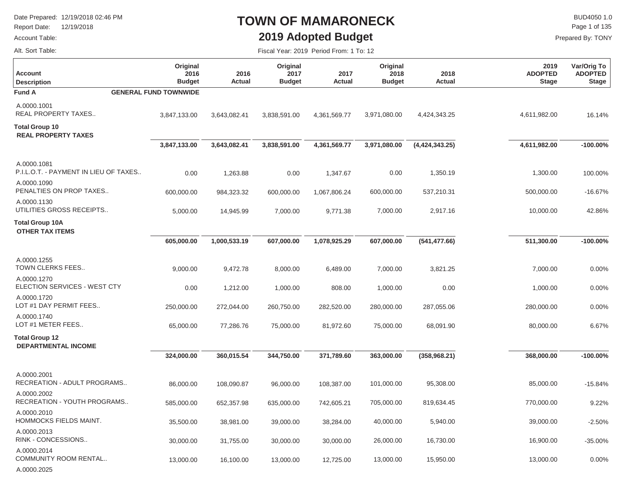Report Date: 12/19/2018

#### Account Table:

### **TOWN OF MAMARONECK2019 Adopted Budget**

Fiscal Year: 2019 Period From: 1 To: 12

 $\mathsf{BUD4050}\,1.0$ Page 1 of 135

|  | Alt. Sort Table: |  |
|--|------------------|--|
|  |                  |  |

| Account<br><b>Description</b>                        | Original<br>2016<br><b>Budget</b> | 2016<br><b>Actual</b> | Original<br>2017<br><b>Budget</b> | 2017<br><b>Actual</b> | Original<br>2018<br><b>Budget</b> | 2018<br>Actual   | 2019<br><b>ADOPTED</b><br><b>Stage</b> | Var/Orig To<br><b>ADOPTED</b><br><b>Stage</b> |
|------------------------------------------------------|-----------------------------------|-----------------------|-----------------------------------|-----------------------|-----------------------------------|------------------|----------------------------------------|-----------------------------------------------|
| <b>Fund A</b>                                        | <b>GENERAL FUND TOWNWIDE</b>      |                       |                                   |                       |                                   |                  |                                        |                                               |
| A.0000.1001<br>REAL PROPERTY TAXES                   | 3,847,133.00                      | 3,643,082.41          | 3,838,591.00                      | 4,361,569.77          | 3,971,080.00                      | 4,424,343.25     | 4,611,982.00                           | 16.14%                                        |
| <b>Total Group 10</b><br><b>REAL PROPERTY TAXES</b>  |                                   |                       |                                   |                       |                                   |                  |                                        |                                               |
|                                                      | 3,847,133.00                      | 3,643,082.41          | 3,838,591.00                      | 4,361,569.77          | 3,971,080.00                      | (4, 424, 343.25) | 4,611,982.00                           | $-100.00%$                                    |
| A.0000.1081<br>P.I.L.O.T. - PAYMENT IN LIEU OF TAXES | 0.00                              | 1,263.88              | 0.00                              | 1,347.67              | 0.00                              | 1,350.19         | 1,300.00                               | 100.00%                                       |
| A.0000.1090<br>PENALTIES ON PROP TAXES               | 600,000.00                        | 984,323.32            | 600,000.00                        | 1,067,806.24          | 600,000.00                        | 537,210.31       | 500,000.00                             | $-16.67%$                                     |
| A.0000.1130<br>UTILITIES GROSS RECEIPTS              | 5,000.00                          | 14,945.99             | 7,000.00                          | 9,771.38              | 7,000.00                          | 2,917.16         | 10,000.00                              | 42.86%                                        |
| <b>Total Group 10A</b><br><b>OTHER TAX ITEMS</b>     |                                   |                       |                                   |                       |                                   |                  |                                        |                                               |
|                                                      | 605,000.00                        | 1,000,533.19          | 607,000.00                        | 1,078,925.29          | 607,000.00                        | (541, 477.66)    | 511,300.00                             | $-100.00%$                                    |
| A.0000.1255<br>TOWN CLERKS FEES                      | 9,000.00                          | 9,472.78              | 8,000.00                          | 6,489.00              | 7,000.00                          | 3,821.25         | 7,000.00                               | 0.00%                                         |
| A.0000.1270<br>ELECTION SERVICES - WEST CTY          | 0.00                              | 1,212.00              | 1,000.00                          | 808.00                | 1,000.00                          | 0.00             | 1,000.00                               | 0.00%                                         |
| A.0000.1720<br>LOT #1 DAY PERMIT FEES                | 250,000.00                        | 272,044.00            | 260,750.00                        | 282,520.00            | 280,000.00                        | 287,055.06       | 280,000.00                             | 0.00%                                         |
| A.0000.1740<br>LOT #1 METER FEES                     | 65,000.00                         | 77,286.76             | 75,000.00                         | 81,972.60             | 75,000.00                         | 68,091.90        | 80,000.00                              | 6.67%                                         |
| <b>Total Group 12</b><br><b>DEPARTMENTAL INCOME</b>  |                                   |                       |                                   |                       |                                   |                  |                                        |                                               |
|                                                      | 324,000.00                        | 360,015.54            | 344,750.00                        | 371,789.60            | 363,000.00                        | (358, 968.21)    | 368,000.00                             | $-100.00%$                                    |
| A.0000.2001<br>RECREATION - ADULT PROGRAMS           | 86,000.00                         | 108,090.87            | 96,000.00                         | 108,387.00            | 101,000.00                        | 95,308.00        | 85,000.00                              | $-15.84%$                                     |
| A.0000.2002<br>RECREATION - YOUTH PROGRAMS           | 585,000.00                        | 652,357.98            | 635,000.00                        | 742,605.21            | 705,000.00                        | 819,634.45       | 770,000.00                             | 9.22%                                         |
| A.0000.2010<br>HOMMOCKS FIELDS MAINT.                | 35,500.00                         | 38,981.00             | 39,000.00                         | 38,284.00             | 40,000.00                         | 5,940.00         | 39,000.00                              | $-2.50%$                                      |
| A.0000.2013<br>RINK - CONCESSIONS                    | 30,000.00                         | 31,755.00             | 30,000.00                         | 30,000.00             | 26,000.00                         | 16,730.00        | 16,900.00                              | $-35.00%$                                     |
| A.0000.2014<br>COMMUNITY ROOM RENTAL<br>A.0000.2025  | 13,000.00                         | 16,100.00             | 13,000.00                         | 12,725.00             | 13,000.00                         | 15,950.00        | 13,000.00                              | 0.00%                                         |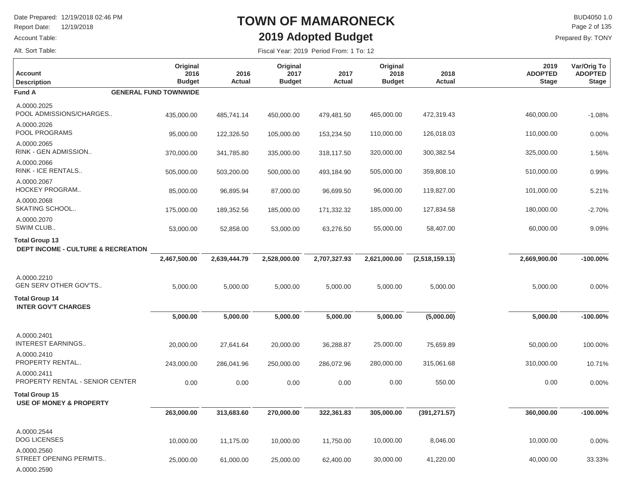Report Date: 12/19/2018

#### Account Table:

Alt. Sort Table:

 $\Gamma$ 

### **TOWN OF MAMARONECK2019 Adopted Budget**

 $\mathsf{BUD4050}\,1.0$ Prepared By: TONY Page 2 of 135

| <b>Account</b><br><b>Description</b>                                   | Original<br>2016<br><b>Budget</b> | 2016<br>Actual | Original<br>2017<br><b>Budget</b> | 2017<br><b>Actual</b> | Original<br>2018<br><b>Budget</b> | 2018<br>Actual | 2019<br><b>ADOPTED</b><br><b>Stage</b> | Var/Orig To<br><b>ADOPTED</b><br><b>Stage</b> |
|------------------------------------------------------------------------|-----------------------------------|----------------|-----------------------------------|-----------------------|-----------------------------------|----------------|----------------------------------------|-----------------------------------------------|
| <b>Fund A</b>                                                          | <b>GENERAL FUND TOWNWIDE</b>      |                |                                   |                       |                                   |                |                                        |                                               |
| A.0000.2025<br>POOL ADMISSIONS/CHARGES                                 | 435,000.00                        | 485,741.14     | 450,000.00                        | 479,481.50            | 465,000.00                        | 472,319.43     | 460,000.00                             | $-1.08%$                                      |
| A.0000.2026<br>POOL PROGRAMS                                           | 95,000.00                         | 122,326.50     | 105,000.00                        | 153,234.50            | 110,000.00                        | 126,018.03     | 110,000.00                             | 0.00%                                         |
| A.0000.2065<br>RINK - GEN ADMISSION                                    | 370,000.00                        | 341,785.80     | 335,000.00                        | 318,117.50            | 320,000.00                        | 300,382.54     | 325,000.00                             | 1.56%                                         |
| A.0000.2066<br>RINK - ICE RENTALS                                      | 505,000.00                        | 503,200.00     | 500,000.00                        | 493,184.90            | 505,000.00                        | 359,808.10     | 510,000.00                             | 0.99%                                         |
| A.0000.2067<br><b>HOCKEY PROGRAM</b>                                   | 85,000.00                         | 96,895.94      | 87,000.00                         | 96,699.50             | 96,000.00                         | 119,827.00     | 101,000.00                             | 5.21%                                         |
| A.0000.2068<br>SKATING SCHOOL                                          | 175,000.00                        | 189,352.56     | 185,000.00                        | 171,332.32            | 185,000.00                        | 127,834.58     | 180,000.00                             | $-2.70%$                                      |
| A.0000.2070<br>SWIM CLUB                                               | 53,000.00                         | 52,858.00      | 53,000.00                         | 63,276.50             | 55,000.00                         | 58,407.00      | 60,000.00                              | 9.09%                                         |
| <b>Total Group 13</b><br><b>DEPT INCOME - CULTURE &amp; RECREATION</b> |                                   |                |                                   |                       |                                   |                |                                        |                                               |
|                                                                        | 2,467,500.00                      | 2,639,444.79   | 2,528,000.00                      | 2,707,327.93          | 2,621,000.00                      | (2,518,159.13) | 2,669,900.00                           | $-100.00\%$                                   |
| A.0000.2210<br>GEN SERV OTHER GOV'TS                                   | 5,000.00                          | 5,000.00       | 5,000.00                          | 5,000.00              | 5,000.00                          | 5,000.00       | 5,000.00                               | 0.00%                                         |
| <b>Total Group 14</b><br><b>INTER GOV'T CHARGES</b>                    |                                   |                |                                   |                       |                                   |                |                                        |                                               |
|                                                                        | 5,000.00                          | 5,000.00       | 5,000.00                          | 5,000.00              | 5,000.00                          | (5,000.00)     | 5,000.00                               | $-100.00\%$                                   |
| A.0000.2401<br><b>INTEREST EARNINGS</b>                                | 20,000.00                         | 27,641.64      | 20,000.00                         | 36,288.87             | 25,000.00                         | 75,659.89      | 50,000.00                              | 100.00%                                       |
| A.0000.2410<br>PROPERTY RENTAL                                         | 243,000.00                        | 286,041.96     | 250,000.00                        | 286,072.96            | 280,000.00                        | 315,061.68     | 310,000.00                             | 10.71%                                        |
| A.0000.2411<br>PROPERTY RENTAL - SENIOR CENTER                         | 0.00                              | 0.00           | 0.00                              | 0.00                  | 0.00                              | 550.00         | 0.00                                   | 0.00%                                         |
| <b>Total Group 15</b><br><b>USE OF MONEY &amp; PROPERTY</b>            |                                   |                |                                   |                       |                                   |                |                                        |                                               |
|                                                                        | 263,000.00                        | 313,683.60     | 270,000.00                        | 322,361.83            | 305,000.00                        | (391, 271.57)  | 360,000.00                             | $-100.00\%$                                   |
| A.0000.2544<br><b>DOG LICENSES</b>                                     | 10,000.00                         | 11,175.00      | 10,000.00                         | 11,750.00             | 10,000.00                         | 8,046.00       | 10,000.00                              | 0.00%                                         |
| A.0000.2560<br>STREET OPENING PERMITS<br>A.0000.2590                   | 25,000.00                         | 61,000.00      | 25,000.00                         | 62,400.00             | 30,000.00                         | 41,220.00      | 40,000.00                              | 33.33%                                        |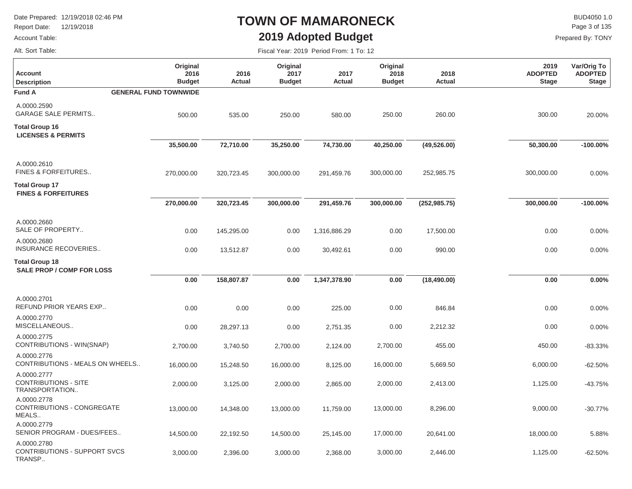Report Date: 12/19/2018

#### Account Table:

### **TOWN OF MAMARONECK2019 Adopted Budget**

Fiscal Year: 2019 Period From: 1 To: 12

 $\mathsf{BUD4050}\,1.0$ Page 3 of 135

Prepared By: TONY

Alt. Sort Table:

| <b>Account</b><br><b>Description</b>                         | Original<br>2016<br><b>Budget</b> | 2016<br>Actual | Original<br>2017<br><b>Budget</b> | 2017<br><b>Actual</b> | Original<br>2018<br><b>Budget</b> | 2018<br>Actual | 2019<br><b>ADOPTED</b><br><b>Stage</b> | Var/Orig To<br><b>ADOPTED</b><br><b>Stage</b> |
|--------------------------------------------------------------|-----------------------------------|----------------|-----------------------------------|-----------------------|-----------------------------------|----------------|----------------------------------------|-----------------------------------------------|
| <b>Fund A</b>                                                | <b>GENERAL FUND TOWNWIDE</b>      |                |                                   |                       |                                   |                |                                        |                                               |
| A.0000.2590<br><b>GARAGE SALE PERMITS</b>                    | 500.00                            | 535.00         | 250.00                            | 580.00                | 250.00                            | 260.00         | 300.00                                 | 20.00%                                        |
| <b>Total Group 16</b><br><b>LICENSES &amp; PERMITS</b>       |                                   |                |                                   |                       |                                   |                |                                        |                                               |
|                                                              | 35,500.00                         | 72,710.00      | 35,250.00                         | 74,730.00             | 40,250.00                         | (49, 526.00)   | 50,300.00                              | $-100.00\%$                                   |
| A.0000.2610<br>FINES & FORFEITURES                           | 270,000.00                        | 320,723.45     | 300,000.00                        | 291,459.76            | 300,000.00                        | 252,985.75     | 300,000.00                             | 0.00%                                         |
| <b>Total Group 17</b><br><b>FINES &amp; FORFEITURES</b>      |                                   |                |                                   |                       |                                   |                |                                        |                                               |
|                                                              | 270,000.00                        | 320,723.45     | 300,000.00                        | 291,459.76            | 300,000.00                        | (252, 985.75)  | 300,000.00                             | $-100.00\%$                                   |
| A.0000.2660<br>SALE OF PROPERTY                              | 0.00                              | 145,295.00     | 0.00                              | 1,316,886.29          | 0.00                              | 17,500.00      | 0.00                                   | 0.00%                                         |
| A.0000.2680<br><b>INSURANCE RECOVERIES</b>                   | 0.00                              | 13,512.87      | 0.00                              | 30,492.61             | 0.00                              | 990.00         | 0.00                                   | 0.00%                                         |
| <b>Total Group 18</b><br><b>SALE PROP / COMP FOR LOSS</b>    |                                   |                |                                   |                       |                                   |                |                                        |                                               |
|                                                              | 0.00                              | 158,807.87     | 0.00                              | 1,347,378.90          | 0.00                              | (18, 490.00)   | 0.00                                   | 0.00%                                         |
| A.0000.2701<br>REFUND PRIOR YEARS EXP                        | 0.00                              | 0.00           | 0.00                              | 225.00                | 0.00                              | 846.84         | 0.00                                   | 0.00%                                         |
| A.0000.2770<br>MISCELLANEOUS                                 | 0.00                              | 28,297.13      | 0.00                              | 2,751.35              | 0.00                              | 2,212.32       | 0.00                                   | 0.00%                                         |
| A.0000.2775<br>CONTRIBUTIONS - WIN(SNAP)                     | 2,700.00                          | 3,740.50       | 2,700.00                          | 2,124.00              | 2,700.00                          | 455.00         | 450.00                                 | $-83.33%$                                     |
| A.0000.2776<br>CONTRIBUTIONS - MEALS ON WHEELS               | 16,000.00                         | 15,248.50      | 16,000.00                         | 8,125.00              | 16,000.00                         | 5,669.50       | 6,000.00                               | $-62.50%$                                     |
| A.0000.2777<br><b>CONTRIBUTIONS - SITE</b><br>TRANSPORTATION | 2,000.00                          | 3,125.00       | 2,000.00                          | 2,865.00              | 2,000.00                          | 2,413.00       | 1,125.00                               | -43.75%                                       |
| A.0000.2778<br>CONTRIBUTIONS - CONGREGATE<br>MEALS           | 13,000.00                         | 14,348.00      | 13,000.00                         | 11,759.00             | 13,000.00                         | 8,296.00       | 9,000.00                               | $-30.77%$                                     |
| A.0000.2779<br>SENIOR PROGRAM - DUES/FEES                    | 14,500.00                         | 22,192.50      | 14,500.00                         | 25,145.00             | 17,000.00                         | 20,641.00      | 18,000.00                              | 5.88%                                         |
| A.0000.2780<br><b>CONTRIBUTIONS - SUPPORT SVCS</b><br>TRANSP | 3,000.00                          | 2,396.00       | 3,000.00                          | 2,368.00              | 3,000.00                          | 2,446.00       | 1,125.00                               | $-62.50%$                                     |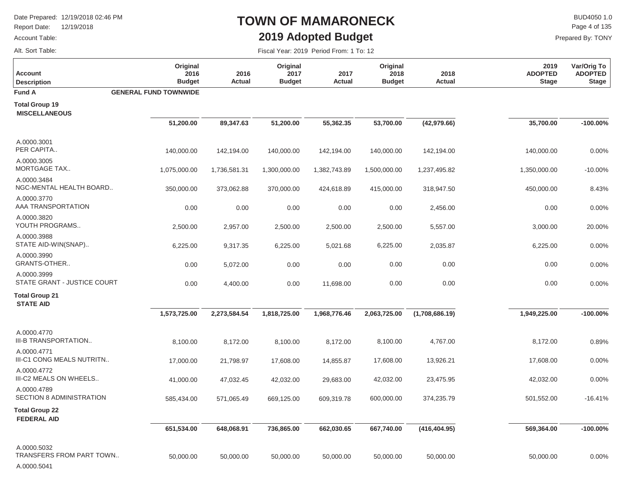Report Date: 12/19/2018

#### Account Table:

Alt. Sort Table:

П

### **TOWN OF MAMARONECK2019 Adopted Budget**

 $\mathsf{BUD4050}\,1.0$ Page 4 of 135

Prepared By: TONY

| <b>Account</b><br><b>Description</b>                   | Original<br>2016<br><b>Budget</b> | 2016<br>Actual | Original<br>2017<br><b>Budget</b> | 2017<br><b>Actual</b> | Original<br>2018<br><b>Budget</b> | 2018<br>Actual | 2019<br><b>ADOPTED</b><br><b>Stage</b> | Var/Orig To<br><b>ADOPTED</b><br><b>Stage</b> |
|--------------------------------------------------------|-----------------------------------|----------------|-----------------------------------|-----------------------|-----------------------------------|----------------|----------------------------------------|-----------------------------------------------|
| <b>Fund A</b>                                          | <b>GENERAL FUND TOWNWIDE</b>      |                |                                   |                       |                                   |                |                                        |                                               |
| <b>Total Group 19</b><br><b>MISCELLANEOUS</b>          |                                   |                |                                   |                       |                                   |                |                                        |                                               |
|                                                        | 51,200.00                         | 89,347.63      | 51,200.00                         | 55,362.35             | 53,700.00                         | (42, 979.66)   | 35,700.00                              | $-100.00\%$                                   |
| A.0000.3001<br>PER CAPITA                              | 140,000.00                        | 142,194.00     | 140,000.00                        | 142,194.00            | 140,000.00                        | 142,194.00     | 140,000.00                             | 0.00%                                         |
| A.0000.3005<br><b>MORTGAGE TAX</b>                     | 1,075,000.00                      | 1,736,581.31   | 1,300,000.00                      | 1,382,743.89          | 1,500,000.00                      | 1,237,495.82   | 1,350,000.00                           | $-10.00%$                                     |
| A.0000.3484<br>NGC-MENTAL HEALTH BOARD                 | 350,000.00                        | 373,062.88     | 370,000.00                        | 424,618.89            | 415,000.00                        | 318,947.50     | 450,000.00                             | 8.43%                                         |
| A.0000.3770<br>AAA TRANSPORTATION                      | 0.00                              | 0.00           | 0.00                              | 0.00                  | 0.00                              | 2,456.00       | 0.00                                   | 0.00%                                         |
| A.0000.3820<br>YOUTH PROGRAMS                          | 2,500.00                          | 2,957.00       | 2,500.00                          | 2,500.00              | 2,500.00                          | 5,557.00       | 3,000.00                               | 20.00%                                        |
| A.0000.3988<br>STATE AID-WIN(SNAP)                     | 6,225.00                          | 9,317.35       | 6,225.00                          | 5,021.68              | 6,225.00                          | 2,035.87       | 6,225.00                               | 0.00%                                         |
| A.0000.3990<br>GRANTS-OTHER                            | 0.00                              | 5,072.00       | 0.00                              | 0.00                  | 0.00                              | 0.00           | 0.00                                   | 0.00%                                         |
| A.0000.3999<br>STATE GRANT - JUSTICE COURT             | 0.00                              | 4,400.00       | 0.00                              | 11,698.00             | 0.00                              | 0.00           | 0.00                                   | 0.00%                                         |
| <b>Total Group 21</b><br><b>STATE AID</b>              |                                   |                |                                   |                       |                                   |                |                                        |                                               |
|                                                        | 1,573,725.00                      | 2,273,584.54   | 1,818,725.00                      | 1,968,776.46          | 2,063,725.00                      | (1,708,686.19) | 1,949,225.00                           | $-100.00\%$                                   |
| A.0000.4770<br>III-B TRANSPORTATION                    | 8,100.00                          | 8,172.00       | 8,100.00                          | 8,172.00              | 8,100.00                          | 4,767.00       | 8,172.00                               | 0.89%                                         |
| A.0000.4771<br>III-C1 CONG MEALS NUTRITN               | 17,000.00                         | 21,798.97      | 17,608.00                         | 14,855.87             | 17,608.00                         | 13,926.21      | 17,608.00                              | 0.00%                                         |
| A.0000.4772<br>III-C2 MEALS ON WHEELS                  | 41,000.00                         | 47,032.45      | 42,032.00                         | 29,683.00             | 42,032.00                         | 23,475.95      | 42,032.00                              | 0.00%                                         |
| A.0000.4789<br>SECTION 8 ADMINISTRATION                | 585,434.00                        | 571,065.49     | 669,125.00                        | 609,319.78            | 600,000.00                        | 374,235.79     | 501,552.00                             | $-16.41%$                                     |
| <b>Total Group 22</b><br><b>FEDERAL AID</b>            |                                   |                |                                   |                       |                                   |                |                                        |                                               |
|                                                        | 651,534.00                        | 648,068.91     | 736,865.00                        | 662,030.65            | 667,740.00                        | (416, 404.95)  | 569,364.00                             | $-100.00\%$                                   |
| A.0000.5032<br>TRANSFERS FROM PART TOWN<br>A.0000.5041 | 50,000.00                         | 50,000.00      | 50,000.00                         | 50,000.00             | 50,000.00                         | 50,000.00      | 50,000.00                              | 0.00%                                         |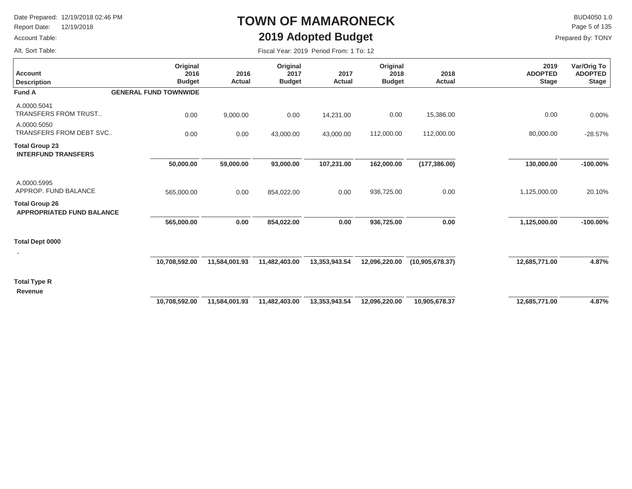Report Date: 12/19/2018

#### Account Table:

### **TOWN OF MAMARONECK2019 Adopted Budget**

 $\mathsf{BUD4050}\,1.0$ Prepared By: TONY Page 5 of 135

**-100.00%**

20.10%

**4.87%**

Alt. Sort Table:

**Description Account**

A.0000.5041

A.0000.5050

**Total Group 23**

**INTERFUND TRANSFERS**

APPROP. FUND BALANCE

TRANSFERS FROM TRUST..

TRANSFERS FROM DEBT SVC..

**APPROPRIATED FUND BALANCE**

| $110$ put of $191$ , $1011$                   |                                        |                       |                                   | $20107$ applied badget                  |                                   |                |
|-----------------------------------------------|----------------------------------------|-----------------------|-----------------------------------|-----------------------------------------|-----------------------------------|----------------|
|                                               |                                        |                       |                                   | Fiscal Year: 2019 Period From: 1 To: 12 |                                   |                |
| Var/Orig To<br><b>ADOPTED</b><br><b>Stage</b> | 2019<br><b>ADOPTED</b><br><b>Stage</b> | 2018<br><b>Actual</b> | Original<br>2018<br><b>Budget</b> | 2017<br>Actual                          | Original<br>2017<br><b>Budget</b> | 2016<br>Actual |
|                                               |                                        |                       |                                   |                                         |                                   |                |
| $0.00\%$                                      | 0.00                                   | 15,386.00             | 0.00                              | 14,231.00                               | 0.00                              | 9,000.00       |
| $-28.57%$                                     | 80,000.00                              | 112,000.00            | 112,000.00                        | 43,000.00                               | 43,000.00                         | 0.00           |
|                                               |                                        |                       |                                   |                                         |                                   |                |
| $-100.00\%$                                   | 130,000.00                             | (177, 386.00)         | 162,000.00                        | 107,231.00                              | 93,000.00                         | 59,000.00      |
|                                               |                                        |                       |                                   |                                         |                                   |                |

**0.00**

0.00

**12,685,771.00**

**1,125,000.00**

1,125,000.00

**Total Dept 0000**

**Total Group 26**

A.0000.5995

|  | 10,708,592.00 | 11,584,001.93 |
|--|---------------|---------------|

**Fund A GENERAL FUND TOWNWIDE**

 **50,000.00** 

0.00

**Original 2016 Budget**

0.00

 **565,000.00** 

565,000.00

 **0.00** 

0.00

 **11,482,403.00** 

 **13,353,943.54** 

 **0.00** 

0.00

 **854,022.00** 

854,022.00

**Total Type R**

**Revenue**

 **10,708,592.00 11,584,001.93 11,482,403.00 13,353,943.54 10,905,678.37 12,685,771.00 12,096,220.00 4.87%**

 **936,725.00** 

936,725.00

**(10,905,678.37) 12,096,220.00**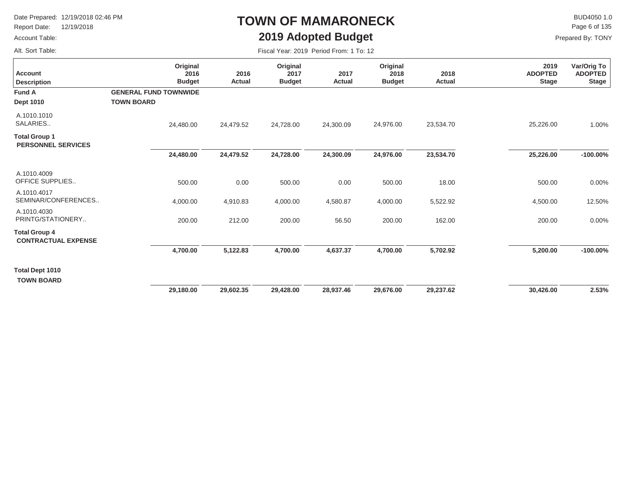Report Date: 12/19/2018

#### Account Table:

Alt. Sort Table:

# **TOWN OF MAMARONECK2019 Adopted Budget**

 $\mathsf{BUD4050}\,1.0$ Page 6 of 135

| Fiscal Year: 2019 Period From: 1 To: 12 |  |  |  |  |
|-----------------------------------------|--|--|--|--|
|-----------------------------------------|--|--|--|--|

| <b>Account</b><br><b>Description</b>               | Original<br>2016<br><b>Budget</b> | 2016<br>Actual | Original<br>2017<br><b>Budget</b> | 2017<br>Actual | Original<br>2018<br><b>Budget</b> | 2018<br>Actual | 2019<br><b>ADOPTED</b><br><b>Stage</b> | Var/Orig To<br><b>ADOPTED</b><br><b>Stage</b> |
|----------------------------------------------------|-----------------------------------|----------------|-----------------------------------|----------------|-----------------------------------|----------------|----------------------------------------|-----------------------------------------------|
| <b>Fund A</b>                                      | <b>GENERAL FUND TOWNWIDE</b>      |                |                                   |                |                                   |                |                                        |                                               |
| <b>Dept 1010</b>                                   | <b>TOWN BOARD</b>                 |                |                                   |                |                                   |                |                                        |                                               |
| A.1010.1010<br>SALARIES                            | 24,480.00                         | 24,479.52      | 24,728.00                         | 24,300.09      | 24,976.00                         | 23,534.70      | 25,226.00                              | 1.00%                                         |
| <b>Total Group 1</b><br><b>PERSONNEL SERVICES</b>  |                                   |                |                                   |                |                                   |                |                                        |                                               |
|                                                    | 24,480.00                         | 24,479.52      | 24,728.00                         | 24,300.09      | 24,976.00                         | 23,534.70      | 25,226.00                              | $-100.00\%$                                   |
| A.1010.4009<br>OFFICE SUPPLIES                     | 500.00                            | 0.00           | 500.00                            | 0.00           | 500.00                            | 18.00          | 500.00                                 | 0.00%                                         |
| A.1010.4017<br>SEMINAR/CONFERENCES                 | 4,000.00                          | 4,910.83       | 4,000.00                          | 4,580.87       | 4,000.00                          | 5,522.92       | 4,500.00                               | 12.50%                                        |
| A.1010.4030<br>PRINTG/STATIONERY                   | 200.00                            | 212.00         | 200.00                            | 56.50          | 200.00                            | 162.00         | 200.00                                 | 0.00%                                         |
| <b>Total Group 4</b><br><b>CONTRACTUAL EXPENSE</b> |                                   |                |                                   |                |                                   |                |                                        |                                               |
|                                                    | 4,700.00                          | 5,122.83       | 4,700.00                          | 4,637.37       | 4,700.00                          | 5,702.92       | 5,200.00                               | $-100.00\%$                                   |
| <b>Total Dept 1010</b><br><b>TOWN BOARD</b>        |                                   |                |                                   |                |                                   |                |                                        |                                               |
|                                                    | 29,180.00                         | 29,602.35      | 29,428.00                         | 28,937.46      | 29,676.00                         | 29,237.62      | 30,426.00                              | 2.53%                                         |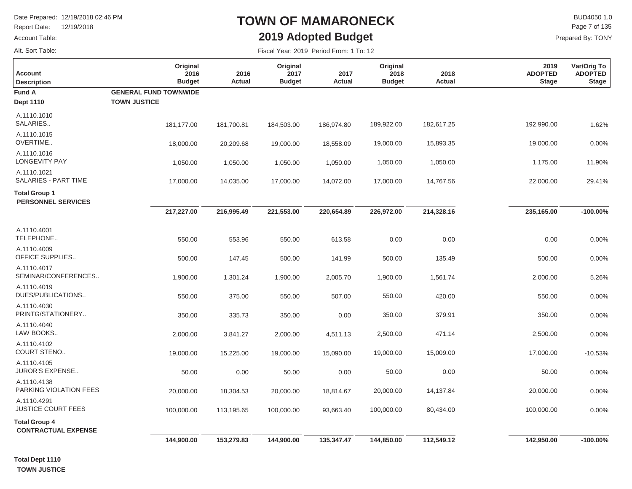Report Date: 12/19/2018

Account Table:

### Alt. Sort Table:

### **TOWN OF MAMARONECK2019 Adopted Budget**

 $\mathsf{BUD4050}\,1.0$ Prepared By: TONY Page 7 of 135

Fiscal Year: 2019 Period From: 1 To: 12

| <b>Account</b><br><b>Description</b>               | Original<br>2016<br><b>Budget</b>                   | 2016<br>Actual | Original<br>2017<br><b>Budget</b> | 2017<br><b>Actual</b> | Original<br>2018<br><b>Budget</b> | 2018<br><b>Actual</b> | 2019<br><b>ADOPTED</b><br><b>Stage</b> | Var/Orig To<br><b>ADOPTED</b><br><b>Stage</b> |
|----------------------------------------------------|-----------------------------------------------------|----------------|-----------------------------------|-----------------------|-----------------------------------|-----------------------|----------------------------------------|-----------------------------------------------|
| <b>Fund A</b><br><b>Dept 1110</b>                  | <b>GENERAL FUND TOWNWIDE</b><br><b>TOWN JUSTICE</b> |                |                                   |                       |                                   |                       |                                        |                                               |
| A.1110.1010<br>SALARIES                            | 181,177.00                                          | 181,700.81     | 184,503.00                        | 186,974.80            | 189,922.00                        | 182,617.25            | 192,990.00                             | 1.62%                                         |
| A.1110.1015<br>OVERTIME                            | 18,000.00                                           | 20,209.68      | 19,000.00                         | 18,558.09             | 19,000.00                         | 15,893.35             | 19,000.00                              | 0.00%                                         |
| A.1110.1016<br><b>LONGEVITY PAY</b>                | 1,050.00                                            | 1,050.00       | 1,050.00                          | 1,050.00              | 1,050.00                          | 1,050.00              | 1,175.00                               | 11.90%                                        |
| A.1110.1021<br>SALARIES - PART TIME                | 17,000.00                                           | 14,035.00      | 17,000.00                         | 14,072.00             | 17,000.00                         | 14,767.56             | 22,000.00                              | 29.41%                                        |
| <b>Total Group 1</b><br><b>PERSONNEL SERVICES</b>  |                                                     |                |                                   |                       |                                   |                       |                                        |                                               |
|                                                    | 217,227.00                                          | 216,995.49     | 221,553.00                        | 220,654.89            | 226,972.00                        | 214,328.16            | 235,165.00                             | $-100.00\%$                                   |
| A.1110.4001<br>TELEPHONE                           | 550.00                                              | 553.96         | 550.00                            | 613.58                | 0.00                              | 0.00                  | 0.00                                   | 0.00%                                         |
| A.1110.4009<br>OFFICE SUPPLIES                     | 500.00                                              | 147.45         | 500.00                            | 141.99                | 500.00                            | 135.49                | 500.00                                 | 0.00%                                         |
| A.1110.4017<br>SEMINAR/CONFERENCES                 | 1,900.00                                            | 1,301.24       | 1,900.00                          | 2,005.70              | 1,900.00                          | 1,561.74              | 2,000.00                               | 5.26%                                         |
| A.1110.4019<br>DUES/PUBLICATIONS                   | 550.00                                              | 375.00         | 550.00                            | 507.00                | 550.00                            | 420.00                | 550.00                                 | 0.00%                                         |
| A.1110.4030<br>PRINTG/STATIONERY                   | 350.00                                              | 335.73         | 350.00                            | 0.00                  | 350.00                            | 379.91                | 350.00                                 | 0.00%                                         |
| A.1110.4040<br>LAW BOOKS                           | 2,000.00                                            | 3,841.27       | 2,000.00                          | 4,511.13              | 2,500.00                          | 471.14                | 2,500.00                               | 0.00%                                         |
| A.1110.4102<br>COURT STENO                         | 19,000.00                                           | 15,225.00      | 19,000.00                         | 15,090.00             | 19,000.00                         | 15,009.00             | 17,000.00                              | $-10.53%$                                     |
| A.1110.4105<br><b>JUROR'S EXPENSE</b>              | 50.00                                               | 0.00           | 50.00                             | 0.00                  | 50.00                             | 0.00                  | 50.00                                  | 0.00%                                         |
| A.1110.4138<br>PARKING VIOLATION FEES              | 20,000.00                                           | 18,304.53      | 20,000.00                         | 18,814.67             | 20,000.00                         | 14,137.84             | 20,000.00                              | 0.00%                                         |
| A.1110.4291<br><b>JUSTICE COURT FEES</b>           | 100,000.00                                          | 113,195.65     | 100,000.00                        | 93,663.40             | 100,000.00                        | 80,434.00             | 100,000.00                             | 0.00%                                         |
| <b>Total Group 4</b><br><b>CONTRACTUAL EXPENSE</b> |                                                     |                |                                   |                       |                                   |                       |                                        |                                               |
|                                                    | 144,900.00                                          | 153,279.83     | 144,900.00                        | 135,347.47            | 144,850.00                        | 112,549.12            | 142,950.00                             | $-100.00\%$                                   |

**Total Dept 1110 TOWN JUSTICE**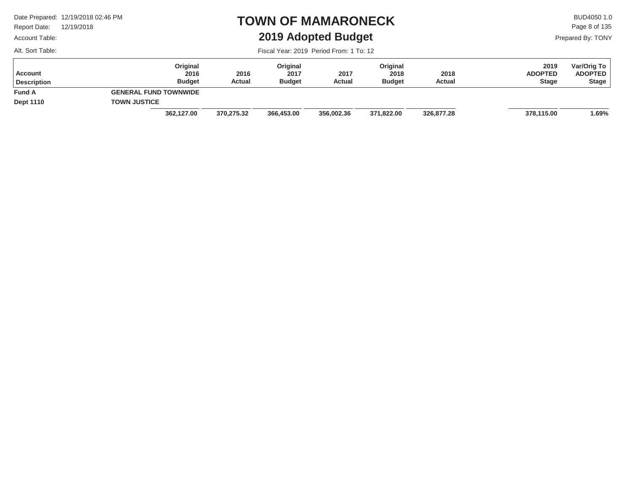Report Date: 12/19/2018

#### Account Table:

Alt. Sort Table:

### **TOWN OF MAMARONECK2019 Adopted Budget**

 $\mathsf{BUD4050}\,1.0$ Prepared By: TONY Page 8 of 135

| Account<br><b>Description</b> | Original<br>2016<br><b>Budget</b> | 2016<br>Actual | Original<br>2017<br><b>Budget</b> | 2017<br>Actual | Original<br>2018<br><b>Budget</b> | 2018<br>Actual | 2019<br><b>ADOPTED</b><br><b>Stage</b> | Var/Orig To<br><b>ADOPTED</b><br><b>Stage</b> |
|-------------------------------|-----------------------------------|----------------|-----------------------------------|----------------|-----------------------------------|----------------|----------------------------------------|-----------------------------------------------|
| <b>Fund A</b>                 | <b>GENERAL FUND TOWNWIDE</b>      |                |                                   |                |                                   |                |                                        |                                               |
| <b>Dept 1110</b>              | <b>TOWN JUSTICE</b>               |                |                                   |                |                                   |                |                                        |                                               |
|                               | 362,127.00                        | 370.275.32     | 366,453.00                        | 356,002.36     | 371,822.00                        | 326,877.28     | 378,115.00                             | 1.69%                                         |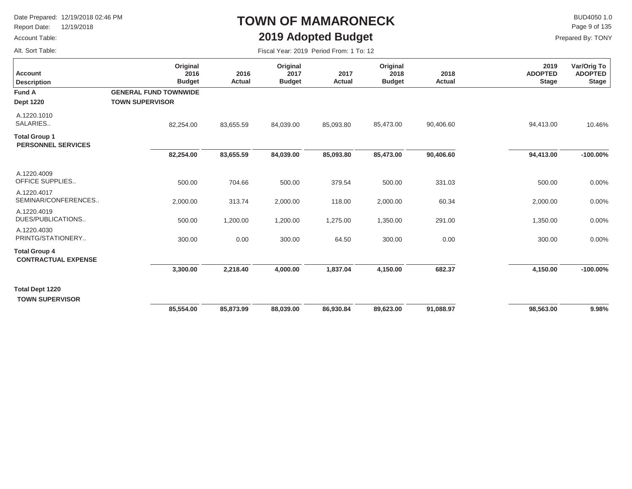Report Date: 12/19/2018

#### Account Table:

Alt. Sort Table:

### **TOWN OF MAMARONECK2019 Adopted Budget**

 $\mathsf{BUD4050}\,1.0$ Page 9 of 135

| Fiscal Year: 2019 Period From: 1 To: 12 |  |  |  |  |
|-----------------------------------------|--|--|--|--|
|-----------------------------------------|--|--|--|--|

| <b>Account</b><br><b>Description</b>               | Original<br>2016<br><b>Budget</b>                      | 2016<br><b>Actual</b> | Original<br>2017<br><b>Budget</b> | 2017<br>Actual | Original<br>2018<br><b>Budget</b> | 2018<br>Actual | 2019<br><b>ADOPTED</b><br><b>Stage</b> | Var/Orig To<br><b>ADOPTED</b><br><b>Stage</b> |
|----------------------------------------------------|--------------------------------------------------------|-----------------------|-----------------------------------|----------------|-----------------------------------|----------------|----------------------------------------|-----------------------------------------------|
| <b>Fund A</b><br><b>Dept 1220</b>                  | <b>GENERAL FUND TOWNWIDE</b><br><b>TOWN SUPERVISOR</b> |                       |                                   |                |                                   |                |                                        |                                               |
| A.1220.1010<br>SALARIES                            | 82,254.00                                              | 83,655.59             | 84,039.00                         | 85,093.80      | 85,473.00                         | 90,406.60      | 94,413.00                              | 10.46%                                        |
| <b>Total Group 1</b><br><b>PERSONNEL SERVICES</b>  | 82,254.00                                              | 83,655.59             | 84,039.00                         | 85,093.80      | 85,473.00                         | 90,406.60      | 94,413.00                              | $-100.00\%$                                   |
| A.1220.4009                                        |                                                        |                       |                                   |                |                                   |                |                                        |                                               |
| OFFICE SUPPLIES                                    | 500.00                                                 | 704.66                | 500.00                            | 379.54         | 500.00                            | 331.03         | 500.00                                 | 0.00%                                         |
| A.1220.4017<br>SEMINAR/CONFERENCES                 | 2,000.00                                               | 313.74                | 2,000.00                          | 118.00         | 2,000.00                          | 60.34          | 2,000.00                               | 0.00%                                         |
| A.1220.4019<br>DUES/PUBLICATIONS                   | 500.00                                                 | 1,200.00              | 1,200.00                          | 1,275.00       | 1,350.00                          | 291.00         | 1,350.00                               | 0.00%                                         |
| A.1220.4030<br>PRINTG/STATIONERY                   | 300.00                                                 | 0.00                  | 300.00                            | 64.50          | 300.00                            | 0.00           | 300.00                                 | 0.00%                                         |
| <b>Total Group 4</b><br><b>CONTRACTUAL EXPENSE</b> |                                                        |                       |                                   |                |                                   |                |                                        |                                               |
|                                                    | 3,300.00                                               | 2,218.40              | 4,000.00                          | 1,837.04       | 4,150.00                          | 682.37         | 4,150.00                               | $-100.00\%$                                   |
| <b>Total Dept 1220</b><br><b>TOWN SUPERVISOR</b>   |                                                        |                       |                                   |                |                                   |                |                                        |                                               |
|                                                    | 85,554.00                                              | 85,873.99             | 88,039.00                         | 86,930.84      | 89,623.00                         | 91,088.97      | 98,563.00                              | 9.98%                                         |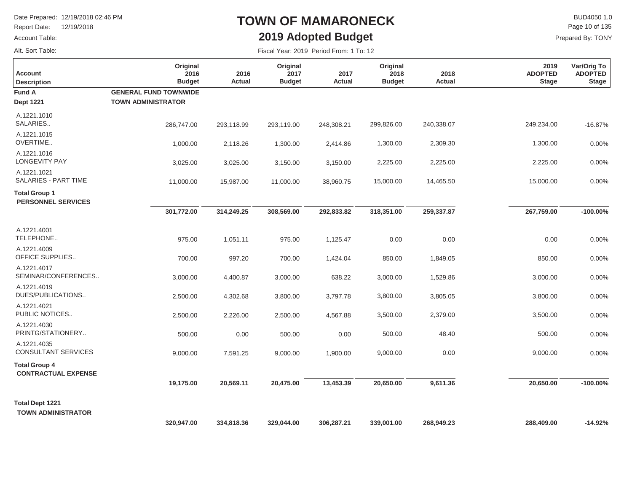Report Date: 12/19/2018

#### Account Table:

Alt. Sort Table:

### **TOWN OF MAMARONECK2019 Adopted Budget**

 $\mathsf{BUD4050}\,1.0$ Prepared By: TONY Page 10 of 135

| <b>Account</b><br><b>Description</b>                | Original<br>2016<br><b>Budget</b>                         | 2016<br>Actual | Original<br>2017<br><b>Budget</b> | 2017<br><b>Actual</b> | Original<br>2018<br><b>Budget</b> | 2018<br>Actual | 2019<br><b>ADOPTED</b><br><b>Stage</b> | Var/Orig To<br><b>ADOPTED</b><br><b>Stage</b> |
|-----------------------------------------------------|-----------------------------------------------------------|----------------|-----------------------------------|-----------------------|-----------------------------------|----------------|----------------------------------------|-----------------------------------------------|
| <b>Fund A</b><br><b>Dept 1221</b>                   | <b>GENERAL FUND TOWNWIDE</b><br><b>TOWN ADMINISTRATOR</b> |                |                                   |                       |                                   |                |                                        |                                               |
| A.1221.1010<br>SALARIES                             | 286,747.00                                                | 293,118.99     | 293,119.00                        | 248,308.21            | 299,826.00                        | 240,338.07     | 249,234.00                             | $-16.87%$                                     |
| A.1221.1015<br>OVERTIME                             | 1,000.00                                                  | 2,118.26       | 1,300.00                          | 2,414.86              | 1,300.00                          | 2,309.30       | 1,300.00                               | 0.00%                                         |
| A.1221.1016<br><b>LONGEVITY PAY</b>                 | 3,025.00                                                  | 3,025.00       | 3,150.00                          | 3,150.00              | 2,225.00                          | 2,225.00       | 2,225.00                               | 0.00%                                         |
| A.1221.1021<br>SALARIES - PART TIME                 | 11,000.00                                                 | 15,987.00      | 11,000.00                         | 38,960.75             | 15,000.00                         | 14,465.50      | 15,000.00                              | 0.00%                                         |
| <b>Total Group 1</b><br><b>PERSONNEL SERVICES</b>   |                                                           |                |                                   |                       |                                   |                |                                        |                                               |
|                                                     | 301,772.00                                                | 314,249.25     | 308,569.00                        | 292,833.82            | 318,351.00                        | 259,337.87     | 267,759.00                             | $-100.00\%$                                   |
| A.1221.4001<br>TELEPHONE                            | 975.00                                                    | 1,051.11       | 975.00                            | 1,125.47              | 0.00                              | 0.00           | 0.00                                   | 0.00%                                         |
| A.1221.4009<br>OFFICE SUPPLIES                      | 700.00                                                    | 997.20         | 700.00                            | 1,424.04              | 850.00                            | 1,849.05       | 850.00                                 | 0.00%                                         |
| A.1221.4017<br>SEMINAR/CONFERENCES                  | 3,000.00                                                  | 4,400.87       | 3,000.00                          | 638.22                | 3,000.00                          | 1,529.86       | 3,000.00                               | 0.00%                                         |
| A.1221.4019<br>DUES/PUBLICATIONS                    | 2,500.00                                                  | 4,302.68       | 3,800.00                          | 3,797.78              | 3,800.00                          | 3,805.05       | 3,800.00                               | 0.00%                                         |
| A.1221.4021<br>PUBLIC NOTICES                       | 2,500.00                                                  | 2,226.00       | 2,500.00                          | 4,567.88              | 3,500.00                          | 2,379.00       | 3,500.00                               | 0.00%                                         |
| A.1221.4030<br>PRINTG/STATIONERY                    | 500.00                                                    | 0.00           | 500.00                            | 0.00                  | 500.00                            | 48.40          | 500.00                                 | 0.00%                                         |
| A.1221.4035<br>CONSULTANT SERVICES                  | 9,000.00                                                  | 7,591.25       | 9,000.00                          | 1,900.00              | 9,000.00                          | 0.00           | 9,000.00                               | 0.00%                                         |
| <b>Total Group 4</b><br><b>CONTRACTUAL EXPENSE</b>  |                                                           |                |                                   |                       |                                   |                |                                        |                                               |
|                                                     | 19,175.00                                                 | 20,569.11      | 20,475.00                         | 13,453.39             | 20,650.00                         | 9,611.36       | 20,650.00                              | $-100.00\%$                                   |
| <b>Total Dept 1221</b><br><b>TOWN ADMINISTRATOR</b> |                                                           |                |                                   |                       |                                   |                |                                        |                                               |
|                                                     | 320,947.00                                                | 334,818.36     | 329,044.00                        | 306,287.21            | 339,001.00                        | 268,949.23     | 288,409.00                             | $-14.92%$                                     |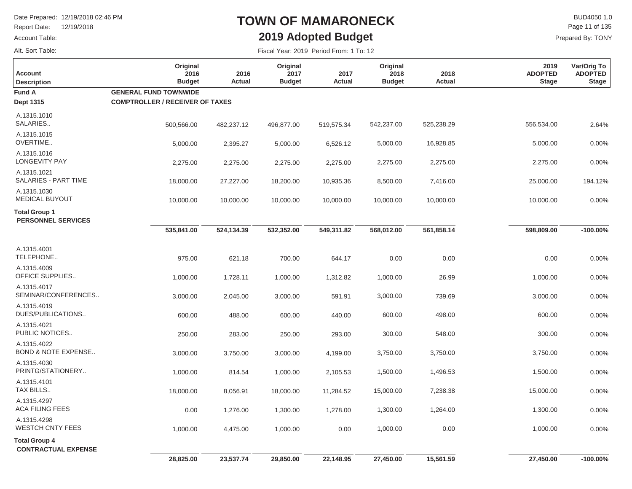Report Date: 12/19/2018

Account Table:

Alt. Sort Table:

### **TOWN OF MAMARONECK2019 Adopted Budget**

 $\mathsf{BUD4050}\,1.0$ Prepared By: TONY Page 11 of 135

| <b>Account</b><br><b>Description</b>              | Original<br>2016<br><b>Budget</b>      | 2016<br>Actual | Original<br>2017<br><b>Budget</b> | 2017<br><b>Actual</b> | Original<br>2018<br><b>Budget</b> | 2018<br><b>Actual</b> | 2019<br><b>ADOPTED</b><br><b>Stage</b> | Var/Orig To<br><b>ADOPTED</b><br><b>Stage</b> |
|---------------------------------------------------|----------------------------------------|----------------|-----------------------------------|-----------------------|-----------------------------------|-----------------------|----------------------------------------|-----------------------------------------------|
| <b>Fund A</b>                                     | <b>GENERAL FUND TOWNWIDE</b>           |                |                                   |                       |                                   |                       |                                        |                                               |
| <b>Dept 1315</b>                                  | <b>COMPTROLLER / RECEIVER OF TAXES</b> |                |                                   |                       |                                   |                       |                                        |                                               |
| A.1315.1010<br>SALARIES                           | 500,566.00                             | 482,237.12     | 496,877.00                        | 519,575.34            | 542,237.00                        | 525,238.29            | 556,534.00                             | 2.64%                                         |
| A.1315.1015<br>OVERTIME                           | 5,000.00                               | 2,395.27       | 5,000.00                          | 6,526.12              | 5,000.00                          | 16,928.85             | 5,000.00                               | 0.00%                                         |
| A.1315.1016<br><b>LONGEVITY PAY</b>               | 2,275.00                               | 2,275.00       | 2,275.00                          | 2,275.00              | 2,275.00                          | 2,275.00              | 2,275.00                               | 0.00%                                         |
| A.1315.1021<br>SALARIES - PART TIME               | 18,000.00                              | 27,227.00      | 18,200.00                         | 10,935.36             | 8,500.00                          | 7,416.00              | 25,000.00                              | 194.12%                                       |
| A.1315.1030<br><b>MEDICAL BUYOUT</b>              | 10,000.00                              | 10,000.00      | 10,000.00                         | 10,000.00             | 10,000.00                         | 10,000.00             | 10,000.00                              | 0.00%                                         |
| <b>Total Group 1</b><br><b>PERSONNEL SERVICES</b> |                                        |                |                                   |                       |                                   |                       |                                        |                                               |
|                                                   | 535,841.00                             | 524,134.39     | 532,352.00                        | 549,311.82            | 568,012.00                        | 561,858.14            | 598,809.00                             | $-100.00\%$                                   |
| A.1315.4001<br>TELEPHONE                          | 975.00                                 | 621.18         | 700.00                            | 644.17                | 0.00                              | 0.00                  | 0.00                                   | 0.00%                                         |
| A.1315.4009<br><b>OFFICE SUPPLIES</b>             | 1,000.00                               | 1,728.11       | 1,000.00                          | 1,312.82              | 1,000.00                          | 26.99                 | 1,000.00                               | 0.00%                                         |
| A.1315.4017<br>SEMINAR/CONFERENCES                | 3,000.00                               | 2,045.00       | 3,000.00                          | 591.91                | 3,000.00                          | 739.69                | 3,000.00                               | 0.00%                                         |
| A.1315.4019<br>DUES/PUBLICATIONS                  | 600.00                                 | 488.00         | 600.00                            | 440.00                | 600.00                            | 498.00                | 600.00                                 | 0.00%                                         |
| A.1315.4021<br>PUBLIC NOTICES                     | 250.00                                 | 283.00         | 250.00                            | 293.00                | 300.00                            | 548.00                | 300.00                                 | 0.00%                                         |
| A.1315.4022<br><b>BOND &amp; NOTE EXPENSE</b>     | 3,000.00                               | 3,750.00       | 3,000.00                          | 4,199.00              | 3,750.00                          | 3,750.00              | 3,750.00                               | 0.00%                                         |
| A.1315.4030<br>PRINTG/STATIONERY                  | 1,000.00                               | 814.54         | 1,000.00                          | 2,105.53              | 1,500.00                          | 1,496.53              | 1,500.00                               | 0.00%                                         |
| A.1315.4101<br>TAX BILLS                          | 18,000.00                              | 8,056.91       | 18,000.00                         | 11,284.52             | 15,000.00                         | 7,238.38              | 15,000.00                              | 0.00%                                         |
| A.1315.4297<br><b>ACA FILING FEES</b>             | 0.00                                   | 1,276.00       | 1,300.00                          | 1,278.00              | 1,300.00                          | 1,264.00              | 1,300.00                               | 0.00%                                         |
| A.1315.4298<br><b>WESTCH CNTY FEES</b>            | 1,000.00                               | 4,475.00       | 1,000.00                          | 0.00                  | 1,000.00                          | 0.00                  | 1,000.00                               | 0.00%                                         |
| <b>Total Group 4</b>                              |                                        |                |                                   |                       |                                   |                       |                                        |                                               |
| <b>CONTRACTUAL EXPENSE</b>                        |                                        |                |                                   |                       |                                   |                       |                                        |                                               |
|                                                   | 28,825.00                              | 23,537.74      | 29,850.00                         | 22,148.95             | 27,450.00                         | 15,561.59             | 27,450.00                              | $-100.00\%$                                   |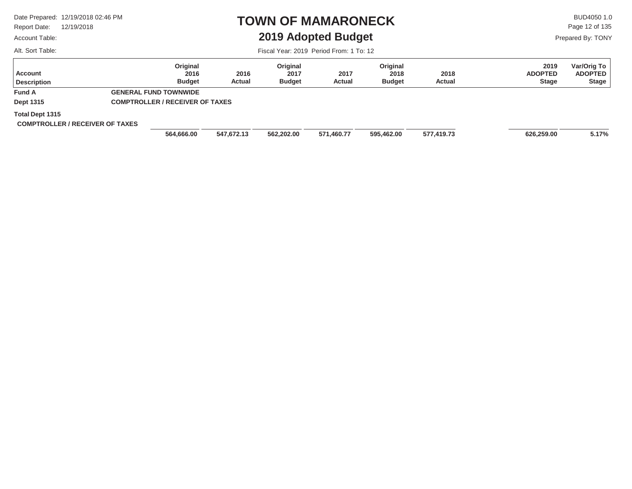Report Date: 12/19/2018

#### Account Table:

Alt. Sort Table:

### **TOWN OF MAMARONECK2019 Adopted Budget**

 $\mathsf{BUD4050}\,1.0$ Page 12 of 135

Prepared By: TONY

| Account<br><b>Description</b>                             | Original<br>2016<br><b>Budget</b>                                      | 2016<br><b>Actual</b> | Original<br>2017<br><b>Budget</b> | 2017<br>Actual | Original<br>2018<br><b>Budget</b> | 2018<br><b>Actual</b> | 2019<br><b>ADOPTED</b><br><b>Stage</b> | Var/Orig To<br><b>ADOPTED</b><br><b>Stage</b> |
|-----------------------------------------------------------|------------------------------------------------------------------------|-----------------------|-----------------------------------|----------------|-----------------------------------|-----------------------|----------------------------------------|-----------------------------------------------|
| <b>Fund A</b><br>Dept 1315                                | <b>GENERAL FUND TOWNWIDE</b><br><b>COMPTROLLER / RECEIVER OF TAXES</b> |                       |                                   |                |                                   |                       |                                        |                                               |
| Total Dept 1315<br><b>COMPTROLLER / RECEIVER OF TAXES</b> | 564,666.00                                                             | 547.672.13            | 562,202.00                        | 571,460.77     | 595,462.00                        | 577,419.73            | 626,259.00                             | 5.17%                                         |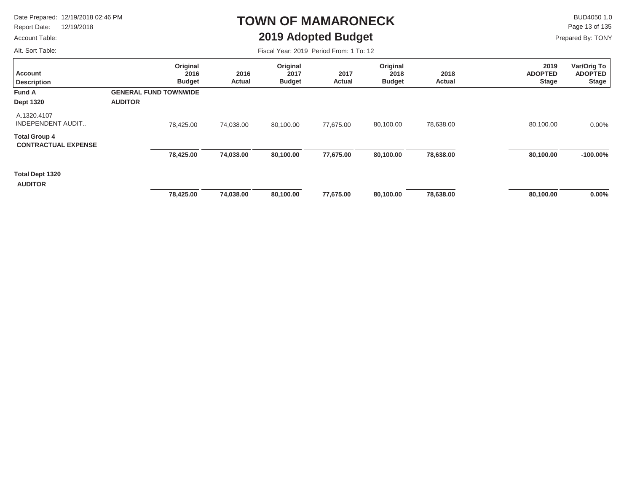Report Date: 12/19/2018

#### Account Table:

Alt. Sort Table:

### **TOWN OF MAMARONECK2019 Adopted Budget**

 $\mathsf{BUD4050 1.0}$ Page 13 of 135

Prepared By: TONY

| <b>Account</b><br><b>Description</b>               | Original<br>2016<br><b>Budget</b>              | 2016<br>Actual | Original<br>2017<br><b>Budget</b> | 2017<br>Actual | Original<br>2018<br><b>Budget</b> | 2018<br><b>Actual</b> | 2019<br><b>ADOPTED</b><br><b>Stage</b> | Var/Orig To<br><b>ADOPTED</b><br><b>Stage</b> |
|----------------------------------------------------|------------------------------------------------|----------------|-----------------------------------|----------------|-----------------------------------|-----------------------|----------------------------------------|-----------------------------------------------|
| <b>Fund A</b><br><b>Dept 1320</b>                  | <b>GENERAL FUND TOWNWIDE</b><br><b>AUDITOR</b> |                |                                   |                |                                   |                       |                                        |                                               |
| A.1320.4107<br><b>INDEPENDENT AUDIT</b>            | 78,425.00                                      | 74,038.00      | 80,100.00                         | 77,675.00      | 80,100.00                         | 78,638.00             | 80,100.00                              | $0.00\%$                                      |
| <b>Total Group 4</b><br><b>CONTRACTUAL EXPENSE</b> |                                                |                |                                   |                |                                   |                       |                                        |                                               |
|                                                    | 78,425.00                                      | 74,038.00      | 80,100.00                         | 77,675.00      | 80,100.00                         | 78,638.00             | 80,100.00                              | $-100.00\%$                                   |
| Total Dept 1320<br><b>AUDITOR</b>                  |                                                |                |                                   |                |                                   |                       |                                        |                                               |
|                                                    | 78,425.00                                      | 74,038.00      | 80,100.00                         | 77,675.00      | 80,100.00                         | 78,638.00             | 80,100.00                              | $0.00\%$                                      |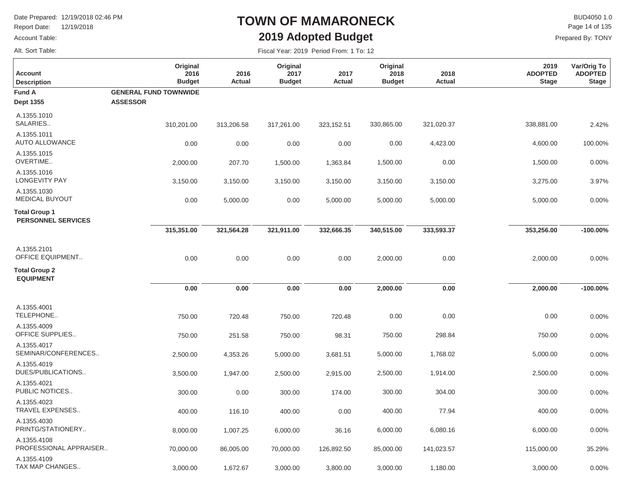Report Date: 12/19/2018

#### Account Table:

Alt. Sort Table:

### **TOWN OF MAMARONECK2019 Adopted Budget**

 $\mathsf{BUD4050}\,1.0$ Prepared By: TONY Page 14 of 135

| <b>Account</b><br><b>Description</b>              | Original<br>2016<br><b>Budget</b> | 2016<br>Actual | Original<br>2017<br><b>Budget</b> | 2017<br>Actual | Original<br>2018<br><b>Budget</b> | 2018<br>Actual | 2019<br><b>ADOPTED</b><br><b>Stage</b> | Var/Orig To<br><b>ADOPTED</b><br><b>Stage</b> |
|---------------------------------------------------|-----------------------------------|----------------|-----------------------------------|----------------|-----------------------------------|----------------|----------------------------------------|-----------------------------------------------|
| <b>Fund A</b>                                     | <b>GENERAL FUND TOWNWIDE</b>      |                |                                   |                |                                   |                |                                        |                                               |
| <b>Dept 1355</b>                                  | <b>ASSESSOR</b>                   |                |                                   |                |                                   |                |                                        |                                               |
| A.1355.1010<br>SALARIES                           | 310,201.00                        | 313,206.58     | 317,261.00                        | 323, 152.51    | 330,865.00                        | 321,020.37     | 338,881.00                             | 2.42%                                         |
| A.1355.1011<br><b>AUTO ALLOWANCE</b>              | 0.00                              | 0.00           | 0.00                              | 0.00           | 0.00                              | 4,423.00       | 4,600.00                               | 100.00%                                       |
| A.1355.1015<br>OVERTIME                           | 2,000.00                          | 207.70         | 1,500.00                          | 1,363.84       | 1,500.00                          | 0.00           | 1,500.00                               | 0.00%                                         |
| A.1355.1016<br><b>LONGEVITY PAY</b>               | 3,150.00                          | 3,150.00       | 3,150.00                          | 3,150.00       | 3,150.00                          | 3,150.00       | 3,275.00                               | 3.97%                                         |
| A.1355.1030<br><b>MEDICAL BUYOUT</b>              | 0.00                              | 5,000.00       | 0.00                              | 5,000.00       | 5,000.00                          | 5,000.00       | 5,000.00                               | 0.00%                                         |
| <b>Total Group 1</b><br><b>PERSONNEL SERVICES</b> |                                   |                |                                   |                |                                   |                |                                        |                                               |
|                                                   | 315,351.00                        | 321,564.28     | 321,911.00                        | 332,666.35     | 340,515.00                        | 333,593.37     | 353,256.00                             | $-100.00\%$                                   |
| A.1355.2101<br><b>OFFICE EQUIPMENT</b>            | 0.00                              | 0.00           | 0.00                              | 0.00           | 2,000.00                          | 0.00           | 2,000.00                               | 0.00%                                         |
| <b>Total Group 2</b><br><b>EQUIPMENT</b>          |                                   |                |                                   |                |                                   |                |                                        |                                               |
|                                                   | 0.00                              | 0.00           | 0.00                              | 0.00           | 2,000.00                          | 0.00           | 2,000.00                               | $-100.00\%$                                   |
| A.1355.4001<br>TELEPHONE                          | 750.00                            | 720.48         | 750.00                            | 720.48         | 0.00                              | 0.00           | 0.00                                   | 0.00%                                         |
| A.1355.4009<br><b>OFFICE SUPPLIES</b>             | 750.00                            | 251.58         | 750.00                            | 98.31          | 750.00                            | 298.84         | 750.00                                 | 0.00%                                         |
| A.1355.4017<br>SEMINAR/CONFERENCES                | 2,500.00                          | 4,353.26       | 5,000.00                          | 3,681.51       | 5,000.00                          | 1,768.02       | 5,000.00                               | 0.00%                                         |
| A.1355.4019<br>DUES/PUBLICATIONS                  | 3,500.00                          | 1,947.00       | 2,500.00                          | 2,915.00       | 2,500.00                          | 1,914.00       | 2,500.00                               | 0.00%                                         |
| A.1355.4021<br>PUBLIC NOTICES                     | 300.00                            | 0.00           | 300.00                            | 174.00         | 300.00                            | 304.00         | 300.00                                 | 0.00%                                         |
| A.1355.4023<br>TRAVEL EXPENSES                    | 400.00                            | 116.10         | 400.00                            | 0.00           | 400.00                            | 77.94          | 400.00                                 | 0.00%                                         |
| A.1355.4030<br>PRINTG/STATIONERY                  | 8,000.00                          | 1,007.25       | 6,000.00                          | 36.16          | 6,000.00                          | 6,080.16       | 6,000.00                               | 0.00%                                         |
| A.1355.4108<br>PROFESSIONAL APPRAISER             | 70,000.00                         | 86,005.00      | 70,000.00                         | 126,892.50     | 85,000.00                         | 141,023.57     | 115,000.00                             | 35.29%                                        |
| A.1355.4109<br>TAX MAP CHANGES                    | 3,000.00                          | 1,672.67       | 3,000.00                          | 3,800.00       | 3,000.00                          | 1,180.00       | 3,000.00                               | 0.00%                                         |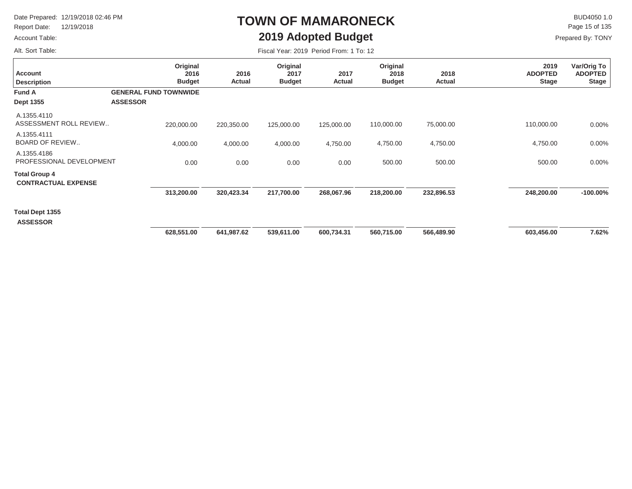Report Date: 12/19/2018

#### Account Table:

Alt. Sort Table:

### **TOWN OF MAMARONECK2019 Adopted Budget**

 $\mathsf{BUD4050}\,1.0$ Prepared By: TONY Page 15 of 135

| <b>Account</b><br><b>Description</b><br><b>Fund A</b><br>Dept 1355 | Original<br>2016<br><b>Budget</b><br><b>GENERAL FUND TOWNWIDE</b><br><b>ASSESSOR</b> | 2016<br>Actual | Original<br>2017<br><b>Budget</b> | 2017<br>Actual | Original<br>2018<br><b>Budget</b> | 2018<br>Actual | 2019<br><b>ADOPTED</b><br><b>Stage</b> | Var/Orig To<br><b>ADOPTED</b><br><b>Stage</b> |
|--------------------------------------------------------------------|--------------------------------------------------------------------------------------|----------------|-----------------------------------|----------------|-----------------------------------|----------------|----------------------------------------|-----------------------------------------------|
| A.1355.4110<br>ASSESSMENT ROLL REVIEW                              | 220,000.00                                                                           | 220,350.00     | 125,000.00                        | 125,000.00     | 110,000.00                        | 75,000.00      | 110,000.00                             | 0.00%                                         |
| A.1355.4111<br><b>BOARD OF REVIEW</b>                              | 4,000.00                                                                             | 4,000.00       | 4,000.00                          | 4,750.00       | 4,750.00                          | 4,750.00       | 4,750.00                               | $0.00\%$                                      |
| A.1355.4186<br>PROFESSIONAL DEVELOPMENT                            | 0.00                                                                                 | 0.00           | 0.00                              | 0.00           | 500.00                            | 500.00         | 500.00                                 | 0.00%                                         |
| <b>Total Group 4</b><br><b>CONTRACTUAL EXPENSE</b>                 |                                                                                      |                |                                   |                |                                   |                |                                        |                                               |
|                                                                    | 313,200.00                                                                           | 320,423.34     | 217,700.00                        | 268,067.96     | 218,200.00                        | 232,896.53     | 248,200.00                             | $-100.00\%$                                   |
| Total Dept 1355<br><b>ASSESSOR</b>                                 |                                                                                      |                |                                   |                |                                   |                |                                        |                                               |
|                                                                    | 628,551.00                                                                           | 641,987.62     | 539,611.00                        | 600,734.31     | 560,715.00                        | 566,489.90     | 603,456.00                             | 7.62%                                         |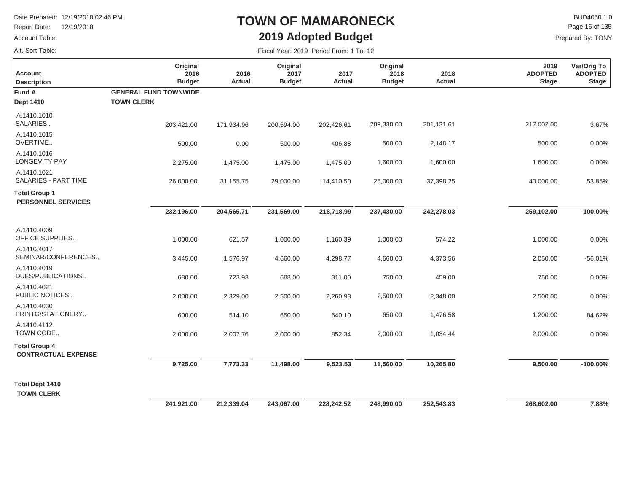Report Date: 12/19/2018

Account Table:

#### Alt. Sort Table:

### **TOWN OF MAMARONECK2019 Adopted Budget**

 $\mathsf{BUD4050}\,1.0$ Prepared By: TONY Page 16 of 135

| <b>Account</b><br><b>Description</b>               | Original<br>2016<br><b>Budget</b>                 | 2016<br>Actual | Original<br>2017<br><b>Budget</b> | 2017<br><b>Actual</b> | Original<br>2018<br><b>Budget</b> | 2018<br>Actual | 2019<br><b>ADOPTED</b><br><b>Stage</b> | Var/Orig To<br><b>ADOPTED</b><br><b>Stage</b> |
|----------------------------------------------------|---------------------------------------------------|----------------|-----------------------------------|-----------------------|-----------------------------------|----------------|----------------------------------------|-----------------------------------------------|
| Fund A<br><b>Dept 1410</b>                         | <b>GENERAL FUND TOWNWIDE</b><br><b>TOWN CLERK</b> |                |                                   |                       |                                   |                |                                        |                                               |
| A.1410.1010<br>SALARIES                            | 203,421.00                                        | 171,934.96     | 200,594.00                        | 202,426.61            | 209,330.00                        | 201,131.61     | 217,002.00                             | 3.67%                                         |
| A.1410.1015<br>OVERTIME                            | 500.00                                            | 0.00           | 500.00                            | 406.88                | 500.00                            | 2,148.17       | 500.00                                 | 0.00%                                         |
| A.1410.1016<br><b>LONGEVITY PAY</b>                | 2,275.00                                          | 1,475.00       | 1,475.00                          | 1,475.00              | 1,600.00                          | 1,600.00       | 1,600.00                               | 0.00%                                         |
| A.1410.1021<br>SALARIES - PART TIME                | 26,000.00                                         | 31,155.75      | 29,000.00                         | 14,410.50             | 26,000.00                         | 37,398.25      | 40,000.00                              | 53.85%                                        |
| <b>Total Group 1</b><br><b>PERSONNEL SERVICES</b>  |                                                   |                |                                   |                       |                                   |                |                                        |                                               |
|                                                    | 232,196.00                                        | 204,565.71     | 231,569.00                        | 218,718.99            | 237,430.00                        | 242,278.03     | 259,102.00                             | $-100.00\%$                                   |
| A.1410.4009<br>OFFICE SUPPLIES                     | 1,000.00                                          | 621.57         | 1,000.00                          | 1,160.39              | 1,000.00                          | 574.22         | 1,000.00                               | 0.00%                                         |
| A.1410.4017<br>SEMINAR/CONFERENCES                 | 3,445.00                                          | 1,576.97       | 4,660.00                          | 4,298.77              | 4,660.00                          | 4,373.56       | 2,050.00                               | $-56.01%$                                     |
| A.1410.4019<br>DUES/PUBLICATIONS                   | 680.00                                            | 723.93         | 688.00                            | 311.00                | 750.00                            | 459.00         | 750.00                                 | 0.00%                                         |
| A.1410.4021<br>PUBLIC NOTICES                      | 2,000.00                                          | 2,329.00       | 2,500.00                          | 2,260.93              | 2,500.00                          | 2,348.00       | 2,500.00                               | 0.00%                                         |
| A.1410.4030<br>PRINTG/STATIONERY                   | 600.00                                            | 514.10         | 650.00                            | 640.10                | 650.00                            | 1,476.58       | 1,200.00                               | 84.62%                                        |
| A.1410.4112<br>TOWN CODE                           | 2,000.00                                          | 2,007.76       | 2,000.00                          | 852.34                | 2,000.00                          | 1,034.44       | 2,000.00                               | 0.00%                                         |
| <b>Total Group 4</b><br><b>CONTRACTUAL EXPENSE</b> |                                                   |                |                                   |                       |                                   |                |                                        |                                               |
|                                                    | 9,725.00                                          | 7,773.33       | 11,498.00                         | 9,523.53              | 11,560.00                         | 10,265.80      | 9,500.00                               | $-100.00\%$                                   |
| <b>Total Dept 1410</b><br><b>TOWN CLERK</b>        |                                                   |                |                                   |                       |                                   |                |                                        |                                               |
|                                                    | 241,921.00                                        | 212,339.04     | 243,067.00                        | 228,242.52            | 248,990.00                        | 252,543.83     | 268,602.00                             | 7.88%                                         |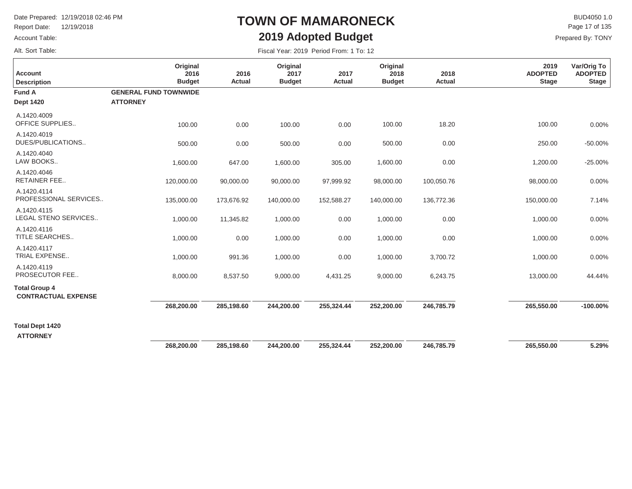Report Date: 12/19/2018

#### Account Table:

Alt. Sort Table:

### **TOWN OF MAMARONECK2019 Adopted Budget**

 $\mathsf{BUD4050 1.0}$ Prepared By: TONY Page 17 of 135

| <b>Account</b><br><b>Description</b>               | Original<br>2016<br><b>Budget</b> | 2016<br><b>Actual</b> | Original<br>2017<br><b>Budget</b> | 2017<br><b>Actual</b> | Original<br>2018<br><b>Budget</b> | 2018<br>Actual | 2019<br><b>ADOPTED</b><br><b>Stage</b> | Var/Orig To<br><b>ADOPTED</b><br><b>Stage</b> |
|----------------------------------------------------|-----------------------------------|-----------------------|-----------------------------------|-----------------------|-----------------------------------|----------------|----------------------------------------|-----------------------------------------------|
| <b>Fund A</b>                                      | <b>GENERAL FUND TOWNWIDE</b>      |                       |                                   |                       |                                   |                |                                        |                                               |
| <b>Dept 1420</b>                                   | <b>ATTORNEY</b>                   |                       |                                   |                       |                                   |                |                                        |                                               |
| A.1420.4009<br>OFFICE SUPPLIES                     | 100.00                            | 0.00                  | 100.00                            | 0.00                  | 100.00                            | 18.20          | 100.00                                 | 0.00%                                         |
| A.1420.4019<br>DUES/PUBLICATIONS                   | 500.00                            | 0.00                  | 500.00                            | 0.00                  | 500.00                            | 0.00           | 250.00                                 | $-50.00%$                                     |
| A.1420.4040<br>LAW BOOKS                           | 1,600.00                          | 647.00                | 1,600.00                          | 305.00                | 1,600.00                          | 0.00           | 1,200.00                               | $-25.00%$                                     |
| A.1420.4046<br><b>RETAINER FEE</b>                 | 120,000.00                        | 90,000.00             | 90,000.00                         | 97,999.92             | 98,000.00                         | 100,050.76     | 98,000.00                              | 0.00%                                         |
| A.1420.4114<br>PROFESSIONAL SERVICES               | 135,000.00                        | 173,676.92            | 140,000.00                        | 152,588.27            | 140,000.00                        | 136,772.36     | 150,000.00                             | 7.14%                                         |
| A.1420.4115<br>LEGAL STENO SERVICES                | 1,000.00                          | 11,345.82             | 1,000.00                          | 0.00                  | 1,000.00                          | 0.00           | 1,000.00                               | 0.00%                                         |
| A.1420.4116<br>TITLE SEARCHES                      | 1,000.00                          | 0.00                  | 1,000.00                          | 0.00                  | 1,000.00                          | 0.00           | 1,000.00                               | 0.00%                                         |
| A.1420.4117<br>TRIAL EXPENSE                       | 1,000.00                          | 991.36                | 1,000.00                          | 0.00                  | 1,000.00                          | 3,700.72       | 1,000.00                               | 0.00%                                         |
| A.1420.4119<br>PROSECUTOR FEE                      | 8,000.00                          | 8,537.50              | 9,000.00                          | 4,431.25              | 9,000.00                          | 6,243.75       | 13,000.00                              | 44.44%                                        |
| <b>Total Group 4</b><br><b>CONTRACTUAL EXPENSE</b> |                                   |                       |                                   |                       |                                   |                |                                        |                                               |
|                                                    | 268,200.00                        | 285,198.60            | 244,200.00                        | 255,324.44            | 252,200.00                        | 246,785.79     | 265,550.00                             | $-100.00\%$                                   |
| <b>Total Dept 1420</b>                             |                                   |                       |                                   |                       |                                   |                |                                        |                                               |
| <b>ATTORNEY</b>                                    | 268,200.00                        | 285,198.60            | 244,200.00                        | 255,324.44            | 252,200.00                        | 246,785.79     | 265,550.00                             | 5.29%                                         |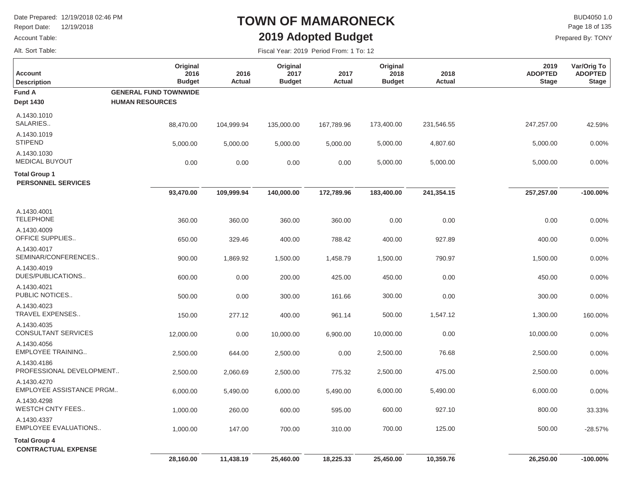Report Date: 12/19/2018

Account Table:

### Alt. Sort Table:

### **TOWN OF MAMARONECK2019 Adopted Budget**

 $\mathsf{BUD4050}\,1.0$ Prepared By: TONY Page 18 of 135

| <b>Account</b><br><b>Description</b>               | Original<br>2016<br><b>Budget</b> | 2016<br>Actual | Original<br>2017<br><b>Budget</b> | 2017<br>Actual | Original<br>2018<br><b>Budget</b> | 2018<br>Actual | 2019<br><b>ADOPTED</b><br><b>Stage</b> | Var/Orig To<br><b>ADOPTED</b><br><b>Stage</b> |
|----------------------------------------------------|-----------------------------------|----------------|-----------------------------------|----------------|-----------------------------------|----------------|----------------------------------------|-----------------------------------------------|
| <b>Fund A</b>                                      | <b>GENERAL FUND TOWNWIDE</b>      |                |                                   |                |                                   |                |                                        |                                               |
| <b>Dept 1430</b>                                   | <b>HUMAN RESOURCES</b>            |                |                                   |                |                                   |                |                                        |                                               |
| A.1430.1010<br>SALARIES                            | 88,470.00                         | 104,999.94     | 135,000.00                        | 167,789.96     | 173,400.00                        | 231,546.55     | 247,257.00                             | 42.59%                                        |
| A.1430.1019<br><b>STIPEND</b>                      | 5,000.00                          | 5,000.00       | 5,000.00                          | 5,000.00       | 5,000.00                          | 4,807.60       | 5,000.00                               | 0.00%                                         |
| A.1430.1030<br><b>MEDICAL BUYOUT</b>               | 0.00                              | 0.00           | 0.00                              | 0.00           | 5,000.00                          | 5,000.00       | 5,000.00                               | 0.00%                                         |
| <b>Total Group 1</b><br><b>PERSONNEL SERVICES</b>  |                                   |                |                                   |                |                                   |                |                                        |                                               |
|                                                    | 93,470.00                         | 109,999.94     | 140,000.00                        | 172,789.96     | 183,400.00                        | 241,354.15     | 257,257.00                             | $-100.00\%$                                   |
| A.1430.4001<br><b>TELEPHONE</b>                    | 360.00                            | 360.00         | 360.00                            | 360.00         | 0.00                              | 0.00           | 0.00                                   | 0.00%                                         |
| A.1430.4009<br>OFFICE SUPPLIES                     | 650.00                            | 329.46         | 400.00                            | 788.42         | 400.00                            | 927.89         | 400.00                                 | 0.00%                                         |
| A.1430.4017<br>SEMINAR/CONFERENCES                 | 900.00                            | 1,869.92       | 1,500.00                          | 1,458.79       | 1,500.00                          | 790.97         | 1,500.00                               | 0.00%                                         |
| A.1430.4019<br>DUES/PUBLICATIONS                   | 600.00                            | 0.00           | 200.00                            | 425.00         | 450.00                            | 0.00           | 450.00                                 | 0.00%                                         |
| A.1430.4021<br>PUBLIC NOTICES                      | 500.00                            | 0.00           | 300.00                            | 161.66         | 300.00                            | 0.00           | 300.00                                 | 0.00%                                         |
| A.1430.4023<br>TRAVEL EXPENSES                     | 150.00                            | 277.12         | 400.00                            | 961.14         | 500.00                            | 1,547.12       | 1,300.00                               | 160.00%                                       |
| A.1430.4035<br><b>CONSULTANT SERVICES</b>          | 12,000.00                         | 0.00           | 10,000.00                         | 6,900.00       | 10,000.00                         | 0.00           | 10,000.00                              | 0.00%                                         |
| A.1430.4056<br><b>EMPLOYEE TRAINING</b>            | 2,500.00                          | 644.00         | 2,500.00                          | 0.00           | 2,500.00                          | 76.68          | 2,500.00                               | 0.00%                                         |
| A.1430.4186<br>PROFESSIONAL DEVELOPMENT            | 2,500.00                          | 2,060.69       | 2,500.00                          | 775.32         | 2,500.00                          | 475.00         | 2,500.00                               | 0.00%                                         |
| A.1430.4270<br>EMPLOYEE ASSISTANCE PRGM            | 6,000.00                          | 5,490.00       | 6,000.00                          | 5,490.00       | 6,000.00                          | 5,490.00       | 6,000.00                               | 0.00%                                         |
| A.1430.4298<br><b>WESTCH CNTY FEES</b>             | 1,000.00                          | 260.00         | 600.00                            | 595.00         | 600.00                            | 927.10         | 800.00                                 | 33.33%                                        |
| A.1430.4337<br>EMPLOYEE EVALUATIONS                | 1,000.00                          | 147.00         | 700.00                            | 310.00         | 700.00                            | 125.00         | 500.00                                 | $-28.57%$                                     |
| <b>Total Group 4</b><br><b>CONTRACTUAL EXPENSE</b> |                                   |                |                                   |                |                                   |                |                                        |                                               |
|                                                    | 28,160.00                         | 11,438.19      | 25,460.00                         | 18,225.33      | 25,450.00                         | 10,359.76      | 26,250.00                              | $-100.00\%$                                   |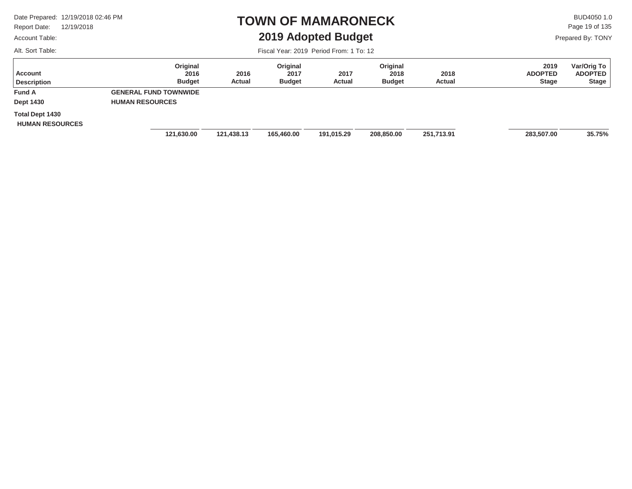Report Date: 12/19/2018

#### Account Table:

Alt. Sort Table:

### **TOWN OF MAMARONECK2019 Adopted Budget**

 $\mathsf{BUD4050}\,1.0$ Page 19 of 135

Prepared By: TONY

| Account<br><b>Description</b>             | Original<br>2016<br><b>Budget</b> | 2016<br>Actual | Original<br>2017<br><b>Budget</b> | 2017<br><b>Actual</b> | Original<br>2018<br><b>Budget</b> | 2018<br><b>Actual</b> | 2019<br><b>ADOPTED</b><br><b>Stage</b> | Var/Orig To<br><b>ADOPTED</b><br><b>Stage</b> |
|-------------------------------------------|-----------------------------------|----------------|-----------------------------------|-----------------------|-----------------------------------|-----------------------|----------------------------------------|-----------------------------------------------|
| <b>Fund A</b>                             | <b>GENERAL FUND TOWNWIDE</b>      |                |                                   |                       |                                   |                       |                                        |                                               |
| <b>Dept 1430</b>                          | <b>HUMAN RESOURCES</b>            |                |                                   |                       |                                   |                       |                                        |                                               |
| Total Dept 1430<br><b>HUMAN RESOURCES</b> |                                   |                |                                   |                       |                                   |                       |                                        |                                               |
|                                           | 121,630.00                        | 121,438.13     | 165,460.00                        | 191,015.29            | 208,850.00                        | 251,713.91            | 283,507.00                             | 35.75%                                        |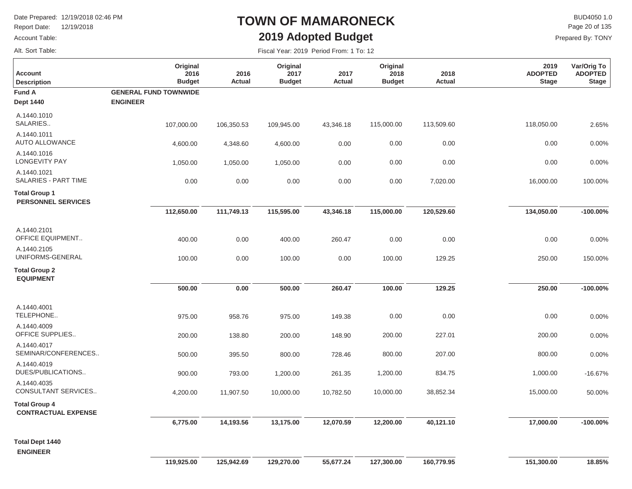Report Date: 12/19/2018

#### Account Table:

Alt. Sort Table:

### **TOWN OF MAMARONECK2019 Adopted Budget**

 $\mathsf{BUD4050 1.0}$ Prepared By: TONY Page 20 of 135

| <b>Account</b><br><b>Description</b>               | Original<br>2016<br><b>Budget</b> | 2016<br><b>Actual</b> | Original<br>2017<br><b>Budget</b> | 2017<br><b>Actual</b> | Original<br>2018<br><b>Budget</b> | 2018<br>Actual | 2019<br><b>ADOPTED</b><br><b>Stage</b> | Var/Orig To<br><b>ADOPTED</b><br><b>Stage</b> |
|----------------------------------------------------|-----------------------------------|-----------------------|-----------------------------------|-----------------------|-----------------------------------|----------------|----------------------------------------|-----------------------------------------------|
| <b>Fund A</b>                                      | <b>GENERAL FUND TOWNWIDE</b>      |                       |                                   |                       |                                   |                |                                        |                                               |
| <b>Dept 1440</b>                                   | <b>ENGINEER</b>                   |                       |                                   |                       |                                   |                |                                        |                                               |
| A.1440.1010<br>SALARIES                            | 107,000.00                        | 106,350.53            | 109,945.00                        | 43,346.18             | 115,000.00                        | 113,509.60     | 118,050.00                             | 2.65%                                         |
| A.1440.1011<br><b>AUTO ALLOWANCE</b>               | 4,600.00                          | 4,348.60              | 4,600.00                          | 0.00                  | 0.00                              | 0.00           | 0.00                                   | 0.00%                                         |
| A.1440.1016<br><b>LONGEVITY PAY</b>                | 1,050.00                          | 1,050.00              | 1,050.00                          | 0.00                  | 0.00                              | 0.00           | 0.00                                   | 0.00%                                         |
| A.1440.1021<br>SALARIES - PART TIME                | 0.00                              | 0.00                  | 0.00                              | 0.00                  | 0.00                              | 7,020.00       | 16,000.00                              | 100.00%                                       |
| <b>Total Group 1</b><br><b>PERSONNEL SERVICES</b>  |                                   |                       |                                   |                       |                                   |                |                                        |                                               |
|                                                    | 112,650.00                        | 111,749.13            | 115,595.00                        | 43,346.18             | 115,000.00                        | 120,529.60     | 134,050.00                             | $-100.00\%$                                   |
| A.1440.2101<br>OFFICE EQUIPMENT                    | 400.00                            | 0.00                  | 400.00                            | 260.47                | 0.00                              | 0.00           | 0.00                                   | 0.00%                                         |
| A.1440.2105<br>UNIFORMS-GENERAL                    | 100.00                            | 0.00                  | 100.00                            | 0.00                  | 100.00                            | 129.25         | 250.00                                 | 150.00%                                       |
| <b>Total Group 2</b><br><b>EQUIPMENT</b>           |                                   |                       |                                   |                       |                                   |                |                                        |                                               |
|                                                    | 500.00                            | 0.00                  | 500.00                            | 260.47                | 100.00                            | 129.25         | 250.00                                 | $-100.00\%$                                   |
| A.1440.4001<br>TELEPHONE                           | 975.00                            | 958.76                | 975.00                            | 149.38                | 0.00                              | 0.00           | 0.00                                   | 0.00%                                         |
| A.1440.4009<br><b>OFFICE SUPPLIES</b>              | 200.00                            | 138.80                | 200.00                            | 148.90                | 200.00                            | 227.01         | 200.00                                 | 0.00%                                         |
| A.1440.4017<br>SEMINAR/CONFERENCES                 | 500.00                            | 395.50                | 800.00                            | 728.46                | 800.00                            | 207.00         | 800.00                                 | 0.00%                                         |
| A.1440.4019<br>DUES/PUBLICATIONS                   | 900.00                            | 793.00                | 1,200.00                          | 261.35                | 1,200.00                          | 834.75         | 1,000.00                               | $-16.67%$                                     |
| A.1440.4035<br>CONSULTANT SERVICES                 | 4,200.00                          | 11,907.50             | 10,000.00                         | 10,782.50             | 10,000.00                         | 38,852.34      | 15,000.00                              | 50.00%                                        |
| <b>Total Group 4</b><br><b>CONTRACTUAL EXPENSE</b> |                                   |                       |                                   |                       |                                   |                |                                        |                                               |
|                                                    | 6,775.00                          | 14,193.56             | 13,175.00                         | 12,070.59             | 12,200.00                         | 40,121.10      | 17,000.00                              | $-100.00\%$                                   |
| <b>Total Dept 1440</b><br><b>ENGINEER</b>          |                                   |                       |                                   |                       |                                   |                |                                        |                                               |
|                                                    | 119.925.00                        | 125.942.69            | 129.270.00                        | 55.677.24             | 127.300.00                        | 160.779.95     | 151.300.00                             | 18.85%                                        |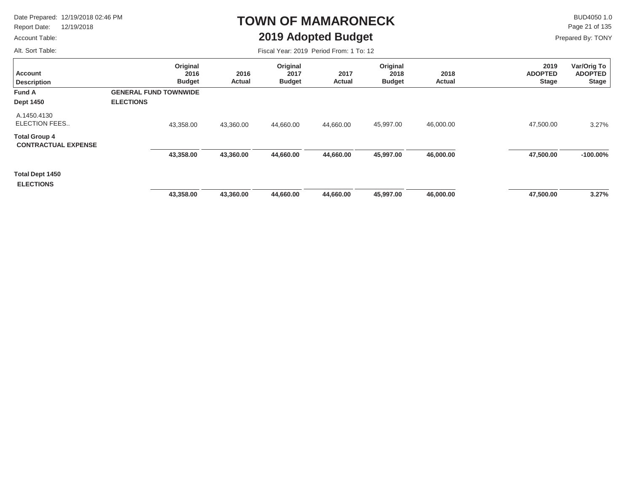Report Date: 12/19/2018

#### Account Table:

Alt. Sort Table:

### **TOWN OF MAMARONECK2019 Adopted Budget**

 $\mathsf{BUD4050}\,1.0$ Page 21 of 135

Prepared By: TONY

| <b>Account</b><br><b>Description</b>               | Original<br>2016<br><b>Budget</b> | 2016<br>Actual | Original<br>2017<br><b>Budget</b> | 2017<br>Actual | Original<br>2018<br><b>Budget</b> | 2018<br>Actual | 2019<br><b>ADOPTED</b><br><b>Stage</b> | Var/Orig To<br><b>ADOPTED</b><br><b>Stage</b> |
|----------------------------------------------------|-----------------------------------|----------------|-----------------------------------|----------------|-----------------------------------|----------------|----------------------------------------|-----------------------------------------------|
| <b>Fund A</b>                                      | <b>GENERAL FUND TOWNWIDE</b>      |                |                                   |                |                                   |                |                                        |                                               |
| <b>Dept 1450</b>                                   | <b>ELECTIONS</b>                  |                |                                   |                |                                   |                |                                        |                                               |
| A.1450.4130<br>ELECTION FEES                       | 43,358.00                         | 43,360.00      | 44,660.00                         | 44,660.00      | 45,997.00                         | 46,000.00      | 47,500.00                              | 3.27%                                         |
| <b>Total Group 4</b><br><b>CONTRACTUAL EXPENSE</b> |                                   |                |                                   |                |                                   |                |                                        |                                               |
|                                                    | 43,358.00                         | 43,360.00      | 44,660.00                         | 44,660.00      | 45,997.00                         | 46,000.00      | 47,500.00                              | $-100.00\%$                                   |
| <b>Total Dept 1450</b><br><b>ELECTIONS</b>         |                                   |                |                                   |                |                                   |                |                                        |                                               |
|                                                    | 43,358.00                         | 43,360.00      | 44,660.00                         | 44,660.00      | 45,997.00                         | 46,000.00      | 47,500.00                              | 3.27%                                         |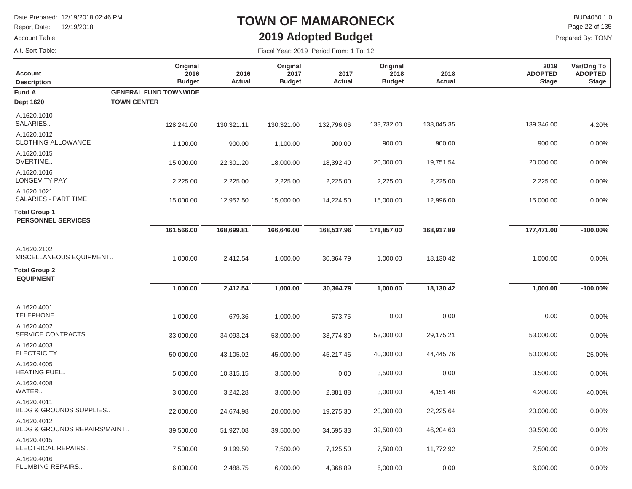Report Date: 12/19/2018

#### Account Table:

Alt. Sort Table:

### **TOWN OF MAMARONECK2019 Adopted Budget**

 $\mathsf{BUD4050 1.0}$ Prepared By: TONY Page 22 of 135

| <b>Account</b><br><b>Description</b>              | Original<br>2016<br><b>Budget</b> | 2016<br>Actual | Original<br>2017<br><b>Budget</b> | 2017<br>Actual | Original<br>2018<br><b>Budget</b> | 2018<br>Actual | 2019<br><b>ADOPTED</b><br><b>Stage</b> | Var/Orig To<br><b>ADOPTED</b><br><b>Stage</b> |
|---------------------------------------------------|-----------------------------------|----------------|-----------------------------------|----------------|-----------------------------------|----------------|----------------------------------------|-----------------------------------------------|
| <b>Fund A</b>                                     | <b>GENERAL FUND TOWNWIDE</b>      |                |                                   |                |                                   |                |                                        |                                               |
| <b>Dept 1620</b>                                  | <b>TOWN CENTER</b>                |                |                                   |                |                                   |                |                                        |                                               |
| A.1620.1010<br>SALARIES                           | 128,241.00                        | 130,321.11     | 130,321.00                        | 132,796.06     | 133,732.00                        | 133,045.35     | 139,346.00                             | 4.20%                                         |
| A.1620.1012<br><b>CLOTHING ALLOWANCE</b>          | 1,100.00                          | 900.00         | 1,100.00                          | 900.00         | 900.00                            | 900.00         | 900.00                                 | 0.00%                                         |
| A.1620.1015<br>OVERTIME                           | 15,000.00                         | 22,301.20      | 18,000.00                         | 18,392.40      | 20,000.00                         | 19,751.54      | 20,000.00                              | 0.00%                                         |
| A.1620.1016<br><b>LONGEVITY PAY</b>               | 2,225.00                          | 2,225.00       | 2,225.00                          | 2,225.00       | 2,225.00                          | 2,225.00       | 2,225.00                               | 0.00%                                         |
| A.1620.1021<br>SALARIES - PART TIME               | 15,000.00                         | 12,952.50      | 15,000.00                         | 14,224.50      | 15,000.00                         | 12,996.00      | 15,000.00                              | 0.00%                                         |
| <b>Total Group 1</b><br><b>PERSONNEL SERVICES</b> |                                   |                |                                   |                |                                   |                |                                        |                                               |
|                                                   | 161,566.00                        | 168,699.81     | 166,646.00                        | 168,537.96     | 171,857.00                        | 168,917.89     | 177,471.00                             | $-100.00\%$                                   |
| A.1620.2102<br>MISCELLANEOUS EQUIPMENT            | 1,000.00                          | 2,412.54       | 1,000.00                          | 30,364.79      | 1,000.00                          | 18,130.42      | 1,000.00                               | 0.00%                                         |
| <b>Total Group 2</b><br><b>EQUIPMENT</b>          |                                   |                |                                   |                |                                   |                |                                        |                                               |
|                                                   | 1,000.00                          | 2,412.54       | 1,000.00                          | 30,364.79      | 1,000.00                          | 18,130.42      | 1,000.00                               | $-100.00\%$                                   |
| A.1620.4001<br><b>TELEPHONE</b>                   | 1,000.00                          | 679.36         | 1,000.00                          | 673.75         | 0.00                              | 0.00           | 0.00                                   | 0.00%                                         |
| A.1620.4002<br>SERVICE CONTRACTS                  | 33,000.00                         | 34,093.24      | 53,000.00                         | 33,774.89      | 53,000.00                         | 29,175.21      | 53,000.00                              | 0.00%                                         |
| A.1620.4003<br>ELECTRICITY                        | 50,000.00                         | 43,105.02      | 45,000.00                         | 45,217.46      | 40,000.00                         | 44,445.76      | 50,000.00                              | 25.00%                                        |
| A.1620.4005<br>HEATING FUEL                       | 5,000.00                          | 10,315.15      | 3,500.00                          | 0.00           | 3,500.00                          | 0.00           | 3,500.00                               | 0.00%                                         |
| A.1620.4008<br>WATER                              | 3,000.00                          | 3,242.28       | 3,000.00                          | 2,881.88       | 3,000.00                          | 4,151.48       | 4,200.00                               | 40.00%                                        |
| A.1620.4011<br>BLDG & GROUNDS SUPPLIES            | 22,000.00                         | 24,674.98      | 20,000.00                         | 19,275.30      | 20,000.00                         | 22,225.64      | 20,000.00                              | 0.00%                                         |
| A.1620.4012<br>BLDG & GROUNDS REPAIRS/MAINT       | 39,500.00                         | 51,927.08      | 39,500.00                         | 34,695.33      | 39,500.00                         | 46,204.63      | 39,500.00                              | 0.00%                                         |
| A.1620.4015<br>ELECTRICAL REPAIRS                 | 7,500.00                          | 9,199.50       | 7,500.00                          | 7,125.50       | 7,500.00                          | 11,772.92      | 7,500.00                               | 0.00%                                         |
| A.1620.4016<br>PLUMBING REPAIRS                   | 6,000.00                          | 2,488.75       | 6,000.00                          | 4,368.89       | 6,000.00                          | 0.00           | 6,000.00                               | 0.00%                                         |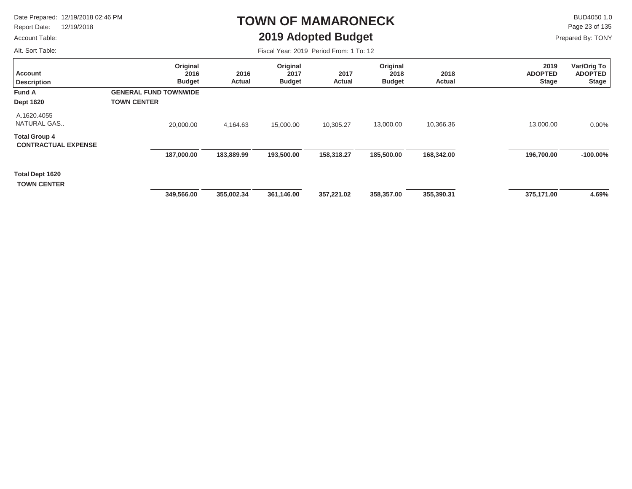Report Date: 12/19/2018

#### Account Table:

Alt. Sort Table:

### **TOWN OF MAMARONECK2019 Adopted Budget**

 $\mathsf{BUD4050 1.0}$ Page 23 of 135

Prepared By: TONY

| <b>Account</b><br><b>Description</b>               | Original<br>2016<br><b>Budget</b>                  | 2016<br>Actual | Original<br>2017<br><b>Budget</b> | 2017<br>Actual | Original<br>2018<br><b>Budget</b> | 2018<br>Actual | 2019<br><b>ADOPTED</b><br><b>Stage</b> | Var/Orig To<br><b>ADOPTED</b><br><b>Stage</b> |
|----------------------------------------------------|----------------------------------------------------|----------------|-----------------------------------|----------------|-----------------------------------|----------------|----------------------------------------|-----------------------------------------------|
| <b>Fund A</b><br><b>Dept 1620</b>                  | <b>GENERAL FUND TOWNWIDE</b><br><b>TOWN CENTER</b> |                |                                   |                |                                   |                |                                        |                                               |
| A.1620.4055<br>NATURAL GAS                         | 20,000.00                                          | 4,164.63       | 15,000.00                         | 10,305.27      | 13,000.00                         | 10,366.36      | 13,000.00                              | 0.00%                                         |
| <b>Total Group 4</b><br><b>CONTRACTUAL EXPENSE</b> |                                                    |                |                                   |                |                                   |                |                                        |                                               |
|                                                    | 187,000.00                                         | 183,889.99     | 193,500.00                        | 158,318.27     | 185,500.00                        | 168,342.00     | 196,700.00                             | $-100.00\%$                                   |
| Total Dept 1620<br><b>TOWN CENTER</b>              |                                                    |                |                                   |                |                                   |                |                                        |                                               |
|                                                    | 349,566.00                                         | 355,002.34     | 361,146.00                        | 357,221.02     | 358,357.00                        | 355,390.31     | 375,171.00                             | 4.69%                                         |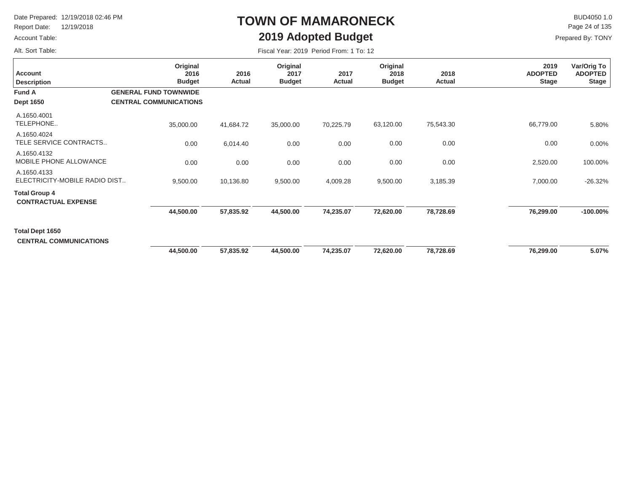Report Date: 12/19/2018

#### Account Table:

Alt. Sort Table:

# **TOWN OF MAMARONECK2019 Adopted Budget**

 $\mathsf{BUD4050}\,1.0$ Page 24 of 135

| Fiscal Year: 2019 Period From: 1 To: 12 |  |
|-----------------------------------------|--|
|-----------------------------------------|--|

| <b>Account</b><br><b>Description</b>               | Original<br>2016<br><b>Budget</b> | 2016<br>Actual | Original<br>2017<br><b>Budget</b> | 2017<br>Actual | Original<br>2018<br><b>Budget</b> | 2018<br>Actual | 2019<br><b>ADOPTED</b><br><b>Stage</b> | Var/Orig To<br><b>ADOPTED</b><br><b>Stage</b> |
|----------------------------------------------------|-----------------------------------|----------------|-----------------------------------|----------------|-----------------------------------|----------------|----------------------------------------|-----------------------------------------------|
| Fund A                                             | <b>GENERAL FUND TOWNWIDE</b>      |                |                                   |                |                                   |                |                                        |                                               |
| <b>Dept 1650</b>                                   | <b>CENTRAL COMMUNICATIONS</b>     |                |                                   |                |                                   |                |                                        |                                               |
| A.1650.4001<br>TELEPHONE                           | 35,000.00                         | 41,684.72      | 35,000.00                         | 70,225.79      | 63,120.00                         | 75,543.30      | 66,779.00                              | 5.80%                                         |
| A.1650.4024<br>TELE SERVICE CONTRACTS              | 0.00                              | 6,014.40       | 0.00                              | 0.00           | 0.00                              | 0.00           | 0.00                                   | 0.00%                                         |
| A.1650.4132<br>MOBILE PHONE ALLOWANCE              | 0.00                              | 0.00           | 0.00                              | 0.00           | 0.00                              | 0.00           | 2,520.00                               | 100.00%                                       |
| A.1650.4133<br>ELECTRICITY-MOBILE RADIO DIST       | 9,500.00                          | 10,136.80      | 9,500.00                          | 4,009.28       | 9,500.00                          | 3,185.39       | 7,000.00                               | $-26.32%$                                     |
| <b>Total Group 4</b><br><b>CONTRACTUAL EXPENSE</b> |                                   |                |                                   |                |                                   |                |                                        |                                               |
|                                                    | 44,500.00                         | 57,835.92      | 44,500.00                         | 74,235.07      | 72,620.00                         | 78,728.69      | 76,299.00                              | $-100.00\%$                                   |
| Total Dept 1650<br><b>CENTRAL COMMUNICATIONS</b>   |                                   |                |                                   |                |                                   |                |                                        |                                               |
|                                                    | 44,500.00                         | 57,835.92      | 44,500.00                         | 74,235.07      | 72,620.00                         | 78,728.69      | 76,299.00                              | 5.07%                                         |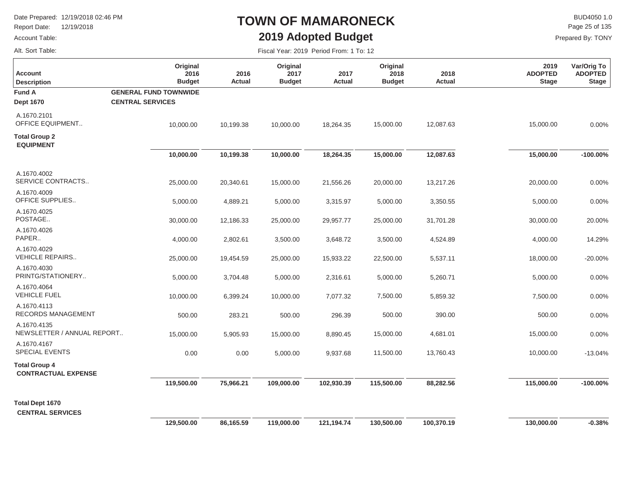Report Date: 12/19/2018

#### Account Table:

Alt. Sort Table:

### **TOWN OF MAMARONECK2019 Adopted Budget**

 $\mathsf{BUD4050 1.0}$ Page 25 of 135

| Fiscal Year: 2019 Period From: 1 To: 12 |  |  |  |  |
|-----------------------------------------|--|--|--|--|
|-----------------------------------------|--|--|--|--|

| <b>Account</b><br><b>Description</b>               | Original<br>2016<br><b>Budget</b>                       | 2016<br><b>Actual</b> | Original<br>2017<br><b>Budget</b> | 2017<br>Actual | Original<br>2018<br><b>Budget</b> | 2018<br>Actual | 2019<br><b>ADOPTED</b><br><b>Stage</b> | Var/Orig To<br><b>ADOPTED</b><br><b>Stage</b> |
|----------------------------------------------------|---------------------------------------------------------|-----------------------|-----------------------------------|----------------|-----------------------------------|----------------|----------------------------------------|-----------------------------------------------|
| <b>Fund A</b><br><b>Dept 1670</b>                  | <b>GENERAL FUND TOWNWIDE</b><br><b>CENTRAL SERVICES</b> |                       |                                   |                |                                   |                |                                        |                                               |
| A.1670.2101<br>OFFICE EQUIPMENT                    | 10,000.00                                               | 10,199.38             | 10,000.00                         | 18,264.35      | 15,000.00                         | 12,087.63      | 15,000.00                              | 0.00%                                         |
| <b>Total Group 2</b><br><b>EQUIPMENT</b>           |                                                         |                       |                                   |                |                                   |                |                                        |                                               |
|                                                    | 10,000.00                                               | 10,199.38             | 10,000.00                         | 18,264.35      | 15,000.00                         | 12,087.63      | 15,000.00                              | $-100.00\%$                                   |
| A.1670.4002<br>SERVICE CONTRACTS                   | 25,000.00                                               | 20,340.61             | 15,000.00                         | 21,556.26      | 20,000.00                         | 13,217.26      | 20,000.00                              | 0.00%                                         |
| A.1670.4009<br>OFFICE SUPPLIES                     | 5,000.00                                                | 4,889.21              | 5,000.00                          | 3,315.97       | 5,000.00                          | 3,350.55       | 5,000.00                               | 0.00%                                         |
| A.1670.4025<br>POSTAGE                             | 30,000.00                                               | 12,186.33             | 25,000.00                         | 29,957.77      | 25,000.00                         | 31,701.28      | 30,000.00                              | 20.00%                                        |
| A.1670.4026<br>PAPER                               | 4,000.00                                                | 2,802.61              | 3,500.00                          | 3,648.72       | 3,500.00                          | 4,524.89       | 4,000.00                               | 14.29%                                        |
| A.1670.4029<br><b>VEHICLE REPAIRS</b>              | 25,000.00                                               | 19,454.59             | 25,000.00                         | 15,933.22      | 22,500.00                         | 5,537.11       | 18,000.00                              | $-20.00%$                                     |
| A.1670.4030<br>PRINTG/STATIONERY                   | 5,000.00                                                | 3,704.48              | 5,000.00                          | 2,316.61       | 5,000.00                          | 5,260.71       | 5,000.00                               | 0.00%                                         |
| A.1670.4064<br><b>VEHICLE FUEL</b>                 | 10,000.00                                               | 6,399.24              | 10,000.00                         | 7,077.32       | 7,500.00                          | 5,859.32       | 7,500.00                               | 0.00%                                         |
| A.1670.4113<br>RECORDS MANAGEMENT                  | 500.00                                                  | 283.21                | 500.00                            | 296.39         | 500.00                            | 390.00         | 500.00                                 | 0.00%                                         |
| A.1670.4135<br>NEWSLETTER / ANNUAL REPORT          | 15,000.00                                               | 5,905.93              | 15,000.00                         | 8,890.45       | 15,000.00                         | 4,681.01       | 15,000.00                              | 0.00%                                         |
| A.1670.4167<br>SPECIAL EVENTS                      | 0.00                                                    | 0.00                  | 5,000.00                          | 9,937.68       | 11,500.00                         | 13,760.43      | 10,000.00                              | $-13.04%$                                     |
| <b>Total Group 4</b><br><b>CONTRACTUAL EXPENSE</b> |                                                         |                       |                                   |                |                                   |                |                                        |                                               |
|                                                    | 119,500.00                                              | 75,966.21             | 109,000.00                        | 102,930.39     | 115,500.00                        | 88,282.56      | 115,000.00                             | $-100.00\%$                                   |
| <b>Total Dept 1670</b><br><b>CENTRAL SERVICES</b>  |                                                         |                       |                                   |                |                                   |                |                                        |                                               |
|                                                    | 129,500.00                                              | 86,165.59             | 119,000.00                        | 121,194.74     | 130,500.00                        | 100,370.19     | 130,000.00                             | $-0.38%$                                      |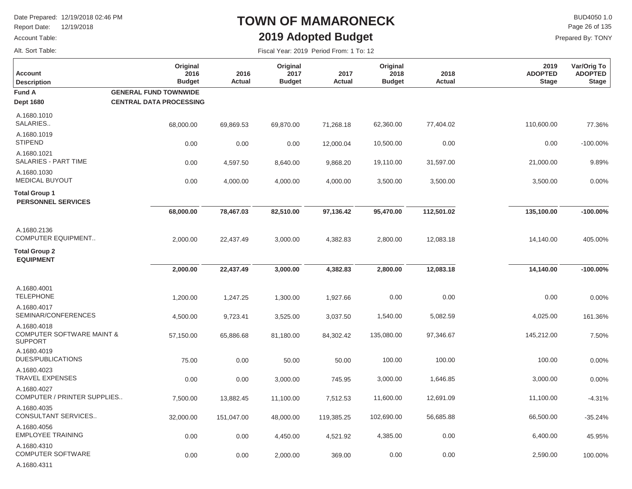Report Date: 12/19/2018

#### Account Table:

Alt. Sort Table:

A.1680.4311

### **TOWN OF MAMARONECK2019 Adopted Budget**

 $\mathsf{BUD4050 1.0}$ Prepared By: TONY Page 26 of 135

| <b>Account</b><br><b>Description</b>                       | Original<br>2016<br><b>Budget</b>                              | 2016<br>Actual | Original<br>2017<br><b>Budget</b> | 2017<br>Actual | Original<br>2018<br><b>Budget</b> | 2018<br>Actual | 2019<br><b>ADOPTED</b><br><b>Stage</b> | Var/Orig To<br><b>ADOPTED</b><br><b>Stage</b> |
|------------------------------------------------------------|----------------------------------------------------------------|----------------|-----------------------------------|----------------|-----------------------------------|----------------|----------------------------------------|-----------------------------------------------|
| <b>Fund A</b><br><b>Dept 1680</b>                          | <b>GENERAL FUND TOWNWIDE</b><br><b>CENTRAL DATA PROCESSING</b> |                |                                   |                |                                   |                |                                        |                                               |
| A.1680.1010<br>SALARIES                                    | 68,000.00                                                      | 69,869.53      | 69,870.00                         | 71,268.18      | 62,360.00                         | 77,404.02      | 110,600.00                             | 77.36%                                        |
| A.1680.1019<br><b>STIPEND</b>                              | 0.00                                                           | 0.00           | 0.00                              | 12,000.04      | 10,500.00                         | 0.00           | 0.00                                   | $-100.00\%$                                   |
| A.1680.1021<br>SALARIES - PART TIME                        | 0.00                                                           | 4,597.50       | 8,640.00                          | 9,868.20       | 19,110.00                         | 31,597.00      | 21,000.00                              | 9.89%                                         |
| A.1680.1030<br><b>MEDICAL BUYOUT</b>                       | 0.00                                                           | 4,000.00       | 4,000.00                          | 4,000.00       | 3,500.00                          | 3,500.00       | 3,500.00                               | 0.00%                                         |
| <b>Total Group 1</b><br><b>PERSONNEL SERVICES</b>          |                                                                |                |                                   |                |                                   |                |                                        |                                               |
|                                                            | 68,000.00                                                      | 78,467.03      | 82,510.00                         | 97,136.42      | 95,470.00                         | 112,501.02     | 135,100.00                             | $-100.00\%$                                   |
| A.1680.2136<br><b>COMPUTER EQUIPMENT</b>                   | 2,000.00                                                       | 22,437.49      | 3,000.00                          | 4,382.83       | 2,800.00                          | 12,083.18      | 14,140.00                              | 405.00%                                       |
| <b>Total Group 2</b><br><b>EQUIPMENT</b>                   |                                                                |                |                                   |                |                                   |                |                                        |                                               |
|                                                            | 2,000.00                                                       | 22,437.49      | 3,000.00                          | 4,382.83       | 2,800.00                          | 12,083.18      | 14,140.00                              | $-100.00\%$                                   |
| A.1680.4001<br><b>TELEPHONE</b>                            | 1,200.00                                                       | 1,247.25       | 1,300.00                          | 1,927.66       | 0.00                              | 0.00           | 0.00                                   | 0.00%                                         |
| A.1680.4017<br>SEMINAR/CONFERENCES                         | 4,500.00                                                       | 9,723.41       | 3,525.00                          | 3,037.50       | 1,540.00                          | 5,082.59       | 4,025.00                               | 161.36%                                       |
| A.1680.4018<br>COMPUTER SOFTWARE MAINT &<br><b>SUPPORT</b> | 57,150.00                                                      | 65,886.68      | 81,180.00                         | 84,302.42      | 135,080.00                        | 97,346.67      | 145,212.00                             | 7.50%                                         |
| A.1680.4019<br><b>DUES/PUBLICATIONS</b>                    | 75.00                                                          | 0.00           | 50.00                             | 50.00          | 100.00                            | 100.00         | 100.00                                 | 0.00%                                         |
| A.1680.4023<br><b>TRAVEL EXPENSES</b>                      | 0.00                                                           | 0.00           | 3,000.00                          | 745.95         | 3,000.00                          | 1,646.85       | 3,000.00                               | 0.00%                                         |
| A.1680.4027<br>COMPUTER / PRINTER SUPPLIES                 | 7,500.00                                                       | 13,882.45      | 11,100.00                         | 7,512.53       | 11,600.00                         | 12,691.09      | 11,100.00                              | $-4.31%$                                      |
| A.1680.4035<br>CONSULTANT SERVICES                         | 32,000.00                                                      | 151,047.00     | 48,000.00                         | 119,385.25     | 102,690.00                        | 56,685.88      | 66,500.00                              | $-35.24%$                                     |
| A.1680.4056<br><b>EMPLOYEE TRAINING</b>                    | 0.00                                                           | 0.00           | 4,450.00                          | 4,521.92       | 4,385.00                          | 0.00           | 6,400.00                               | 45.95%                                        |
| A.1680.4310<br><b>COMPUTER SOFTWARE</b>                    | 0.00                                                           | 0.00           | 2,000.00                          | 369.00         | 0.00                              | 0.00           | 2,590.00                               | 100.00%                                       |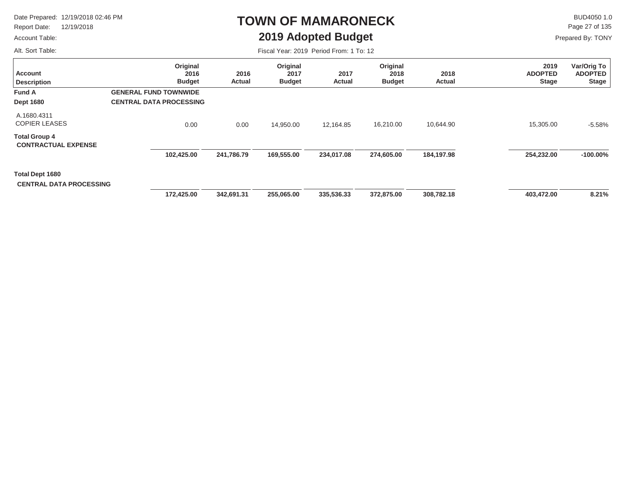Report Date: 12/19/2018

#### Account Table:

Alt. Sort Table:

### **TOWN OF MAMARONECK2019 Adopted Budget**

 $\mathsf{BUD4050 1.0}$ Page 27 of 135

Prepared By: TONY

| <b>Account</b><br><b>Description</b>               | Original<br>2016<br><b>Budget</b>                              | 2016<br><b>Actual</b> | Original<br>2017<br><b>Budget</b> | 2017<br>Actual | Original<br>2018<br><b>Budget</b> | 2018<br>Actual | 2019<br><b>ADOPTED</b><br><b>Stage</b> | Var/Orig To<br><b>ADOPTED</b><br><b>Stage</b> |
|----------------------------------------------------|----------------------------------------------------------------|-----------------------|-----------------------------------|----------------|-----------------------------------|----------------|----------------------------------------|-----------------------------------------------|
| Fund A<br><b>Dept 1680</b>                         | <b>GENERAL FUND TOWNWIDE</b><br><b>CENTRAL DATA PROCESSING</b> |                       |                                   |                |                                   |                |                                        |                                               |
| A.1680.4311<br><b>COPIER LEASES</b>                | 0.00                                                           | 0.00                  | 14,950.00                         | 12,164.85      | 16,210.00                         | 10,644.90      | 15,305.00                              | $-5.58%$                                      |
| <b>Total Group 4</b><br><b>CONTRACTUAL EXPENSE</b> |                                                                |                       |                                   |                |                                   |                |                                        |                                               |
|                                                    | 102,425.00                                                     | 241,786.79            | 169,555.00                        | 234,017.08     | 274,605.00                        | 184,197.98     | 254,232.00                             | $-100.00\%$                                   |
| Total Dept 1680<br><b>CENTRAL DATA PROCESSING</b>  |                                                                |                       |                                   |                |                                   |                |                                        |                                               |
|                                                    | 172,425.00                                                     | 342,691.31            | 255,065.00                        | 335,536.33     | 372,875.00                        | 308,782.18     | 403,472.00                             | 8.21%                                         |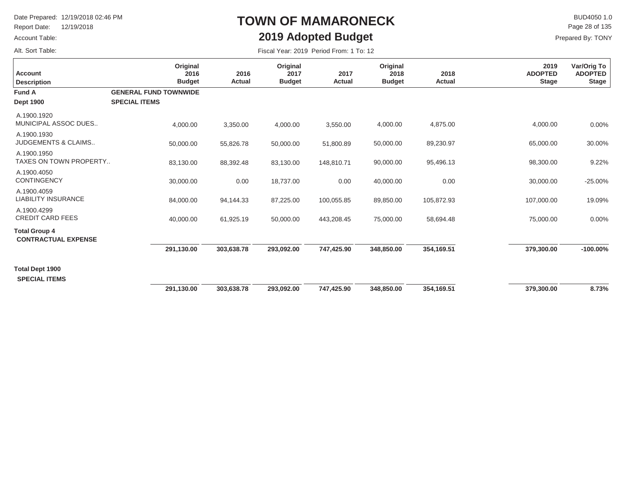Report Date: 12/19/2018

#### Account Table:

Alt. Sort Table:

### **TOWN OF MAMARONECK2019 Adopted Budget**

 $\mathsf{BUD4050}\,1.0$ Prepared By: TONY Page 28 of 135

| <b>Account</b><br><b>Description</b>               | Original<br>2016<br><b>Budget</b> | 2016<br>Actual | Original<br>2017<br><b>Budget</b> | 2017<br>Actual | Original<br>2018<br><b>Budget</b> | 2018<br>Actual | 2019<br><b>ADOPTED</b><br><b>Stage</b> | Var/Orig To<br><b>ADOPTED</b><br><b>Stage</b> |
|----------------------------------------------------|-----------------------------------|----------------|-----------------------------------|----------------|-----------------------------------|----------------|----------------------------------------|-----------------------------------------------|
| <b>Fund A</b>                                      | <b>GENERAL FUND TOWNWIDE</b>      |                |                                   |                |                                   |                |                                        |                                               |
| <b>Dept 1900</b>                                   | <b>SPECIAL ITEMS</b>              |                |                                   |                |                                   |                |                                        |                                               |
| A.1900.1920<br>MUNICIPAL ASSOC DUES                | 4,000.00                          | 3,350.00       | 4,000.00                          | 3,550.00       | 4,000.00                          | 4,875.00       | 4,000.00                               | 0.00%                                         |
| A.1900.1930<br><b>JUDGEMENTS &amp; CLAIMS</b>      | 50,000.00                         | 55,826.78      | 50,000.00                         | 51,800.89      | 50,000.00                         | 89,230.97      | 65,000.00                              | 30.00%                                        |
| A.1900.1950<br>TAXES ON TOWN PROPERTY              | 83,130.00                         | 88,392.48      | 83,130.00                         | 148,810.71     | 90,000.00                         | 95,496.13      | 98,300.00                              | 9.22%                                         |
| A.1900.4050<br><b>CONTINGENCY</b>                  | 30,000.00                         | 0.00           | 18,737.00                         | 0.00           | 40,000.00                         | 0.00           | 30,000.00                              | $-25.00%$                                     |
| A.1900.4059<br><b>LIABILITY INSURANCE</b>          | 84,000.00                         | 94,144.33      | 87,225.00                         | 100,055.85     | 89,850.00                         | 105,872.93     | 107,000.00                             | 19.09%                                        |
| A.1900.4299<br><b>CREDIT CARD FEES</b>             | 40,000.00                         | 61,925.19      | 50,000.00                         | 443,208.45     | 75,000.00                         | 58,694.48      | 75,000.00                              | 0.00%                                         |
| <b>Total Group 4</b><br><b>CONTRACTUAL EXPENSE</b> |                                   |                |                                   |                |                                   |                |                                        |                                               |
|                                                    | 291,130.00                        | 303,638.78     | 293,092.00                        | 747.425.90     | 348,850.00                        | 354.169.51     | 379,300.00                             | $-100.00\%$                                   |
| Total Dept 1900<br><b>SPECIAL ITEMS</b>            |                                   |                |                                   |                |                                   |                |                                        |                                               |
|                                                    | 291,130.00                        | 303,638.78     | 293,092.00                        | 747,425.90     | 348,850.00                        | 354,169.51     | 379,300.00                             | 8.73%                                         |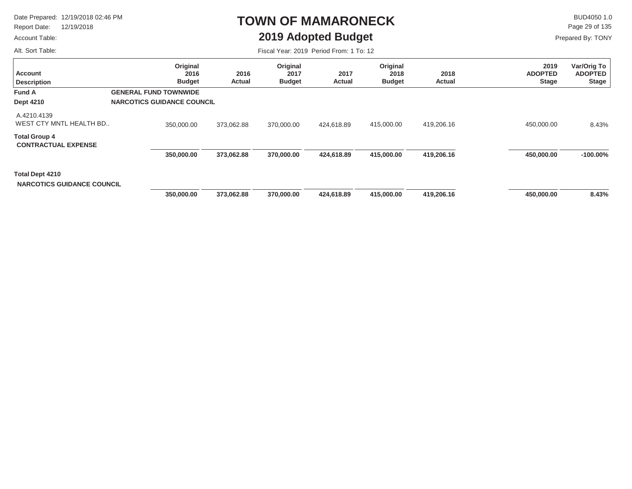Report Date: 12/19/2018

#### Account Table:

Alt. Sort Table:

### **TOWN OF MAMARONECK2019 Adopted Budget**

 $\mathsf{BUD4050 1.0}$ Page 29 of 135

Prepared By: TONY

| <b>Account</b><br><b>Description</b>                 | Original<br>2016<br><b>Budget</b> | 2016<br><b>Actual</b> | Original<br>2017<br><b>Budget</b> | 2017<br>Actual | Original<br>2018<br><b>Budget</b> | 2018<br>Actual | 2019<br><b>ADOPTED</b><br><b>Stage</b> | Var/Orig To<br><b>ADOPTED</b><br><b>Stage</b> |
|------------------------------------------------------|-----------------------------------|-----------------------|-----------------------------------|----------------|-----------------------------------|----------------|----------------------------------------|-----------------------------------------------|
| Fund A                                               | <b>GENERAL FUND TOWNWIDE</b>      |                       |                                   |                |                                   |                |                                        |                                               |
| <b>Dept 4210</b>                                     | <b>NARCOTICS GUIDANCE COUNCIL</b> |                       |                                   |                |                                   |                |                                        |                                               |
| A.4210.4139<br>WEST CTY MNTL HEALTH BD               | 350,000.00                        | 373,062.88            | 370,000.00                        | 424,618.89     | 415,000.00                        | 419,206.16     | 450,000.00                             | 8.43%                                         |
| <b>Total Group 4</b><br><b>CONTRACTUAL EXPENSE</b>   |                                   |                       |                                   |                |                                   |                |                                        |                                               |
|                                                      | 350,000.00                        | 373,062.88            | 370,000.00                        | 424,618.89     | 415,000.00                        | 419,206.16     | 450,000.00                             | $-100.00\%$                                   |
| Total Dept 4210<br><b>NARCOTICS GUIDANCE COUNCIL</b> |                                   |                       |                                   |                |                                   |                |                                        |                                               |
|                                                      | 350,000.00                        | 373,062.88            | 370,000.00                        | 424,618.89     | 415,000.00                        | 419,206.16     | 450,000.00                             | 8.43%                                         |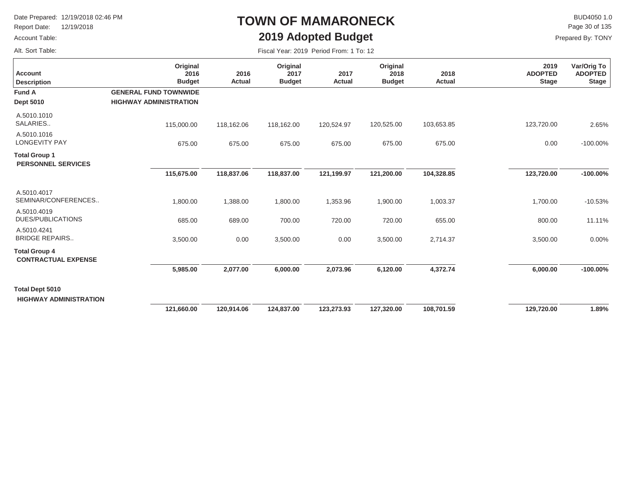Report Date: 12/19/2018

#### Account Table:

Alt. Sort Table:

### **TOWN OF MAMARONECK2019 Adopted Budget**

 $\mathsf{BUD4050 1.0}$ Page 30 of 135

| Fiscal Year: 2019 Period From: 1 To: 12 |  |  |  |  |  |
|-----------------------------------------|--|--|--|--|--|
|-----------------------------------------|--|--|--|--|--|

| <b>Account</b><br><b>Description</b>                    | Original<br>2016<br><b>Budget</b> | 2016<br>Actual | Original<br>2017<br><b>Budget</b> | 2017<br>Actual | Original<br>2018<br><b>Budget</b> | 2018<br>Actual | 2019<br><b>ADOPTED</b><br><b>Stage</b> | Var/Orig To<br><b>ADOPTED</b><br><b>Stage</b> |
|---------------------------------------------------------|-----------------------------------|----------------|-----------------------------------|----------------|-----------------------------------|----------------|----------------------------------------|-----------------------------------------------|
| <b>Fund A</b>                                           | <b>GENERAL FUND TOWNWIDE</b>      |                |                                   |                |                                   |                |                                        |                                               |
| <b>Dept 5010</b>                                        | <b>HIGHWAY ADMINISTRATION</b>     |                |                                   |                |                                   |                |                                        |                                               |
| A.5010.1010<br>SALARIES                                 | 115,000.00                        | 118,162.06     | 118,162.00                        | 120,524.97     | 120,525.00                        | 103,653.85     | 123,720.00                             | 2.65%                                         |
| A.5010.1016<br><b>LONGEVITY PAY</b>                     | 675.00                            | 675.00         | 675.00                            | 675.00         | 675.00                            | 675.00         | 0.00                                   | $-100.00\%$                                   |
| <b>Total Group 1</b><br><b>PERSONNEL SERVICES</b>       |                                   |                |                                   |                |                                   |                |                                        |                                               |
|                                                         | 115,675.00                        | 118,837.06     | 118,837.00                        | 121,199.97     | 121,200.00                        | 104,328.85     | 123,720.00                             | $-100.00\%$                                   |
| A.5010.4017<br>SEMINAR/CONFERENCES                      | 1,800.00                          | 1,388.00       | 1,800.00                          | 1,353.96       | 1,900.00                          | 1,003.37       | 1,700.00                               | $-10.53%$                                     |
| A.5010.4019<br><b>DUES/PUBLICATIONS</b>                 | 685.00                            | 689.00         | 700.00                            | 720.00         | 720.00                            | 655.00         | 800.00                                 | 11.11%                                        |
| A.5010.4241<br><b>BRIDGE REPAIRS</b>                    | 3,500.00                          | 0.00           | 3,500.00                          | 0.00           | 3,500.00                          | 2,714.37       | 3,500.00                               | 0.00%                                         |
| <b>Total Group 4</b><br><b>CONTRACTUAL EXPENSE</b>      |                                   |                |                                   |                |                                   |                |                                        |                                               |
|                                                         | 5,985.00                          | 2,077.00       | 6,000.00                          | 2,073.96       | 6,120.00                          | 4,372.74       | 6,000.00                               | $-100.00\%$                                   |
| <b>Total Dept 5010</b><br><b>HIGHWAY ADMINISTRATION</b> |                                   |                |                                   |                |                                   |                |                                        |                                               |
|                                                         | 121,660.00                        | 120,914.06     | 124,837.00                        | 123,273.93     | 127,320.00                        | 108,701.59     | 129,720.00                             | 1.89%                                         |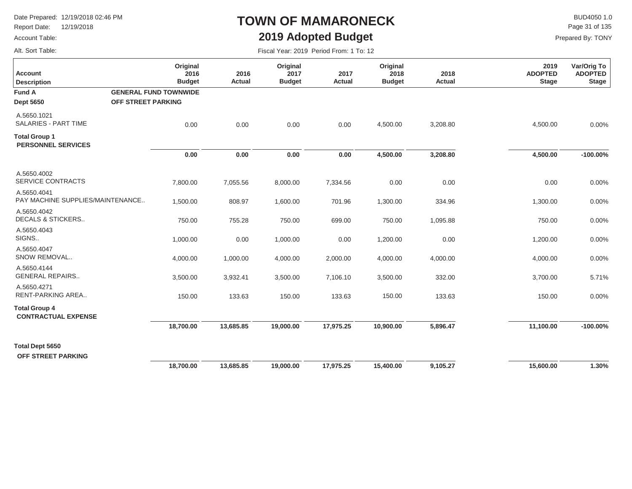Report Date: 12/19/2018

#### Account Table:

Alt. Sort Table:

### **TOWN OF MAMARONECK2019 Adopted Budget**

 $\mathsf{BUD4050}\,1.0$ Page 31 of 135

| <b>Account</b><br><b>Description</b>               | Original<br>2016<br><b>Budget</b> | 2016<br>Actual | Original<br>2017<br><b>Budget</b> | 2017<br><b>Actual</b> | Original<br>2018<br><b>Budget</b> | 2018<br>Actual | 2019<br><b>ADOPTED</b><br><b>Stage</b> | Var/Orig To<br><b>ADOPTED</b><br><b>Stage</b> |
|----------------------------------------------------|-----------------------------------|----------------|-----------------------------------|-----------------------|-----------------------------------|----------------|----------------------------------------|-----------------------------------------------|
| <b>Fund A</b>                                      | <b>GENERAL FUND TOWNWIDE</b>      |                |                                   |                       |                                   |                |                                        |                                               |
| <b>Dept 5650</b>                                   | <b>OFF STREET PARKING</b>         |                |                                   |                       |                                   |                |                                        |                                               |
| A.5650.1021<br><b>SALARIES - PART TIME</b>         | 0.00                              | 0.00           | 0.00                              | 0.00                  | 4,500.00                          | 3,208.80       | 4,500.00                               | 0.00%                                         |
| <b>Total Group 1</b><br><b>PERSONNEL SERVICES</b>  |                                   |                |                                   |                       |                                   |                |                                        |                                               |
|                                                    | 0.00                              | 0.00           | 0.00                              | 0.00                  | 4,500.00                          | 3,208.80       | 4,500.00                               | $-100.00\%$                                   |
| A.5650.4002<br>SERVICE CONTRACTS                   | 7,800.00                          | 7,055.56       | 8,000.00                          | 7,334.56              | 0.00                              | 0.00           | 0.00                                   | 0.00%                                         |
| A.5650.4041<br>PAY MACHINE SUPPLIES/MAINTENANCE    | 1,500.00                          | 808.97         | 1,600.00                          | 701.96                | 1,300.00                          | 334.96         | 1,300.00                               | 0.00%                                         |
| A.5650.4042<br><b>DECALS &amp; STICKERS</b>        | 750.00                            | 755.28         | 750.00                            | 699.00                | 750.00                            | 1,095.88       | 750.00                                 | 0.00%                                         |
| A.5650.4043<br>SIGNS                               | 1,000.00                          | 0.00           | 1,000.00                          | 0.00                  | 1,200.00                          | 0.00           | 1,200.00                               | 0.00%                                         |
| A.5650.4047<br>SNOW REMOVAL                        | 4,000.00                          | 1,000.00       | 4,000.00                          | 2,000.00              | 4,000.00                          | 4,000.00       | 4,000.00                               | 0.00%                                         |
| A.5650.4144<br><b>GENERAL REPAIRS</b>              | 3,500.00                          | 3,932.41       | 3,500.00                          | 7,106.10              | 3,500.00                          | 332.00         | 3,700.00                               | 5.71%                                         |
| A.5650.4271<br>RENT-PARKING AREA                   | 150.00                            | 133.63         | 150.00                            | 133.63                | 150.00                            | 133.63         | 150.00                                 | 0.00%                                         |
| <b>Total Group 4</b><br><b>CONTRACTUAL EXPENSE</b> |                                   |                |                                   |                       |                                   |                |                                        |                                               |
|                                                    | 18,700.00                         | 13,685.85      | 19,000.00                         | 17,975.25             | 10,900.00                         | 5,896.47       | 11,100.00                              | $-100.00\%$                                   |
| <b>Total Dept 5650</b><br>OFF STREET PARKING       |                                   |                |                                   |                       |                                   |                |                                        |                                               |
|                                                    | 18,700.00                         | 13,685.85      | 19,000.00                         | 17,975.25             | 15,400.00                         | 9,105.27       | 15,600.00                              | 1.30%                                         |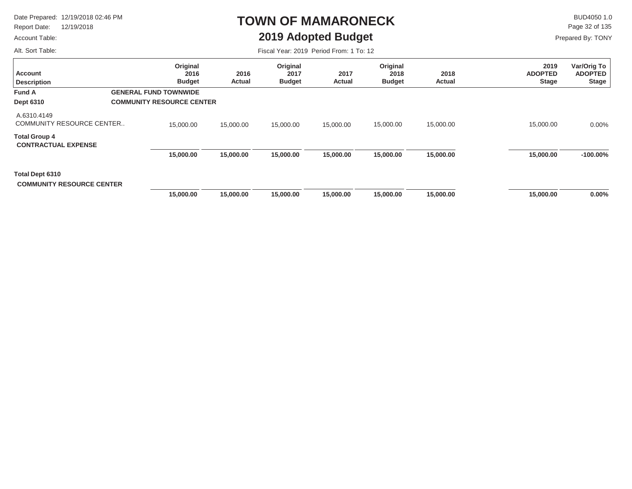Report Date: 12/19/2018

#### Account Table:

Alt. Sort Table:

### **TOWN OF MAMARONECK2019 Adopted Budget**

 $\mathsf{BUD4050}\,1.0$ Page 32 of 135

Prepared By: TONY

| <b>Account</b><br><b>Description</b>                | Original<br>2016<br><b>Budget</b> | 2016<br>Actual | Original<br>2017<br><b>Budget</b> | 2017<br>Actual | Original<br>2018<br><b>Budget</b> | 2018<br>Actual | 2019<br><b>ADOPTED</b><br><b>Stage</b> | Var/Orig To<br><b>ADOPTED</b><br><b>Stage</b> |
|-----------------------------------------------------|-----------------------------------|----------------|-----------------------------------|----------------|-----------------------------------|----------------|----------------------------------------|-----------------------------------------------|
| <b>Fund A</b>                                       | <b>GENERAL FUND TOWNWIDE</b>      |                |                                   |                |                                   |                |                                        |                                               |
| <b>Dept 6310</b>                                    | <b>COMMUNITY RESOURCE CENTER</b>  |                |                                   |                |                                   |                |                                        |                                               |
| A.6310.4149<br><b>COMMUNITY RESOURCE CENTER</b>     | 15,000.00                         | 15,000.00      | 15,000.00                         | 15,000.00      | 15,000.00                         | 15,000.00      | 15,000.00                              | 0.00%                                         |
| <b>Total Group 4</b><br><b>CONTRACTUAL EXPENSE</b>  |                                   |                |                                   |                |                                   |                |                                        |                                               |
|                                                     | 15,000.00                         | 15,000.00      | 15,000.00                         | 15,000.00      | 15,000.00                         | 15,000.00      | 15,000.00                              | $-100.00\%$                                   |
| Total Dept 6310<br><b>COMMUNITY RESOURCE CENTER</b> |                                   |                |                                   |                |                                   |                |                                        |                                               |
|                                                     | 15,000.00                         | 15,000.00      | 15,000.00                         | 15,000.00      | 15,000.00                         | 15,000.00      | 15,000.00                              | $0.00\%$                                      |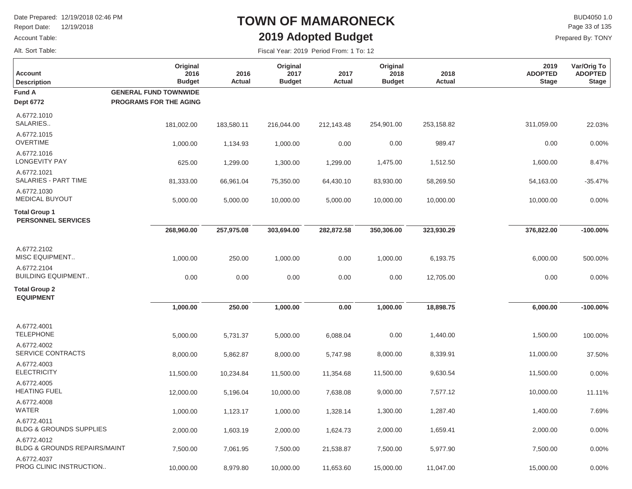Report Date: 12/19/2018

#### Account Table:

Alt. Sort Table:

Г

### **TOWN OF MAMARONECK2019 Adopted Budget**

 $\mathsf{BUD4050 1.0}$ Prepared By: TONY Page 33 of 135

| <b>Account</b><br><b>Description</b>                   | Original<br>2016<br><b>Budget</b> | 2016<br>Actual | Original<br>2017<br><b>Budget</b> | 2017<br>Actual | Original<br>2018<br><b>Budget</b> | 2018<br>Actual | 2019<br><b>ADOPTED</b><br><b>Stage</b> | Var/Orig To<br><b>ADOPTED</b><br><b>Stage</b> |
|--------------------------------------------------------|-----------------------------------|----------------|-----------------------------------|----------------|-----------------------------------|----------------|----------------------------------------|-----------------------------------------------|
| <b>Fund A</b>                                          | <b>GENERAL FUND TOWNWIDE</b>      |                |                                   |                |                                   |                |                                        |                                               |
| <b>Dept 6772</b>                                       | <b>PROGRAMS FOR THE AGING</b>     |                |                                   |                |                                   |                |                                        |                                               |
| A.6772.1010<br>SALARIES                                | 181,002.00                        | 183,580.11     | 216,044.00                        | 212,143.48     | 254,901.00                        | 253,158.82     | 311,059.00                             | 22.03%                                        |
| A.6772.1015<br><b>OVERTIME</b>                         | 1,000.00                          | 1,134.93       | 1,000.00                          | 0.00           | 0.00                              | 989.47         | 0.00                                   | 0.00%                                         |
| A.6772.1016<br><b>LONGEVITY PAY</b>                    | 625.00                            | 1,299.00       | 1,300.00                          | 1,299.00       | 1,475.00                          | 1,512.50       | 1,600.00                               | 8.47%                                         |
| A.6772.1021<br>SALARIES - PART TIME                    | 81,333.00                         | 66,961.04      | 75,350.00                         | 64,430.10      | 83,930.00                         | 58,269.50      | 54,163.00                              | $-35.47%$                                     |
| A.6772.1030<br><b>MEDICAL BUYOUT</b>                   | 5,000.00                          | 5,000.00       | 10,000.00                         | 5,000.00       | 10,000.00                         | 10,000.00      | 10,000.00                              | 0.00%                                         |
| <b>Total Group 1</b><br><b>PERSONNEL SERVICES</b>      |                                   |                |                                   |                |                                   |                |                                        |                                               |
|                                                        | 268,960.00                        | 257,975.08     | 303,694.00                        | 282,872.58     | 350,306.00                        | 323,930.29     | 376,822.00                             | $-100.00%$                                    |
| A.6772.2102<br><b>MISC EQUIPMENT</b>                   | 1,000.00                          | 250.00         | 1,000.00                          | 0.00           | 1,000.00                          | 6,193.75       | 6,000.00                               | 500.00%                                       |
| A.6772.2104<br><b>BUILDING EQUIPMENT</b>               | 0.00                              | 0.00           | 0.00                              | 0.00           | 0.00                              | 12,705.00      | 0.00                                   | 0.00%                                         |
| <b>Total Group 2</b><br><b>EQUIPMENT</b>               |                                   |                |                                   |                |                                   |                |                                        |                                               |
|                                                        | 1,000.00                          | 250.00         | 1,000.00                          | 0.00           | 1,000.00                          | 18,898.75      | 6,000.00                               | $-100.00%$                                    |
| A.6772.4001<br><b>TELEPHONE</b>                        | 5,000.00                          | 5,731.37       | 5,000.00                          | 6,088.04       | 0.00                              | 1,440.00       | 1,500.00                               | 100.00%                                       |
| A.6772.4002<br>SERVICE CONTRACTS                       | 8,000.00                          | 5,862.87       | 8,000.00                          | 5,747.98       | 8,000.00                          | 8,339.91       | 11,000.00                              | 37.50%                                        |
| A.6772.4003<br><b>ELECTRICITY</b>                      | 11,500.00                         | 10,234.84      | 11,500.00                         | 11,354.68      | 11,500.00                         | 9,630.54       | 11,500.00                              | 0.00%                                         |
| A.6772.4005<br><b>HEATING FUEL</b>                     | 12,000.00                         | 5,196.04       | 10,000.00                         | 7,638.08       | 9,000.00                          | 7,577.12       | 10,000.00                              | 11.11%                                        |
| A.6772.4008<br><b>WATER</b>                            | 1,000.00                          | 1,123.17       | 1,000.00                          | 1,328.14       | 1,300.00                          | 1,287.40       | 1,400.00                               | 7.69%                                         |
| A.6772.4011<br><b>BLDG &amp; GROUNDS SUPPLIES</b>      | 2,000.00                          | 1,603.19       | 2,000.00                          | 1,624.73       | 2,000.00                          | 1,659.41       | 2,000.00                               | 0.00%                                         |
| A.6772.4012<br><b>BLDG &amp; GROUNDS REPAIRS/MAINT</b> | 7,500.00                          | 7,061.95       | 7,500.00                          | 21,538.87      | 7,500.00                          | 5,977.90       | 7,500.00                               | 0.00%                                         |
| A.6772.4037<br>PROG CLINIC INSTRUCTION                 | 10,000.00                         | 8,979.80       | 10,000.00                         | 11,653.60      | 15,000.00                         | 11,047.00      | 15,000.00                              | 0.00%                                         |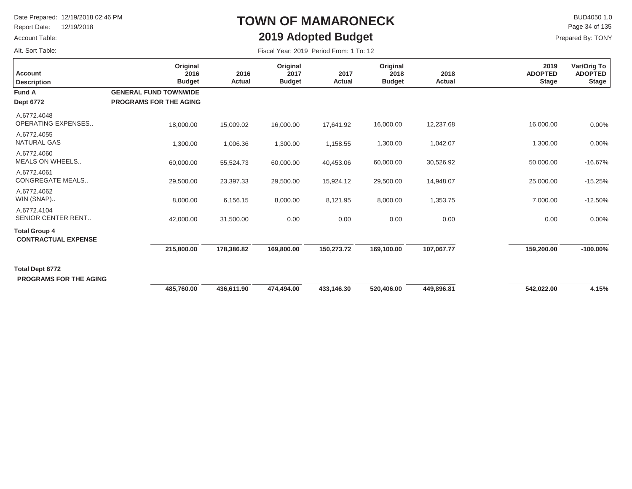Report Date: 12/19/2018

#### Account Table:

Alt. Sort Table:

# **TOWN OF MAMARONECK2019 Adopted Budget**

 $\mathsf{BUD4050 1.0}$ Page 34 of 135

| Fiscal Year: 2019 Period From: 1 To: 12 |  |  |  |  |  |
|-----------------------------------------|--|--|--|--|--|
|-----------------------------------------|--|--|--|--|--|

| <b>Account</b><br><b>Description</b>               | Original<br>2016<br><b>Budget</b> | 2016<br>Actual | Original<br>2017<br><b>Budget</b> | 2017<br>Actual | Original<br>2018<br><b>Budget</b> | 2018<br>Actual | 2019<br><b>ADOPTED</b><br><b>Stage</b> | Var/Orig To<br><b>ADOPTED</b><br><b>Stage</b> |
|----------------------------------------------------|-----------------------------------|----------------|-----------------------------------|----------------|-----------------------------------|----------------|----------------------------------------|-----------------------------------------------|
| <b>Fund A</b>                                      | <b>GENERAL FUND TOWNWIDE</b>      |                |                                   |                |                                   |                |                                        |                                               |
| <b>Dept 6772</b>                                   | <b>PROGRAMS FOR THE AGING</b>     |                |                                   |                |                                   |                |                                        |                                               |
| A.6772.4048<br><b>OPERATING EXPENSES</b>           | 18,000.00                         | 15,009.02      | 16,000.00                         | 17,641.92      | 16,000.00                         | 12,237.68      | 16,000.00                              | 0.00%                                         |
| A.6772.4055<br><b>NATURAL GAS</b>                  | 1,300.00                          | 1,006.36       | 1,300.00                          | 1,158.55       | 1,300.00                          | 1,042.07       | 1,300.00                               | 0.00%                                         |
| A.6772.4060<br><b>MEALS ON WHEELS</b>              | 60,000.00                         | 55,524.73      | 60,000.00                         | 40,453.06      | 60,000.00                         | 30,526.92      | 50,000.00                              | $-16.67%$                                     |
| A.6772.4061<br><b>CONGREGATE MEALS</b>             | 29,500.00                         | 23,397.33      | 29,500.00                         | 15,924.12      | 29,500.00                         | 14,948.07      | 25,000.00                              | $-15.25%$                                     |
| A.6772.4062<br>WIN (SNAP)                          | 8,000.00                          | 6,156.15       | 8,000.00                          | 8,121.95       | 8,000.00                          | 1,353.75       | 7,000.00                               | $-12.50%$                                     |
| A.6772.4104<br>SENIOR CENTER RENT                  | 42,000.00                         | 31,500.00      | 0.00                              | 0.00           | 0.00                              | 0.00           | 0.00                                   | 0.00%                                         |
| <b>Total Group 4</b><br><b>CONTRACTUAL EXPENSE</b> |                                   |                |                                   |                |                                   |                |                                        |                                               |
|                                                    | 215,800.00                        | 178,386.82     | 169,800.00                        | 150,273.72     | 169,100.00                        | 107,067.77     | 159,200.00                             | $-100.00\%$                                   |
| Total Dept 6772<br><b>PROGRAMS FOR THE AGING</b>   |                                   |                |                                   |                |                                   |                |                                        |                                               |
|                                                    | 485,760.00                        | 436,611.90     | 474,494.00                        | 433,146.30     | 520,406.00                        | 449,896.81     | 542,022.00                             | 4.15%                                         |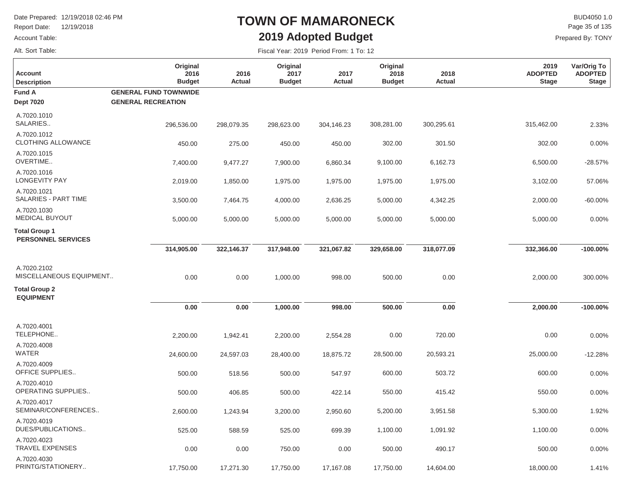Report Date: 12/19/2018

### Account Table:

Alt. Sort Table:

## **TOWN OF MAMARONECK2019 Adopted Budget**

 $\mathsf{BUD4050 1.0}$ Prepared By: TONY Page 35 of 135

| <b>Account</b><br><b>Description</b>              | Original<br>2016<br><b>Budget</b> | 2016<br>Actual | Original<br>2017<br><b>Budget</b> | 2017<br>Actual | Original<br>2018<br><b>Budget</b> | 2018<br>Actual | 2019<br><b>ADOPTED</b><br><b>Stage</b> | Var/Orig To<br><b>ADOPTED</b><br><b>Stage</b> |
|---------------------------------------------------|-----------------------------------|----------------|-----------------------------------|----------------|-----------------------------------|----------------|----------------------------------------|-----------------------------------------------|
| <b>Fund A</b>                                     | <b>GENERAL FUND TOWNWIDE</b>      |                |                                   |                |                                   |                |                                        |                                               |
| <b>Dept 7020</b>                                  | <b>GENERAL RECREATION</b>         |                |                                   |                |                                   |                |                                        |                                               |
| A.7020.1010<br>SALARIES                           | 296,536.00                        | 298,079.35     | 298,623.00                        | 304,146.23     | 308,281.00                        | 300,295.61     | 315,462.00                             | 2.33%                                         |
| A.7020.1012<br><b>CLOTHING ALLOWANCE</b>          | 450.00                            | 275.00         | 450.00                            | 450.00         | 302.00                            | 301.50         | 302.00                                 | 0.00%                                         |
| A.7020.1015<br>OVERTIME                           | 7,400.00                          | 9,477.27       | 7,900.00                          | 6,860.34       | 9,100.00                          | 6,162.73       | 6,500.00                               | $-28.57%$                                     |
| A.7020.1016<br><b>LONGEVITY PAY</b>               | 2,019.00                          | 1,850.00       | 1,975.00                          | 1,975.00       | 1,975.00                          | 1,975.00       | 3,102.00                               | 57.06%                                        |
| A.7020.1021<br>SALARIES - PART TIME               | 3,500.00                          | 7,464.75       | 4,000.00                          | 2,636.25       | 5,000.00                          | 4,342.25       | 2,000.00                               | $-60.00%$                                     |
| A.7020.1030<br><b>MEDICAL BUYOUT</b>              | 5,000.00                          | 5,000.00       | 5,000.00                          | 5,000.00       | 5,000.00                          | 5,000.00       | 5,000.00                               | 0.00%                                         |
| <b>Total Group 1</b><br><b>PERSONNEL SERVICES</b> |                                   |                |                                   |                |                                   |                |                                        |                                               |
|                                                   | 314,905.00                        | 322,146.37     | 317,948.00                        | 321,067.82     | 329,658.00                        | 318,077.09     | 332,366.00                             | $-100.00%$                                    |
| A.7020.2102<br>MISCELLANEOUS EQUIPMENT            | 0.00                              | 0.00           | 1,000.00                          | 998.00         | 500.00                            | 0.00           | 2,000.00                               | 300.00%                                       |
| <b>Total Group 2</b><br><b>EQUIPMENT</b>          |                                   |                |                                   |                |                                   |                |                                        |                                               |
|                                                   | 0.00                              | 0.00           | 1,000.00                          | 998.00         | 500.00                            | 0.00           | 2,000.00                               | $-100.00%$                                    |
| A.7020.4001<br>TELEPHONE                          | 2,200.00                          | 1,942.41       | 2,200.00                          | 2,554.28       | 0.00                              | 720.00         | 0.00                                   | 0.00%                                         |
| A.7020.4008<br><b>WATER</b>                       | 24,600.00                         | 24,597.03      | 28,400.00                         | 18,875.72      | 28,500.00                         | 20,593.21      | 25,000.00                              | $-12.28%$                                     |
| A.7020.4009<br>OFFICE SUPPLIES                    | 500.00                            | 518.56         | 500.00                            | 547.97         | 600.00                            | 503.72         | 600.00                                 | 0.00%                                         |
| A.7020.4010<br>OPERATING SUPPLIES                 | 500.00                            | 406.85         | 500.00                            | 422.14         | 550.00                            | 415.42         | 550.00                                 | 0.00%                                         |
| A.7020.4017<br>SEMINAR/CONFERENCES                | 2,600.00                          | 1,243.94       | 3,200.00                          | 2,950.60       | 5,200.00                          | 3,951.58       | 5,300.00                               | 1.92%                                         |
| A.7020.4019<br>DUES/PUBLICATIONS                  | 525.00                            | 588.59         | 525.00                            | 699.39         | 1,100.00                          | 1,091.92       | 1,100.00                               | 0.00%                                         |
| A.7020.4023<br><b>TRAVEL EXPENSES</b>             | 0.00                              | 0.00           | 750.00                            | 0.00           | 500.00                            | 490.17         | 500.00                                 | 0.00%                                         |
| A.7020.4030<br>PRINTG/STATIONERY                  | 17,750.00                         | 17,271.30      | 17,750.00                         | 17,167.08      | 17,750.00                         | 14,604.00      | 18,000.00                              | 1.41%                                         |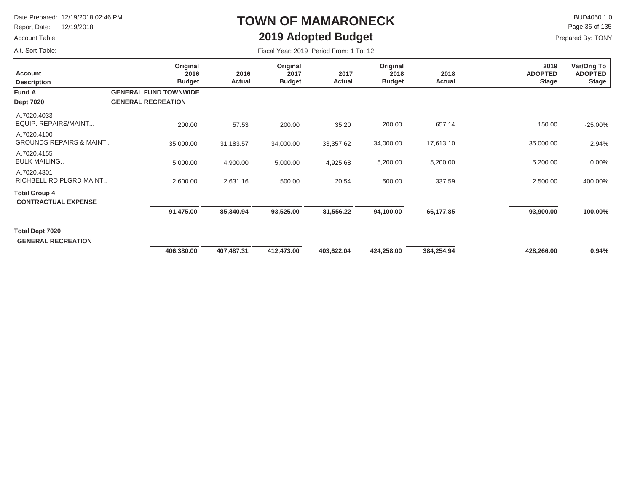Report Date: 12/19/2018

### Account Table:

Alt. Sort Table:

# **TOWN OF MAMARONECK2019 Adopted Budget**

 $\mathsf{BUD4050 1.0}$ Page 36 of 135

| Fiscal Year: 2019 Period From: 1 To: 12 |  |
|-----------------------------------------|--|
|-----------------------------------------|--|

| <b>Account</b><br><b>Description</b>                | Original<br>2016<br><b>Budget</b>                         | 2016<br>Actual | Original<br>2017<br><b>Budget</b> | 2017<br>Actual | Original<br>2018<br><b>Budget</b> | 2018<br>Actual | 2019<br><b>ADOPTED</b><br><b>Stage</b> | Var/Orig To<br><b>ADOPTED</b><br><b>Stage</b> |
|-----------------------------------------------------|-----------------------------------------------------------|----------------|-----------------------------------|----------------|-----------------------------------|----------------|----------------------------------------|-----------------------------------------------|
| <b>Fund A</b><br><b>Dept 7020</b>                   | <b>GENERAL FUND TOWNWIDE</b><br><b>GENERAL RECREATION</b> |                |                                   |                |                                   |                |                                        |                                               |
|                                                     |                                                           |                |                                   |                |                                   |                |                                        |                                               |
| A.7020.4033<br>EQUIP. REPAIRS/MAINT                 | 200.00                                                    | 57.53          | 200.00                            | 35.20          | 200.00                            | 657.14         | 150.00                                 | $-25.00%$                                     |
| A.7020.4100<br><b>GROUNDS REPAIRS &amp; MAINT</b>   | 35,000.00                                                 | 31,183.57      | 34,000.00                         | 33,357.62      | 34,000.00                         | 17,613.10      | 35,000.00                              | 2.94%                                         |
| A.7020.4155<br><b>BULK MAILING</b>                  | 5,000.00                                                  | 4,900.00       | 5,000.00                          | 4,925.68       | 5,200.00                          | 5,200.00       | 5,200.00                               | 0.00%                                         |
| A.7020.4301<br>RICHBELL RD PLGRD MAINT              | 2,600.00                                                  | 2,631.16       | 500.00                            | 20.54          | 500.00                            | 337.59         | 2,500.00                               | 400.00%                                       |
| <b>Total Group 4</b><br><b>CONTRACTUAL EXPENSE</b>  |                                                           |                |                                   |                |                                   |                |                                        |                                               |
|                                                     | 91,475.00                                                 | 85,340.94      | 93,525.00                         | 81,556.22      | 94,100.00                         | 66,177.85      | 93,900.00                              | $-100.00\%$                                   |
| <b>Total Dept 7020</b><br><b>GENERAL RECREATION</b> |                                                           |                |                                   |                |                                   |                |                                        |                                               |
|                                                     | 406,380.00                                                | 407,487.31     | 412,473.00                        | 403,622.04     | 424,258.00                        | 384,254.94     | 428,266.00                             | 0.94%                                         |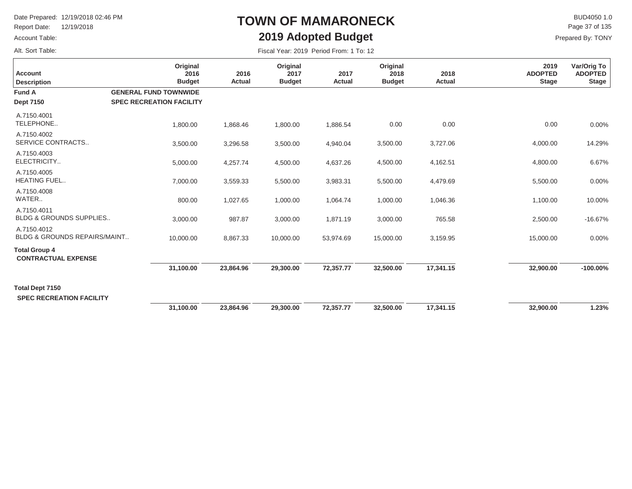Report Date: 12/19/2018

### Account Table:

Alt. Sort Table:

## **TOWN OF MAMARONECK2019 Adopted Budget**

 $\mathsf{BUD4050 1.0}$ Prepared By: TONY Page 37 of 135

|                                                        | Original                                                        |                | Original              |                | Original              |                | 2019                           | Var/Orig To                    |
|--------------------------------------------------------|-----------------------------------------------------------------|----------------|-----------------------|----------------|-----------------------|----------------|--------------------------------|--------------------------------|
| <b>Account</b><br><b>Description</b>                   | 2016<br><b>Budget</b>                                           | 2016<br>Actual | 2017<br><b>Budget</b> | 2017<br>Actual | 2018<br><b>Budget</b> | 2018<br>Actual | <b>ADOPTED</b><br><b>Stage</b> | <b>ADOPTED</b><br><b>Stage</b> |
| <b>Fund A</b><br><b>Dept 7150</b>                      | <b>GENERAL FUND TOWNWIDE</b><br><b>SPEC RECREATION FACILITY</b> |                |                       |                |                       |                |                                |                                |
| A.7150.4001<br>TELEPHONE                               | 1,800.00                                                        | 1,868.46       | 1,800.00              | 1,886.54       | 0.00                  | 0.00           | 0.00                           | 0.00%                          |
| A.7150.4002<br>SERVICE CONTRACTS                       | 3,500.00                                                        | 3,296.58       | 3,500.00              | 4,940.04       | 3,500.00              | 3,727.06       | 4,000.00                       | 14.29%                         |
| A.7150.4003<br>ELECTRICITY                             | 5,000.00                                                        | 4,257.74       | 4,500.00              | 4,637.26       | 4,500.00              | 4,162.51       | 4,800.00                       | 6.67%                          |
| A.7150.4005<br><b>HEATING FUEL</b>                     | 7,000.00                                                        | 3,559.33       | 5,500.00              | 3,983.31       | 5,500.00              | 4,479.69       | 5,500.00                       | 0.00%                          |
| A.7150.4008<br>WATER                                   | 800.00                                                          | 1,027.65       | 1,000.00              | 1,064.74       | 1,000.00              | 1,046.36       | 1,100.00                       | 10.00%                         |
| A.7150.4011<br><b>BLDG &amp; GROUNDS SUPPLIES</b>      | 3,000.00                                                        | 987.87         | 3,000.00              | 1,871.19       | 3,000.00              | 765.58         | 2,500.00                       | $-16.67%$                      |
| A.7150.4012<br><b>BLDG &amp; GROUNDS REPAIRS/MAINT</b> | 10,000.00                                                       | 8,867.33       | 10,000.00             | 53,974.69      | 15,000.00             | 3,159.95       | 15,000.00                      | 0.00%                          |
| <b>Total Group 4</b><br><b>CONTRACTUAL EXPENSE</b>     |                                                                 |                |                       |                |                       |                |                                |                                |
|                                                        | 31,100.00                                                       | 23,864.96      | 29,300.00             | 72,357.77      | 32,500.00             | 17,341.15      | 32,900.00                      | $-100.00\%$                    |
| Total Dept 7150<br><b>SPEC RECREATION FACILITY</b>     |                                                                 |                |                       |                |                       |                |                                |                                |
|                                                        | 31,100.00                                                       | 23,864.96      | 29,300.00             | 72,357.77      | 32,500.00             | 17,341.15      | 32,900.00                      | 1.23%                          |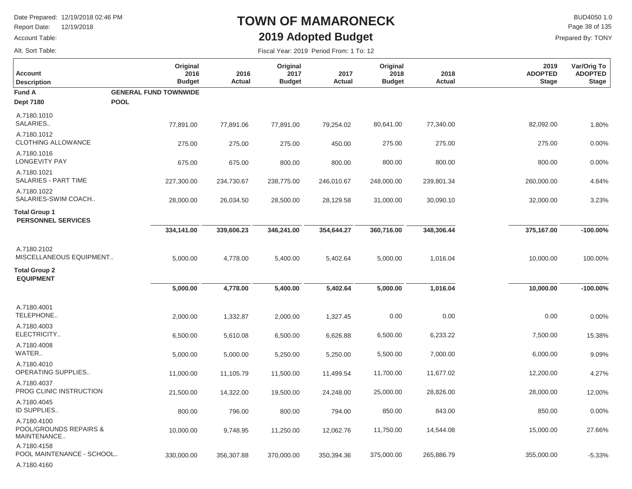Report Date: 12/19/2018

#### Account Table:

Alt. Sort Table:

 $\Box$ 

## **TOWN OF MAMARONECK2019 Adopted Budget**

 $\mathsf{BUD4050}\,1.0$ Page 38 of 135

|  | Fiscal Year: 2019 Period From: 1 To: 12 |
|--|-----------------------------------------|
|--|-----------------------------------------|

| <b>Account</b><br><b>Description</b>                    | Original<br>2016<br><b>Budget</b> | 2016<br><b>Actual</b> | Original<br>2017<br><b>Budget</b> | 2017<br>Actual | Original<br>2018<br><b>Budget</b> | 2018<br><b>Actual</b> | 2019<br><b>ADOPTED</b><br><b>Stage</b> | Var/Orig To<br><b>ADOPTED</b><br><b>Stage</b> |
|---------------------------------------------------------|-----------------------------------|-----------------------|-----------------------------------|----------------|-----------------------------------|-----------------------|----------------------------------------|-----------------------------------------------|
| <b>Fund A</b>                                           | <b>GENERAL FUND TOWNWIDE</b>      |                       |                                   |                |                                   |                       |                                        |                                               |
| <b>Dept 7180</b>                                        | <b>POOL</b>                       |                       |                                   |                |                                   |                       |                                        |                                               |
| A.7180.1010<br>SALARIES                                 | 77,891.00                         | 77,891.06             | 77,891.00                         | 79,254.02      | 80,641.00                         | 77,340.00             | 82,092.00                              | 1.80%                                         |
| A.7180.1012<br>CLOTHING ALLOWANCE                       | 275.00                            | 275.00                | 275.00                            | 450.00         | 275.00                            | 275.00                | 275.00                                 | 0.00%                                         |
| A.7180.1016<br><b>LONGEVITY PAY</b>                     | 675.00                            | 675.00                | 800.00                            | 800.00         | 800.00                            | 800.00                | 800.00                                 | 0.00%                                         |
| A.7180.1021<br>SALARIES - PART TIME                     | 227,300.00                        | 234,730.67            | 238,775.00                        | 246,010.67     | 248,000.00                        | 239,801.34            | 260,000.00                             | 4.84%                                         |
| A.7180.1022<br>SALARIES-SWIM COACH                      | 28,000.00                         | 26,034.50             | 28,500.00                         | 28,129.58      | 31,000.00                         | 30,090.10             | 32,000.00                              | 3.23%                                         |
| <b>Total Group 1</b><br><b>PERSONNEL SERVICES</b>       |                                   |                       |                                   |                |                                   |                       |                                        |                                               |
|                                                         | 334,141.00                        | 339,606.23            | 346,241.00                        | 354,644.27     | 360,716.00                        | 348,306.44            | 375,167.00                             | $-100.00\%$                                   |
| A.7180.2102<br>MISCELLANEOUS EQUIPMENT                  | 5,000.00                          | 4,778.00              | 5,400.00                          | 5,402.64       | 5,000.00                          | 1,016.04              | 10,000.00                              | 100.00%                                       |
| <b>Total Group 2</b><br><b>EQUIPMENT</b>                |                                   |                       |                                   |                |                                   |                       |                                        |                                               |
|                                                         | 5,000.00                          | 4,778.00              | 5,400.00                          | 5,402.64       | 5,000.00                          | 1,016.04              | 10,000.00                              | $-100.00\%$                                   |
| A.7180.4001<br>TELEPHONE                                | 2,000.00                          | 1,332.87              | 2,000.00                          | 1,327.45       | 0.00                              | 0.00                  | 0.00                                   | 0.00%                                         |
| A.7180.4003<br>ELECTRICITY                              | 6,500.00                          | 5,610.08              | 6,500.00                          | 6,626.88       | 6,500.00                          | 6,233.22              | 7,500.00                               | 15.38%                                        |
| A.7180.4008<br>WATER                                    | 5,000.00                          | 5,000.00              | 5,250.00                          | 5,250.00       | 5,500.00                          | 7,000.00              | 6,000.00                               | 9.09%                                         |
| A.7180.4010<br><b>OPERATING SUPPLIES</b>                | 11,000.00                         | 11,105.79             | 11,500.00                         | 11,499.54      | 11,700.00                         | 11,677.02             | 12,200.00                              | 4.27%                                         |
| A.7180.4037<br>PROG CLINIC INSTRUCTION                  | 21,500.00                         | 14,322.00             | 19,500.00                         | 24,248.00      | 25,000.00                         | 28,826.00             | 28,000.00                              | 12.00%                                        |
| A.7180.4045<br>ID SUPPLIES                              | 800.00                            | 796.00                | 800.00                            | 794.00         | 850.00                            | 843.00                | 850.00                                 | 0.00%                                         |
| A.7180.4100<br>POOL/GROUNDS REPAIRS &<br>MAINTENANCE    | 10,000.00                         | 9,748.95              | 11,250.00                         | 12,062.76      | 11,750.00                         | 14,544.08             | 15,000.00                              | 27.66%                                        |
| A.7180.4158<br>POOL MAINTENANCE - SCHOOL<br>A.7180.4160 | 330,000.00                        | 356,307.88            | 370,000.00                        | 350,394.36     | 375,000.00                        | 265,886.79            | 355,000.00                             | $-5.33%$                                      |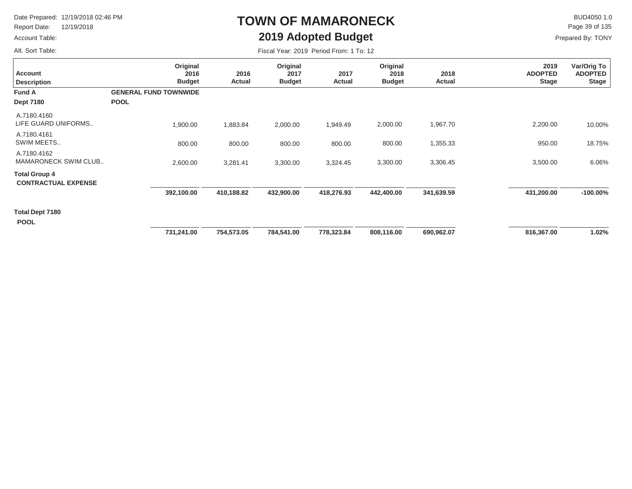Report Date: 12/19/2018

### Account Table:

Alt. Sort Table:

# **TOWN OF MAMARONECK2019 Adopted Budget**

 $\mathsf{BUD4050 1.0}$ Page 39 of 135

| Fiscal Year: 2019 Period From: 1 To: 12 |  |
|-----------------------------------------|--|
|-----------------------------------------|--|

| <b>Account</b><br><b>Description</b>               | Original<br>2016<br><b>Budget</b>           | 2016<br>Actual | Original<br>2017<br><b>Budget</b> | 2017<br>Actual | Original<br>2018<br><b>Budget</b> | 2018<br>Actual | 2019<br><b>ADOPTED</b><br><b>Stage</b> | Var/Orig To<br><b>ADOPTED</b><br><b>Stage</b> |
|----------------------------------------------------|---------------------------------------------|----------------|-----------------------------------|----------------|-----------------------------------|----------------|----------------------------------------|-----------------------------------------------|
| Fund A<br><b>Dept 7180</b>                         | <b>GENERAL FUND TOWNWIDE</b><br><b>POOL</b> |                |                                   |                |                                   |                |                                        |                                               |
| A.7180.4160<br>LIFE GUARD UNIFORMS                 | 1,900.00                                    | 1,883.84       | 2,000.00                          | 1,949.49       | 2,000.00                          | 1,967.70       | 2,200.00                               | 10.00%                                        |
| A.7180.4161<br>SWIM MEETS                          | 800.00                                      | 800.00         | 800.00                            | 800.00         | 800.00                            | 1,355.33       | 950.00                                 | 18.75%                                        |
| A.7180.4162<br>MAMARONECK SWIM CLUB                | 2,600.00                                    | 3,281.41       | 3,300.00                          | 3,324.45       | 3,300.00                          | 3,306.45       | 3,500.00                               | 6.06%                                         |
| <b>Total Group 4</b><br><b>CONTRACTUAL EXPENSE</b> |                                             |                |                                   |                |                                   |                |                                        |                                               |
|                                                    | 392,100.00                                  | 410,188.82     | 432,900.00                        | 418,276.93     | 442,400.00                        | 341,639.59     | 431,200.00                             | $-100.00\%$                                   |
| Total Dept 7180<br><b>POOL</b>                     |                                             |                |                                   |                |                                   |                |                                        |                                               |
|                                                    | 731,241.00                                  | 754,573.05     | 784,541.00                        | 778,323.84     | 808,116.00                        | 690,962.07     | 816,367.00                             | 1.02%                                         |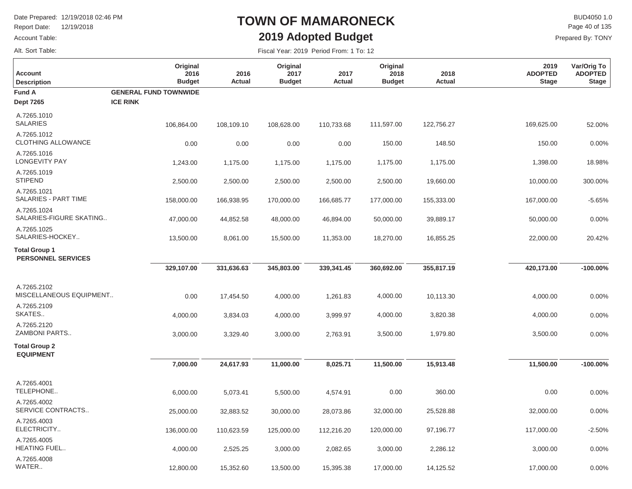Report Date: 12/19/2018

#### Account Table:

Alt. Sort Table:

## **TOWN OF MAMARONECK2019 Adopted Budget**

 $\mathsf{BUD4050}\,1.0$ Prepared By: TONY Page 40 of 135

| <b>Account</b><br><b>Description</b>              | Original<br>2016<br><b>Budget</b> | 2016<br>Actual | Original<br>2017<br><b>Budget</b> | 2017<br>Actual | Original<br>2018<br><b>Budget</b> | 2018<br>Actual | 2019<br><b>ADOPTED</b><br><b>Stage</b> | Var/Orig To<br><b>ADOPTED</b><br><b>Stage</b> |
|---------------------------------------------------|-----------------------------------|----------------|-----------------------------------|----------------|-----------------------------------|----------------|----------------------------------------|-----------------------------------------------|
| Fund A                                            | <b>GENERAL FUND TOWNWIDE</b>      |                |                                   |                |                                   |                |                                        |                                               |
| <b>Dept 7265</b>                                  | <b>ICE RINK</b>                   |                |                                   |                |                                   |                |                                        |                                               |
| A.7265.1010<br><b>SALARIES</b>                    | 106,864.00                        | 108,109.10     | 108,628.00                        | 110,733.68     | 111,597.00                        | 122,756.27     | 169,625.00                             | 52.00%                                        |
| A.7265.1012<br><b>CLOTHING ALLOWANCE</b>          | 0.00                              | 0.00           | 0.00                              | 0.00           | 150.00                            | 148.50         | 150.00                                 | 0.00%                                         |
| A.7265.1016<br><b>LONGEVITY PAY</b>               | 1,243.00                          | 1,175.00       | 1,175.00                          | 1,175.00       | 1,175.00                          | 1,175.00       | 1,398.00                               | 18.98%                                        |
| A.7265.1019<br><b>STIPEND</b>                     | 2,500.00                          | 2,500.00       | 2,500.00                          | 2,500.00       | 2,500.00                          | 19,660.00      | 10,000.00                              | 300.00%                                       |
| A.7265.1021<br>SALARIES - PART TIME               | 158,000.00                        | 166,938.95     | 170,000.00                        | 166,685.77     | 177,000.00                        | 155,333.00     | 167,000.00                             | $-5.65%$                                      |
| A.7265.1024<br>SALARIES-FIGURE SKATING            | 47,000.00                         | 44,852.58      | 48,000.00                         | 46,894.00      | 50,000.00                         | 39,889.17      | 50,000.00                              | 0.00%                                         |
| A.7265.1025<br>SALARIES-HOCKEY                    | 13,500.00                         | 8,061.00       | 15,500.00                         | 11,353.00      | 18,270.00                         | 16,855.25      | 22,000.00                              | 20.42%                                        |
| <b>Total Group 1</b><br><b>PERSONNEL SERVICES</b> |                                   |                |                                   |                |                                   |                |                                        |                                               |
|                                                   | 329,107.00                        | 331,636.63     | 345,803.00                        | 339,341.45     | 360,692.00                        | 355,817.19     | 420,173.00                             | $-100.00\%$                                   |
| A.7265.2102<br>MISCELLANEOUS EQUIPMENT            | 0.00                              | 17,454.50      | 4,000.00                          | 1,261.83       | 4,000.00                          | 10,113.30      | 4,000.00                               | 0.00%                                         |
| A.7265.2109<br>SKATES                             | 4,000.00                          | 3,834.03       | 4,000.00                          | 3,999.97       | 4,000.00                          | 3,820.38       | 4,000.00                               | 0.00%                                         |
| A.7265.2120<br>ZAMBONI PARTS                      | 3,000.00                          | 3,329.40       | 3,000.00                          | 2,763.91       | 3,500.00                          | 1,979.80       | 3,500.00                               | 0.00%                                         |
| <b>Total Group 2</b><br><b>EQUIPMENT</b>          |                                   |                |                                   |                |                                   |                |                                        |                                               |
|                                                   | 7,000.00                          | 24,617.93      | 11,000.00                         | 8,025.71       | 11,500.00                         | 15,913.48      | 11,500.00                              | $-100.00\%$                                   |
| A.7265.4001<br>TELEPHONE                          | 6,000.00                          | 5,073.41       | 5,500.00                          | 4,574.91       | 0.00                              | 360.00         | 0.00                                   | 0.00%                                         |
| A.7265.4002<br>SERVICE CONTRACTS                  | 25,000.00                         | 32,883.52      | 30,000.00                         | 28,073.86      | 32,000.00                         | 25,528.88      | 32,000.00                              | 0.00%                                         |
| A.7265.4003<br>ELECTRICITY                        | 136,000.00                        | 110,623.59     | 125,000.00                        | 112,216.20     | 120,000.00                        | 97,196.77      | 117,000.00                             | $-2.50%$                                      |
| A.7265.4005<br>HEATING FUEL                       | 4,000.00                          | 2,525.25       | 3,000.00                          | 2,082.65       | 3,000.00                          | 2,286.12       | 3,000.00                               | 0.00%                                         |
| A.7265.4008<br>WATER                              | 12,800.00                         | 15,352.60      | 13,500.00                         | 15,395.38      | 17,000.00                         | 14,125.52      | 17,000.00                              | 0.00%                                         |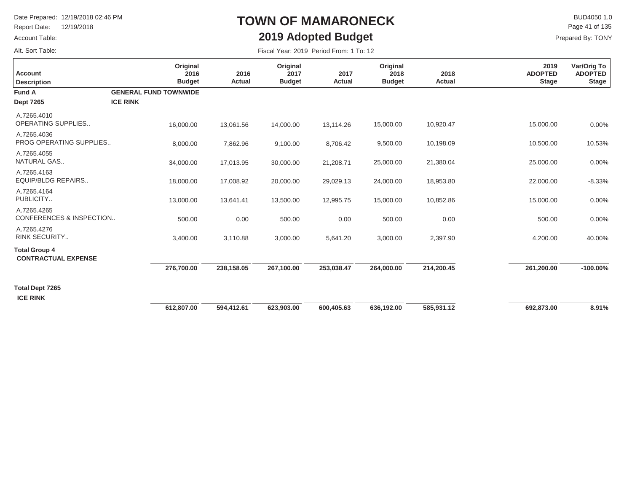Report Date: 12/19/2018

### Account Table:

Alt. Sort Table:

## **TOWN OF MAMARONECK2019 Adopted Budget**

 $\mathsf{BUD4050}\,1.0$ Prepared By: TONY Page 41 of 135

| <b>Account</b><br><b>Description</b>               | Original<br>2016<br><b>Budget</b>               | 2016<br>Actual | Original<br>2017<br><b>Budget</b> | 2017<br>Actual | Original<br>2018<br><b>Budget</b> | 2018<br>Actual | 2019<br><b>ADOPTED</b><br><b>Stage</b> | Var/Orig To<br><b>ADOPTED</b><br><b>Stage</b> |
|----------------------------------------------------|-------------------------------------------------|----------------|-----------------------------------|----------------|-----------------------------------|----------------|----------------------------------------|-----------------------------------------------|
| <b>Fund A</b><br><b>Dept 7265</b>                  | <b>GENERAL FUND TOWNWIDE</b><br><b>ICE RINK</b> |                |                                   |                |                                   |                |                                        |                                               |
| A.7265.4010<br><b>OPERATING SUPPLIES</b>           | 16,000.00                                       | 13,061.56      | 14,000.00                         | 13,114.26      | 15,000.00                         | 10,920.47      | 15,000.00                              | 0.00%                                         |
| A.7265.4036<br>PROG OPERATING SUPPLIES             | 8,000.00                                        | 7,862.96       | 9,100.00                          | 8,706.42       | 9,500.00                          | 10,198.09      | 10,500.00                              | 10.53%                                        |
| A.7265.4055<br>NATURAL GAS                         | 34,000.00                                       | 17,013.95      | 30,000.00                         | 21,208.71      | 25,000.00                         | 21,380.04      | 25,000.00                              | 0.00%                                         |
| A.7265.4163<br><b>EQUIP/BLDG REPAIRS</b>           | 18,000.00                                       | 17,008.92      | 20,000.00                         | 29,029.13      | 24,000.00                         | 18,953.80      | 22,000.00                              | $-8.33%$                                      |
| A.7265.4164<br>PUBLICITY                           | 13,000.00                                       | 13,641.41      | 13,500.00                         | 12,995.75      | 15,000.00                         | 10,852.86      | 15,000.00                              | 0.00%                                         |
| A.7265.4265<br>CONFERENCES & INSPECTION            | 500.00                                          | 0.00           | 500.00                            | 0.00           | 500.00                            | 0.00           | 500.00                                 | 0.00%                                         |
| A.7265.4276<br><b>RINK SECURITY</b>                | 3,400.00                                        | 3,110.88       | 3,000.00                          | 5,641.20       | 3,000.00                          | 2,397.90       | 4,200.00                               | 40.00%                                        |
| <b>Total Group 4</b><br><b>CONTRACTUAL EXPENSE</b> |                                                 |                |                                   |                |                                   |                |                                        |                                               |
|                                                    | 276,700.00                                      | 238,158.05     | 267,100.00                        | 253,038.47     | 264,000.00                        | 214,200.45     | 261,200.00                             | $-100.00\%$                                   |
| Total Dept 7265                                    |                                                 |                |                                   |                |                                   |                |                                        |                                               |
| <b>ICE RINK</b>                                    | 612,807.00                                      | 594,412.61     | 623,903.00                        | 600,405.63     | 636,192.00                        | 585,931.12     | 692,873.00                             | 8.91%                                         |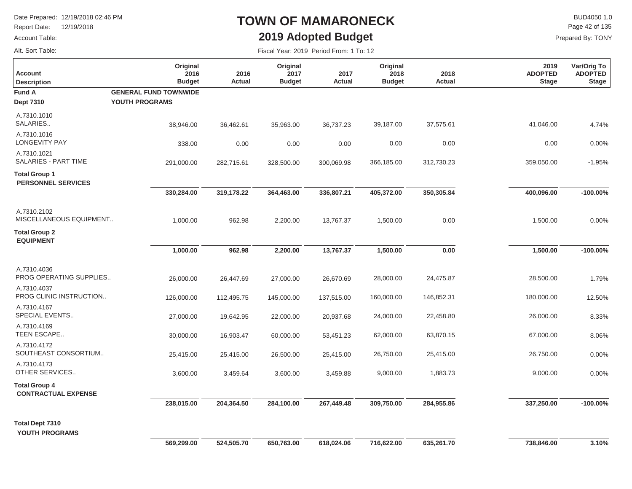Report Date: 12/19/2018

### Account Table:

## **TOWN OF MAMARONECK2019 Adopted Budget**

 $\mathsf{BUD4050}\,1.0$ Page 42 of 135

| Alt. Sort Table:                                   |                                                |                |                                   | Fiscal Year: 2019 Period From: 1 To: 12 |                                   |                |                                        |                                               |
|----------------------------------------------------|------------------------------------------------|----------------|-----------------------------------|-----------------------------------------|-----------------------------------|----------------|----------------------------------------|-----------------------------------------------|
| <b>Account</b><br><b>Description</b>               | Original<br>2016<br><b>Budget</b>              | 2016<br>Actual | Original<br>2017<br><b>Budget</b> | 2017<br><b>Actual</b>                   | Original<br>2018<br><b>Budget</b> | 2018<br>Actual | 2019<br><b>ADOPTED</b><br><b>Stage</b> | Var/Orig To<br><b>ADOPTED</b><br><b>Stage</b> |
| Fund A<br><b>Dept 7310</b>                         | <b>GENERAL FUND TOWNWIDE</b><br>YOUTH PROGRAMS |                |                                   |                                         |                                   |                |                                        |                                               |
| A.7310.1010<br>SALARIES                            | 38,946.00                                      | 36,462.61      | 35,963.00                         | 36,737.23                               | 39,187.00                         | 37,575.61      | 41,046.00                              | 4.74%                                         |
| A.7310.1016<br><b>LONGEVITY PAY</b>                | 338.00                                         | 0.00           | 0.00                              | 0.00                                    | 0.00                              | 0.00           | 0.00                                   | 0.00%                                         |
| A.7310.1021<br>SALARIES - PART TIME                | 291,000.00                                     | 282,715.61     | 328,500.00                        | 300,069.98                              | 366,185.00                        | 312,730.23     | 359,050.00                             | $-1.95%$                                      |
| <b>Total Group 1</b><br><b>PERSONNEL SERVICES</b>  |                                                |                |                                   |                                         |                                   |                |                                        |                                               |
|                                                    | 330,284.00                                     | 319,178.22     | 364,463.00                        | 336,807.21                              | 405,372.00                        | 350,305.84     | 400,096.00                             | $-100.00\%$                                   |
| A.7310.2102<br>MISCELLANEOUS EQUIPMENT             | 1,000.00                                       | 962.98         | 2,200.00                          | 13,767.37                               | 1,500.00                          | 0.00           | 1,500.00                               | 0.00%                                         |
| <b>Total Group 2</b><br><b>EQUIPMENT</b>           |                                                |                |                                   |                                         |                                   |                |                                        |                                               |
|                                                    | 1,000.00                                       | 962.98         | 2,200.00                          | 13,767.37                               | 1,500.00                          | $0.00\,$       | 1,500.00                               | $-100.00\%$                                   |
| A.7310.4036<br>PROG OPERATING SUPPLIES             | 26,000.00                                      | 26,447.69      | 27,000.00                         | 26,670.69                               | 28,000.00                         | 24,475.87      | 28,500.00                              | 1.79%                                         |
| A.7310.4037<br>PROG CLINIC INSTRUCTION             | 126,000.00                                     | 112,495.75     | 145,000.00                        | 137,515.00                              | 160,000.00                        | 146,852.31     | 180,000.00                             | 12.50%                                        |
| A.7310.4167<br>SPECIAL EVENTS                      | 27,000.00                                      | 19,642.95      | 22,000.00                         | 20,937.68                               | 24,000.00                         | 22,458.80      | 26,000.00                              | 8.33%                                         |
| A.7310.4169<br>TEEN ESCAPE                         | 30,000.00                                      | 16,903.47      | 60,000.00                         | 53,451.23                               | 62,000.00                         | 63,870.15      | 67,000.00                              | 8.06%                                         |
| A.7310.4172<br>SOUTHEAST CONSORTIUM                | 25,415.00                                      | 25,415.00      | 26,500.00                         | 25,415.00                               | 26,750.00                         | 25,415.00      | 26,750.00                              | 0.00%                                         |
| A.7310.4173<br>OTHER SERVICES                      | 3,600.00                                       | 3,459.64       | 3,600.00                          | 3,459.88                                | 9,000.00                          | 1,883.73       | 9,000.00                               | 0.00%                                         |
| <b>Total Group 4</b><br><b>CONTRACTUAL EXPENSE</b> |                                                |                |                                   |                                         |                                   |                |                                        |                                               |
|                                                    | 238,015.00                                     | 204,364.50     | 284,100.00                        | 267,449.48                              | 309,750.00                        | 284,955.86     | 337,250.00                             | $-100.00\%$                                   |
| <b>Total Dept 7310</b><br>YOUTH PROGRAMS           | 569,299.00                                     | 524,505.70     | 650,763.00                        | 618,024.06                              | 716,622.00                        | 635,261.70     | 738,846.00                             | 3.10%                                         |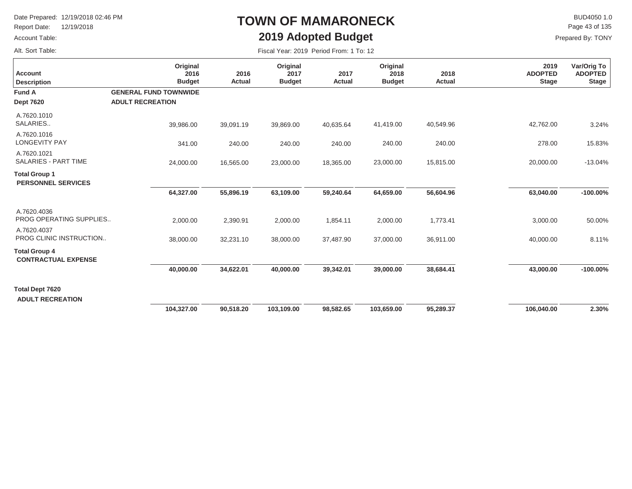Report Date: 12/19/2018

### Account Table:

Alt. Sort Table:

# **TOWN OF MAMARONECK2019 Adopted Budget**

 $\mathsf{BUD4050 1.0}$ Page 43 of 135

| Fiscal Year: 2019 Period From: 1 To: 12 |  |  |  |  |  |
|-----------------------------------------|--|--|--|--|--|
|-----------------------------------------|--|--|--|--|--|

| <b>Account</b><br><b>Description</b>               | Original<br>2016<br><b>Budget</b>                       | 2016<br>Actual | Original<br>2017<br><b>Budget</b> | 2017<br>Actual | Original<br>2018<br><b>Budget</b> | 2018<br>Actual | 2019<br><b>ADOPTED</b><br><b>Stage</b> | Var/Orig To<br><b>ADOPTED</b><br><b>Stage</b> |
|----------------------------------------------------|---------------------------------------------------------|----------------|-----------------------------------|----------------|-----------------------------------|----------------|----------------------------------------|-----------------------------------------------|
| Fund A<br><b>Dept 7620</b>                         | <b>GENERAL FUND TOWNWIDE</b><br><b>ADULT RECREATION</b> |                |                                   |                |                                   |                |                                        |                                               |
| A.7620.1010<br>SALARIES                            | 39,986.00                                               | 39,091.19      | 39,869.00                         | 40,635.64      | 41,419.00                         | 40,549.96      | 42,762.00                              | 3.24%                                         |
| A.7620.1016<br><b>LONGEVITY PAY</b>                | 341.00                                                  | 240.00         | 240.00                            | 240.00         | 240.00                            | 240.00         | 278.00                                 | 15.83%                                        |
| A.7620.1021<br>SALARIES - PART TIME                | 24,000.00                                               | 16,565.00      | 23,000.00                         | 18,365.00      | 23,000.00                         | 15,815.00      | 20,000.00                              | $-13.04%$                                     |
| <b>Total Group 1</b><br><b>PERSONNEL SERVICES</b>  |                                                         |                |                                   |                |                                   |                |                                        |                                               |
|                                                    | 64,327.00                                               | 55,896.19      | 63,109.00                         | 59,240.64      | 64,659.00                         | 56,604.96      | 63,040.00                              | $-100.00\%$                                   |
| A.7620.4036<br>PROG OPERATING SUPPLIES             | 2,000.00                                                | 2,390.91       | 2,000.00                          | 1,854.11       | 2,000.00                          | 1,773.41       | 3,000.00                               | 50.00%                                        |
| A.7620.4037<br>PROG CLINIC INSTRUCTION             | 38,000.00                                               | 32,231.10      | 38,000.00                         | 37,487.90      | 37,000.00                         | 36,911.00      | 40,000.00                              | 8.11%                                         |
| <b>Total Group 4</b><br><b>CONTRACTUAL EXPENSE</b> |                                                         |                |                                   |                |                                   |                |                                        |                                               |
|                                                    | 40,000.00                                               | 34,622.01      | 40,000.00                         | 39,342.01      | 39,000.00                         | 38,684.41      | 43,000.00                              | $-100.00\%$                                   |
| <b>Total Dept 7620</b><br><b>ADULT RECREATION</b>  |                                                         |                |                                   |                |                                   |                |                                        |                                               |
|                                                    | 104,327.00                                              | 90,518.20      | 103,109.00                        | 98,582.65      | 103,659.00                        | 95,289.37      | 106,040.00                             | 2.30%                                         |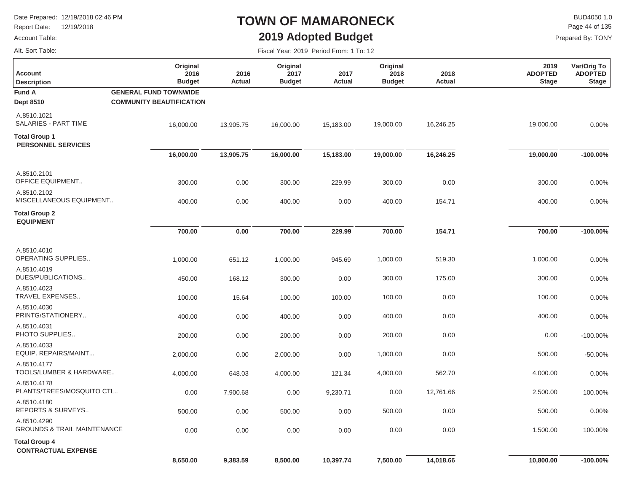Report Date: 12/19/2018

### Account Table:

Alt. Sort Table:

# **TOWN OF MAMARONECK2019 Adopted Budget**

 $\mathsf{BUD4050}\,1.0$ Page 44 of 135

| Fiscal Year: 2019 Period From: 1 To: 12 |  |  |  |  |
|-----------------------------------------|--|--|--|--|
|-----------------------------------------|--|--|--|--|

| Original<br>2016<br><b>Budget</b>                               | 2016<br>Actual                                                                                                            | Original<br>2017<br><b>Budget</b> | 2017<br><b>Actual</b> | Original<br>2018<br><b>Budget</b> | 2018<br><b>Actual</b> | 2019<br><b>ADOPTED</b><br><b>Stage</b> | Var/Orig To<br><b>ADOPTED</b><br><b>Stage</b> |
|-----------------------------------------------------------------|---------------------------------------------------------------------------------------------------------------------------|-----------------------------------|-----------------------|-----------------------------------|-----------------------|----------------------------------------|-----------------------------------------------|
| <b>GENERAL FUND TOWNWIDE</b><br><b>COMMUNITY BEAUTIFICATION</b> |                                                                                                                           |                                   |                       |                                   |                       |                                        |                                               |
| 16,000.00                                                       | 13,905.75                                                                                                                 | 16,000.00                         | 15,183.00             | 19,000.00                         | 16,246.25             | 19,000.00                              | 0.00%                                         |
|                                                                 |                                                                                                                           |                                   |                       |                                   |                       |                                        |                                               |
| 16,000.00                                                       | 13,905.75                                                                                                                 | 16,000.00                         | 15,183.00             | 19,000.00                         | 16,246.25             | 19,000.00                              | $-100.00\%$                                   |
| 300.00                                                          | 0.00                                                                                                                      | 300.00                            | 229.99                | 300.00                            | 0.00                  | 300.00                                 | 0.00%                                         |
| 400.00                                                          | 0.00                                                                                                                      | 400.00                            | 0.00                  | 400.00                            | 154.71                | 400.00                                 | 0.00%                                         |
|                                                                 |                                                                                                                           |                                   |                       |                                   |                       |                                        |                                               |
| 700.00                                                          | 0.00                                                                                                                      | 700.00                            | 229.99                | 700.00                            | 154.71                | 700.00                                 | $-100.00\%$                                   |
| 1,000.00                                                        | 651.12                                                                                                                    | 1,000.00                          | 945.69                | 1,000.00                          | 519.30                | 1,000.00                               | 0.00%                                         |
| 450.00                                                          | 168.12                                                                                                                    | 300.00                            | 0.00                  | 300.00                            | 175.00                | 300.00                                 | 0.00%                                         |
| 100.00                                                          | 15.64                                                                                                                     | 100.00                            | 100.00                | 100.00                            | 0.00                  | 100.00                                 | 0.00%                                         |
| 400.00                                                          | 0.00                                                                                                                      | 400.00                            | 0.00                  | 400.00                            | 0.00                  | 400.00                                 | 0.00%                                         |
| 200.00                                                          | 0.00                                                                                                                      | 200.00                            | 0.00                  | 200.00                            | 0.00                  | 0.00                                   | $-100.00%$                                    |
| 2,000.00                                                        | 0.00                                                                                                                      | 2,000.00                          | 0.00                  | 1,000.00                          | 0.00                  | 500.00                                 | $-50.00%$                                     |
| 4,000.00                                                        | 648.03                                                                                                                    | 4,000.00                          | 121.34                | 4,000.00                          | 562.70                | 4,000.00                               | 0.00%                                         |
| 0.00                                                            | 7,900.68                                                                                                                  | 0.00                              | 9,230.71              | 0.00                              | 12,761.66             | 2,500.00                               | 100.00%                                       |
| 500.00                                                          | 0.00                                                                                                                      | 500.00                            | 0.00                  | 500.00                            | 0.00                  | 500.00                                 | 0.00%                                         |
| 0.00                                                            | 0.00                                                                                                                      | 0.00                              | 0.00                  | 0.00                              | 0.00                  | 1,500.00                               | 100.00%                                       |
|                                                                 |                                                                                                                           |                                   |                       |                                   |                       |                                        |                                               |
| 8,650.00                                                        | 9,383.59                                                                                                                  | 8,500.00                          | 10,397.74             | 7,500.00                          | 14,018.66             | 10,800.00                              | $-100.00\%$                                   |
|                                                                 | MISCELLANEOUS EQUIPMENT<br>TOOLS/LUMBER & HARDWARE<br>PLANTS/TREES/MOSQUITO CTL<br><b>GROUNDS &amp; TRAIL MAINTENANCE</b> |                                   |                       |                                   |                       |                                        |                                               |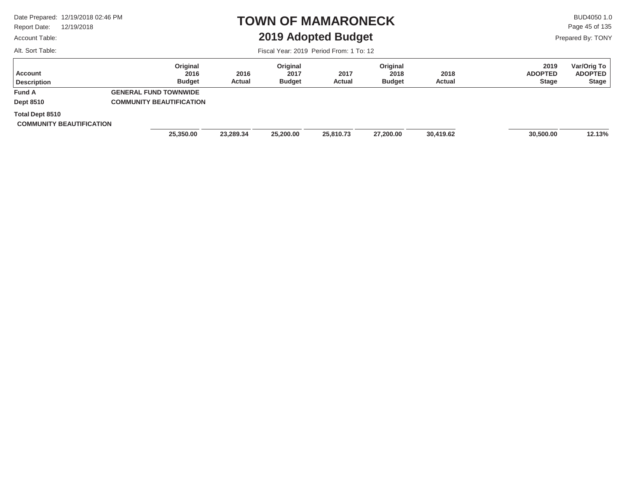Report Date: 12/19/2018

### Account Table:

Alt. Sort Table:

### **TOWN OF MAMARONECK2019 Adopted Budget**

 $\mathsf{BUD4050}\,1.0$ Page 45 of 135

Prepared By: TONY

| <b>Account</b><br><b>Description</b>                      | Original<br>2016<br><b>Budget</b> | 2016<br>Actual | Original<br>2017<br><b>Budget</b> | 2017<br>Actual | Original<br>2018<br><b>Budget</b> | 2018<br><b>Actual</b> | 2019<br><b>ADOPTED</b><br><b>Stage</b> | Var/Orig To<br><b>ADOPTED</b><br>Stage |
|-----------------------------------------------------------|-----------------------------------|----------------|-----------------------------------|----------------|-----------------------------------|-----------------------|----------------------------------------|----------------------------------------|
| <b>Fund A</b>                                             | <b>GENERAL FUND TOWNWIDE</b>      |                |                                   |                |                                   |                       |                                        |                                        |
| <b>Dept 8510</b>                                          | <b>COMMUNITY BEAUTIFICATION</b>   |                |                                   |                |                                   |                       |                                        |                                        |
| <b>Total Dept 8510</b><br><b>COMMUNITY BEAUTIFICATION</b> |                                   |                |                                   |                |                                   |                       |                                        |                                        |
|                                                           | 25,350.00                         | 23,289.34      | 25,200.00                         | 25,810.73      | 27,200.00                         | 30,419.62             | 30,500.00                              | 12.13%                                 |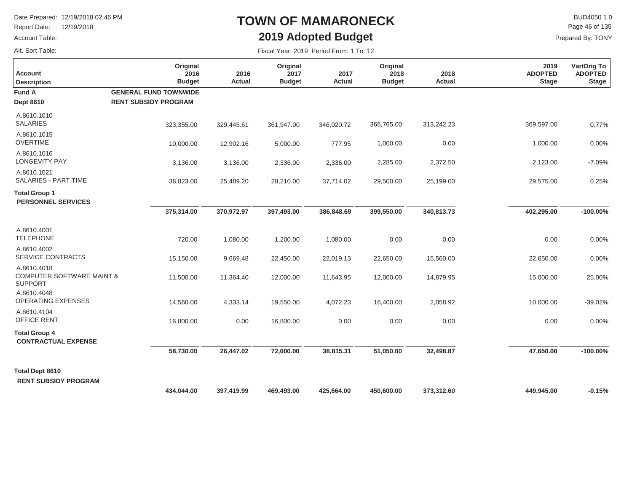Report Date: 12/19/2018

### Account Table:

Alt. Sort Table:

## **TOWN OF MAMARONECK2019 Adopted Budget**

 $\mathsf{BUD4050}\,1.0$ Prepared By: TONY Page 46 of 135

| <b>Account</b><br><b>Description</b>                                  | Original<br>2016<br><b>Budget</b>                           | 2016<br>Actual | Original<br>2017<br><b>Budget</b> | 2017<br><b>Actual</b> | Original<br>2018<br><b>Budget</b> | 2018<br>Actual | 2019<br><b>ADOPTED</b><br><b>Stage</b> | Var/Orig To<br><b>ADOPTED</b><br><b>Stage</b> |
|-----------------------------------------------------------------------|-------------------------------------------------------------|----------------|-----------------------------------|-----------------------|-----------------------------------|----------------|----------------------------------------|-----------------------------------------------|
| <b>Fund A</b><br><b>Dept 8610</b>                                     | <b>GENERAL FUND TOWNWIDE</b><br><b>RENT SUBSIDY PROGRAM</b> |                |                                   |                       |                                   |                |                                        |                                               |
| A.8610.1010<br><b>SALARIES</b>                                        | 323,355.00                                                  | 329,445.61     | 361,947.00                        | 346,020.72            | 366,765.00                        | 313,242.23     | 369,597.00                             | 0.77%                                         |
| A.8610.1015<br><b>OVERTIME</b>                                        | 10,000.00                                                   | 12,902.16      | 5,000.00                          | 777.95                | 1,000.00                          | 0.00           | 1,000.00                               | 0.00%                                         |
| A.8610.1016<br>LONGEVITY PAY                                          | 3,136.00                                                    | 3,136.00       | 2,336.00                          | 2,336.00              | 2,285.00                          | 2,372.50       | 2,123.00                               | $-7.09%$                                      |
| A.8610.1021<br><b>SALARIES - PART TIME</b>                            | 38,823.00                                                   | 25,489.20      | 28,210.00                         | 37,714.02             | 29,500.00                         | 25,199.00      | 29,575.00                              | 0.25%                                         |
| <b>Total Group 1</b><br><b>PERSONNEL SERVICES</b>                     |                                                             |                |                                   |                       |                                   |                |                                        |                                               |
|                                                                       | 375,314.00                                                  | 370,972.97     | 397,493.00                        | 386,848.69            | 399,550.00                        | 340,813.73     | 402,295.00                             | $-100.00\%$                                   |
| A.8610.4001<br><b>TELEPHONE</b>                                       | 720.00                                                      | 1,080.00       | 1,200.00                          | 1,080.00              | 0.00                              | 0.00           | 0.00                                   | 0.00%                                         |
| A.8610.4002<br>SERVICE CONTRACTS                                      | 15,150.00                                                   | 9,669.48       | 22,450.00                         | 22,019.13             | 22,650.00                         | 15,560.00      | 22,650.00                              | 0.00%                                         |
| A.8610.4018<br><b>COMPUTER SOFTWARE MAINT &amp;</b><br><b>SUPPORT</b> | 11,500.00                                                   | 11,364.40      | 12,000.00                         | 11,643.95             | 12,000.00                         | 14,879.95      | 15,000.00                              | 25.00%                                        |
| A.8610.4048<br><b>OPERATING EXPENSES</b>                              | 14,560.00                                                   | 4,333.14       | 19,550.00                         | 4,072.23              | 16,400.00                         | 2,058.92       | 10,000.00                              | $-39.02%$                                     |
| A.8610.4104<br><b>OFFICE RENT</b>                                     | 16,800.00                                                   | 0.00           | 16,800.00                         | 0.00                  | 0.00                              | 0.00           | 0.00                                   | 0.00%                                         |
| <b>Total Group 4</b><br><b>CONTRACTUAL EXPENSE</b>                    |                                                             |                |                                   |                       |                                   |                |                                        |                                               |
|                                                                       | 58,730.00                                                   | 26,447.02      | 72,000.00                         | 38,815.31             | 51,050.00                         | 32,498.87      | 47,650.00                              | $-100.00\%$                                   |
| <b>Total Dept 8610</b><br><b>RENT SUBSIDY PROGRAM</b>                 |                                                             |                |                                   |                       |                                   |                |                                        |                                               |
|                                                                       | 434,044.00                                                  | 397,419.99     | 469,493.00                        | 425,664.00            | 450,600.00                        | 373,312.60     | 449,945.00                             | $-0.15%$                                      |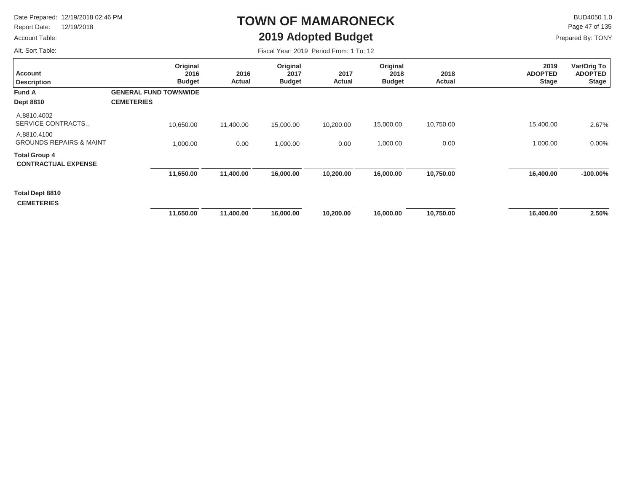Report Date: 12/19/2018

#### Account Table:

Alt. Sort Table:

# **TOWN OF MAMARONECK2019 Adopted Budget**

 $\mathsf{BUD4050 1.0}$ Page 47 of 135

| Fiscal Year: 2019 Period From: 1 To: 12 |  |
|-----------------------------------------|--|
|-----------------------------------------|--|

| <b>Account</b><br><b>Description</b>               | Original<br>2016<br><b>Budget</b>                 | 2016<br>Actual | Original<br>2017<br><b>Budget</b> | 2017<br>Actual | Original<br>2018<br><b>Budget</b> | 2018<br>Actual | 2019<br><b>ADOPTED</b><br><b>Stage</b> | Var/Orig To<br><b>ADOPTED</b><br><b>Stage</b> |
|----------------------------------------------------|---------------------------------------------------|----------------|-----------------------------------|----------------|-----------------------------------|----------------|----------------------------------------|-----------------------------------------------|
| <b>Fund A</b><br><b>Dept 8810</b>                  | <b>GENERAL FUND TOWNWIDE</b><br><b>CEMETERIES</b> |                |                                   |                |                                   |                |                                        |                                               |
| A.8810.4002<br>SERVICE CONTRACTS                   | 10,650.00                                         | 11,400.00      | 15,000.00                         | 10,200.00      | 15,000.00                         | 10,750.00      | 15,400.00                              | 2.67%                                         |
| A.8810.4100<br><b>GROUNDS REPAIRS &amp; MAINT</b>  | 1,000.00                                          | 0.00           | 1,000.00                          | 0.00           | 1,000.00                          | 0.00           | 1,000.00                               | $0.00\%$                                      |
| <b>Total Group 4</b><br><b>CONTRACTUAL EXPENSE</b> |                                                   |                |                                   |                |                                   |                |                                        |                                               |
|                                                    | 11,650.00                                         | 11,400.00      | 16,000.00                         | 10,200.00      | 16,000.00                         | 10,750.00      | 16,400.00                              | $-100.00\%$                                   |
| Total Dept 8810<br><b>CEMETERIES</b>               |                                                   |                |                                   |                |                                   |                |                                        |                                               |
|                                                    | 11,650.00                                         | 11,400.00      | 16,000.00                         | 10,200.00      | 16,000.00                         | 10,750.00      | 16,400.00                              | 2.50%                                         |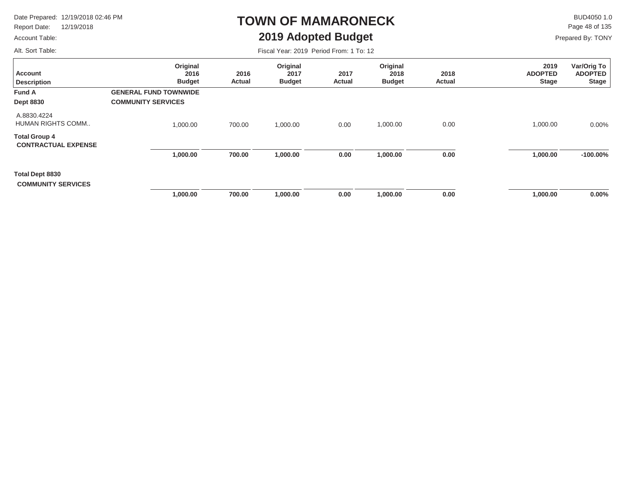Report Date: 12/19/2018

### **TOWN OF MAMARONECK2019 Adopted Budget**

 $\mathsf{BUD4050}\,1.0$ Page 48 of 135

Prepared By: TONY

Account Table: Alt. Sort Table:

| Alt. Sort Table:                                   |                                   | Fiscal Year: 2019 Period From: 1 To: 12 |                                   |                |                                   |                |                                        |                                               |  |  |
|----------------------------------------------------|-----------------------------------|-----------------------------------------|-----------------------------------|----------------|-----------------------------------|----------------|----------------------------------------|-----------------------------------------------|--|--|
| Account<br><b>Description</b>                      | Original<br>2016<br><b>Budget</b> | 2016<br><b>Actual</b>                   | Original<br>2017<br><b>Budget</b> | 2017<br>Actual | Original<br>2018<br><b>Budget</b> | 2018<br>Actual | 2019<br><b>ADOPTED</b><br><b>Stage</b> | Var/Orig To<br><b>ADOPTED</b><br><b>Stage</b> |  |  |
| <b>Fund A</b>                                      | <b>GENERAL FUND TOWNWIDE</b>      |                                         |                                   |                |                                   |                |                                        |                                               |  |  |
| <b>Dept 8830</b>                                   | <b>COMMUNITY SERVICES</b>         |                                         |                                   |                |                                   |                |                                        |                                               |  |  |
| A.8830.4224<br>HUMAN RIGHTS COMM                   | 1,000.00                          | 700.00                                  | 1,000.00                          | 0.00           | 1,000.00                          | 0.00           | 1,000.00                               | $0.00\%$                                      |  |  |
| <b>Total Group 4</b><br><b>CONTRACTUAL EXPENSE</b> |                                   |                                         |                                   |                |                                   |                |                                        |                                               |  |  |
|                                                    | 1,000.00                          | 700.00                                  | 1,000.00                          | 0.00           | 1,000.00                          | 0.00           | 1,000.00                               | $-100.00\%$                                   |  |  |
| Total Dept 8830<br><b>COMMUNITY SERVICES</b>       |                                   |                                         |                                   |                |                                   |                |                                        |                                               |  |  |
|                                                    | 1,000.00                          | 700.00                                  | 1,000.00                          | 0.00           | 1,000.00                          | 0.00           | 1,000.00                               | $0.00\%$                                      |  |  |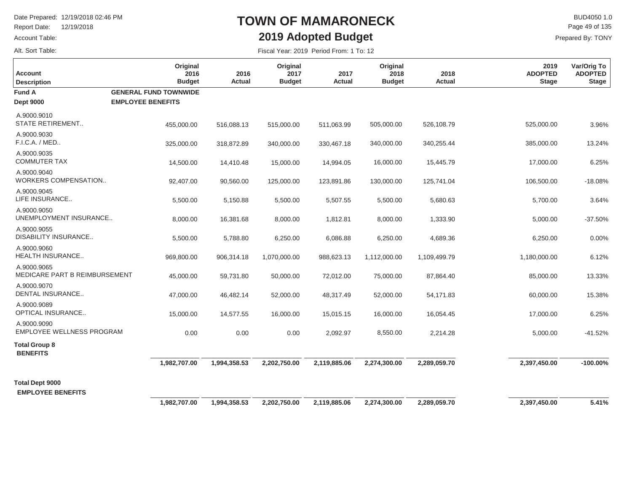Report Date: 12/19/2018

### Account Table:

Alt. Sort Table:

## **TOWN OF MAMARONECK2019 Adopted Budget**

 $\mathsf{BUD4050}\,1.0$ Prepared By: TONY Page 49 of 135

| <b>Account</b><br><b>Description</b>            | Original<br>2016<br><b>Budget</b>                        | 2016<br>Actual | Original<br>2017<br><b>Budget</b> | 2017<br><b>Actual</b> | Original<br>2018<br><b>Budget</b> | 2018<br>Actual | 2019<br><b>ADOPTED</b><br><b>Stage</b> | Var/Orig To<br><b>ADOPTED</b><br><b>Stage</b> |
|-------------------------------------------------|----------------------------------------------------------|----------------|-----------------------------------|-----------------------|-----------------------------------|----------------|----------------------------------------|-----------------------------------------------|
| <b>Fund A</b><br><b>Dept 9000</b>               | <b>GENERAL FUND TOWNWIDE</b><br><b>EMPLOYEE BENEFITS</b> |                |                                   |                       |                                   |                |                                        |                                               |
| A.9000.9010<br><b>STATE RETIREMENT</b>          | 455,000.00                                               | 516,088.13     | 515,000.00                        | 511,063.99            | 505,000.00                        | 526,108.79     | 525,000.00                             | 3.96%                                         |
| A.9000.9030<br>F.I.C.A. / MED                   | 325,000.00                                               | 318,872.89     | 340,000.00                        | 330,467.18            | 340,000.00                        | 340,255.44     | 385,000.00                             | 13.24%                                        |
| A.9000.9035<br><b>COMMUTER TAX</b>              | 14,500.00                                                | 14,410.48      | 15,000.00                         | 14,994.05             | 16,000.00                         | 15,445.79      | 17,000.00                              | 6.25%                                         |
| A.9000.9040<br>WORKERS COMPENSATION             | 92,407.00                                                | 90,560.00      | 125,000.00                        | 123,891.86            | 130,000.00                        | 125,741.04     | 106,500.00                             | $-18.08%$                                     |
| A.9000.9045<br>LIFE INSURANCE                   | 5,500.00                                                 | 5,150.88       | 5,500.00                          | 5,507.55              | 5,500.00                          | 5,680.63       | 5,700.00                               | 3.64%                                         |
| A.9000.9050<br>UNEMPLOYMENT INSURANCE           | 8,000.00                                                 | 16,381.68      | 8,000.00                          | 1,812.81              | 8,000.00                          | 1,333.90       | 5,000.00                               | $-37.50%$                                     |
| A.9000.9055<br><b>DISABILITY INSURANCE</b>      | 5,500.00                                                 | 5,788.80       | 6,250.00                          | 6,086.88              | 6,250.00                          | 4,689.36       | 6,250.00                               | 0.00%                                         |
| A.9000.9060<br><b>HEALTH INSURANCE</b>          | 969,800.00                                               | 906,314.18     | 1,070,000.00                      | 988,623.13            | 1,112,000.00                      | 1,109,499.79   | 1,180,000.00                           | 6.12%                                         |
| A.9000.9065<br>MEDICARE PART B REIMBURSEMENT    | 45,000.00                                                | 59,731.80      | 50,000.00                         | 72,012.00             | 75,000.00                         | 87,864.40      | 85,000.00                              | 13.33%                                        |
| A.9000.9070<br><b>DENTAL INSURANCE</b>          | 47,000.00                                                | 46,482.14      | 52,000.00                         | 48,317.49             | 52,000.00                         | 54,171.83      | 60,000.00                              | 15.38%                                        |
| A.9000.9089<br><b>OPTICAL INSURANCE</b>         | 15,000.00                                                | 14,577.55      | 16,000.00                         | 15,015.15             | 16,000.00                         | 16,054.45      | 17,000.00                              | 6.25%                                         |
| A.9000.9090<br><b>EMPLOYEE WELLNESS PROGRAM</b> | 0.00                                                     | 0.00           | 0.00                              | 2,092.97              | 8,550.00                          | 2,214.28       | 5,000.00                               | $-41.52%$                                     |
| <b>Total Group 8</b><br><b>BENEFITS</b>         |                                                          |                |                                   |                       |                                   |                |                                        |                                               |
|                                                 | 1,982,707.00                                             | 1,994,358.53   | 2,202,750.00                      | 2,119,885.06          | 2,274,300.00                      | 2,289,059.70   | 2,397,450.00                           | $-100.00\%$                                   |
| <b>Total Dept 9000</b>                          |                                                          |                |                                   |                       |                                   |                |                                        |                                               |
| <b>EMPLOYEE BENEFITS</b>                        | 1,982,707.00                                             | 1,994,358.53   | 2,202,750.00                      | 2,119,885.06          | 2,274,300.00                      | 2,289,059.70   | 2,397,450.00                           | 5.41%                                         |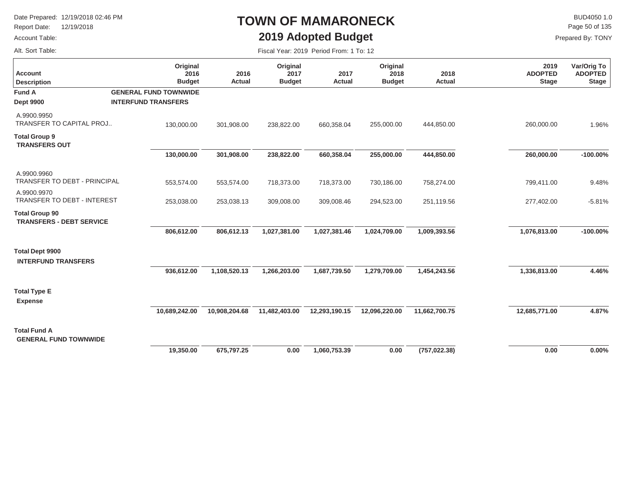Report Date: 12/19/2018

### Account Table:

Alt. Sort Table:

## **TOWN OF MAMARONECK2019 Adopted Budget**

 $\mathsf{BUD4050}\,1.0$ Page 50 of 135

| Fiscal Year: 2019 Period From: 1 To: 12 |  |  |  |  |
|-----------------------------------------|--|--|--|--|
|-----------------------------------------|--|--|--|--|

| <b>Account</b><br><b>Description</b>                     | Original<br>2016<br><b>Budget</b>                          | 2016<br><b>Actual</b> | Original<br>2017<br><b>Budget</b> | 2017<br>Actual | Original<br>2018<br><b>Budget</b> | 2018<br>Actual | 2019<br><b>ADOPTED</b><br><b>Stage</b> | Var/Orig To<br><b>ADOPTED</b><br><b>Stage</b> |
|----------------------------------------------------------|------------------------------------------------------------|-----------------------|-----------------------------------|----------------|-----------------------------------|----------------|----------------------------------------|-----------------------------------------------|
| <b>Fund A</b><br><b>Dept 9900</b>                        | <b>GENERAL FUND TOWNWIDE</b><br><b>INTERFUND TRANSFERS</b> |                       |                                   |                |                                   |                |                                        |                                               |
| A.9900.9950<br><b>TRANSFER TO CAPITAL PROJ</b>           | 130,000.00                                                 | 301,908.00            | 238,822.00                        | 660,358.04     | 255,000.00                        | 444,850.00     | 260,000.00                             | 1.96%                                         |
| <b>Total Group 9</b><br><b>TRANSFERS OUT</b>             |                                                            |                       |                                   |                |                                   |                |                                        |                                               |
|                                                          | 130,000.00                                                 | 301,908.00            | 238,822.00                        | 660,358.04     | 255,000.00                        | 444,850.00     | 260,000.00                             | $-100.00\%$                                   |
| A.9900.9960<br>TRANSFER TO DEBT - PRINCIPAL              | 553,574.00                                                 | 553,574.00            | 718,373.00                        | 718,373.00     | 730,186.00                        | 758,274.00     | 799,411.00                             | 9.48%                                         |
| A.9900.9970<br>TRANSFER TO DEBT - INTEREST               | 253,038.00                                                 | 253,038.13            | 309,008.00                        | 309,008.46     | 294,523.00                        | 251,119.56     | 277,402.00                             | $-5.81%$                                      |
| <b>Total Group 90</b><br><b>TRANSFERS - DEBT SERVICE</b> |                                                            |                       |                                   |                |                                   |                |                                        |                                               |
|                                                          | 806,612.00                                                 | 806,612.13            | 1,027,381.00                      | 1,027,381.46   | 1,024,709.00                      | 1,009,393.56   | 1,076,813.00                           | $-100.00\%$                                   |
| <b>Total Dept 9900</b><br><b>INTERFUND TRANSFERS</b>     |                                                            |                       |                                   |                |                                   |                |                                        |                                               |
|                                                          | 936,612.00                                                 | 1,108,520.13          | 1,266,203.00                      | 1,687,739.50   | 1,279,709.00                      | 1,454,243.56   | 1,336,813.00                           | 4.46%                                         |
| <b>Total Type E</b><br><b>Expense</b>                    |                                                            |                       |                                   |                |                                   |                |                                        |                                               |
|                                                          | 10,689,242.00                                              | 10,908,204.68         | 11,482,403.00                     | 12,293,190.15  | 12,096,220.00                     | 11,662,700.75  | 12,685,771.00                          | 4.87%                                         |
| <b>Total Fund A</b><br><b>GENERAL FUND TOWNWIDE</b>      |                                                            |                       |                                   |                |                                   |                |                                        |                                               |
|                                                          | 19,350.00                                                  | 675,797.25            | 0.00                              | 1,060,753.39   | 0.00                              | (757, 022.38)  | 0.00                                   | 0.00%                                         |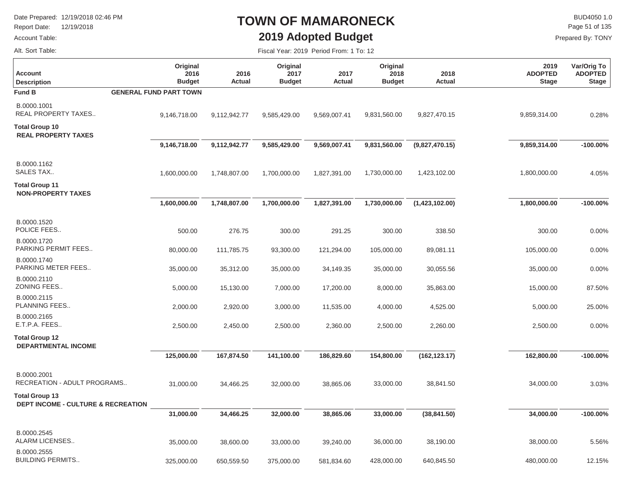Report Date: 12/19/2018

### Account Table:

Alt. Sort Table:

## **TOWN OF MAMARONECK2019 Adopted Budget**

 $\mathsf{BUD4050}\,1.0$ Page 51 of 135

Prepared By: TONY

| <b>Account</b><br><b>Description</b>                                   | Original<br>2016<br><b>Budget</b> | 2016<br><b>Actual</b> | Original<br>2017<br><b>Budget</b> | 2017<br><b>Actual</b> | Original<br>2018<br><b>Budget</b> | 2018<br><b>Actual</b> | 2019<br><b>ADOPTED</b><br><b>Stage</b> | Var/Orig To<br><b>ADOPTED</b><br><b>Stage</b> |
|------------------------------------------------------------------------|-----------------------------------|-----------------------|-----------------------------------|-----------------------|-----------------------------------|-----------------------|----------------------------------------|-----------------------------------------------|
| <b>Fund B</b>                                                          | <b>GENERAL FUND PART TOWN</b>     |                       |                                   |                       |                                   |                       |                                        |                                               |
| B.0000.1001<br>REAL PROPERTY TAXES                                     | 9,146,718.00                      | 9,112,942.77          | 9,585,429.00                      | 9,569,007.41          | 9,831,560.00                      | 9,827,470.15          | 9,859,314.00                           | 0.28%                                         |
| <b>Total Group 10</b><br><b>REAL PROPERTY TAXES</b>                    |                                   |                       |                                   |                       |                                   |                       |                                        |                                               |
|                                                                        | 9,146,718.00                      | 9,112,942.77          | 9,585,429.00                      | 9,569,007.41          | 9,831,560.00                      | (9,827,470.15)        | 9,859,314.00                           | $-100.00\%$                                   |
| B.0000.1162<br>SALES TAX                                               | 1,600,000.00                      | 1,748,807.00          | 1,700,000.00                      | 1,827,391.00          | 1,730,000.00                      | 1,423,102.00          | 1,800,000.00                           | 4.05%                                         |
| <b>Total Group 11</b><br><b>NON-PROPERTY TAXES</b>                     |                                   |                       |                                   |                       |                                   |                       |                                        |                                               |
|                                                                        | 1,600,000.00                      | 1,748,807.00          | 1,700,000.00                      | 1,827,391.00          | 1,730,000.00                      | (1,423,102.00)        | 1,800,000.00                           | $-100.00\%$                                   |
| B.0000.1520<br>POLICE FEES                                             | 500.00                            | 276.75                | 300.00                            | 291.25                | 300.00                            | 338.50                | 300.00                                 | 0.00%                                         |
| B.0000.1720<br>PARKING PERMIT FEES                                     | 80,000.00                         | 111,785.75            | 93,300.00                         | 121,294.00            | 105,000.00                        | 89,081.11             | 105,000.00                             | 0.00%                                         |
| B.0000.1740<br>PARKING METER FEES                                      | 35,000.00                         | 35,312.00             | 35,000.00                         | 34,149.35             | 35,000.00                         | 30,055.56             | 35,000.00                              | 0.00%                                         |
| B.0000.2110<br>ZONING FEES                                             | 5,000.00                          | 15,130.00             | 7,000.00                          | 17,200.00             | 8,000.00                          | 35,863.00             | 15,000.00                              | 87.50%                                        |
| B.0000.2115<br>PLANNING FEES                                           | 2,000.00                          | 2,920.00              | 3,000.00                          | 11,535.00             | 4,000.00                          | 4,525.00              | 5,000.00                               | 25.00%                                        |
| B.0000.2165<br>E.T.P.A. FEES                                           | 2,500.00                          | 2,450.00              | 2,500.00                          | 2,360.00              | 2,500.00                          | 2,260.00              | 2,500.00                               | 0.00%                                         |
| <b>Total Group 12</b><br><b>DEPARTMENTAL INCOME</b>                    |                                   |                       |                                   |                       |                                   |                       |                                        |                                               |
|                                                                        | 125,000.00                        | 167,874.50            | 141,100.00                        | 186,829.60            | 154,800.00                        | (162, 123.17)         | 162,800.00                             | $-100.00\%$                                   |
| B.0000.2001<br>RECREATION - ADULT PROGRAMS                             | 31,000.00                         | 34,466.25             | 32,000.00                         | 38,865.06             | 33,000.00                         | 38,841.50             | 34,000.00                              | 3.03%                                         |
| <b>Total Group 13</b><br><b>DEPT INCOME - CULTURE &amp; RECREATION</b> |                                   |                       |                                   |                       |                                   |                       |                                        |                                               |
|                                                                        | 31,000.00                         | 34,466.25             | 32,000.00                         | 38,865.06             | 33,000.00                         | (38, 841.50)          | 34,000.00                              | $-100.00\%$                                   |
| B.0000.2545<br>ALARM LICENSES                                          | 35,000.00                         | 38,600.00             | 33,000.00                         | 39,240.00             | 36,000.00                         | 38,190.00             | 38,000.00                              | 5.56%                                         |
| B.0000.2555<br><b>BUILDING PERMITS</b>                                 | 325,000.00                        | 650,559.50            | 375,000.00                        | 581,834.60            | 428,000.00                        | 640,845.50            | 480,000.00                             | 12.15%                                        |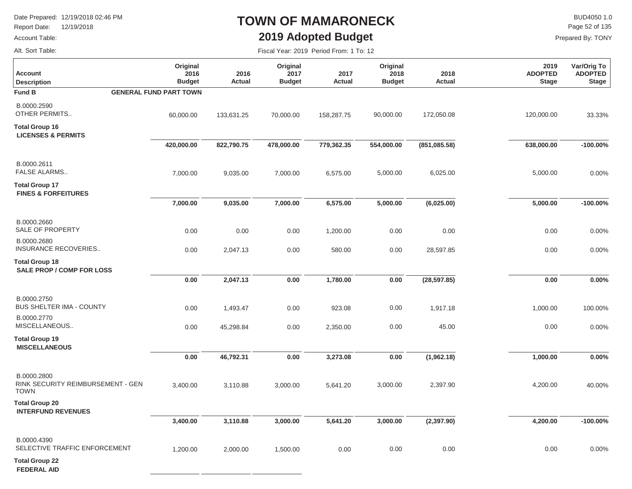Report Date: 12/19/2018

### Account Table:

## **TOWN OF MAMARONECK2019 Adopted Budget**

Fiscal Year: 2019 Period From: 1 To: 12

 $\mathsf{BUD4050}\,1.0$ Page 52 of 135

Prepared By: TONY

Alt. Sort Table:

| <b>Account</b><br><b>Description</b>                            | Original<br>2016<br><b>Budget</b> | 2016<br>Actual | Original<br>2017<br><b>Budget</b> | 2017<br>Actual | Original<br>2018<br><b>Budget</b> | 2018<br>Actual | 2019<br><b>ADOPTED</b><br><b>Stage</b> | Var/Orig To<br><b>ADOPTED</b><br><b>Stage</b> |
|-----------------------------------------------------------------|-----------------------------------|----------------|-----------------------------------|----------------|-----------------------------------|----------------|----------------------------------------|-----------------------------------------------|
| <b>Fund B</b>                                                   | <b>GENERAL FUND PART TOWN</b>     |                |                                   |                |                                   |                |                                        |                                               |
| B.0000.2590<br>OTHER PERMITS                                    | 60,000.00                         | 133,631.25     | 70,000.00                         | 158,287.75     | 90,000.00                         | 172,050.08     | 120,000.00                             | 33.33%                                        |
| <b>Total Group 16</b><br><b>LICENSES &amp; PERMITS</b>          |                                   |                |                                   |                |                                   |                |                                        |                                               |
|                                                                 | 420,000.00                        | 822,790.75     | 478,000.00                        | 779,362.35     | 554,000.00                        | (851,085.58)   | 638,000.00                             | $-100.00\%$                                   |
| B.0000.2611<br><b>FALSE ALARMS</b>                              | 7,000.00                          | 9,035.00       | 7,000.00                          | 6,575.00       | 5,000.00                          | 6,025.00       | 5,000.00                               | 0.00%                                         |
| <b>Total Group 17</b><br><b>FINES &amp; FORFEITURES</b>         |                                   |                |                                   |                |                                   |                |                                        |                                               |
|                                                                 | 7,000.00                          | 9,035.00       | 7,000.00                          | 6,575.00       | 5,000.00                          | (6,025.00)     | 5,000.00                               | $-100.00\%$                                   |
| B.0000.2660<br>SALE OF PROPERTY                                 | 0.00                              | 0.00           | 0.00                              | 1,200.00       | 0.00                              | 0.00           | 0.00                                   | 0.00%                                         |
| B.0000.2680<br>INSURANCE RECOVERIES                             | 0.00                              | 2,047.13       | 0.00                              | 580.00         | 0.00                              | 28,597.85      | 0.00                                   | 0.00%                                         |
| <b>Total Group 18</b><br><b>SALE PROP / COMP FOR LOSS</b>       |                                   |                |                                   |                |                                   |                |                                        |                                               |
|                                                                 | 0.00                              | 2,047.13       | 0.00                              | 1,780.00       | 0.00                              | (28, 597.85)   | 0.00                                   | 0.00%                                         |
| B.0000.2750<br><b>BUS SHELTER IMA - COUNTY</b>                  | 0.00                              | 1,493.47       | 0.00                              | 923.08         | $0.00\,$                          | 1,917.18       | 1,000.00                               | 100.00%                                       |
| B.0000.2770<br>MISCELLANEOUS                                    | 0.00                              | 45,298.84      | 0.00                              | 2,350.00       | 0.00                              | 45.00          | 0.00                                   | 0.00%                                         |
| <b>Total Group 19</b><br><b>MISCELLANEOUS</b>                   |                                   |                |                                   |                |                                   |                |                                        |                                               |
|                                                                 | 0.00                              | 46,792.31      | 0.00                              | 3,273.08       | 0.00                              | (1,962.18)     | 1,000.00                               | 0.00%                                         |
| B.0000.2800<br>RINK SECURITY REIMBURSEMENT - GEN<br><b>TOWN</b> | 3,400.00                          | 3,110.88       | 3,000.00                          | 5,641.20       | 3,000.00                          | 2,397.90       | 4,200.00                               | 40.00%                                        |
| <b>Total Group 20</b><br><b>INTERFUND REVENUES</b>              |                                   |                |                                   |                |                                   |                |                                        |                                               |
|                                                                 | 3,400.00                          | 3,110.88       | 3,000.00                          | 5,641.20       | 3,000.00                          | (2, 397.90)    | 4,200.00                               | $-100.00\%$                                   |
| B.0000.4390<br>SELECTIVE TRAFFIC ENFORCEMENT                    | 1,200.00                          | 2,000.00       | 1,500.00                          | 0.00           | 0.00                              | 0.00           | 0.00                                   | 0.00%                                         |
| <b>Total Group 22</b>                                           |                                   |                |                                   |                |                                   |                |                                        |                                               |

**FEDERAL AID**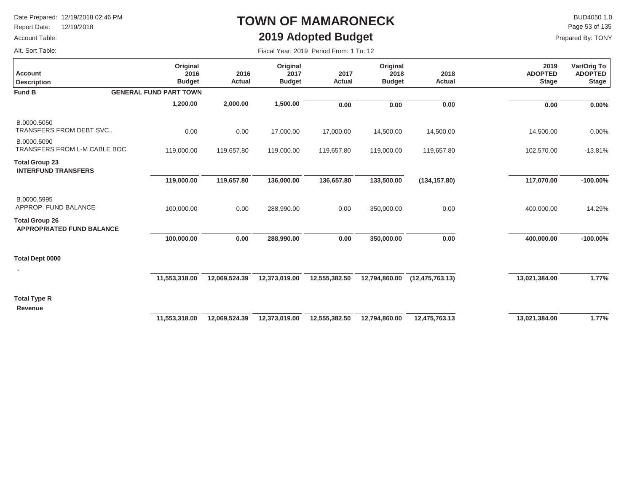Report Date: 12/19/2018

### Account Table:

## **TOWN OF MAMARONECK2019 Adopted Budget**

Fiscal Year: 2019 Period From: 1 To: 12

 $\mathsf{BUD4050}\,1.0$ Prepared By: TONY Page 53 of 135

Alt. Sort Table:

| <b>Account</b><br><b>Description</b>                      | Original<br>2016<br><b>Budget</b> | 2016<br>Actual | Original<br>2017<br><b>Budget</b> | 2017<br><b>Actual</b> | Original<br>2018<br><b>Budget</b> | 2018<br>Actual    | 2019<br><b>ADOPTED</b><br><b>Stage</b> | Var/Orig To<br><b>ADOPTED</b><br><b>Stage</b> |
|-----------------------------------------------------------|-----------------------------------|----------------|-----------------------------------|-----------------------|-----------------------------------|-------------------|----------------------------------------|-----------------------------------------------|
| <b>Fund B</b>                                             | <b>GENERAL FUND PART TOWN</b>     |                |                                   |                       |                                   |                   |                                        |                                               |
|                                                           | 1,200.00                          | 2,000.00       | 1,500.00                          | 0.00                  | 0.00                              | 0.00              | 0.00                                   | $0.00\%$                                      |
| B.0000.5050<br>TRANSFERS FROM DEBT SVC                    | 0.00                              | 0.00           | 17,000.00                         | 17,000.00             | 14,500.00                         | 14,500.00         | 14,500.00                              | 0.00%                                         |
| B.0000.5090<br>TRANSFERS FROM L-M CABLE BOC               | 119,000.00                        | 119,657.80     | 119,000.00                        | 119,657.80            | 119,000.00                        | 119,657.80        | 102,570.00                             | $-13.81%$                                     |
| <b>Total Group 23</b><br><b>INTERFUND TRANSFERS</b>       |                                   |                |                                   |                       |                                   |                   |                                        |                                               |
|                                                           | 119,000.00                        | 119,657.80     | 136,000.00                        | 136,657.80            | 133,500.00                        | (134, 157.80)     | 117,070.00                             | $-100.00\%$                                   |
| B.0000.5995<br>APPROP. FUND BALANCE                       | 100,000.00                        | 0.00           | 288,990.00                        | 0.00                  | 350,000.00                        | 0.00              | 400,000.00                             | 14.29%                                        |
| <b>Total Group 26</b><br><b>APPROPRIATED FUND BALANCE</b> |                                   |                |                                   |                       |                                   |                   |                                        |                                               |
|                                                           | 100,000.00                        | 0.00           | 288,990.00                        | 0.00                  | 350,000.00                        | 0.00              | 400,000.00                             | $-100.00\%$                                   |
| <b>Total Dept 0000</b>                                    |                                   |                |                                   |                       |                                   |                   |                                        |                                               |
|                                                           | 11,553,318.00                     | 12,069,524.39  | 12,373,019.00                     | 12,555,382.50         | 12,794,860.00                     | (12, 475, 763.13) | 13,021,384.00                          | 1.77%                                         |
| <b>Total Type R</b>                                       |                                   |                |                                   |                       |                                   |                   |                                        |                                               |
| Revenue                                                   | 11,553,318.00                     | 12,069,524.39  | 12,373,019.00                     | 12,555,382.50         | 12,794,860.00                     | 12,475,763.13     | 13,021,384.00                          | 1.77%                                         |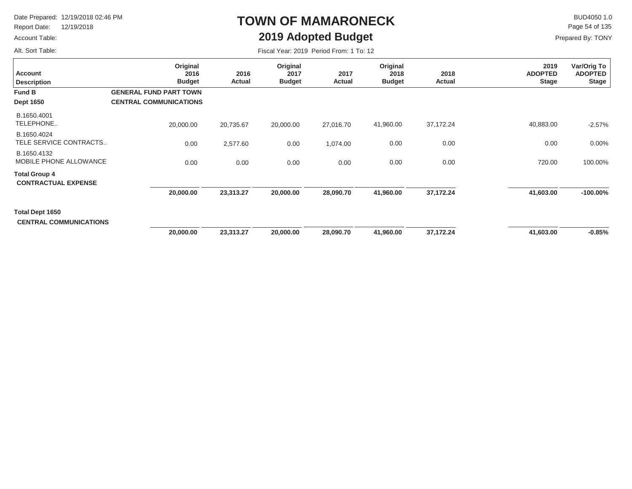Report Date: 12/19/2018

### Account Table:

Alt. Sort Table:

# **TOWN OF MAMARONECK2019 Adopted Budget**

 $\mathsf{BUD4050}\,1.0$ Page 54 of 135

| Fiscal Year: 2019 Period From: 1 To: 12 |  |  |  |  |  |
|-----------------------------------------|--|--|--|--|--|
|-----------------------------------------|--|--|--|--|--|

| <b>Account</b><br><b>Description</b>               | Original<br>2016<br><b>Budget</b>                              | 2016<br>Actual | Original<br>2017<br><b>Budget</b> | 2017<br>Actual | Original<br>2018<br><b>Budget</b> | 2018<br>Actual | 2019<br><b>ADOPTED</b><br><b>Stage</b> | Var/Orig To<br><b>ADOPTED</b><br><b>Stage</b> |
|----------------------------------------------------|----------------------------------------------------------------|----------------|-----------------------------------|----------------|-----------------------------------|----------------|----------------------------------------|-----------------------------------------------|
| <b>Fund B</b><br><b>Dept 1650</b>                  | <b>GENERAL FUND PART TOWN</b><br><b>CENTRAL COMMUNICATIONS</b> |                |                                   |                |                                   |                |                                        |                                               |
| B.1650.4001<br>TELEPHONE                           | 20,000.00                                                      | 20,735.67      | 20,000.00                         | 27,016.70      | 41,960.00                         | 37,172.24      | 40,883.00                              | $-2.57%$                                      |
| B.1650.4024<br>TELE SERVICE CONTRACTS              | 0.00                                                           | 2,577.60       | 0.00                              | 1,074.00       | 0.00                              | 0.00           | 0.00                                   | 0.00%                                         |
| B.1650.4132<br>MOBILE PHONE ALLOWANCE              | 0.00                                                           | 0.00           | 0.00                              | 0.00           | 0.00                              | 0.00           | 720.00                                 | 100.00%                                       |
| <b>Total Group 4</b><br><b>CONTRACTUAL EXPENSE</b> |                                                                |                |                                   |                |                                   |                |                                        |                                               |
|                                                    | 20,000.00                                                      | 23,313.27      | 20,000.00                         | 28,090.70      | 41,960.00                         | 37,172.24      | 41,603.00                              | $-100.00\%$                                   |
| Total Dept 1650<br><b>CENTRAL COMMUNICATIONS</b>   |                                                                |                |                                   |                |                                   |                |                                        |                                               |
|                                                    | 20,000.00                                                      | 23,313.27      | 20,000.00                         | 28,090.70      | 41,960.00                         | 37,172.24      | 41,603.00                              | $-0.85%$                                      |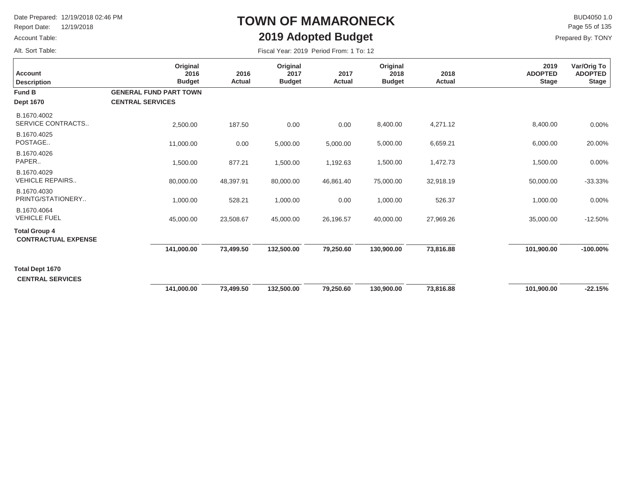Report Date: 12/19/2018

### Account Table:

Alt. Sort Table:

## **TOWN OF MAMARONECK2019 Adopted Budget**

 $\mathsf{BUD4050}\,1.0$ Prepared By: TONY Page 55 of 135

| <b>Account</b><br><b>Description</b>               | Original<br>2016<br><b>Budget</b> | 2016<br>Actual | Original<br>2017<br><b>Budget</b> | 2017<br>Actual | Original<br>2018<br><b>Budget</b> | 2018<br><b>Actual</b> | 2019<br><b>ADOPTED</b><br><b>Stage</b> | Var/Orig To<br><b>ADOPTED</b><br><b>Stage</b> |
|----------------------------------------------------|-----------------------------------|----------------|-----------------------------------|----------------|-----------------------------------|-----------------------|----------------------------------------|-----------------------------------------------|
| <b>Fund B</b>                                      | <b>GENERAL FUND PART TOWN</b>     |                |                                   |                |                                   |                       |                                        |                                               |
| <b>Dept 1670</b>                                   | <b>CENTRAL SERVICES</b>           |                |                                   |                |                                   |                       |                                        |                                               |
| B.1670.4002<br>SERVICE CONTRACTS                   | 2,500.00                          | 187.50         | 0.00                              | 0.00           | 8,400.00                          | 4,271.12              | 8,400.00                               | 0.00%                                         |
| B.1670.4025<br>POSTAGE                             | 11,000.00                         | 0.00           | 5,000.00                          | 5,000.00       | 5,000.00                          | 6,659.21              | 6,000.00                               | 20.00%                                        |
| B.1670.4026<br>PAPER                               | 1,500.00                          | 877.21         | 1,500.00                          | 1,192.63       | 1,500.00                          | 1,472.73              | 1,500.00                               | 0.00%                                         |
| B.1670.4029<br><b>VEHICLE REPAIRS</b>              | 80,000.00                         | 48,397.91      | 80,000.00                         | 46,861.40      | 75,000.00                         | 32,918.19             | 50,000.00                              | $-33.33%$                                     |
| B.1670.4030<br>PRINTG/STATIONERY                   | 1,000.00                          | 528.21         | 1,000.00                          | 0.00           | 1,000.00                          | 526.37                | 1,000.00                               | 0.00%                                         |
| B.1670.4064<br><b>VEHICLE FUEL</b>                 | 45,000.00                         | 23,508.67      | 45,000.00                         | 26,196.57      | 40,000.00                         | 27,969.26             | 35,000.00                              | $-12.50%$                                     |
| <b>Total Group 4</b><br><b>CONTRACTUAL EXPENSE</b> |                                   |                |                                   |                |                                   |                       |                                        |                                               |
|                                                    | 141.000.00                        | 73,499.50      | 132.500.00                        | 79.250.60      | 130,900.00                        | 73.816.88             | 101,900.00                             | $-100.00\%$                                   |
| Total Dept 1670<br><b>CENTRAL SERVICES</b>         |                                   |                |                                   |                |                                   |                       |                                        |                                               |
|                                                    | 141,000.00                        | 73,499.50      | 132,500.00                        | 79,250.60      | 130,900.00                        | 73,816.88             | 101,900.00                             | $-22.15%$                                     |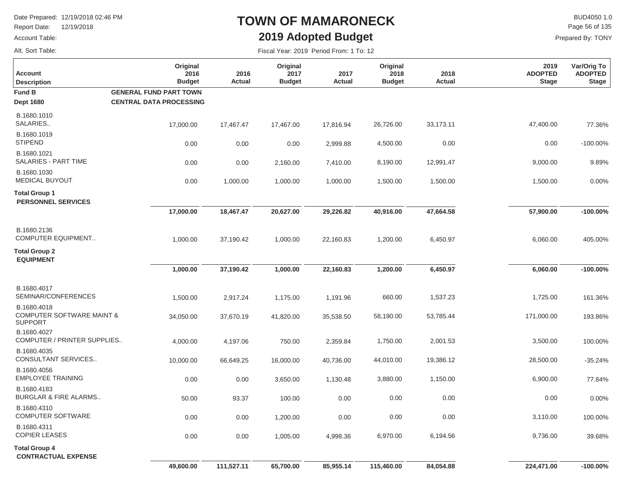Report Date: 12/19/2018

### Account Table:

Alt. Sort Table:

## **TOWN OF MAMARONECK2019 Adopted Budget**

 $\mathsf{BUD4050}\,1.0$ Prepared By: TONY Page 56 of 135

| <b>Account</b><br><b>Description</b>                                  | Original<br>2016<br><b>Budget</b> | 2016<br>Actual | Original<br>2017<br><b>Budget</b> | 2017<br>Actual | Original<br>2018<br><b>Budget</b> | 2018<br>Actual | 2019<br><b>ADOPTED</b><br><b>Stage</b> | Var/Orig To<br><b>ADOPTED</b><br><b>Stage</b> |
|-----------------------------------------------------------------------|-----------------------------------|----------------|-----------------------------------|----------------|-----------------------------------|----------------|----------------------------------------|-----------------------------------------------|
| Fund B                                                                | <b>GENERAL FUND PART TOWN</b>     |                |                                   |                |                                   |                |                                        |                                               |
| <b>Dept 1680</b>                                                      | <b>CENTRAL DATA PROCESSING</b>    |                |                                   |                |                                   |                |                                        |                                               |
| B.1680.1010<br>SALARIES                                               | 17,000.00                         | 17,467.47      | 17,467.00                         | 17,816.94      | 26,726.00                         | 33,173.11      | 47,400.00                              | 77.36%                                        |
| B.1680.1019<br><b>STIPEND</b>                                         | 0.00                              | 0.00           | 0.00                              | 2,999.88       | 4,500.00                          | 0.00           | 0.00                                   | -100.00%                                      |
| B.1680.1021<br>SALARIES - PART TIME                                   | 0.00                              | 0.00           | 2,160.00                          | 7,410.00       | 8,190.00                          | 12,991.47      | 9,000.00                               | 9.89%                                         |
| B.1680.1030<br><b>MEDICAL BUYOUT</b>                                  | 0.00                              | 1,000.00       | 1,000.00                          | 1,000.00       | 1,500.00                          | 1,500.00       | 1,500.00                               | 0.00%                                         |
| <b>Total Group 1</b><br><b>PERSONNEL SERVICES</b>                     |                                   |                |                                   |                |                                   |                |                                        |                                               |
|                                                                       | 17,000.00                         | 18,467.47      | 20,627.00                         | 29,226.82      | 40,916.00                         | 47,664.58      | 57,900.00                              | $-100.00\%$                                   |
| B.1680.2136<br><b>COMPUTER EQUIPMENT</b>                              | 1,000.00                          | 37,190.42      | 1,000.00                          | 22,160.83      | 1,200.00                          | 6,450.97       | 6,060.00                               | 405.00%                                       |
| <b>Total Group 2</b><br><b>EQUIPMENT</b>                              |                                   |                |                                   |                |                                   |                |                                        |                                               |
|                                                                       | 1,000.00                          | 37,190.42      | 1,000.00                          | 22,160.83      | 1,200.00                          | 6,450.97       | 6,060.00                               | $-100.00\%$                                   |
| B.1680.4017<br>SEMINAR/CONFERENCES                                    | 1,500.00                          | 2,917.24       | 1,175.00                          | 1,191.96       | 660.00                            | 1,537.23       | 1,725.00                               | 161.36%                                       |
| B.1680.4018<br><b>COMPUTER SOFTWARE MAINT &amp;</b><br><b>SUPPORT</b> | 34,050.00                         | 37,670.19      | 41,820.00                         | 35,538.50      | 58,190.00                         | 53,785.44      | 171,000.00                             | 193.86%                                       |
| B.1680.4027<br>COMPUTER / PRINTER SUPPLIES                            | 4,000.00                          | 4,197.06       | 750.00                            | 2,359.84       | 1,750.00                          | 2,001.53       | 3,500.00                               | 100.00%                                       |
| B.1680.4035<br>CONSULTANT SERVICES                                    | 10,000.00                         | 66,649.25      | 16,000.00                         | 40,736.00      | 44,010.00                         | 19,386.12      | 28,500.00                              | $-35.24%$                                     |
| B.1680.4056<br><b>EMPLOYEE TRAINING</b>                               | 0.00                              | 0.00           | 3,650.00                          | 1,130.48       | 3,880.00                          | 1,150.00       | 6,900.00                               | 77.84%                                        |
| B.1680.4183<br><b>BURGLAR &amp; FIRE ALARMS</b>                       | 50.00                             | 93.37          | 100.00                            | 0.00           | 0.00                              | 0.00           | 0.00                                   | 0.00%                                         |
| B.1680.4310<br><b>COMPUTER SOFTWARE</b>                               | 0.00                              | 0.00           | 1,200.00                          | 0.00           | 0.00                              | 0.00           | 3,110.00                               | 100.00%                                       |
| B.1680.4311<br>COPIER LEASES                                          | 0.00                              | 0.00           | 1,005.00                          | 4,998.36       | 6,970.00                          | 6,194.56       | 9,736.00                               | 39.68%                                        |
| <b>Total Group 4</b><br><b>CONTRACTUAL EXPENSE</b>                    | 49,600.00                         | 111,527.11     | 65,700.00                         | 85,955.14      | 115,460.00                        | 84,054.88      | 224,471.00                             | $-100.00\%$                                   |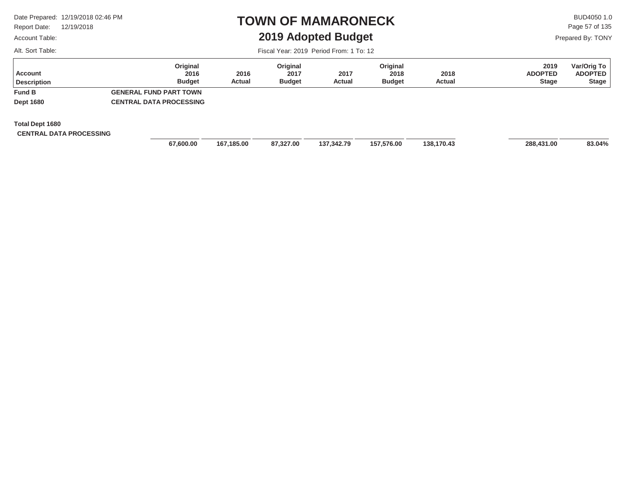Report Date: 12/19/2018

### Account Table:

Alt. Sort Table:

### **TOWN OF MAMARONECK2019 Adopted Budget**

 $\mathsf{BUD4050}\,1.0$ Page 57 of 135

Fiscal Year: 2019 Period From: 1 To: 12

| Prepared By: TONY |  |  |
|-------------------|--|--|
|-------------------|--|--|

| Account<br><b>Description</b>                     | Original<br>2016<br><b>Budget</b> | 2016<br>Actual | Original<br>2017<br><b>Budget</b> | 2017<br>Actual | Original<br>2018<br><b>Budget</b> | 2018<br>Actual | 2019<br><b>ADOPTED</b><br><b>Stage</b> | Var/Orig To<br><b>ADOPTED</b><br><b>Stage</b> |
|---------------------------------------------------|-----------------------------------|----------------|-----------------------------------|----------------|-----------------------------------|----------------|----------------------------------------|-----------------------------------------------|
| <b>Fund B</b>                                     | <b>GENERAL FUND PART TOWN</b>     |                |                                   |                |                                   |                |                                        |                                               |
| <b>Dept 1680</b>                                  | <b>CENTRAL DATA PROCESSING</b>    |                |                                   |                |                                   |                |                                        |                                               |
| Total Dept 1680<br><b>CENTRAL DATA PROCESSING</b> |                                   |                |                                   |                |                                   |                |                                        |                                               |

 **87,327.00 137,342.79 138,170.43 288,431.00 157,576.00 83.04%**

 **67,600.00 167,185.00**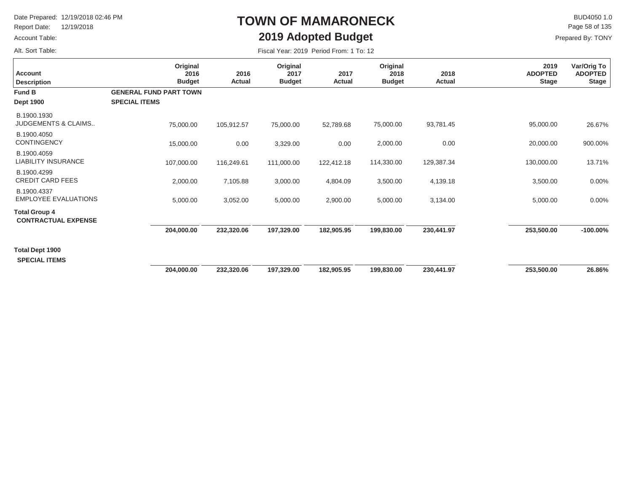Report Date: 12/19/2018

### Account Table:

Alt. Sort Table:

# **TOWN OF MAMARONECK2019 Adopted Budget**

 $\mathsf{BUD4050}\,1.0$ Page 58 of 135

| Fiscal Year: 2019 Period From: 1 To: 12 |  |
|-----------------------------------------|--|
|-----------------------------------------|--|

| <b>Account</b><br><b>Description</b>               | Original<br>2016<br><b>Budget</b>                     | 2016<br><b>Actual</b> | Original<br>2017<br><b>Budget</b> | 2017<br>Actual | Original<br>2018<br><b>Budget</b> | 2018<br>Actual | 2019<br><b>ADOPTED</b><br><b>Stage</b> | Var/Orig To<br><b>ADOPTED</b><br><b>Stage</b> |
|----------------------------------------------------|-------------------------------------------------------|-----------------------|-----------------------------------|----------------|-----------------------------------|----------------|----------------------------------------|-----------------------------------------------|
| <b>Fund B</b><br><b>Dept 1900</b>                  | <b>GENERAL FUND PART TOWN</b><br><b>SPECIAL ITEMS</b> |                       |                                   |                |                                   |                |                                        |                                               |
| B.1900.1930<br><b>JUDGEMENTS &amp; CLAIMS</b>      | 75,000.00                                             | 105,912.57            | 75,000.00                         | 52,789.68      | 75,000.00                         | 93,781.45      | 95,000.00                              | 26.67%                                        |
| B.1900.4050<br><b>CONTINGENCY</b>                  | 15,000.00                                             | 0.00                  | 3,329.00                          | 0.00           | 2,000.00                          | 0.00           | 20,000.00                              | 900.00%                                       |
| B.1900.4059<br>LIABILITY INSURANCE                 | 107,000.00                                            | 116,249.61            | 111,000.00                        | 122,412.18     | 114,330.00                        | 129,387.34     | 130,000.00                             | 13.71%                                        |
| B.1900.4299<br><b>CREDIT CARD FEES</b>             | 2,000.00                                              | 7,105.88              | 3,000.00                          | 4,804.09       | 3,500.00                          | 4,139.18       | 3,500.00                               | 0.00%                                         |
| B.1900.4337<br><b>EMPLOYEE EVALUATIONS</b>         | 5,000.00                                              | 3,052.00              | 5,000.00                          | 2,900.00       | 5,000.00                          | 3,134.00       | 5,000.00                               | 0.00%                                         |
| <b>Total Group 4</b><br><b>CONTRACTUAL EXPENSE</b> |                                                       |                       |                                   |                |                                   |                |                                        |                                               |
|                                                    | 204,000.00                                            | 232,320.06            | 197,329.00                        | 182,905.95     | 199,830.00                        | 230,441.97     | 253,500.00                             | $-100.00\%$                                   |
| <b>Total Dept 1900</b><br><b>SPECIAL ITEMS</b>     |                                                       |                       |                                   |                |                                   |                |                                        |                                               |
|                                                    | 204,000.00                                            | 232,320.06            | 197.329.00                        | 182,905.95     | 199,830.00                        | 230,441.97     | 253,500.00                             | 26.86%                                        |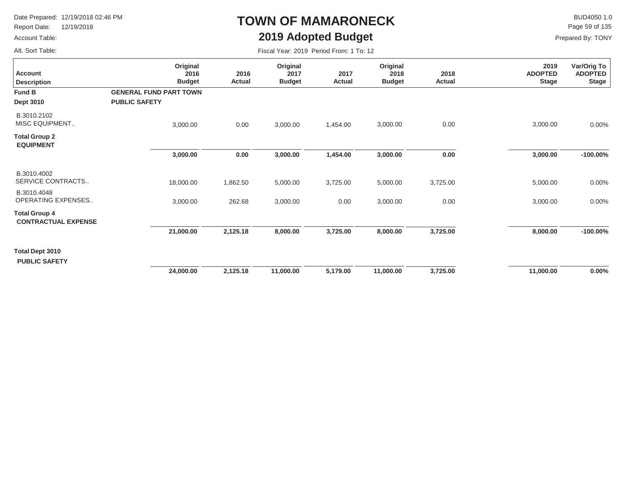Report Date: 12/19/2018

### Account Table:

Alt. Sort Table:

## **TOWN OF MAMARONECK2019 Adopted Budget**

 $\mathsf{BUD4050}\,1.0$ Page 59 of 135

| <b>Account</b><br><b>Description</b>               | Original<br>2016<br><b>Budget</b>                     | 2016<br>Actual | Original<br>2017<br><b>Budget</b> | 2017<br><b>Actual</b> | Original<br>2018<br><b>Budget</b> | 2018<br>Actual | 2019<br><b>ADOPTED</b><br><b>Stage</b> | Var/Orig To<br><b>ADOPTED</b><br><b>Stage</b> |
|----------------------------------------------------|-------------------------------------------------------|----------------|-----------------------------------|-----------------------|-----------------------------------|----------------|----------------------------------------|-----------------------------------------------|
| <b>Fund B</b><br>Dept 3010                         | <b>GENERAL FUND PART TOWN</b><br><b>PUBLIC SAFETY</b> |                |                                   |                       |                                   |                |                                        |                                               |
| B.3010.2102<br><b>MISC EQUIPMENT</b>               | 3,000.00                                              | 0.00           | 3,000.00                          | 1,454.00              | 3,000.00                          | 0.00           | 3,000.00                               | 0.00%                                         |
| <b>Total Group 2</b><br><b>EQUIPMENT</b>           |                                                       |                |                                   |                       |                                   |                |                                        |                                               |
|                                                    | 3,000.00                                              | 0.00           | 3,000.00                          | 1,454.00              | 3,000.00                          | 0.00           | 3,000.00                               | $-100.00\%$                                   |
| B.3010.4002<br>SERVICE CONTRACTS                   | 18,000.00                                             | 1,862.50       | 5,000.00                          | 3,725.00              | 5,000.00                          | 3,725.00       | 5,000.00                               | 0.00%                                         |
| B.3010.4048<br>OPERATING EXPENSES                  | 3,000.00                                              | 262.68         | 3,000.00                          | 0.00                  | 3,000.00                          | 0.00           | 3,000.00                               | $0.00\%$                                      |
| <b>Total Group 4</b><br><b>CONTRACTUAL EXPENSE</b> |                                                       |                |                                   |                       |                                   |                |                                        |                                               |
|                                                    | 21,000.00                                             | 2,125.18       | 8,000.00                          | 3,725.00              | 8,000.00                          | 3,725.00       | 8,000.00                               | $-100.00\%$                                   |
| <b>Total Dept 3010</b><br><b>PUBLIC SAFETY</b>     |                                                       |                |                                   |                       |                                   |                |                                        |                                               |
|                                                    | 24,000.00                                             | 2,125.18       | 11,000.00                         | 5,179.00              | 11,000.00                         | 3,725.00       | 11,000.00                              | $0.00\%$                                      |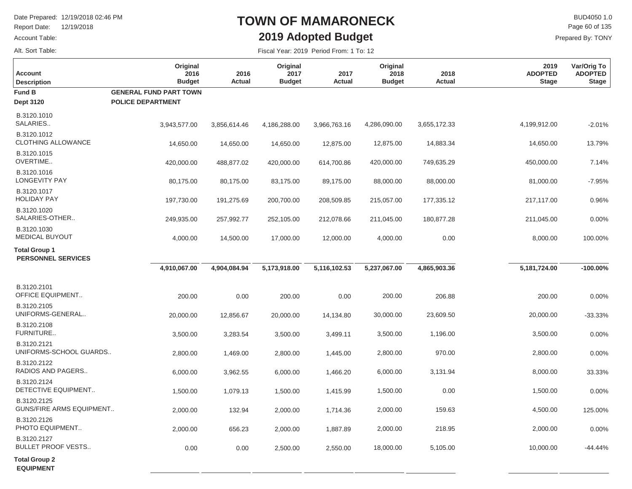Report Date: 12/19/2018

### Account Table:

Alt. Sort Table:

## **TOWN OF MAMARONECK2019 Adopted Budget**

 $\mathsf{BUD4050}\,1.0$ Prepared By: TONY Page 60 of 135

| <b>Account</b><br><b>Description</b>              | Original<br>2016<br><b>Budget</b>                         | 2016<br><b>Actual</b> | Original<br>2017<br><b>Budget</b> | 2017<br><b>Actual</b> | Original<br>2018<br><b>Budget</b> | 2018<br><b>Actual</b> | 2019<br><b>ADOPTED</b><br><b>Stage</b> | Var/Orig To<br><b>ADOPTED</b><br><b>Stage</b> |
|---------------------------------------------------|-----------------------------------------------------------|-----------------------|-----------------------------------|-----------------------|-----------------------------------|-----------------------|----------------------------------------|-----------------------------------------------|
| <b>Fund B</b><br><b>Dept 3120</b>                 | <b>GENERAL FUND PART TOWN</b><br><b>POLICE DEPARTMENT</b> |                       |                                   |                       |                                   |                       |                                        |                                               |
| B.3120.1010<br>SALARIES                           | 3,943,577.00                                              | 3,856,614.46          | 4,186,288.00                      | 3,966,763.16          | 4,286,090.00                      | 3,655,172.33          | 4,199,912.00                           | $-2.01%$                                      |
| B.3120.1012<br><b>CLOTHING ALLOWANCE</b>          | 14,650.00                                                 | 14,650.00             | 14,650.00                         | 12,875.00             | 12,875.00                         | 14,883.34             | 14,650.00                              | 13.79%                                        |
| B.3120.1015<br>OVERTIME                           | 420,000.00                                                | 488,877.02            | 420,000.00                        | 614,700.86            | 420,000.00                        | 749,635.29            | 450,000.00                             | 7.14%                                         |
| B.3120.1016<br>LONGEVITY PAY                      | 80,175.00                                                 | 80,175.00             | 83,175.00                         | 89,175.00             | 88,000.00                         | 88,000.00             | 81,000.00                              | $-7.95%$                                      |
| B.3120.1017<br><b>HOLIDAY PAY</b>                 | 197,730.00                                                | 191,275.69            | 200,700.00                        | 208,509.85            | 215,057.00                        | 177,335.12            | 217,117.00                             | 0.96%                                         |
| B.3120.1020<br>SALARIES-OTHER                     | 249,935.00                                                | 257,992.77            | 252,105.00                        | 212,078.66            | 211,045.00                        | 180,877.28            | 211,045.00                             | 0.00%                                         |
| B.3120.1030<br><b>MEDICAL BUYOUT</b>              | 4,000.00                                                  | 14,500.00             | 17,000.00                         | 12,000.00             | 4,000.00                          | 0.00                  | 8,000.00                               | 100.00%                                       |
| <b>Total Group 1</b><br><b>PERSONNEL SERVICES</b> |                                                           |                       |                                   |                       |                                   |                       |                                        |                                               |
|                                                   | 4,910,067.00                                              | 4,904,084.94          | 5,173,918.00                      | 5,116,102.53          | 5,237,067.00                      | 4,865,903.36          | 5,181,724.00                           | $-100.00%$                                    |
| B.3120.2101<br><b>OFFICE EQUIPMENT</b>            | 200.00                                                    | 0.00                  | 200.00                            | 0.00                  | 200.00                            | 206.88                | 200.00                                 | 0.00%                                         |
| B.3120.2105<br>UNIFORMS-GENERAL                   | 20,000.00                                                 | 12,856.67             | 20,000.00                         | 14,134.80             | 30,000.00                         | 23,609.50             | 20,000.00                              | $-33.33%$                                     |
| B.3120.2108<br>FURNITURE                          | 3,500.00                                                  | 3,283.54              | 3,500.00                          | 3,499.11              | 3,500.00                          | 1,196.00              | 3,500.00                               | 0.00%                                         |
| B.3120.2121<br>UNIFORMS-SCHOOL GUARDS             | 2,800.00                                                  | 1,469.00              | 2,800.00                          | 1,445.00              | 2,800.00                          | 970.00                | 2,800.00                               | 0.00%                                         |
| B.3120.2122<br>RADIOS AND PAGERS                  | 6,000.00                                                  | 3,962.55              | 6,000.00                          | 1,466.20              | 6,000.00                          | 3,131.94              | 8,000.00                               | 33.33%                                        |
| B.3120.2124<br>DETECTIVE EQUIPMENT                | 1,500.00                                                  | 1,079.13              | 1,500.00                          | 1,415.99              | 1,500.00                          | 0.00                  | 1,500.00                               | 0.00%                                         |
| B.3120.2125<br><b>GUNS/FIRE ARMS EQUIPMENT</b>    | 2,000.00                                                  | 132.94                | 2,000.00                          | 1,714.36              | 2,000.00                          | 159.63                | 4,500.00                               | 125.00%                                       |
| B.3120.2126<br>PHOTO EQUIPMENT                    | 2,000.00                                                  | 656.23                | 2,000.00                          | 1,887.89              | 2,000.00                          | 218.95                | 2,000.00                               | 0.00%                                         |
| B.3120.2127<br><b>BULLET PROOF VESTS</b>          | 0.00                                                      | 0.00                  | 2,500.00                          | 2,550.00              | 18,000.00                         | 5,105.00              | 10,000.00                              | $-44.44%$                                     |
| <b>Total Group 2</b><br><b>EQUIPMENT</b>          |                                                           |                       |                                   |                       |                                   |                       |                                        |                                               |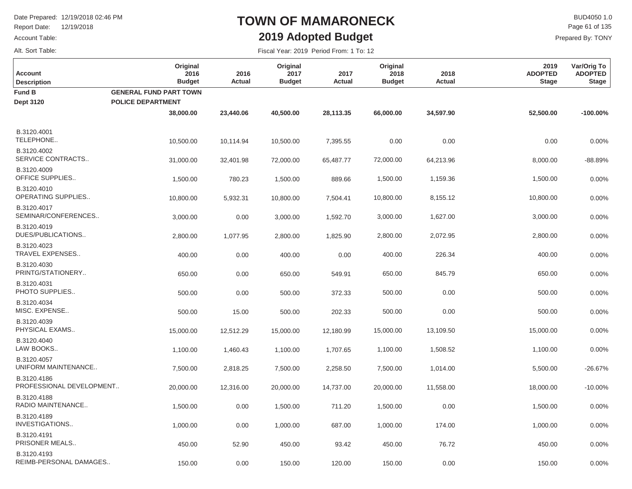Report Date: 12/19/2018

### Account Table:

Alt. Sort Table:

## **TOWN OF MAMARONECK2019 Adopted Budget**

Fiscal Year: 2019 Period From: 1 To: 12

 $\mathsf{BUD4050}\,1.0$ Prepared By: TONY Page 61 of 135

| <b>Account</b><br><b>Description</b>    | Original<br>2016<br><b>Budget</b> | 2016<br>Actual | Original<br>2017<br><b>Budget</b> | 2017<br><b>Actual</b> | Original<br>2018<br><b>Budget</b> | 2018<br><b>Actual</b> | 2019<br><b>ADOPTED</b><br><b>Stage</b> | Var/Orig To<br><b>ADOPTED</b><br><b>Stage</b> |
|-----------------------------------------|-----------------------------------|----------------|-----------------------------------|-----------------------|-----------------------------------|-----------------------|----------------------------------------|-----------------------------------------------|
| Fund B                                  | <b>GENERAL FUND PART TOWN</b>     |                |                                   |                       |                                   |                       |                                        |                                               |
| <b>Dept 3120</b>                        | <b>POLICE DEPARTMENT</b>          |                |                                   |                       |                                   |                       |                                        |                                               |
|                                         | 38,000.00                         | 23,440.06      | 40,500.00                         | 28,113.35             | 66,000.00                         | 34,597.90             | 52,500.00                              | $-100.00%$                                    |
| B.3120.4001<br>TELEPHONE                | 10,500.00                         | 10,114.94      | 10,500.00                         | 7,395.55              | 0.00                              | 0.00                  | 0.00                                   | 0.00%                                         |
| B.3120.4002<br>SERVICE CONTRACTS        | 31,000.00                         | 32,401.98      | 72,000.00                         | 65,487.77             | 72,000.00                         | 64,213.96             | 8,000.00                               | $-88.89%$                                     |
| B.3120.4009<br><b>OFFICE SUPPLIES</b>   | 1,500.00                          | 780.23         | 1,500.00                          | 889.66                | 1,500.00                          | 1,159.36              | 1,500.00                               | 0.00%                                         |
| B.3120.4010<br>OPERATING SUPPLIES       | 10,800.00                         | 5,932.31       | 10,800.00                         | 7,504.41              | 10,800.00                         | 8,155.12              | 10,800.00                              | 0.00%                                         |
| B.3120.4017<br>SEMINAR/CONFERENCES      | 3,000.00                          | 0.00           | 3,000.00                          | 1,592.70              | 3,000.00                          | 1,627.00              | 3,000.00                               | 0.00%                                         |
| B.3120.4019<br>DUES/PUBLICATIONS        | 2,800.00                          | 1,077.95       | 2,800.00                          | 1,825.90              | 2,800.00                          | 2,072.95              | 2,800.00                               | 0.00%                                         |
| B.3120.4023<br>TRAVEL EXPENSES          | 400.00                            | 0.00           | 400.00                            | 0.00                  | 400.00                            | 226.34                | 400.00                                 | 0.00%                                         |
| B.3120.4030<br>PRINTG/STATIONERY        | 650.00                            | 0.00           | 650.00                            | 549.91                | 650.00                            | 845.79                | 650.00                                 | 0.00%                                         |
| B.3120.4031<br>PHOTO SUPPLIES           | 500.00                            | 0.00           | 500.00                            | 372.33                | 500.00                            | 0.00                  | 500.00                                 | 0.00%                                         |
| B.3120.4034<br>MISC. EXPENSE            | 500.00                            | 15.00          | 500.00                            | 202.33                | 500.00                            | 0.00                  | 500.00                                 | 0.00%                                         |
| B.3120.4039<br>PHYSICAL EXAMS           | 15,000.00                         | 12,512.29      | 15,000.00                         | 12,180.99             | 15,000.00                         | 13,109.50             | 15,000.00                              | 0.00%                                         |
| B.3120.4040<br>LAW BOOKS                | 1,100.00                          | 1,460.43       | 1,100.00                          | 1,707.65              | 1,100.00                          | 1,508.52              | 1,100.00                               | 0.00%                                         |
| B.3120.4057<br>UNIFORM MAINTENANCE      | 7,500.00                          | 2,818.25       | 7,500.00                          | 2,258.50              | 7,500.00                          | 1,014.00              | 5,500.00                               | $-26.67%$                                     |
| B.3120.4186<br>PROFESSIONAL DEVELOPMENT | 20,000.00                         | 12,316.00      | 20,000.00                         | 14,737.00             | 20,000.00                         | 11,558.00             | 18,000.00                              | $-10.00%$                                     |
| B.3120.4188<br>RADIO MAINTENANCE        | 1,500.00                          | 0.00           | 1,500.00                          | 711.20                | 1,500.00                          | 0.00                  | 1,500.00                               | 0.00%                                         |
| B.3120.4189<br>INVESTIGATIONS           | 1,000.00                          | 0.00           | 1,000.00                          | 687.00                | 1,000.00                          | 174.00                | 1,000.00                               | 0.00%                                         |
| B.3120.4191<br>PRISONER MEALS           | 450.00                            | 52.90          | 450.00                            | 93.42                 | 450.00                            | 76.72                 | 450.00                                 | 0.00%                                         |
| B.3120.4193<br>REIMB-PERSONAL DAMAGES   | 150.00                            | 0.00           | 150.00                            | 120.00                | 150.00                            | 0.00                  | 150.00                                 | 0.00%                                         |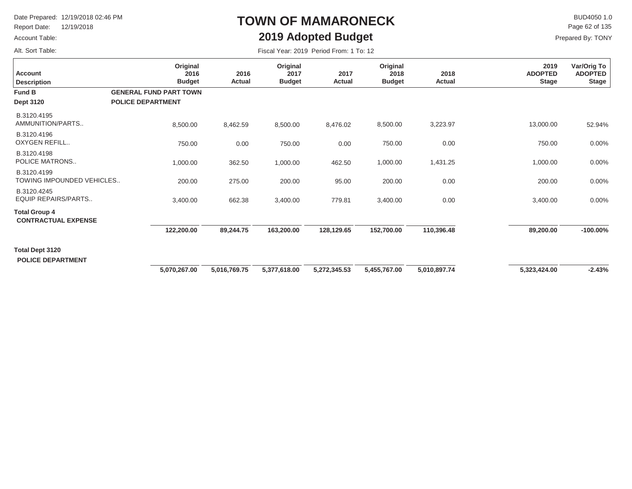Report Date: 12/19/2018

### Account Table:

Alt. Sort Table:

## **TOWN OF MAMARONECK2019 Adopted Budget**

 $\mathsf{BUD4050}\,1.0$ Page 62 of 135

| Fiscal Year: 2019 Period From: 1 To: 12 |  |  |  |  |
|-----------------------------------------|--|--|--|--|
|-----------------------------------------|--|--|--|--|

| <b>Account</b><br><b>Description</b>               | Original<br>2016<br><b>Budget</b>                         | 2016<br>Actual | Original<br>2017<br><b>Budget</b> | 2017<br>Actual | Original<br>2018<br><b>Budget</b> | 2018<br>Actual | 2019<br><b>ADOPTED</b><br><b>Stage</b> | Var/Orig To<br><b>ADOPTED</b><br><b>Stage</b> |
|----------------------------------------------------|-----------------------------------------------------------|----------------|-----------------------------------|----------------|-----------------------------------|----------------|----------------------------------------|-----------------------------------------------|
| Fund B<br><b>Dept 3120</b>                         | <b>GENERAL FUND PART TOWN</b><br><b>POLICE DEPARTMENT</b> |                |                                   |                |                                   |                |                                        |                                               |
| B.3120.4195<br>AMMUNITION/PARTS                    | 8,500.00                                                  | 8,462.59       | 8,500.00                          | 8,476.02       | 8,500.00                          | 3,223.97       | 13,000.00                              | 52.94%                                        |
| B.3120.4196<br>OXYGEN REFILL                       | 750.00                                                    | 0.00           | 750.00                            | 0.00           | 750.00                            | 0.00           | 750.00                                 | 0.00%                                         |
| B.3120.4198<br>POLICE MATRONS                      | 1,000.00                                                  | 362.50         | 1,000.00                          | 462.50         | 1,000.00                          | 1,431.25       | 1,000.00                               | 0.00%                                         |
| B.3120.4199<br>TOWING IMPOUNDED VEHICLES           | 200.00                                                    | 275.00         | 200.00                            | 95.00          | 200.00                            | 0.00           | 200.00                                 | 0.00%                                         |
| B.3120.4245<br>EQUIP REPAIRS/PARTS                 | 3,400.00                                                  | 662.38         | 3,400.00                          | 779.81         | 3,400.00                          | 0.00           | 3,400.00                               | 0.00%                                         |
| <b>Total Group 4</b><br><b>CONTRACTUAL EXPENSE</b> |                                                           |                |                                   |                |                                   |                |                                        |                                               |
|                                                    | 122,200.00                                                | 89,244.75      | 163,200.00                        | 128,129.65     | 152,700.00                        | 110,396.48     | 89,200.00                              | $-100.00\%$                                   |
| Total Dept 3120<br><b>POLICE DEPARTMENT</b>        |                                                           |                |                                   |                |                                   |                |                                        |                                               |
|                                                    | 5,070,267.00                                              | 5,016,769.75   | 5,377,618.00                      | 5,272,345.53   | 5,455,767.00                      | 5,010,897.74   | 5,323,424.00                           | $-2.43%$                                      |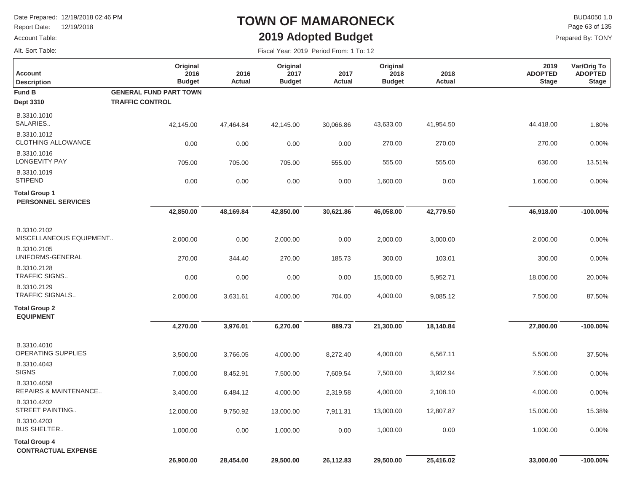Report Date: 12/19/2018

#### Account Table:

Alt. Sort Table:

## **TOWN OF MAMARONECK2019 Adopted Budget**

 $\mathsf{BUD4050}\,1.0$ Page 63 of 135

| <b>Account</b><br><b>Description</b>               | Original<br>2016<br><b>Budget</b> | 2016<br><b>Actual</b> | Original<br>2017<br><b>Budget</b> | 2017<br>Actual | Original<br>2018<br><b>Budget</b> | 2018<br>Actual | 2019<br><b>ADOPTED</b><br><b>Stage</b> | Var/Orig To<br><b>ADOPTED</b><br><b>Stage</b> |
|----------------------------------------------------|-----------------------------------|-----------------------|-----------------------------------|----------------|-----------------------------------|----------------|----------------------------------------|-----------------------------------------------|
| <b>Fund B</b>                                      | <b>GENERAL FUND PART TOWN</b>     |                       |                                   |                |                                   |                |                                        |                                               |
| <b>Dept 3310</b>                                   | <b>TRAFFIC CONTROL</b>            |                       |                                   |                |                                   |                |                                        |                                               |
| B.3310.1010<br>SALARIES                            | 42,145.00                         | 47,464.84             | 42,145.00                         | 30,066.86      | 43,633.00                         | 41,954.50      | 44,418.00                              | 1.80%                                         |
| B.3310.1012<br><b>CLOTHING ALLOWANCE</b>           | 0.00                              | 0.00                  | 0.00                              | 0.00           | 270.00                            | 270.00         | 270.00                                 | 0.00%                                         |
| B.3310.1016<br><b>LONGEVITY PAY</b>                | 705.00                            | 705.00                | 705.00                            | 555.00         | 555.00                            | 555.00         | 630.00                                 | 13.51%                                        |
| B.3310.1019<br><b>STIPEND</b>                      | 0.00                              | 0.00                  | 0.00                              | 0.00           | 1,600.00                          | 0.00           | 1,600.00                               | 0.00%                                         |
| <b>Total Group 1</b><br><b>PERSONNEL SERVICES</b>  |                                   |                       |                                   |                |                                   |                |                                        |                                               |
|                                                    | 42,850.00                         | 48,169.84             | 42,850.00                         | 30,621.86      | 46,058.00                         | 42,779.50      | 46,918.00                              | $-100.00%$                                    |
| B.3310.2102<br>MISCELLANEOUS EQUIPMENT             | 2,000.00                          | 0.00                  | 2,000.00                          | 0.00           | 2,000.00                          | 3,000.00       | 2,000.00                               | 0.00%                                         |
| B.3310.2105<br>UNIFORMS-GENERAL                    | 270.00                            | 344.40                | 270.00                            | 185.73         | 300.00                            | 103.01         | 300.00                                 | 0.00%                                         |
| B.3310.2128<br><b>TRAFFIC SIGNS</b>                | 0.00                              | 0.00                  | 0.00                              | 0.00           | 15,000.00                         | 5,952.71       | 18,000.00                              | 20.00%                                        |
| B.3310.2129<br>TRAFFIC SIGNALS                     | 2,000.00                          | 3,631.61              | 4,000.00                          | 704.00         | 4,000.00                          | 9,085.12       | 7,500.00                               | 87.50%                                        |
| <b>Total Group 2</b><br><b>EQUIPMENT</b>           |                                   |                       |                                   |                |                                   |                |                                        |                                               |
|                                                    | 4,270.00                          | 3,976.01              | 6,270.00                          | 889.73         | 21,300.00                         | 18,140.84      | 27,800.00                              | $-100.00\%$                                   |
| B.3310.4010<br>OPERATING SUPPLIES                  | 3,500.00                          | 3,766.05              | 4,000.00                          | 8,272.40       | 4,000.00                          | 6,567.11       | 5,500.00                               | 37.50%                                        |
| B.3310.4043<br><b>SIGNS</b>                        | 7,000.00                          | 8,452.91              | 7,500.00                          | 7,609.54       | 7,500.00                          | 3,932.94       | 7,500.00                               | 0.00%                                         |
| B.3310.4058<br>REPAIRS & MAINTENANCE               | 3,400.00                          | 6,484.12              | 4,000.00                          | 2,319.58       | 4,000.00                          | 2,108.10       | 4,000.00                               | 0.00%                                         |
| B.3310.4202<br>STREET PAINTING                     | 12,000.00                         | 9,750.92              | 13,000.00                         | 7,911.31       | 13,000.00                         | 12,807.87      | 15,000.00                              | 15.38%                                        |
| B.3310.4203<br><b>BUS SHELTER</b>                  | 1,000.00                          | 0.00                  | 1,000.00                          | 0.00           | 1,000.00                          | 0.00           | 1,000.00                               | 0.00%                                         |
| <b>Total Group 4</b><br><b>CONTRACTUAL EXPENSE</b> |                                   |                       |                                   |                |                                   |                |                                        |                                               |
|                                                    | 26,900.00                         | 28,454.00             | 29,500.00                         | 26,112.83      | 29,500.00                         | 25,416.02      | 33,000.00                              | $-100.00\%$                                   |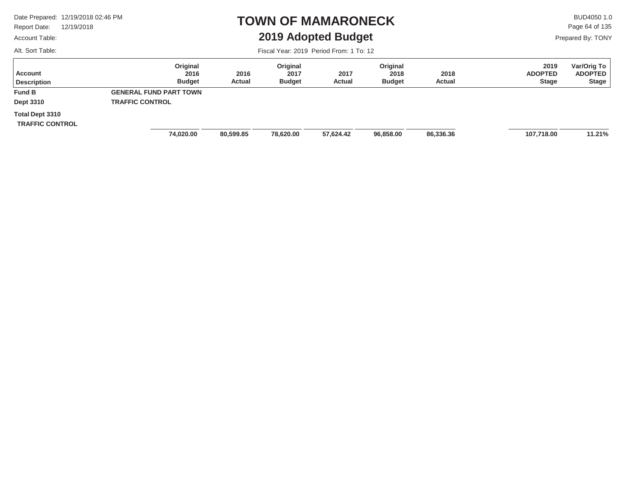Report Date: 12/19/2018

### Account Table:

Alt. Sort Table:

### **TOWN OF MAMARONECK2019 Adopted Budget**

 $\mathsf{BUD4050}\,1.0$ Page 64 of 135

Prepared By: TONY

| Account<br><b>Description</b>                    | Original<br>2016<br><b>Budget</b> | 2016<br>Actual | Original<br>2017<br><b>Budget</b> | 2017<br>Actual | Original<br>2018<br><b>Budget</b> | 2018<br>Actual | 2019<br><b>ADOPTED</b><br><b>Stage</b> | Var/Orig To<br><b>ADOPTED</b><br><b>Stage</b> |
|--------------------------------------------------|-----------------------------------|----------------|-----------------------------------|----------------|-----------------------------------|----------------|----------------------------------------|-----------------------------------------------|
| <b>Fund B</b>                                    | <b>GENERAL FUND PART TOWN</b>     |                |                                   |                |                                   |                |                                        |                                               |
| Dept 3310                                        | <b>TRAFFIC CONTROL</b>            |                |                                   |                |                                   |                |                                        |                                               |
| <b>Total Dept 3310</b><br><b>TRAFFIC CONTROL</b> |                                   |                |                                   |                |                                   |                |                                        |                                               |
|                                                  | 74,020.00                         | 80,599.85      | 78,620.00                         | 57,624.42      | 96,858.00                         | 86,336.36      | 107,718.00                             | 11.21%                                        |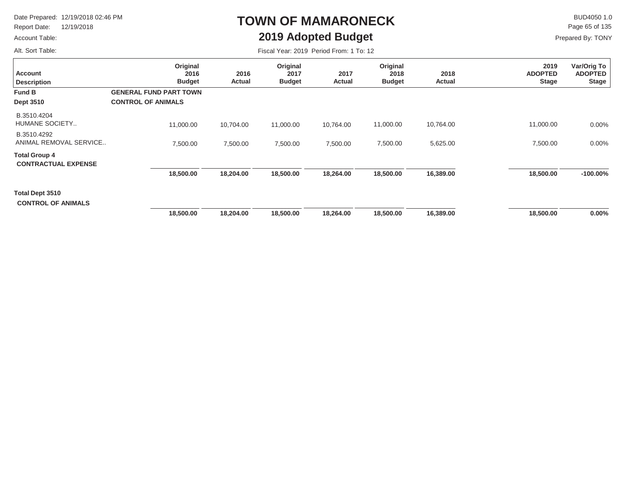Report Date: 12/19/2018

### Account Table:

Alt. Sort Table:

# **TOWN OF MAMARONECK2019 Adopted Budget**

 $\mathsf{BUD4050}\,1.0$ Page 65 of 135

| Fiscal Year: 2019 Period From: 1 To: 12 |  |
|-----------------------------------------|--|
|-----------------------------------------|--|

| <b>Account</b><br><b>Description</b>               | Original<br>2016<br><b>Budget</b> | 2016<br>Actual | Original<br>2017<br><b>Budget</b> | 2017<br>Actual | Original<br>2018<br><b>Budget</b> | 2018<br>Actual | 2019<br><b>ADOPTED</b><br><b>Stage</b> | Var/Orig To<br><b>ADOPTED</b><br><b>Stage</b> |
|----------------------------------------------------|-----------------------------------|----------------|-----------------------------------|----------------|-----------------------------------|----------------|----------------------------------------|-----------------------------------------------|
| Fund B                                             | <b>GENERAL FUND PART TOWN</b>     |                |                                   |                |                                   |                |                                        |                                               |
| <b>Dept 3510</b>                                   | <b>CONTROL OF ANIMALS</b>         |                |                                   |                |                                   |                |                                        |                                               |
| B.3510.4204<br>HUMANE SOCIETY                      | 11,000.00                         | 10,704.00      | 11,000.00                         | 10,764.00      | 11,000.00                         | 10,764.00      | 11,000.00                              | $0.00\%$                                      |
| B.3510.4292<br>ANIMAL REMOVAL SERVICE              | 7,500.00                          | 7,500.00       | 7,500.00                          | 7,500.00       | 7,500.00                          | 5,625.00       | 7,500.00                               | $0.00\%$                                      |
| <b>Total Group 4</b><br><b>CONTRACTUAL EXPENSE</b> |                                   |                |                                   |                |                                   |                |                                        |                                               |
|                                                    | 18,500.00                         | 18,204.00      | 18,500.00                         | 18,264.00      | 18,500.00                         | 16,389.00      | 18,500.00                              | $-100.00\%$                                   |
| Total Dept 3510<br><b>CONTROL OF ANIMALS</b>       |                                   |                |                                   |                |                                   |                |                                        |                                               |
|                                                    | 18,500.00                         | 18,204.00      | 18,500.00                         | 18,264.00      | 18,500.00                         | 16,389.00      | 18,500.00                              | $0.00\%$                                      |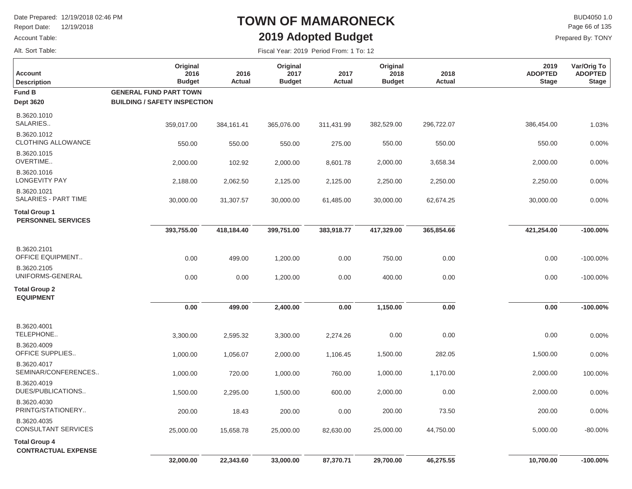Report Date: 12/19/2018

#### Account Table:

Alt. Sort Table:

## **TOWN OF MAMARONECK2019 Adopted Budget**

 $\mathsf{BUD4050}\,1.0$ Page 66 of 135

| Fiscal Year: 2019 Period From: 1 To: 12 |  |
|-----------------------------------------|--|
|-----------------------------------------|--|

| Account<br><b>Description</b>                      | Original<br>2016<br><b>Budget</b>   | 2016<br>Actual | Original<br>2017<br><b>Budget</b> | 2017<br>Actual | Original<br>2018<br><b>Budget</b> | 2018<br>Actual | 2019<br><b>ADOPTED</b><br><b>Stage</b> | Var/Orig To<br><b>ADOPTED</b><br><b>Stage</b> |
|----------------------------------------------------|-------------------------------------|----------------|-----------------------------------|----------------|-----------------------------------|----------------|----------------------------------------|-----------------------------------------------|
| Fund B                                             | <b>GENERAL FUND PART TOWN</b>       |                |                                   |                |                                   |                |                                        |                                               |
| <b>Dept 3620</b>                                   | <b>BUILDING / SAFETY INSPECTION</b> |                |                                   |                |                                   |                |                                        |                                               |
| B.3620.1010<br>SALARIES                            | 359,017.00                          | 384,161.41     | 365,076.00                        | 311,431.99     | 382,529.00                        | 296,722.07     | 386,454.00                             | 1.03%                                         |
| B.3620.1012<br><b>CLOTHING ALLOWANCE</b>           | 550.00                              | 550.00         | 550.00                            | 275.00         | 550.00                            | 550.00         | 550.00                                 | 0.00%                                         |
| B.3620.1015<br>OVERTIME                            | 2,000.00                            | 102.92         | 2,000.00                          | 8,601.78       | 2,000.00                          | 3,658.34       | 2,000.00                               | 0.00%                                         |
| B.3620.1016<br><b>LONGEVITY PAY</b>                | 2,188.00                            | 2,062.50       | 2,125.00                          | 2,125.00       | 2,250.00                          | 2,250.00       | 2,250.00                               | 0.00%                                         |
| B.3620.1021<br>SALARIES - PART TIME                | 30,000.00                           | 31,307.57      | 30,000.00                         | 61,485.00      | 30,000.00                         | 62,674.25      | 30,000.00                              | 0.00%                                         |
| <b>Total Group 1</b><br><b>PERSONNEL SERVICES</b>  |                                     |                |                                   |                |                                   |                |                                        |                                               |
|                                                    | 393,755.00                          | 418,184.40     | 399,751.00                        | 383,918.77     | 417,329.00                        | 365,854.66     | 421,254.00                             | $-100.00\%$                                   |
| B.3620.2101<br><b>OFFICE EQUIPMENT</b>             | 0.00                                | 499.00         | 1,200.00                          | 0.00           | 750.00                            | 0.00           | 0.00                                   | $-100.00\%$                                   |
| B.3620.2105<br>UNIFORMS-GENERAL                    | 0.00                                | 0.00           | 1,200.00                          | 0.00           | 400.00                            | 0.00           | 0.00                                   | $-100.00\%$                                   |
| <b>Total Group 2</b><br><b>EQUIPMENT</b>           |                                     |                |                                   |                |                                   |                |                                        |                                               |
|                                                    | 0.00                                | 499.00         | 2,400.00                          | 0.00           | 1,150.00                          | 0.00           | 0.00                                   | $-100.00\%$                                   |
| B.3620.4001<br>TELEPHONE                           | 3,300.00                            | 2,595.32       | 3,300.00                          | 2,274.26       | 0.00                              | 0.00           | 0.00                                   | 0.00%                                         |
| B.3620.4009<br>OFFICE SUPPLIES                     | 1,000.00                            | 1,056.07       | 2,000.00                          | 1,106.45       | 1,500.00                          | 282.05         | 1,500.00                               | 0.00%                                         |
| B.3620.4017<br>SEMINAR/CONFERENCES                 | 1,000.00                            | 720.00         | 1,000.00                          | 760.00         | 1,000.00                          | 1,170.00       | 2,000.00                               | 100.00%                                       |
| B.3620.4019<br>DUES/PUBLICATIONS                   | 1,500.00                            | 2,295.00       | 1,500.00                          | 600.00         | 2,000.00                          | 0.00           | 2,000.00                               | 0.00%                                         |
| B.3620.4030<br>PRINTG/STATIONERY                   | 200.00                              | 18.43          | 200.00                            | 0.00           | 200.00                            | 73.50          | 200.00                                 | 0.00%                                         |
| B.3620.4035<br>CONSULTANT SERVICES                 | 25,000.00                           | 15,658.78      | 25,000.00                         | 82,630.00      | 25,000.00                         | 44,750.00      | 5,000.00                               | $-80.00\%$                                    |
| <b>Total Group 4</b><br><b>CONTRACTUAL EXPENSE</b> |                                     |                |                                   |                |                                   |                |                                        |                                               |
|                                                    | 32,000.00                           | 22,343.60      | 33,000.00                         | 87,370.71      | 29,700.00                         | 46,275.55      | 10,700.00                              | $-100.00\%$                                   |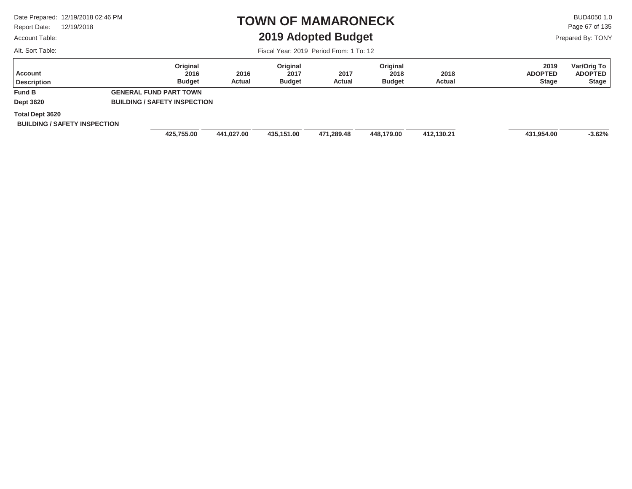Report Date: 12/19/2018

### Account Table:

Alt. Sort Table:

### **TOWN OF MAMARONECK2019 Adopted Budget**

 $\mathsf{BUD4050}\,1.0$ Page 67 of 135

Prepared By: TONY

| Account<br><b>Description</b>                                 | Original<br>2016<br><b>Budget</b>   | 2016<br>Actual | Original<br>2017<br><b>Budget</b> | 2017<br>Actual | Original<br>2018<br><b>Budget</b> | 2018<br>Actual | 2019<br><b>ADOPTED</b><br><b>Stage</b> | Var/Orig To<br><b>ADOPTED</b><br><b>Stage</b> |
|---------------------------------------------------------------|-------------------------------------|----------------|-----------------------------------|----------------|-----------------------------------|----------------|----------------------------------------|-----------------------------------------------|
| <b>Fund B</b>                                                 | <b>GENERAL FUND PART TOWN</b>       |                |                                   |                |                                   |                |                                        |                                               |
| <b>Dept 3620</b>                                              | <b>BUILDING / SAFETY INSPECTION</b> |                |                                   |                |                                   |                |                                        |                                               |
| <b>Total Dept 3620</b><br><b>BUILDING / SAFETY INSPECTION</b> |                                     |                |                                   |                |                                   |                |                                        |                                               |
|                                                               | 425,755.00                          | 441,027.00     | 435,151.00                        | 471,289.48     | 448,179.00                        | 412,130.21     | 431,954.00                             | $-3.62%$                                      |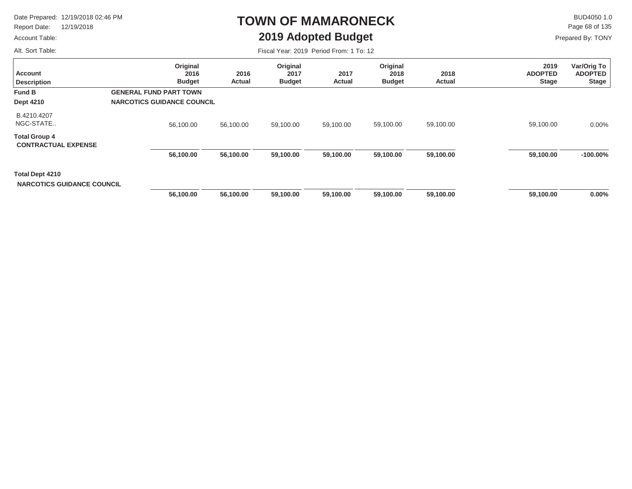Report Date: 12/19/2018

### Account Table:

Alt. Sort Table:

## **TOWN OF MAMARONECK2019 Adopted Budget**

 $\mathsf{BUD4050}\,1.0$ Page 68 of 135

|  | Fiscal Year: 2019 Period From: 1 To: 12 |  |  |  |  |
|--|-----------------------------------------|--|--|--|--|
|--|-----------------------------------------|--|--|--|--|

| Account<br><b>Description</b>                        | Original<br>2016<br><b>Budget</b> | 2016<br>Actual | Original<br>2017<br><b>Budget</b> | 2017<br><b>Actual</b> | Original<br>2018<br><b>Budget</b> | 2018<br>Actual | 2019<br><b>ADOPTED</b><br><b>Stage</b> | Var/Orig To<br>ADOPTED<br><b>Stage</b> |
|------------------------------------------------------|-----------------------------------|----------------|-----------------------------------|-----------------------|-----------------------------------|----------------|----------------------------------------|----------------------------------------|
| <b>Fund B</b>                                        | <b>GENERAL FUND PART TOWN</b>     |                |                                   |                       |                                   |                |                                        |                                        |
| <b>Dept 4210</b>                                     | <b>NARCOTICS GUIDANCE COUNCIL</b> |                |                                   |                       |                                   |                |                                        |                                        |
| B.4210.4207<br>NGC-STATE                             | 56,100.00                         | 56,100.00      | 59,100.00                         | 59,100.00             | 59,100.00                         | 59,100.00      | 59,100.00                              | $0.00\%$                               |
| <b>Total Group 4</b><br><b>CONTRACTUAL EXPENSE</b>   |                                   |                |                                   |                       |                                   |                |                                        |                                        |
|                                                      | 56,100.00                         | 56,100.00      | 59,100.00                         | 59,100.00             | 59,100.00                         | 59,100.00      | 59,100.00                              | $-100.00\%$                            |
| Total Dept 4210<br><b>NARCOTICS GUIDANCE COUNCIL</b> |                                   |                |                                   |                       |                                   |                |                                        | $0.00\%$                               |
|                                                      | 56,100.00                         | 56,100.00      | 59,100.00                         | 59,100.00             | 59,100.00                         | 59,100.00      | 59,100.00                              |                                        |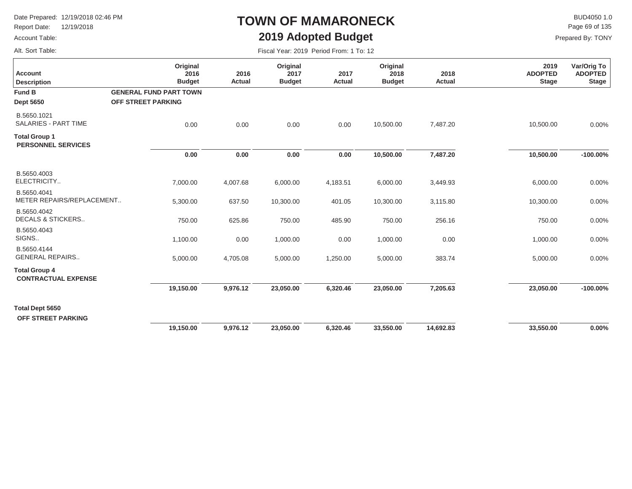Report Date: 12/19/2018

### Account Table:

Alt. Sort Table:

## **TOWN OF MAMARONECK2019 Adopted Budget**

 $\mathsf{BUD4050}\,1.0$ Page 69 of 135

| Fiscal Year: 2019 Period From: 1 To: 12 |  |  |
|-----------------------------------------|--|--|
|-----------------------------------------|--|--|

| <b>Account</b><br><b>Description</b>               | Original<br>2016<br><b>Budget</b>                   | 2016<br>Actual | Original<br>2017<br><b>Budget</b> | 2017<br><b>Actual</b> | Original<br>2018<br><b>Budget</b> | 2018<br>Actual | 2019<br><b>ADOPTED</b><br><b>Stage</b> | Var/Orig To<br><b>ADOPTED</b><br><b>Stage</b> |
|----------------------------------------------------|-----------------------------------------------------|----------------|-----------------------------------|-----------------------|-----------------------------------|----------------|----------------------------------------|-----------------------------------------------|
| <b>Fund B</b><br><b>Dept 5650</b>                  | <b>GENERAL FUND PART TOWN</b><br>OFF STREET PARKING |                |                                   |                       |                                   |                |                                        |                                               |
| B.5650.1021<br><b>SALARIES - PART TIME</b>         | 0.00                                                | 0.00           | 0.00                              | 0.00                  | 10,500.00                         | 7,487.20       | 10,500.00                              | 0.00%                                         |
| <b>Total Group 1</b><br><b>PERSONNEL SERVICES</b>  |                                                     |                |                                   |                       |                                   |                |                                        |                                               |
|                                                    | 0.00                                                | 0.00           | 0.00                              | 0.00                  | 10,500.00                         | 7,487.20       | 10,500.00                              | $-100.00\%$                                   |
| B.5650.4003<br>ELECTRICITY                         | 7,000.00                                            | 4,007.68       | 6,000.00                          | 4,183.51              | 6,000.00                          | 3,449.93       | 6,000.00                               | 0.00%                                         |
| B.5650.4041<br>METER REPAIRS/REPLACEMENT           | 5,300.00                                            | 637.50         | 10,300.00                         | 401.05                | 10,300.00                         | 3,115.80       | 10,300.00                              | 0.00%                                         |
| B.5650.4042<br><b>DECALS &amp; STICKERS</b>        | 750.00                                              | 625.86         | 750.00                            | 485.90                | 750.00                            | 256.16         | 750.00                                 | 0.00%                                         |
| B.5650.4043<br>SIGNS                               | 1,100.00                                            | 0.00           | 1,000.00                          | 0.00                  | 1,000.00                          | 0.00           | 1,000.00                               | 0.00%                                         |
| B.5650.4144<br><b>GENERAL REPAIRS</b>              | 5,000.00                                            | 4,705.08       | 5,000.00                          | 1,250.00              | 5,000.00                          | 383.74         | 5,000.00                               | 0.00%                                         |
| <b>Total Group 4</b><br><b>CONTRACTUAL EXPENSE</b> |                                                     |                |                                   |                       |                                   |                |                                        |                                               |
|                                                    | 19,150.00                                           | 9,976.12       | 23,050.00                         | 6,320.46              | 23,050.00                         | 7,205.63       | 23,050.00                              | $-100.00\%$                                   |
| <b>Total Dept 5650</b><br>OFF STREET PARKING       |                                                     |                |                                   |                       |                                   |                |                                        |                                               |
|                                                    | 19,150.00                                           | 9,976.12       | 23,050.00                         | 6,320.46              | 33,550.00                         | 14,692.83      | 33,550.00                              | 0.00%                                         |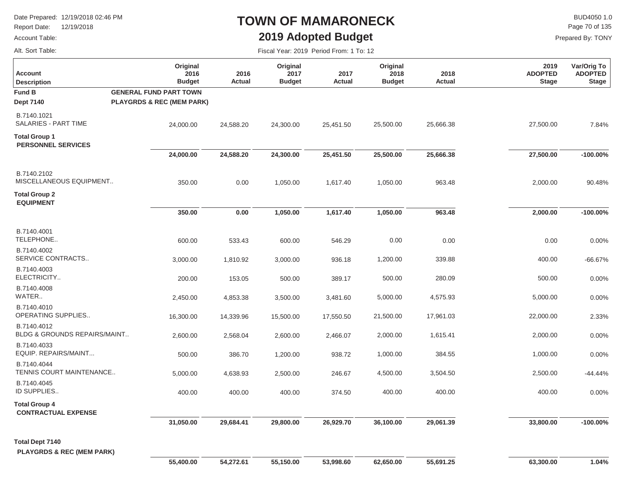Report Date: 12/19/2018

### Account Table:

Alt. Sort Table:

## **TOWN OF MAMARONECK2019 Adopted Budget**

 $\mathsf{BUD4050 1.0}$ Page 70 of 135

| Fiscal Year: 2019 Period From: 1 To: 12 |  |  |  |  |
|-----------------------------------------|--|--|--|--|
|-----------------------------------------|--|--|--|--|

| <b>Account</b><br><b>Description</b>                           | Original<br>2016<br><b>Budget</b>    | 2016<br>Actual | Original<br>2017<br><b>Budget</b> | 2017<br><b>Actual</b> | Original<br>2018<br><b>Budget</b> | 2018<br>Actual | 2019<br><b>ADOPTED</b><br><b>Stage</b> | Var/Orig To<br><b>ADOPTED</b><br><b>Stage</b> |
|----------------------------------------------------------------|--------------------------------------|----------------|-----------------------------------|-----------------------|-----------------------------------|----------------|----------------------------------------|-----------------------------------------------|
| <b>Fund B</b>                                                  | <b>GENERAL FUND PART TOWN</b>        |                |                                   |                       |                                   |                |                                        |                                               |
| <b>Dept 7140</b>                                               | <b>PLAYGRDS &amp; REC (MEM PARK)</b> |                |                                   |                       |                                   |                |                                        |                                               |
| B.7140.1021<br>SALARIES - PART TIME                            | 24,000.00                            | 24,588.20      | 24,300.00                         | 25,451.50             | 25,500.00                         | 25,666.38      | 27,500.00                              | 7.84%                                         |
| <b>Total Group 1</b><br><b>PERSONNEL SERVICES</b>              |                                      |                |                                   |                       |                                   |                |                                        |                                               |
|                                                                | 24,000.00                            | 24,588.20      | 24,300.00                         | 25,451.50             | 25,500.00                         | 25,666.38      | 27,500.00                              | $-100.00\%$                                   |
| B.7140.2102<br>MISCELLANEOUS EQUIPMENT                         | 350.00                               | 0.00           | 1,050.00                          | 1,617.40              | 1,050.00                          | 963.48         | 2,000.00                               | 90.48%                                        |
| <b>Total Group 2</b><br><b>EQUIPMENT</b>                       |                                      |                |                                   |                       |                                   |                |                                        |                                               |
|                                                                | 350.00                               | 0.00           | 1,050.00                          | 1,617.40              | 1,050.00                          | 963.48         | 2,000.00                               | $-100.00\%$                                   |
| B.7140.4001<br>TELEPHONE                                       | 600.00                               | 533.43         | 600.00                            | 546.29                | 0.00                              | 0.00           | 0.00                                   | 0.00%                                         |
| B.7140.4002<br>SERVICE CONTRACTS                               | 3,000.00                             | 1,810.92       | 3,000.00                          | 936.18                | 1,200.00                          | 339.88         | 400.00                                 | $-66.67%$                                     |
| B.7140.4003<br>ELECTRICITY                                     | 200.00                               | 153.05         | 500.00                            | 389.17                | 500.00                            | 280.09         | 500.00                                 | 0.00%                                         |
| B.7140.4008<br>WATER                                           | 2,450.00                             | 4,853.38       | 3,500.00                          | 3,481.60              | 5,000.00                          | 4,575.93       | 5,000.00                               | 0.00%                                         |
| B.7140.4010<br>OPERATING SUPPLIES                              | 16,300.00                            | 14,339.96      | 15,500.00                         | 17,550.50             | 21,500.00                         | 17,961.03      | 22,000.00                              | 2.33%                                         |
| B.7140.4012<br>BLDG & GROUNDS REPAIRS/MAINT                    | 2,600.00                             | 2,568.04       | 2,600.00                          | 2,466.07              | 2,000.00                          | 1,615.41       | 2,000.00                               | 0.00%                                         |
| B.7140.4033<br>EQUIP. REPAIRS/MAINT                            | 500.00                               | 386.70         | 1,200.00                          | 938.72                | 1,000.00                          | 384.55         | 1,000.00                               | 0.00%                                         |
| B.7140.4044<br>TENNIS COURT MAINTENANCE                        | 5,000.00                             | 4,638.93       | 2,500.00                          | 246.67                | 4,500.00                          | 3,504.50       | 2,500.00                               | $-44.44%$                                     |
| B.7140.4045<br>ID SUPPLIES                                     | 400.00                               | 400.00         | 400.00                            | 374.50                | 400.00                            | 400.00         | 400.00                                 | 0.00%                                         |
| <b>Total Group 4</b><br><b>CONTRACTUAL EXPENSE</b>             |                                      |                |                                   |                       |                                   |                |                                        |                                               |
|                                                                | 31,050.00                            | 29,684.41      | 29,800.00                         | 26,929.70             | 36,100.00                         | 29,061.39      | 33,800.00                              | $-100.00\%$                                   |
| <b>Total Dept 7140</b><br><b>PLAYGRDS &amp; REC (MEM PARK)</b> | 55,400.00                            | 54,272.61      | 55,150.00                         | 53,998.60             | 62,650.00                         | 55,691.25      | 63,300.00                              | 1.04%                                         |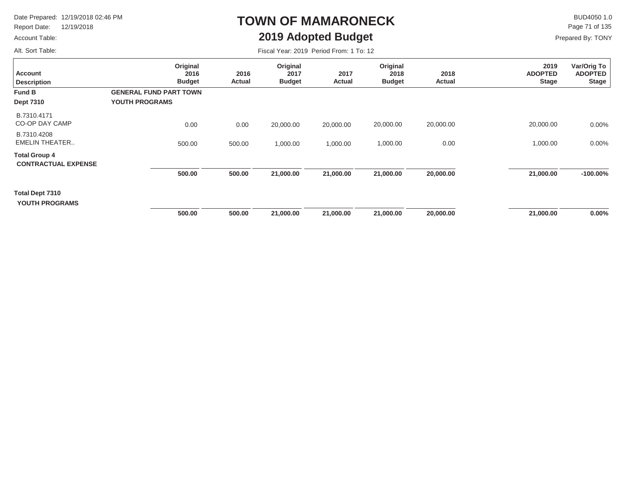Report Date: 12/19/2018

#### Account Table:

Alt. Sort Table:

# **TOWN OF MAMARONECK2019 Adopted Budget**

 $\mathsf{BUD4050 1.0}$ Page 71 of 135

| Fiscal Year: 2019 Period From: 1 To: 12 |  |  |  |  |
|-----------------------------------------|--|--|--|--|
|-----------------------------------------|--|--|--|--|

| <b>Account</b><br><b>Description</b>               | Original<br>2016<br><b>Budget</b> | 2016<br><b>Actual</b> | Original<br>2017<br><b>Budget</b> | 2017<br><b>Actual</b> | Original<br>2018<br><b>Budget</b> | 2018<br>Actual | 2019<br><b>ADOPTED</b><br><b>Stage</b> | Var/Orig To<br><b>ADOPTED</b><br><b>Stage</b> |
|----------------------------------------------------|-----------------------------------|-----------------------|-----------------------------------|-----------------------|-----------------------------------|----------------|----------------------------------------|-----------------------------------------------|
| <b>Fund B</b>                                      | <b>GENERAL FUND PART TOWN</b>     |                       |                                   |                       |                                   |                |                                        |                                               |
| <b>Dept 7310</b>                                   | YOUTH PROGRAMS                    |                       |                                   |                       |                                   |                |                                        |                                               |
| B.7310.4171<br><b>CO-OP DAY CAMP</b>               | 0.00                              | 0.00                  | 20,000.00                         | 20,000.00             | 20,000.00                         | 20,000.00      | 20,000.00                              | 0.00%                                         |
| B.7310.4208<br><b>EMELIN THEATER</b>               | 500.00                            | 500.00                | 1,000.00                          | 1,000.00              | 1,000.00                          | 0.00           | 1,000.00                               | $0.00\%$                                      |
| <b>Total Group 4</b><br><b>CONTRACTUAL EXPENSE</b> |                                   |                       |                                   |                       |                                   |                |                                        |                                               |
|                                                    | 500.00                            | 500.00                | 21,000.00                         | 21,000.00             | 21,000.00                         | 20,000.00      | 21,000.00                              | $-100.00\%$                                   |
| Total Dept 7310<br><b>YOUTH PROGRAMS</b>           |                                   |                       |                                   |                       |                                   |                |                                        |                                               |
|                                                    | 500.00                            | 500.00                | 21,000.00                         | 21,000.00             | 21,000.00                         | 20,000.00      | 21,000.00                              | $0.00\%$                                      |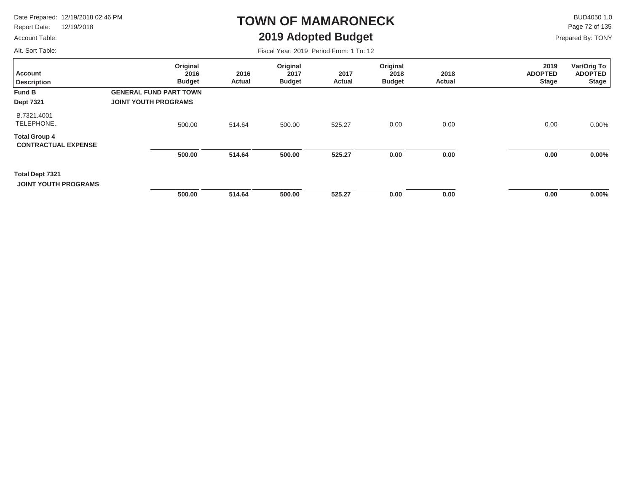Report Date: 12/19/2018

### Account Table:

### **TOWN OF MAMARONECK2019 Adopted Budget**

 $\mathsf{BUD4050 1.0}$ Page 72 of 135

Prepared By: TONY

Alt. Sort Table:

| Alt. Sort Table:                                   |                                                              |                | Fiscal Year: 2019 Period From: 1 To: 12 |                |                                   |                |                                        |                                               |
|----------------------------------------------------|--------------------------------------------------------------|----------------|-----------------------------------------|----------------|-----------------------------------|----------------|----------------------------------------|-----------------------------------------------|
| <b>Account</b><br><b>Description</b>               | Original<br>2016<br><b>Budget</b>                            | 2016<br>Actual | Original<br>2017<br><b>Budget</b>       | 2017<br>Actual | Original<br>2018<br><b>Budget</b> | 2018<br>Actual | 2019<br><b>ADOPTED</b><br><b>Stage</b> | Var/Orig To<br><b>ADOPTED</b><br><b>Stage</b> |
| <b>Fund B</b><br><b>Dept 7321</b>                  | <b>GENERAL FUND PART TOWN</b><br><b>JOINT YOUTH PROGRAMS</b> |                |                                         |                |                                   |                |                                        |                                               |
| B.7321.4001<br>TELEPHONE                           | 500.00                                                       | 514.64         | 500.00                                  | 525.27         | 0.00                              | 0.00           | 0.00                                   | $0.00\%$                                      |
| <b>Total Group 4</b><br><b>CONTRACTUAL EXPENSE</b> |                                                              |                |                                         |                |                                   |                |                                        |                                               |
|                                                    | 500.00                                                       | 514.64         | 500.00                                  | 525.27         | 0.00                              | 0.00           | 0.00                                   | $0.00\%$                                      |
| Total Dept 7321<br><b>JOINT YOUTH PROGRAMS</b>     |                                                              |                |                                         |                |                                   |                |                                        |                                               |
|                                                    | 500.00                                                       | 514.64         | 500.00                                  | 525.27         | 0.00                              | 0.00           | 0.00                                   | $0.00\%$                                      |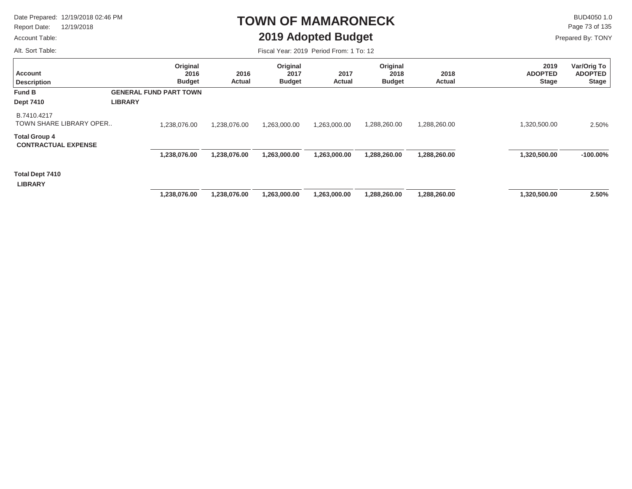Report Date: 12/19/2018

#### Account Table:

Alt. Sort Table:

### **TOWN OF MAMARONECK2019 Adopted Budget**

 $\mathsf{BUD4050 1.0}$ Prepared By: TONY Page 73 of 135

| <b>Account</b><br><b>Description</b>               |                | Original<br>2016<br><b>Budget</b> | 2016<br>Actual | Original<br>2017<br><b>Budget</b> | 2017<br>Actual | Original<br>2018<br><b>Budget</b> | 2018<br><b>Actual</b> | 2019<br><b>ADOPTED</b><br><b>Stage</b> | Var/Orig To<br><b>ADOPTED</b><br><b>Stage</b> |
|----------------------------------------------------|----------------|-----------------------------------|----------------|-----------------------------------|----------------|-----------------------------------|-----------------------|----------------------------------------|-----------------------------------------------|
| <b>Fund B</b>                                      |                | <b>GENERAL FUND PART TOWN</b>     |                |                                   |                |                                   |                       |                                        |                                               |
| <b>Dept 7410</b>                                   | <b>LIBRARY</b> |                                   |                |                                   |                |                                   |                       |                                        |                                               |
| B.7410.4217<br>TOWN SHARE LIBRARY OPER             |                | 1,238,076.00                      | 1,238,076.00   | 1,263,000.00                      | 1,263,000.00   | 1,288,260.00                      | 1,288,260.00          | 1,320,500.00                           | 2.50%                                         |
| <b>Total Group 4</b><br><b>CONTRACTUAL EXPENSE</b> |                |                                   |                |                                   |                |                                   |                       |                                        |                                               |
|                                                    |                | 1,238,076.00                      | 1,238,076.00   | 1,263,000.00                      | 1,263,000.00   | 1,288,260.00                      | 1,288,260.00          | 1,320,500.00                           | $-100.00\%$                                   |
| <b>Total Dept 7410</b><br><b>LIBRARY</b>           |                |                                   |                |                                   |                |                                   |                       |                                        |                                               |
|                                                    |                | 1,238,076.00                      | 1,238,076.00   | 1,263,000.00                      | 1,263,000.00   | 1,288,260.00                      | 1,288,260.00          | 1,320,500.00                           | 2.50%                                         |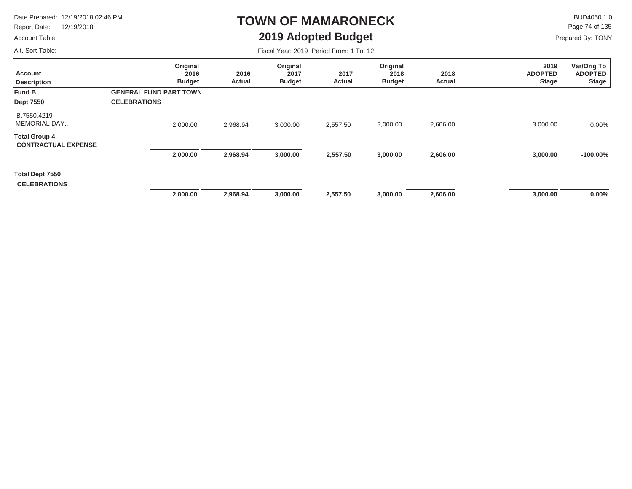Report Date: 12/19/2018

### Account Table:

Alt. Sort Table:

### **TOWN OF MAMARONECK2019 Adopted Budget**

 $\mathsf{BUD4050 1.0}$ Page 74 of 135

Prepared By: TONY

| <b>Account</b><br><b>Description</b>               | Original<br>2016<br><b>Budget</b>                    | 2016<br>Actual | Original<br>2017<br><b>Budget</b> | 2017<br>Actual | Original<br>2018<br><b>Budget</b> | 2018<br>Actual | 2019<br><b>ADOPTED</b><br><b>Stage</b> | Var/Orig To<br><b>ADOPTED</b><br><b>Stage</b> |
|----------------------------------------------------|------------------------------------------------------|----------------|-----------------------------------|----------------|-----------------------------------|----------------|----------------------------------------|-----------------------------------------------|
| <b>Fund B</b><br><b>Dept 7550</b>                  | <b>GENERAL FUND PART TOWN</b><br><b>CELEBRATIONS</b> |                |                                   |                |                                   |                |                                        |                                               |
| B.7550.4219<br><b>MEMORIAL DAY</b>                 | 2,000.00                                             | 2,968.94       | 3,000.00                          | 2,557.50       | 3,000.00                          | 2,606.00       | 3,000.00                               | 0.00%                                         |
| <b>Total Group 4</b><br><b>CONTRACTUAL EXPENSE</b> |                                                      |                |                                   |                |                                   |                |                                        |                                               |
|                                                    | 2,000.00                                             | 2,968.94       | 3,000.00                          | 2,557.50       | 3,000.00                          | 2,606.00       | 3,000.00                               | $-100.00%$                                    |
| Total Dept 7550<br><b>CELEBRATIONS</b>             |                                                      |                |                                   |                |                                   |                |                                        |                                               |
|                                                    | 2,000.00                                             | 2,968.94       | 3,000.00                          | 2,557.50       | 3,000.00                          | 2,606.00       | 3,000.00                               | 0.00%                                         |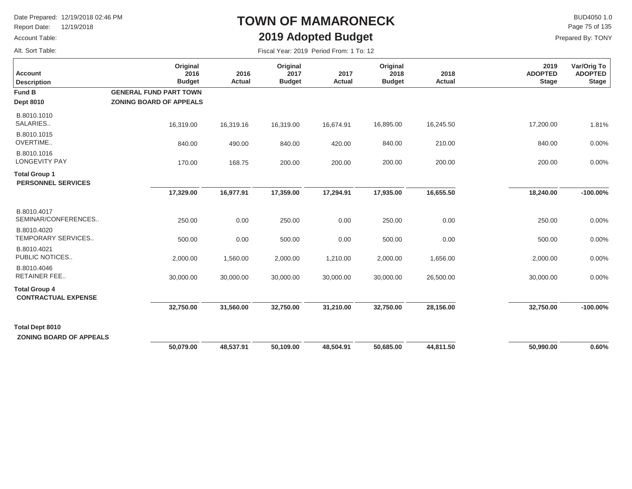Report Date: 12/19/2018

### Account Table:

Alt. Sort Table:

# **TOWN OF MAMARONECK2019 Adopted Budget**

 $\mathsf{BUD4050}\,1.0$ Page 75 of 135

| Fiscal Year: 2019 Period From: 1 To: 12 |
|-----------------------------------------|
|-----------------------------------------|

| <b>Account</b><br><b>Description</b>                     | Original<br>2016<br><b>Budget</b>                               | 2016<br><b>Actual</b> | Original<br>2017<br><b>Budget</b> | 2017<br><b>Actual</b> | Original<br>2018<br><b>Budget</b> | 2018<br><b>Actual</b> | 2019<br><b>ADOPTED</b><br><b>Stage</b> | Var/Orig To<br><b>ADOPTED</b><br><b>Stage</b> |
|----------------------------------------------------------|-----------------------------------------------------------------|-----------------------|-----------------------------------|-----------------------|-----------------------------------|-----------------------|----------------------------------------|-----------------------------------------------|
| <b>Fund B</b><br><b>Dept 8010</b>                        | <b>GENERAL FUND PART TOWN</b><br><b>ZONING BOARD OF APPEALS</b> |                       |                                   |                       |                                   |                       |                                        |                                               |
| B.8010.1010<br>SALARIES                                  | 16,319.00                                                       | 16,319.16             | 16,319.00                         | 16,674.91             | 16,895.00                         | 16,245.50             | 17,200.00                              | 1.81%                                         |
| B.8010.1015<br>OVERTIME                                  | 840.00                                                          | 490.00                | 840.00                            | 420.00                | 840.00                            | 210.00                | 840.00                                 | 0.00%                                         |
| B.8010.1016<br><b>LONGEVITY PAY</b>                      | 170.00                                                          | 168.75                | 200.00                            | 200.00                | 200.00                            | 200.00                | 200.00                                 | 0.00%                                         |
| <b>Total Group 1</b><br><b>PERSONNEL SERVICES</b>        |                                                                 |                       |                                   |                       |                                   |                       |                                        |                                               |
|                                                          | 17,329.00                                                       | 16,977.91             | 17,359.00                         | 17,294.91             | 17,935.00                         | 16,655.50             | 18,240.00                              | $-100.00\%$                                   |
| B.8010.4017<br>SEMINAR/CONFERENCES                       | 250.00                                                          | 0.00                  | 250.00                            | 0.00                  | 250.00                            | 0.00                  | 250.00                                 | 0.00%                                         |
| B.8010.4020<br>TEMPORARY SERVICES                        | 500.00                                                          | 0.00                  | 500.00                            | 0.00                  | 500.00                            | 0.00                  | 500.00                                 | 0.00%                                         |
| B.8010.4021<br>PUBLIC NOTICES                            | 2,000.00                                                        | 1,560.00              | 2,000.00                          | 1,210.00              | 2,000.00                          | 1,656.00              | 2,000.00                               | 0.00%                                         |
| B.8010.4046<br><b>RETAINER FEE</b>                       | 30,000.00                                                       | 30,000.00             | 30,000.00                         | 30,000.00             | 30,000.00                         | 26,500.00             | 30,000.00                              | 0.00%                                         |
| <b>Total Group 4</b><br><b>CONTRACTUAL EXPENSE</b>       |                                                                 |                       |                                   |                       |                                   |                       |                                        |                                               |
|                                                          | 32,750.00                                                       | 31,560.00             | 32,750.00                         | 31,210.00             | 32,750.00                         | 28,156.00             | 32,750.00                              | $-100.00\%$                                   |
| <b>Total Dept 8010</b><br><b>ZONING BOARD OF APPEALS</b> |                                                                 |                       |                                   |                       |                                   |                       |                                        |                                               |
|                                                          | 50,079.00                                                       | 48,537.91             | 50,109.00                         | 48,504.91             | 50,685.00                         | 44,811.50             | 50,990.00                              | 0.60%                                         |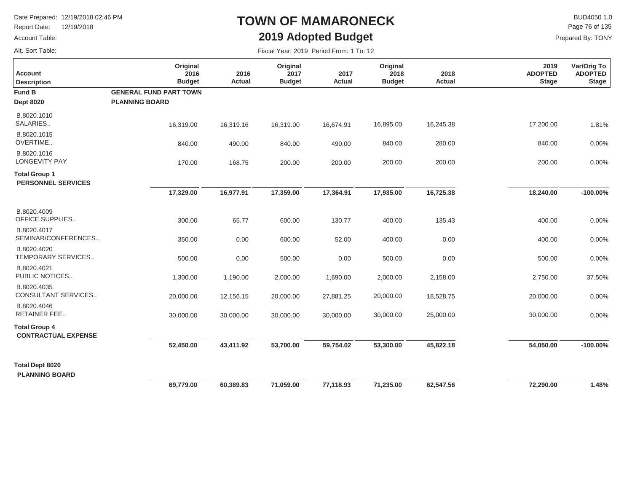Report Date: 12/19/2018

### Account Table:

Alt. Sort Table:

# **TOWN OF MAMARONECK2019 Adopted Budget**

 $\mathsf{BUD4050}\,1.0$ Page 76 of 135

| Fiscal Year: 2019 Period From: 1 To: 12 |
|-----------------------------------------|
|                                         |

| <b>Account</b><br><b>Description</b>               | Original<br>2016<br><b>Budget</b> | 2016<br><b>Actual</b> | Original<br>2017<br><b>Budget</b> | 2017<br><b>Actual</b> | Original<br>2018<br><b>Budget</b> | 2018<br><b>Actual</b> | 2019<br><b>ADOPTED</b><br><b>Stage</b> | Var/Orig To<br><b>ADOPTED</b><br><b>Stage</b> |
|----------------------------------------------------|-----------------------------------|-----------------------|-----------------------------------|-----------------------|-----------------------------------|-----------------------|----------------------------------------|-----------------------------------------------|
| <b>Fund B</b>                                      | <b>GENERAL FUND PART TOWN</b>     |                       |                                   |                       |                                   |                       |                                        |                                               |
| <b>Dept 8020</b>                                   | <b>PLANNING BOARD</b>             |                       |                                   |                       |                                   |                       |                                        |                                               |
| B.8020.1010<br>SALARIES                            | 16,319.00                         | 16,319.16             | 16,319.00                         | 16,674.91             | 16,895.00                         | 16,245.38             | 17,200.00                              | 1.81%                                         |
| B.8020.1015<br>OVERTIME                            | 840.00                            | 490.00                | 840.00                            | 490.00                | 840.00                            | 280.00                | 840.00                                 | 0.00%                                         |
| B.8020.1016<br><b>LONGEVITY PAY</b>                | 170.00                            | 168.75                | 200.00                            | 200.00                | 200.00                            | 200.00                | 200.00                                 | 0.00%                                         |
| <b>Total Group 1</b><br><b>PERSONNEL SERVICES</b>  |                                   |                       |                                   |                       |                                   |                       |                                        |                                               |
|                                                    | 17,329.00                         | 16,977.91             | 17,359.00                         | 17,364.91             | 17,935.00                         | 16,725.38             | 18,240.00                              | $-100.00\%$                                   |
| B.8020.4009<br>OFFICE SUPPLIES                     | 300.00                            | 65.77                 | 600.00                            | 130.77                | 400.00                            | 135.43                | 400.00                                 | 0.00%                                         |
| B.8020.4017<br>SEMINAR/CONFERENCES                 | 350.00                            | 0.00                  | 600.00                            | 52.00                 | 400.00                            | 0.00                  | 400.00                                 | 0.00%                                         |
| B.8020.4020<br>TEMPORARY SERVICES                  | 500.00                            | 0.00                  | 500.00                            | 0.00                  | 500.00                            | 0.00                  | 500.00                                 | 0.00%                                         |
| B.8020.4021<br>PUBLIC NOTICES                      | 1,300.00                          | 1,190.00              | 2,000.00                          | 1,690.00              | 2,000.00                          | 2,158.00              | 2,750.00                               | 37.50%                                        |
| B.8020.4035<br>CONSULTANT SERVICES                 | 20,000.00                         | 12,156.15             | 20,000.00                         | 27,881.25             | 20,000.00                         | 18,528.75             | 20,000.00                              | 0.00%                                         |
| B.8020.4046<br><b>RETAINER FEE</b>                 | 30,000.00                         | 30,000.00             | 30,000.00                         | 30,000.00             | 30,000.00                         | 25,000.00             | 30,000.00                              | 0.00%                                         |
| <b>Total Group 4</b><br><b>CONTRACTUAL EXPENSE</b> |                                   |                       |                                   |                       |                                   |                       |                                        |                                               |
|                                                    | 52,450.00                         | 43,411.92             | 53,700.00                         | 59,754.02             | 53,300.00                         | 45,822.18             | 54,050.00                              | $-100.00\%$                                   |
| <b>Total Dept 8020</b><br><b>PLANNING BOARD</b>    |                                   |                       |                                   |                       |                                   |                       |                                        |                                               |
|                                                    | 69,779.00                         | 60,389.83             | 71,059.00                         | 77,118.93             | 71,235.00                         | 62,547.56             | 72,290.00                              | 1.48%                                         |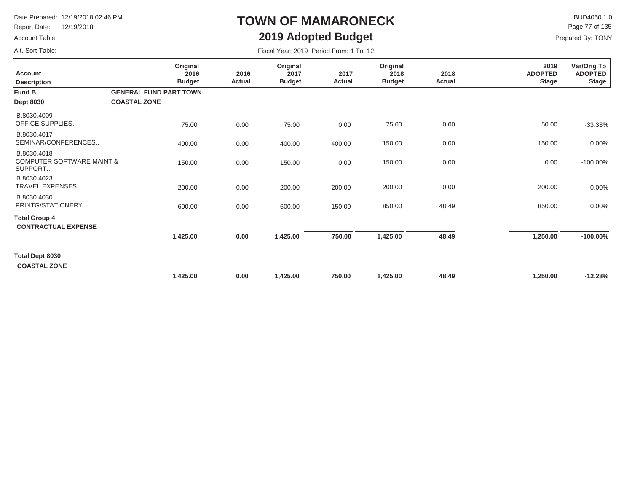Report Date: 12/19/2018

### Account Table:

Alt. Sort Table:

# **TOWN OF MAMARONECK2019 Adopted Budget**

 $\mathsf{BUD4050 1.0}$ Page 77 of 135

| Fiscal Year: 2019 Period From: 1 To: 12 |  |  |  |  |  |
|-----------------------------------------|--|--|--|--|--|
|-----------------------------------------|--|--|--|--|--|

| <b>Account</b><br><b>Description</b>                           | Original<br>2016<br><b>Budget</b> | 2016<br>Actual | Original<br>2017<br><b>Budget</b> | 2017<br>Actual | Original<br>2018<br><b>Budget</b> | 2018<br>Actual | 2019<br><b>ADOPTED</b><br><b>Stage</b> | Var/Orig To<br><b>ADOPTED</b><br><b>Stage</b> |
|----------------------------------------------------------------|-----------------------------------|----------------|-----------------------------------|----------------|-----------------------------------|----------------|----------------------------------------|-----------------------------------------------|
| Fund B                                                         | <b>GENERAL FUND PART TOWN</b>     |                |                                   |                |                                   |                |                                        |                                               |
| <b>Dept 8030</b>                                               | <b>COASTAL ZONE</b>               |                |                                   |                |                                   |                |                                        |                                               |
| B.8030.4009<br>OFFICE SUPPLIES                                 | 75.00                             | 0.00           | 75.00                             | 0.00           | 75.00                             | 0.00           | 50.00                                  | $-33.33%$                                     |
| B.8030.4017<br>SEMINAR/CONFERENCES                             | 400.00                            | 0.00           | 400.00                            | 400.00         | 150.00                            | 0.00           | 150.00                                 | 0.00%                                         |
| B.8030.4018<br><b>COMPUTER SOFTWARE MAINT &amp;</b><br>SUPPORT | 150.00                            | 0.00           | 150.00                            | 0.00           | 150.00                            | 0.00           | 0.00                                   | $-100.00\%$                                   |
| B.8030.4023<br>TRAVEL EXPENSES                                 | 200.00                            | 0.00           | 200.00                            | 200.00         | 200.00                            | 0.00           | 200.00                                 | $0.00\%$                                      |
| B.8030.4030<br>PRINTG/STATIONERY                               | 600.00                            | 0.00           | 600.00                            | 150.00         | 850.00                            | 48.49          | 850.00                                 | 0.00%                                         |
| <b>Total Group 4</b><br><b>CONTRACTUAL EXPENSE</b>             |                                   |                |                                   |                |                                   |                |                                        |                                               |
|                                                                | 1,425.00                          | 0.00           | 1,425.00                          | 750.00         | 1,425.00                          | 48.49          | 1,250.00                               | $-100.00\%$                                   |
| Total Dept 8030<br><b>COASTAL ZONE</b>                         |                                   |                |                                   |                |                                   |                |                                        |                                               |
|                                                                | 1,425.00                          | 0.00           | 1,425.00                          | 750.00         | 1,425.00                          | 48.49          | 1,250.00                               | $-12.28%$                                     |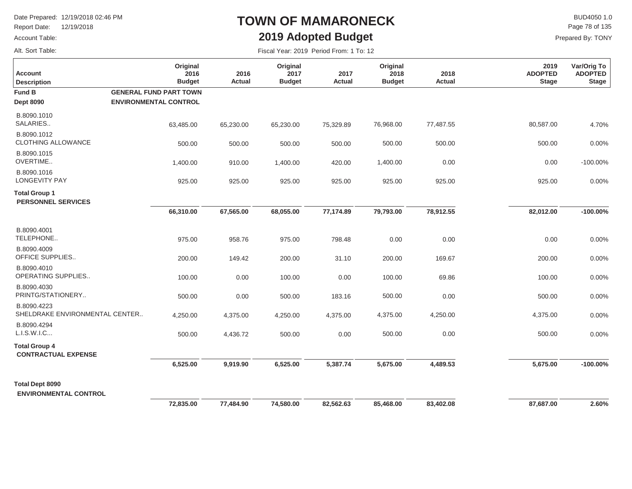Report Date: 12/19/2018

#### Account Table:

Alt. Sort Table:

# **TOWN OF MAMARONECK2019 Adopted Budget**

 $\mathsf{BUD4050}\,1.0$ Page 78 of 135

| <b>Account</b><br><b>Description</b>                   | Original<br>2016<br><b>Budget</b>                             | 2016<br>Actual | Original<br>2017<br><b>Budget</b> | 2017<br><b>Actual</b> | Original<br>2018<br><b>Budget</b> | 2018<br>Actual | 2019<br><b>ADOPTED</b><br><b>Stage</b> | Var/Orig To<br><b>ADOPTED</b><br><b>Stage</b> |
|--------------------------------------------------------|---------------------------------------------------------------|----------------|-----------------------------------|-----------------------|-----------------------------------|----------------|----------------------------------------|-----------------------------------------------|
| <b>Fund B</b><br><b>Dept 8090</b>                      | <b>GENERAL FUND PART TOWN</b><br><b>ENVIRONMENTAL CONTROL</b> |                |                                   |                       |                                   |                |                                        |                                               |
| B.8090.1010<br>SALARIES                                | 63,485.00                                                     | 65,230.00      | 65,230.00                         | 75,329.89             | 76,968.00                         | 77,487.55      | 80,587.00                              | 4.70%                                         |
| B.8090.1012<br><b>CLOTHING ALLOWANCE</b>               | 500.00                                                        | 500.00         | 500.00                            | 500.00                | 500.00                            | 500.00         | 500.00                                 | 0.00%                                         |
| B.8090.1015<br>OVERTIME                                | 1,400.00                                                      | 910.00         | 1,400.00                          | 420.00                | 1,400.00                          | 0.00           | 0.00                                   | $-100.00\%$                                   |
| B.8090.1016<br><b>LONGEVITY PAY</b>                    | 925.00                                                        | 925.00         | 925.00                            | 925.00                | 925.00                            | 925.00         | 925.00                                 | 0.00%                                         |
| <b>Total Group 1</b><br><b>PERSONNEL SERVICES</b>      |                                                               |                |                                   |                       |                                   |                |                                        |                                               |
|                                                        | 66,310.00                                                     | 67,565.00      | 68,055.00                         | 77,174.89             | 79,793.00                         | 78,912.55      | 82,012.00                              | $-100.00\%$                                   |
| B.8090.4001<br>TELEPHONE                               | 975.00                                                        | 958.76         | 975.00                            | 798.48                | 0.00                              | 0.00           | 0.00                                   | 0.00%                                         |
| B.8090.4009<br><b>OFFICE SUPPLIES</b>                  | 200.00                                                        | 149.42         | 200.00                            | 31.10                 | 200.00                            | 169.67         | 200.00                                 | 0.00%                                         |
| B.8090.4010<br>OPERATING SUPPLIES                      | 100.00                                                        | 0.00           | 100.00                            | 0.00                  | 100.00                            | 69.86          | 100.00                                 | 0.00%                                         |
| B.8090.4030<br>PRINTG/STATIONERY                       | 500.00                                                        | 0.00           | 500.00                            | 183.16                | 500.00                            | 0.00           | 500.00                                 | 0.00%                                         |
| B.8090.4223<br>SHELDRAKE ENVIRONMENTAL CENTER          | 4,250.00                                                      | 4,375.00       | 4,250.00                          | 4,375.00              | 4,375.00                          | 4,250.00       | 4,375.00                               | 0.00%                                         |
| B.8090.4294<br>L.I.S.W.I.C                             | 500.00                                                        | 4,436.72       | 500.00                            | 0.00                  | 500.00                            | 0.00           | 500.00                                 | 0.00%                                         |
| <b>Total Group 4</b><br><b>CONTRACTUAL EXPENSE</b>     |                                                               |                |                                   |                       |                                   |                |                                        |                                               |
|                                                        | 6,525.00                                                      | 9,919.90       | 6,525.00                          | 5,387.74              | 5,675.00                          | 4,489.53       | 5,675.00                               | $-100.00\%$                                   |
| <b>Total Dept 8090</b><br><b>ENVIRONMENTAL CONTROL</b> |                                                               |                |                                   |                       |                                   |                |                                        |                                               |
|                                                        | 72,835.00                                                     | 77,484.90      | 74,580.00                         | 82,562.63             | 85,468.00                         | 83,402.08      | 87,687.00                              | 2.60%                                         |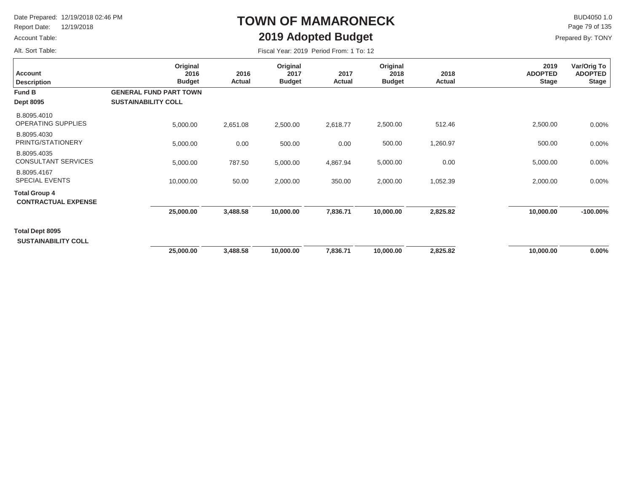Report Date: 12/19/2018

### Account Table:

Alt. Sort Table:

# **TOWN OF MAMARONECK2019 Adopted Budget**

 $\mathsf{BUD4050 1.0}$ Page 79 of 135

| Fiscal Year: 2019 Period From: 1 To: 12 |  |
|-----------------------------------------|--|
|-----------------------------------------|--|

| <b>Account</b><br><b>Description</b>               | Original<br>2016<br><b>Budget</b> | 2016<br>Actual | Original<br>2017<br><b>Budget</b> | 2017<br>Actual | Original<br>2018<br><b>Budget</b> | 2018<br>Actual | 2019<br><b>ADOPTED</b><br><b>Stage</b> | Var/Orig To<br><b>ADOPTED</b><br><b>Stage</b> |
|----------------------------------------------------|-----------------------------------|----------------|-----------------------------------|----------------|-----------------------------------|----------------|----------------------------------------|-----------------------------------------------|
| Fund B                                             | <b>GENERAL FUND PART TOWN</b>     |                |                                   |                |                                   |                |                                        |                                               |
| <b>Dept 8095</b>                                   | <b>SUSTAINABILITY COLL</b>        |                |                                   |                |                                   |                |                                        |                                               |
| B.8095.4010<br>OPERATING SUPPLIES                  | 5,000.00                          | 2,651.08       | 2,500.00                          | 2,618.77       | 2,500.00                          | 512.46         | 2,500.00                               | 0.00%                                         |
| B.8095.4030<br>PRINTG/STATIONERY                   | 5,000.00                          | 0.00           | 500.00                            | 0.00           | 500.00                            | 1,260.97       | 500.00                                 | 0.00%                                         |
| B.8095.4035<br><b>CONSULTANT SERVICES</b>          | 5,000.00                          | 787.50         | 5,000.00                          | 4,867.94       | 5,000.00                          | 0.00           | 5,000.00                               | 0.00%                                         |
| B.8095.4167<br><b>SPECIAL EVENTS</b>               | 10,000.00                         | 50.00          | 2,000.00                          | 350.00         | 2,000.00                          | 1,052.39       | 2,000.00                               | 0.00%                                         |
| <b>Total Group 4</b><br><b>CONTRACTUAL EXPENSE</b> |                                   |                |                                   |                |                                   |                |                                        |                                               |
|                                                    | 25,000.00                         | 3,488.58       | 10,000.00                         | 7,836.71       | 10,000.00                         | 2,825.82       | 10,000.00                              | $-100.00\%$                                   |
| Total Dept 8095<br><b>SUSTAINABILITY COLL</b>      |                                   |                |                                   |                |                                   |                |                                        |                                               |
|                                                    | 25,000.00                         | 3,488.58       | 10,000.00                         | 7,836.71       | 10,000.00                         | 2,825.82       | 10,000.00                              | $0.00\%$                                      |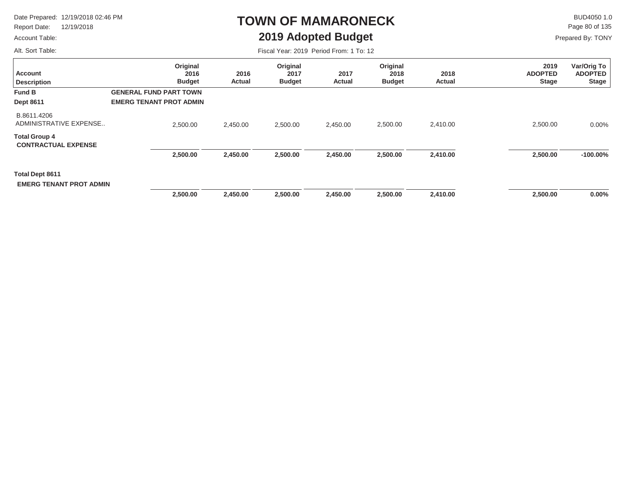Report Date: 12/19/2018

### Account Table:

Alt. Sort Table:

# **TOWN OF MAMARONECK2019 Adopted Budget**

 $\mathsf{BUD4050 1.0}$ Page 80 of 135

| Fiscal Year: 2019 Period From: 1 To: 12 |  |
|-----------------------------------------|--|
|-----------------------------------------|--|

| <b>Account</b><br><b>Description</b>                     | Original<br>2016<br><b>Budget</b> | 2016<br>Actual | Original<br>2017<br><b>Budget</b> | 2017<br><b>Actual</b> | Original<br>2018<br><b>Budget</b> | 2018<br><b>Actual</b> | 2019<br><b>ADOPTED</b><br><b>Stage</b> | Var/Orig To<br><b>ADOPTED</b><br><b>Stage</b> |
|----------------------------------------------------------|-----------------------------------|----------------|-----------------------------------|-----------------------|-----------------------------------|-----------------------|----------------------------------------|-----------------------------------------------|
| <b>Fund B</b>                                            | <b>GENERAL FUND PART TOWN</b>     |                |                                   |                       |                                   |                       |                                        |                                               |
| <b>Dept 8611</b>                                         | <b>EMERG TENANT PROT ADMIN</b>    |                |                                   |                       |                                   |                       |                                        |                                               |
| B.8611.4206<br>ADMINISTRATIVE EXPENSE                    | 2,500.00                          | 2,450.00       | 2,500.00                          | 2,450.00              | 2,500.00                          | 2,410.00              | 2,500.00                               | $0.00\%$                                      |
| <b>Total Group 4</b><br><b>CONTRACTUAL EXPENSE</b>       |                                   |                |                                   |                       |                                   |                       |                                        |                                               |
|                                                          | 2,500.00                          | 2,450.00       | 2,500.00                          | 2,450.00              | 2,500.00                          | 2,410.00              | 2,500.00                               | $-100.00\%$                                   |
| <b>Total Dept 8611</b><br><b>EMERG TENANT PROT ADMIN</b> |                                   |                |                                   |                       |                                   |                       |                                        |                                               |
|                                                          | 2,500.00                          | 2,450.00       | 2,500.00                          | 2,450.00              | 2,500.00                          | 2,410.00              | 2,500.00                               | $0.00\%$                                      |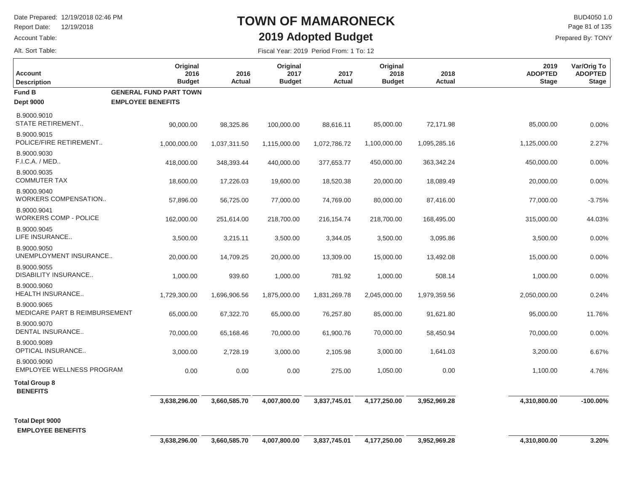Report Date: 12/19/2018

#### Account Table:

Alt. Sort Table:

# **TOWN OF MAMARONECK2019 Adopted Budget**

 $\mathsf{BUD4050 1.0}$ Prepared By: TONY Page 81 of 135

| <b>Account</b><br><b>Description</b>            | Original<br>2016<br><b>Budget</b>                         | 2016<br>Actual | Original<br>2017<br><b>Budget</b> | 2017<br><b>Actual</b> | Original<br>2018<br><b>Budget</b> | 2018<br>Actual | 2019<br><b>ADOPTED</b><br><b>Stage</b> | Var/Orig To<br><b>ADOPTED</b><br><b>Stage</b> |
|-------------------------------------------------|-----------------------------------------------------------|----------------|-----------------------------------|-----------------------|-----------------------------------|----------------|----------------------------------------|-----------------------------------------------|
| <b>Fund B</b><br><b>Dept 9000</b>               | <b>GENERAL FUND PART TOWN</b><br><b>EMPLOYEE BENEFITS</b> |                |                                   |                       |                                   |                |                                        |                                               |
| B.9000.9010<br><b>STATE RETIREMENT</b>          | 90,000.00                                                 | 98,325.86      | 100,000.00                        | 88,616.11             | 85,000.00                         | 72,171.98      | 85,000.00                              | 0.00%                                         |
| B.9000.9015<br>POLICE/FIRE RETIREMENT           | 1,000,000.00                                              | 1,037,311.50   | 1,115,000.00                      | 1,072,786.72          | 1,100,000.00                      | 1,095,285.16   | 1,125,000.00                           | 2.27%                                         |
| B.9000.9030<br>F.I.C.A. / MED                   | 418,000.00                                                | 348,393.44     | 440,000.00                        | 377,653.77            | 450,000.00                        | 363,342.24     | 450,000.00                             | 0.00%                                         |
| B.9000.9035<br><b>COMMUTER TAX</b>              | 18,600.00                                                 | 17,226.03      | 19,600.00                         | 18,520.38             | 20,000.00                         | 18,089.49      | 20,000.00                              | 0.00%                                         |
| B.9000.9040<br>WORKERS COMPENSATION             | 57,896.00                                                 | 56,725.00      | 77,000.00                         | 74,769.00             | 80,000.00                         | 87,416.00      | 77,000.00                              | $-3.75%$                                      |
| B.9000.9041<br><b>WORKERS COMP - POLICE</b>     | 162,000.00                                                | 251,614.00     | 218,700.00                        | 216, 154. 74          | 218,700.00                        | 168,495.00     | 315,000.00                             | 44.03%                                        |
| B.9000.9045<br>LIFE INSURANCE                   | 3,500.00                                                  | 3,215.11       | 3,500.00                          | 3,344.05              | 3,500.00                          | 3,095.86       | 3,500.00                               | 0.00%                                         |
| B.9000.9050<br>UNEMPLOYMENT INSURANCE           | 20,000.00                                                 | 14,709.25      | 20,000.00                         | 13,309.00             | 15,000.00                         | 13,492.08      | 15,000.00                              | 0.00%                                         |
| B.9000.9055<br>DISABILITY INSURANCE             | 1,000.00                                                  | 939.60         | 1,000.00                          | 781.92                | 1,000.00                          | 508.14         | 1,000.00                               | 0.00%                                         |
| B.9000.9060<br><b>HEALTH INSURANCE</b>          | 1,729,300.00                                              | 1,696,906.56   | 1,875,000.00                      | 1,831,269.78          | 2,045,000.00                      | 1,979,359.56   | 2,050,000.00                           | 0.24%                                         |
| B.9000.9065<br>MEDICARE PART B REIMBURSEMENT    | 65,000.00                                                 | 67,322.70      | 65,000.00                         | 76,257.80             | 85,000.00                         | 91,621.80      | 95,000.00                              | 11.76%                                        |
| B.9000.9070<br>DENTAL INSURANCE                 | 70,000.00                                                 | 65,168.46      | 70,000.00                         | 61,900.76             | 70,000.00                         | 58,450.94      | 70,000.00                              | 0.00%                                         |
| B.9000.9089<br>OPTICAL INSURANCE                | 3,000.00                                                  | 2,728.19       | 3,000.00                          | 2,105.98              | 3,000.00                          | 1,641.03       | 3,200.00                               | 6.67%                                         |
| B.9000.9090<br><b>EMPLOYEE WELLNESS PROGRAM</b> | 0.00                                                      | 0.00           | 0.00                              | 275.00                | 1,050.00                          | 0.00           | 1,100.00                               | 4.76%                                         |
| <b>Total Group 8</b><br><b>BENEFITS</b>         |                                                           |                |                                   |                       |                                   |                |                                        |                                               |
|                                                 | 3,638,296.00                                              | 3,660,585.70   | 4,007,800.00                      | 3,837,745.01          | 4,177,250.00                      | 3,952,969.28   | 4,310,800.00                           | $-100.00\%$                                   |
| <b>Total Dept 9000</b>                          |                                                           |                |                                   |                       |                                   |                |                                        |                                               |
| <b>EMPLOYEE BENEFITS</b>                        | 3,638,296.00                                              | 3,660,585.70   | 4,007,800.00                      | 3,837,745.01          | 4,177,250.00                      | 3,952,969.28   | 4,310,800.00                           | 3.20%                                         |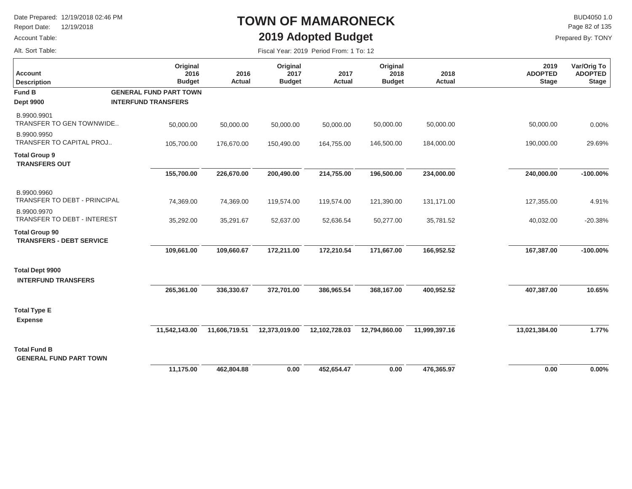Report Date: 12/19/2018

#### Account Table:

Alt. Sort Table:

# **TOWN OF MAMARONECK2019 Adopted Budget**

 $\mathsf{BUD4050 1.0}$ Page 82 of 135

|  | Fiscal Year: 2019 Period From: 1 To: 12 |  |
|--|-----------------------------------------|--|
|  |                                         |  |

| <b>Account</b><br><b>Description</b>                     | Original<br>2016<br><b>Budget</b> | 2016<br><b>Actual</b> | Original<br>2017<br><b>Budget</b> | 2017<br>Actual | Original<br>2018<br><b>Budget</b> | 2018<br><b>Actual</b> | 2019<br><b>ADOPTED</b><br><b>Stage</b> | Var/Orig To<br><b>ADOPTED</b><br><b>Stage</b> |
|----------------------------------------------------------|-----------------------------------|-----------------------|-----------------------------------|----------------|-----------------------------------|-----------------------|----------------------------------------|-----------------------------------------------|
| <b>Fund B</b>                                            | <b>GENERAL FUND PART TOWN</b>     |                       |                                   |                |                                   |                       |                                        |                                               |
| <b>Dept 9900</b>                                         | <b>INTERFUND TRANSFERS</b>        |                       |                                   |                |                                   |                       |                                        |                                               |
| B.9900.9901<br>TRANSFER TO GEN TOWNWIDE                  | 50,000.00                         | 50,000.00             | 50,000.00                         | 50,000.00      | 50,000.00                         | 50,000.00             | 50,000.00                              | 0.00%                                         |
| B.9900.9950<br><b>TRANSFER TO CAPITAL PROJ</b>           | 105,700.00                        | 176,670.00            | 150,490.00                        | 164,755.00     | 146,500.00                        | 184,000.00            | 190,000.00                             | 29.69%                                        |
| <b>Total Group 9</b><br><b>TRANSFERS OUT</b>             |                                   |                       |                                   |                |                                   |                       |                                        |                                               |
|                                                          | 155,700.00                        | 226,670.00            | 200,490.00                        | 214,755.00     | 196,500.00                        | 234,000.00            | 240,000.00                             | $-100.00\%$                                   |
| B.9900.9960<br>TRANSFER TO DEBT - PRINCIPAL              | 74,369.00                         | 74,369.00             | 119,574.00                        | 119,574.00     | 121,390.00                        | 131,171.00            | 127,355.00                             | 4.91%                                         |
| B.9900.9970                                              |                                   |                       |                                   |                |                                   |                       |                                        |                                               |
| TRANSFER TO DEBT - INTEREST                              | 35,292.00                         | 35,291.67             | 52,637.00                         | 52,636.54      | 50,277.00                         | 35,781.52             | 40,032.00                              | $-20.38%$                                     |
| <b>Total Group 90</b><br><b>TRANSFERS - DEBT SERVICE</b> |                                   |                       |                                   |                |                                   |                       |                                        |                                               |
|                                                          | 109,661.00                        | 109,660.67            | 172,211.00                        | 172,210.54     | 171,667.00                        | 166,952.52            | 167,387.00                             | $-100.00\%$                                   |
| <b>Total Dept 9900</b><br><b>INTERFUND TRANSFERS</b>     |                                   |                       |                                   |                |                                   |                       |                                        |                                               |
|                                                          | 265,361.00                        | 336,330.67            | 372,701.00                        | 386,965.54     | 368,167.00                        | 400,952.52            | 407,387.00                             | 10.65%                                        |
| <b>Total Type E</b><br><b>Expense</b>                    |                                   |                       |                                   |                |                                   |                       |                                        |                                               |
|                                                          | 11,542,143.00                     | 11,606,719.51         | 12,373,019.00                     | 12,102,728.03  | 12,794,860.00                     | 11,999,397.16         | 13,021,384.00                          | 1.77%                                         |
| <b>Total Fund B</b><br><b>GENERAL FUND PART TOWN</b>     |                                   |                       |                                   |                |                                   |                       |                                        |                                               |
|                                                          | 11.175.00                         | 462.804.88            | 0.00                              | 452.654.47     | 0.00                              | 476.365.97            | 0.00                                   | 0.00%                                         |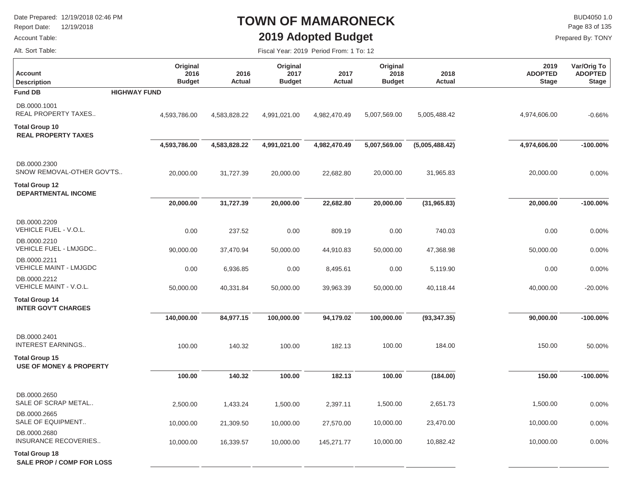Report Date: 12/19/2018

#### Account Table:

 $\mathsf{BUD4050 1.0}$ Page 83 of 135

Prepared By: TONY

Alt. Sort Table:

### **TOWN OF MAMARONECK2019 Adopted Budget**

| <b>Account</b><br><b>Description</b>                      | Original<br>2016<br><b>Budget</b> | 2016<br>Actual | Original<br>2017<br><b>Budget</b> | 2017<br><b>Actual</b> | Original<br>2018<br><b>Budget</b> | 2018<br>Actual | 2019<br><b>ADOPTED</b><br><b>Stage</b> | Var/Orig To<br><b>ADOPTED</b><br><b>Stage</b> |
|-----------------------------------------------------------|-----------------------------------|----------------|-----------------------------------|-----------------------|-----------------------------------|----------------|----------------------------------------|-----------------------------------------------|
| <b>Fund DB</b>                                            | <b>HIGHWAY FUND</b>               |                |                                   |                       |                                   |                |                                        |                                               |
| DB.0000.1001<br>REAL PROPERTY TAXES                       | 4,593,786.00                      | 4,583,828.22   | 4,991,021.00                      | 4,982,470.49          | 5,007,569.00                      | 5,005,488.42   | 4,974,606.00                           | $-0.66%$                                      |
| <b>Total Group 10</b><br><b>REAL PROPERTY TAXES</b>       |                                   |                |                                   |                       |                                   |                |                                        |                                               |
|                                                           | 4,593,786.00                      | 4,583,828.22   | 4,991,021.00                      | 4,982,470.49          | 5,007,569.00                      | (5,005,488.42) | 4,974,606.00                           | $-100.00\%$                                   |
| DB.0000.2300<br>SNOW REMOVAL-OTHER GOV'TS                 | 20,000.00                         | 31,727.39      | 20,000.00                         | 22,682.80             | 20,000.00                         | 31,965.83      | 20,000.00                              | 0.00%                                         |
| <b>Total Group 12</b><br><b>DEPARTMENTAL INCOME</b>       |                                   |                |                                   |                       |                                   |                |                                        |                                               |
|                                                           | 20,000.00                         | 31,727.39      | 20,000.00                         | 22,682.80             | 20,000.00                         | (31, 965.83)   | 20,000.00                              | $-100.00\%$                                   |
| DB.0000.2209<br>VEHICLE FUEL - V.O.L.                     | 0.00                              | 237.52         | 0.00                              | 809.19                | 0.00                              | 740.03         | 0.00                                   | 0.00%                                         |
| DB.0000.2210<br>VEHICLE FUEL - LMJGDC                     | 90,000.00                         | 37,470.94      | 50,000.00                         | 44,910.83             | 50,000.00                         | 47,368.98      | 50,000.00                              | 0.00%                                         |
| DB.0000.2211<br><b>VEHICLE MAINT - LMJGDC</b>             | 0.00                              | 6,936.85       | 0.00                              | 8,495.61              | 0.00                              | 5,119.90       | 0.00                                   | 0.00%                                         |
| DB.0000.2212<br>VEHICLE MAINT - V.O.L.                    | 50,000.00                         | 40,331.84      | 50,000.00                         | 39,963.39             | 50,000.00                         | 40,118.44      | 40,000.00                              | $-20.00%$                                     |
| <b>Total Group 14</b><br><b>INTER GOV'T CHARGES</b>       |                                   |                |                                   |                       |                                   |                |                                        |                                               |
|                                                           | 140,000.00                        | 84,977.15      | 100,000.00                        | 94,179.02             | 100,000.00                        | (93, 347.35)   | 90,000.00                              | $-100.00\%$                                   |
| DB.0000.2401<br><b>INTEREST EARNINGS</b>                  | 100.00                            | 140.32         | 100.00                            | 182.13                | 100.00                            | 184.00         | 150.00                                 | 50.00%                                        |
| Total Group 15<br><b>USE OF MONEY &amp; PROPERTY</b>      |                                   |                |                                   |                       |                                   |                |                                        |                                               |
|                                                           | 100.00                            | 140.32         | 100.00                            | 182.13                | 100.00                            | (184.00)       | 150.00                                 | $-100.00\%$                                   |
| DB.0000.2650<br>SALE OF SCRAP METAL                       | 2,500.00                          | 1,433.24       | 1,500.00                          | 2,397.11              | 1,500.00                          | 2,651.73       | 1,500.00                               | 0.00%                                         |
| DB.0000.2665<br>SALE OF EQUIPMENT                         | 10,000.00                         | 21,309.50      | 10,000.00                         | 27,570.00             | 10,000.00                         | 23,470.00      | 10,000.00                              | 0.00%                                         |
| DB.0000.2680<br>INSURANCE RECOVERIES                      | 10,000.00                         | 16,339.57      | 10,000.00                         | 145,271.77            | 10,000.00                         | 10,882.42      | 10,000.00                              | 0.00%                                         |
| <b>Total Group 18</b><br><b>SALE PROP / COMP FOR LOSS</b> |                                   |                |                                   |                       |                                   |                |                                        |                                               |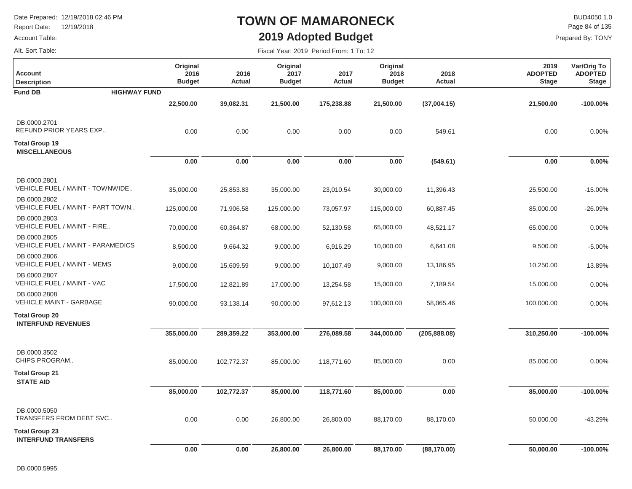Report Date: 12/19/2018

### Account Table:

## **TOWN OF MAMARONECK2019 Adopted Budget**

Fiscal Year: 2019 Period From: 1 To: 12

 $\mathsf{BUD4050}\,1.0$ Page 84 of 135

Prepared By: TONY

Alt. Sort Table:

| <b>Account</b><br><b>Description</b>                | Original<br>2016<br><b>Budget</b> | 2016<br><b>Actual</b> | Original<br>2017<br><b>Budget</b> | 2017<br><b>Actual</b> | Original<br>2018<br><b>Budget</b> | 2018<br>Actual | 2019<br><b>ADOPTED</b><br><b>Stage</b> | Var/Orig To<br><b>ADOPTED</b><br><b>Stage</b> |
|-----------------------------------------------------|-----------------------------------|-----------------------|-----------------------------------|-----------------------|-----------------------------------|----------------|----------------------------------------|-----------------------------------------------|
| <b>HIGHWAY FUND</b><br><b>Fund DB</b>               |                                   |                       |                                   |                       |                                   |                |                                        |                                               |
|                                                     | 22,500.00                         | 39,082.31             | 21,500.00                         | 175,238.88            | 21,500.00                         | (37,004.15)    | 21,500.00                              | $-100.00\%$                                   |
| DB.0000.2701<br>REFUND PRIOR YEARS EXP              | 0.00                              | 0.00                  | 0.00                              | 0.00                  | 0.00                              | 549.61         | 0.00                                   | 0.00%                                         |
| <b>Total Group 19</b><br><b>MISCELLANEOUS</b>       |                                   |                       |                                   |                       |                                   |                |                                        |                                               |
|                                                     | 0.00                              | 0.00                  | 0.00                              | 0.00                  | 0.00                              | (549.61)       | 0.00                                   | 0.00%                                         |
| DB.0000.2801<br>VEHICLE FUEL / MAINT - TOWNWIDE     | 35,000.00                         | 25,853.83             | 35,000.00                         | 23,010.54             | 30,000.00                         | 11,396.43      | 25,500.00                              | $-15.00%$                                     |
| DB.0000.2802<br>VEHICLE FUEL / MAINT - PART TOWN    | 125,000.00                        | 71,906.58             | 125,000.00                        | 73,057.97             | 115,000.00                        | 60,887.45      | 85,000.00                              | $-26.09%$                                     |
| DB.0000.2803<br>VEHICLE FUEL / MAINT - FIRE         | 70,000.00                         | 60,364.87             | 68,000.00                         | 52,130.58             | 65,000.00                         | 48,521.17      | 65,000.00                              | 0.00%                                         |
| DB.0000.2805<br>VEHICLE FUEL / MAINT - PARAMEDICS   | 8,500.00                          | 9,664.32              | 9,000.00                          | 6,916.29              | 10,000.00                         | 6,641.08       | 9,500.00                               | $-5.00%$                                      |
| DB.0000.2806<br>VEHICLE FUEL / MAINT - MEMS         | 9,000.00                          | 15,609.59             | 9,000.00                          | 10,107.49             | 9,000.00                          | 13,186.95      | 10,250.00                              | 13.89%                                        |
| DB.0000.2807<br>VEHICLE FUEL / MAINT - VAC          | 17,500.00                         | 12,821.89             | 17,000.00                         | 13,254.58             | 15,000.00                         | 7,189.54       | 15,000.00                              | 0.00%                                         |
| DB.0000.2808<br><b>VEHICLE MAINT - GARBAGE</b>      | 90,000.00                         | 93,138.14             | 90,000.00                         | 97,612.13             | 100,000.00                        | 58,065.46      | 100,000.00                             | 0.00%                                         |
| <b>Total Group 20</b><br><b>INTERFUND REVENUES</b>  |                                   |                       |                                   |                       |                                   |                |                                        |                                               |
|                                                     | 355,000.00                        | 289,359.22            | 353,000.00                        | 276,089.58            | 344,000.00                        | (205, 888.08)  | 310,250.00                             | $-100.00\%$                                   |
| DB.0000.3502<br>CHIPS PROGRAM                       | 85,000.00                         | 102,772.37            | 85,000.00                         | 118,771.60            | 85,000.00                         | 0.00           | 85,000.00                              | 0.00%                                         |
| <b>Total Group 21</b><br><b>STATE AID</b>           |                                   |                       |                                   |                       |                                   |                |                                        |                                               |
|                                                     | 85,000.00                         | 102,772.37            | 85,000.00                         | 118,771.60            | 85,000.00                         | 0.00           | 85,000.00                              | $-100.00\%$                                   |
| DB.0000.5050<br>TRANSFERS FROM DEBT SVC             | 0.00                              | 0.00                  | 26,800.00                         | 26,800.00             | 88,170.00                         | 88,170.00      | 50,000.00                              | $-43.29%$                                     |
| <b>Total Group 23</b><br><b>INTERFUND TRANSFERS</b> |                                   |                       |                                   |                       |                                   |                |                                        |                                               |
|                                                     | 0.00                              | 0.00                  | 26,800.00                         | 26,800.00             | 88,170.00                         | (88, 170.00)   | 50,000.00                              | $-100.00\%$                                   |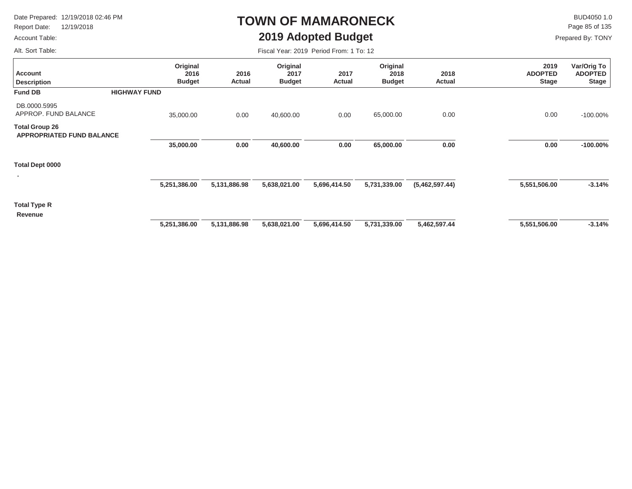Report Date: 12/19/2018

### Account Table:

# **TOWN OF MAMARONECK2019 Adopted Budget**

 $\mathsf{BUD4050}\,1.0$ Page 85 of 135

Prepared By: TONY

Alt. Sort Table:

| Fiscal Year: 2019 Period From: 1 To: 12 |  |  |  |
|-----------------------------------------|--|--|--|
|-----------------------------------------|--|--|--|

| <b>Account</b><br><b>Description</b>                      |                     | Original<br>2016<br><b>Budget</b> | 2016<br>Actual | Original<br>2017<br><b>Budget</b> | 2017<br>Actual | Original<br>2018<br><b>Budget</b> | 2018<br>Actual | 2019<br><b>ADOPTED</b><br><b>Stage</b> | Var/Orig To<br><b>ADOPTED</b><br><b>Stage</b> |
|-----------------------------------------------------------|---------------------|-----------------------------------|----------------|-----------------------------------|----------------|-----------------------------------|----------------|----------------------------------------|-----------------------------------------------|
| <b>Fund DB</b>                                            | <b>HIGHWAY FUND</b> |                                   |                |                                   |                |                                   |                |                                        |                                               |
| DB.0000.5995<br>APPROP. FUND BALANCE                      |                     | 35,000.00                         | 0.00           | 40,600.00                         | 0.00           | 65,000.00                         | 0.00           | 0.00                                   | $-100.00\%$                                   |
| <b>Total Group 26</b><br><b>APPROPRIATED FUND BALANCE</b> |                     |                                   |                |                                   |                |                                   |                |                                        |                                               |
|                                                           |                     | 35,000.00                         | 0.00           | 40,600.00                         | 0.00           | 65,000.00                         | 0.00           | 0.00                                   | $-100.00\%$                                   |
| Total Dept 0000                                           |                     |                                   |                |                                   |                |                                   |                |                                        |                                               |
|                                                           |                     | 5,251,386.00                      | 5,131,886.98   | 5,638,021.00                      | 5,696,414.50   | 5,731,339.00                      | (5,462,597.44) | 5,551,506.00                           | $-3.14%$                                      |
| <b>Total Type R</b><br>Revenue                            |                     |                                   |                |                                   |                |                                   |                |                                        |                                               |
|                                                           |                     | 5,251,386.00                      | 5,131,886.98   | 5,638,021.00                      | 5,696,414.50   | 5,731,339.00                      | 5,462,597.44   | 5,551,506.00                           | $-3.14%$                                      |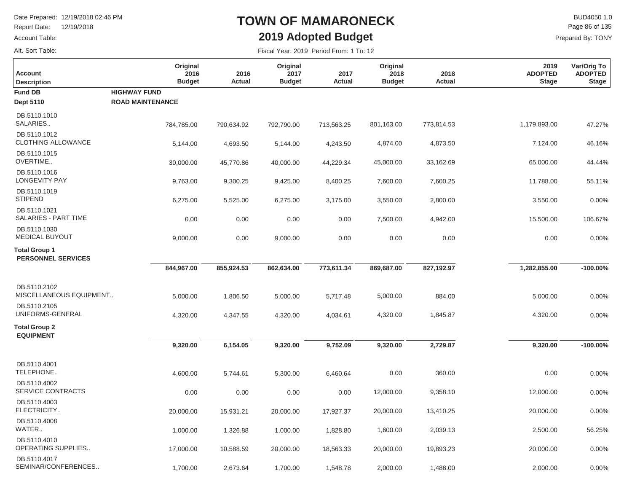Report Date: 12/19/2018

#### Account Table:

Alt. Sort Table:

### **TOWN OF MAMARONECK2019 Adopted Budget**

 $\mathsf{BUD4050}\,1.0$ Prepared By: TONY Page 86 of 135

| <b>Account</b><br><b>Description</b>              | Original<br>2016<br><b>Budget</b> | 2016<br>Actual | Original<br>2017<br><b>Budget</b> | 2017<br><b>Actual</b> | Original<br>2018<br><b>Budget</b> | 2018<br>Actual | 2019<br><b>ADOPTED</b><br><b>Stage</b> | Var/Orig To<br><b>ADOPTED</b><br><b>Stage</b> |
|---------------------------------------------------|-----------------------------------|----------------|-----------------------------------|-----------------------|-----------------------------------|----------------|----------------------------------------|-----------------------------------------------|
| <b>Fund DB</b>                                    | <b>HIGHWAY FUND</b>               |                |                                   |                       |                                   |                |                                        |                                               |
| <b>Dept 5110</b>                                  | <b>ROAD MAINTENANCE</b>           |                |                                   |                       |                                   |                |                                        |                                               |
| DB.5110.1010<br>SALARIES                          | 784,785.00                        | 790,634.92     | 792,790.00                        | 713,563.25            | 801,163.00                        | 773,814.53     | 1,179,893.00                           | 47.27%                                        |
| DB.5110.1012<br><b>CLOTHING ALLOWANCE</b>         | 5,144.00                          | 4,693.50       | 5,144.00                          | 4,243.50              | 4,874.00                          | 4,873.50       | 7,124.00                               | 46.16%                                        |
| DB.5110.1015<br>OVERTIME                          | 30,000.00                         | 45,770.86      | 40,000.00                         | 44,229.34             | 45,000.00                         | 33,162.69      | 65,000.00                              | 44.44%                                        |
| DB.5110.1016<br><b>LONGEVITY PAY</b>              | 9,763.00                          | 9,300.25       | 9,425.00                          | 8,400.25              | 7,600.00                          | 7,600.25       | 11,788.00                              | 55.11%                                        |
| DB.5110.1019<br><b>STIPEND</b>                    | 6,275.00                          | 5,525.00       | 6,275.00                          | 3,175.00              | 3,550.00                          | 2,800.00       | 3,550.00                               | 0.00%                                         |
| DB.5110.1021<br>SALARIES - PART TIME              | 0.00                              | 0.00           | 0.00                              | 0.00                  | 7,500.00                          | 4,942.00       | 15,500.00                              | 106.67%                                       |
| DB.5110.1030<br><b>MEDICAL BUYOUT</b>             | 9,000.00                          | 0.00           | 9,000.00                          | 0.00                  | 0.00                              | 0.00           | 0.00                                   | 0.00%                                         |
| <b>Total Group 1</b><br><b>PERSONNEL SERVICES</b> |                                   |                |                                   |                       |                                   |                |                                        |                                               |
|                                                   | 844,967.00                        | 855,924.53     | 862,634.00                        | 773,611.34            | 869,687.00                        | 827,192.97     | 1,282,855.00                           | $-100.00\%$                                   |
| DB.5110.2102<br>MISCELLANEOUS EQUIPMENT           | 5,000.00                          | 1,806.50       | 5,000.00                          | 5,717.48              | 5,000.00                          | 884.00         | 5,000.00                               | 0.00%                                         |
| DB.5110.2105<br>UNIFORMS-GENERAL                  | 4,320.00                          | 4,347.55       | 4,320.00                          | 4,034.61              | 4,320.00                          | 1,845.87       | 4,320.00                               | 0.00%                                         |
| <b>Total Group 2</b><br><b>EQUIPMENT</b>          |                                   |                |                                   |                       |                                   |                |                                        |                                               |
|                                                   | 9,320.00                          | 6,154.05       | 9,320.00                          | 9,752.09              | 9,320.00                          | 2,729.87       | 9,320.00                               | $-100.00\%$                                   |
| DB.5110.4001<br>TELEPHONE                         | 4,600.00                          | 5,744.61       | 5,300.00                          | 6,460.64              | 0.00                              | 360.00         | 0.00                                   | 0.00%                                         |
| DB.5110.4002<br>SERVICE CONTRACTS                 | 0.00                              | 0.00           | 0.00                              | 0.00                  | 12,000.00                         | 9,358.10       | 12,000.00                              | 0.00%                                         |
| DB.5110.4003<br>ELECTRICITY                       | 20,000.00                         | 15,931.21      | 20,000.00                         | 17,927.37             | 20,000.00                         | 13,410.25      | 20,000.00                              | 0.00%                                         |
| DB.5110.4008<br>WATER                             | 1,000.00                          | 1,326.88       | 1,000.00                          | 1,828.80              | 1,600.00                          | 2,039.13       | 2,500.00                               | 56.25%                                        |
| DB.5110.4010<br>OPERATING SUPPLIES                | 17,000.00                         | 10,588.59      | 20,000.00                         | 18,563.33             | 20,000.00                         | 19,893.23      | 20,000.00                              | 0.00%                                         |
| DB.5110.4017<br>SEMINAR/CONFERENCES               | 1,700.00                          | 2,673.64       | 1,700.00                          | 1,548.78              | 2,000.00                          | 1,488.00       | 2,000.00                               | 0.00%                                         |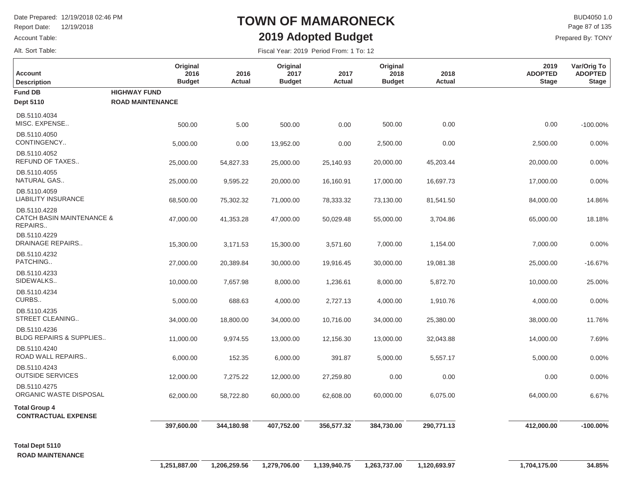**HIGHWAY FUNDROAD MAINTENANCE**

500.00

**Original 2016Budget**

5.00

**2016Actual**

Report Date: 12/19/2018

Account Table:

Alt. Sort Table:

**Fund DBDept 5110**

**Description Account**

DB.5110.4034

MISC. EXPENSE..

### **TOWN OF MAMARONECK2019 Adopted Budget**

 $\mathsf{BUD4050 1.0}$ Prepared By: TONY Page 87 of 135

> **Var/Orig To ADOPTED Stage**

> > -100.00%

0.00

**2019ADOPTEDStage**

Fiscal Year: 2019 Period From: 1 To: 12

0.00

**2017Actual**

500.00

**Original 2018Budget**

13,000.00

5,000.00

60,000.00

0.00

| DB.5110.4050<br>CONTINGENCY                          | 5,000.00  | 0.00      | 13,952.00 | 0.00      | 2,500.00  | 0.00      | 2,500.00  | 0.00%     |
|------------------------------------------------------|-----------|-----------|-----------|-----------|-----------|-----------|-----------|-----------|
| DB.5110.4052<br>REFUND OF TAXES                      | 25,000.00 | 54,827.33 | 25,000.00 | 25,140.93 | 20,000.00 | 45,203.44 | 20,000.00 | 0.00%     |
| DB.5110.4055<br>NATURAL GAS                          | 25,000.00 | 9,595.22  | 20,000.00 | 16,160.91 | 17,000.00 | 16,697.73 | 17,000.00 | 0.00%     |
| DB.5110.4059<br>LIABILITY INSURANCE                  | 68,500.00 | 75,302.32 | 71,000.00 | 78,333.32 | 73,130.00 | 81,541.50 | 84,000.00 | 14.86%    |
| DB.5110.4228<br>CATCH BASIN MAINTENANCE &<br>REPAIRS | 47,000.00 | 41,353.28 | 47,000.00 | 50,029.48 | 55,000.00 | 3,704.86  | 65,000.00 | 18.18%    |
| DB.5110.4229<br>DRAINAGE REPAIRS                     | 15,300.00 | 3,171.53  | 15,300.00 | 3,571.60  | 7,000.00  | 1,154.00  | 7,000.00  | 0.00%     |
| DB.5110.4232<br>PATCHING                             | 27,000.00 | 20,389.84 | 30,000.00 | 19,916.45 | 30,000.00 | 19,081.38 | 25,000.00 | $-16.67%$ |
| DB.5110.4233<br>SIDEWALKS                            | 10,000.00 | 7,657.98  | 8,000.00  | 1,236.61  | 8,000.00  | 5,872.70  | 10,000.00 | 25.00%    |
| DB.5110.4234<br>CURBS                                | 5,000.00  | 688.63    | 4,000.00  | 2,727.13  | 4,000.00  | 1,910.76  | 4,000.00  | 0.00%     |
| DB.5110.4235<br>STREET CLEANING                      | 34,000.00 | 18,800.00 | 34,000.00 | 10,716.00 | 34,000.00 | 25,380.00 | 38,000.00 | 11.76%    |
| DB.5110.4236                                         |           |           |           |           |           |           |           |           |

500.00

**Original 2017Budget**

**Total Group 4 CONTRACTUAL EXPENSE**

DB.5110.4240

BLDG REPAIRS & SUPPLIES..

ORGANIC WASTE DISPOSAL

ROAD WALL REPAIRS..

OUTSIDE SERVICES

DB.5110.4243

DB.5110.4275

**Total Dept 5110 ROAD MAINTENANCE**  **356,577.32** 

12,156.30

27,259.80

62,608.00

391.87

 **407,752.00** 

13,000.00

6,000.00

12,000.00

60,000.00

 **397,600.00 344,180.98** 

9,974.55

152.35

7,275.22

58,722.80

11,000.00

6,000.00

12,000.00

62,000.00

14,000.00

5,000.00

64,000.00

0.00

**-100.00%**

7.69%

0.00%

0.00%

6.67%

**290,771.13 384,730.00 412,000.00**

32,043.88

5,557.17

6,075.00

0.00

0.00

**2018Actual**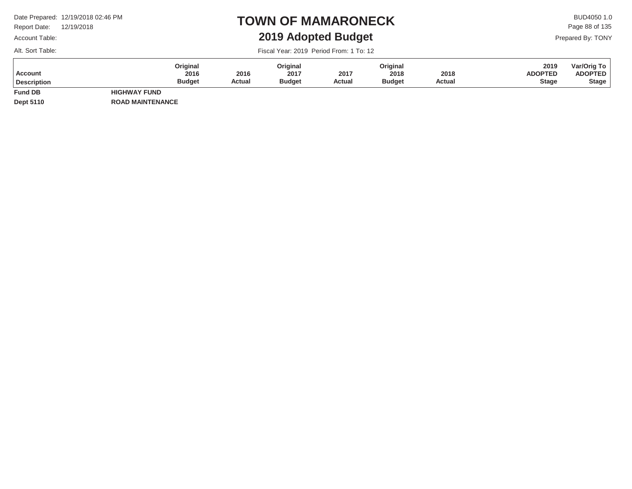Report Date: 12/19/2018

### Account Table:

Alt. Sort Table:

### **TOWN OF MAMARONECK2019 Adopted Budget**

 $\mathsf{BUD4050}\,1.0$ Prepared By: TONY Page 88 of 135

Fiscal Year: 2019 Period From: 1 To: 12

| <b>Account</b><br><b>Description</b> | Original<br>2016<br><b>Budget</b> | 2016<br><b>Actual</b> | Original<br>2017<br><b>Budget</b> | 2017<br>Actual | Original<br>2018<br><b>Budget</b> | 2018<br>Actual | 2019<br><b>ADOPTED</b><br><b>Stage</b> | Var/Orig To<br><b>ADOPTED</b><br><b>Stage</b> |
|--------------------------------------|-----------------------------------|-----------------------|-----------------------------------|----------------|-----------------------------------|----------------|----------------------------------------|-----------------------------------------------|
| <b>Fund DB</b>                       | <b>HIGHWAY FUND</b>               |                       |                                   |                |                                   |                |                                        |                                               |

**Dept 5110**

**ROAD MAINTENANCE**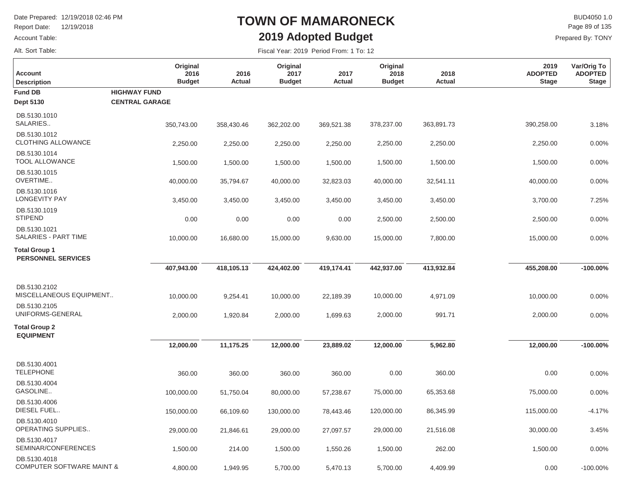Report Date: 12/19/2018

#### Account Table:

Alt. Sort Table:

# **TOWN OF MAMARONECK2019 Adopted Budget**

 $\mathsf{BUD4050 1.0}$ Page 89 of 135

| Fiscal Year: 2019 Period From: 1 To: 12 |  |
|-----------------------------------------|--|
|-----------------------------------------|--|

| <b>Account</b><br><b>Description</b><br><b>Fund DB</b> | Original<br>2016<br><b>Budget</b><br><b>HIGHWAY FUND</b> | 2016<br>Actual | Original<br>2017<br><b>Budget</b> | 2017<br><b>Actual</b> | Original<br>2018<br><b>Budget</b> | 2018<br><b>Actual</b> | 2019<br><b>ADOPTED</b><br><b>Stage</b> | Var/Orig To<br><b>ADOPTED</b><br><b>Stage</b> |
|--------------------------------------------------------|----------------------------------------------------------|----------------|-----------------------------------|-----------------------|-----------------------------------|-----------------------|----------------------------------------|-----------------------------------------------|
| <b>Dept 5130</b>                                       | <b>CENTRAL GARAGE</b>                                    |                |                                   |                       |                                   |                       |                                        |                                               |
| DB.5130.1010<br>SALARIES                               | 350,743.00                                               | 358,430.46     | 362,202.00                        | 369,521.38            | 378,237.00                        | 363,891.73            | 390,258.00                             | 3.18%                                         |
| DB.5130.1012<br><b>CLOTHING ALLOWANCE</b>              | 2,250.00                                                 | 2,250.00       | 2,250.00                          | 2,250.00              | 2,250.00                          | 2,250.00              | 2,250.00                               | 0.00%                                         |
| DB.5130.1014<br><b>TOOL ALLOWANCE</b>                  | 1,500.00                                                 | 1,500.00       | 1,500.00                          | 1,500.00              | 1,500.00                          | 1,500.00              | 1,500.00                               | 0.00%                                         |
| DB.5130.1015<br>OVERTIME                               | 40,000.00                                                | 35,794.67      | 40,000.00                         | 32,823.03             | 40,000.00                         | 32,541.11             | 40,000.00                              | 0.00%                                         |
| DB.5130.1016<br><b>LONGEVITY PAY</b>                   | 3,450.00                                                 | 3,450.00       | 3,450.00                          | 3,450.00              | 3,450.00                          | 3,450.00              | 3,700.00                               | 7.25%                                         |
| DB.5130.1019<br><b>STIPEND</b>                         | 0.00                                                     | 0.00           | 0.00                              | 0.00                  | 2,500.00                          | 2,500.00              | 2,500.00                               | 0.00%                                         |
| DB.5130.1021<br>SALARIES - PART TIME                   | 10,000.00                                                | 16,680.00      | 15,000.00                         | 9,630.00              | 15,000.00                         | 7,800.00              | 15,000.00                              | 0.00%                                         |
| <b>Total Group 1</b><br><b>PERSONNEL SERVICES</b>      |                                                          |                |                                   |                       |                                   |                       |                                        |                                               |
|                                                        | 407,943.00                                               | 418,105.13     | 424,402.00                        | 419,174.41            | 442,937.00                        | 413,932.84            | 455,208.00                             | $-100.00\%$                                   |
| DB.5130.2102<br>MISCELLANEOUS EQUIPMENT                | 10,000.00                                                | 9,254.41       | 10,000.00                         | 22,189.39             | 10,000.00                         | 4,971.09              | 10,000.00                              | 0.00%                                         |
| DB.5130.2105<br>UNIFORMS-GENERAL                       | 2,000.00                                                 | 1,920.84       | 2,000.00                          | 1,699.63              | 2,000.00                          | 991.71                | 2,000.00                               | 0.00%                                         |
| <b>Total Group 2</b><br><b>EQUIPMENT</b>               |                                                          |                |                                   |                       |                                   |                       |                                        |                                               |
|                                                        | 12,000.00                                                | 11,175.25      | 12,000.00                         | 23,889.02             | 12,000.00                         | 5,962.80              | 12,000.00                              | $-100.00\%$                                   |
| DB.5130.4001<br><b>TELEPHONE</b>                       | 360.00                                                   | 360.00         | 360.00                            | 360.00                | 0.00                              | 360.00                | 0.00                                   | 0.00%                                         |
| DB.5130.4004<br>GASOLINE                               | 100,000.00                                               | 51,750.04      | 80,000.00                         | 57,238.67             | 75,000.00                         | 65,353.68             | 75,000.00                              | 0.00%                                         |
| DB.5130.4006<br>DIESEL FUEL                            | 150,000.00                                               | 66,109.60      | 130,000.00                        | 78,443.46             | 120,000.00                        | 86,345.99             | 115,000.00                             | $-4.17%$                                      |
| DB.5130.4010<br>OPERATING SUPPLIES                     | 29,000.00                                                | 21,846.61      | 29,000.00                         | 27,097.57             | 29,000.00                         | 21,516.08             | 30,000.00                              | 3.45%                                         |
| DB.5130.4017<br>SEMINAR/CONFERENCES                    | 1,500.00                                                 | 214.00         | 1,500.00                          | 1,550.26              | 1,500.00                          | 262.00                | 1,500.00                               | 0.00%                                         |
| DB.5130.4018<br><b>COMPUTER SOFTWARE MAINT &amp;</b>   | 4,800.00                                                 | 1,949.95       | 5,700.00                          | 5,470.13              | 5,700.00                          | 4,409.99              | 0.00                                   | $-100.00\%$                                   |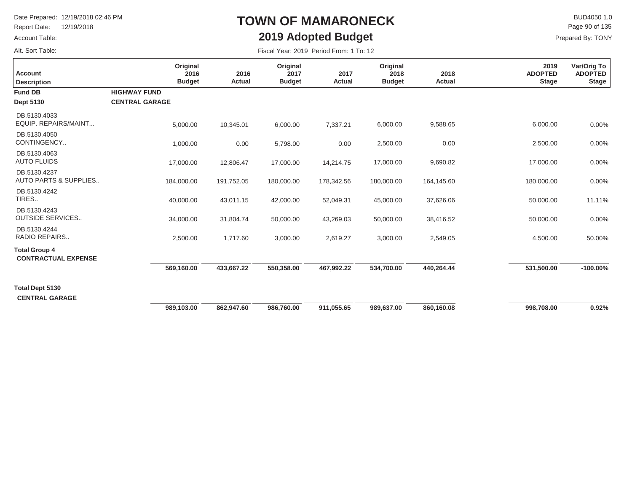Report Date: 12/19/2018

### Account Table:

Alt. Sort Table:

## **TOWN OF MAMARONECK2019 Adopted Budget**

 $\mathsf{BUD4050 1.0}$ Prepared By: TONY Page 90 of 135

| <b>Account</b><br><b>Description</b>               | Original<br>2016<br><b>Budget</b>            | 2016<br>Actual | Original<br>2017<br><b>Budget</b> | 2017<br>Actual | Original<br>2018<br><b>Budget</b> | 2018<br>Actual | 2019<br><b>ADOPTED</b><br><b>Stage</b> | Var/Orig To<br><b>ADOPTED</b><br><b>Stage</b> |
|----------------------------------------------------|----------------------------------------------|----------------|-----------------------------------|----------------|-----------------------------------|----------------|----------------------------------------|-----------------------------------------------|
| <b>Fund DB</b><br><b>Dept 5130</b>                 | <b>HIGHWAY FUND</b><br><b>CENTRAL GARAGE</b> |                |                                   |                |                                   |                |                                        |                                               |
|                                                    |                                              |                |                                   |                |                                   |                |                                        |                                               |
| DB.5130.4033<br>EQUIP, REPAIRS/MAINT               | 5,000.00                                     | 10,345.01      | 6,000.00                          | 7,337.21       | 6,000.00                          | 9,588.65       | 6,000.00                               | 0.00%                                         |
| DB.5130.4050<br>CONTINGENCY                        | 1,000.00                                     | 0.00           | 5,798.00                          | 0.00           | 2,500.00                          | 0.00           | 2,500.00                               | 0.00%                                         |
| DB.5130.4063<br><b>AUTO FLUIDS</b>                 | 17,000.00                                    | 12,806.47      | 17,000.00                         | 14,214.75      | 17,000.00                         | 9,690.82       | 17,000.00                              | 0.00%                                         |
| DB.5130.4237<br><b>AUTO PARTS &amp; SUPPLIES</b>   | 184,000.00                                   | 191,752.05     | 180,000.00                        | 178,342.56     | 180,000.00                        | 164,145.60     | 180,000.00                             | 0.00%                                         |
| DB.5130.4242<br>TIRES                              | 40,000.00                                    | 43,011.15      | 42,000.00                         | 52,049.31      | 45,000.00                         | 37,626.06      | 50,000.00                              | 11.11%                                        |
| DB.5130.4243<br><b>OUTSIDE SERVICES</b>            | 34,000.00                                    | 31,804.74      | 50,000.00                         | 43,269.03      | 50,000.00                         | 38,416.52      | 50,000.00                              | 0.00%                                         |
| DB.5130.4244<br><b>RADIO REPAIRS</b>               | 2,500.00                                     | 1,717.60       | 3,000.00                          | 2,619.27       | 3,000.00                          | 2,549.05       | 4,500.00                               | 50.00%                                        |
| <b>Total Group 4</b><br><b>CONTRACTUAL EXPENSE</b> |                                              |                |                                   |                |                                   |                |                                        |                                               |
|                                                    | 569,160.00                                   | 433,667.22     | 550,358.00                        | 467,992.22     | 534,700.00                        | 440,264.44     | 531,500.00                             | $-100.00\%$                                   |
| <b>Total Dept 5130</b>                             |                                              |                |                                   |                |                                   |                |                                        |                                               |
| <b>CENTRAL GARAGE</b>                              |                                              |                |                                   |                |                                   |                |                                        |                                               |
|                                                    | 989,103.00                                   | 862,947.60     | 986,760.00                        | 911,055.65     | 989,637.00                        | 860,160.08     | 998,708.00                             | 0.92%                                         |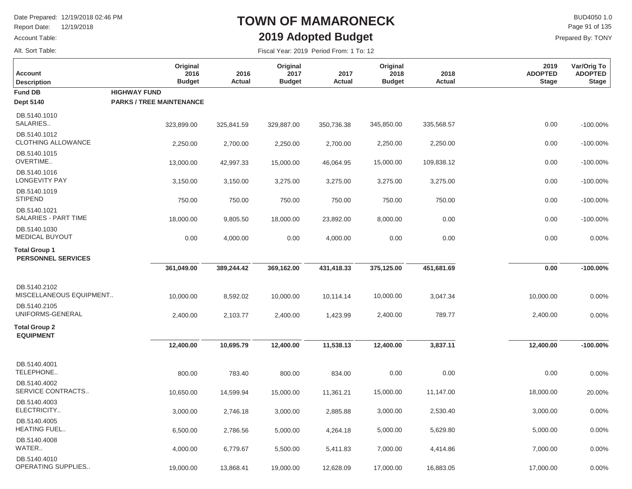Report Date: 12/19/2018

Account Table:

### Alt. Sort Table:

# **TOWN OF MAMARONECK2019 Adopted Budget**

 $\mathsf{BUD4050}\,1.0$ Prepared By: TONY Page 91 of 135

| <b>Account</b><br><b>Description</b>              | Original<br>2016<br><b>Budget</b>                      | 2016<br>Actual | Original<br>2017<br><b>Budget</b> | 2017<br><b>Actual</b> | Original<br>2018<br><b>Budget</b> | 2018<br>Actual | 2019<br><b>ADOPTED</b><br><b>Stage</b> | Var/Orig To<br><b>ADOPTED</b><br><b>Stage</b> |
|---------------------------------------------------|--------------------------------------------------------|----------------|-----------------------------------|-----------------------|-----------------------------------|----------------|----------------------------------------|-----------------------------------------------|
| <b>Fund DB</b><br><b>Dept 5140</b>                | <b>HIGHWAY FUND</b><br><b>PARKS / TREE MAINTENANCE</b> |                |                                   |                       |                                   |                |                                        |                                               |
| DB.5140.1010<br>SALARIES                          | 323,899.00                                             | 325,841.59     | 329,887.00                        | 350,736.38            | 345,850.00                        | 335,568.57     | 0.00                                   | $-100.00\%$                                   |
| DB.5140.1012<br><b>CLOTHING ALLOWANCE</b>         | 2,250.00                                               | 2,700.00       | 2,250.00                          | 2,700.00              | 2,250.00                          | 2,250.00       | 0.00                                   | $-100.00\%$                                   |
| DB.5140.1015<br>OVERTIME                          | 13,000.00                                              | 42,997.33      | 15,000.00                         | 46,064.95             | 15,000.00                         | 109,838.12     | 0.00                                   | $-100.00\%$                                   |
| DB.5140.1016<br><b>LONGEVITY PAY</b>              | 3,150.00                                               | 3,150.00       | 3,275.00                          | 3,275.00              | 3,275.00                          | 3,275.00       | 0.00                                   | $-100.00\%$                                   |
| DB.5140.1019<br><b>STIPEND</b>                    | 750.00                                                 | 750.00         | 750.00                            | 750.00                | 750.00                            | 750.00         | 0.00                                   | $-100.00\%$                                   |
| DB.5140.1021<br>SALARIES - PART TIME              | 18,000.00                                              | 9,805.50       | 18,000.00                         | 23,892.00             | 8,000.00                          | 0.00           | 0.00                                   | $-100.00\%$                                   |
| DB.5140.1030<br><b>MEDICAL BUYOUT</b>             | 0.00                                                   | 4,000.00       | 0.00                              | 4,000.00              | 0.00                              | 0.00           | 0.00                                   | 0.00%                                         |
| <b>Total Group 1</b><br><b>PERSONNEL SERVICES</b> |                                                        |                |                                   |                       |                                   |                |                                        |                                               |
|                                                   | 361,049.00                                             | 389,244.42     | 369,162.00                        | 431,418.33            | 375,125.00                        | 451,681.69     | 0.00                                   | $-100.00\%$                                   |
| DB.5140.2102<br>MISCELLANEOUS EQUIPMENT           | 10,000.00                                              | 8,592.02       | 10,000.00                         | 10,114.14             | 10,000.00                         | 3,047.34       | 10,000.00                              | 0.00%                                         |
| DB.5140.2105<br>UNIFORMS-GENERAL                  | 2,400.00                                               | 2,103.77       | 2,400.00                          | 1,423.99              | 2,400.00                          | 789.77         | 2,400.00                               | 0.00%                                         |
| <b>Total Group 2</b><br><b>EQUIPMENT</b>          |                                                        |                |                                   |                       |                                   |                |                                        |                                               |
|                                                   | 12,400.00                                              | 10,695.79      | 12,400.00                         | 11,538.13             | 12,400.00                         | 3,837.11       | 12,400.00                              | $-100.00\%$                                   |
| DB.5140.4001<br>TELEPHONE                         | 800.00                                                 | 783.40         | 800.00                            | 834.00                | 0.00                              | 0.00           | 0.00                                   | 0.00%                                         |
| DB.5140.4002<br>SERVICE CONTRACTS                 | 10,650.00                                              | 14,599.94      | 15,000.00                         | 11,361.21             | 15,000.00                         | 11,147.00      | 18,000.00                              | 20.00%                                        |
| DB.5140.4003<br>ELECTRICITY                       | 3,000.00                                               | 2,746.18       | 3,000.00                          | 2,885.88              | 3,000.00                          | 2,530.40       | 3,000.00                               | 0.00%                                         |
| DB.5140.4005<br><b>HEATING FUEL</b>               | 6,500.00                                               | 2,786.56       | 5,000.00                          | 4,264.18              | 5,000.00                          | 5,629.80       | 5,000.00                               | 0.00%                                         |
| DB.5140.4008<br>WATER                             | 4,000.00                                               | 6,779.67       | 5,500.00                          | 5,411.83              | 7,000.00                          | 4,414.86       | 7,000.00                               | 0.00%                                         |
| DB.5140.4010<br>OPERATING SUPPLIES                | 19,000.00                                              | 13,868.41      | 19,000.00                         | 12,628.09             | 17,000.00                         | 16,883.05      | 17,000.00                              | 0.00%                                         |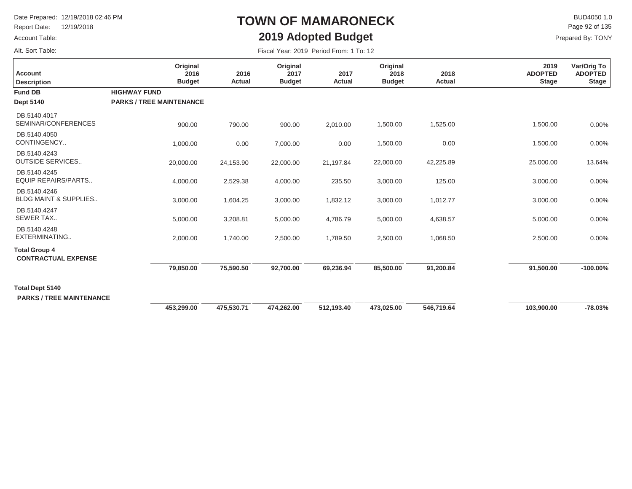Report Date: 12/19/2018

#### Account Table:

Alt. Sort Table:

# **TOWN OF MAMARONECK2019 Adopted Budget**

 $\mathsf{BUD4050 1.0}$ Page 92 of 135

| <b>Account</b><br><b>Description</b>                      | Original<br>2016<br><b>Budget</b>                      | 2016<br>Actual | Original<br>2017<br><b>Budget</b> | 2017<br>Actual | Original<br>2018<br><b>Budget</b> | 2018<br>Actual | 2019<br><b>ADOPTED</b><br><b>Stage</b> | Var/Orig To<br><b>ADOPTED</b><br><b>Stage</b> |
|-----------------------------------------------------------|--------------------------------------------------------|----------------|-----------------------------------|----------------|-----------------------------------|----------------|----------------------------------------|-----------------------------------------------|
| <b>Fund DB</b><br>Dept 5140                               | <b>HIGHWAY FUND</b><br><b>PARKS / TREE MAINTENANCE</b> |                |                                   |                |                                   |                |                                        |                                               |
| DB.5140.4017<br>SEMINAR/CONFERENCES                       | 900.00                                                 | 790.00         | 900.00                            | 2,010.00       | 1,500.00                          | 1,525.00       | 1,500.00                               | 0.00%                                         |
| DB.5140.4050<br>CONTINGENCY                               | 1,000.00                                               | 0.00           | 7,000.00                          | 0.00           | 1,500.00                          | 0.00           | 1,500.00                               | 0.00%                                         |
| DB.5140.4243<br><b>OUTSIDE SERVICES</b>                   | 20,000.00                                              | 24,153.90      | 22,000.00                         | 21,197.84      | 22,000.00                         | 42,225.89      | 25,000.00                              | 13.64%                                        |
| DB.5140.4245<br><b>EQUIP REPAIRS/PARTS</b>                | 4,000.00                                               | 2,529.38       | 4,000.00                          | 235.50         | 3,000.00                          | 125.00         | 3,000.00                               | 0.00%                                         |
| DB.5140.4246<br><b>BLDG MAINT &amp; SUPPLIES</b>          | 3,000.00                                               | 1,604.25       | 3,000.00                          | 1,832.12       | 3,000.00                          | 1,012.77       | 3,000.00                               | 0.00%                                         |
| DB.5140.4247<br><b>SEWER TAX</b>                          | 5,000.00                                               | 3,208.81       | 5,000.00                          | 4,786.79       | 5,000.00                          | 4,638.57       | 5,000.00                               | 0.00%                                         |
| DB.5140.4248<br>EXTERMINATING                             | 2,000.00                                               | 1,740.00       | 2,500.00                          | 1,789.50       | 2,500.00                          | 1,068.50       | 2,500.00                               | $0.00\%$                                      |
| <b>Total Group 4</b><br><b>CONTRACTUAL EXPENSE</b>        |                                                        |                |                                   |                |                                   |                |                                        |                                               |
|                                                           | 79,850.00                                              | 75,590.50      | 92,700.00                         | 69,236.94      | 85,500.00                         | 91,200.84      | 91,500.00                              | $-100.00\%$                                   |
| <b>Total Dept 5140</b><br><b>PARKS / TREE MAINTENANCE</b> |                                                        |                |                                   |                |                                   |                |                                        |                                               |
|                                                           | 453,299.00                                             | 475,530.71     | 474,262.00                        | 512,193.40     | 473,025.00                        | 546,719.64     | 103,900.00                             | $-78.03%$                                     |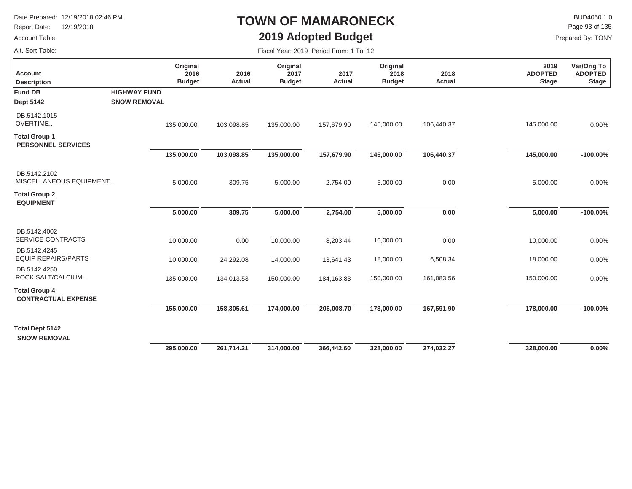Report Date: 12/19/2018

#### Account Table:

Alt. Sort Table:

# **TOWN OF MAMARONECK2019 Adopted Budget**

 $\mathsf{BUD4050 1.0}$ Page 93 of 135

| Fiscal Year: 2019 Period From: 1 To: 12 |  |  |  |  |  |
|-----------------------------------------|--|--|--|--|--|
|-----------------------------------------|--|--|--|--|--|

| <b>Account</b><br><b>Description</b>               |                     | Original<br>2016<br><b>Budget</b> | 2016<br><b>Actual</b> | Original<br>2017<br><b>Budget</b> | 2017<br><b>Actual</b> | Original<br>2018<br><b>Budget</b> | 2018<br><b>Actual</b> | 2019<br><b>ADOPTED</b><br><b>Stage</b> | Var/Orig To<br><b>ADOPTED</b><br><b>Stage</b> |
|----------------------------------------------------|---------------------|-----------------------------------|-----------------------|-----------------------------------|-----------------------|-----------------------------------|-----------------------|----------------------------------------|-----------------------------------------------|
| <b>Fund DB</b>                                     | <b>HIGHWAY FUND</b> |                                   |                       |                                   |                       |                                   |                       |                                        |                                               |
| <b>Dept 5142</b>                                   | <b>SNOW REMOVAL</b> |                                   |                       |                                   |                       |                                   |                       |                                        |                                               |
| DB.5142.1015<br>OVERTIME                           |                     | 135,000.00                        | 103,098.85            | 135,000.00                        | 157,679.90            | 145,000.00                        | 106,440.37            | 145,000.00                             | 0.00%                                         |
| <b>Total Group 1</b><br><b>PERSONNEL SERVICES</b>  |                     |                                   |                       |                                   |                       |                                   |                       |                                        |                                               |
|                                                    |                     | 135,000.00                        | 103,098.85            | 135,000.00                        | 157,679.90            | 145,000.00                        | 106,440.37            | 145,000.00                             | $-100.00\%$                                   |
| DB.5142.2102<br>MISCELLANEOUS EQUIPMENT            |                     | 5,000.00                          | 309.75                | 5,000.00                          | 2,754.00              | 5,000.00                          | 0.00                  | 5,000.00                               | 0.00%                                         |
| <b>Total Group 2</b><br><b>EQUIPMENT</b>           |                     |                                   |                       |                                   |                       |                                   |                       |                                        |                                               |
|                                                    |                     | 5,000.00                          | 309.75                | 5,000.00                          | 2,754.00              | 5,000.00                          | 0.00                  | 5,000.00                               | $-100.00\%$                                   |
| DB.5142.4002<br><b>SERVICE CONTRACTS</b>           |                     | 10,000.00                         | 0.00                  | 10,000.00                         | 8,203.44              | 10,000.00                         | 0.00                  | 10,000.00                              | 0.00%                                         |
| DB.5142.4245<br><b>EQUIP REPAIRS/PARTS</b>         |                     | 10,000.00                         | 24,292.08             | 14,000.00                         | 13,641.43             | 18,000.00                         | 6,508.34              | 18,000.00                              | 0.00%                                         |
| DB.5142.4250<br>ROCK SALT/CALCIUM                  |                     | 135,000.00                        | 134,013.53            | 150,000.00                        | 184, 163.83           | 150,000.00                        | 161,083.56            | 150,000.00                             | 0.00%                                         |
| <b>Total Group 4</b><br><b>CONTRACTUAL EXPENSE</b> |                     |                                   |                       |                                   |                       |                                   |                       |                                        |                                               |
|                                                    |                     | 155,000.00                        | 158,305.61            | 174,000.00                        | 206,008.70            | 178,000.00                        | 167,591.90            | 178,000.00                             | $-100.00\%$                                   |
| <b>Total Dept 5142</b>                             |                     |                                   |                       |                                   |                       |                                   |                       |                                        |                                               |
| <b>SNOW REMOVAL</b>                                |                     |                                   |                       |                                   |                       |                                   |                       |                                        |                                               |
|                                                    |                     | 295,000.00                        | 261,714.21            | 314,000.00                        | 366,442.60            | 328,000.00                        | 274,032.27            | 328,000.00                             | 0.00%                                         |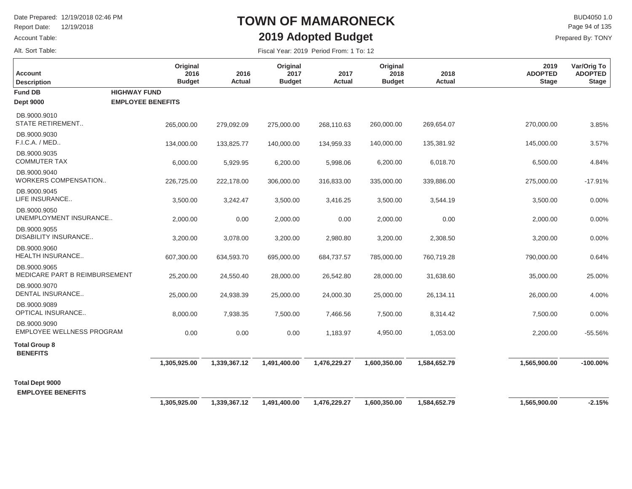Report Date: 12/19/2018

Account Table:

### Alt. Sort Table:

# **TOWN OF MAMARONECK2019 Adopted Budget**

 $\mathsf{BUD4050}\,1.0$ Page 94 of 135

| Fiscal Year: 2019 Period From: 1 To: 12 |  |  |  |
|-----------------------------------------|--|--|--|
|-----------------------------------------|--|--|--|

| Account<br><b>Description</b>                    | Original<br>2016<br><b>Budget</b> | 2016<br>Actual | Original<br>2017<br><b>Budget</b> | 2017<br><b>Actual</b> | Original<br>2018<br><b>Budget</b> | 2018<br><b>Actual</b> | 2019<br><b>ADOPTED</b><br><b>Stage</b> | Var/Orig To<br><b>ADOPTED</b><br><b>Stage</b> |
|--------------------------------------------------|-----------------------------------|----------------|-----------------------------------|-----------------------|-----------------------------------|-----------------------|----------------------------------------|-----------------------------------------------|
| <b>Fund DB</b>                                   | <b>HIGHWAY FUND</b>               |                |                                   |                       |                                   |                       |                                        |                                               |
| <b>Dept 9000</b>                                 | <b>EMPLOYEE BENEFITS</b>          |                |                                   |                       |                                   |                       |                                        |                                               |
| DB.9000.9010<br><b>STATE RETIREMENT</b>          | 265,000.00                        | 279,092.09     | 275,000.00                        | 268,110.63            | 260,000.00                        | 269,654.07            | 270,000.00                             | 3.85%                                         |
| DB.9000.9030<br>F.I.C.A. / MED                   | 134,000.00                        | 133,825.77     | 140,000.00                        | 134,959.33            | 140,000.00                        | 135,381.92            | 145,000.00                             | 3.57%                                         |
| DB.9000.9035<br><b>COMMUTER TAX</b>              | 6,000.00                          | 5,929.95       | 6,200.00                          | 5,998.06              | 6,200.00                          | 6,018.70              | 6,500.00                               | 4.84%                                         |
| DB.9000.9040<br>WORKERS COMPENSATION             | 226,725.00                        | 222,178.00     | 306,000.00                        | 316,833.00            | 335,000.00                        | 339,886.00            | 275,000.00                             | $-17.91%$                                     |
| DB.9000.9045<br>LIFE INSURANCE                   | 3,500.00                          | 3,242.47       | 3,500.00                          | 3,416.25              | 3,500.00                          | 3,544.19              | 3,500.00                               | 0.00%                                         |
| DB.9000.9050<br>UNEMPLOYMENT INSURANCE           | 2,000.00                          | 0.00           | 2,000.00                          | 0.00                  | 2,000.00                          | 0.00                  | 2,000.00                               | 0.00%                                         |
| DB.9000.9055<br><b>DISABILITY INSURANCE</b>      | 3,200.00                          | 3,078.00       | 3,200.00                          | 2,980.80              | 3,200.00                          | 2,308.50              | 3,200.00                               | 0.00%                                         |
| DB.9000.9060<br><b>HEALTH INSURANCE</b>          | 607,300.00                        | 634,593.70     | 695,000.00                        | 684,737.57            | 785,000.00                        | 760,719.28            | 790,000.00                             | 0.64%                                         |
| DB.9000.9065<br>MEDICARE PART B REIMBURSEMENT    | 25,200.00                         | 24,550.40      | 28,000.00                         | 26,542.80             | 28,000.00                         | 31,638.60             | 35,000.00                              | 25.00%                                        |
| DB.9000.9070<br>DENTAL INSURANCE                 | 25,000.00                         | 24,938.39      | 25,000.00                         | 24,000.30             | 25,000.00                         | 26,134.11             | 26,000.00                              | 4.00%                                         |
| DB.9000.9089<br>OPTICAL INSURANCE                | 8,000.00                          | 7,938.35       | 7,500.00                          | 7,466.56              | 7,500.00                          | 8,314.42              | 7,500.00                               | 0.00%                                         |
| DB.9000.9090<br><b>EMPLOYEE WELLNESS PROGRAM</b> | 0.00                              | 0.00           | 0.00                              | 1,183.97              | 4,950.00                          | 1,053.00              | 2,200.00                               | $-55.56%$                                     |
| <b>Total Group 8</b><br><b>BENEFITS</b>          |                                   |                |                                   |                       |                                   |                       |                                        |                                               |
|                                                  | 1,305,925.00                      | 1,339,367.12   | 1,491,400.00                      | 1,476,229.27          | 1,600,350.00                      | 1,584,652.79          | 1,565,900.00                           | $-100.00\%$                                   |
| <b>Total Dept 9000</b>                           |                                   |                |                                   |                       |                                   |                       |                                        |                                               |
| <b>EMPLOYEE BENEFITS</b>                         |                                   |                |                                   |                       |                                   |                       |                                        |                                               |
|                                                  | 1,305,925.00                      | 1,339,367.12   | 1,491,400.00                      | 1,476,229.27          | 1,600,350.00                      | 1,584,652.79          | 1,565,900.00                           | $-2.15%$                                      |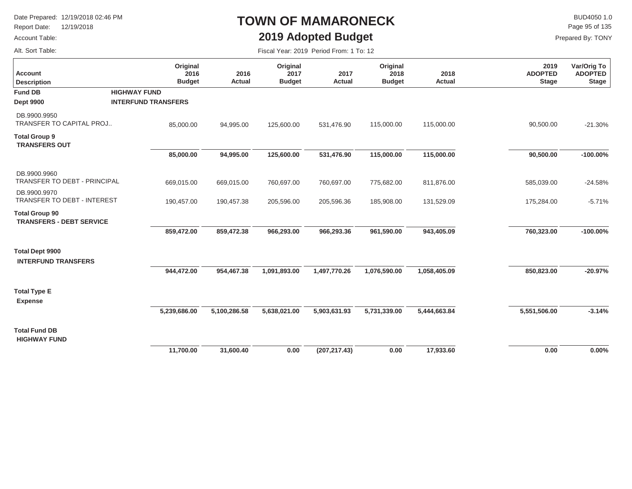Report Date: 12/19/2018

### Account Table:

Alt. Sort Table:

### **TOWN OF MAMARONECK2019 Adopted Budget**

 $\mathsf{BUD4050}\,1.0$ Page 95 of 135

Prepared By: TONY

| <b>Account</b><br><b>Description</b>                     | Original<br>2016<br><b>Budget</b> | 2016<br><b>Actual</b> | Original<br>2017<br><b>Budget</b> | 2017<br><b>Actual</b> | Original<br>2018<br><b>Budget</b> | 2018<br>Actual | 2019<br><b>ADOPTED</b><br><b>Stage</b> | Var/Orig To<br><b>ADOPTED</b><br><b>Stage</b> |
|----------------------------------------------------------|-----------------------------------|-----------------------|-----------------------------------|-----------------------|-----------------------------------|----------------|----------------------------------------|-----------------------------------------------|
| <b>Fund DB</b>                                           | <b>HIGHWAY FUND</b>               |                       |                                   |                       |                                   |                |                                        |                                               |
| <b>Dept 9900</b>                                         | <b>INTERFUND TRANSFERS</b>        |                       |                                   |                       |                                   |                |                                        |                                               |
| DB.9900.9950<br>TRANSFER TO CAPITAL PROJ                 | 85,000.00                         | 94,995.00             | 125,600.00                        | 531,476.90            | 115,000.00                        | 115,000.00     | 90,500.00                              | $-21.30%$                                     |
| <b>Total Group 9</b><br><b>TRANSFERS OUT</b>             |                                   |                       |                                   |                       |                                   |                |                                        |                                               |
|                                                          | 85,000.00                         | 94,995.00             | 125,600.00                        | 531,476.90            | 115,000.00                        | 115,000.00     | 90,500.00                              | $-100.00\%$                                   |
| DB.9900.9960<br>TRANSFER TO DEBT - PRINCIPAL             | 669,015.00                        | 669,015.00            | 760,697.00                        | 760,697.00            | 775,682.00                        | 811,876.00     | 585,039.00                             | $-24.58%$                                     |
| DB.9900.9970<br><b>TRANSFER TO DEBT - INTEREST</b>       | 190,457.00                        | 190,457.38            | 205,596.00                        | 205,596.36            | 185,908.00                        | 131,529.09     | 175,284.00                             | $-5.71%$                                      |
| <b>Total Group 90</b><br><b>TRANSFERS - DEBT SERVICE</b> |                                   |                       |                                   |                       |                                   |                |                                        |                                               |
|                                                          | 859,472.00                        | 859,472.38            | 966,293.00                        | 966,293.36            | 961,590.00                        | 943,405.09     | 760,323.00                             | $-100.00\%$                                   |
| <b>Total Dept 9900</b><br><b>INTERFUND TRANSFERS</b>     |                                   |                       |                                   |                       |                                   |                |                                        |                                               |
|                                                          | 944,472.00                        | 954,467.38            | 1,091,893.00                      | 1,497,770.26          | 1,076,590.00                      | 1,058,405.09   | 850,823.00                             | $-20.97%$                                     |
| <b>Total Type E</b><br><b>Expense</b>                    |                                   |                       |                                   |                       |                                   |                |                                        |                                               |
|                                                          | 5,239,686.00                      | 5,100,286.58          | 5,638,021.00                      | 5,903,631.93          | 5,731,339.00                      | 5,444,663.84   | 5,551,506.00                           | $-3.14%$                                      |
| <b>Total Fund DB</b><br><b>HIGHWAY FUND</b>              |                                   |                       |                                   |                       |                                   |                |                                        |                                               |
|                                                          | 11,700.00                         | 31,600.40             | 0.00                              | (207, 217.43)         | 0.00                              | 17,933.60      | 0.00                                   | 0.00%                                         |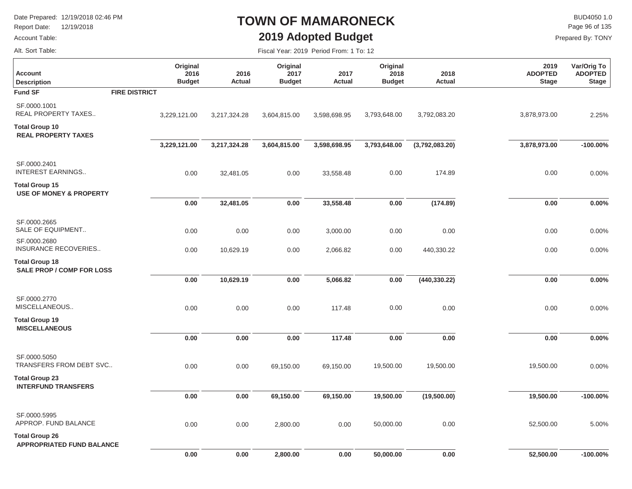Report Date: 12/19/2018

#### Account Table:

### **TOWN OF MAMARONECK2019 Adopted Budget**

Fiscal Year: 2019 Period From: 1 To: 12

 $\mathsf{BUD4050}\,1.0$ Page 96 of 135

Prepared By: TONY

Alt. Sort Table:

É

| <b>Account</b><br><b>Description</b>                        | Original<br>2016<br><b>Budget</b> | 2016<br>Actual | Original<br>2017<br><b>Budget</b> | 2017<br><b>Actual</b> | Original<br>2018<br><b>Budget</b> | 2018<br><b>Actual</b> | 2019<br><b>ADOPTED</b><br><b>Stage</b> | Var/Orig To<br><b>ADOPTED</b><br><b>Stage</b> |
|-------------------------------------------------------------|-----------------------------------|----------------|-----------------------------------|-----------------------|-----------------------------------|-----------------------|----------------------------------------|-----------------------------------------------|
| <b>Fund SF</b>                                              | <b>FIRE DISTRICT</b>              |                |                                   |                       |                                   |                       |                                        |                                               |
| SF.0000.1001<br><b>REAL PROPERTY TAXES</b>                  | 3,229,121.00                      | 3,217,324.28   | 3,604,815.00                      | 3,598,698.95          | 3,793,648.00                      | 3,792,083.20          | 3,878,973.00                           | 2.25%                                         |
| <b>Total Group 10</b><br><b>REAL PROPERTY TAXES</b>         |                                   |                |                                   |                       |                                   |                       |                                        |                                               |
|                                                             | 3,229,121.00                      | 3,217,324.28   | 3,604,815.00                      | 3,598,698.95          | 3,793,648.00                      | (3,792,083.20)        | 3,878,973.00                           | $-100.00\%$                                   |
| SF.0000.2401<br><b>INTEREST EARNINGS</b>                    | 0.00                              | 32,481.05      | 0.00                              | 33,558.48             | 0.00                              | 174.89                | 0.00                                   | 0.00%                                         |
| <b>Total Group 15</b><br><b>USE OF MONEY &amp; PROPERTY</b> |                                   |                |                                   |                       |                                   |                       |                                        |                                               |
|                                                             | $0.00\,$                          | 32,481.05      | 0.00                              | 33,558.48             | $0.00\,$                          | (174.89)              | $0.00\,$                               | 0.00%                                         |
| SF.0000.2665<br>SALE OF EQUIPMENT                           | 0.00                              | 0.00           | 0.00                              | 3,000.00              | 0.00                              | 0.00                  | 0.00                                   | 0.00%                                         |
| SF.0000.2680<br>INSURANCE RECOVERIES                        | 0.00                              | 10,629.19      | 0.00                              | 2,066.82              | 0.00                              | 440,330.22            | 0.00                                   | 0.00%                                         |
| <b>Total Group 18</b><br><b>SALE PROP / COMP FOR LOSS</b>   |                                   |                |                                   |                       |                                   |                       |                                        |                                               |
|                                                             | $0.00\,$                          | 10,629.19      | 0.00                              | 5,066.82              | $0.00\,$                          | (440, 330.22)         | $0.00\,$                               | 0.00%                                         |
| SF.0000.2770<br>MISCELLANEOUS                               | 0.00                              | 0.00           | 0.00                              | 117.48                | 0.00                              | 0.00                  | 0.00                                   | 0.00%                                         |
| <b>Total Group 19</b>                                       |                                   |                |                                   |                       |                                   |                       |                                        |                                               |
| <b>MISCELLANEOUS</b>                                        | 0.00                              | 0.00           | 0.00                              | 117.48                | $0.00\,$                          | 0.00                  | 0.00                                   | 0.00%                                         |
| SF.0000.5050<br>TRANSFERS FROM DEBT SVC                     | 0.00                              | 0.00           | 69,150.00                         | 69,150.00             | 19,500.00                         | 19,500.00             | 19,500.00                              | 0.00%                                         |
| <b>Total Group 23</b><br><b>INTERFUND TRANSFERS</b>         |                                   |                |                                   |                       |                                   |                       |                                        |                                               |
|                                                             | 0.00                              | 0.00           | 69,150.00                         | 69,150.00             | 19,500.00                         | (19,500.00)           | 19,500.00                              | $-100.00\%$                                   |
| SF.0000.5995<br>APPROP. FUND BALANCE                        | 0.00                              | 0.00           | 2,800.00                          | 0.00                  | 50,000.00                         | 0.00                  | 52,500.00                              | 5.00%                                         |
| <b>Total Group 26</b><br><b>APPROPRIATED FUND BALANCE</b>   |                                   |                |                                   |                       |                                   |                       |                                        |                                               |
|                                                             | 0.00                              | 0.00           | 2,800.00                          | 0.00                  | 50,000.00                         | 0.00                  | 52,500.00                              | $-100.00%$                                    |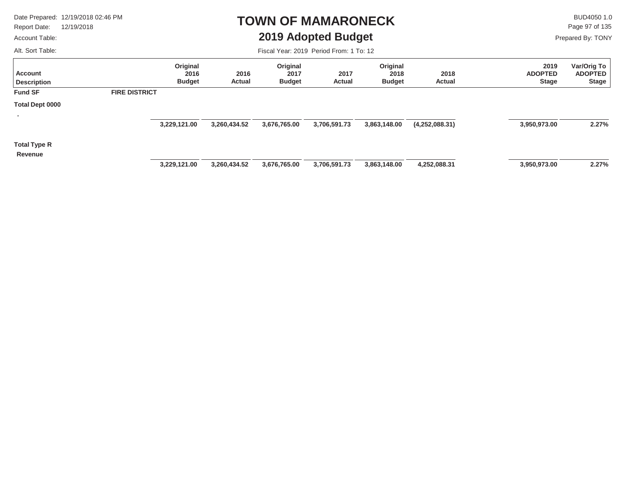Report Date: 12/19/2018

#### Account Table:

Alt. Sort Table:

### **TOWN OF MAMARONECK2019 Adopted Budget**

 $\mathsf{BUD4050 1.0}$ Prepared By: TONY Page 97 of 135

| <b>Account</b><br><b>Description</b> |                      | Original<br>2016<br><b>Budget</b> | 2016<br>Actual | Original<br>2017<br><b>Budget</b> | 2017<br><b>Actual</b> | Original<br>2018<br><b>Budget</b> | 2018<br>Actual | 2019<br><b>ADOPTED</b><br><b>Stage</b> | Var/Orig To<br><b>ADOPTED</b><br>Stage |
|--------------------------------------|----------------------|-----------------------------------|----------------|-----------------------------------|-----------------------|-----------------------------------|----------------|----------------------------------------|----------------------------------------|
| <b>Fund SF</b>                       | <b>FIRE DISTRICT</b> |                                   |                |                                   |                       |                                   |                |                                        |                                        |
| Total Dept 0000                      |                      |                                   |                |                                   |                       |                                   |                |                                        |                                        |
| $\mathbf{r}$                         |                      | 3,229,121.00                      | 3,260,434.52   | 3,676,765.00                      | 3,706,591.73          | 3,863,148.00                      | (4,252,088.31) | 3,950,973.00                           | 2.27%                                  |
| <b>Total Type R</b>                  |                      |                                   |                |                                   |                       |                                   |                |                                        |                                        |
| Revenue                              |                      | 3,229,121.00                      | 3,260,434.52   | 3,676,765.00                      | 3,706,591.73          | 3,863,148.00                      | 4,252,088.31   | 3,950,973.00                           | 2.27%                                  |
|                                      |                      |                                   |                |                                   |                       |                                   |                |                                        |                                        |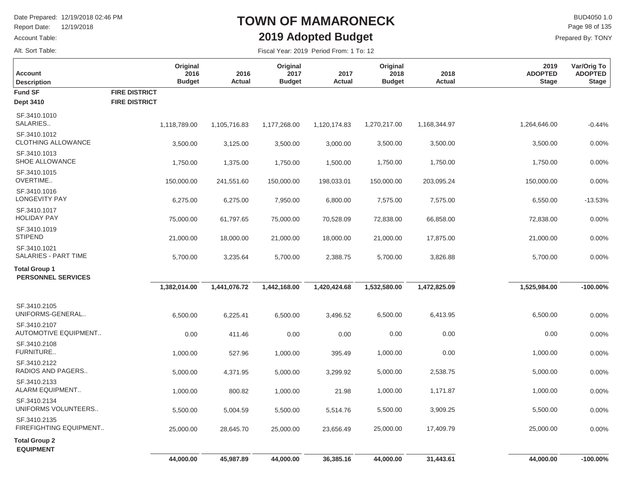Report Date: 12/19/2018

### Account Table:

Alt. Sort Table:

É

## **TOWN OF MAMARONECK2019 Adopted Budget**

 $\mathsf{BUD4050}\,1.0$ Prepared By: TONY Page 98 of 135

| <b>Account</b><br><b>Description</b>              |                                              | Original<br>2016<br><b>Budget</b> | 2016<br>Actual | Original<br>2017<br><b>Budget</b> | 2017<br><b>Actual</b> | Original<br>2018<br><b>Budget</b> | 2018<br>Actual | 2019<br><b>ADOPTED</b><br><b>Stage</b> | Var/Orig To<br><b>ADOPTED</b><br><b>Stage</b> |
|---------------------------------------------------|----------------------------------------------|-----------------------------------|----------------|-----------------------------------|-----------------------|-----------------------------------|----------------|----------------------------------------|-----------------------------------------------|
| <b>Fund SF</b><br>Dept 3410                       | <b>FIRE DISTRICT</b><br><b>FIRE DISTRICT</b> |                                   |                |                                   |                       |                                   |                |                                        |                                               |
| SF.3410.1010<br>SALARIES                          |                                              | 1,118,789.00                      | 1,105,716.83   | 1,177,268.00                      | 1,120,174.83          | 1,270,217.00                      | 1,168,344.97   | 1,264,646.00                           | $-0.44%$                                      |
| SF.3410.1012<br><b>CLOTHING ALLOWANCE</b>         |                                              | 3,500.00                          | 3,125.00       | 3,500.00                          | 3,000.00              | 3,500.00                          | 3,500.00       | 3,500.00                               | 0.00%                                         |
| SF.3410.1013<br>SHOE ALLOWANCE                    |                                              | 1,750.00                          | 1,375.00       | 1,750.00                          | 1,500.00              | 1,750.00                          | 1,750.00       | 1,750.00                               | 0.00%                                         |
| SF.3410.1015<br>OVERTIME                          |                                              | 150,000.00                        | 241,551.60     | 150,000.00                        | 198,033.01            | 150,000.00                        | 203,095.24     | 150,000.00                             | 0.00%                                         |
| SF.3410.1016<br><b>LONGEVITY PAY</b>              |                                              | 6,275.00                          | 6,275.00       | 7,950.00                          | 6,800.00              | 7,575.00                          | 7,575.00       | 6,550.00                               | $-13.53%$                                     |
| SF.3410.1017<br><b>HOLIDAY PAY</b>                |                                              | 75,000.00                         | 61,797.65      | 75,000.00                         | 70,528.09             | 72,838.00                         | 66,858.00      | 72,838.00                              | 0.00%                                         |
| SF.3410.1019<br><b>STIPEND</b>                    |                                              | 21,000.00                         | 18,000.00      | 21,000.00                         | 18,000.00             | 21,000.00                         | 17,875.00      | 21,000.00                              | 0.00%                                         |
| SF.3410.1021<br>SALARIES - PART TIME              |                                              | 5,700.00                          | 3,235.64       | 5,700.00                          | 2,388.75              | 5,700.00                          | 3,826.88       | 5,700.00                               | 0.00%                                         |
| <b>Total Group 1</b><br><b>PERSONNEL SERVICES</b> |                                              |                                   |                |                                   |                       |                                   |                |                                        |                                               |
|                                                   |                                              | 1,382,014.00                      | 1,441,076.72   | 1,442,168.00                      | 1,420,424.68          | 1,532,580.00                      | 1,472,825.09   | 1,525,984.00                           | $-100.00%$                                    |
| SF.3410.2105<br>UNIFORMS-GENERAL<br>SF.3410.2107  |                                              | 6,500.00                          | 6,225.41       | 6,500.00                          | 3,496.52              | 6,500.00                          | 6,413.95       | 6,500.00                               | 0.00%                                         |
| <b>AUTOMOTIVE EQUIPMENT</b>                       |                                              | 0.00                              | 411.46         | 0.00                              | 0.00                  | 0.00                              | 0.00           | 0.00                                   | 0.00%                                         |
| SF.3410.2108<br>FURNITURE                         |                                              | 1,000.00                          | 527.96         | 1,000.00                          | 395.49                | 1,000.00                          | 0.00           | 1,000.00                               | 0.00%                                         |
| SF.3410.2122<br>RADIOS AND PAGERS                 |                                              | 5,000.00                          | 4,371.95       | 5,000.00                          | 3,299.92              | 5,000.00                          | 2,538.75       | 5,000.00                               | 0.00%                                         |
| SF.3410.2133<br>ALARM EQUIPMENT                   |                                              | 1,000.00                          | 800.82         | 1,000.00                          | 21.98                 | 1,000.00                          | 1,171.87       | 1,000.00                               | 0.00%                                         |
| SF.3410.2134<br>UNIFORMS VOLUNTEERS               |                                              | 5,500.00                          | 5,004.59       | 5,500.00                          | 5,514.76              | 5,500.00                          | 3,909.25       | 5,500.00                               | 0.00%                                         |
| SF.3410.2135<br>FIREFIGHTING EQUIPMENT            |                                              | 25,000.00                         | 28,645.70      | 25,000.00                         | 23,656.49             | 25,000.00                         | 17,409.79      | 25,000.00                              | 0.00%                                         |
| <b>Total Group 2</b><br><b>EQUIPMENT</b>          |                                              |                                   |                |                                   |                       |                                   |                |                                        |                                               |
|                                                   |                                              | 44,000.00                         | 45,987.89      | 44,000.00                         | 36,385.16             | 44,000.00                         | 31,443.61      | 44,000.00                              | $-100.00\%$                                   |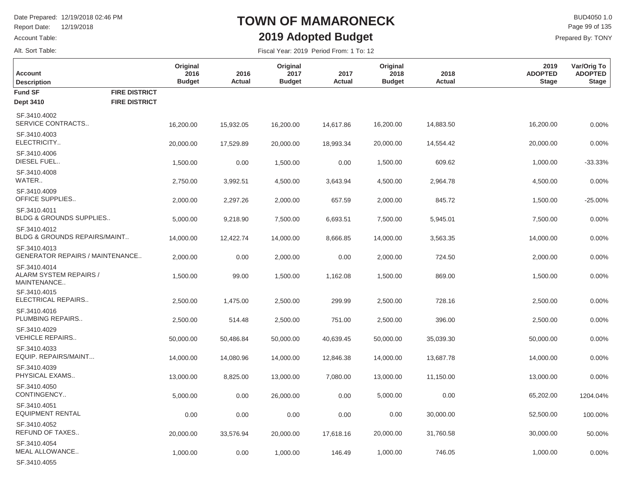**Original**

Report Date: 12/19/2018

### Account Table:

Alt. Sort Table:

SF.3410.4055

## **TOWN OF MAMARONECK2019 Adopted Budget**

**Original**

 $\mathsf{BUD4050}\,1.0$ Prepared By: TONY Page 99 of 135

**Var/Orig To**

**2019**

Fiscal Year: 2019 Period From: 1 To: 12

**Original**

| <b>Account</b><br><b>Description</b>                   |                      | 2016<br><b>Budget</b> | 2016<br>Actual | 2017<br><b>Budget</b> | 2017<br>Actual | 2018<br><b>Budget</b> | 2018<br>Actual | <b>ADOPTED</b><br><b>Stage</b> | <b>ADOPTED</b><br><b>Stage</b> |
|--------------------------------------------------------|----------------------|-----------------------|----------------|-----------------------|----------------|-----------------------|----------------|--------------------------------|--------------------------------|
| <b>Fund SF</b>                                         | <b>FIRE DISTRICT</b> |                       |                |                       |                |                       |                |                                |                                |
| <b>Dept 3410</b>                                       | <b>FIRE DISTRICT</b> |                       |                |                       |                |                       |                |                                |                                |
| SF.3410.4002<br>SERVICE CONTRACTS                      |                      | 16,200.00             | 15,932.05      | 16,200.00             | 14,617.86      | 16,200.00             | 14,883.50      | 16,200.00                      | 0.00%                          |
| SF.3410.4003<br>ELECTRICITY                            |                      | 20,000.00             | 17,529.89      | 20,000.00             | 18,993.34      | 20,000.00             | 14,554.42      | 20,000.00                      | 0.00%                          |
| SF.3410.4006<br>DIESEL FUEL                            |                      | 1,500.00              | 0.00           | 1,500.00              | 0.00           | 1,500.00              | 609.62         | 1,000.00                       | $-33.33%$                      |
| SF.3410.4008<br>WATER                                  |                      | 2,750.00              | 3,992.51       | 4,500.00              | 3,643.94       | 4,500.00              | 2,964.78       | 4,500.00                       | 0.00%                          |
| SF.3410.4009<br>OFFICE SUPPLIES                        |                      | 2,000.00              | 2,297.26       | 2,000.00              | 657.59         | 2,000.00              | 845.72         | 1,500.00                       | $-25.00%$                      |
| SF.3410.4011<br><b>BLDG &amp; GROUNDS SUPPLIES</b>     |                      | 5,000.00              | 9,218.90       | 7,500.00              | 6,693.51       | 7,500.00              | 5,945.01       | 7,500.00                       | 0.00%                          |
| SF.3410.4012<br>BLDG & GROUNDS REPAIRS/MAINT           |                      | 14,000.00             | 12,422.74      | 14,000.00             | 8,666.85       | 14,000.00             | 3,563.35       | 14,000.00                      | 0.00%                          |
| SF.3410.4013<br><b>GENERATOR REPAIRS / MAINTENANCE</b> |                      | 2,000.00              | 0.00           | 2,000.00              | 0.00           | 2,000.00              | 724.50         | 2,000.00                       | 0.00%                          |
| SF.3410.4014<br>ALARM SYSTEM REPAIRS /<br>MAINTENANCE  |                      | 1,500.00              | 99.00          | 1,500.00              | 1,162.08       | 1,500.00              | 869.00         | 1,500.00                       | 0.00%                          |
| SF.3410.4015<br>ELECTRICAL REPAIRS                     |                      | 2,500.00              | 1,475.00       | 2,500.00              | 299.99         | 2,500.00              | 728.16         | 2,500.00                       | 0.00%                          |
| SF.3410.4016<br>PLUMBING REPAIRS                       |                      | 2,500.00              | 514.48         | 2,500.00              | 751.00         | 2,500.00              | 396.00         | 2,500.00                       | 0.00%                          |
| SF.3410.4029<br><b>VEHICLE REPAIRS</b>                 |                      | 50,000.00             | 50,486.84      | 50,000.00             | 40,639.45      | 50,000.00             | 35,039.30      | 50,000.00                      | 0.00%                          |
| SF.3410.4033<br>EQUIP. REPAIRS/MAINT                   |                      | 14,000.00             | 14,080.96      | 14,000.00             | 12,846.38      | 14,000.00             | 13,687.78      | 14,000.00                      | 0.00%                          |
| SF.3410.4039<br>PHYSICAL EXAMS                         |                      | 13,000.00             | 8,825.00       | 13,000.00             | 7,080.00       | 13,000.00             | 11,150.00      | 13,000.00                      | 0.00%                          |
| SF.3410.4050<br>CONTINGENCY                            |                      | 5,000.00              | 0.00           | 26,000.00             | 0.00           | 5,000.00              | 0.00           | 65,202.00                      | 1204.04%                       |
| SF.3410.4051<br><b>EQUIPMENT RENTAL</b>                |                      | 0.00                  | 0.00           | 0.00                  | 0.00           | 0.00                  | 30,000.00      | 52,500.00                      | 100.00%                        |
| SF.3410.4052<br>REFUND OF TAXES                        |                      | 20,000.00             | 33,576.94      | 20,000.00             | 17,618.16      | 20,000.00             | 31,760.58      | 30,000.00                      | 50.00%                         |
| SF.3410.4054<br>MEAL ALLOWANCE                         |                      | 1.000.00              | 0.00           | 1.000.00              | 146.49         | 1.000.00              | 746.05         | 1.000.00                       | $0.00\%$                       |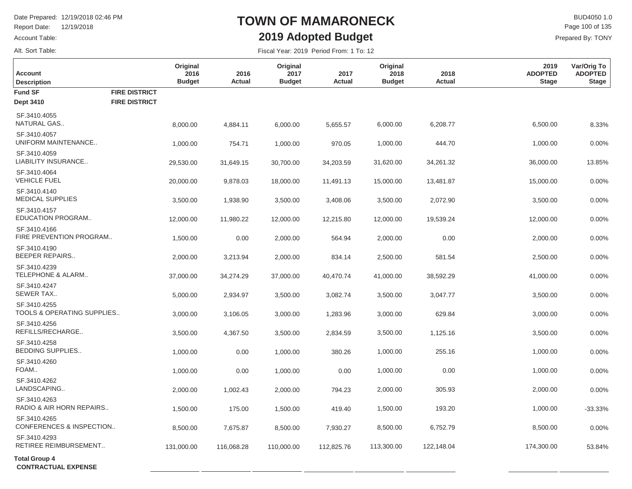Report Date: 12/19/2018

Account Table: Alt. Sort Table:

### **TOWN OF MAMARONECK2019 Adopted Budget**

 $\mathsf{BUD4050 1.0}$ Prepared By: TONY Page 100 of 135

| <b>Account</b><br><b>Description</b>               |                      | Original<br>2016<br><b>Budget</b> | 2016<br>Actual | Original<br>2017<br><b>Budget</b> | 2017<br>Actual | Original<br>2018<br><b>Budget</b> | 2018<br>Actual | 2019<br><b>ADOPTED</b><br><b>Stage</b> | Var/Orig To<br><b>ADOPTED</b><br><b>Stage</b> |
|----------------------------------------------------|----------------------|-----------------------------------|----------------|-----------------------------------|----------------|-----------------------------------|----------------|----------------------------------------|-----------------------------------------------|
| <b>Fund SF</b>                                     | <b>FIRE DISTRICT</b> |                                   |                |                                   |                |                                   |                |                                        |                                               |
| <b>Dept 3410</b>                                   | <b>FIRE DISTRICT</b> |                                   |                |                                   |                |                                   |                |                                        |                                               |
| SF.3410.4055<br>NATURAL GAS                        |                      | 8,000.00                          | 4,884.11       | 6,000.00                          | 5,655.57       | 6,000.00                          | 6,208.77       | 6,500.00                               | 8.33%                                         |
| SF.3410.4057<br>UNIFORM MAINTENANCE                |                      | 1,000.00                          | 754.71         | 1,000.00                          | 970.05         | 1,000.00                          | 444.70         | 1,000.00                               | 0.00%                                         |
| SF.3410.4059<br>LIABILITY INSURANCE                |                      | 29,530.00                         | 31,649.15      | 30,700.00                         | 34,203.59      | 31,620.00                         | 34,261.32      | 36,000.00                              | 13.85%                                        |
| SF.3410.4064<br><b>VEHICLE FUEL</b>                |                      | 20,000.00                         | 9,878.03       | 18,000.00                         | 11,491.13      | 15,000.00                         | 13,481.87      | 15,000.00                              | 0.00%                                         |
| SF.3410.4140<br><b>MEDICAL SUPPLIES</b>            |                      | 3,500.00                          | 1,938.90       | 3,500.00                          | 3,408.06       | 3,500.00                          | 2,072.90       | 3,500.00                               | 0.00%                                         |
| SF.3410.4157<br>EDUCATION PROGRAM                  |                      | 12,000.00                         | 11,980.22      | 12,000.00                         | 12,215.80      | 12,000.00                         | 19,539.24      | 12,000.00                              | 0.00%                                         |
| SF.3410.4166<br>FIRE PREVENTION PROGRAM            |                      | 1,500.00                          | 0.00           | 2,000.00                          | 564.94         | 2,000.00                          | 0.00           | 2,000.00                               | 0.00%                                         |
| SF.3410.4190<br><b>BEEPER REPAIRS</b>              |                      | 2,000.00                          | 3,213.94       | 2,000.00                          | 834.14         | 2,500.00                          | 581.54         | 2,500.00                               | 0.00%                                         |
| SF.3410.4239<br>TELEPHONE & ALARM                  |                      | 37,000.00                         | 34,274.29      | 37,000.00                         | 40,470.74      | 41,000.00                         | 38,592.29      | 41,000.00                              | 0.00%                                         |
| SF.3410.4247<br>SEWER TAX                          |                      | 5,000.00                          | 2,934.97       | 3,500.00                          | 3,082.74       | 3,500.00                          | 3,047.77       | 3,500.00                               | 0.00%                                         |
| SF.3410.4255<br>TOOLS & OPERATING SUPPLIES         |                      | 3,000.00                          | 3,106.05       | 3,000.00                          | 1,283.96       | 3,000.00                          | 629.84         | 3,000.00                               | 0.00%                                         |
| SF.3410.4256<br>REFILLS/RECHARGE                   |                      | 3,500.00                          | 4,367.50       | 3,500.00                          | 2,834.59       | 3,500.00                          | 1,125.16       | 3,500.00                               | 0.00%                                         |
| SF.3410.4258<br><b>BEDDING SUPPLIES</b>            |                      | 1,000.00                          | 0.00           | 1,000.00                          | 380.26         | 1,000.00                          | 255.16         | 1,000.00                               | 0.00%                                         |
| SF.3410.4260<br>FOAM                               |                      | 1,000.00                          | 0.00           | 1,000.00                          | 0.00           | 1,000.00                          | 0.00           | 1,000.00                               | 0.00%                                         |
| SF.3410.4262<br>LANDSCAPING                        |                      | 2,000.00                          | 1,002.43       | 2,000.00                          | 794.23         | 2,000.00                          | 305.93         | 2,000.00                               | 0.00%                                         |
| SF.3410.4263<br>RADIO & AIR HORN REPAIRS           |                      | 1,500.00                          | 175.00         | 1,500.00                          | 419.40         | 1,500.00                          | 193.20         | 1,000.00                               | $-33.33%$                                     |
| SF.3410.4265<br>CONFERENCES & INSPECTION           |                      | 8,500.00                          | 7,675.87       | 8,500.00                          | 7,930.27       | 8,500.00                          | 6,752.79       | 8,500.00                               | 0.00%                                         |
| SF.3410.4293<br>RETIREE REIMBURSEMENT              |                      | 131,000.00                        | 116,068.28     | 110,000.00                        | 112,825.76     | 113,300.00                        | 122,148.04     | 174,300.00                             | 53.84%                                        |
| <b>Total Group 4</b><br><b>CONTRACTUAL EXPENSE</b> |                      |                                   |                |                                   |                |                                   |                |                                        |                                               |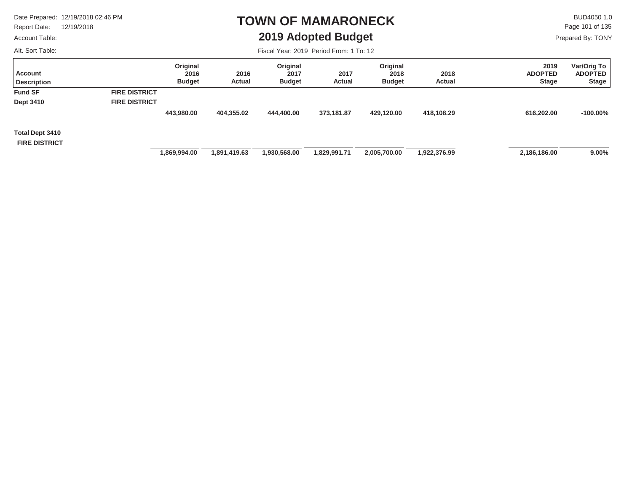Report Date: 12/19/2018

#### Account Table:

Alt. Sort Table:

### **TOWN OF MAMARONECK2019 Adopted Budget**

 $\mathsf{BUD4050}\,1.0$ Prepared By: TONY Page 101 of 135

| Account<br><b>Description</b>           |                      | Original<br>2016<br><b>Budget</b> | 2016<br>Actual | Original<br>2017<br><b>Budget</b> | 2017<br><b>Actual</b> | Original<br>2018<br><b>Budget</b> | 2018<br>Actual | 2019<br><b>ADOPTED</b><br><b>Stage</b> | Var/Orig To<br><b>ADOPTED</b><br><b>Stage</b> |
|-----------------------------------------|----------------------|-----------------------------------|----------------|-----------------------------------|-----------------------|-----------------------------------|----------------|----------------------------------------|-----------------------------------------------|
| <b>Fund SF</b>                          | <b>FIRE DISTRICT</b> |                                   |                |                                   |                       |                                   |                |                                        |                                               |
| <b>Dept 3410</b>                        | <b>FIRE DISTRICT</b> |                                   |                |                                   |                       |                                   |                |                                        |                                               |
|                                         |                      | 443,980.00                        | 404,355.02     | 444,400.00                        | 373,181.87            | 429,120.00                        | 418,108.29     | 616,202.00                             | $-100.00\%$                                   |
| Total Dept 3410<br><b>FIRE DISTRICT</b> |                      |                                   |                |                                   |                       |                                   |                |                                        |                                               |
|                                         |                      | 869,994.00                        | 1,891,419.63   | 1,930,568.00                      | 1,829,991.71          | 2,005,700.00                      | 1,922,376.99   | 2,186,186.00                           | $9.00\%$                                      |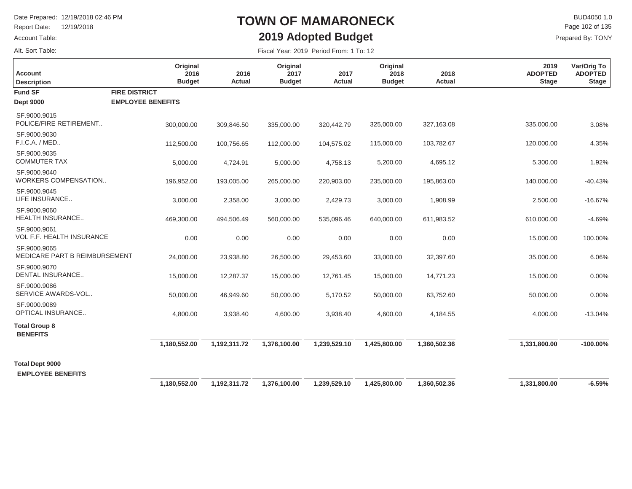Report Date: 12/19/2018

#### Account Table:

Alt. Sort Table:

### **TOWN OF MAMARONECK2019 Adopted Budget**

 $\mathsf{BUD4050}\,1.0$ Prepared By: TONY Page 102 of 135

| <b>Account</b><br><b>Description</b>               | Original<br>2016<br><b>Budget</b> | 2016<br><b>Actual</b> | Original<br>2017<br><b>Budget</b> | 2017<br><b>Actual</b> | Original<br>2018<br><b>Budget</b> | 2018<br>Actual | 2019<br><b>ADOPTED</b><br><b>Stage</b> | Var/Orig To<br><b>ADOPTED</b><br><b>Stage</b> |
|----------------------------------------------------|-----------------------------------|-----------------------|-----------------------------------|-----------------------|-----------------------------------|----------------|----------------------------------------|-----------------------------------------------|
| <b>Fund SF</b>                                     | <b>FIRE DISTRICT</b>              |                       |                                   |                       |                                   |                |                                        |                                               |
| <b>Dept 9000</b>                                   | <b>EMPLOYEE BENEFITS</b>          |                       |                                   |                       |                                   |                |                                        |                                               |
| SF.9000.9015<br>POLICE/FIRE RETIREMENT             | 300,000.00                        | 309,846.50            | 335,000.00                        | 320,442.79            | 325,000.00                        | 327,163.08     | 335,000.00                             | 3.08%                                         |
| SF.9000.9030<br>F.I.C.A. / MED                     | 112,500.00                        | 100,756.65            | 112,000.00                        | 104,575.02            | 115,000.00                        | 103,782.67     | 120,000.00                             | 4.35%                                         |
| SF.9000.9035<br><b>COMMUTER TAX</b>                | 5,000.00                          | 4,724.91              | 5,000.00                          | 4,758.13              | 5,200.00                          | 4,695.12       | 5,300.00                               | 1.92%                                         |
| SF.9000.9040<br>WORKERS COMPENSATION               | 196,952.00                        | 193,005.00            | 265,000.00                        | 220,903.00            | 235,000.00                        | 195,863.00     | 140,000.00                             | $-40.43%$                                     |
| SF.9000.9045<br>LIFE INSURANCE                     | 3,000.00                          | 2,358.00              | 3,000.00                          | 2,429.73              | 3,000.00                          | 1,908.99       | 2,500.00                               | $-16.67%$                                     |
| SF.9000.9060<br><b>HEALTH INSURANCE</b>            | 469,300.00                        | 494,506.49            | 560,000.00                        | 535,096.46            | 640,000.00                        | 611,983.52     | 610,000.00                             | $-4.69%$                                      |
| SF.9000.9061<br><b>VOL F.F. HEALTH INSURANCE</b>   | 0.00                              | 0.00                  | 0.00                              | 0.00                  | 0.00                              | 0.00           | 15,000.00                              | 100.00%                                       |
| SF.9000.9065<br>MEDICARE PART B REIMBURSEMENT      | 24,000.00                         | 23,938.80             | 26,500.00                         | 29,453.60             | 33,000.00                         | 32,397.60      | 35,000.00                              | 6.06%                                         |
| SF.9000.9070<br>DENTAL INSURANCE                   | 15,000.00                         | 12,287.37             | 15,000.00                         | 12,761.45             | 15,000.00                         | 14,771.23      | 15,000.00                              | 0.00%                                         |
| SF.9000.9086<br>SERVICE AWARDS-VOL                 | 50,000.00                         | 46,949.60             | 50,000.00                         | 5,170.52              | 50,000.00                         | 63,752.60      | 50,000.00                              | 0.00%                                         |
| SF.9000.9089<br><b>OPTICAL INSURANCE</b>           | 4,800.00                          | 3,938.40              | 4,600.00                          | 3,938.40              | 4,600.00                          | 4,184.55       | 4,000.00                               | $-13.04%$                                     |
| <b>Total Group 8</b><br><b>BENEFITS</b>            |                                   |                       |                                   |                       |                                   |                |                                        |                                               |
|                                                    | 1,180,552.00                      | 1,192,311.72          | 1,376,100.00                      | 1,239,529.10          | 1,425,800.00                      | 1,360,502.36   | 1,331,800.00                           | $-100.00\%$                                   |
| <b>Total Dept 9000</b><br><b>EMPLOYEE BENEFITS</b> |                                   |                       |                                   |                       |                                   |                |                                        |                                               |
|                                                    | 1,180,552.00                      | 1,192,311.72          | 1,376,100.00                      | 1,239,529.10          | 1,425,800.00                      | 1,360,502.36   | 1,331,800.00                           | $-6.59%$                                      |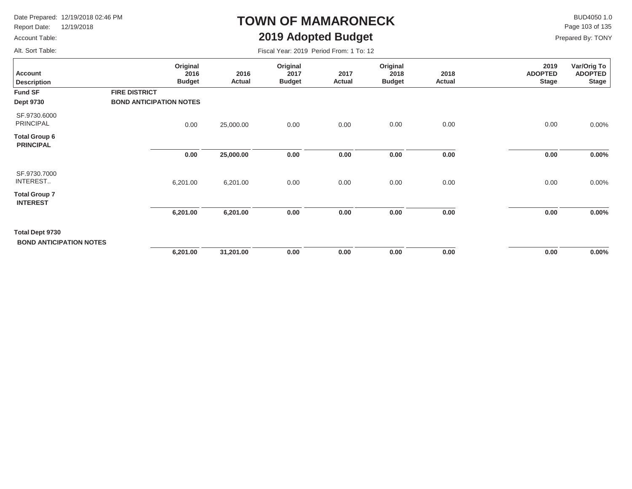Report Date: 12/19/2018

### Account Table:

Alt. Sort Table:

# **TOWN OF MAMARONECK2019 Adopted Budget**

 $\mathsf{BUD4050}\,1.0$ Page 103 of 135

| Fiscal Year: 2019 Period From: 1 To: 12 |  |
|-----------------------------------------|--|
|-----------------------------------------|--|

| <b>Account</b><br><b>Description</b>              | Original<br>2016<br><b>Budget</b>                      | 2016<br><b>Actual</b> | Original<br>2017<br><b>Budget</b> | 2017<br>Actual | Original<br>2018<br><b>Budget</b> | 2018<br>Actual | 2019<br><b>ADOPTED</b><br><b>Stage</b> | Var/Orig To<br><b>ADOPTED</b><br><b>Stage</b> |
|---------------------------------------------------|--------------------------------------------------------|-----------------------|-----------------------------------|----------------|-----------------------------------|----------------|----------------------------------------|-----------------------------------------------|
| <b>Fund SF</b><br><b>Dept 9730</b>                | <b>FIRE DISTRICT</b><br><b>BOND ANTICIPATION NOTES</b> |                       |                                   |                |                                   |                |                                        |                                               |
| SF.9730.6000<br><b>PRINCIPAL</b>                  | 0.00                                                   | 25,000.00             | 0.00                              | 0.00           | 0.00                              | 0.00           | 0.00                                   | $0.00\%$                                      |
| <b>Total Group 6</b><br><b>PRINCIPAL</b>          |                                                        |                       |                                   |                |                                   |                |                                        |                                               |
|                                                   | 0.00                                                   | 25,000.00             | 0.00                              | 0.00           | 0.00                              | 0.00           | 0.00                                   | $0.00\%$                                      |
| SF.9730.7000<br>INTEREST                          | 6,201.00                                               | 6,201.00              | 0.00                              | 0.00           | 0.00                              | 0.00           | 0.00                                   | 0.00%                                         |
| <b>Total Group 7</b><br><b>INTEREST</b>           |                                                        |                       |                                   |                |                                   |                |                                        |                                               |
|                                                   | 6,201.00                                               | 6,201.00              | 0.00                              | 0.00           | 0.00                              | 0.00           | 0.00                                   | $0.00\%$                                      |
| Total Dept 9730<br><b>BOND ANTICIPATION NOTES</b> |                                                        |                       |                                   |                |                                   |                |                                        |                                               |
|                                                   | 6,201.00                                               | 31,201.00             | 0.00                              | 0.00           | 0.00                              | 0.00           | 0.00                                   | $0.00\%$                                      |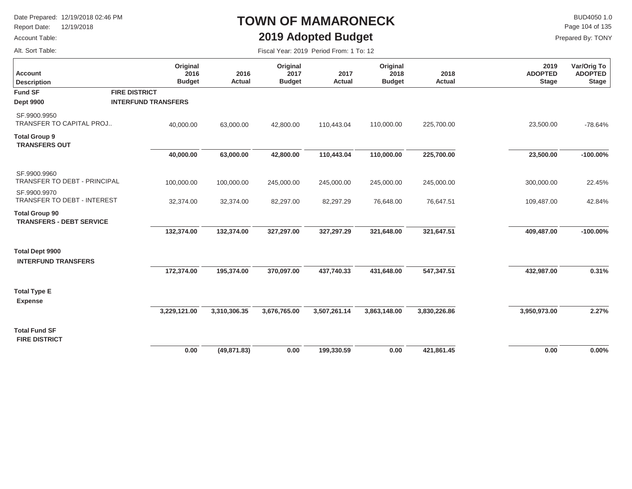Report Date: 12/19/2018

### Account Table:

Alt. Sort Table:

### **TOWN OF MAMARONECK2019 Adopted Budget**

 $\mathsf{BUD4050}\,1.0$ Page 104 of 135

Fiscal Year: 2019 Period From: 1 To: 12

| Account<br><b>Description</b>                            | Original<br>2016<br><b>Budget</b> | 2016<br>Actual | Original<br>2017<br><b>Budget</b> | 2017<br>Actual | Original<br>2018<br><b>Budget</b> | 2018<br>Actual | 2019<br><b>ADOPTED</b><br><b>Stage</b> | Var/Orig To<br><b>ADOPTED</b><br><b>Stage</b> |
|----------------------------------------------------------|-----------------------------------|----------------|-----------------------------------|----------------|-----------------------------------|----------------|----------------------------------------|-----------------------------------------------|
| <b>Fund SF</b>                                           | <b>FIRE DISTRICT</b>              |                |                                   |                |                                   |                |                                        |                                               |
| <b>Dept 9900</b>                                         | <b>INTERFUND TRANSFERS</b>        |                |                                   |                |                                   |                |                                        |                                               |
| SF.9900.9950<br><b>TRANSFER TO CAPITAL PROJ</b>          | 40,000.00                         | 63,000.00      | 42,800.00                         | 110,443.04     | 110,000.00                        | 225,700.00     | 23,500.00                              | $-78.64%$                                     |
| <b>Total Group 9</b><br><b>TRANSFERS OUT</b>             |                                   |                |                                   |                |                                   |                |                                        |                                               |
|                                                          | 40,000.00                         | 63,000.00      | 42,800.00                         | 110,443.04     | 110,000.00                        | 225,700.00     | 23,500.00                              | $-100.00%$                                    |
| SF.9900.9960<br>TRANSFER TO DEBT - PRINCIPAL             | 100,000.00                        | 100,000.00     | 245,000.00                        | 245,000.00     | 245,000.00                        | 245,000.00     | 300,000.00                             | 22.45%                                        |
| SF.9900.9970<br>TRANSFER TO DEBT - INTEREST              | 32,374.00                         | 32,374.00      | 82,297.00                         | 82,297.29      | 76,648.00                         | 76,647.51      | 109,487.00                             | 42.84%                                        |
| <b>Total Group 90</b><br><b>TRANSFERS - DEBT SERVICE</b> |                                   |                |                                   |                |                                   |                |                                        |                                               |
|                                                          | 132,374.00                        | 132,374.00     | 327,297.00                        | 327,297.29     | 321,648.00                        | 321,647.51     | 409,487.00                             | $-100.00%$                                    |
| <b>Total Dept 9900</b><br><b>INTERFUND TRANSFERS</b>     |                                   |                |                                   |                |                                   |                |                                        |                                               |
|                                                          | 172,374.00                        | 195,374.00     | 370,097.00                        | 437,740.33     | 431,648.00                        | 547,347.51     | 432,987.00                             | 0.31%                                         |
| <b>Total Type E</b><br><b>Expense</b>                    |                                   |                |                                   |                |                                   |                |                                        |                                               |
|                                                          | 3,229,121.00                      | 3,310,306.35   | 3,676,765.00                      | 3,507,261.14   | 3,863,148.00                      | 3,830,226.86   | 3,950,973.00                           | 2.27%                                         |
| <b>Total Fund SF</b><br><b>FIRE DISTRICT</b>             |                                   |                |                                   |                |                                   |                |                                        |                                               |
|                                                          | 0.00                              | (49, 871.83)   | 0.00                              | 199.330.59     | 0.00                              | 421.861.45     | 0.00                                   | 0.00%                                         |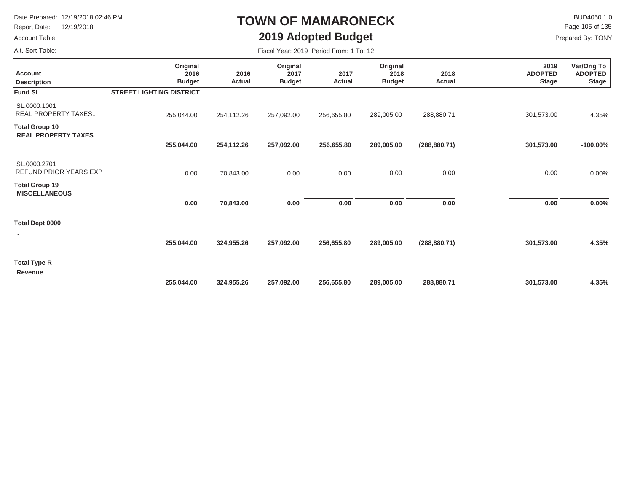Report Date: 12/19/2018

### Account Table:

# **TOWN OF MAMARONECK2019 Adopted Budget**

 $\mathsf K$  BUD4050 1.0<br>Page 105 of 135

Prepared By: TONY

Alt. Sort Table:

| Alt. Sort Table:                                    |                                   | Fiscal Year: 2019 Period From: 1 To: 12 |                                   |                       |                                   |                |                                        |                                        |
|-----------------------------------------------------|-----------------------------------|-----------------------------------------|-----------------------------------|-----------------------|-----------------------------------|----------------|----------------------------------------|----------------------------------------|
| <b>Account</b><br><b>Description</b>                | Original<br>2016<br><b>Budget</b> | 2016<br>Actual                          | Original<br>2017<br><b>Budget</b> | 2017<br><b>Actual</b> | Original<br>2018<br><b>Budget</b> | 2018<br>Actual | 2019<br><b>ADOPTED</b><br><b>Stage</b> | Var/Orig To<br>ADOPTED<br><b>Stage</b> |
| <b>Fund SL</b>                                      | <b>STREET LIGHTING DISTRICT</b>   |                                         |                                   |                       |                                   |                |                                        |                                        |
| SL.0000.1001<br><b>REAL PROPERTY TAXES</b>          | 255,044.00                        | 254,112.26                              | 257,092.00                        | 256,655.80            | 289,005.00                        | 288,880.71     | 301,573.00                             | 4.35%                                  |
| <b>Total Group 10</b><br><b>REAL PROPERTY TAXES</b> |                                   |                                         |                                   |                       |                                   |                |                                        |                                        |
|                                                     | 255,044.00                        | 254,112.26                              | 257,092.00                        | 256,655.80            | 289,005.00                        | (288, 880.71)  | 301,573.00                             | $-100.00\%$                            |
| SL.0000.2701<br>REFUND PRIOR YEARS EXP              | 0.00                              | 70,843.00                               | 0.00                              | 0.00                  | 0.00                              | 0.00           | 0.00                                   | $0.00\%$                               |
| <b>Total Group 19</b><br><b>MISCELLANEOUS</b>       |                                   |                                         |                                   |                       |                                   |                |                                        |                                        |
|                                                     | 0.00                              | 70,843.00                               | 0.00                              | 0.00                  | 0.00                              | 0.00           | 0.00                                   | $0.00\%$                               |
| <b>Total Dept 0000</b><br>٠                         |                                   |                                         |                                   |                       |                                   |                |                                        |                                        |
|                                                     | 255,044.00                        | 324,955.26                              | 257,092.00                        | 256,655.80            | 289,005.00                        | (288, 880.71)  | 301,573.00                             | 4.35%                                  |
| <b>Total Type R</b><br><b>Revenue</b>               |                                   |                                         |                                   |                       |                                   |                |                                        |                                        |
|                                                     | 255,044.00                        | 324,955.26                              | 257,092.00                        | 256,655.80            | 289,005.00                        | 288,880.71     | 301,573.00                             | 4.35%                                  |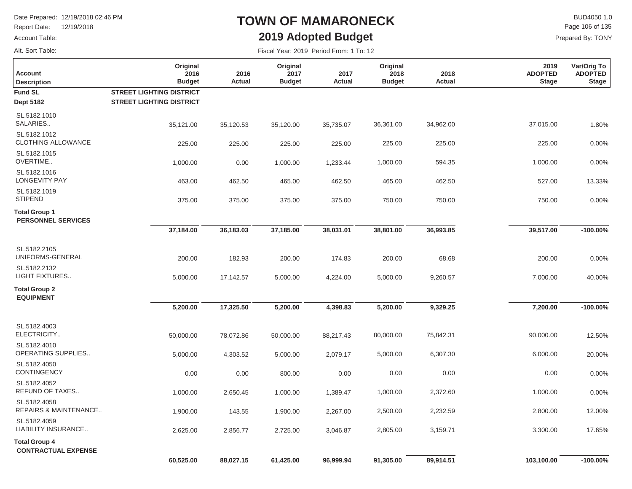Report Date: 12/19/2018

#### Account Table:

Alt. Sort Table:

# **TOWN OF MAMARONECK2019 Adopted Budget**

 $\mathsf{BUD4050}\,1.0$ Prepared By: TONY Page 106 of 135

| <b>Account</b><br><b>Description</b>               | Original<br>2016<br><b>Budget</b> | 2016<br>Actual | Original<br>2017<br><b>Budget</b> | 2017<br><b>Actual</b> | Original<br>2018<br><b>Budget</b> | 2018<br><b>Actual</b> | 2019<br><b>ADOPTED</b><br><b>Stage</b> | Var/Orig To<br><b>ADOPTED</b><br><b>Stage</b> |
|----------------------------------------------------|-----------------------------------|----------------|-----------------------------------|-----------------------|-----------------------------------|-----------------------|----------------------------------------|-----------------------------------------------|
| <b>Fund SL</b>                                     | <b>STREET LIGHTING DISTRICT</b>   |                |                                   |                       |                                   |                       |                                        |                                               |
| <b>Dept 5182</b>                                   | <b>STREET LIGHTING DISTRICT</b>   |                |                                   |                       |                                   |                       |                                        |                                               |
| SL.5182.1010<br>SALARIES                           | 35,121.00                         | 35,120.53      | 35,120.00                         | 35,735.07             | 36,361.00                         | 34,962.00             | 37,015.00                              | 1.80%                                         |
| SL.5182.1012<br>CLOTHING ALLOWANCE                 | 225.00                            | 225.00         | 225.00                            | 225.00                | 225.00                            | 225.00                | 225.00                                 | 0.00%                                         |
| SL.5182.1015<br>OVERTIME                           | 1,000.00                          | 0.00           | 1,000.00                          | 1,233.44              | 1,000.00                          | 594.35                | 1,000.00                               | 0.00%                                         |
| SL.5182.1016<br><b>LONGEVITY PAY</b>               | 463.00                            | 462.50         | 465.00                            | 462.50                | 465.00                            | 462.50                | 527.00                                 | 13.33%                                        |
| SL.5182.1019<br><b>STIPEND</b>                     | 375.00                            | 375.00         | 375.00                            | 375.00                | 750.00                            | 750.00                | 750.00                                 | 0.00%                                         |
| <b>Total Group 1</b><br><b>PERSONNEL SERVICES</b>  |                                   |                |                                   |                       |                                   |                       |                                        |                                               |
|                                                    | 37,184.00                         | 36,183.03      | 37,185.00                         | 38,031.01             | 38,801.00                         | 36,993.85             | 39,517.00                              | $-100.00%$                                    |
| SL.5182.2105<br>UNIFORMS-GENERAL                   | 200.00                            | 182.93         | 200.00                            | 174.83                | 200.00                            | 68.68                 | 200.00                                 | 0.00%                                         |
| SL.5182.2132<br><b>LIGHT FIXTURES</b>              | 5,000.00                          | 17,142.57      | 5,000.00                          | 4,224.00              | 5,000.00                          | 9,260.57              | 7,000.00                               | 40.00%                                        |
| <b>Total Group 2</b><br><b>EQUIPMENT</b>           |                                   |                |                                   |                       |                                   |                       |                                        |                                               |
|                                                    | 5,200.00                          | 17,325.50      | 5,200.00                          | 4,398.83              | 5,200.00                          | 9,329.25              | 7,200.00                               | $-100.00\%$                                   |
| SL.5182.4003<br>ELECTRICITY                        | 50,000.00                         | 78,072.86      | 50,000.00                         | 88,217.43             | 80,000.00                         | 75,842.31             | 90,000.00                              | 12.50%                                        |
| SL.5182.4010<br>OPERATING SUPPLIES                 | 5,000.00                          | 4,303.52       | 5,000.00                          | 2,079.17              | 5,000.00                          | 6,307.30              | 6,000.00                               | 20.00%                                        |
| SL.5182.4050<br><b>CONTINGENCY</b>                 | 0.00                              | 0.00           | 800.00                            | 0.00                  | 0.00                              | 0.00                  | 0.00                                   | 0.00%                                         |
| SL.5182.4052<br>REFUND OF TAXES                    | 1,000.00                          | 2,650.45       | 1,000.00                          | 1,389.47              | 1,000.00                          | 2,372.60              | 1,000.00                               | 0.00%                                         |
| SL.5182.4058<br>REPAIRS & MAINTENANCE              | 1,900.00                          | 143.55         | 1,900.00                          | 2,267.00              | 2,500.00                          | 2,232.59              | 2,800.00                               | 12.00%                                        |
| SL.5182.4059<br>LIABILITY INSURANCE                | 2,625.00                          | 2,856.77       | 2,725.00                          | 3,046.87              | 2,805.00                          | 3,159.71              | 3,300.00                               | 17.65%                                        |
| <b>Total Group 4</b><br><b>CONTRACTUAL EXPENSE</b> |                                   |                |                                   |                       |                                   |                       |                                        |                                               |
|                                                    | 60,525.00                         | 88,027.15      | 61,425.00                         | 96,999.94             | 91,305.00                         | 89,914.51             | 103,100.00                             | $-100.00\%$                                   |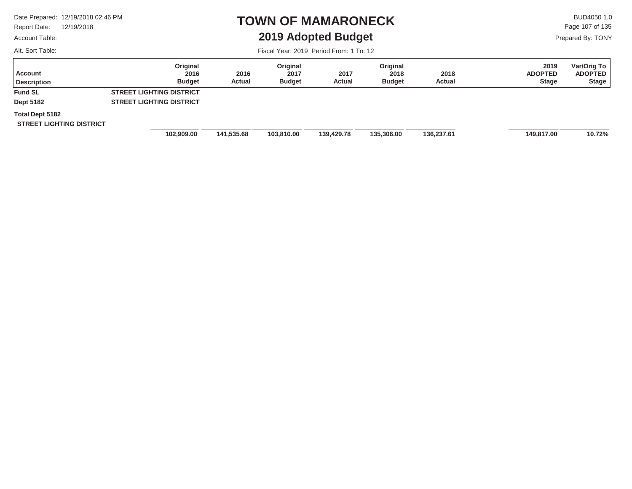Report Date: 12/19/2018

#### Account Table:

Alt. Sort Table:

### **TOWN OF MAMARONECK2019 Adopted Budget**

 $\mathsf{BUD4050 1.0}$ Page 107 of 135

Prepared By: TONY

| Account<br><b>Description</b>   | Original<br>2016<br><b>Budget</b> | 2016<br>Actual | Original<br>2017<br><b>Budget</b> | 2017<br>Actual | Original<br>2018<br><b>Budget</b> | 2018<br>Actual | 2019<br><b>ADOPTED</b><br><b>Stage</b> | Var/Orig To<br><b>ADOPTED</b><br><b>Stage</b> |
|---------------------------------|-----------------------------------|----------------|-----------------------------------|----------------|-----------------------------------|----------------|----------------------------------------|-----------------------------------------------|
| <b>Fund SL</b>                  | <b>STREET LIGHTING DISTRICT</b>   |                |                                   |                |                                   |                |                                        |                                               |
| <b>Dept 5182</b>                | <b>STREET LIGHTING DISTRICT</b>   |                |                                   |                |                                   |                |                                        |                                               |
| Total Dept 5182                 |                                   |                |                                   |                |                                   |                |                                        |                                               |
| <b>STREET LIGHTING DISTRICT</b> |                                   |                |                                   |                |                                   |                |                                        |                                               |
|                                 | 102,909.00                        | 141,535.68     | 103,810.00                        | 139,429.78     | 135,306.00                        | 136,237.61     | 149,817.00                             | 10.72%                                        |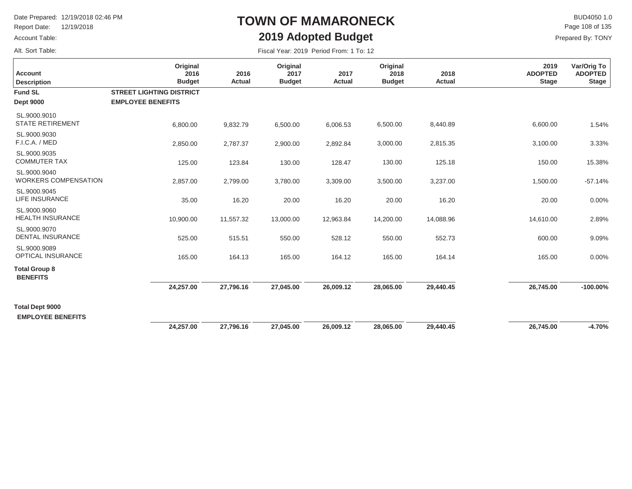Report Date: 12/19/2018

#### Account Table:

Alt. Sort Table:

## **TOWN OF MAMARONECK2019 Adopted Budget**

 $\mathsf{BUD4050}\,1.0$ Prepared By: TONY Page 108 of 135

| <b>Account</b><br><b>Description</b>               | Original<br>2016<br><b>Budget</b>                           | 2016<br>Actual | Original<br>2017<br><b>Budget</b> | 2017<br>Actual | Original<br>2018<br><b>Budget</b> | 2018<br>Actual | 2019<br><b>ADOPTED</b><br><b>Stage</b> | Var/Orig To<br><b>ADOPTED</b><br><b>Stage</b> |
|----------------------------------------------------|-------------------------------------------------------------|----------------|-----------------------------------|----------------|-----------------------------------|----------------|----------------------------------------|-----------------------------------------------|
| <b>Fund SL</b><br><b>Dept 9000</b>                 | <b>STREET LIGHTING DISTRICT</b><br><b>EMPLOYEE BENEFITS</b> |                |                                   |                |                                   |                |                                        |                                               |
| SL.9000.9010<br><b>STATE RETIREMENT</b>            | 6,800.00                                                    | 9,832.79       | 6,500.00                          | 6,006.53       | 6,500.00                          | 8,440.89       | 6,600.00                               | 1.54%                                         |
| SL.9000.9030<br>F.I.C.A. / MED                     | 2,850.00                                                    | 2,787.37       | 2,900.00                          | 2,892.84       | 3,000.00                          | 2,815.35       | 3,100.00                               | 3.33%                                         |
| SL.9000.9035<br><b>COMMUTER TAX</b>                | 125.00                                                      | 123.84         | 130.00                            | 128.47         | 130.00                            | 125.18         | 150.00                                 | 15.38%                                        |
| SL.9000.9040<br><b>WORKERS COMPENSATION</b>        | 2,857.00                                                    | 2,799.00       | 3,780.00                          | 3,309.00       | 3,500.00                          | 3,237.00       | 1,500.00                               | $-57.14%$                                     |
| SL.9000.9045<br>LIFE INSURANCE                     | 35.00                                                       | 16.20          | 20.00                             | 16.20          | 20.00                             | 16.20          | 20.00                                  | 0.00%                                         |
| SL.9000.9060<br><b>HEALTH INSURANCE</b>            | 10,900.00                                                   | 11,557.32      | 13,000.00                         | 12,963.84      | 14,200.00                         | 14,088.96      | 14,610.00                              | 2.89%                                         |
| SL.9000.9070<br><b>DENTAL INSURANCE</b>            | 525.00                                                      | 515.51         | 550.00                            | 528.12         | 550.00                            | 552.73         | 600.00                                 | 9.09%                                         |
| SL.9000.9089<br>OPTICAL INSURANCE                  | 165.00                                                      | 164.13         | 165.00                            | 164.12         | 165.00                            | 164.14         | 165.00                                 | 0.00%                                         |
| <b>Total Group 8</b><br><b>BENEFITS</b>            |                                                             |                |                                   |                |                                   |                |                                        |                                               |
|                                                    | 24,257.00                                                   | 27,796.16      | 27,045.00                         | 26,009.12      | 28,065.00                         | 29,440.45      | 26,745.00                              | $-100.00\%$                                   |
| <b>Total Dept 9000</b><br><b>EMPLOYEE BENEFITS</b> |                                                             |                |                                   |                |                                   |                |                                        |                                               |
|                                                    | 24,257.00                                                   | 27,796.16      | 27,045.00                         | 26,009.12      | 28,065.00                         | 29,440.45      | 26,745.00                              | $-4.70%$                                      |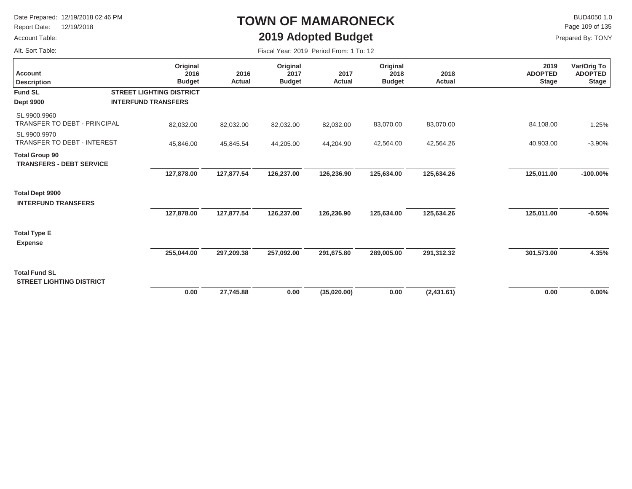Report Date: 12/19/2018

#### Account Table:

Alt. Sort Table:

# **TOWN OF MAMARONECK2019 Adopted Budget**

 $\mathsf{BUD4050 1.0}$ Page 109 of 135

| Fiscal Year: 2019 Period From: 1 To: 12 |  |  |
|-----------------------------------------|--|--|
|                                         |  |  |

| <b>Account</b><br><b>Description</b>                     | Original<br>2016<br><b>Budget</b> | 2016<br>Actual | Original<br>2017<br><b>Budget</b> | 2017<br>Actual | Original<br>2018<br><b>Budget</b> | 2018<br><b>Actual</b> | 2019<br><b>ADOPTED</b><br><b>Stage</b> | Var/Orig To<br><b>ADOPTED</b><br><b>Stage</b> |
|----------------------------------------------------------|-----------------------------------|----------------|-----------------------------------|----------------|-----------------------------------|-----------------------|----------------------------------------|-----------------------------------------------|
| <b>Fund SL</b>                                           | <b>STREET LIGHTING DISTRICT</b>   |                |                                   |                |                                   |                       |                                        |                                               |
| <b>Dept 9900</b>                                         | <b>INTERFUND TRANSFERS</b>        |                |                                   |                |                                   |                       |                                        |                                               |
| SL.9900.9960<br><b>TRANSFER TO DEBT - PRINCIPAL</b>      | 82,032.00                         | 82,032.00      | 82,032.00                         | 82,032.00      | 83,070.00                         | 83,070.00             | 84,108.00                              | 1.25%                                         |
| SL.9900.9970<br>TRANSFER TO DEBT - INTEREST              | 45,846.00                         | 45,845.54      | 44,205.00                         | 44,204.90      | 42,564.00                         | 42,564.26             | 40,903.00                              | $-3.90%$                                      |
| <b>Total Group 90</b><br><b>TRANSFERS - DEBT SERVICE</b> |                                   |                |                                   |                |                                   |                       |                                        |                                               |
|                                                          | 127,878.00                        | 127,877.54     | 126,237.00                        | 126,236.90     | 125,634.00                        | 125,634.26            | 125,011.00                             | $-100.00\%$                                   |
| <b>Total Dept 9900</b><br><b>INTERFUND TRANSFERS</b>     |                                   |                |                                   |                |                                   |                       |                                        |                                               |
|                                                          | 127,878.00                        | 127,877.54     | 126,237.00                        | 126,236.90     | 125,634.00                        | 125,634.26            | 125,011.00                             | $-0.50%$                                      |
| <b>Total Type E</b><br><b>Expense</b>                    |                                   |                |                                   |                |                                   |                       |                                        |                                               |
|                                                          | 255,044.00                        | 297,209.38     | 257,092.00                        | 291,675.80     | 289,005.00                        | 291,312.32            | 301,573.00                             | 4.35%                                         |
| <b>Total Fund SL</b><br><b>STREET LIGHTING DISTRICT</b>  |                                   |                |                                   |                |                                   |                       |                                        |                                               |
|                                                          | 0.00                              | 27,745.88      | 0.00                              | (35,020.00)    | 0.00                              | (2,431.61)            | 0.00                                   | $0.00\%$                                      |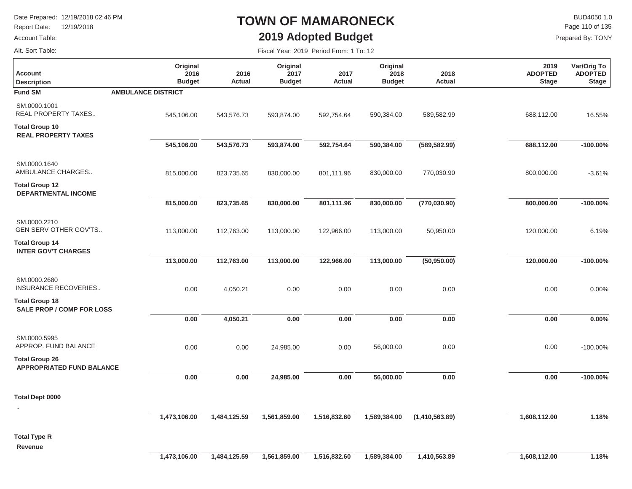Report Date: 12/19/2018

#### Account Table:

## **TOWN OF MAMARONECK2019 Adopted Budget**

Fiscal Year: 2019 Period From: 1 To: 12

 $\mathsf K$  BUD4050 1.0<br>Page 110 of 135

Prepared By: TONY

Alt. Sort Table:

| <b>Account</b><br><b>Description</b>                      | Original<br>2016<br><b>Budget</b> | 2016<br><b>Actual</b> | Original<br>2017<br><b>Budget</b> | 2017<br><b>Actual</b> | Original<br>2018<br><b>Budget</b> | 2018<br><b>Actual</b> | 2019<br><b>ADOPTED</b><br><b>Stage</b> | Var/Orig To<br><b>ADOPTED</b><br><b>Stage</b> |
|-----------------------------------------------------------|-----------------------------------|-----------------------|-----------------------------------|-----------------------|-----------------------------------|-----------------------|----------------------------------------|-----------------------------------------------|
| <b>Fund SM</b>                                            | <b>AMBULANCE DISTRICT</b>         |                       |                                   |                       |                                   |                       |                                        |                                               |
| SM.0000.1001<br>REAL PROPERTY TAXES                       | 545,106.00                        | 543,576.73            | 593,874.00                        | 592,754.64            | 590,384.00                        | 589,582.99            | 688,112.00                             | 16.55%                                        |
| <b>Total Group 10</b><br><b>REAL PROPERTY TAXES</b>       |                                   |                       |                                   |                       |                                   |                       |                                        |                                               |
|                                                           | 545,106.00                        | 543,576.73            | 593,874.00                        | 592,754.64            | 590,384.00                        | (589, 582.99)         | 688,112.00                             | $-100.00\%$                                   |
| SM.0000.1640<br>AMBULANCE CHARGES                         | 815,000.00                        | 823,735.65            | 830,000.00                        | 801,111.96            | 830,000.00                        | 770,030.90            | 800,000.00                             | $-3.61%$                                      |
| <b>Total Group 12</b><br><b>DEPARTMENTAL INCOME</b>       |                                   |                       |                                   |                       |                                   |                       |                                        |                                               |
|                                                           | 815,000.00                        | 823,735.65            | 830,000.00                        | 801,111.96            | 830,000.00                        | (770, 030.90)         | 800,000.00                             | $-100.00\%$                                   |
| SM.0000.2210<br>GEN SERV OTHER GOV'TS                     | 113,000.00                        | 112,763.00            | 113,000.00                        | 122,966.00            | 113,000.00                        | 50,950.00             | 120,000.00                             | 6.19%                                         |
| <b>Total Group 14</b><br><b>INTER GOV'T CHARGES</b>       |                                   |                       |                                   |                       |                                   |                       |                                        |                                               |
|                                                           | 113,000.00                        | 112,763.00            | 113,000.00                        | 122,966.00            | 113,000.00                        | (50, 950.00)          | 120,000.00                             | $-100.00\%$                                   |
| SM.0000.2680<br>INSURANCE RECOVERIES                      | 0.00                              | 4,050.21              | 0.00                              | 0.00                  | 0.00                              | 0.00                  | 0.00                                   | 0.00%                                         |
| <b>Total Group 18</b><br><b>SALE PROP / COMP FOR LOSS</b> |                                   |                       |                                   |                       |                                   |                       |                                        |                                               |
|                                                           | 0.00                              | 4,050.21              | 0.00                              | 0.00                  | 0.00                              | 0.00                  | 0.00                                   | 0.00%                                         |
| SM.0000.5995<br>APPROP. FUND BALANCE                      | 0.00                              | 0.00                  | 24,985.00                         | 0.00                  | 56,000.00                         | 0.00                  | 0.00                                   | $-100.00\%$                                   |
| <b>Total Group 26</b><br><b>APPROPRIATED FUND BALANCE</b> |                                   |                       |                                   |                       |                                   |                       |                                        |                                               |
|                                                           | 0.00                              | 0.00                  | 24,985.00                         | 0.00                  | 56,000.00                         | 0.00                  | 0.00                                   | $-100.00\%$                                   |
| <b>Total Dept 0000</b>                                    |                                   |                       |                                   |                       |                                   |                       |                                        |                                               |
|                                                           |                                   |                       |                                   |                       |                                   |                       |                                        | 1.18%                                         |
|                                                           | 1,473,106.00                      | 1,484,125.59          | 1,561,859.00                      | 1,516,832.60          | 1,589,384.00                      | (1,410,563.89)        | 1,608,112.00                           |                                               |
| <b>Total Type R</b><br>Revenue                            |                                   |                       |                                   |                       |                                   |                       |                                        |                                               |
|                                                           | 1,473,106.00                      | 1,484,125.59          | 1,561,859.00                      | 1,516,832.60          | 1,589,384.00                      | 1,410,563.89          | 1,608,112.00                           | 1.18%                                         |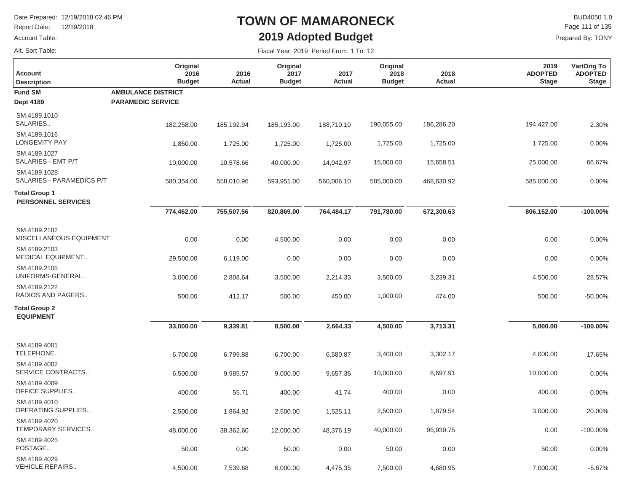Report Date: 12/19/2018

#### Account Table:

Alt. Sort Table:

## **TOWN OF MAMARONECK2019 Adopted Budget**

 $\mathsf{BUD4050 1.0}$ Prepared By: TONY Page 111 of 135

-6.67%

Fiscal Year: 2019 Period From: 1 To: 12

| <b>Account</b><br><b>Description</b>              | Original<br>2016<br><b>Budget</b> | 2016<br>Actual | Original<br>2017<br><b>Budget</b> | 2017<br>Actual | Original<br>2018<br><b>Budget</b> | 2018<br>Actual | 2019<br><b>ADOPTED</b><br><b>Stage</b> | Var/Orig To<br><b>ADOPTED</b><br><b>Stage</b> |
|---------------------------------------------------|-----------------------------------|----------------|-----------------------------------|----------------|-----------------------------------|----------------|----------------------------------------|-----------------------------------------------|
| <b>Fund SM</b>                                    | <b>AMBULANCE DISTRICT</b>         |                |                                   |                |                                   |                |                                        |                                               |
| <b>Dept 4189</b>                                  | <b>PARAMEDIC SERVICE</b>          |                |                                   |                |                                   |                |                                        |                                               |
| SM.4189.1010<br>SALARIES                          | 182,258.00                        | 185,192.94     | 185,193.00                        | 188,710.10     | 190,055.00                        | 186,286.20     | 194,427.00                             | 2.30%                                         |
| SM.4189.1016<br><b>LONGEVITY PAY</b>              | 1,850.00                          | 1,725.00       | 1,725.00                          | 1,725.00       | 1,725.00                          | 1,725.00       | 1,725.00                               | 0.00%                                         |
| SM.4189.1027<br>SALARIES - EMT P/T                | 10,000.00                         | 10,578.66      | 40,000.00                         | 14,042.97      | 15,000.00                         | 15,658.51      | 25,000.00                              | 66.67%                                        |
| SM.4189.1028<br>SALARIES - PARAMEDICS P/T         | 580,354.00                        | 558,010.96     | 593,951.00                        | 560,006.10     | 585,000.00                        | 468,630.92     | 585,000.00                             | 0.00%                                         |
| <b>Total Group 1</b><br><b>PERSONNEL SERVICES</b> |                                   |                |                                   |                |                                   |                |                                        |                                               |
|                                                   | 774,462.00                        | 755,507.56     | 820,869.00                        | 764,484.17     | 791,780.00                        | 672,300.63     | 806,152.00                             | $-100.00\%$                                   |
| SM.4189.2102<br>MISCELLANEOUS EQUIPMENT           | 0.00                              | 0.00           | 4,500.00                          | 0.00           | 0.00                              | 0.00           | 0.00                                   | 0.00%                                         |
| SM.4189.2103<br><b>MEDICAL EQUIPMENT</b>          | 29,500.00                         | 6,119.00       | 0.00                              | 0.00           | 0.00                              | 0.00           | 0.00                                   | 0.00%                                         |
| SM.4189.2105<br>UNIFORMS-GENERAL                  | 3,000.00                          | 2,808.64       | 3,500.00                          | 2,214.33       | 3,500.00                          | 3,239.31       | 4,500.00                               | 28.57%                                        |
| SM.4189.2122<br>RADIOS AND PAGERS                 | 500.00                            | 412.17         | 500.00                            | 450.00         | 1,000.00                          | 474.00         | 500.00                                 | -50.00%                                       |
| <b>Total Group 2</b><br><b>EQUIPMENT</b>          |                                   |                |                                   |                |                                   |                |                                        |                                               |
|                                                   | 33,000.00                         | 9,339.81       | 8,500.00                          | 2,664.33       | 4,500.00                          | 3,713.31       | 5,000.00                               | $-100.00\%$                                   |
| SM.4189.4001<br>TELEPHONE                         | 6,700.00                          | 6,799.88       | 6,700.00                          | 6,580.87       | 3,400.00                          | 3,302.17       | 4,000.00                               | 17.65%                                        |
| SM.4189.4002<br>SERVICE CONTRACTS                 | 6,500.00                          | 9,985.57       | 9,000.00                          | 9,657.36       | 10,000.00                         | 8,697.91       | 10,000.00                              | 0.00%                                         |
| SM.4189.4009<br>OFFICE SUPPLIES                   | 400.00                            | 55.71          | 400.00                            | 41.74          | 400.00                            | 0.00           | 400.00                                 | 0.00%                                         |
| SM.4189.4010<br>OPERATING SUPPLIES                | 2,500.00                          | 1,864.92       | 2,500.00                          | 1,525.11       | 2,500.00                          | 1,879.54       | 3,000.00                               | 20.00%                                        |
| SM.4189.4020<br>TEMPORARY SERVICES                | 48,000.00                         | 38,362.60      | 12,000.00                         | 48,376.19      | 40,000.00                         | 95,939.75      | 0.00                                   | $-100.00\%$                                   |
| SM.4189.4025<br>POSTAGE                           | 50.00                             | 0.00           | 50.00                             | 0.00           | 50.00                             | 0.00           | 50.00                                  | 0.00%                                         |
| SM.4189.4029<br><b>VEHICLE REPAIRS</b>            | 4.500.00                          | 7.539.68       | 6.000.00                          | 4.475.35       | 7.500.00                          | 4.680.95       | 7.000.00                               | $-6.67%$                                      |

4,500.00

7,539.68

6,000.00

4,475.35

7,500.00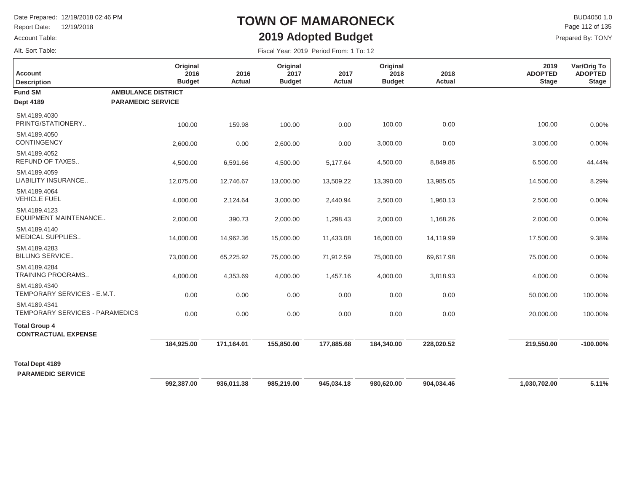Report Date: 12/19/2018

#### Account Table:

Alt. Sort Table:

## **TOWN OF MAMARONECK2019 Adopted Budget**

 $\mathsf{BUD4050 1.0}$ Page 112 of 135

| Fiscal Year: 2019 Period From: 1 To: 12 |
|-----------------------------------------|
|-----------------------------------------|

| <b>Account</b><br><b>Description</b>               | Original<br>2016<br><b>Budget</b> | 2016<br><b>Actual</b> | Original<br>2017<br><b>Budget</b> | 2017<br><b>Actual</b> | Original<br>2018<br><b>Budget</b> | 2018<br>Actual | 2019<br><b>ADOPTED</b><br><b>Stage</b> | Var/Orig To<br><b>ADOPTED</b><br><b>Stage</b> |
|----------------------------------------------------|-----------------------------------|-----------------------|-----------------------------------|-----------------------|-----------------------------------|----------------|----------------------------------------|-----------------------------------------------|
| <b>Fund SM</b>                                     | <b>AMBULANCE DISTRICT</b>         |                       |                                   |                       |                                   |                |                                        |                                               |
| <b>Dept 4189</b>                                   | <b>PARAMEDIC SERVICE</b>          |                       |                                   |                       |                                   |                |                                        |                                               |
| SM.4189.4030<br>PRINTG/STATIONERY                  | 100.00                            | 159.98                | 100.00                            | 0.00                  | 100.00                            | 0.00           | 100.00                                 | 0.00%                                         |
| SM.4189.4050<br>CONTINGENCY                        | 2,600.00                          | 0.00                  | 2,600.00                          | 0.00                  | 3,000.00                          | 0.00           | 3,000.00                               | 0.00%                                         |
| SM.4189.4052<br>REFUND OF TAXES                    | 4,500.00                          | 6,591.66              | 4,500.00                          | 5,177.64              | 4,500.00                          | 8,849.86       | 6,500.00                               | 44.44%                                        |
| SM.4189.4059<br>LIABILITY INSURANCE                | 12,075.00                         | 12,746.67             | 13,000.00                         | 13,509.22             | 13,390.00                         | 13,985.05      | 14,500.00                              | 8.29%                                         |
| SM.4189.4064<br><b>VEHICLE FUEL</b>                | 4,000.00                          | 2,124.64              | 3,000.00                          | 2,440.94              | 2,500.00                          | 1,960.13       | 2,500.00                               | 0.00%                                         |
| SM.4189.4123<br><b>EQUIPMENT MAINTENANCE</b>       | 2,000.00                          | 390.73                | 2,000.00                          | 1,298.43              | 2,000.00                          | 1,168.26       | 2,000.00                               | 0.00%                                         |
| SM.4189.4140<br><b>MEDICAL SUPPLIES</b>            | 14,000.00                         | 14,962.36             | 15,000.00                         | 11,433.08             | 16,000.00                         | 14,119.99      | 17,500.00                              | 9.38%                                         |
| SM.4189.4283<br><b>BILLING SERVICE</b>             | 73,000.00                         | 65,225.92             | 75,000.00                         | 71,912.59             | 75,000.00                         | 69,617.98      | 75,000.00                              | 0.00%                                         |
| SM.4189.4284<br>TRAINING PROGRAMS                  | 4,000.00                          | 4,353.69              | 4,000.00                          | 1,457.16              | 4,000.00                          | 3,818.93       | 4,000.00                               | 0.00%                                         |
| SM.4189.4340<br>TEMPORARY SERVICES - E.M.T.        | 0.00                              | 0.00                  | 0.00                              | 0.00                  | 0.00                              | 0.00           | 50,000.00                              | 100.00%                                       |
| SM.4189.4341<br>TEMPORARY SERVICES - PARAMEDICS    | 0.00                              | 0.00                  | 0.00                              | 0.00                  | 0.00                              | 0.00           | 20,000.00                              | 100.00%                                       |
| <b>Total Group 4</b><br><b>CONTRACTUAL EXPENSE</b> |                                   |                       |                                   |                       |                                   |                |                                        |                                               |
|                                                    | 184,925.00                        | 171,164.01            | 155,850.00                        | 177,885.68            | 184,340.00                        | 228,020.52     | 219,550.00                             | $-100.00\%$                                   |
| <b>Total Dept 4189</b><br><b>PARAMEDIC SERVICE</b> |                                   |                       |                                   |                       |                                   |                |                                        |                                               |
|                                                    | 992,387.00                        | 936,011.38            | 985,219.00                        | 945,034.18            | 980,620.00                        | 904,034.46     | 1,030,702.00                           | 5.11%                                         |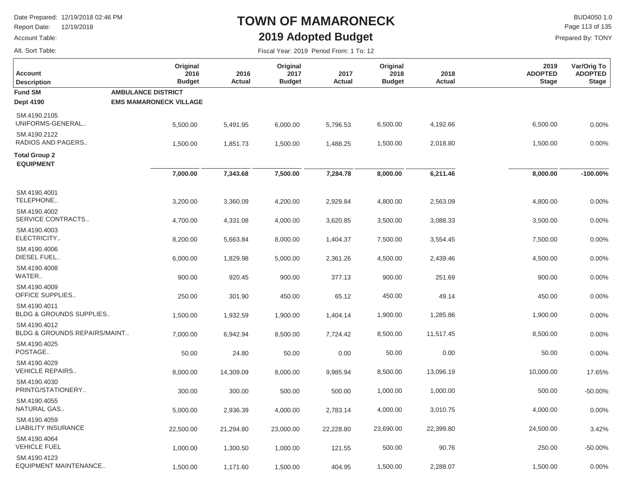Report Date: 12/19/2018

#### Account Table:

Alt. Sort Table:

## **TOWN OF MAMARONECK2019 Adopted Budget**

Fiscal Year: 2019 Period From: 1 To: 12

 $\mathsf{BUD4050 1.0}$ Page 113 of 135

| <b>Account</b><br><b>Description</b>               | Original<br>2016<br><b>Budget</b>                          | 2016<br><b>Actual</b> | Original<br>2017<br><b>Budget</b> | 2017<br><b>Actual</b> | Original<br>2018<br><b>Budget</b> | 2018<br><b>Actual</b> | 2019<br><b>ADOPTED</b><br><b>Stage</b> | Var/Orig To<br><b>ADOPTED</b><br><b>Stage</b> |
|----------------------------------------------------|------------------------------------------------------------|-----------------------|-----------------------------------|-----------------------|-----------------------------------|-----------------------|----------------------------------------|-----------------------------------------------|
| <b>Fund SM</b><br><b>Dept 4190</b>                 | <b>AMBULANCE DISTRICT</b><br><b>EMS MAMARONECK VILLAGE</b> |                       |                                   |                       |                                   |                       |                                        |                                               |
| SM.4190.2105<br>UNIFORMS-GENERAL                   | 5,500.00                                                   | 5,491.95              | 6,000.00                          | 5,796.53              | 6,500.00                          | 4,192.66              | 6,500.00                               | 0.00%                                         |
| SM.4190.2122<br>RADIOS AND PAGERS                  | 1,500.00                                                   | 1,851.73              | 1,500.00                          | 1,488.25              | 1,500.00                          | 2,018.80              | 1,500.00                               | 0.00%                                         |
| <b>Total Group 2</b><br><b>EQUIPMENT</b>           |                                                            |                       |                                   |                       |                                   |                       |                                        |                                               |
|                                                    | 7,000.00                                                   | 7,343.68              | 7,500.00                          | 7,284.78              | 8,000.00                          | 6,211.46              | 8,000.00                               | $-100.00\%$                                   |
| SM.4190.4001<br>TELEPHONE                          | 3,200.00                                                   | 3,360.09              | 4,200.00                          | 2,929.84              | 4,800.00                          | 2,563.09              | 4,800.00                               | 0.00%                                         |
| SM.4190.4002<br>SERVICE CONTRACTS                  | 4,700.00                                                   | 4,331.08              | 4,000.00                          | 3,620.85              | 3,500.00                          | 3,088.33              | 3,500.00                               | 0.00%                                         |
| SM.4190.4003<br>ELECTRICITY                        | 8,200.00                                                   | 5,663.84              | 8,000.00                          | 1,404.37              | 7,500.00                          | 3,554.45              | 7,500.00                               | 0.00%                                         |
| SM.4190.4006<br>DIESEL FUEL                        | 6,000.00                                                   | 1,829.98              | 5,000.00                          | 2,361.26              | 4,500.00                          | 2,439.46              | 4,500.00                               | 0.00%                                         |
| SM.4190.4008<br>WATER                              | 900.00                                                     | 920.45                | 900.00                            | 377.13                | 900.00                            | 251.69                | 900.00                                 | 0.00%                                         |
| SM.4190.4009<br><b>OFFICE SUPPLIES</b>             | 250.00                                                     | 301.90                | 450.00                            | 65.12                 | 450.00                            | 49.14                 | 450.00                                 | 0.00%                                         |
| SM.4190.4011<br><b>BLDG &amp; GROUNDS SUPPLIES</b> | 1,500.00                                                   | 1,932.59              | 1,900.00                          | 1,404.14              | 1,900.00                          | 1,285.86              | 1,900.00                               | 0.00%                                         |
| SM.4190.4012<br>BLDG & GROUNDS REPAIRS/MAINT       | 7,000.00                                                   | 6,942.94              | 8,500.00                          | 7,724.42              | 8,500.00                          | 11,517.45             | 8,500.00                               | 0.00%                                         |
| SM.4190.4025<br>POSTAGE                            | 50.00                                                      | 24.80                 | 50.00                             | 0.00                  | 50.00                             | 0.00                  | 50.00                                  | 0.00%                                         |
| SM.4190.4029<br><b>VEHICLE REPAIRS</b>             | 8,000.00                                                   | 14,309.09             | 8,000.00                          | 9,985.94              | 8,500.00                          | 13,096.19             | 10,000.00                              | 17.65%                                        |
| SM.4190.4030<br>PRINTG/STATIONERY                  | 300.00                                                     | 300.00                | 500.00                            | 500.00                | 1,000.00                          | 1,000.00              | 500.00                                 | $-50.00%$                                     |
| SM.4190.4055<br>NATURAL GAS                        | 5,000.00                                                   | 2,936.39              | 4,000.00                          | 2,783.14              | 4,000.00                          | 3,010.75              | 4,000.00                               | 0.00%                                         |
| SM.4190.4059<br><b>LIABILITY INSURANCE</b>         | 22,500.00                                                  | 21,294.80             | 23,000.00                         | 22,228.80             | 23,690.00                         | 22,399.80             | 24,500.00                              | 3.42%                                         |
| SM.4190.4064<br><b>VEHICLE FUEL</b>                | 1,000.00                                                   | 1,300.50              | 1,000.00                          | 121.55                | 500.00                            | 90.76                 | 250.00                                 | $-50.00\%$                                    |
| SM.4190.4123<br>EQUIPMENT MAINTENANCE              | 1,500.00                                                   | 1,171.60              | 1,500.00                          | 404.95                | 1,500.00                          | 2,288.07              | 1,500.00                               | 0.00%                                         |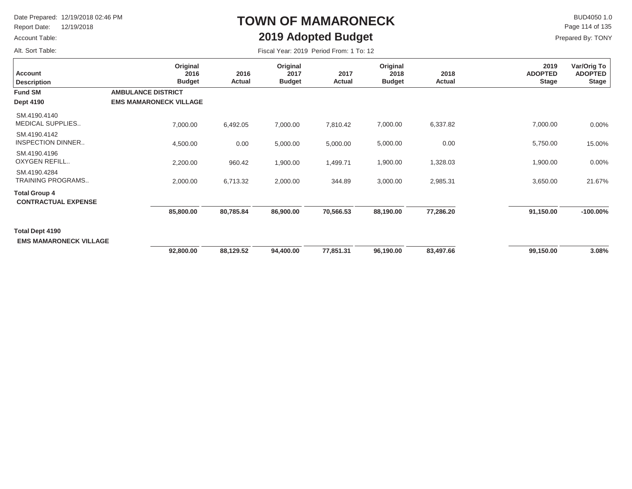Report Date: 12/19/2018

#### Account Table:

Alt. Sort Table:

# **TOWN OF MAMARONECK2019 Adopted Budget**

 $\mathsf{BUD4050}\,1.0$ Page 114 of 135

| Fiscal Year: 2019 Period From: 1 To: 12 |  |  |  |  |
|-----------------------------------------|--|--|--|--|
|-----------------------------------------|--|--|--|--|

| <b>Account</b><br><b>Description</b>               | Original<br>2016<br><b>Budget</b>                          | 2016<br>Actual | Original<br>2017<br><b>Budget</b> | 2017<br>Actual | Original<br>2018<br><b>Budget</b> | 2018<br>Actual | 2019<br><b>ADOPTED</b><br><b>Stage</b> | Var/Orig To<br><b>ADOPTED</b><br><b>Stage</b> |
|----------------------------------------------------|------------------------------------------------------------|----------------|-----------------------------------|----------------|-----------------------------------|----------------|----------------------------------------|-----------------------------------------------|
| <b>Fund SM</b><br><b>Dept 4190</b>                 | <b>AMBULANCE DISTRICT</b><br><b>EMS MAMARONECK VILLAGE</b> |                |                                   |                |                                   |                |                                        |                                               |
| SM.4190.4140<br><b>MEDICAL SUPPLIES</b>            | 7,000.00                                                   | 6,492.05       | 7,000.00                          | 7,810.42       | 7,000.00                          | 6,337.82       | 7,000.00                               | 0.00%                                         |
| SM.4190.4142<br><b>INSPECTION DINNER</b>           | 4,500.00                                                   | 0.00           | 5,000.00                          | 5,000.00       | 5,000.00                          | 0.00           | 5,750.00                               | 15.00%                                        |
| SM.4190.4196<br>OXYGEN REFILL                      | 2,200.00                                                   | 960.42         | 1,900.00                          | 1,499.71       | 1,900.00                          | 1,328.03       | 1,900.00                               | 0.00%                                         |
| SM.4190.4284<br><b>TRAINING PROGRAMS</b>           | 2,000.00                                                   | 6,713.32       | 2,000.00                          | 344.89         | 3,000.00                          | 2,985.31       | 3,650.00                               | 21.67%                                        |
| <b>Total Group 4</b><br><b>CONTRACTUAL EXPENSE</b> |                                                            |                |                                   |                |                                   |                |                                        |                                               |
|                                                    | 85,800.00                                                  | 80,785.84      | 86,900.00                         | 70,566.53      | 88,190.00                         | 77,286.20      | 91,150.00                              | $-100.00\%$                                   |
| Total Dept 4190<br><b>EMS MAMARONECK VILLAGE</b>   |                                                            |                |                                   |                |                                   |                |                                        |                                               |
|                                                    | 92,800.00                                                  | 88,129.52      | 94,400.00                         | 77,851.31      | 96,190.00                         | 83,497.66      | 99,150.00                              | 3.08%                                         |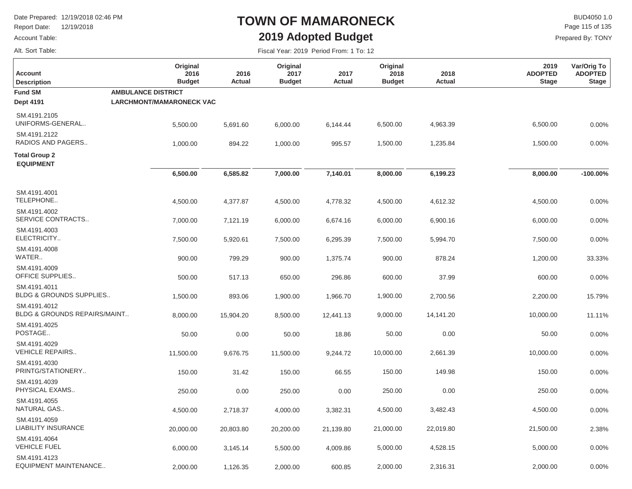**Original 2016 Budget**

Report Date: 12/19/2018

#### Account Table:

Alt. Sort Table:

**Description Account**

## **TOWN OF MAMARONECK2019 Adopted Budget**

Fiscal Year: 2019 Period From: 1 To: 12

 $\mathsf{BUD4050}\,1.0$ Page 115 of 135

> **Var/Orig To ADOPTED Stage**

Prepared By: TONY

**2019 ADOPTED Stage**

|        | Original      |        | Original      |  |
|--------|---------------|--------|---------------|--|
| 2016   | 2017          | 2017   | 2018          |  |
| Actual | <b>Budget</b> | Actual | <b>Budget</b> |  |
|        |               |        |               |  |

**2018Actual**

| <b>Fund SM</b><br><b>Dept 4191</b>                      | <b>AMBULANCE DISTRICT</b><br><b>LARCHMONT/MAMARONECK VAC</b> |           |           |           |           |           |           |             |
|---------------------------------------------------------|--------------------------------------------------------------|-----------|-----------|-----------|-----------|-----------|-----------|-------------|
| SM.4191.2105<br>UNIFORMS-GENERAL                        | 5,500.00                                                     | 5,691.60  | 6,000.00  | 6,144.44  | 6,500.00  | 4,963.39  | 6,500.00  | 0.00%       |
| SM.4191.2122<br>RADIOS AND PAGERS                       | 1,000.00                                                     | 894.22    | 1,000.00  | 995.57    | 1,500.00  | 1,235.84  | 1,500.00  | 0.00%       |
| <b>Total Group 2</b><br><b>EQUIPMENT</b>                |                                                              |           |           |           |           |           |           |             |
|                                                         | 6,500.00                                                     | 6,585.82  | 7,000.00  | 7,140.01  | 8,000.00  | 6,199.23  | 8,000.00  | $-100.00\%$ |
| SM.4191.4001<br>TELEPHONE                               | 4,500.00                                                     | 4,377.87  | 4,500.00  | 4,778.32  | 4,500.00  | 4,612.32  | 4,500.00  | 0.00%       |
| SM.4191.4002<br>SERVICE CONTRACTS                       | 7,000.00                                                     | 7,121.19  | 6,000.00  | 6,674.16  | 6,000.00  | 6,900.16  | 6,000.00  | 0.00%       |
| SM.4191.4003<br>ELECTRICITY                             | 7,500.00                                                     | 5,920.61  | 7,500.00  | 6,295.39  | 7,500.00  | 5,994.70  | 7,500.00  | 0.00%       |
| SM.4191.4008<br>WATER                                   | 900.00                                                       | 799.29    | 900.00    | 1,375.74  | 900.00    | 878.24    | 1,200.00  | 33.33%      |
| SM.4191.4009<br><b>OFFICE SUPPLIES</b>                  | 500.00                                                       | 517.13    | 650.00    | 296.86    | 600.00    | 37.99     | 600.00    | 0.00%       |
| SM.4191.4011<br><b>BLDG &amp; GROUNDS SUPPLIES</b>      | 1,500.00                                                     | 893.06    | 1,900.00  | 1,966.70  | 1,900.00  | 2,700.56  | 2,200.00  | 15.79%      |
| SM.4191.4012<br><b>BLDG &amp; GROUNDS REPAIRS/MAINT</b> | 8,000.00                                                     | 15,904.20 | 8,500.00  | 12,441.13 | 9,000.00  | 14,141.20 | 10,000.00 | 11.11%      |
| SM.4191.4025<br>POSTAGE                                 | 50.00                                                        | 0.00      | 50.00     | 18.86     | 50.00     | 0.00      | 50.00     | 0.00%       |
| SM.4191.4029<br><b>VEHICLE REPAIRS</b>                  | 11,500.00                                                    | 9,676.75  | 11,500.00 | 9,244.72  | 10,000.00 | 2,661.39  | 10,000.00 | 0.00%       |
| SM.4191.4030<br>PRINTG/STATIONERY                       | 150.00                                                       | 31.42     | 150.00    | 66.55     | 150.00    | 149.98    | 150.00    | 0.00%       |
| SM.4191.4039<br>PHYSICAL EXAMS                          | 250.00                                                       | 0.00      | 250.00    | 0.00      | 250.00    | 0.00      | 250.00    | 0.00%       |
| SM.4191.4055<br>NATURAL GAS                             | 4,500.00                                                     | 2,718.37  | 4,000.00  | 3,382.31  | 4,500.00  | 3,482.43  | 4,500.00  | 0.00%       |
| SM.4191.4059<br><b>LIABILITY INSURANCE</b>              | 20,000.00                                                    | 20,803.80 | 20,200.00 | 21,139.80 | 21,000.00 | 22,019.80 | 21,500.00 | 2.38%       |
| SM.4191.4064<br><b>VEHICLE FUEL</b>                     | 6,000.00                                                     | 3,145.14  | 5,500.00  | 4,009.86  | 5,000.00  | 4,528.15  | 5,000.00  | 0.00%       |
| SM.4191.4123<br>EQUIPMENT MAINTENANCE                   | 2,000.00                                                     | 1,126.35  | 2,000.00  | 600.85    | 2,000.00  | 2,316.31  | 2,000.00  | 0.00%       |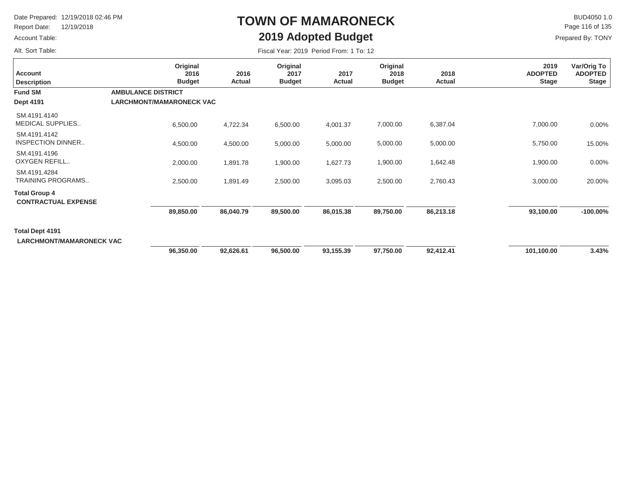Report Date: 12/19/2018

#### Account Table:

Alt. Sort Table:

## **TOWN OF MAMARONECK2019 Adopted Budget**

 $\mathsf{BUD4050}\,1.0$ Prepared By: TONY Page 116 of 135

| <b>Account</b><br><b>Description</b>               | Original<br>2016<br><b>Budget</b> | 2016<br>Actual | Original<br>2017<br><b>Budget</b> | 2017<br>Actual | Original<br>2018<br><b>Budget</b> | 2018<br>Actual | 2019<br><b>ADOPTED</b><br><b>Stage</b> | Var/Orig To<br><b>ADOPTED</b><br><b>Stage</b> |
|----------------------------------------------------|-----------------------------------|----------------|-----------------------------------|----------------|-----------------------------------|----------------|----------------------------------------|-----------------------------------------------|
| <b>Fund SM</b>                                     | <b>AMBULANCE DISTRICT</b>         |                |                                   |                |                                   |                |                                        |                                               |
| <b>Dept 4191</b>                                   | <b>LARCHMONT/MAMARONECK VAC</b>   |                |                                   |                |                                   |                |                                        |                                               |
| SM.4191.4140<br>MEDICAL SUPPLIES                   | 6,500.00                          | 4,722.34       | 6,500.00                          | 4,001.37       | 7,000.00                          | 6,387.04       | 7,000.00                               | 0.00%                                         |
| SM.4191.4142<br><b>INSPECTION DINNER</b>           | 4,500.00                          | 4,500.00       | 5,000.00                          | 5,000.00       | 5,000.00                          | 5,000.00       | 5,750.00                               | 15.00%                                        |
| SM.4191.4196<br>OXYGEN REFILL                      | 2,000.00                          | 1,891.78       | 1,900.00                          | 1,627.73       | 1,900.00                          | 1,642.48       | 1,900.00                               | 0.00%                                         |
| SM.4191.4284<br>TRAINING PROGRAMS                  | 2,500.00                          | 1,891.49       | 2,500.00                          | 3,095.03       | 2,500.00                          | 2,760.43       | 3,000.00                               | 20.00%                                        |
| <b>Total Group 4</b><br><b>CONTRACTUAL EXPENSE</b> |                                   |                |                                   |                |                                   |                |                                        |                                               |
|                                                    | 89,850.00                         | 86,040.79      | 89,500.00                         | 86,015.38      | 89,750.00                         | 86,213.18      | 93,100.00                              | $-100.00\%$                                   |
| Total Dept 4191<br><b>LARCHMONT/MAMARONECK VAC</b> |                                   |                |                                   |                |                                   |                |                                        |                                               |
|                                                    | 96,350.00                         | 92,626.61      | 96,500.00                         | 93,155.39      | 97,750.00                         | 92,412.41      | 101,100.00                             | 3.43%                                         |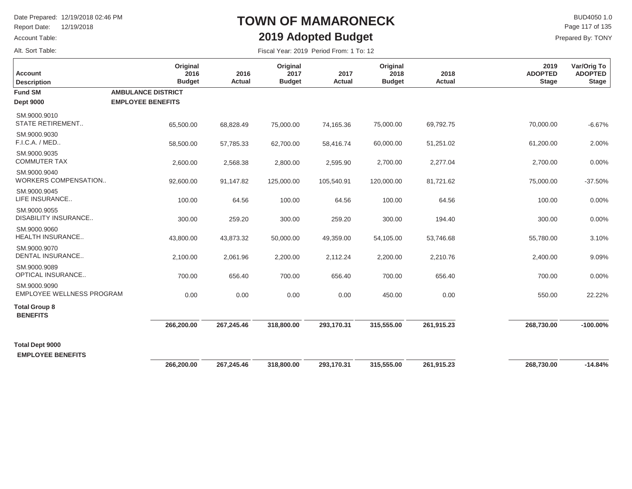Report Date: 12/19/2018

#### Account Table:

Alt. Sort Table:

## **TOWN OF MAMARONECK2019 Adopted Budget**

 $\mathsf{BUD4050 1.0}$ Prepared By: TONY Page 117 of 135

| <b>Account</b><br><b>Description</b>             | Original<br>2016<br><b>Budget</b>                     | 2016<br><b>Actual</b> | Original<br>2017<br><b>Budget</b> | 2017<br><b>Actual</b> | Original<br>2018<br><b>Budget</b> | 2018<br><b>Actual</b> | 2019<br><b>ADOPTED</b><br><b>Stage</b> | Var/Orig To<br><b>ADOPTED</b><br><b>Stage</b> |
|--------------------------------------------------|-------------------------------------------------------|-----------------------|-----------------------------------|-----------------------|-----------------------------------|-----------------------|----------------------------------------|-----------------------------------------------|
| <b>Fund SM</b><br><b>Dept 9000</b>               | <b>AMBULANCE DISTRICT</b><br><b>EMPLOYEE BENEFITS</b> |                       |                                   |                       |                                   |                       |                                        |                                               |
| SM.9000.9010<br><b>STATE RETIREMENT</b>          | 65,500.00                                             | 68,828.49             | 75,000.00                         | 74,165.36             | 75,000.00                         | 69,792.75             | 70,000.00                              | $-6.67%$                                      |
| SM.9000.9030<br>F.I.C.A. / MED                   | 58,500.00                                             | 57,785.33             | 62,700.00                         | 58,416.74             | 60,000.00                         | 51,251.02             | 61,200.00                              | 2.00%                                         |
| SM.9000.9035<br><b>COMMUTER TAX</b>              | 2,600.00                                              | 2,568.38              | 2,800.00                          | 2,595.90              | 2,700.00                          | 2,277.04              | 2,700.00                               | 0.00%                                         |
| SM.9000.9040<br>WORKERS COMPENSATION             | 92,600.00                                             | 91,147.82             | 125,000.00                        | 105,540.91            | 120,000.00                        | 81,721.62             | 75,000.00                              | $-37.50%$                                     |
| SM.9000.9045<br>LIFE INSURANCE                   | 100.00                                                | 64.56                 | 100.00                            | 64.56                 | 100.00                            | 64.56                 | 100.00                                 | 0.00%                                         |
| SM.9000.9055<br>DISABILITY INSURANCE             | 300.00                                                | 259.20                | 300.00                            | 259.20                | 300.00                            | 194.40                | 300.00                                 | 0.00%                                         |
| SM.9000.9060<br>HEALTH INSURANCE                 | 43,800.00                                             | 43,873.32             | 50,000.00                         | 49,359.00             | 54,105.00                         | 53,746.68             | 55,780.00                              | 3.10%                                         |
| SM.9000.9070<br><b>DENTAL INSURANCE</b>          | 2,100.00                                              | 2,061.96              | 2,200.00                          | 2,112.24              | 2,200.00                          | 2,210.76              | 2,400.00                               | 9.09%                                         |
| SM.9000.9089<br><b>OPTICAL INSURANCE</b>         | 700.00                                                | 656.40                | 700.00                            | 656.40                | 700.00                            | 656.40                | 700.00                                 | 0.00%                                         |
| SM.9000.9090<br><b>EMPLOYEE WELLNESS PROGRAM</b> | 0.00                                                  | 0.00                  | 0.00                              | 0.00                  | 450.00                            | 0.00                  | 550.00                                 | 22.22%                                        |
| <b>Total Group 8</b><br><b>BENEFITS</b>          |                                                       |                       |                                   |                       |                                   |                       |                                        |                                               |
|                                                  | 266,200.00                                            | 267,245.46            | 318,800.00                        | 293,170.31            | 315,555.00                        | 261,915.23            | 268,730.00                             | $-100.00\%$                                   |
| <b>Total Dept 9000</b>                           |                                                       |                       |                                   |                       |                                   |                       |                                        |                                               |
| <b>EMPLOYEE BENEFITS</b>                         |                                                       |                       |                                   |                       |                                   |                       |                                        |                                               |
|                                                  | 266,200.00                                            | 267,245.46            | 318,800.00                        | 293,170.31            | 315,555.00                        | 261,915.23            | 268,730.00                             | $-14.84%$                                     |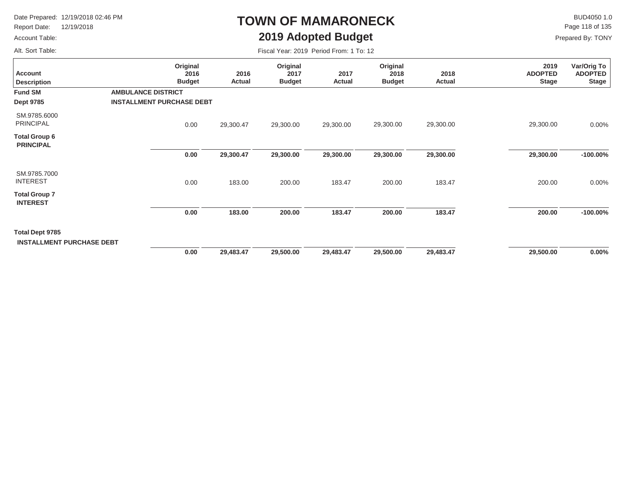Report Date: 12/19/2018

#### Account Table:

Alt. Sort Table:

## **TOWN OF MAMARONECK2019 Adopted Budget**

 $\mathsf{BUD4050}\,1.0$ Page 118 of 135

| Fiscal Year: 2019 Period From: 1 To: 12 |  |  |  |  |
|-----------------------------------------|--|--|--|--|
|-----------------------------------------|--|--|--|--|

| <b>Account</b><br><b>Description</b>                | Original<br>2016<br><b>Budget</b>                             | 2016<br>Actual | Original<br>2017<br><b>Budget</b> | 2017<br>Actual | Original<br>2018<br><b>Budget</b> | 2018<br>Actual | 2019<br><b>ADOPTED</b><br><b>Stage</b> | Var/Orig To<br><b>ADOPTED</b><br><b>Stage</b> |
|-----------------------------------------------------|---------------------------------------------------------------|----------------|-----------------------------------|----------------|-----------------------------------|----------------|----------------------------------------|-----------------------------------------------|
| <b>Fund SM</b><br><b>Dept 9785</b>                  | <b>AMBULANCE DISTRICT</b><br><b>INSTALLMENT PURCHASE DEBT</b> |                |                                   |                |                                   |                |                                        |                                               |
| SM.9785.6000<br><b>PRINCIPAL</b>                    | 0.00                                                          | 29,300.47      | 29,300.00                         | 29,300.00      | 29,300.00                         | 29,300.00      | 29,300.00                              | 0.00%                                         |
| Total Group 6<br><b>PRINCIPAL</b>                   |                                                               |                |                                   |                |                                   |                |                                        |                                               |
|                                                     | 0.00                                                          | 29,300.47      | 29,300.00                         | 29,300.00      | 29,300.00                         | 29,300.00      | 29,300.00                              | $-100.00\%$                                   |
| SM.9785.7000<br><b>INTEREST</b>                     | 0.00                                                          | 183.00         | 200.00                            | 183.47         | 200.00                            | 183.47         | 200.00                                 | 0.00%                                         |
| <b>Total Group 7</b><br><b>INTEREST</b>             |                                                               |                |                                   |                |                                   |                |                                        |                                               |
|                                                     | 0.00                                                          | 183.00         | 200.00                            | 183.47         | 200.00                            | 183.47         | 200.00                                 | $-100.00\%$                                   |
| Total Dept 9785<br><b>INSTALLMENT PURCHASE DEBT</b> |                                                               |                |                                   |                |                                   |                |                                        |                                               |
|                                                     | 0.00                                                          | 29,483.47      | 29,500.00                         | 29,483.47      | 29,500.00                         | 29,483.47      | 29,500.00                              | $0.00\%$                                      |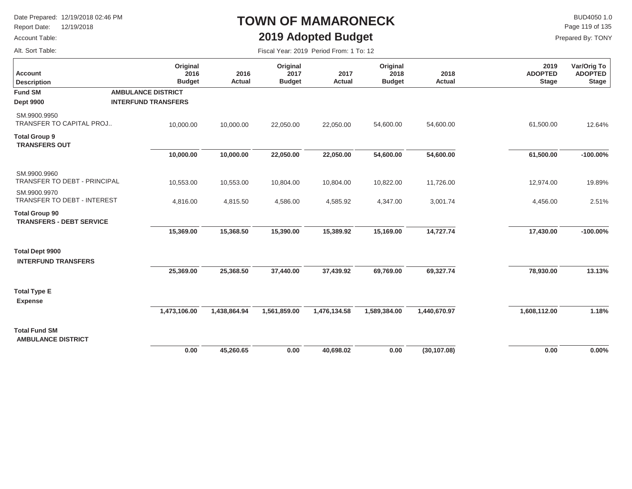Report Date: 12/19/2018

#### Account Table:

Alt. Sort Table:

## **TOWN OF MAMARONECK2019 Adopted Budget**

 $\mathsf{BUD4050}\,1.0$ Page 119 of 135

| <b>Account</b><br><b>Description</b>                     | Original<br>2016<br><b>Budget</b> | 2016<br>Actual | Original<br>2017<br><b>Budget</b> | 2017<br><b>Actual</b> | Original<br>2018<br><b>Budget</b> | 2018<br><b>Actual</b> | 2019<br><b>ADOPTED</b><br><b>Stage</b> | Var/Orig To<br><b>ADOPTED</b><br><b>Stage</b> |
|----------------------------------------------------------|-----------------------------------|----------------|-----------------------------------|-----------------------|-----------------------------------|-----------------------|----------------------------------------|-----------------------------------------------|
| <b>Fund SM</b>                                           | <b>AMBULANCE DISTRICT</b>         |                |                                   |                       |                                   |                       |                                        |                                               |
| <b>Dept 9900</b>                                         | <b>INTERFUND TRANSFERS</b>        |                |                                   |                       |                                   |                       |                                        |                                               |
| SM.9900.9950<br><b>TRANSFER TO CAPITAL PROJ</b>          | 10,000.00                         | 10,000.00      | 22,050.00                         | 22,050.00             | 54,600.00                         | 54,600.00             | 61,500.00                              | 12.64%                                        |
| <b>Total Group 9</b><br><b>TRANSFERS OUT</b>             |                                   |                |                                   |                       |                                   |                       |                                        |                                               |
|                                                          | 10,000.00                         | 10,000.00      | 22,050.00                         | 22,050.00             | 54,600.00                         | 54,600.00             | 61,500.00                              | $-100.00\%$                                   |
| SM.9900.9960<br>TRANSFER TO DEBT - PRINCIPAL             | 10,553.00                         | 10,553.00      | 10,804.00                         | 10,804.00             | 10,822.00                         | 11,726.00             | 12,974.00                              | 19.89%                                        |
| SM.9900.9970<br>TRANSFER TO DEBT - INTEREST              | 4,816.00                          | 4,815.50       | 4,586.00                          | 4,585.92              | 4,347.00                          | 3,001.74              | 4,456.00                               | 2.51%                                         |
| <b>Total Group 90</b><br><b>TRANSFERS - DEBT SERVICE</b> |                                   |                |                                   |                       |                                   |                       |                                        |                                               |
|                                                          | 15,369.00                         | 15,368.50      | 15,390.00                         | 15,389.92             | 15,169.00                         | 14,727.74             | 17,430.00                              | $-100.00\%$                                   |
| <b>Total Dept 9900</b><br><b>INTERFUND TRANSFERS</b>     |                                   |                |                                   |                       |                                   |                       |                                        |                                               |
|                                                          | 25,369.00                         | 25,368.50      | 37,440.00                         | 37,439.92             | 69,769.00                         | 69,327.74             | 78,930.00                              | 13.13%                                        |
| <b>Total Type E</b><br><b>Expense</b>                    |                                   |                |                                   |                       |                                   |                       |                                        |                                               |
|                                                          | 1,473,106.00                      | 1,438,864.94   | 1,561,859.00                      | 1,476,134.58          | 1,589,384.00                      | 1,440,670.97          | 1,608,112.00                           | 1.18%                                         |
| <b>Total Fund SM</b><br><b>AMBULANCE DISTRICT</b>        |                                   |                |                                   |                       |                                   |                       |                                        |                                               |
|                                                          | $0.00\,$                          | 45,260.65      | 0.00                              | 40,698.02             | 0.00                              | (30, 107.08)          | 0.00                                   | $0.00\%$                                      |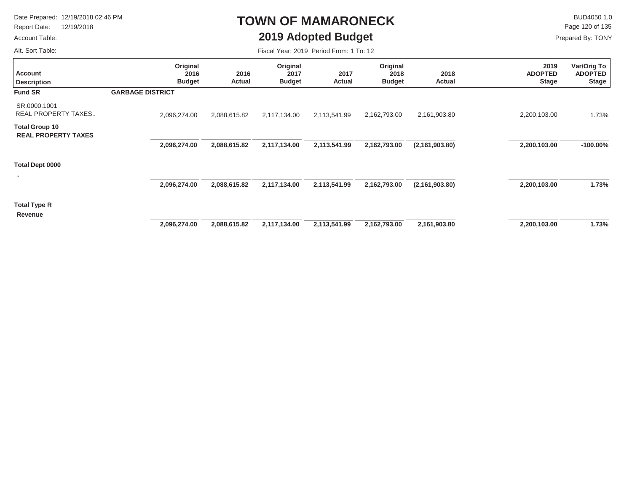Report Date: 12/19/2018

### Account Table: Alt. Sort Table:

 $\mathsf{BUD4050 1.0}$ Page 120 of 135

Fiscal Year: 2019 Period From: 1 To: 12

**TOWN OF MAMARONECK**

**2019 Adopted Budget**

| <b>Account</b><br><b>Description</b>                | Original<br>2016<br><b>Budget</b> | 2016<br><b>Actual</b> | Original<br>2017<br><b>Budget</b> | 2017<br><b>Actual</b> | Original<br>2018<br><b>Budget</b> | 2018<br>Actual   | 2019<br><b>ADOPTED</b><br><b>Stage</b> | Var/Orig To<br><b>ADOPTED</b><br><b>Stage</b> |
|-----------------------------------------------------|-----------------------------------|-----------------------|-----------------------------------|-----------------------|-----------------------------------|------------------|----------------------------------------|-----------------------------------------------|
| <b>Fund SR</b>                                      | <b>GARBAGE DISTRICT</b>           |                       |                                   |                       |                                   |                  |                                        |                                               |
| SR.0000.1001<br><b>REAL PROPERTY TAXES</b>          | 2,096,274.00                      | 2,088,615.82          | 2,117,134.00                      | 2,113,541.99          | 2,162,793.00                      | 2,161,903.80     | 2,200,103.00                           | 1.73%                                         |
| <b>Total Group 10</b><br><b>REAL PROPERTY TAXES</b> |                                   |                       |                                   |                       |                                   |                  |                                        |                                               |
|                                                     | 2,096,274.00                      | 2,088,615.82          | 2,117,134.00                      | 2,113,541.99          | 2,162,793.00                      | (2, 161, 903.80) | 2,200,103.00                           | $-100.00\%$                                   |
| Total Dept 0000                                     |                                   |                       |                                   |                       |                                   |                  |                                        |                                               |
|                                                     | 2,096,274.00                      | 2,088,615.82          | 2,117,134.00                      | 2,113,541.99          | 2,162,793.00                      | (2, 161, 903.80) | 2,200,103.00                           | 1.73%                                         |
| <b>Total Type R</b><br>Revenue                      |                                   |                       |                                   |                       |                                   |                  |                                        |                                               |
|                                                     | 2,096,274.00                      | 2,088,615.82          | 2,117,134.00                      | 2,113,541.99          | 2,162,793.00                      | 2,161,903.80     | 2,200,103.00                           | 1.73%                                         |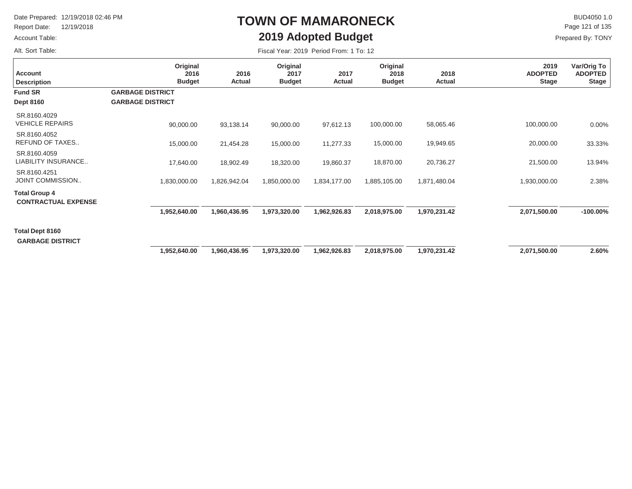Report Date: 12/19/2018

#### Account Table:

Alt. Sort Table:

## **TOWN OF MAMARONECK2019 Adopted Budget**

 $\mathsf{BUD4050 1.0}$ Prepared By: TONY Page 121 of 135

| Account<br><b>Description</b>                      | Original<br>2016<br><b>Budget</b>                  | 2016<br>Actual | Original<br>2017<br><b>Budget</b> | 2017<br>Actual | Original<br>2018<br><b>Budget</b> | 2018<br>Actual | 2019<br><b>ADOPTED</b><br><b>Stage</b> | Var/Orig To<br><b>ADOPTED</b><br><b>Stage</b> |
|----------------------------------------------------|----------------------------------------------------|----------------|-----------------------------------|----------------|-----------------------------------|----------------|----------------------------------------|-----------------------------------------------|
| <b>Fund SR</b><br><b>Dept 8160</b>                 | <b>GARBAGE DISTRICT</b><br><b>GARBAGE DISTRICT</b> |                |                                   |                |                                   |                |                                        |                                               |
| SR.8160.4029<br><b>VEHICLE REPAIRS</b>             | 90,000.00                                          | 93,138.14      | 90,000.00                         | 97,612.13      | 100,000.00                        | 58,065.46      | 100,000.00                             | $0.00\%$                                      |
| SR.8160.4052<br>REFUND OF TAXES                    | 15,000.00                                          | 21,454.28      | 15,000.00                         | 11,277.33      | 15,000.00                         | 19,949.65      | 20,000.00                              | 33.33%                                        |
| SR.8160,4059<br>LIABILITY INSURANCE                | 17,640.00                                          | 18,902.49      | 18,320.00                         | 19,860.37      | 18,870.00                         | 20,736.27      | 21,500.00                              | 13.94%                                        |
| SR.8160.4251<br>JOINT COMMISSION                   | 1,830,000.00                                       | 1,826,942.04   | 1,850,000.00                      | 1,834,177.00   | 1,885,105.00                      | 1,871,480.04   | 1,930,000.00                           | 2.38%                                         |
| <b>Total Group 4</b><br><b>CONTRACTUAL EXPENSE</b> |                                                    |                |                                   |                |                                   |                |                                        |                                               |
|                                                    | 1,952,640.00                                       | 1,960,436.95   | 1,973,320.00                      | 1,962,926.83   | 2,018,975.00                      | 1,970,231.42   | 2,071,500.00                           | $-100.00\%$                                   |
| <b>Total Dept 8160</b><br><b>GARBAGE DISTRICT</b>  |                                                    |                |                                   |                |                                   |                |                                        |                                               |
|                                                    | 1,952,640.00                                       | 1,960,436.95   | 1,973,320.00                      | 1,962,926.83   | 2,018,975.00                      | 1,970,231.42   | 2,071,500.00                           | 2.60%                                         |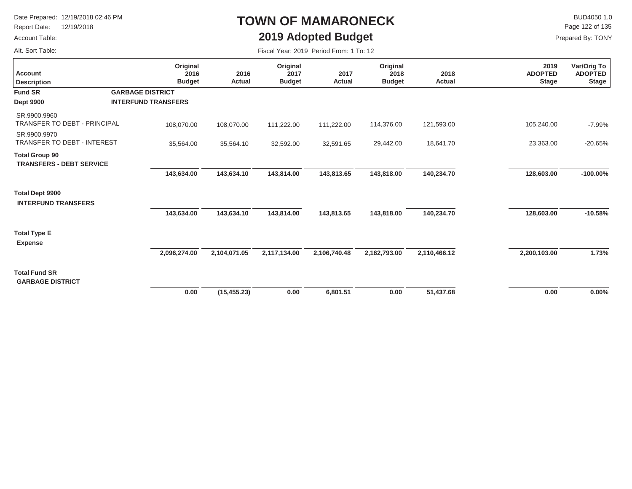Report Date: 12/19/2018

#### Account Table:

Alt. Sort Table:

# **TOWN OF MAMARONECK2019 Adopted Budget**

 $\mathsf{BUD4050 1.0}$ Page 122 of 135

| Fiscal Year: 2019 Period From: 1 To: 12 |  |
|-----------------------------------------|--|
|                                         |  |

| <b>Account</b><br><b>Description</b>                     | Original<br>2016<br><b>Budget</b> | 2016<br>Actual | Original<br>2017<br><b>Budget</b> | 2017<br>Actual | Original<br>2018<br><b>Budget</b> | 2018<br>Actual | 2019<br><b>ADOPTED</b><br><b>Stage</b> | Var/Orig To<br><b>ADOPTED</b><br><b>Stage</b> |
|----------------------------------------------------------|-----------------------------------|----------------|-----------------------------------|----------------|-----------------------------------|----------------|----------------------------------------|-----------------------------------------------|
| <b>Fund SR</b>                                           | <b>GARBAGE DISTRICT</b>           |                |                                   |                |                                   |                |                                        |                                               |
| <b>Dept 9900</b>                                         | <b>INTERFUND TRANSFERS</b>        |                |                                   |                |                                   |                |                                        |                                               |
| SR.9900.9960<br>TRANSFER TO DEBT - PRINCIPAL             | 108,070.00                        | 108,070.00     | 111,222.00                        | 111,222.00     | 114,376.00                        | 121,593.00     | 105,240.00                             | $-7.99%$                                      |
| SR.9900.9970<br><b>TRANSFER TO DEBT - INTEREST</b>       | 35,564.00                         | 35,564.10      | 32,592.00                         | 32,591.65      | 29,442.00                         | 18,641.70      | 23,363.00                              | $-20.65%$                                     |
| <b>Total Group 90</b><br><b>TRANSFERS - DEBT SERVICE</b> |                                   |                |                                   |                |                                   |                |                                        |                                               |
|                                                          | 143,634.00                        | 143,634.10     | 143,814.00                        | 143,813.65     | 143,818.00                        | 140,234.70     | 128,603.00                             | $-100.00\%$                                   |
| <b>Total Dept 9900</b><br><b>INTERFUND TRANSFERS</b>     |                                   |                |                                   |                |                                   |                |                                        |                                               |
|                                                          | 143,634.00                        | 143,634.10     | 143,814.00                        | 143,813.65     | 143,818.00                        | 140,234.70     | 128,603.00                             | $-10.58%$                                     |
| <b>Total Type E</b><br><b>Expense</b>                    |                                   |                |                                   |                |                                   |                |                                        |                                               |
|                                                          | 2,096,274.00                      | 2,104,071.05   | 2,117,134.00                      | 2,106,740.48   | 2,162,793.00                      | 2,110,466.12   | 2,200,103.00                           | 1.73%                                         |
| <b>Total Fund SR</b><br><b>GARBAGE DISTRICT</b>          |                                   |                |                                   |                |                                   |                |                                        |                                               |
|                                                          | 0.00                              | (15, 455.23)   | 0.00                              | 6,801.51       | 0.00                              | 51,437.68      | 0.00                                   | $0.00\%$                                      |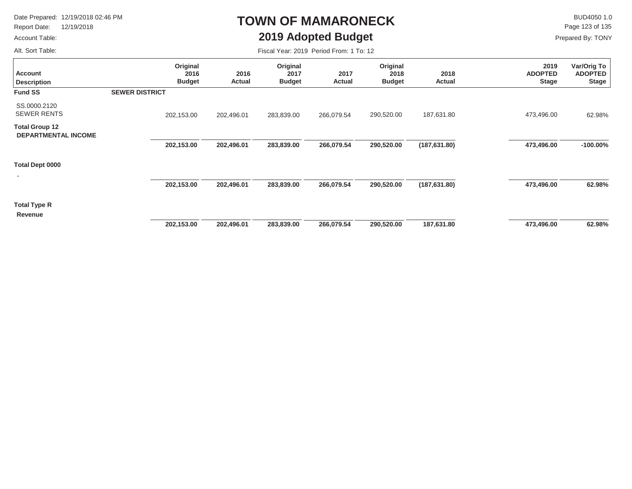Report Date: 12/19/2018

#### Account Table:

 $\mathsf{BUD4050}\,1.0$ Page 123 of 135

Prepared By: TONY

Alt. Sort Table:

### **TOWN OF MAMARONECK2019 Adopted Budget**

| <b>Account</b><br><b>Description</b>                | Original<br>2016<br><b>Budget</b> | 2016<br>Actual | Original<br>2017<br><b>Budget</b> | 2017<br>Actual | Original<br>2018<br><b>Budget</b> | 2018<br>Actual | 2019<br><b>ADOPTED</b><br><b>Stage</b> | Var/Orig To<br><b>ADOPTED</b><br><b>Stage</b> |
|-----------------------------------------------------|-----------------------------------|----------------|-----------------------------------|----------------|-----------------------------------|----------------|----------------------------------------|-----------------------------------------------|
| <b>Fund SS</b>                                      | <b>SEWER DISTRICT</b>             |                |                                   |                |                                   |                |                                        |                                               |
| SS.0000.2120<br><b>SEWER RENTS</b>                  | 202,153.00                        | 202,496.01     | 283,839.00                        | 266,079.54     | 290,520.00                        | 187,631.80     | 473,496.00                             | 62.98%                                        |
| <b>Total Group 12</b><br><b>DEPARTMENTAL INCOME</b> |                                   |                |                                   |                |                                   |                |                                        |                                               |
|                                                     | 202,153.00                        | 202,496.01     | 283,839.00                        | 266,079.54     | 290,520.00                        | (187, 631.80)  | 473,496.00                             | $-100.00\%$                                   |
| Total Dept 0000                                     |                                   |                |                                   |                |                                   |                |                                        |                                               |
|                                                     | 202,153.00                        | 202,496.01     | 283,839.00                        | 266,079.54     | 290,520.00                        | (187, 631.80)  | 473,496.00                             | 62.98%                                        |
| Total Type R<br>Revenue                             |                                   |                |                                   |                |                                   |                |                                        |                                               |
|                                                     | 202,153.00                        | 202,496.01     | 283,839.00                        | 266,079.54     | 290,520.00                        | 187,631.80     | 473,496.00                             | 62.98%                                        |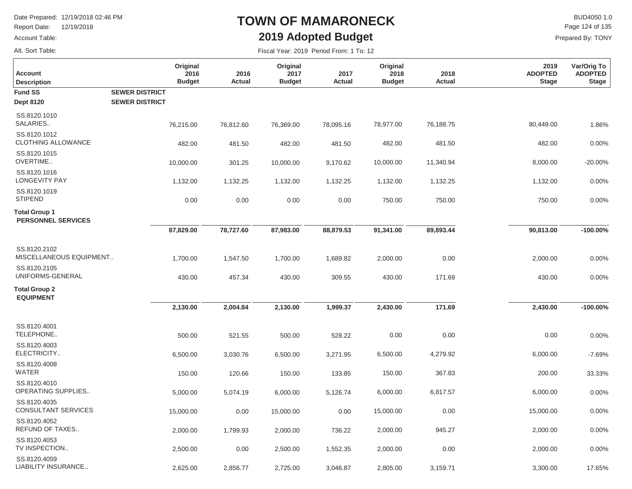**Original 2016 Budget**

Report Date: 12/19/2018

#### Account Table:

Alt. Sort Table:

**Description Account**

## **TOWN OF MAMARONECK2019 Adopted Budget**

Fiscal Year: 2019 Period From: 1 To: 12

 $\mathsf K$  BUD4050 1.0<br>Page 124 of 135

**Var/Orig To ADOPTED Stage**

Prepared By: TONY

**2019 ADOPTED Stage**

| 2016<br>Actual | Original<br>2017<br><b>Budget</b> | 2017<br>Actual | Original<br>2018<br><b>Budget</b> |  |
|----------------|-----------------------------------|----------------|-----------------------------------|--|
|                |                                   |                |                                   |  |

**2018 Actual**

| <b>Fund SS</b><br><b>Dept 8120</b>                | <b>SEWER DISTRICT</b><br><b>SEWER DISTRICT</b> |           |           |           |           |           |           |             |
|---------------------------------------------------|------------------------------------------------|-----------|-----------|-----------|-----------|-----------|-----------|-------------|
| SS.8120.1010<br>SALARIES                          | 76,215.00                                      | 76,812.60 | 76,369.00 | 78,095.16 | 78,977.00 | 76,188.75 | 80,449.00 | 1.86%       |
| SS.8120.1012<br>CLOTHING ALLOWANCE                | 482.00                                         | 481.50    | 482.00    | 481.50    | 482.00    | 481.50    | 482.00    | 0.00%       |
| SS.8120.1015<br>OVERTIME                          | 10,000.00                                      | 301.25    | 10,000.00 | 9,170.62  | 10,000.00 | 11,340.94 | 8,000.00  | $-20.00%$   |
| SS.8120.1016<br><b>LONGEVITY PAY</b>              | 1,132.00                                       | 1,132.25  | 1,132.00  | 1,132.25  | 1,132.00  | 1,132.25  | 1,132.00  | 0.00%       |
| SS.8120.1019<br><b>STIPEND</b>                    | 0.00                                           | 0.00      | 0.00      | 0.00      | 750.00    | 750.00    | 750.00    | 0.00%       |
| <b>Total Group 1</b><br><b>PERSONNEL SERVICES</b> |                                                |           |           |           |           |           |           |             |
|                                                   | 87,829.00                                      | 78,727.60 | 87,983.00 | 88,879.53 | 91,341.00 | 89,893.44 | 90,813.00 | $-100.00\%$ |
| SS.8120.2102<br>MISCELLANEOUS EQUIPMENT           | 1,700.00                                       | 1,547.50  | 1,700.00  | 1,689.82  | 2,000.00  | 0.00      | 2,000.00  | 0.00%       |
| SS.8120.2105<br>UNIFORMS-GENERAL                  | 430.00                                         | 457.34    | 430.00    | 309.55    | 430.00    | 171.69    | 430.00    | 0.00%       |
| <b>Total Group 2</b>                              |                                                |           |           |           |           |           |           |             |
| <b>EQUIPMENT</b>                                  | 2,130.00                                       | 2,004.84  | 2,130.00  | 1,999.37  | 2,430.00  | 171.69    | 2,430.00  | $-100.00\%$ |
| SS.8120.4001<br>TELEPHONE                         | 500.00                                         | 521.55    | 500.00    | 528.22    | 0.00      | 0.00      | 0.00      | 0.00%       |
| SS.8120.4003<br>ELECTRICITY                       | 6,500.00                                       | 3,030.76  | 6,500.00  | 3,271.95  | 6,500.00  | 4,279.92  | 6,000.00  | $-7.69%$    |
| SS.8120.4008<br><b>WATER</b>                      | 150.00                                         | 120.66    | 150.00    | 133.85    | 150.00    | 367.83    | 200.00    | 33.33%      |
| SS.8120.4010<br>OPERATING SUPPLIES                | 5,000.00                                       | 5,074.19  | 6,000.00  | 5,126.74  | 6,000.00  | 6,817.57  | 6,000.00  | 0.00%       |
| SS.8120.4035<br><b>CONSULTANT SERVICES</b>        | 15,000.00                                      | 0.00      | 15,000.00 | 0.00      | 15,000.00 | 0.00      | 15,000.00 | 0.00%       |
| SS.8120.4052<br>REFUND OF TAXES                   | 2,000.00                                       | 1,799.93  | 2,000.00  | 736.22    | 2,000.00  | 945.27    | 2,000.00  | 0.00%       |
| SS.8120.4053<br>TV INSPECTION                     | 2,500.00                                       | 0.00      | 2,500.00  | 1,552.35  | 2,000.00  | 0.00      | 2,000.00  | 0.00%       |
| SS.8120.4059<br>LIABILITY INSURANCE               | 2,625.00                                       | 2,856.77  | 2,725.00  | 3,046.87  | 2,805.00  | 3,159.71  | 3,300.00  | 17.65%      |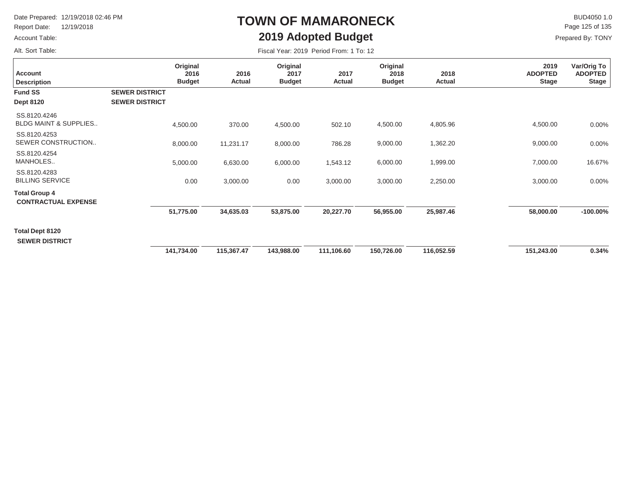Report Date: 12/19/2018

#### Account Table:

Alt. Sort Table:

## **TOWN OF MAMARONECK2019 Adopted Budget**

 $\mathsf{BUD4050}\,1.0$ Prepared By: TONY Page 125 of 135

| Account<br><b>Description</b>                      |                                                | Original<br>2016<br><b>Budget</b> | 2016<br><b>Actual</b> | Original<br>2017<br><b>Budget</b> | 2017<br>Actual | Original<br>2018<br><b>Budget</b> | 2018<br>Actual | 2019<br><b>ADOPTED</b><br><b>Stage</b> | Var/Orig To<br><b>ADOPTED</b><br><b>Stage</b> |
|----------------------------------------------------|------------------------------------------------|-----------------------------------|-----------------------|-----------------------------------|----------------|-----------------------------------|----------------|----------------------------------------|-----------------------------------------------|
| <b>Fund SS</b><br><b>Dept 8120</b>                 | <b>SEWER DISTRICT</b><br><b>SEWER DISTRICT</b> |                                   |                       |                                   |                |                                   |                |                                        |                                               |
| SS.8120.4246<br><b>BLDG MAINT &amp; SUPPLIES</b>   |                                                | 4,500.00                          | 370.00                | 4,500.00                          | 502.10         | 4,500.00                          | 4,805.96       | 4,500.00                               | 0.00%                                         |
| SS.8120,4253<br>SEWER CONSTRUCTION                 |                                                | 8,000.00                          | 11,231.17             | 8,000.00                          | 786.28         | 9,000.00                          | 1,362.20       | 9,000.00                               | 0.00%                                         |
| SS.8120.4254<br>MANHOLES                           |                                                | 5,000.00                          | 6,630.00              | 6,000.00                          | 1,543.12       | 6,000.00                          | 1,999.00       | 7,000.00                               | 16.67%                                        |
| SS.8120.4283<br><b>BILLING SERVICE</b>             |                                                | 0.00                              | 3,000.00              | 0.00                              | 3,000.00       | 3,000.00                          | 2,250.00       | 3,000.00                               | 0.00%                                         |
| <b>Total Group 4</b><br><b>CONTRACTUAL EXPENSE</b> |                                                |                                   |                       |                                   |                |                                   |                |                                        |                                               |
|                                                    |                                                | 51,775.00                         | 34,635.03             | 53,875.00                         | 20,227.70      | 56,955.00                         | 25,987.46      | 58,000.00                              | $-100.00\%$                                   |
| <b>Total Dept 8120</b><br><b>SEWER DISTRICT</b>    |                                                |                                   |                       |                                   |                |                                   |                |                                        |                                               |
|                                                    |                                                | 141,734.00                        | 115,367.47            | 143,988.00                        | 111,106.60     | 150,726.00                        | 116,052.59     | 151,243.00                             | 0.34%                                         |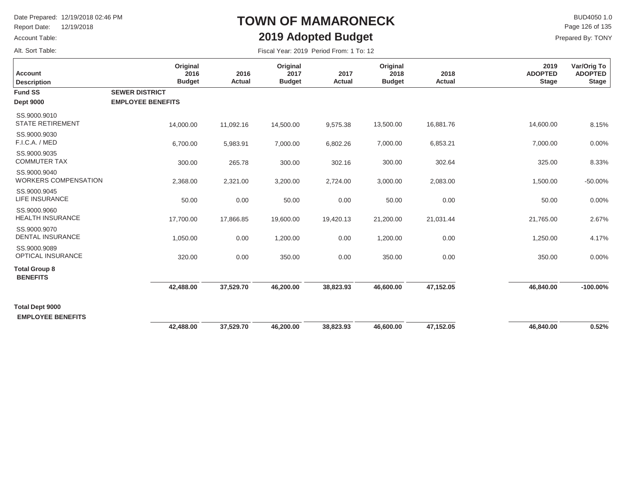Report Date: 12/19/2018

Account Table:

### Alt. Sort Table:

## **TOWN OF MAMARONECK2019 Adopted Budget**

 $\mathsf{BUD4050}\,1.0$ Prepared By: TONY Page 126 of 135

| <b>Account</b><br><b>Description</b>               | Original<br>2016<br><b>Budget</b>                 | 2016<br><b>Actual</b> | Original<br>2017<br><b>Budget</b> | 2017<br><b>Actual</b> | Original<br>2018<br><b>Budget</b> | 2018<br>Actual | 2019<br><b>ADOPTED</b><br><b>Stage</b> | Var/Orig To<br><b>ADOPTED</b><br><b>Stage</b> |
|----------------------------------------------------|---------------------------------------------------|-----------------------|-----------------------------------|-----------------------|-----------------------------------|----------------|----------------------------------------|-----------------------------------------------|
| <b>Fund SS</b><br><b>Dept 9000</b>                 | <b>SEWER DISTRICT</b><br><b>EMPLOYEE BENEFITS</b> |                       |                                   |                       |                                   |                |                                        |                                               |
| SS.9000.9010<br><b>STATE RETIREMENT</b>            | 14,000.00                                         | 11,092.16             | 14,500.00                         | 9,575.38              | 13,500.00                         | 16,881.76      | 14,600.00                              | 8.15%                                         |
| SS.9000.9030<br>F.I.C.A. / MED                     | 6,700.00                                          | 5,983.91              | 7,000.00                          | 6,802.26              | 7,000.00                          | 6,853.21       | 7,000.00                               | 0.00%                                         |
| SS.9000.9035<br><b>COMMUTER TAX</b>                | 300.00                                            | 265.78                | 300.00                            | 302.16                | 300.00                            | 302.64         | 325.00                                 | 8.33%                                         |
| SS.9000.9040<br><b>WORKERS COMPENSATION</b>        | 2,368.00                                          | 2,321.00              | 3,200.00                          | 2,724.00              | 3,000.00                          | 2,083.00       | 1,500.00                               | $-50.00%$                                     |
| SS.9000.9045<br>LIFE INSURANCE                     | 50.00                                             | 0.00                  | 50.00                             | 0.00                  | 50.00                             | 0.00           | 50.00                                  | 0.00%                                         |
| SS.9000.9060<br><b>HEALTH INSURANCE</b>            | 17,700.00                                         | 17,866.85             | 19,600.00                         | 19,420.13             | 21,200.00                         | 21,031.44      | 21,765.00                              | 2.67%                                         |
| SS.9000.9070<br><b>DENTAL INSURANCE</b>            | 1,050.00                                          | 0.00                  | 1,200.00                          | 0.00                  | 1,200.00                          | 0.00           | 1,250.00                               | 4.17%                                         |
| SS.9000.9089<br>OPTICAL INSURANCE                  | 320.00                                            | 0.00                  | 350.00                            | 0.00                  | 350.00                            | 0.00           | 350.00                                 | 0.00%                                         |
| <b>Total Group 8</b><br><b>BENEFITS</b>            |                                                   |                       |                                   |                       |                                   |                |                                        |                                               |
|                                                    | 42,488.00                                         | 37,529.70             | 46,200.00                         | 38,823.93             | 46,600.00                         | 47,152.05      | 46,840.00                              | $-100.00\%$                                   |
| <b>Total Dept 9000</b><br><b>EMPLOYEE BENEFITS</b> |                                                   |                       |                                   |                       |                                   |                |                                        |                                               |
|                                                    | 42,488.00                                         | 37,529.70             | 46,200.00                         | 38,823.93             | 46,600.00                         | 47,152.05      | 46,840.00                              | 0.52%                                         |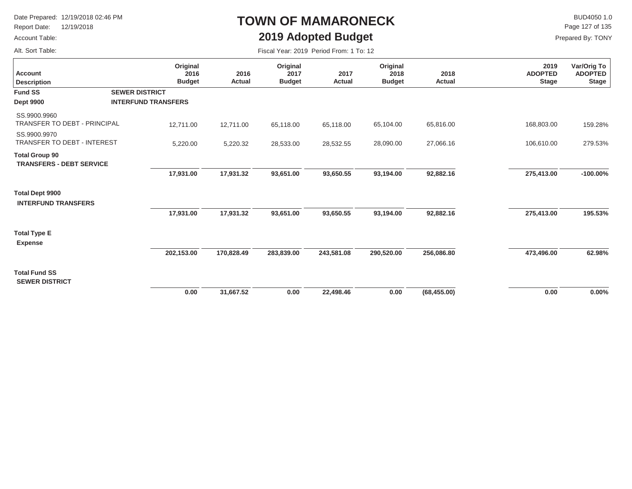Report Date: 12/19/2018

#### Account Table:

Alt. Sort Table:

## **TOWN OF MAMARONECK2019 Adopted Budget**

 $\mathsf{BUD4050 1.0}$ Page 127 of 135

| <b>Account</b><br><b>Description</b>                     | Original<br>2016<br><b>Budget</b> | 2016<br>Actual | Original<br>2017<br><b>Budget</b> | 2017<br>Actual | Original<br>2018<br><b>Budget</b> | 2018<br>Actual | 2019<br><b>ADOPTED</b><br><b>Stage</b> | Var/Orig To<br><b>ADOPTED</b><br><b>Stage</b> |
|----------------------------------------------------------|-----------------------------------|----------------|-----------------------------------|----------------|-----------------------------------|----------------|----------------------------------------|-----------------------------------------------|
| <b>Fund SS</b>                                           | <b>SEWER DISTRICT</b>             |                |                                   |                |                                   |                |                                        |                                               |
| <b>Dept 9900</b>                                         | <b>INTERFUND TRANSFERS</b>        |                |                                   |                |                                   |                |                                        |                                               |
| SS.9900.9960<br><b>TRANSFER TO DEBT - PRINCIPAL</b>      | 12,711.00                         | 12,711.00      | 65,118.00                         | 65,118.00      | 65,104.00                         | 65,816.00      | 168,803.00                             | 159.28%                                       |
| SS.9900.9970<br>TRANSFER TO DEBT - INTEREST              | 5,220.00                          | 5,220.32       | 28,533.00                         | 28,532.55      | 28,090.00                         | 27,066.16      | 106,610.00                             | 279.53%                                       |
| <b>Total Group 90</b><br><b>TRANSFERS - DEBT SERVICE</b> |                                   |                |                                   |                |                                   |                |                                        |                                               |
|                                                          | 17,931.00                         | 17,931.32      | 93,651.00                         | 93,650.55      | 93,194.00                         | 92,882.16      | 275,413.00                             | $-100.00\%$                                   |
| <b>Total Dept 9900</b><br><b>INTERFUND TRANSFERS</b>     |                                   |                |                                   |                |                                   |                |                                        |                                               |
|                                                          | 17,931.00                         | 17,931.32      | 93,651.00                         | 93,650.55      | 93,194.00                         | 92,882.16      | 275,413.00                             | 195.53%                                       |
| <b>Total Type E</b><br><b>Expense</b>                    |                                   |                |                                   |                |                                   |                |                                        |                                               |
|                                                          | 202,153.00                        | 170,828.49     | 283,839.00                        | 243,581.08     | 290,520.00                        | 256,086.80     | 473,496.00                             | 62.98%                                        |
| <b>Total Fund SS</b><br><b>SEWER DISTRICT</b>            |                                   |                |                                   |                |                                   |                |                                        |                                               |
|                                                          | 0.00                              | 31,667.52      | 0.00                              | 22,498.46      | 0.00                              | (68, 455.00)   | 0.00                                   | $0.00\%$                                      |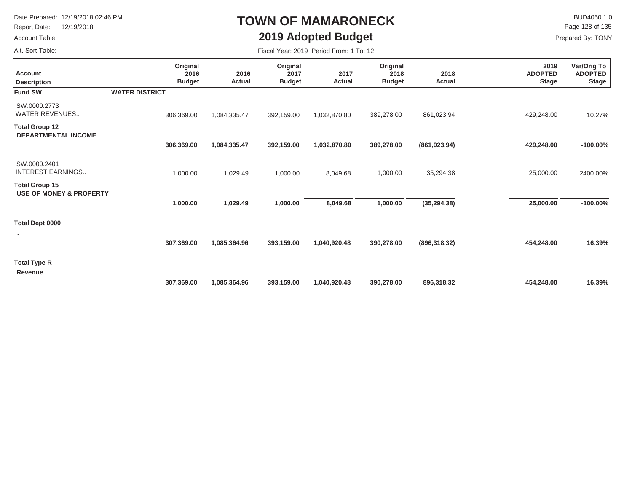Report Date: 12/19/2018

#### Account Table:

### $\mathsf{BUD4050}\,1.0$ Page 128 of 135

Prepared By: TONY

Alt. Sort Table:

### **2019 Adopted Budget** Fiscal Year: 2019 Period From: 1 To: 12

**TOWN OF MAMARONECK**

| <b>Account</b><br><b>Description</b>                        | Original<br>2016<br><b>Budget</b> | 2016<br>Actual | Original<br>2017<br><b>Budget</b> | 2017<br>Actual | Original<br>2018<br><b>Budget</b> | 2018<br>Actual | 2019<br><b>ADOPTED</b><br><b>Stage</b> | Var/Orig To<br><b>ADOPTED</b><br><b>Stage</b> |
|-------------------------------------------------------------|-----------------------------------|----------------|-----------------------------------|----------------|-----------------------------------|----------------|----------------------------------------|-----------------------------------------------|
| <b>Fund SW</b>                                              | <b>WATER DISTRICT</b>             |                |                                   |                |                                   |                |                                        |                                               |
| SW.0000.2773<br><b>WATER REVENUES</b>                       | 306,369.00                        | 1,084,335.47   | 392,159.00                        | 1,032,870.80   | 389,278.00                        | 861,023.94     | 429,248.00                             | 10.27%                                        |
| <b>Total Group 12</b><br>DEPARTMENTAL INCOME                |                                   |                |                                   |                |                                   |                |                                        |                                               |
|                                                             | 306,369.00                        | 1,084,335.47   | 392,159.00                        | 1,032,870.80   | 389,278.00                        | (861, 023.94)  | 429,248.00                             | $-100.00\%$                                   |
| SW.0000.2401<br><b>INTEREST EARNINGS</b>                    | 1,000.00                          | 1,029.49       | 1,000.00                          | 8,049.68       | 1,000.00                          | 35,294.38      | 25,000.00                              | 2400.00%                                      |
| <b>Total Group 15</b><br><b>USE OF MONEY &amp; PROPERTY</b> |                                   |                |                                   |                |                                   |                |                                        |                                               |
|                                                             | 1,000.00                          | 1,029.49       | 1,000.00                          | 8,049.68       | 1,000.00                          | (35, 294.38)   | 25,000.00                              | $-100.00\%$                                   |
| Total Dept 0000                                             |                                   |                |                                   |                |                                   |                |                                        |                                               |
|                                                             | 307,369.00                        | 1,085,364.96   | 393,159.00                        | 1,040,920.48   | 390,278.00                        | (896, 318.32)  | 454,248.00                             | 16.39%                                        |
| <b>Total Type R</b>                                         |                                   |                |                                   |                |                                   |                |                                        |                                               |
| Revenue                                                     |                                   |                |                                   |                |                                   |                |                                        |                                               |
|                                                             | 307,369.00                        | 1,085,364.96   | 393,159.00                        | 1,040,920.48   | 390,278.00                        | 896,318.32     | 454,248.00                             | 16.39%                                        |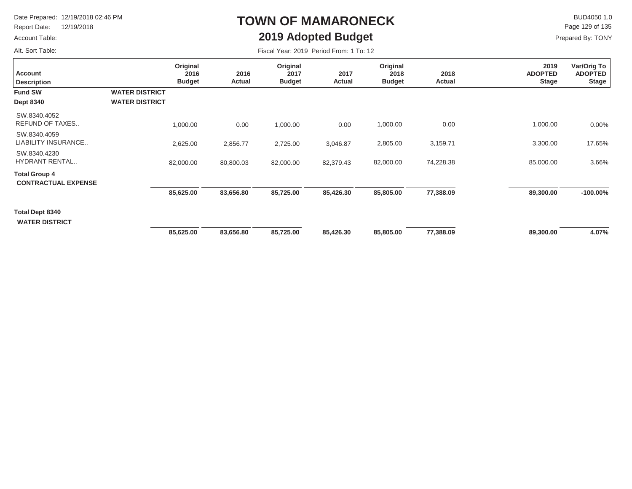Report Date: 12/19/2018

#### Account Table:

Alt. Sort Table:

# **TOWN OF MAMARONECK2019 Adopted Budget**

 $\mathsf{BUD4050}\,1.0$ Page 129 of 135

| Fiscal Year: 2019 Period From: 1 To: 12 |  |
|-----------------------------------------|--|
|-----------------------------------------|--|

| <b>Account</b><br><b>Description</b>               | Original<br>2016<br><b>Budget</b>              | 2016<br>Actual | Original<br>2017<br><b>Budget</b> | 2017<br>Actual | Original<br>2018<br><b>Budget</b> | 2018<br>Actual | 2019<br><b>ADOPTED</b><br><b>Stage</b> | Var/Orig To<br><b>ADOPTED</b><br><b>Stage</b> |
|----------------------------------------------------|------------------------------------------------|----------------|-----------------------------------|----------------|-----------------------------------|----------------|----------------------------------------|-----------------------------------------------|
| <b>Fund SW</b><br><b>Dept 8340</b>                 | <b>WATER DISTRICT</b><br><b>WATER DISTRICT</b> |                |                                   |                |                                   |                |                                        |                                               |
| SW.8340.4052<br>REFUND OF TAXES                    | 1,000.00                                       | 0.00           | 1,000.00                          | 0.00           | 1,000.00                          | 0.00           | 1,000.00                               | $0.00\%$                                      |
| SW.8340.4059<br>LIABILITY INSURANCE                | 2,625.00                                       | 2,856.77       | 2,725.00                          | 3,046.87       | 2,805.00                          | 3,159.71       | 3,300.00                               | 17.65%                                        |
| SW.8340.4230<br><b>HYDRANT RENTAL</b>              | 82,000.00                                      | 80,800.03      | 82,000.00                         | 82,379.43      | 82,000.00                         | 74,228.38      | 85,000.00                              | 3.66%                                         |
| <b>Total Group 4</b><br><b>CONTRACTUAL EXPENSE</b> |                                                |                |                                   |                |                                   |                |                                        |                                               |
|                                                    | 85,625.00                                      | 83,656.80      | 85,725.00                         | 85,426.30      | 85,805.00                         | 77,388.09      | 89,300.00                              | $-100.00\%$                                   |
| Total Dept 8340<br><b>WATER DISTRICT</b>           |                                                |                |                                   |                |                                   |                |                                        |                                               |
|                                                    | 85,625.00                                      | 83,656.80      | 85,725.00                         | 85,426.30      | 85,805.00                         | 77,388.09      | 89,300.00                              | 4.07%                                         |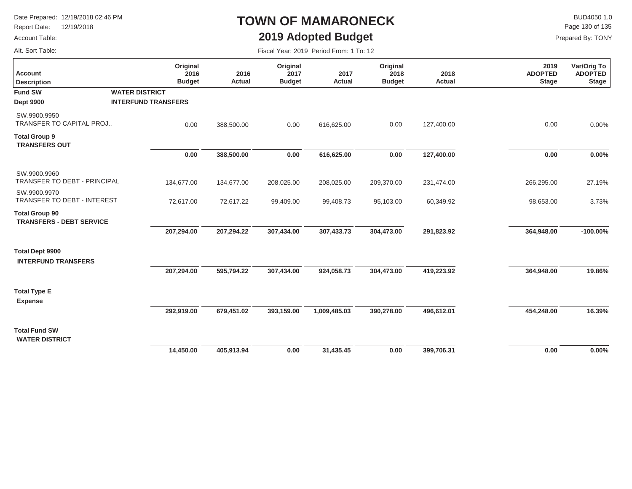Report Date: 12/19/2018

#### Account Table:

Alt. Sort Table:

## **TOWN OF MAMARONECK2019 Adopted Budget**

 $\mathsf{BUD4050 1.0}$ Page 130 of 135

|  | Fiscal Year: 2019 Period From: 1 To: 12 |  |  |
|--|-----------------------------------------|--|--|
|  |                                         |  |  |

| <b>Account</b><br><b>Description</b>                     | Original<br>2016<br><b>Budget</b> | 2016<br>Actual | Original<br>2017<br><b>Budget</b> | 2017<br>Actual | Original<br>2018<br><b>Budget</b> | 2018<br><b>Actual</b> | 2019<br><b>ADOPTED</b><br><b>Stage</b> | Var/Orig To<br><b>ADOPTED</b><br><b>Stage</b> |
|----------------------------------------------------------|-----------------------------------|----------------|-----------------------------------|----------------|-----------------------------------|-----------------------|----------------------------------------|-----------------------------------------------|
| <b>Fund SW</b>                                           | <b>WATER DISTRICT</b>             |                |                                   |                |                                   |                       |                                        |                                               |
| <b>Dept 9900</b>                                         | <b>INTERFUND TRANSFERS</b>        |                |                                   |                |                                   |                       |                                        |                                               |
| SW.9900.9950<br>TRANSFER TO CAPITAL PROJ                 | 0.00                              | 388,500.00     | 0.00                              | 616,625.00     | 0.00                              | 127,400.00            | 0.00                                   | 0.00%                                         |
| <b>Total Group 9</b><br><b>TRANSFERS OUT</b>             |                                   |                |                                   |                |                                   |                       |                                        |                                               |
|                                                          | 0.00                              | 388,500.00     | 0.00                              | 616,625.00     | 0.00                              | 127,400.00            | 0.00                                   | 0.00%                                         |
| SW.9900.9960<br>TRANSFER TO DEBT - PRINCIPAL             | 134,677.00                        | 134,677.00     | 208,025.00                        | 208,025.00     | 209,370.00                        | 231,474.00            | 266,295.00                             | 27.19%                                        |
| SW.9900.9970<br>TRANSFER TO DEBT - INTEREST              | 72,617.00                         | 72,617.22      | 99,409.00                         | 99,408.73      | 95,103.00                         | 60,349.92             | 98,653.00                              | 3.73%                                         |
| <b>Total Group 90</b><br><b>TRANSFERS - DEBT SERVICE</b> |                                   |                |                                   |                |                                   |                       |                                        |                                               |
|                                                          | 207,294.00                        | 207,294.22     | 307,434.00                        | 307,433.73     | 304,473.00                        | 291,823.92            | 364,948.00                             | $-100.00\%$                                   |
| <b>Total Dept 9900</b><br><b>INTERFUND TRANSFERS</b>     |                                   |                |                                   |                |                                   |                       |                                        |                                               |
|                                                          | 207,294.00                        | 595,794.22     | 307,434.00                        | 924,058.73     | 304,473.00                        | 419,223.92            | 364,948.00                             | 19.86%                                        |
| <b>Total Type E</b><br><b>Expense</b>                    |                                   |                |                                   |                |                                   |                       |                                        |                                               |
|                                                          | 292,919.00                        | 679,451.02     | 393,159.00                        | 1,009,485.03   | 390,278.00                        | 496,612.01            | 454,248.00                             | 16.39%                                        |
| <b>Total Fund SW</b><br><b>WATER DISTRICT</b>            |                                   |                |                                   |                |                                   |                       |                                        |                                               |
|                                                          | 14,450.00                         | 405,913.94     | 0.00                              | 31,435.45      | 0.00                              | 399,706.31            | 0.00                                   | 0.00%                                         |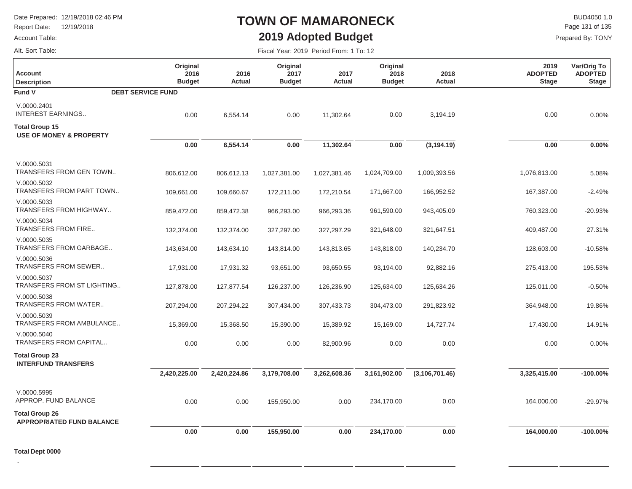Report Date: 12/19/2018

#### Account Table:

# **TOWN OF MAMARONECK2019 Adopted Budget**

Fiscal Year: 2019 Period From: 1 To: 12

 $\mathsf{BUD4050 1.0}$ Page 131 of 135

Prepared By: TONY

Alt. Sort Table:

| <b>Account</b><br><b>Description</b>                        | Original<br>2016<br><b>Budget</b> | 2016<br>Actual | Original<br>2017<br><b>Budget</b> | 2017<br>Actual | Original<br>2018<br><b>Budget</b> | 2018<br><b>Actual</b> | 2019<br><b>ADOPTED</b><br><b>Stage</b> | Var/Orig To<br><b>ADOPTED</b><br><b>Stage</b> |
|-------------------------------------------------------------|-----------------------------------|----------------|-----------------------------------|----------------|-----------------------------------|-----------------------|----------------------------------------|-----------------------------------------------|
| Fund V                                                      | <b>DEBT SERVICE FUND</b>          |                |                                   |                |                                   |                       |                                        |                                               |
| V.0000.2401<br><b>INTEREST EARNINGS</b>                     | 0.00                              | 6,554.14       | 0.00                              | 11,302.64      | 0.00                              | 3,194.19              | 0.00                                   | 0.00%                                         |
| <b>Total Group 15</b><br><b>USE OF MONEY &amp; PROPERTY</b> |                                   |                |                                   |                |                                   |                       |                                        |                                               |
|                                                             | 0.00                              | 6,554.14       | $0.00\,$                          | 11,302.64      | $0.00\,$                          | (3, 194.19)           | 0.00                                   | 0.00%                                         |
| V.0000.5031<br><b>TRANSFERS FROM GEN TOWN</b>               | 806,612.00                        | 806,612.13     | 1,027,381.00                      | 1,027,381.46   | 1,024,709.00                      | 1,009,393.56          | 1,076,813.00                           | 5.08%                                         |
| V.0000.5032<br>TRANSFERS FROM PART TOWN                     | 109,661.00                        | 109,660.67     | 172,211.00                        | 172,210.54     | 171,667.00                        | 166,952.52            | 167,387.00                             | $-2.49%$                                      |
| V.0000.5033<br>TRANSFERS FROM HIGHWAY                       | 859,472.00                        | 859,472.38     | 966,293.00                        | 966,293.36     | 961,590.00                        | 943,405.09            | 760,323.00                             | $-20.93%$                                     |
| V.0000.5034<br>TRANSFERS FROM FIRE                          | 132,374.00                        | 132,374.00     | 327,297.00                        | 327,297.29     | 321,648.00                        | 321,647.51            | 409,487.00                             | 27.31%                                        |
| V.0000.5035<br>TRANSFERS FROM GARBAGE                       | 143,634.00                        | 143,634.10     | 143,814.00                        | 143,813.65     | 143,818.00                        | 140,234.70            | 128,603.00                             | $-10.58%$                                     |
| V.0000.5036<br>TRANSFERS FROM SEWER                         | 17,931.00                         | 17,931.32      | 93,651.00                         | 93,650.55      | 93,194.00                         | 92,882.16             | 275,413.00                             | 195.53%                                       |
| V.0000.5037<br>TRANSFERS FROM ST LIGHTING                   | 127,878.00                        | 127,877.54     | 126,237.00                        | 126,236.90     | 125,634.00                        | 125,634.26            | 125,011.00                             | $-0.50%$                                      |
| V.0000.5038<br>TRANSFERS FROM WATER                         | 207,294.00                        | 207,294.22     | 307,434.00                        | 307,433.73     | 304,473.00                        | 291,823.92            | 364,948.00                             | 19.86%                                        |
| V.0000.5039<br>TRANSFERS FROM AMBULANCE                     | 15,369.00                         | 15,368.50      | 15,390.00                         | 15,389.92      | 15,169.00                         | 14,727.74             | 17,430.00                              | 14.91%                                        |
| V.0000.5040<br>TRANSFERS FROM CAPITAL                       | 0.00                              | 0.00           | 0.00                              | 82,900.96      | 0.00                              | 0.00                  | 0.00                                   | 0.00%                                         |
| <b>Total Group 23</b><br><b>INTERFUND TRANSFERS</b>         |                                   |                |                                   |                |                                   |                       |                                        |                                               |
|                                                             | 2,420,225.00                      | 2,420,224.86   | 3,179,708.00                      | 3,262,608.36   | 3,161,902.00                      | (3, 106, 701.46)      | 3,325,415.00                           | $-100.00\%$                                   |
| V.0000.5995<br>APPROP. FUND BALANCE                         | 0.00                              | 0.00           | 155,950.00                        | 0.00           | 234,170.00                        | 0.00                  | 164,000.00                             | -29.97%                                       |
| <b>Total Group 26</b><br><b>APPROPRIATED FUND BALANCE</b>   |                                   |                |                                   |                |                                   |                       |                                        |                                               |
|                                                             | 0.00                              | 0.00           | 155,950.00                        | 0.00           | 234,170.00                        | 0.00                  | 164,000.00                             | $-100.00\%$                                   |

**.**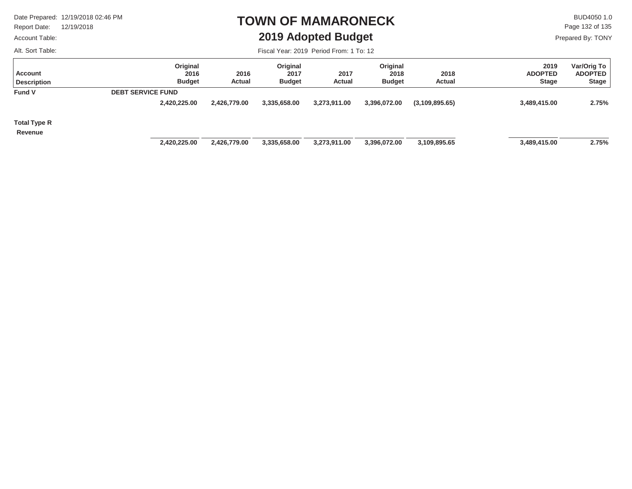Report Date: 12/19/2018

#### Account Table:

Alt. Sort Table:

### **TOWN OF MAMARONECK2019 Adopted Budget**

 $\mathsf{BUD4050 1.0}$ Prepared By: TONY Page 132 of 135

| <b>Account</b><br><b>Description</b> | Original<br>2016<br><b>Budget</b> | 2016<br>Actual | Original<br>2017<br><b>Budget</b> | 2017<br>Actual | Original<br>2018<br><b>Budget</b> | 2018<br><b>Actual</b> | 2019<br><b>ADOPTED</b><br><b>Stage</b> | Var/Orig To<br><b>ADOPTED</b><br><b>Stage</b> |
|--------------------------------------|-----------------------------------|----------------|-----------------------------------|----------------|-----------------------------------|-----------------------|----------------------------------------|-----------------------------------------------|
| <b>Fund V</b>                        | <b>DEBT SERVICE FUND</b>          |                |                                   |                |                                   |                       |                                        |                                               |
|                                      | 2,420,225.00                      | 2,426,779.00   | 3,335,658.00                      | 3,273,911.00   | 3,396,072.00                      | (3,109,895.65)        | 3,489,415.00                           | 2.75%                                         |
| <b>Total Type R</b>                  |                                   |                |                                   |                |                                   |                       |                                        |                                               |
| Revenue                              |                                   |                |                                   |                |                                   |                       |                                        |                                               |
|                                      | 2,420,225.00                      | 2,426,779.00   | 3,335,658.00                      | 3,273,911.00   | 3,396,072.00                      | 3,109,895.65          | 3,489,415.00                           | 2.75%                                         |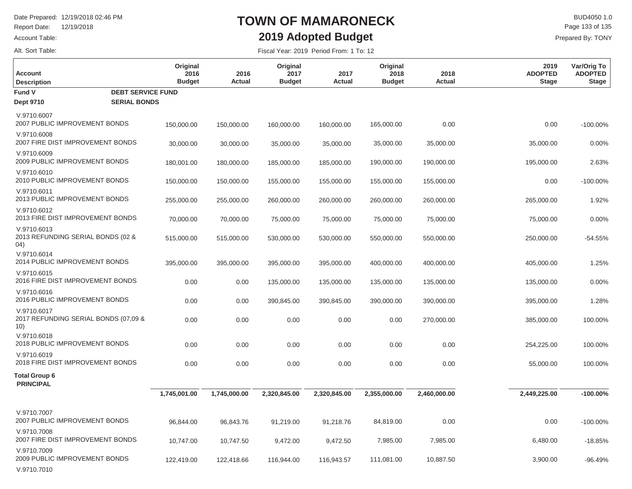Report Date: 12/19/2018

#### Account Table:

Alt. Sort Table:

## **TOWN OF MAMARONECK2019 Adopted Budget**

 $\mathsf{BUD4050}\,1.0$ Prepared By: TONY Page 133 of 135

Fiscal Year: 2019 Period From: 1 To: 12

| <b>Account</b><br><b>Description</b>                       | Original<br>2016<br><b>Budget</b> | 2016<br>Actual | Original<br>2017<br><b>Budget</b> | 2017<br>Actual | Original<br>2018<br><b>Budget</b> | 2018<br>Actual | 2019<br><b>ADOPTED</b><br><b>Stage</b> | Var/Orig To<br><b>ADOPTED</b><br>Stage |
|------------------------------------------------------------|-----------------------------------|----------------|-----------------------------------|----------------|-----------------------------------|----------------|----------------------------------------|----------------------------------------|
| Fund V<br><b>DEBT SERVICE FUND</b>                         |                                   |                |                                   |                |                                   |                |                                        |                                        |
| <b>Dept 9710</b><br><b>SERIAL BONDS</b>                    |                                   |                |                                   |                |                                   |                |                                        |                                        |
| V.9710.6007<br>2007 PUBLIC IMPROVEMENT BONDS               | 150,000.00                        | 150,000.00     | 160,000.00                        | 160,000.00     | 165,000.00                        | 0.00           | 0.00                                   | $-100.00\%$                            |
| V.9710.6008<br>2007 FIRE DIST IMPROVEMENT BONDS            | 30,000.00                         | 30,000.00      | 35,000.00                         | 35,000.00      | 35,000.00                         | 35,000.00      | 35,000.00                              | 0.00%                                  |
| V.9710.6009<br>2009 PUBLIC IMPROVEMENT BONDS               | 180,001.00                        | 180,000.00     | 185,000.00                        | 185,000.00     | 190,000.00                        | 190,000.00     | 195,000.00                             | 2.63%                                  |
| V.9710.6010<br>2010 PUBLIC IMPROVEMENT BONDS               | 150,000.00                        | 150,000.00     | 155,000.00                        | 155,000.00     | 155,000.00                        | 155,000.00     | 0.00                                   | $-100.00\%$                            |
| V.9710.6011<br>2013 PUBLIC IMPROVEMENT BONDS               | 255,000.00                        | 255,000.00     | 260,000.00                        | 260,000.00     | 260,000.00                        | 260,000.00     | 265,000.00                             | 1.92%                                  |
| V.9710.6012<br>2013 FIRE DIST IMPROVEMENT BONDS            | 70,000.00                         | 70,000.00      | 75,000.00                         | 75,000.00      | 75,000.00                         | 75,000.00      | 75,000.00                              | 0.00%                                  |
| V.9710.6013<br>2013 REFUNDING SERIAL BONDS (02 &<br>04)    | 515,000.00                        | 515,000.00     | 530,000.00                        | 530,000.00     | 550,000.00                        | 550,000.00     | 250,000.00                             | $-54.55%$                              |
| V.9710.6014<br>2014 PUBLIC IMPROVEMENT BONDS               | 395,000.00                        | 395,000.00     | 395,000.00                        | 395,000.00     | 400,000.00                        | 400,000.00     | 405,000.00                             | 1.25%                                  |
| V.9710.6015<br>2016 FIRE DIST IMPROVEMENT BONDS            | 0.00                              | 0.00           | 135,000.00                        | 135,000.00     | 135,000.00                        | 135,000.00     | 135,000.00                             | 0.00%                                  |
| V.9710.6016<br>2016 PUBLIC IMPROVEMENT BONDS               | 0.00                              | 0.00           | 390,845.00                        | 390,845.00     | 390,000.00                        | 390,000.00     | 395,000.00                             | 1.28%                                  |
| V.9710.6017<br>2017 REFUNDING SERIAL BONDS (07,09 &<br>10) | 0.00                              | 0.00           | 0.00                              | 0.00           | 0.00                              | 270,000.00     | 385,000.00                             | 100.00%                                |
| V.9710.6018<br>2018 PUBLIC IMPROVEMENT BONDS               | 0.00                              | 0.00           | 0.00                              | 0.00           | 0.00                              | 0.00           | 254,225.00                             | 100.00%                                |
| V.9710.6019<br>2018 FIRE DIST IMPROVEMENT BONDS            | 0.00                              | 0.00           | 0.00                              | 0.00           | 0.00                              | 0.00           | 55,000.00                              | 100.00%                                |
| <b>Total Group 6</b><br><b>PRINCIPAL</b>                   |                                   |                |                                   |                |                                   |                |                                        |                                        |
|                                                            | 1,745,001.00                      | 1,745,000.00   | 2,320,845.00                      | 2,320,845.00   | 2,355,000.00                      | 2,460,000.00   | 2,449,225.00                           | $-100.00\%$                            |
| V.9710.7007<br>2007 PUBLIC IMPROVEMENT BONDS               | 96,844.00                         | 96,843.76      | 91,219.00                         | 91,218.76      | 84,819.00                         | 0.00           | 0.00                                   | $-100.00\%$                            |
| V.9710.7008<br>2007 FIRE DIST IMPROVEMENT BONDS            | 10,747.00                         | 10,747.50      | 9,472.00                          | 9,472.50       | 7,985.00                          | 7,985.00       | 6,480.00                               | $-18.85%$                              |
| V.9710.7009<br>2009 PUBLIC IMPROVEMENT BONDS               | 122,419.00                        | 122,418.66     | 116,944.00                        | 116,943.57     | 111,081.00                        | 10,887.50      | 3,900.00                               | $-96.49%$                              |

V.9710.7010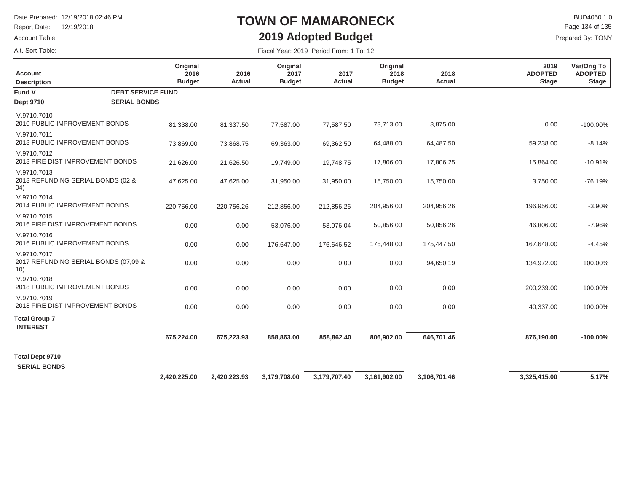Report Date: 12/19/2018

#### Account Table:

Alt. Sort Table:

## **TOWN OF MAMARONECK2019 Adopted Budget**

 $\mathsf{BUD4050 1.0}$ Prepared By: TONY Page 134 of 135

| <b>Account</b><br><b>Description</b>                       | Original<br>2016<br><b>Budget</b> | 2016<br>Actual | Original<br>2017<br><b>Budget</b> | 2017<br><b>Actual</b> | Original<br>2018<br><b>Budget</b> | 2018<br><b>Actual</b> | 2019<br><b>ADOPTED</b><br><b>Stage</b> | Var/Orig To<br><b>ADOPTED</b><br><b>Stage</b> |
|------------------------------------------------------------|-----------------------------------|----------------|-----------------------------------|-----------------------|-----------------------------------|-----------------------|----------------------------------------|-----------------------------------------------|
| Fund V                                                     | <b>DEBT SERVICE FUND</b>          |                |                                   |                       |                                   |                       |                                        |                                               |
| <b>Dept 9710</b>                                           | <b>SERIAL BONDS</b>               |                |                                   |                       |                                   |                       |                                        |                                               |
| V.9710.7010<br>2010 PUBLIC IMPROVEMENT BONDS               | 81,338.00                         | 81,337.50      | 77,587.00                         | 77,587.50             | 73,713.00                         | 3,875.00              | 0.00                                   | $-100.00\%$                                   |
| V.9710.7011<br>2013 PUBLIC IMPROVEMENT BONDS               | 73,869.00                         | 73,868.75      | 69,363.00                         | 69,362.50             | 64,488.00                         | 64,487.50             | 59,238.00                              | $-8.14%$                                      |
| V.9710.7012<br>2013 FIRE DIST IMPROVEMENT BONDS            | 21,626.00                         | 21,626.50      | 19,749.00                         | 19,748.75             | 17,806.00                         | 17,806.25             | 15,864.00                              | $-10.91%$                                     |
| V.9710.7013<br>2013 REFUNDING SERIAL BONDS (02 &<br>04)    | 47,625.00                         | 47,625.00      | 31,950.00                         | 31,950.00             | 15,750.00                         | 15,750.00             | 3,750.00                               | $-76.19%$                                     |
| V.9710.7014<br>2014 PUBLIC IMPROVEMENT BONDS               | 220,756.00                        | 220,756.26     | 212,856.00                        | 212,856.26            | 204,956.00                        | 204,956.26            | 196,956.00                             | $-3.90%$                                      |
| V.9710.7015<br>2016 FIRE DIST IMPROVEMENT BONDS            | 0.00                              | 0.00           | 53,076.00                         | 53,076.04             | 50,856.00                         | 50,856.26             | 46,806.00                              | $-7.96%$                                      |
| V.9710.7016<br>2016 PUBLIC IMPROVEMENT BONDS               | 0.00                              | 0.00           | 176,647.00                        | 176,646.52            | 175,448.00                        | 175,447.50            | 167,648.00                             | $-4.45%$                                      |
| V.9710.7017<br>2017 REFUNDING SERIAL BONDS (07,09 &<br>10) | 0.00                              | 0.00           | 0.00                              | 0.00                  | 0.00                              | 94,650.19             | 134,972.00                             | 100.00%                                       |
| V.9710.7018<br>2018 PUBLIC IMPROVEMENT BONDS               | 0.00                              | 0.00           | 0.00                              | 0.00                  | 0.00                              | 0.00                  | 200,239.00                             | 100.00%                                       |
| V.9710.7019<br>2018 FIRE DIST IMPROVEMENT BONDS            | 0.00                              | 0.00           | 0.00                              | 0.00                  | 0.00                              | 0.00                  | 40,337.00                              | 100.00%                                       |
| <b>Total Group 7</b><br><b>INTEREST</b>                    |                                   |                |                                   |                       |                                   |                       |                                        |                                               |
|                                                            | 675,224.00                        | 675,223.93     | 858,863.00                        | 858,862.40            | 806,902.00                        | 646,701.46            | 876,190.00                             | $-100.00%$                                    |
| <b>Total Dept 9710</b><br><b>SERIAL BONDS</b>              |                                   |                |                                   |                       |                                   |                       |                                        |                                               |
|                                                            | 2,420,225.00                      | 2,420,223.93   | 3,179,708.00                      | 3,179,707.40          | 3,161,902.00                      | 3,106,701.46          | 3,325,415.00                           | 5.17%                                         |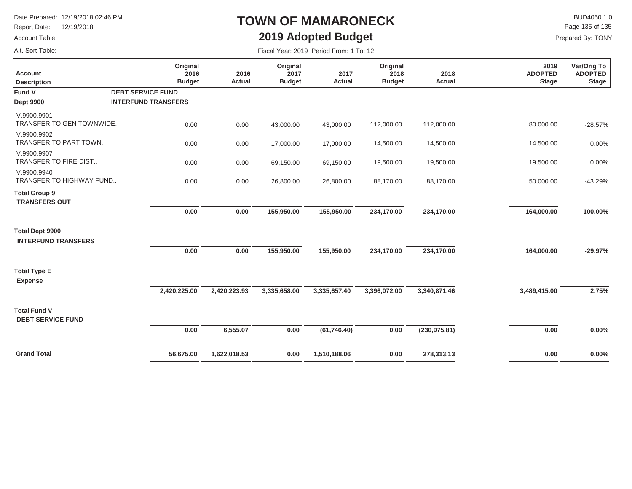Report Date: 12/19/2018

#### Account Table:

Alt. Sort Table:

## **TOWN OF MAMARONECK2019 Adopted Budget**

 $\mathsf{BUD4050}\,1.0$ Prepared By: TONY Page 135 of 135

| <b>Account</b><br><b>Description</b>                 | Original<br>2016<br><b>Budget</b> | 2016<br>Actual | Original<br>2017<br><b>Budget</b> | 2017<br><b>Actual</b> | Original<br>2018<br><b>Budget</b> | 2018<br><b>Actual</b> | 2019<br><b>ADOPTED</b><br><b>Stage</b> | Var/Orig To<br><b>ADOPTED</b><br><b>Stage</b> |
|------------------------------------------------------|-----------------------------------|----------------|-----------------------------------|-----------------------|-----------------------------------|-----------------------|----------------------------------------|-----------------------------------------------|
| Fund V                                               | <b>DEBT SERVICE FUND</b>          |                |                                   |                       |                                   |                       |                                        |                                               |
| <b>Dept 9900</b>                                     | <b>INTERFUND TRANSFERS</b>        |                |                                   |                       |                                   |                       |                                        |                                               |
| V.9900.9901<br>TRANSFER TO GEN TOWNWIDE              | 0.00                              | 0.00           | 43,000.00                         | 43,000.00             | 112,000.00                        | 112,000.00            | 80,000.00                              | $-28.57%$                                     |
| V.9900.9902<br>TRANSFER TO PART TOWN                 | 0.00                              | 0.00           | 17,000.00                         | 17,000.00             | 14,500.00                         | 14,500.00             | 14,500.00                              | 0.00%                                         |
| V.9900.9907<br><b>TRANSFER TO FIRE DIST</b>          | 0.00                              | 0.00           | 69,150.00                         | 69,150.00             | 19,500.00                         | 19,500.00             | 19,500.00                              | 0.00%                                         |
| V.9900.9940<br>TRANSFER TO HIGHWAY FUND              | 0.00                              | 0.00           | 26,800.00                         | 26,800.00             | 88,170.00                         | 88,170.00             | 50,000.00                              | $-43.29%$                                     |
| <b>Total Group 9</b><br><b>TRANSFERS OUT</b>         |                                   |                |                                   |                       |                                   |                       |                                        |                                               |
|                                                      | 0.00                              | 0.00           | 155,950.00                        | 155,950.00            | 234,170.00                        | 234,170.00            | 164,000.00                             | $-100.00\%$                                   |
| <b>Total Dept 9900</b><br><b>INTERFUND TRANSFERS</b> |                                   |                |                                   |                       |                                   |                       |                                        |                                               |
|                                                      | 0.00                              | 0.00           | 155,950.00                        | 155,950.00            | 234,170.00                        | 234,170.00            | 164,000.00                             | $-29.97%$                                     |
| <b>Total Type E</b><br><b>Expense</b>                |                                   |                |                                   |                       |                                   |                       |                                        |                                               |
|                                                      | 2,420,225.00                      | 2,420,223.93   | 3,335,658.00                      | 3,335,657.40          | 3,396,072.00                      | 3,340,871.46          | 3,489,415.00                           | 2.75%                                         |
| <b>Total Fund V</b><br><b>DEBT SERVICE FUND</b>      |                                   |                |                                   |                       |                                   |                       |                                        |                                               |
|                                                      | 0.00                              | 6,555.07       | 0.00                              | (61,746.40)           | 0.00                              | (230, 975.81)         | 0.00                                   | 0.00%                                         |
| <b>Grand Total</b>                                   | 56,675.00                         | 1,622,018.53   | 0.00                              | 1,510,188.06          | 0.00                              | 278,313.13            | 0.00                                   | 0.00%                                         |
|                                                      |                                   |                |                                   |                       |                                   |                       |                                        |                                               |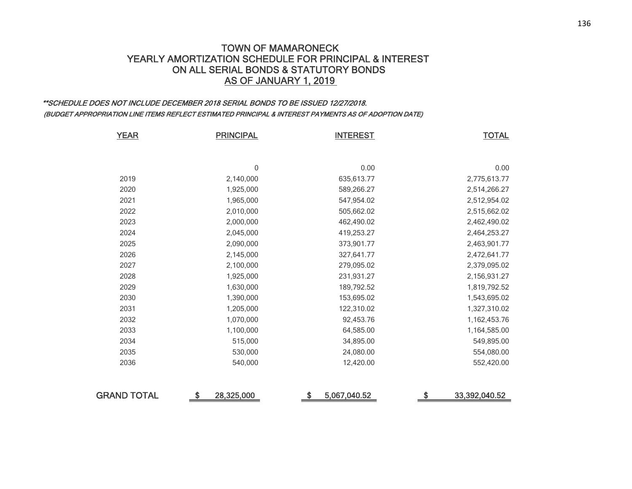### TOWN OF MAMARONECK YEARLY AMORTIZATION SCHEDULE FOR PRINCIPAL & INTEREST ON ALL SERIAL BONDS & STATUTORY BONDSAS OF JANUARY 1, 2019

### \*\*SCHEDULE DOES NOT INCLUDE DECEMBER 2018 SERIAL BONDS TO BE ISSUED 12/27/2018. (BUDGET APPROPRIATION LINE ITEMS REFLECT ESTIMATED PRINCIPAL & INTEREST PAYMENTS AS OF ADOPTION DATE)

| <b>YEAR</b>        | <b>PRINCIPAL</b> | <b>INTEREST</b>    | <b>TOTAL</b>        |
|--------------------|------------------|--------------------|---------------------|
|                    |                  |                    |                     |
|                    | 0                | 0.00               | 0.00                |
| 2019               | 2,140,000        | 635,613.77         | 2,775,613.77        |
| 2020               | 1,925,000        | 589,266.27         | 2,514,266.27        |
| 2021               | 1,965,000        | 547,954.02         | 2,512,954.02        |
| 2022               | 2,010,000        | 505,662.02         | 2,515,662.02        |
| 2023               | 2,000,000        | 462,490.02         | 2,462,490.02        |
| 2024               | 2,045,000        | 419,253.27         | 2,464,253.27        |
| 2025               | 2,090,000        | 373,901.77         | 2,463,901.77        |
| 2026               | 2,145,000        | 327,641.77         | 2,472,641.77        |
| 2027               | 2,100,000        | 279,095.02         | 2,379,095.02        |
| 2028               | 1,925,000        | 231,931.27         | 2,156,931.27        |
| 2029               | 1,630,000        | 189,792.52         | 1,819,792.52        |
| 2030               | 1,390,000        | 153,695.02         | 1,543,695.02        |
| 2031               | 1,205,000        | 122,310.02         | 1,327,310.02        |
| 2032               | 1,070,000        | 92,453.76          | 1,162,453.76        |
| 2033               | 1,100,000        | 64,585.00          | 1,164,585.00        |
| 2034               | 515,000          | 34,895.00          | 549,895.00          |
| 2035               | 530,000          | 24,080.00          | 554,080.00          |
| 2036               | 540,000          | 12,420.00          | 552,420.00          |
| <b>GRAND TOTAL</b> | \$<br>28,325,000 | \$<br>5,067,040.52 | \$<br>33,392,040.52 |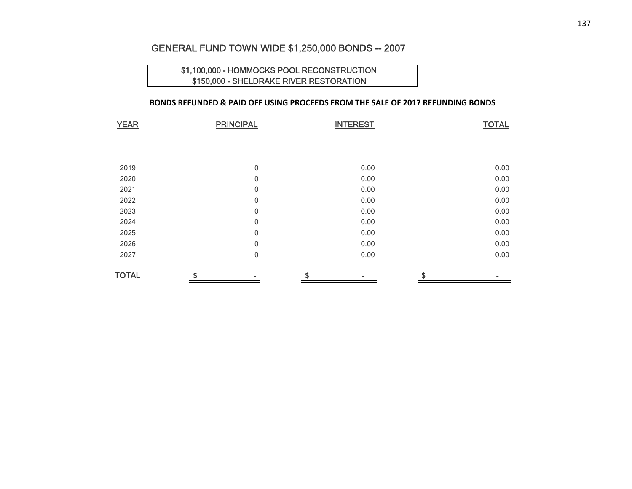### GENERAL FUND TOWN WIDE \$1,250,000 BONDS -- 2007

### \$1,100,000 - HOMMOCKS POOL RECONSTRUCTION \$150,000 - SHELDRAKE RIVER RESTORATION

### **BONDS REFUNDED & PAID OFF USING PROCEEDS FROM THE SALE OF 2017 REFUNDING BONDS**

| <b>YEAR</b>  | <b>PRINCIPAL</b> | <b>INTEREST</b> | <b>TOTAL</b> |
|--------------|------------------|-----------------|--------------|
|              |                  |                 |              |
|              |                  |                 |              |
|              |                  |                 |              |
| 2019         | 0                | 0.00            | 0.00         |
| 2020         | 0                | 0.00            | 0.00         |
| 2021         | 0                | 0.00            | 0.00         |
| 2022         | 0                | 0.00            | 0.00         |
| 2023         | 0                | 0.00            | 0.00         |
| 2024         | 0                | 0.00            | 0.00         |
| 2025         | 0                | 0.00            | 0.00         |
| 2026         | 0                | 0.00            | 0.00         |
| 2027         | $\underline{0}$  | 0.00            | 0.00         |
| <b>TOTAL</b> | \$               | \$              | \$           |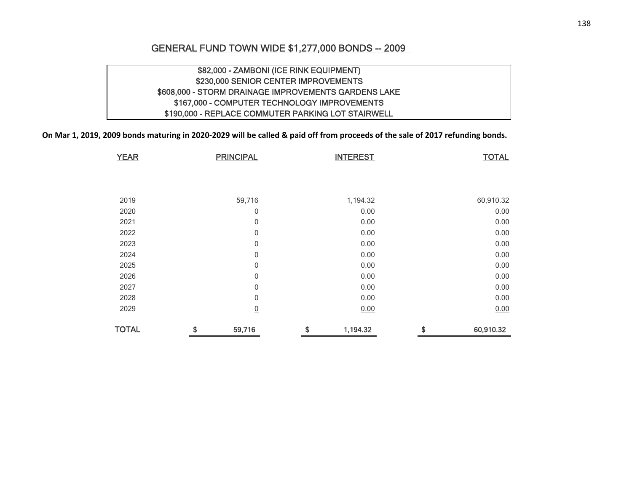### GENERAL FUND TOWN WIDE \$1,277,000 BONDS -- 2009

### \$82,000 - ZAMBONI (ICE RINK EQUIPMENT) \$230,000 SENIOR CENTER IMPROVEMENTS \$608,000 - STORM DRAINAGE IMPROVEMENTS GARDENS LAKE \$167,000 - COMPUTER TECHNOLOGY IMPROVEMENTS \$190,000 - REPLACE COMMUTER PARKING LOT STAIRWELL

On Mar 1, 2019, 2009 bonds maturing in 2020-2029 will be called & paid off from proceeds of the sale of 2017 refunding bonds.

| <b>YEAR</b>  | <b>PRINCIPAL</b> | <b>INTEREST</b> | <b>TOTAL</b>    |
|--------------|------------------|-----------------|-----------------|
|              |                  |                 |                 |
|              |                  |                 |                 |
|              |                  |                 |                 |
| 2019         | 59,716           | 1,194.32        | 60,910.32       |
| 2020         | 0                | 0.00            | 0.00            |
| 2021         | $\mathbf 0$      | 0.00            | 0.00            |
| 2022         | 0                | 0.00            | 0.00            |
| 2023         | $\mathbf 0$      | 0.00            | 0.00            |
| 2024         | $\mathbf{0}$     | 0.00            | 0.00            |
| 2025         | 0                | 0.00            | 0.00            |
| 2026         | $\mathbf 0$      | 0.00            | 0.00            |
| 2027         | $\mathbf{0}$     | 0.00            | 0.00            |
| 2028         | $\mathbf 0$      | 0.00            | 0.00            |
| 2029         | $\overline{0}$   | 0.00            | 0.00            |
| <b>TOTAL</b> | \$<br>59,716     | \$<br>1,194.32  | \$<br>60,910.32 |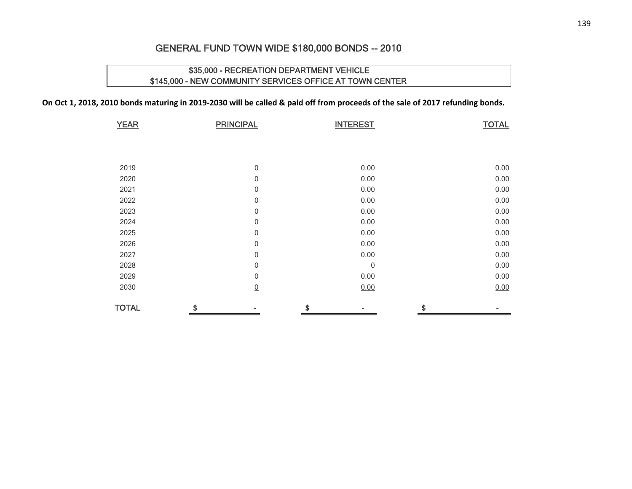### GENERAL FUND TOWN WIDE \$180,000 BONDS -- 2010

### \$35,000 - RECREATION DEPARTMENT VEHICLE \$145,000 - NEW COMMUNITY SERVICES OFFICE AT TOWN CENTER

On Oct 1, 2018, 2010 bonds maturing in 2019-2030 will be called & paid off from proceeds of the sale of 2017 refunding bonds.

| <b>YEAR</b>  | <b>PRINCIPAL</b> | <b>INTEREST</b>  | <b>TOTAL</b> |
|--------------|------------------|------------------|--------------|
|              |                  |                  |              |
|              |                  |                  |              |
| 2019         | $\mathbf 0$      | 0.00             | 0.00         |
| 2020         | $\mathbf{0}$     | 0.00             | 0.00         |
| 2021         | $\mathbf{0}$     | 0.00             | 0.00         |
| 2022         | $\mathbf 0$      | 0.00             | 0.00         |
| 2023         | $\mathbf 0$      | 0.00             | 0.00         |
| 2024         | $\mathbf{0}$     | 0.00             | 0.00         |
| 2025         | $\mathbf 0$      | 0.00             | 0.00         |
| 2026         | $\mathbf 0$      | 0.00             | 0.00         |
| 2027         | $\mathbf 0$      | 0.00             | 0.00         |
| 2028         | $\,0\,$          | $\boldsymbol{0}$ | 0.00         |
| 2029         | $\mathbf 0$      | 0.00             | 0.00         |
| 2030         | $\underline{0}$  | 0.00             | 0.00         |
| <b>TOTAL</b> |                  | \$               |              |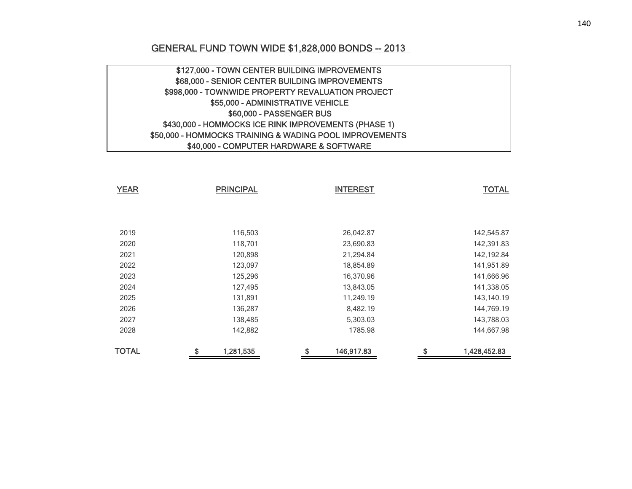### GENERAL FUND TOWN WIDE \$1,828,000 BONDS -- 2013

| \$127,000 - TOWN CENTER BUILDING IMPROVEMENTS           |  |
|---------------------------------------------------------|--|
| \$68,000 - SENIOR CENTER BUILDING IMPROVEMENTS          |  |
| \$998,000 - TOWNWIDE PROPERTY REVALUATION PROJECT       |  |
| \$55,000 - ADMINISTRATIVE VEHICLE                       |  |
| \$60,000 - PASSENGER BUS                                |  |
| \$430,000 - HOMMOCKS ICE RINK IMPROVEMENTS (PHASE 1)    |  |
| \$50,000 - HOMMOCKS TRAINING & WADING POOL IMPROVEMENTS |  |
| \$40,000 - COMPUTER HARDWARE & SOFTWARE                 |  |

| <b>YEAR</b>  | <b>PRINCIPAL</b> | <b>INTEREST</b>  | <b>TOTAL</b>       |
|--------------|------------------|------------------|--------------------|
|              |                  |                  |                    |
|              |                  |                  |                    |
|              |                  |                  |                    |
| 2019         | 116,503          | 26,042.87        | 142,545.87         |
| 2020         | 118,701          | 23,690.83        | 142,391.83         |
| 2021         | 120,898          | 21,294.84        | 142,192.84         |
| 2022         | 123,097          | 18,854.89        | 141,951.89         |
| 2023         | 125,296          | 16,370.96        | 141,666.96         |
| 2024         | 127,495          | 13,843.05        | 141,338.05         |
| 2025         | 131,891          | 11,249.19        | 143,140.19         |
| 2026         | 136,287          | 8,482.19         | 144,769.19         |
| 2027         | 138,485          | 5,303.03         | 143,788.03         |
| 2028         | 142,882          | 1785.98          | 144,667.98         |
| <b>TOTAL</b> | \$<br>1,281,535  | \$<br>146,917.83 | \$<br>1,428,452.83 |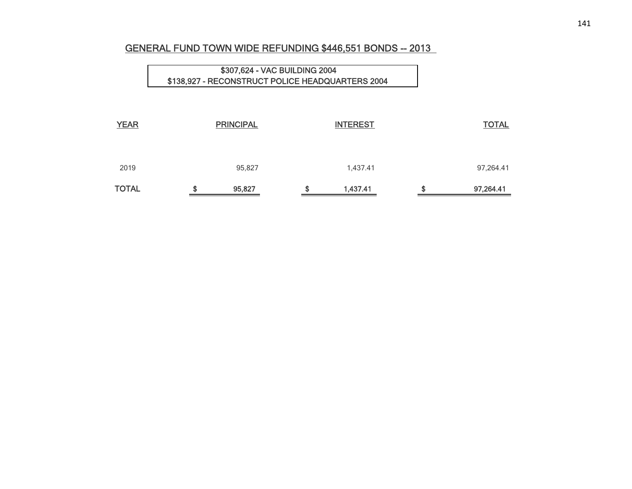### GENERAL FUND TOWN WIDE REFUNDING \$446,551 BONDS -- 2013

| <b>YEAR</b>  |        | <b>PRINCIPAL</b> | <b>INTEREST</b> | <b>TOTAL</b>    |
|--------------|--------|------------------|-----------------|-----------------|
| 2019         |        | 95,827           | 1,437.41        | 97,264.41       |
| <b>TOTAL</b> | œ<br>æ | 95,827           | \$<br>1,437.41  | \$<br>97,264.41 |

\$307,624 - VAC BUILDING 2004 \$138,927 - RECONSTRUCT POLICE HEADQUARTERS 2004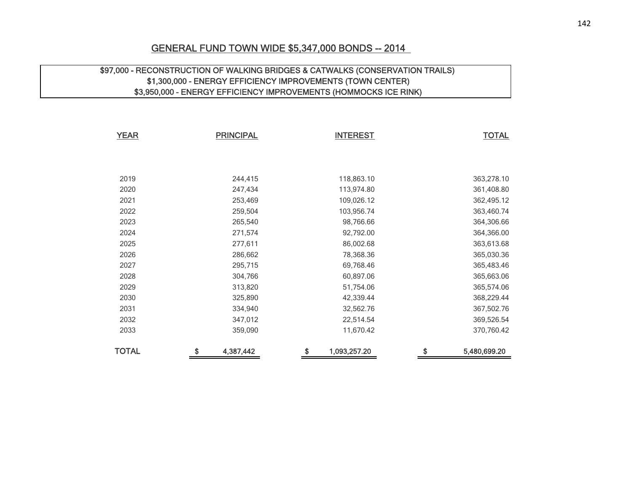### GENERAL FUND TOWN WIDE \$5,347,000 BONDS -- 2014

### \$97,000 - RECONSTRUCTION OF WALKING BRIDGES & CATWALKS (CONSERVATION TRAILS) \$1,300,000 - ENERGY EFFICIENCY IMPROVEMENTS (TOWN CENTER) \$3,950,000 - ENERGY EFFICIENCY IMPROVEMENTS (HOMMOCKS ICE RINK)

| <b>YEAR</b>  | <b>PRINCIPAL</b> |           | <b>INTEREST</b>    |    | <b>TOTAL</b> |
|--------------|------------------|-----------|--------------------|----|--------------|
|              |                  |           |                    |    |              |
|              |                  |           |                    |    |              |
| 2019         |                  | 244,415   | 118,863.10         |    | 363,278.10   |
| 2020         |                  | 247,434   | 113,974.80         |    | 361,408.80   |
| 2021         |                  | 253,469   | 109,026.12         |    | 362,495.12   |
| 2022         |                  | 259,504   | 103,956.74         |    | 363,460.74   |
| 2023         |                  | 265,540   | 98,766.66          |    | 364,306.66   |
| 2024         |                  | 271,574   | 92,792.00          |    | 364,366.00   |
| 2025         |                  | 277,611   | 86,002.68          |    | 363,613.68   |
| 2026         |                  | 286,662   | 78,368.36          |    | 365,030.36   |
| 2027         |                  | 295,715   | 69,768.46          |    | 365,483.46   |
| 2028         |                  | 304,766   | 60,897.06          |    | 365,663.06   |
| 2029         |                  | 313,820   | 51,754.06          |    | 365,574.06   |
| 2030         |                  | 325,890   | 42,339.44          |    | 368,229.44   |
| 2031         |                  | 334,940   | 32,562.76          |    | 367,502.76   |
| 2032         |                  | 347,012   | 22,514.54          |    | 369,526.54   |
| 2033         |                  | 359,090   | 11,670.42          |    | 370,760.42   |
| <b>TOTAL</b> | \$               | 4,387,442 | \$<br>1,093,257.20 | \$ | 5,480,699.20 |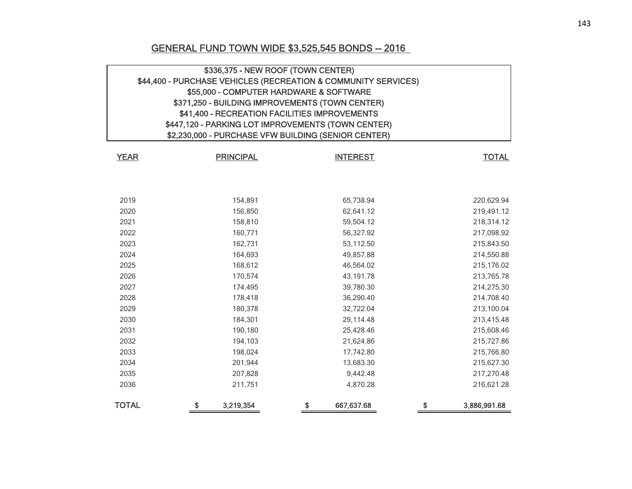## GENERAL FUND TOWN WIDE \$3,525,545 BONDS -- 2016

| \$336,375 - NEW ROOF (TOWN CENTER)                             |                                                     |                                                    |                    |  |  |  |  |  |  |  |
|----------------------------------------------------------------|-----------------------------------------------------|----------------------------------------------------|--------------------|--|--|--|--|--|--|--|
| \$44,400 - PURCHASE VEHICLES (RECREATION & COMMUNITY SERVICES) |                                                     |                                                    |                    |  |  |  |  |  |  |  |
|                                                                | \$55,000 - COMPUTER HARDWARE & SOFTWARE             |                                                    |                    |  |  |  |  |  |  |  |
|                                                                | \$371,250 - BUILDING IMPROVEMENTS (TOWN CENTER)     |                                                    |                    |  |  |  |  |  |  |  |
|                                                                | \$41,400 - RECREATION FACILITIES IMPROVEMENTS       |                                                    |                    |  |  |  |  |  |  |  |
|                                                                |                                                     | \$447,120 - PARKING LOT IMPROVEMENTS (TOWN CENTER) |                    |  |  |  |  |  |  |  |
|                                                                | \$2,230,000 - PURCHASE VFW BUILDING (SENIOR CENTER) |                                                    |                    |  |  |  |  |  |  |  |
|                                                                |                                                     |                                                    |                    |  |  |  |  |  |  |  |
| <b>YEAR</b>                                                    | <b>PRINCIPAL</b>                                    | <b>INTEREST</b>                                    | <b>TOTAL</b>       |  |  |  |  |  |  |  |
|                                                                |                                                     |                                                    |                    |  |  |  |  |  |  |  |
|                                                                |                                                     |                                                    |                    |  |  |  |  |  |  |  |
| 2019                                                           | 154,891                                             | 65,738.94                                          | 220,629.94         |  |  |  |  |  |  |  |
| 2020                                                           | 156,850                                             | 62,641.12                                          | 219,491.12         |  |  |  |  |  |  |  |
| 2021                                                           | 158,810                                             | 59,504.12                                          | 218,314.12         |  |  |  |  |  |  |  |
| 2022                                                           | 160,771                                             | 56,327.92                                          | 217,098.92         |  |  |  |  |  |  |  |
| 2023                                                           | 162,731                                             | 53,112.50                                          | 215,843.50         |  |  |  |  |  |  |  |
| 2024                                                           | 164,693                                             | 49,857.88                                          | 214,550.88         |  |  |  |  |  |  |  |
| 2025                                                           | 168,612                                             | 46,564.02                                          | 215,176.02         |  |  |  |  |  |  |  |
| 2026                                                           | 170,574                                             | 43,191.78                                          | 213,765.78         |  |  |  |  |  |  |  |
| 2027                                                           | 174,495                                             | 39,780.30                                          | 214,275.30         |  |  |  |  |  |  |  |
| 2028                                                           | 178,418                                             | 36,290.40                                          | 214,708.40         |  |  |  |  |  |  |  |
| 2029                                                           | 180,378                                             | 32,722.04                                          | 213,100.04         |  |  |  |  |  |  |  |
| 2030                                                           | 184,301                                             | 29,114.48                                          | 213,415.48         |  |  |  |  |  |  |  |
| 2031                                                           | 190,180                                             | 25,428.46                                          | 215,608.46         |  |  |  |  |  |  |  |
| 2032                                                           | 194,103                                             | 21,624.86                                          | 215,727.86         |  |  |  |  |  |  |  |
| 2033                                                           | 198,024                                             | 17,742.80                                          | 215,766.80         |  |  |  |  |  |  |  |
| 2034                                                           | 201,944                                             | 13,683.30                                          | 215,627.30         |  |  |  |  |  |  |  |
| 2035                                                           | 207,828                                             | 9,442.48                                           | 217,270.48         |  |  |  |  |  |  |  |
| 2036                                                           | 211,751                                             | 4,870.28                                           | 216,621.28         |  |  |  |  |  |  |  |
| <b>TOTAL</b>                                                   | \$<br>3,219,354                                     | \$<br>667,637.68                                   | \$<br>3,886,991.68 |  |  |  |  |  |  |  |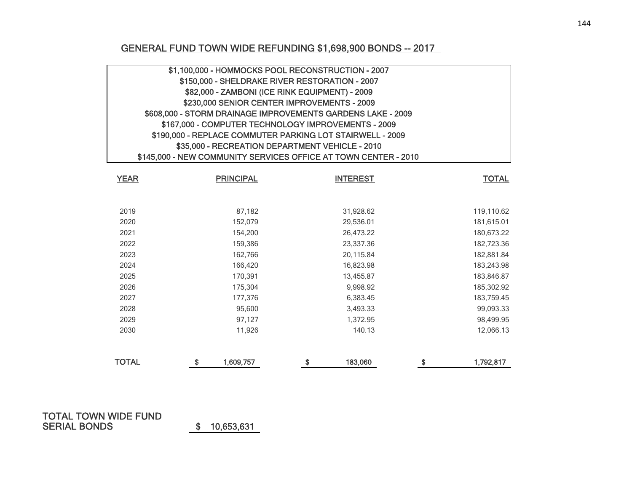## GENERAL FUND TOWN WIDE REFUNDING \$1,698,900 BONDS -- 2017

| \$1,100,000 - HOMMOCKS POOL RECONSTRUCTION - 2007<br>\$150,000 - SHELDRAKE RIVER RESTORATION - 2007<br>\$82,000 - ZAMBONI (ICE RINK EQUIPMENT) - 2009<br>\$230,000 SENIOR CENTER IMPROVEMENTS - 2009<br>\$608,000 - STORM DRAINAGE IMPROVEMENTS GARDENS LAKE - 2009<br>\$167,000 - COMPUTER TECHNOLOGY IMPROVEMENTS - 2009<br>\$190,000 - REPLACE COMMUTER PARKING LOT STAIRWELL - 2009<br>\$35,000 - RECREATION DEPARTMENT VEHICLE - 2010 |                               |                                                                 |                 |  |  |  |  |  |
|--------------------------------------------------------------------------------------------------------------------------------------------------------------------------------------------------------------------------------------------------------------------------------------------------------------------------------------------------------------------------------------------------------------------------------------------|-------------------------------|-----------------------------------------------------------------|-----------------|--|--|--|--|--|
|                                                                                                                                                                                                                                                                                                                                                                                                                                            |                               | \$145,000 - NEW COMMUNITY SERVICES OFFICE AT TOWN CENTER - 2010 |                 |  |  |  |  |  |
| <b>YEAR</b>                                                                                                                                                                                                                                                                                                                                                                                                                                | <b>PRINCIPAL</b>              | <b>INTEREST</b>                                                 | <b>TOTAL</b>    |  |  |  |  |  |
|                                                                                                                                                                                                                                                                                                                                                                                                                                            |                               |                                                                 |                 |  |  |  |  |  |
| 2019                                                                                                                                                                                                                                                                                                                                                                                                                                       | 87,182                        | 31,928.62                                                       | 119,110.62      |  |  |  |  |  |
| 2020                                                                                                                                                                                                                                                                                                                                                                                                                                       | 152,079                       | 29,536.01                                                       | 181,615.01      |  |  |  |  |  |
| 2021                                                                                                                                                                                                                                                                                                                                                                                                                                       | 154,200                       | 26,473.22                                                       | 180,673.22      |  |  |  |  |  |
| 2022                                                                                                                                                                                                                                                                                                                                                                                                                                       | 159,386                       | 23,337.36                                                       | 182,723.36      |  |  |  |  |  |
| 2023                                                                                                                                                                                                                                                                                                                                                                                                                                       | 162,766                       | 20,115.84                                                       | 182,881.84      |  |  |  |  |  |
| 2024                                                                                                                                                                                                                                                                                                                                                                                                                                       | 166,420                       | 16,823.98                                                       | 183,243.98      |  |  |  |  |  |
| 2025                                                                                                                                                                                                                                                                                                                                                                                                                                       | 170,391                       | 13,455.87                                                       | 183,846.87      |  |  |  |  |  |
| 2026                                                                                                                                                                                                                                                                                                                                                                                                                                       | 175,304                       | 9,998.92                                                        | 185,302.92      |  |  |  |  |  |
| 2027                                                                                                                                                                                                                                                                                                                                                                                                                                       | 177,376                       | 6,383.45                                                        | 183,759.45      |  |  |  |  |  |
| 2028                                                                                                                                                                                                                                                                                                                                                                                                                                       | 95,600                        | 3,493.33                                                        | 99,093.33       |  |  |  |  |  |
| 2029                                                                                                                                                                                                                                                                                                                                                                                                                                       | 97,127                        | 1,372.95                                                        | 98,499.95       |  |  |  |  |  |
| 2030                                                                                                                                                                                                                                                                                                                                                                                                                                       | 11,926<br>140.13<br>12,066.13 |                                                                 |                 |  |  |  |  |  |
| <b>TOTAL</b>                                                                                                                                                                                                                                                                                                                                                                                                                               | \$<br>1,609,757               | 183,060<br>\$                                                   | \$<br>1,792,817 |  |  |  |  |  |

#### TOTAL TOWN WIDE FUND SERIAL BONDS

\$ 10,653,631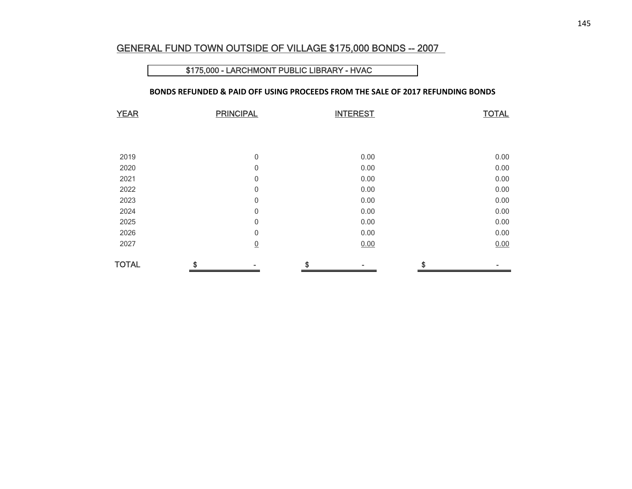#### GENERAL FUND TOWN OUTSIDE OF VILLAGE \$175,000 BONDS -- 2007

#### \$175,000 - LARCHMONT PUBLIC LIBRARY - HVAC

#### **BONDS REFUNDED & PAID OFF USING PROCEEDS FROM THE SALE OF 2017 REFUNDING BONDS**

| <b>YEAR</b>  | <b>PRINCIPAL</b> |                 | <b>INTEREST</b> | <b>TOTAL</b> |
|--------------|------------------|-----------------|-----------------|--------------|
|              |                  |                 |                 |              |
|              |                  |                 |                 |              |
| 2019         |                  | 0               | 0.00            | 0.00         |
| 2020         |                  | 0               | 0.00            | 0.00         |
| 2021         |                  | 0               | 0.00            | 0.00         |
| 2022         |                  | 0               | 0.00            | 0.00         |
| 2023         |                  | 0               | 0.00            | 0.00         |
| 2024         |                  | 0               | 0.00            | 0.00         |
| 2025         |                  | 0               | 0.00            | 0.00         |
| 2026         |                  | 0               | 0.00            | 0.00         |
| 2027         |                  | $\underline{0}$ | 0.00            | 0.00         |
| <b>TOTAL</b> | \$               |                 | \$              | \$           |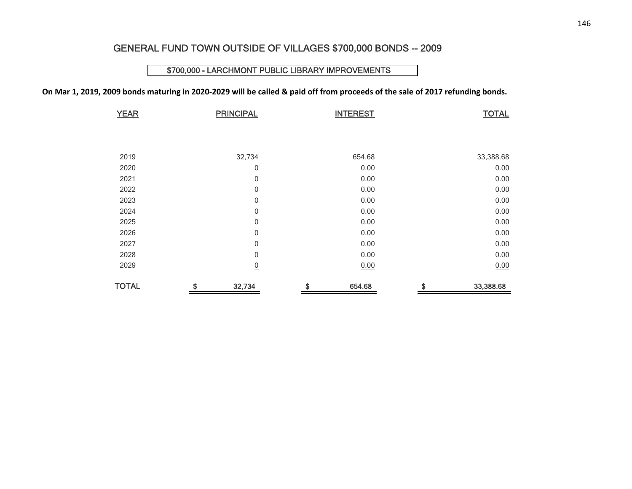#### GENERAL FUND TOWN OUTSIDE OF VILLAGES \$700,000 BONDS -- 2009

#### \$700,000 - LARCHMONT PUBLIC LIBRARY IMPROVEMENTS

On Mar 1, 2019, 2009 bonds maturing in 2020-2029 will be called & paid off from proceeds of the sale of 2017 refunding bonds.

| <b>YEAR</b>  | <b>PRINCIPAL</b> | <b>INTEREST</b> | <b>TOTAL</b>    |
|--------------|------------------|-----------------|-----------------|
|              |                  |                 |                 |
|              |                  |                 |                 |
|              |                  |                 |                 |
| 2019         | 32,734           | 654.68          | 33,388.68       |
| 2020         | 0                | 0.00            | 0.00            |
| 2021         | $\mathbf 0$      | 0.00            | 0.00            |
| 2022         | $\mathbf 0$      | 0.00            | 0.00            |
| 2023         | $\mathbf 0$      | 0.00            | 0.00            |
| 2024         | $\mathbf 0$      | 0.00            | 0.00            |
| 2025         | $\mathbf 0$      | 0.00            | 0.00            |
| 2026         | 0                | 0.00            | 0.00            |
| 2027         | $\mathbf 0$      | 0.00            | 0.00            |
| 2028         | $\mathbf 0$      | 0.00            | 0.00            |
| 2029         | $\underline{0}$  | 0.00            | 0.00            |
| <b>TOTAL</b> | \$<br>32,734     | \$<br>654.68    | \$<br>33,388.68 |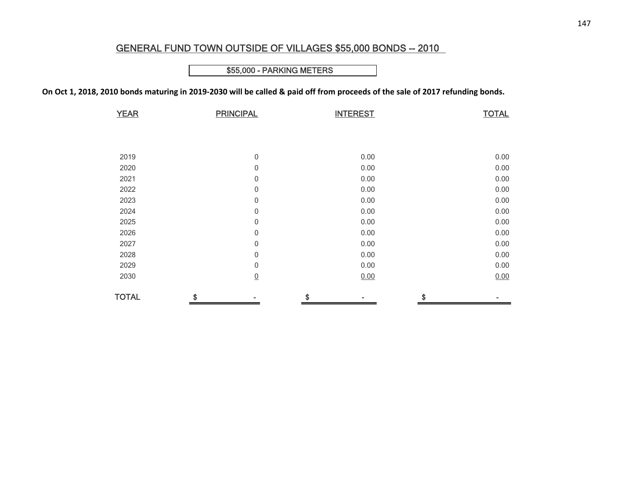## GENERAL FUND TOWN OUTSIDE OF VILLAGES \$55,000 BONDS -- 2010

### \$55,000 - PARKING METERS

On Oct 1, 2018, 2010 bonds maturing in 2019-2030 will be called & paid off from proceeds of the sale of 2017 refunding bonds.

| <b>YEAR</b>  | <b>PRINCIPAL</b> | <b>INTEREST</b> | <b>TOTAL</b> |
|--------------|------------------|-----------------|--------------|
|              |                  |                 |              |
|              |                  |                 |              |
|              |                  |                 |              |
| 2019         | $\mathbf 0$      | 0.00            | 0.00         |
| 2020         | $\mathbf 0$      | 0.00            | 0.00         |
| 2021         | $\mathbf 0$      | 0.00            | 0.00         |
| 2022         | 0                | 0.00            | 0.00         |
| 2023         | $\boldsymbol{0}$ | 0.00            | 0.00         |
| 2024         | 0                | 0.00            | 0.00         |
| 2025         | 0                | 0.00            | 0.00         |
| 2026         | 0                | 0.00            | 0.00         |
| 2027         | $\mathbf 0$      | 0.00            | 0.00         |
| 2028         | 0                | 0.00            | 0.00         |
| 2029         | $\mathbf 0$      | 0.00            | 0.00         |
| 2030         | $\underline{0}$  | 0.00            | 0.00         |
| <b>TOTAL</b> | \$               | \$              | \$           |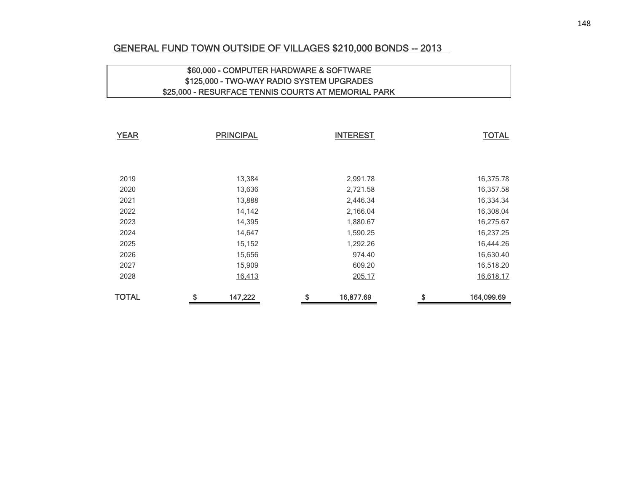## GENERAL FUND TOWN OUTSIDE OF VILLAGES \$210,000 BONDS -- 2013

## \$60,000 - COMPUTER HARDWARE & SOFTWARE \$125,000 - TWO-WAY RADIO SYSTEM UPGRADES \$25,000 - RESURFACE TENNIS COURTS AT MEMORIAL PARK

| <b>YEAR</b>  | <b>PRINCIPAL</b> |                 | <b>TOTAL</b>     |           |
|--------------|------------------|-----------------|------------------|-----------|
|              |                  |                 |                  |           |
|              |                  |                 |                  |           |
| 2019         | 13,384           | 2,991.78        |                  | 16,375.78 |
| 2020         | 13,636           | 2,721.58        |                  | 16,357.58 |
| 2021         | 13,888           | 2,446.34        |                  | 16,334.34 |
| 2022         | 14,142           | 2,166.04        |                  | 16,308.04 |
| 2023         | 14,395           | 1,880.67        |                  | 16,275.67 |
| 2024         | 14,647           | 1,590.25        |                  | 16,237.25 |
| 2025         | 15,152           | 1,292.26        |                  | 16,444.26 |
| 2026         | 15,656           | 974.40          |                  | 16,630.40 |
| 2027         | 15,909           | 609.20          |                  | 16,518.20 |
| 2028         | 16,413           | 205.17          |                  | 16,618.17 |
| <b>TOTAL</b> | \$<br>147,222    | \$<br>16,877.69 | \$<br>164,099.69 |           |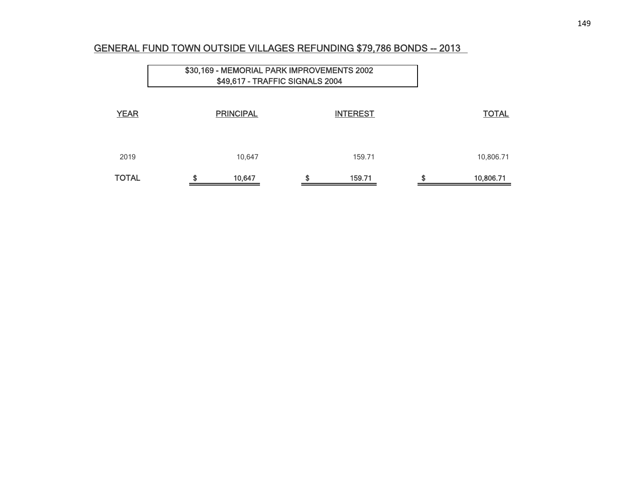## GENERAL FUND TOWN OUTSIDE VILLAGES REFUNDING \$79,786 BONDS -- 2013

|              |    | \$30,169 - MEMORIAL PARK IMPROVEMENTS 2002<br>\$49,617 - TRAFFIC SIGNALS 2004 |    |                 |  |                 |
|--------------|----|-------------------------------------------------------------------------------|----|-----------------|--|-----------------|
| <b>YEAR</b>  |    | <b>PRINCIPAL</b>                                                              |    | <b>INTEREST</b> |  | <b>TOTAL</b>    |
| 2019         |    | 10,647                                                                        |    | 159.71          |  | 10,806.71       |
| <b>TOTAL</b> | \$ | 10,647                                                                        | \$ | 159.71          |  | \$<br>10,806.71 |

 $\overline{\phantom{0}}$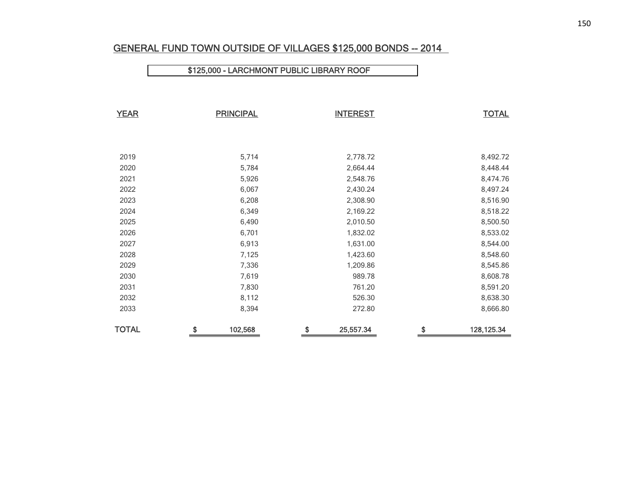## GENERAL FUND TOWN OUTSIDE OF VILLAGES \$125,000 BONDS -- 2014

### \$125,000 - LARCHMONT PUBLIC LIBRARY ROOF

| <b>YEAR</b>  | <b>PRINCIPAL</b> | <b>INTEREST</b> | <b>TOTAL</b>      |
|--------------|------------------|-----------------|-------------------|
|              |                  |                 |                   |
|              |                  |                 |                   |
| 2019         | 5,714            | 2,778.72        | 8,492.72          |
| 2020         | 5,784            | 2,664.44        | 8,448.44          |
| 2021         | 5,926            | 2,548.76        | 8,474.76          |
| 2022         | 6,067            | 2,430.24        | 8,497.24          |
| 2023         | 6,208            | 2,308.90        | 8,516.90          |
| 2024         | 6,349            | 2,169.22        | 8,518.22          |
| 2025         | 6,490            | 2,010.50        | 8,500.50          |
| 2026         | 6,701            | 1,832.02        | 8,533.02          |
| 2027         | 6,913            | 1,631.00        | 8,544.00          |
| 2028         | 7,125            | 1,423.60        | 8,548.60          |
| 2029         | 7,336            | 1,209.86        | 8,545.86          |
| 2030         | 7,619            | 989.78          | 8,608.78          |
| 2031         | 7,830            | 761.20          | 8,591.20          |
| 2032         | 8,112            | 526.30          | 8,638.30          |
| 2033         | 8,394            | 272.80          | 8,666.80          |
| <b>TOTAL</b> | \$<br>102,568    | \$<br>25,557.34 | \$<br>128, 125.34 |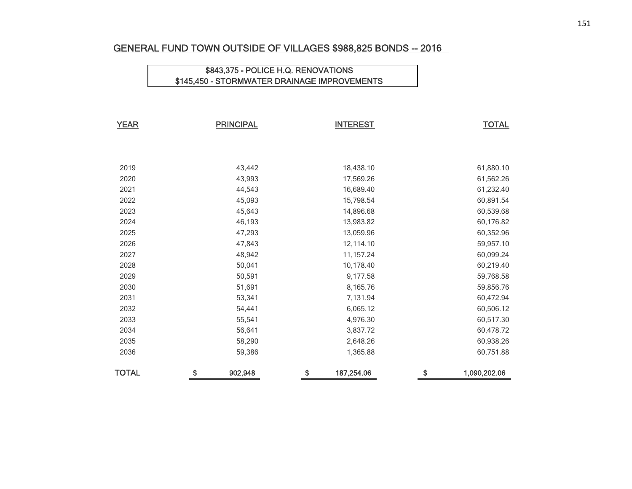## GENERAL FUND TOWN OUTSIDE OF VILLAGES \$988,825 BONDS -- 2016

## \$843,375 - POLICE H.Q. RENOVATIONS \$145,450 - STORMWATER DRAINAGE IMPROVEMENTS

| <b>YEAR</b>  | <b>PRINCIPAL</b> | <b>INTEREST</b>  | <b>TOTAL</b>       |
|--------------|------------------|------------------|--------------------|
|              |                  |                  |                    |
|              |                  |                  |                    |
| 2019         | 43,442           | 18,438.10        | 61,880.10          |
| 2020         | 43,993           | 17,569.26        | 61,562.26          |
| 2021         | 44,543           | 16,689.40        | 61,232.40          |
| 2022         | 45,093           | 15,798.54        | 60,891.54          |
| 2023         | 45,643           | 14,896.68        | 60,539.68          |
| 2024         | 46,193           | 13,983.82        | 60,176.82          |
| 2025         | 47,293           | 13,059.96        | 60,352.96          |
| 2026         | 47,843           | 12,114.10        | 59,957.10          |
| 2027         | 48,942           | 11,157.24        | 60,099.24          |
| 2028         | 50,041           | 10,178.40        | 60,219.40          |
| 2029         | 50,591           | 9,177.58         | 59,768.58          |
| 2030         | 51,691           | 8,165.76         | 59,856.76          |
| 2031         | 53,341           | 7,131.94         | 60,472.94          |
| 2032         | 54,441           | 6,065.12         | 60,506.12          |
| 2033         | 55,541           | 4,976.30         | 60,517.30          |
| 2034         | 56,641           | 3,837.72         | 60,478.72          |
| 2035         | 58,290           | 2,648.26         | 60,938.26          |
| 2036         | 59,386           | 1,365.88         | 60,751.88          |
| <b>TOTAL</b> | \$<br>902,948    | \$<br>187,254.06 | \$<br>1,090,202.06 |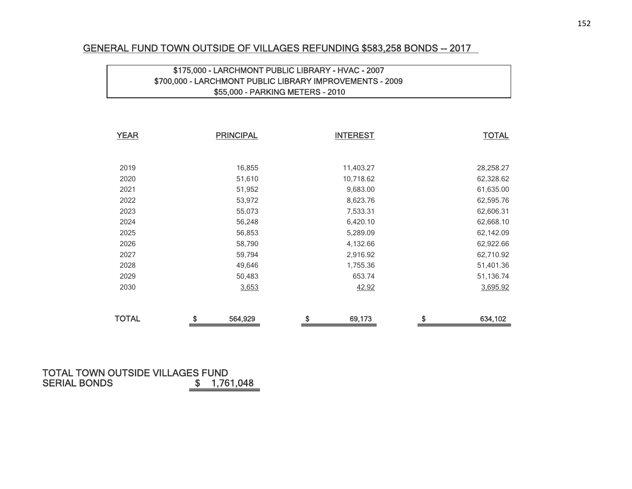#### GENERAL FUND TOWN OUTSIDE OF VILLAGES REFUNDING \$583,258 BONDS -- 2017

### \$175,000 - LARCHMONT PUBLIC LIBRARY - HVAC - 2007 \$700,000 - LARCHMONT PUBLIC LIBRARY IMPROVEMENTS - 2009 \$55,000 - PARKING METERS - 2010

| <b>YEAR</b>  | <b>PRINCIPAL</b> | <b>INTEREST</b> | <b>TOTAL</b>  |
|--------------|------------------|-----------------|---------------|
|              |                  |                 |               |
| 2019         | 16,855           | 11,403.27       | 28,258.27     |
| 2020         | 51,610           | 10,718.62       | 62,328.62     |
| 2021         | 51,952           | 9,683.00        | 61,635.00     |
| 2022         | 53,972           | 8,623.76        | 62,595.76     |
| 2023         | 55,073           | 7,533.31        | 62,606.31     |
| 2024         | 56,248           | 6,420.10        | 62,668.10     |
| 2025         | 56,853           | 5,289.09        | 62,142.09     |
| 2026         | 58,790           | 4,132.66        | 62,922.66     |
| 2027         | 59,794           | 2,916.92        | 62,710.92     |
| 2028         | 49,646           | 1,755.36        | 51,401.36     |
| 2029         | 50,483           | 653.74          | 51,136.74     |
| 2030         | 3,653            | 42.92           | 3,695.92      |
|              |                  |                 |               |
| <b>TOTAL</b> | \$<br>564,929    | \$<br>69,173    | \$<br>634,102 |

#### TOTAL TOWN OUTSIDE VILLAGES FUND**S**  $\frac{1}{1}$ ,761,048 SERIAL BONDS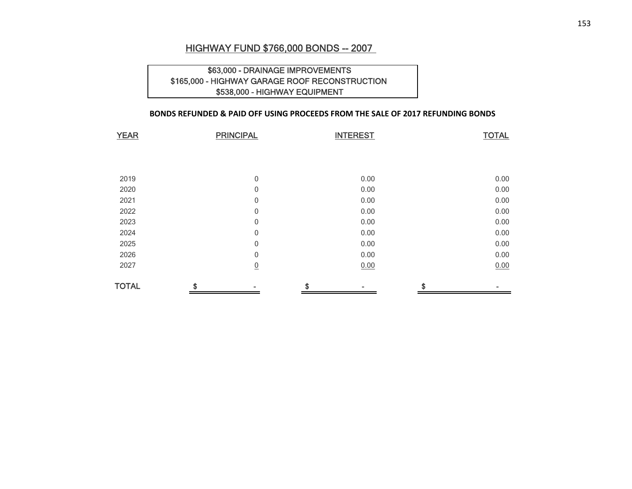#### HIGHWAY FUND \$766,000 BONDS -- 2007

#### \$63,000 - DRAINAGE IMPROVEMENTS \$165,000 - HIGHWAY GARAGE ROOF RECONSTRUCTION \$538,000 - HIGHWAY EQUIPMENT

#### **BONDS REFUNDED & PAID OFF USING PROCEEDS FROM THE SALE OF 2017 REFUNDING BONDS**

| <b>YEAR</b>  | <b>PRINCIPAL</b> | <b>INTEREST</b> | <b>TOTAL</b> |
|--------------|------------------|-----------------|--------------|
|              |                  |                 |              |
|              |                  |                 |              |
| 2019         | 0                | 0.00            | 0.00         |
| 2020         | 0                | 0.00            | 0.00         |
| 2021         | 0                | 0.00            | 0.00         |
| 2022         | 0                | 0.00            | 0.00         |
| 2023         | 0                | 0.00            | 0.00         |
| 2024         | 0                | 0.00            | 0.00         |
| 2025         | 0                | 0.00            | 0.00         |
| 2026         | 0                | 0.00            | 0.00         |
| 2027         | $\overline{0}$   | 0.00            | 0.00         |
| <b>TOTAL</b> | \$               | \$              | \$           |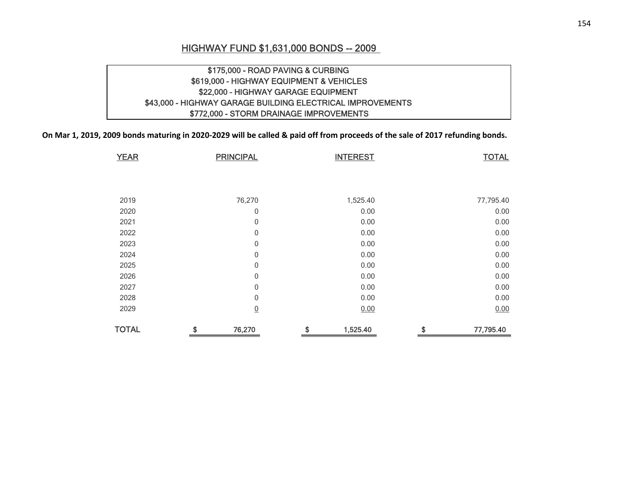### HIGHWAY FUND \$1,631,000 BONDS -- 2009

## \$175,000 - ROAD PAVING & CURBING \$619,000 - HIGHWAY EQUIPMENT & VEHICLES \$22,000 - HIGHWAY GARAGE EQUIPMENT \$43,000 - HIGHWAY GARAGE BUILDING ELECTRICAL IMPROVEMENTS \$772,000 - STORM DRAINAGE IMPROVEMENTS

On Mar 1, 2019, 2009 bonds maturing in 2020-2029 will be called & paid off from proceeds of the sale of 2017 refunding bonds.

| <b>YEAR</b>  | <b>PRINCIPAL</b> | <b>INTEREST</b> | <b>TOTAL</b>    |
|--------------|------------------|-----------------|-----------------|
|              |                  |                 |                 |
|              |                  |                 |                 |
| 2019         | 76,270           | 1,525.40        | 77,795.40       |
| 2020         | 0                | 0.00            | 0.00            |
| 2021         | $\mathbf 0$      | 0.00            | 0.00            |
|              |                  |                 |                 |
| 2022         | 0                | 0.00            | 0.00            |
| 2023         | $\mathbf 0$      | 0.00            | 0.00            |
| 2024         | $\mathbf 0$      | 0.00            | 0.00            |
| 2025         | 0                | 0.00            | 0.00            |
| 2026         | $\mathbf 0$      | 0.00            | 0.00            |
| 2027         | $\mathbf{0}$     | 0.00            | 0.00            |
| 2028         | $\mathbf 0$      | 0.00            | 0.00            |
| 2029         | $\overline{0}$   | 0.00            | 0.00            |
| <b>TOTAL</b> | \$<br>76,270     | \$<br>1,525.40  | \$<br>77,795.40 |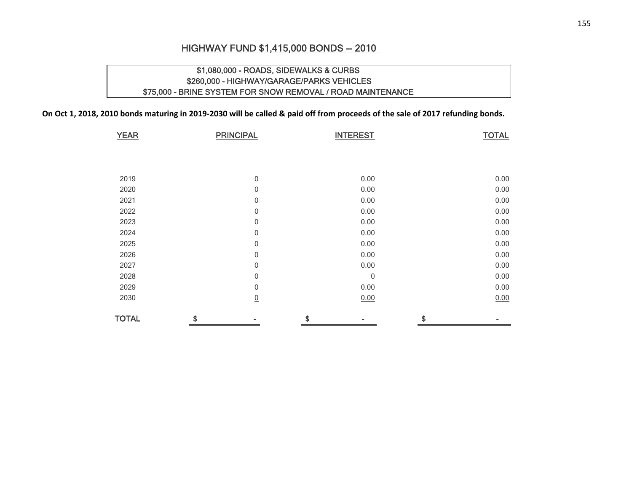## HIGHWAY FUND \$1,415,000 BONDS -- 2010

## \$1,080,000 - ROADS, SIDEWALKS & CURBS \$260,000 - HIGHWAY/GARAGE/PARKS VEHICLES \$75,000 - BRINE SYSTEM FOR SNOW REMOVAL / ROAD MAINTENANCE

On Oct 1, 2018, 2010 bonds maturing in 2019-2030 will be called & paid off from proceeds of the sale of 2017 refunding bonds.

| <b>YEAR</b>  | <b>PRINCIPAL</b> |                  | <b>INTEREST</b> | <b>TOTAL</b> |
|--------------|------------------|------------------|-----------------|--------------|
|              |                  |                  |                 |              |
|              |                  |                  |                 |              |
| 2019         |                  | $\boldsymbol{0}$ | 0.00            | 0.00         |
| 2020         |                  | 0                | 0.00            | 0.00         |
| 2021         |                  | 0                | 0.00            | 0.00         |
| 2022         |                  | 0                | 0.00            | 0.00         |
| 2023         |                  | $\boldsymbol{0}$ | 0.00            | 0.00         |
| 2024         |                  | $\boldsymbol{0}$ | 0.00            | 0.00         |
| 2025         |                  | $\boldsymbol{0}$ | 0.00            | 0.00         |
| 2026         |                  | 0                | 0.00            | 0.00         |
| 2027         |                  | 0                | 0.00            | 0.00         |
| 2028         |                  | 0                | $\mathbf 0$     | 0.00         |
| 2029         |                  | 0                | 0.00            | 0.00         |
| 2030         |                  | $\underline{0}$  | 0.00            | 0.00         |
| <b>TOTAL</b> | \$               |                  | \$              | \$           |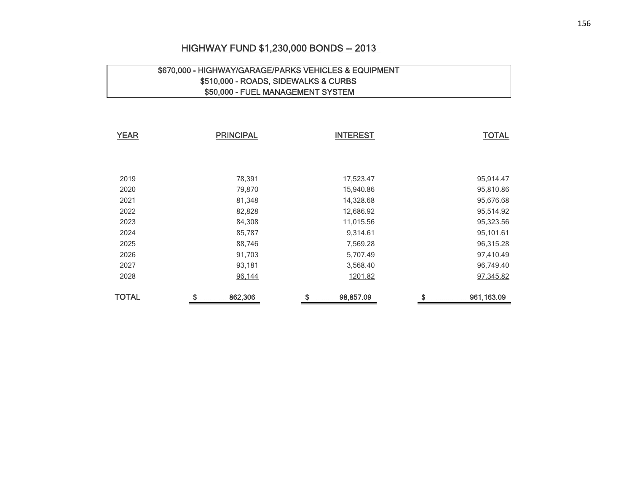## HIGHWAY FUND \$1,230,000 BONDS -- 2013

## \$670,000 - HIGHWAY/GARAGE/PARKS VEHICLES & EQUIPMENT \$510,000 - ROADS, SIDEWALKS & CURBS \$50,000 - FUEL MANAGEMENT SYSTEM

| <b>YEAR</b>  | <b>PRINCIPAL</b> |         | <b>INTEREST</b> | <b>TOTAL</b>     |  |  |
|--------------|------------------|---------|-----------------|------------------|--|--|
|              |                  |         |                 |                  |  |  |
|              |                  |         |                 |                  |  |  |
| 2019         |                  | 78,391  | 17,523.47       | 95,914.47        |  |  |
| 2020         |                  | 79,870  | 15,940.86       | 95,810.86        |  |  |
| 2021         |                  | 81,348  | 14,328.68       | 95,676.68        |  |  |
| 2022         |                  | 82,828  | 12,686.92       | 95,514.92        |  |  |
| 2023         |                  | 84,308  | 11,015.56       | 95,323.56        |  |  |
| 2024         |                  | 85,787  | 9,314.61        | 95,101.61        |  |  |
| 2025         |                  | 88,746  | 7,569.28        | 96,315.28        |  |  |
| 2026         |                  | 91,703  | 5,707.49        | 97,410.49        |  |  |
| 2027         |                  | 93,181  | 3,568.40        | 96,749.40        |  |  |
| 2028         |                  | 96,144  | 1201.82         | 97,345.82        |  |  |
| <b>TOTAL</b> | \$               | 862,306 | \$<br>98,857.09 | \$<br>961,163.09 |  |  |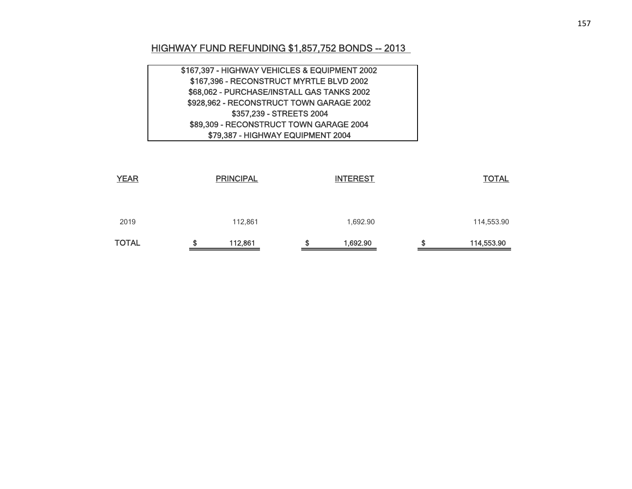# HIGHWAY FUND REFUNDING \$1,857,752 BONDS -- 2013

| \$167,397 - HIGHWAY VEHICLES & EQUIPMENT 2002 |  |
|-----------------------------------------------|--|
| \$167,396 - RECONSTRUCT MYRTLE BLVD 2002      |  |
| \$68,062 - PURCHASE/INSTALL GAS TANKS 2002    |  |
| \$928,962 - RECONSTRUCT TOWN GARAGE 2002      |  |
| \$357,239 - STREETS 2004                      |  |
| \$89,309 - RECONSTRUCT TOWN GARAGE 2004       |  |
| \$79,387 - HIGHWAY EQUIPMENT 2004             |  |

| <b>TOTAL</b> | œ<br>æ | 112,861          | S | 1,692.90        | S | 114,553.90   |
|--------------|--------|------------------|---|-----------------|---|--------------|
| 2019         |        | 112,861          |   | 1,692.90        |   | 114,553.90   |
| <b>YEAR</b>  |        | <b>PRINCIPAL</b> |   | <b>INTEREST</b> |   | <b>TOTAL</b> |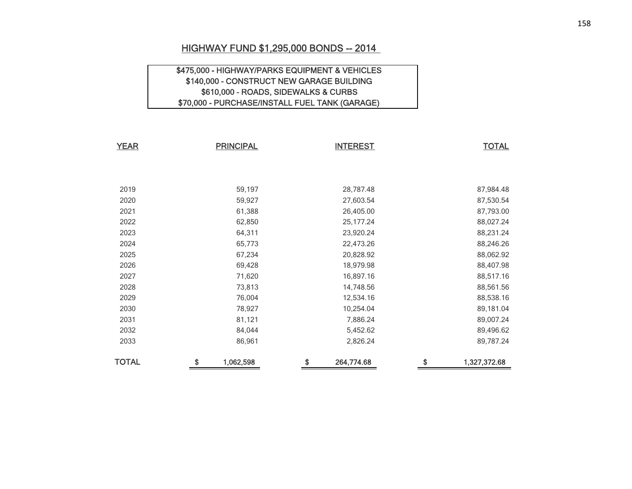#### HIGHWAY FUND \$1,295,000 BONDS -- 2014

### \$475,000 - HIGHWAY/PARKS EQUIPMENT & VEHICLES \$140,000 - CONSTRUCT NEW GARAGE BUILDING \$610,000 - ROADS, SIDEWALKS & CURBS \$70,000 - PURCHASE/INSTALL FUEL TANK (GARAGE)

| <b>YEAR</b>  | <b>PRINCIPAL</b> | <b>INTEREST</b>  | <b>TOTAL</b>       |
|--------------|------------------|------------------|--------------------|
|              |                  |                  |                    |
|              |                  |                  |                    |
| 2019         | 59,197           | 28,787.48        | 87,984.48          |
| 2020         | 59,927           | 27,603.54        | 87,530.54          |
| 2021         | 61,388           | 26,405.00        | 87,793.00          |
| 2022         | 62,850           | 25, 177. 24      | 88,027.24          |
| 2023         | 64,311           | 23,920.24        | 88,231.24          |
| 2024         | 65,773           | 22,473.26        | 88,246.26          |
| 2025         | 67,234           | 20,828.92        | 88,062.92          |
| 2026         | 69,428           | 18,979.98        | 88,407.98          |
| 2027         | 71,620           | 16,897.16        | 88,517.16          |
| 2028         | 73,813           | 14,748.56        | 88,561.56          |
| 2029         | 76,004           | 12,534.16        | 88,538.16          |
| 2030         | 78,927           | 10,254.04        | 89,181.04          |
| 2031         | 81,121           | 7,886.24         | 89,007.24          |
| 2032         | 84,044           | 5,452.62         | 89,496.62          |
| 2033         | 86,961           | 2,826.24         | 89,787.24          |
| <b>TOTAL</b> | \$<br>1,062,598  | \$<br>264,774.68 | \$<br>1,327,372.68 |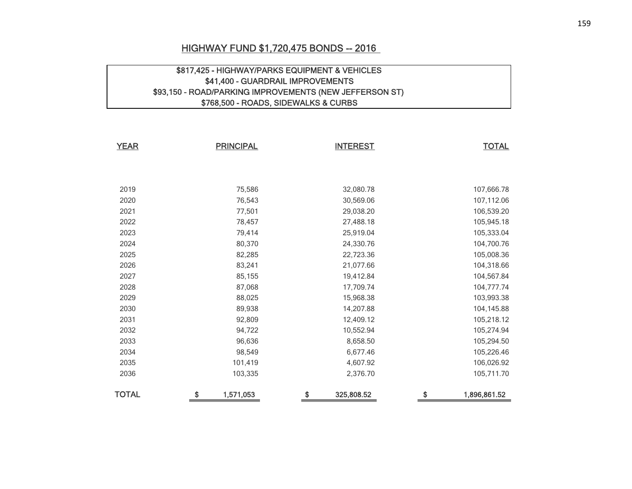### HIGHWAY FUND \$1,720,475 BONDS -- 2016

#### \$817,425 - HIGHWAY/PARKS EQUIPMENT & VEHICLES \$41,400 - GUARDRAIL IMPROVEMENTS \$93,150 - ROAD/PARKING IMPROVEMENTS (NEW JEFFERSON ST) \$768,500 - ROADS, SIDEWALKS & CURBS

| <b>YEAR</b><br><b>PRINCIPAL</b> |    |           | <b>INTEREST</b>  | <b>TOTAL</b>       |  |
|---------------------------------|----|-----------|------------------|--------------------|--|
|                                 |    |           |                  |                    |  |
| 2019                            |    | 75,586    | 32,080.78        | 107,666.78         |  |
| 2020                            |    | 76,543    | 30,569.06        | 107,112.06         |  |
| 2021                            |    | 77,501    | 29,038.20        | 106,539.20         |  |
| 2022                            |    | 78,457    | 27,488.18        | 105,945.18         |  |
| 2023                            |    | 79,414    | 25,919.04        | 105,333.04         |  |
| 2024                            |    | 80,370    | 24,330.76        | 104,700.76         |  |
| 2025                            |    | 82,285    | 22,723.36        | 105,008.36         |  |
| 2026                            |    | 83,241    | 21,077.66        | 104,318.66         |  |
| 2027                            |    | 85,155    | 19,412.84        | 104,567.84         |  |
| 2028                            |    | 87,068    | 17,709.74        | 104,777.74         |  |
| 2029                            |    | 88,025    | 15,968.38        | 103,993.38         |  |
| 2030                            |    | 89,938    | 14,207.88        | 104,145.88         |  |
| 2031                            |    | 92,809    | 12,409.12        | 105,218.12         |  |
| 2032                            |    | 94,722    | 10,552.94        | 105,274.94         |  |
| 2033                            |    | 96,636    | 8,658.50         | 105,294.50         |  |
| 2034                            |    | 98,549    | 6,677.46         | 105,226.46         |  |
| 2035                            |    | 101,419   | 4,607.92         | 106,026.92         |  |
| 2036                            |    | 103,335   | 2,376.70         | 105,711.70         |  |
| <b>TOTAL</b>                    | \$ | 1,571,053 | \$<br>325,808.52 | \$<br>1,896,861.52 |  |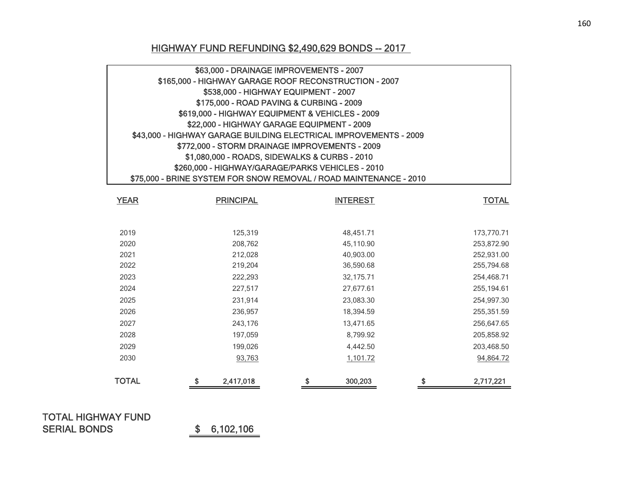## HIGHWAY FUND REFUNDING \$2,490,629 BONDS -- 2017

| \$63,000 - DRAINAGE IMPROVEMENTS - 2007                            |  |
|--------------------------------------------------------------------|--|
| \$165,000 - HIGHWAY GARAGE ROOF RECONSTRUCTION - 2007              |  |
| \$538,000 - HIGHWAY EQUIPMENT - 2007                               |  |
| \$175,000 - ROAD PAVING & CURBING - 2009                           |  |
| \$619,000 - HIGHWAY EQUIPMENT & VEHICLES - 2009                    |  |
| \$22,000 - HIGHWAY GARAGE EQUIPMENT - 2009                         |  |
| \$43,000 - HIGHWAY GARAGE BUILDING ELECTRICAL IMPROVEMENTS - 2009  |  |
| \$772,000 - STORM DRAINAGE IMPROVEMENTS - 2009                     |  |
| \$1,080,000 - ROADS, SIDEWALKS & CURBS - 2010                      |  |
| \$260,000 - HIGHWAY/GARAGE/PARKS VEHICLES - 2010                   |  |
| \$75,000 - BRINE SYSTEM FOR SNOW REMOVAL / ROAD MAINTENANCE - 2010 |  |

| <b>YEAR</b>  | <b>PRINCIPAL</b> | <b>INTEREST</b> | <b>TOTAL</b>    |
|--------------|------------------|-----------------|-----------------|
|              |                  |                 |                 |
| 2019         | 125,319          | 48,451.71       | 173,770.71      |
| 2020         | 208,762          | 45,110.90       | 253,872.90      |
| 2021         | 212,028          | 40,903.00       | 252,931.00      |
| 2022         | 219,204          | 36,590.68       | 255,794.68      |
| 2023         | 222,293          | 32,175.71       | 254,468.71      |
| 2024         | 227,517          | 27,677.61       | 255,194.61      |
| 2025         | 231,914          | 23,083.30       | 254,997.30      |
| 2026         | 236,957          | 18,394.59       | 255,351.59      |
| 2027         | 243,176          | 13,471.65       | 256,647.65      |
| 2028         | 197,059          | 8,799.92        | 205,858.92      |
| 2029         | 199,026          | 4,442.50        | 203,468.50      |
| 2030         | 93,763           | 1,101.72        | 94,864.72       |
| <b>TOTAL</b> | \$<br>2,417,018  | \$<br>300,203   | \$<br>2,717,221 |

## TOTAL HIGHWAY FUND SERIAL BONDS \$ 6,102,106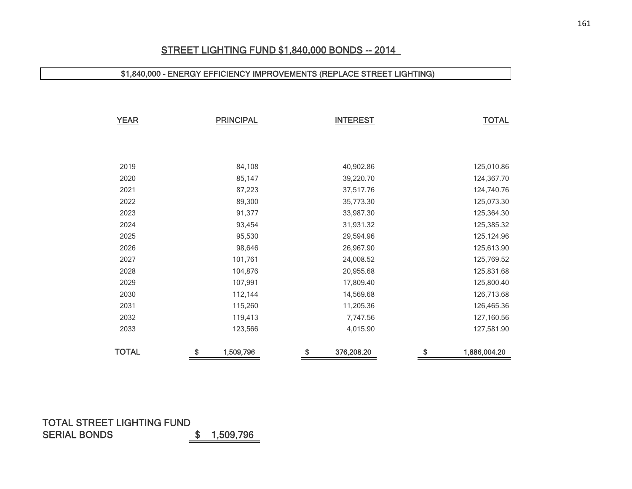## STREET LIGHTING FUND \$1,840,000 BONDS -- 2014

## \$1,840,000 - ENERGY EFFICIENCY IMPROVEMENTS (REPLACE STREET LIGHTING)

| <b>YEAR</b>  | <b>PRINCIPAL</b> | <b>INTEREST</b>  | <b>TOTAL</b>       |
|--------------|------------------|------------------|--------------------|
|              |                  |                  |                    |
|              |                  |                  |                    |
| 2019         | 84,108           | 40,902.86        | 125,010.86         |
| 2020         | 85,147           | 39,220.70        | 124,367.70         |
| 2021         | 87,223           | 37,517.76        | 124,740.76         |
| 2022         | 89,300           | 35,773.30        | 125,073.30         |
| 2023         | 91,377           | 33,987.30        | 125,364.30         |
| 2024         | 93,454           | 31,931.32        | 125,385.32         |
| 2025         | 95,530           | 29,594.96        | 125,124.96         |
| 2026         | 98,646           | 26,967.90        | 125,613.90         |
| 2027         | 101,761          | 24,008.52        | 125,769.52         |
| 2028         | 104,876          | 20,955.68        | 125,831.68         |
| 2029         | 107,991          | 17,809.40        | 125,800.40         |
| 2030         | 112,144          | 14,569.68        | 126,713.68         |
| 2031         | 115,260          | 11,205.36        | 126,465.36         |
| 2032         | 119,413          | 7,747.56         | 127,160.56         |
| 2033         | 123,566          | 4,015.90         | 127,581.90         |
| <b>TOTAL</b> | \$<br>1,509,796  | \$<br>376,208.20 | \$<br>1,886,004.20 |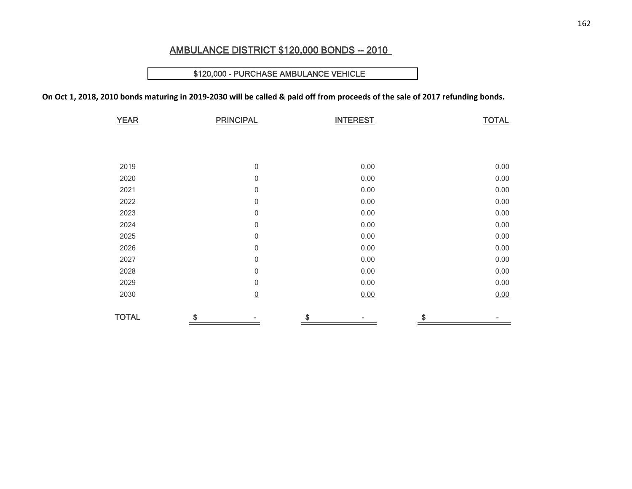## AMBULANCE DISTRICT \$120,000 BONDS -- 2010

#### \$120,000 - PURCHASE AMBULANCE VEHICLE

On Oct 1, 2018, 2010 bonds maturing in 2019-2030 will be called & paid off from proceeds of the sale of 2017 refunding bonds.

| <b>YEAR</b>  | <b>PRINCIPAL</b> | <b>INTEREST</b> | <b>TOTAL</b> |
|--------------|------------------|-----------------|--------------|
|              |                  |                 |              |
|              |                  |                 |              |
|              |                  |                 |              |
| 2019         | $\boldsymbol{0}$ | 0.00            | 0.00         |
| 2020         | $\mathbf 0$      | 0.00            | 0.00         |
| 2021         | $\mathbf 0$      | 0.00            | 0.00         |
| 2022         | 0                | 0.00            | 0.00         |
| 2023         | 0                | 0.00            | 0.00         |
| 2024         | $\,0\,$          | 0.00            | 0.00         |
| 2025         | $\,0\,$          | 0.00            | 0.00         |
| 2026         | $\boldsymbol{0}$ | 0.00            | 0.00         |
| 2027         | 0                | 0.00            | 0.00         |
| 2028         | $\,0\,$          | 0.00            | 0.00         |
| 2029         | $\,0\,$          | 0.00            | 0.00         |
| 2030         | $\underline{0}$  | 0.00            | 0.00         |
|              |                  |                 |              |
| <b>TOTAL</b> | \$               | S               | \$           |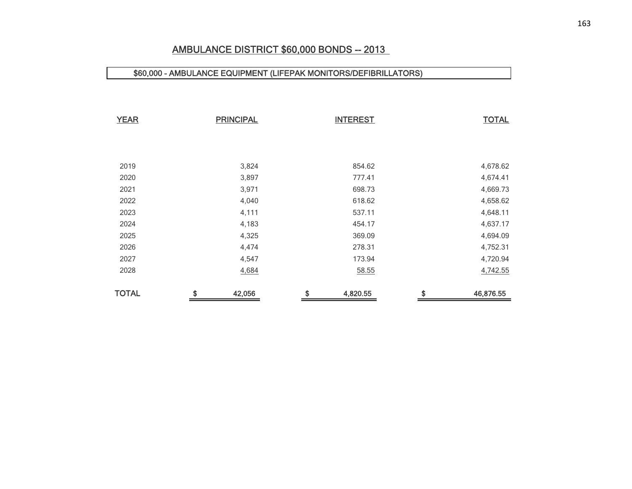## AMBULANCE DISTRICT \$60,000 BONDS -- 2013

#### \$60,000 - AMBULANCE EQUIPMENT (LIFEPAK MONITORS/DEFIBRILLATORS)

| <b>YEAR</b>  | <b>PRINCIPAL</b> | <b>INTEREST</b> | <b>TOTAL</b>    |
|--------------|------------------|-----------------|-----------------|
|              |                  |                 |                 |
| 2019         | 3,824            | 854.62          | 4,678.62        |
| 2020         | 3,897            | 777.41          | 4,674.41        |
| 2021         | 3,971            | 698.73          | 4,669.73        |
| 2022         | 4,040            | 618.62          | 4,658.62        |
| 2023         | 4,111            | 537.11          | 4,648.11        |
| 2024         | 4,183            | 454.17          | 4,637.17        |
| 2025         | 4,325            | 369.09          | 4,694.09        |
| 2026         | 4,474            | 278.31          | 4,752.31        |
| 2027         | 4,547            | 173.94          | 4,720.94        |
| 2028         | 4,684            | 58.55           | 4,742.55        |
| <b>TOTAL</b> | \$<br>42,056     | \$<br>4,820.55  | \$<br>46,876.55 |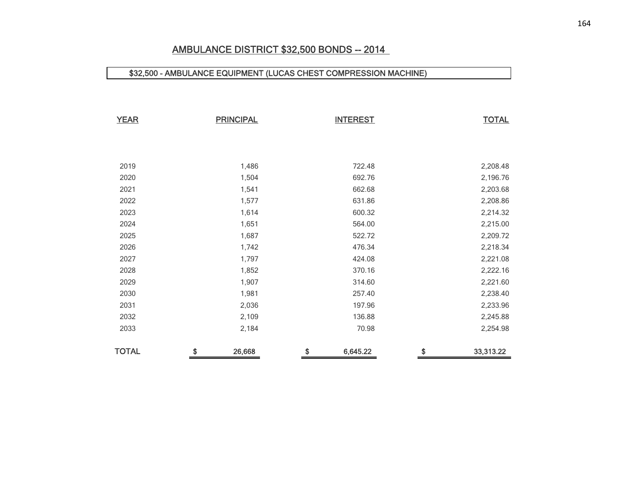## AMBULANCE DISTRICT \$32,500 BONDS -- 2014

## \$32,500 - AMBULANCE EQUIPMENT (LUCAS CHEST COMPRESSION MACHINE)

| <b>YEAR</b>  | <b>PRINCIPAL</b> | <b>INTEREST</b> | <b>TOTAL</b>    |
|--------------|------------------|-----------------|-----------------|
|              |                  |                 |                 |
|              |                  |                 |                 |
| 2019         | 1,486            | 722.48          | 2,208.48        |
| 2020         | 1,504            | 692.76          | 2,196.76        |
| 2021         | 1,541            | 662.68          | 2,203.68        |
| 2022         | 1,577            | 631.86          | 2,208.86        |
| 2023         | 1,614            | 600.32          | 2,214.32        |
| 2024         | 1,651            | 564.00          | 2,215.00        |
| 2025         | 1,687            | 522.72          | 2,209.72        |
| 2026         | 1,742            | 476.34          | 2,218.34        |
| 2027         | 1,797            | 424.08          | 2,221.08        |
| 2028         | 1,852            | 370.16          | 2,222.16        |
| 2029         | 1,907            | 314.60          | 2,221.60        |
| 2030         | 1,981            | 257.40          | 2,238.40        |
| 2031         | 2,036            | 197.96          | 2,233.96        |
| 2032         | 2,109            | 136.88          | 2,245.88        |
| 2033         | 2,184            | 70.98           | 2,254.98        |
| <b>TOTAL</b> | \$<br>26,668     | \$<br>6,645.22  | \$<br>33,313.22 |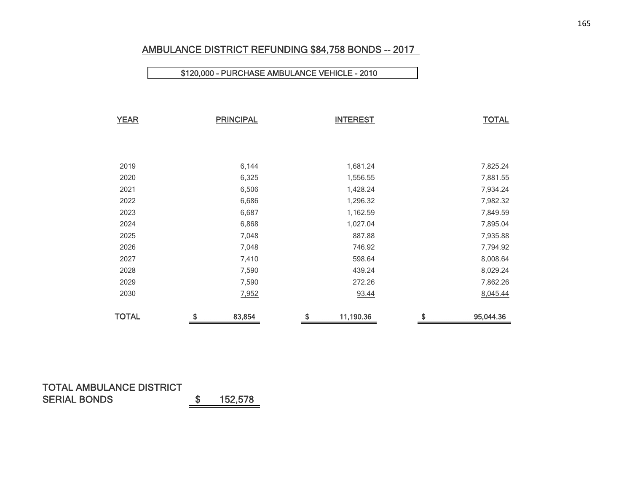## AMBULANCE DISTRICT REFUNDING \$84,758 BONDS -- 2017

#### \$120,000 - PURCHASE AMBULANCE VEHICLE - 2010

| <b>YEAR</b>  | <b>PRINCIPAL</b> | <b>INTEREST</b> | <b>TOTAL</b>    |
|--------------|------------------|-----------------|-----------------|
|              |                  |                 |                 |
|              |                  |                 |                 |
| 2019         | 6,144            | 1,681.24        | 7,825.24        |
| 2020         | 6,325            | 1,556.55        | 7,881.55        |
| 2021         | 6,506            | 1,428.24        | 7,934.24        |
| 2022         | 6,686            | 1,296.32        | 7,982.32        |
| 2023         | 6,687            | 1,162.59        | 7,849.59        |
| 2024         | 6,868            | 1,027.04        | 7,895.04        |
| 2025         | 7,048            | 887.88          | 7,935.88        |
| 2026         | 7,048            | 746.92          | 7,794.92        |
| 2027         | 7,410            | 598.64          | 8,008.64        |
| 2028         | 7,590            | 439.24          | 8,029.24        |
| 2029         | 7,590            | 272.26          | 7,862.26        |
| 2030         | 7,952            | 93.44           | 8,045.44        |
| <b>TOTAL</b> | \$<br>83,854     | \$<br>11,190.36 | \$<br>95,044.36 |

### TOTAL AMBULANCE DISTRICT SERIAL BONDS \$ 152,578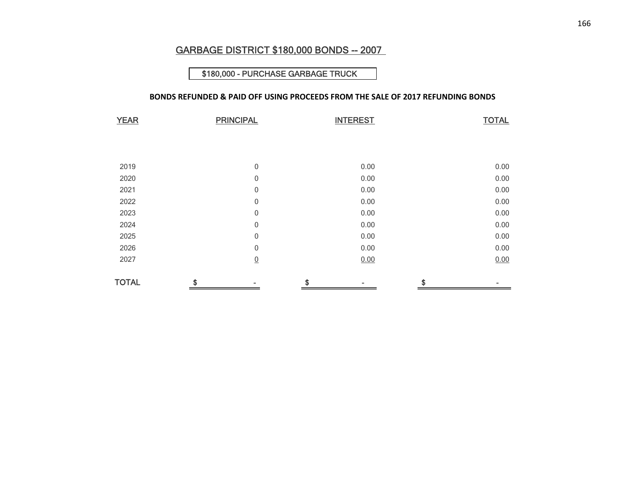## GARBAGE DISTRICT \$180,000 BONDS -- 2007

#### \$180,000 - PURCHASE GARBAGE TRUCK

#### **BONDS REFUNDED & PAID OFF USING PROCEEDS FROM THE SALE OF 2017 REFUNDING BONDS**

| <b>YEAR</b>  | <b>PRINCIPAL</b> |                  | <b>INTEREST</b> | <b>TOTAL</b> |
|--------------|------------------|------------------|-----------------|--------------|
|              |                  |                  |                 |              |
|              |                  |                  |                 |              |
| 2019         |                  | $\mathbf 0$      | 0.00            | 0.00         |
| 2020         |                  | $\mathbf 0$      | 0.00            | 0.00         |
| 2021         |                  | $\mathbf 0$      | 0.00            | 0.00         |
| 2022         |                  | $\mathbf 0$      | 0.00            | 0.00         |
| 2023         |                  | $\mathbf 0$      | 0.00            | 0.00         |
| 2024         |                  | $\mathbf 0$      | 0.00            | 0.00         |
| 2025         |                  | $\mathbf 0$      | 0.00            | 0.00         |
| 2026         |                  | $\boldsymbol{0}$ | 0.00            | 0.00         |
| 2027         |                  | $\underline{0}$  | 0.00            | 0.00         |
| <b>TOTAL</b> | \$               |                  | \$              | \$           |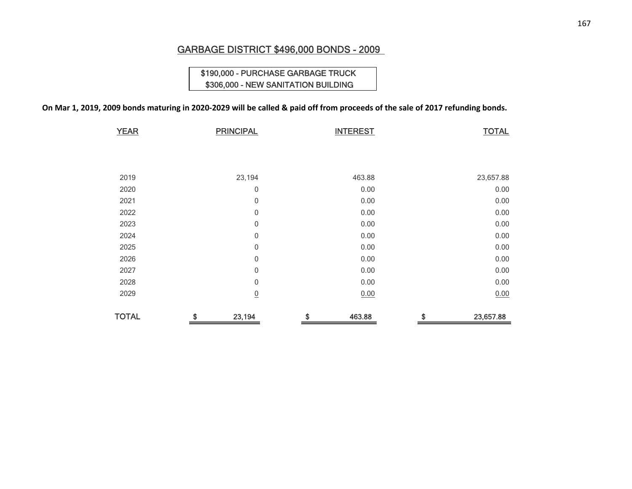## GARBAGE DISTRICT \$496,000 BONDS - 2009

## \$190,000 - PURCHASE GARBAGE TRUCK \$306,000 - NEW SANITATION BUILDING

#### On Mar 1, 2019, 2009 bonds maturing in 2020-2029 will be called & paid off from proceeds of the sale of 2017 refunding bonds.

| <b>YEAR</b>  | <b>PRINCIPAL</b> | <b>INTEREST</b> | <b>TOTAL</b>    |
|--------------|------------------|-----------------|-----------------|
|              |                  |                 |                 |
|              |                  |                 |                 |
|              |                  |                 |                 |
| 2019         | 23,194           | 463.88          | 23,657.88       |
| 2020         | 0                | 0.00            | 0.00            |
| 2021         | 0                | 0.00            | 0.00            |
| 2022         | 0                | 0.00            | 0.00            |
| 2023         | $\mathbf 0$      | 0.00            | 0.00            |
| 2024         | $\mathbf 0$      | 0.00            | 0.00            |
| 2025         | $\boldsymbol{0}$ | 0.00            | 0.00            |
| 2026         | $\mathbf 0$      | 0.00            | 0.00            |
| 2027         | $\mathbf 0$      | 0.00            | 0.00            |
| 2028         | $\mathbf 0$      | 0.00            | 0.00            |
| 2029         | $\underline{0}$  | 0.00            | 0.00            |
| <b>TOTAL</b> | \$<br>23,194     | \$<br>463.88    | \$<br>23,657.88 |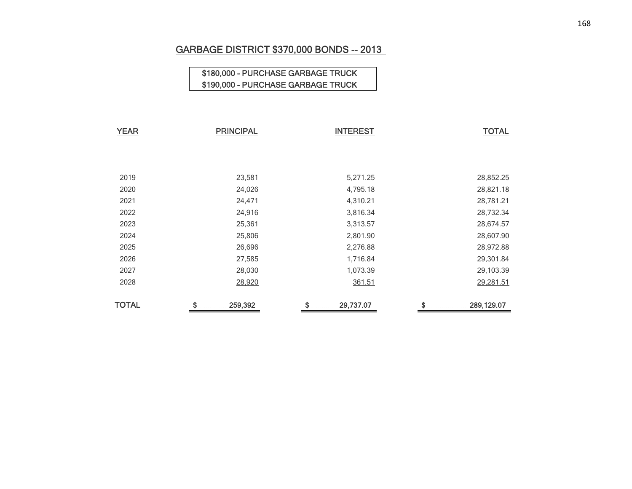# GARBAGE DISTRICT \$370,000 BONDS -- 2013

## \$180,000 - PURCHASE GARBAGE TRUCK \$190,000 - PURCHASE GARBAGE TRUCK

| <b>YEAR</b>  | <b>PRINCIPAL</b> | <b>INTEREST</b> | <b>TOTAL</b>     |
|--------------|------------------|-----------------|------------------|
|              |                  |                 |                  |
|              |                  |                 |                  |
| 2019         | 23,581           | 5,271.25        | 28,852.25        |
| 2020         | 24,026           | 4,795.18        | 28,821.18        |
| 2021         | 24,471           | 4,310.21        | 28,781.21        |
| 2022         | 24,916           | 3,816.34        | 28,732.34        |
| 2023         | 25,361           | 3,313.57        | 28,674.57        |
| 2024         | 25,806           | 2,801.90        | 28,607.90        |
| 2025         | 26,696           | 2,276.88        | 28,972.88        |
| 2026         | 27,585           | 1,716.84        | 29,301.84        |
| 2027         | 28,030           | 1,073.39        | 29,103.39        |
| 2028         | 28,920           | 361.51          | 29,281.51        |
| <b>TOTAL</b> | \$<br>259,392    | \$<br>29,737.07 | \$<br>289,129.07 |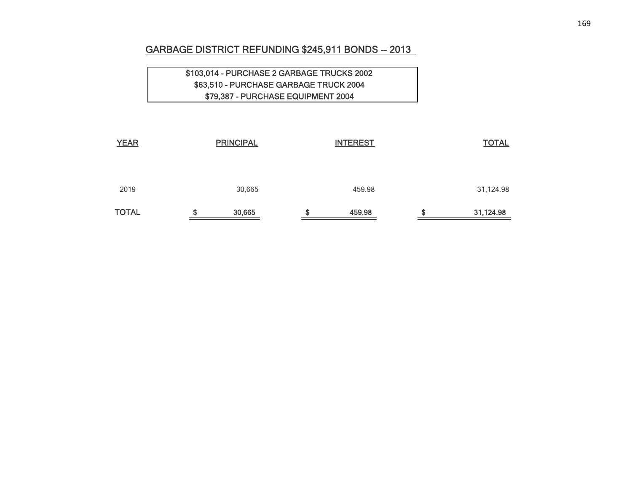## GARBAGE DISTRICT REFUNDING \$245,911 BONDS -- 2013

## \$103,014 - PURCHASE 2 GARBAGE TRUCKS 2002 \$63,510 - PURCHASE GARBAGE TRUCK 2004 \$79,387 - PURCHASE EQUIPMENT 2004

| <b>TOTAL</b> | œ | 30,665           | œ<br>æ | 459.98          | \$<br>31,124.98 |
|--------------|---|------------------|--------|-----------------|-----------------|
| 2019         |   | 30,665           |        | 459.98          | 31,124.98       |
| <b>YEAR</b>  |   | <b>PRINCIPAL</b> |        | <b>INTEREST</b> | <b>TOTAL</b>    |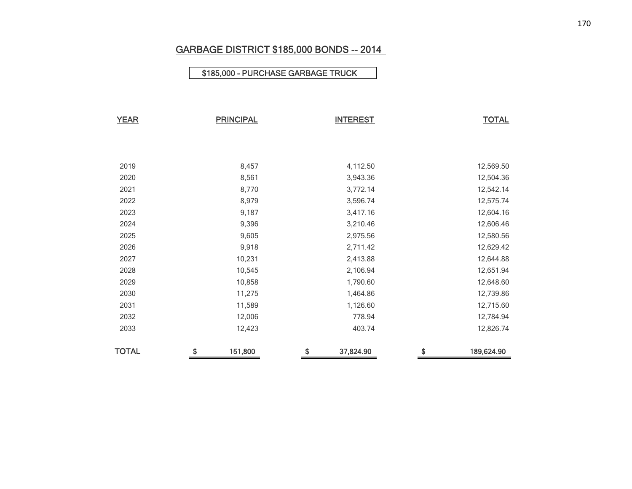# GARBAGE DISTRICT \$185,000 BONDS -- 2014

### \$185,000 - PURCHASE GARBAGE TRUCK

| <b>YEAR</b>  | <b>PRINCIPAL</b> |         | <b>INTEREST</b> |           | <b>TOTAL</b>     |
|--------------|------------------|---------|-----------------|-----------|------------------|
|              |                  |         |                 |           |                  |
|              |                  |         |                 |           |                  |
| 2019         |                  | 8,457   |                 | 4,112.50  | 12,569.50        |
| 2020         |                  | 8,561   |                 | 3,943.36  | 12,504.36        |
| 2021         |                  | 8,770   |                 | 3,772.14  | 12,542.14        |
| 2022         |                  | 8,979   |                 | 3,596.74  | 12,575.74        |
| 2023         |                  | 9,187   |                 | 3,417.16  | 12,604.16        |
| 2024         |                  | 9,396   |                 | 3,210.46  | 12,606.46        |
| 2025         |                  | 9,605   |                 | 2,975.56  | 12,580.56        |
| 2026         |                  | 9,918   |                 | 2,711.42  | 12,629.42        |
| 2027         |                  | 10,231  |                 | 2,413.88  | 12,644.88        |
| 2028         |                  | 10,545  |                 | 2,106.94  | 12,651.94        |
| 2029         |                  | 10,858  |                 | 1,790.60  | 12,648.60        |
| 2030         |                  | 11,275  |                 | 1,464.86  | 12,739.86        |
| 2031         |                  | 11,589  |                 | 1,126.60  | 12,715.60        |
| 2032         |                  | 12,006  |                 | 778.94    | 12,784.94        |
| 2033         |                  | 12,423  |                 | 403.74    | 12,826.74        |
|              |                  |         |                 |           |                  |
| <b>TOTAL</b> | \$               | 151,800 | \$              | 37,824.90 | \$<br>189,624.90 |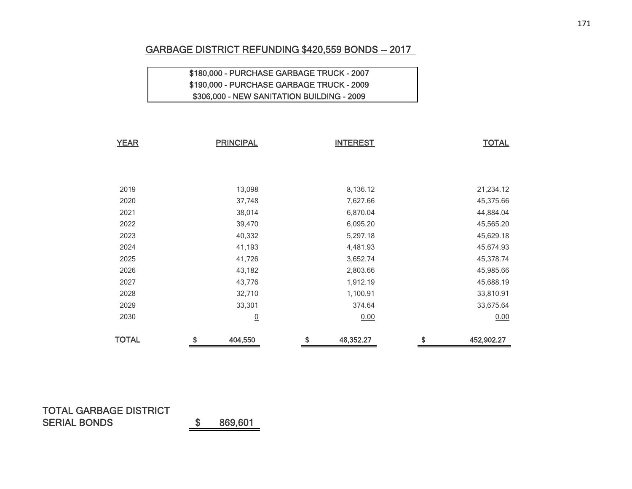## GARBAGE DISTRICT REFUNDING \$420,559 BONDS -- 2017

## \$180,000 - PURCHASE GARBAGE TRUCK - 2007 \$190,000 - PURCHASE GARBAGE TRUCK - 2009 \$306,000 - NEW SANITATION BUILDING - 2009

| <b>YEAR</b>  | <b>PRINCIPAL</b> | <b>INTEREST</b> | <b>TOTAL</b>     |
|--------------|------------------|-----------------|------------------|
|              |                  |                 |                  |
|              |                  |                 |                  |
| 2019         | 13,098           | 8,136.12        | 21,234.12        |
| 2020         | 37,748           | 7,627.66        | 45,375.66        |
| 2021         | 38,014           | 6,870.04        | 44,884.04        |
| 2022         | 39,470           | 6,095.20        | 45,565.20        |
| 2023         | 40,332           | 5,297.18        | 45,629.18        |
| 2024         | 41,193           | 4,481.93        | 45,674.93        |
| 2025         | 41,726           | 3,652.74        | 45,378.74        |
| 2026         | 43,182           | 2,803.66        | 45,985.66        |
| 2027         | 43,776           | 1,912.19        | 45,688.19        |
| 2028         | 32,710           | 1,100.91        | 33,810.91        |
| 2029         | 33,301           | 374.64          | 33,675.64        |
| 2030         | $\overline{0}$   | 0.00            | 0.00             |
| <b>TOTAL</b> | \$<br>404,550    | \$<br>48,352.27 | \$<br>452,902.27 |

## TOTAL GARBAGE DISTRICTSERIAL BONDS \$ 869,601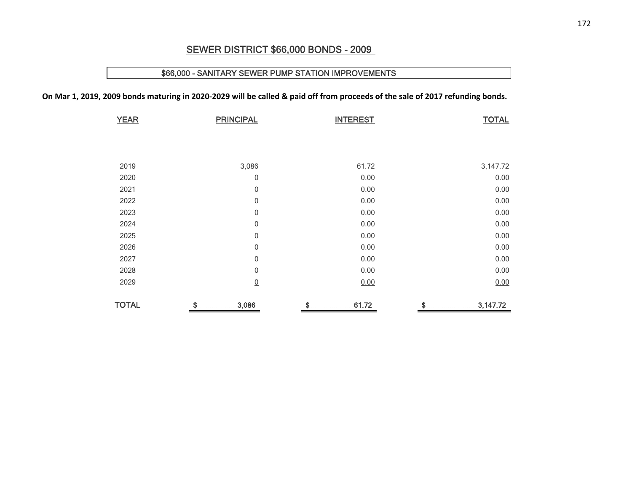## SEWER DISTRICT \$66,000 BONDS - 2009

### \$66,000 - SANITARY SEWER PUMP STATION IMPROVEMENTS

On Mar 1, 2019, 2009 bonds maturing in 2020-2029 will be called & paid off from proceeds of the sale of 2017 refunding bonds.

| <b>YEAR</b>  | <b>PRINCIPAL</b> | <b>INTEREST</b> | <b>TOTAL</b>   |
|--------------|------------------|-----------------|----------------|
|              |                  |                 |                |
|              |                  |                 |                |
|              |                  |                 |                |
| 2019         | 3,086            | 61.72           | 3,147.72       |
| 2020         | 0                | 0.00            | 0.00           |
| 2021         | $\boldsymbol{0}$ | 0.00            | 0.00           |
| 2022         | $\mathbf 0$      | 0.00            | 0.00           |
| 2023         | $\boldsymbol{0}$ | 0.00            | 0.00           |
| 2024         | $\boldsymbol{0}$ | 0.00            | 0.00           |
| 2025         | $\boldsymbol{0}$ | 0.00            | 0.00           |
| 2026         | $\mathbf 0$      | 0.00            | 0.00           |
| 2027         | $\mathbf 0$      | 0.00            | 0.00           |
| 2028         | $\mathbf 0$      | 0.00            | 0.00           |
| 2029         | $\underline{0}$  | 0.00            | 0.00           |
| <b>TOTAL</b> | \$<br>3,086      | \$<br>61.72     | \$<br>3,147.72 |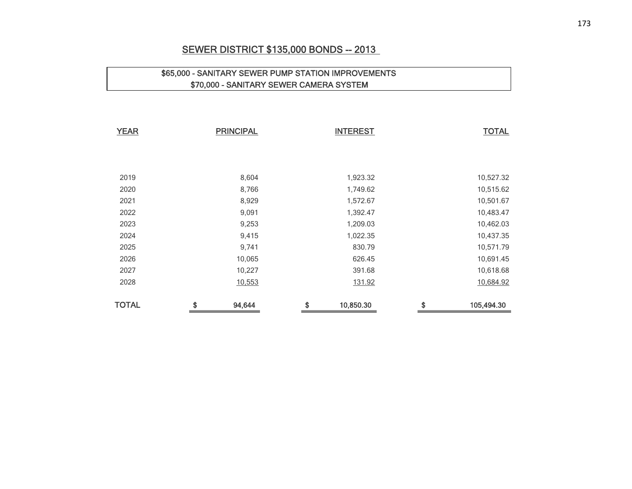## SEWER DISTRICT \$135,000 BONDS -- 2013

## \$65,000 - SANITARY SEWER PUMP STATION IMPROVEMENTS \$70,000 - SANITARY SEWER CAMERA SYSTEM

| <b>YEAR</b>  | <b>PRINCIPAL</b> | <b>INTEREST</b> | <b>TOTAL</b>     |
|--------------|------------------|-----------------|------------------|
|              |                  |                 |                  |
|              |                  |                 |                  |
| 2019         | 8,604            | 1,923.32        | 10,527.32        |
| 2020         | 8,766            | 1,749.62        | 10,515.62        |
| 2021         | 8,929            | 1,572.67        | 10,501.67        |
| 2022         | 9,091            | 1,392.47        | 10,483.47        |
| 2023         | 9,253            | 1,209.03        | 10,462.03        |
| 2024         | 9,415            | 1,022.35        | 10,437.35        |
| 2025         | 9,741            | 830.79          | 10,571.79        |
| 2026         | 10,065           | 626.45          | 10,691.45        |
| 2027         | 10,227           | 391.68          | 10,618.68        |
| 2028         | 10,553           | 131.92          | 10,684.92        |
| <b>TOTAL</b> | \$<br>94,644     | \$<br>10,850.30 | \$<br>105,494.30 |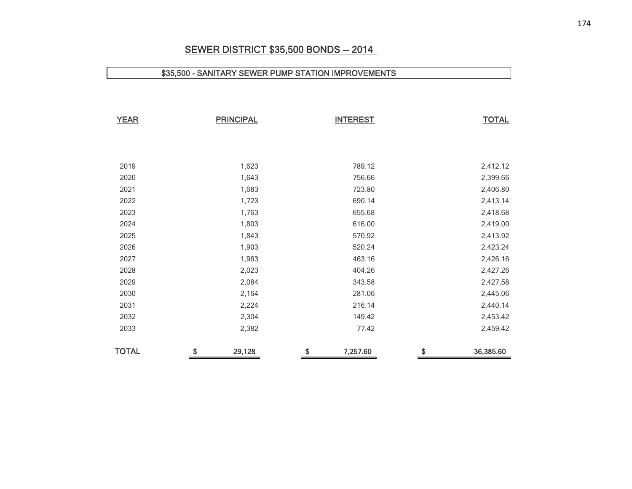## **SEWER DISTRICT \$35,500 BONDS -- 2014**

#### \$35,500 - SANITARY SEWER PUMP STATION IMPROVEMENTS

| <b>YEAR</b>  | <b>PRINCIPAL</b> | <b>INTEREST</b> | <b>TOTAL</b>    |
|--------------|------------------|-----------------|-----------------|
|              |                  |                 |                 |
|              |                  |                 |                 |
| 2019         | 1,623            | 789.12          | 2,412.12        |
| 2020         | 1,643            | 756.66          | 2,399.66        |
| 2021         | 1,683            | 723.80          | 2,406.80        |
| 2022         | 1,723            | 690.14          | 2,413.14        |
| 2023         | 1,763            | 655.68          | 2,418.68        |
| 2024         | 1,803            | 616.00          | 2,419.00        |
| 2025         | 1,843            | 570.92          | 2,413.92        |
| 2026         | 1,903            | 520.24          | 2,423.24        |
| 2027         | 1,963            | 463.16          | 2,426.16        |
| 2028         | 2,023            | 404.26          | 2,427.26        |
| 2029         | 2,084            | 343.58          | 2,427.58        |
| 2030         | 2,164            | 281.06          | 2,445.06        |
| 2031         | 2,224            | 216.14          | 2,440.14        |
| 2032         | 2,304            | 149.42          | 2,453.42        |
| 2033         | 2,382            | 77.42           | 2,459.42        |
| <b>TOTAL</b> | \$<br>29,128     | \$<br>7,257.60  | \$<br>36,385.60 |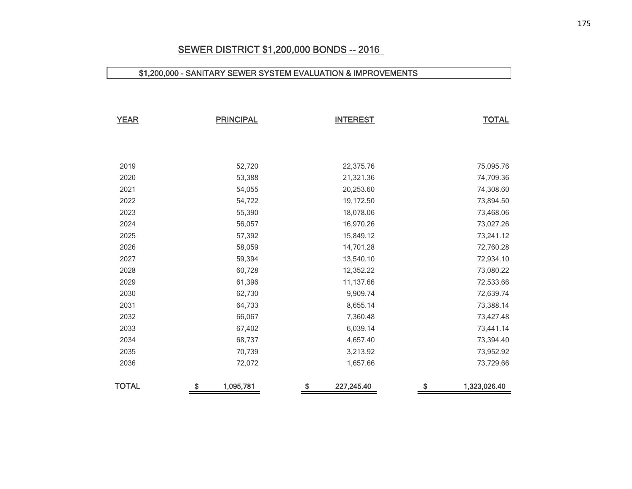## SEWER DISTRICT \$1,200,000 BONDS -- 2016

#### \$1,200,000 - SANITARY SEWER SYSTEM EVALUATION & IMPROVEMENTS

| <b>YEAR</b>  | <b>PRINCIPAL</b> | <b>INTEREST</b>  | <b>TOTAL</b>       |
|--------------|------------------|------------------|--------------------|
|              |                  |                  |                    |
| 2019         | 52,720           | 22,375.76        | 75,095.76          |
| 2020         | 53,388           | 21,321.36        | 74,709.36          |
| 2021         | 54,055           | 20,253.60        | 74,308.60          |
| 2022         | 54,722           | 19,172.50        | 73,894.50          |
| 2023         | 55,390           | 18,078.06        | 73,468.06          |
| 2024         | 56,057           | 16,970.26        | 73,027.26          |
| 2025         | 57,392           | 15,849.12        | 73,241.12          |
| 2026         | 58,059           | 14,701.28        | 72,760.28          |
| 2027         | 59,394           | 13,540.10        | 72,934.10          |
| 2028         | 60,728           | 12,352.22        | 73,080.22          |
| 2029         | 61,396           | 11,137.66        | 72,533.66          |
| 2030         | 62,730           | 9,909.74         | 72,639.74          |
| 2031         | 64,733           | 8,655.14         | 73,388.14          |
| 2032         | 66,067           | 7,360.48         | 73,427.48          |
| 2033         | 67,402           | 6,039.14         | 73,441.14          |
| 2034         | 68,737           | 4,657.40         | 73,394.40          |
| 2035         | 70,739           | 3,213.92         | 73,952.92          |
| 2036         | 72,072           | 1,657.66         | 73,729.66          |
| <b>TOTAL</b> | \$<br>1,095,781  | \$<br>227,245.40 | \$<br>1,323,026.40 |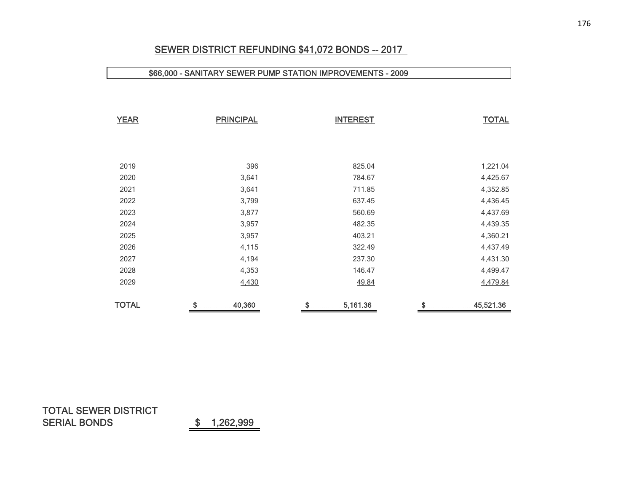## SEWER DISTRICT REFUNDING \$41,072 BONDS -- 2017

#### \$66,000 - SANITARY SEWER PUMP STATION IMPROVEMENTS - 2009

| <b>YEAR</b>  | <b>PRINCIPAL</b> | <b>INTEREST</b> | <b>TOTAL</b>    |
|--------------|------------------|-----------------|-----------------|
|              |                  |                 |                 |
|              |                  |                 |                 |
| 2019         | 396              | 825.04          | 1,221.04        |
| 2020         | 3,641            | 784.67          | 4,425.67        |
| 2021         | 3,641            | 711.85          | 4,352.85        |
| 2022         | 3,799            | 637.45          | 4,436.45        |
| 2023         | 3,877            | 560.69          | 4,437.69        |
| 2024         | 3,957            | 482.35          | 4,439.35        |
| 2025         | 3,957            | 403.21          | 4,360.21        |
| 2026         | 4,115            | 322.49          | 4,437.49        |
| 2027         | 4,194            | 237.30          | 4,431.30        |
| 2028         | 4,353            | 146.47          | 4,499.47        |
| 2029         | 4,430            | 49.84           | 4,479.84        |
| <b>TOTAL</b> | \$<br>40,360     | \$<br>5,161.36  | \$<br>45,521.36 |

## TOTAL SEWER DISTRICTSERIAL BONDS \$ 1,262,999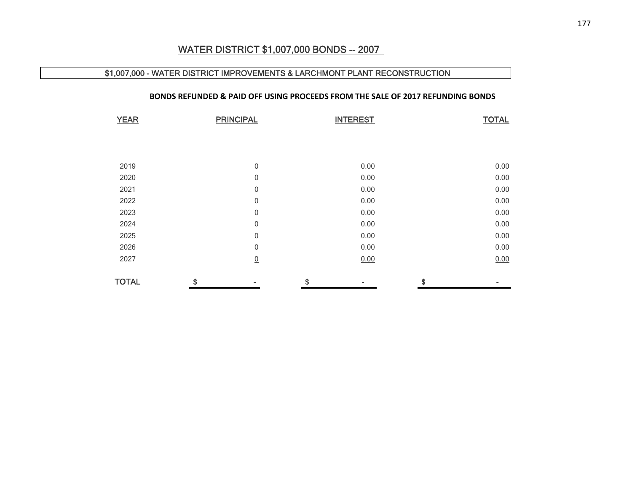## WATER DISTRICT \$1,007,000 BONDS -- 2007

#### \$1,007,000 - WATER DISTRICT IMPROVEMENTS & LARCHMONT PLANT RECONSTRUCTION

#### **BONDS REFUNDED & PAID OFF USING PROCEEDS FROM THE SALE OF 2017 REFUNDING BONDS**

| <b>YEAR</b>  | <b>PRINCIPAL</b> |    | <b>INTEREST</b> |    | <b>TOTAL</b> |  |
|--------------|------------------|----|-----------------|----|--------------|--|
|              |                  |    |                 |    |              |  |
|              |                  |    |                 |    |              |  |
| 2019         | 0                |    | 0.00            |    | 0.00         |  |
| 2020         | $\mathbf 0$      |    | 0.00            |    | 0.00         |  |
| 2021         | $\mathbf 0$      |    | 0.00            |    | 0.00         |  |
| 2022         | $\mathbf 0$      |    | 0.00            |    | 0.00         |  |
| 2023         | 0                |    | 0.00            |    | 0.00         |  |
| 2024         | $\mathbf 0$      |    | 0.00            |    | 0.00         |  |
| 2025         | 0                |    | 0.00            |    | 0.00         |  |
| 2026         | 0                |    | 0.00            |    | 0.00         |  |
| 2027         | $\underline{0}$  |    | 0.00            |    | 0.00         |  |
| <b>TOTAL</b> | \$               | \$ |                 | \$ |              |  |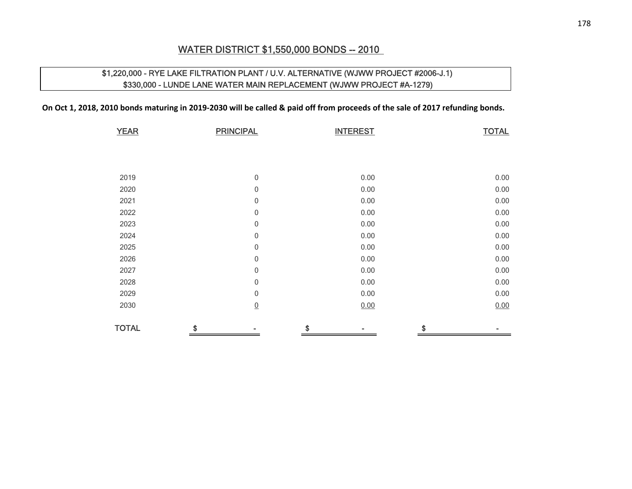## WATER DISTRICT \$1,550,000 BONDS -- 2010

## \$1,220,000 - RYE LAKE FILTRATION PLANT / U.V. ALTERNATIVE (WJWW PROJECT #2006-J.1) \$330,000 - LUNDE LANE WATER MAIN REPLACEMENT (WJWW PROJECT #A-1279)

On Oct 1, 2018, 2010 bonds maturing in 2019-2030 will be called & paid off from proceeds of the sale of 2017 refunding bonds.

| <b>YEAR</b>  | <b>PRINCIPAL</b> | <b>INTEREST</b> | <b>TOTAL</b> |
|--------------|------------------|-----------------|--------------|
|              |                  |                 |              |
|              |                  |                 |              |
| 2019         | 0                | 0.00            | 0.00         |
| 2020         | 0                | 0.00            | 0.00         |
| 2021         | 0                | 0.00            | 0.00         |
| 2022         | 0                | 0.00            | 0.00         |
| 2023         | $\boldsymbol{0}$ | 0.00            | 0.00         |
| 2024         | 0                | 0.00            | 0.00         |
| 2025         | 0                | 0.00            | 0.00         |
| 2026         | 0                | 0.00            | 0.00         |
| 2027         | 0                | 0.00            | 0.00         |
| 2028         | 0                | 0.00            | 0.00         |
| 2029         | 0                | 0.00            | 0.00         |
| 2030         | $\underline{0}$  | 0.00            | 0.00         |
| <b>TOTAL</b> | \$               | \$              | \$           |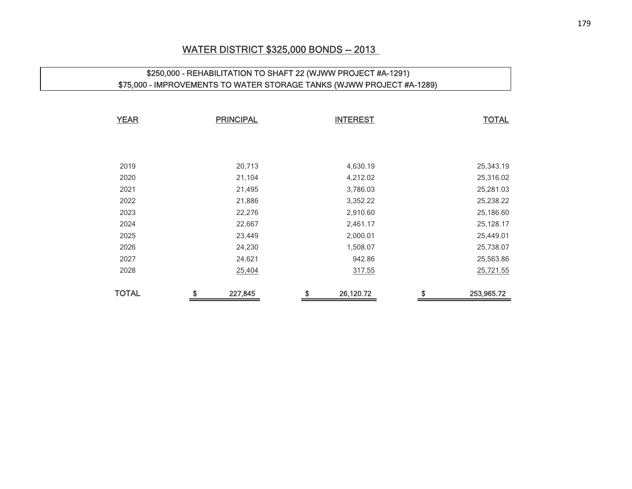### WATER DISTRICT \$325,000 BONDS -- 2013

# \$250,000 - REHABILITATION TO SHAFT 22 (WJWW PROJECT #A-1291) \$75,000 - IMPROVEMENTS TO WATER STORAGE TANKS (WJWW PROJECT #A-1289) **YEAR** PRINCIPAL INTEREST TOTAL 20,713 4,630.19 25,343.19

| <b>TOTAL</b> | \$<br>227,845 | \$<br>26,120.72 | \$<br>253,965.72 |
|--------------|---------------|-----------------|------------------|
| 2028         | 25,404        | 317.55          | 25,721.55        |
| 2027         | 24,621        | 942.86          | 25,563.86        |
| 2026         | 24,230        | 1,508.07        | 25,738.07        |
| 2025         | 23,449        | 2,000.01        | 25,449.01        |
| 2024         | 22,667        | 2,461.17        | 25,128.17        |
| 2023         | 22,276        | 2,910.60        | 25,186.60        |
| 2022         | 21,886        | 3,352.22        | 25,238.22        |
| 2021         | 21,495        | 3,786.03        | 25,281.03        |
| 2020         | 21,104        | 4,212.02        | 25,316.02        |
| 20 I Y       | ∠∪, / TO      | 4,000.19        | 20,040.19        |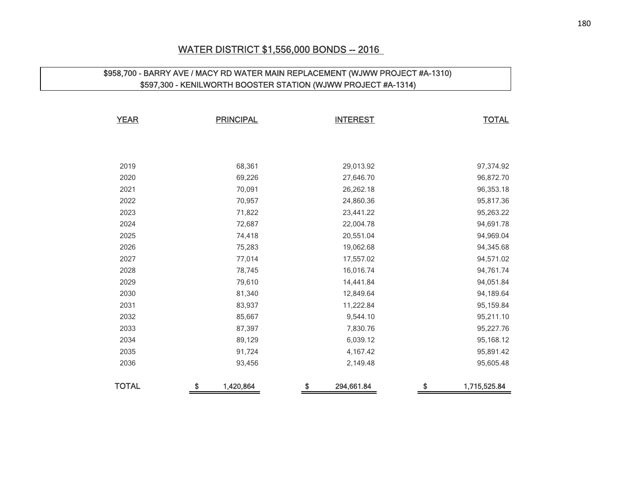### WATER DISTRICT \$1,556,000 BONDS -- 2016

# \$958,700 - BARRY AVE / MACY RD WATER MAIN REPLACEMENT (WJWW PROJECT #A-1310) \$597,300 - KENILWORTH BOOSTER STATION (WJWW PROJECT #A-1314)

| <b>YEAR</b>  | <b>PRINCIPAL</b> | <b>INTEREST</b>  | <b>TOTAL</b>       |
|--------------|------------------|------------------|--------------------|
|              |                  |                  |                    |
|              |                  |                  |                    |
| 2019         | 68,361           | 29,013.92        | 97,374.92          |
| 2020         | 69,226           | 27,646.70        | 96,872.70          |
| 2021         | 70,091           | 26,262.18        | 96,353.18          |
| 2022         | 70,957           | 24,860.36        | 95,817.36          |
| 2023         | 71,822           | 23,441.22        | 95,263.22          |
| 2024         | 72,687           | 22,004.78        | 94,691.78          |
| 2025         | 74,418           | 20,551.04        | 94,969.04          |
| 2026         | 75,283           | 19,062.68        | 94,345.68          |
| 2027         | 77,014           | 17,557.02        | 94,571.02          |
| 2028         | 78,745           | 16,016.74        | 94,761.74          |
| 2029         | 79,610           | 14,441.84        | 94,051.84          |
| 2030         | 81,340           | 12,849.64        | 94,189.64          |
| 2031         | 83,937           | 11,222.84        | 95,159.84          |
| 2032         | 85,667           | 9,544.10         | 95,211.10          |
| 2033         | 87,397           | 7,830.76         | 95,227.76          |
| 2034         | 89,129           | 6,039.12         | 95,168.12          |
| 2035         | 91,724           | 4,167.42         | 95,891.42          |
| 2036         | 93,456           | 2,149.48         | 95,605.48          |
| <b>TOTAL</b> | \$<br>1,420,864  | \$<br>294,661.84 | \$<br>1,715,525.84 |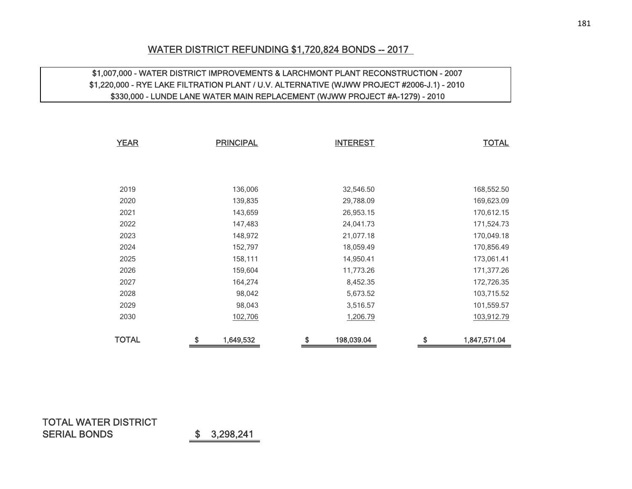# WATER DISTRICT REFUNDING \$1,720,824 BONDS -- 2017

### \$1,007,000 - WATER DISTRICT IMPROVEMENTS & LARCHMONT PLANT RECONSTRUCTION - 2007 \$1,220,000 - RYE LAKE FILTRATION PLANT / U.V. ALTERNATIVE (WJWW PROJECT #2006-J.1) - 2010 \$330,000 - LUNDE LANE WATER MAIN REPLACEMENT (WJWW PROJECT #A-1279) - 2010

| <b>YEAR</b>  | <b>PRINCIPAL</b> | <b>INTEREST</b>  | <b>TOTAL</b>       |
|--------------|------------------|------------------|--------------------|
|              |                  |                  |                    |
|              |                  |                  |                    |
| 2019         | 136,006          | 32,546.50        | 168,552.50         |
| 2020         | 139,835          | 29,788.09        | 169,623.09         |
| 2021         | 143,659          | 26,953.15        | 170,612.15         |
| 2022         | 147,483          | 24,041.73        | 171,524.73         |
| 2023         | 148,972          | 21,077.18        | 170,049.18         |
| 2024         | 152,797          | 18,059.49        | 170,856.49         |
| 2025         | 158,111          | 14,950.41        | 173,061.41         |
| 2026         | 159,604          | 11,773.26        | 171,377.26         |
| 2027         | 164,274          | 8,452.35         | 172,726.35         |
| 2028         | 98,042           | 5,673.52         | 103,715.52         |
| 2029         | 98,043           | 3,516.57         | 101,559.57         |
| 2030         | 102,706          | 1,206.79         | 103,912.79         |
| <b>TOTAL</b> | \$<br>1,649,532  | \$<br>198,039.04 | \$<br>1,847,571.04 |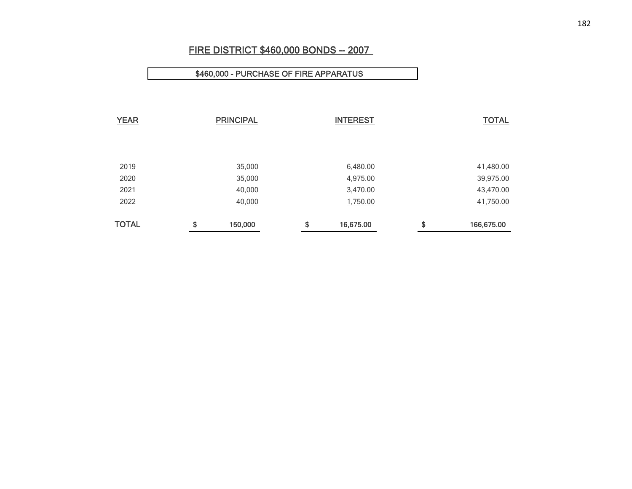# FIRE DISTRICT \$460,000 BONDS -- 2007

### \$460,000 - PURCHASE OF FIRE APPARATUS

| <b>YEAR</b>  | <b>PRINCIPAL</b> |    | <b>INTEREST</b> |    | <b>TOTAL</b> |
|--------------|------------------|----|-----------------|----|--------------|
|              |                  |    |                 |    |              |
|              |                  |    |                 |    |              |
|              |                  |    |                 |    |              |
| 2019         | 35,000           |    | 6,480.00        |    | 41,480.00    |
| 2020         | 35,000           |    | 4,975.00        |    | 39,975.00    |
| 2021         | 40,000           |    | 3,470.00        |    | 43,470.00    |
| 2022         | 40,000           |    | 1,750.00        |    | 41,750.00    |
|              |                  |    |                 |    |              |
| <b>TOTAL</b> | \$<br>150,000    | \$ | 16,675.00       | \$ | 166,675.00   |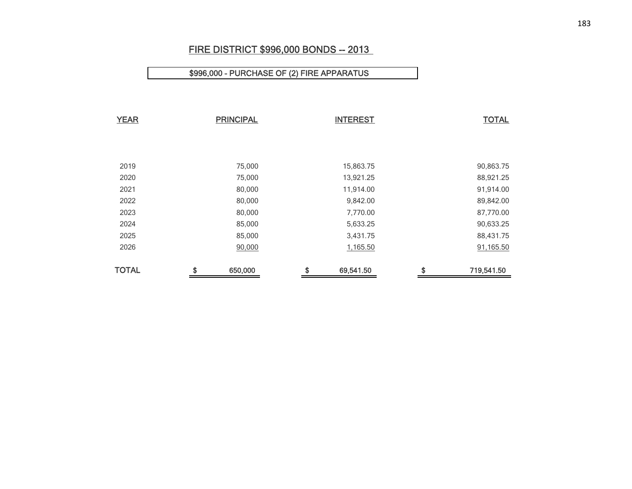# FIRE DISTRICT \$996,000 BONDS -- 2013

# \$996,000 - PURCHASE OF (2) FIRE APPARATUS

| <b>YEAR</b>  | <b>PRINCIPAL</b> | <b>INTEREST</b> |           |    | <b>TOTAL</b> |
|--------------|------------------|-----------------|-----------|----|--------------|
|              |                  |                 |           |    |              |
|              |                  |                 |           |    |              |
| 2019         | 75,000           |                 | 15,863.75 |    | 90,863.75    |
| 2020         | 75,000           |                 | 13,921.25 |    | 88,921.25    |
| 2021         | 80,000           |                 | 11,914.00 |    | 91,914.00    |
| 2022         | 80,000           |                 | 9,842.00  |    | 89,842.00    |
| 2023         | 80,000           |                 | 7,770.00  |    | 87,770.00    |
| 2024         | 85,000           |                 | 5,633.25  |    | 90,633.25    |
| 2025         | 85,000           |                 | 3,431.75  |    | 88,431.75    |
| 2026         | 90,000           |                 | 1,165.50  |    | 91,165.50    |
| <b>TOTAL</b> | \$<br>650,000    | \$              | 69,541.50 | \$ | 719,541.50   |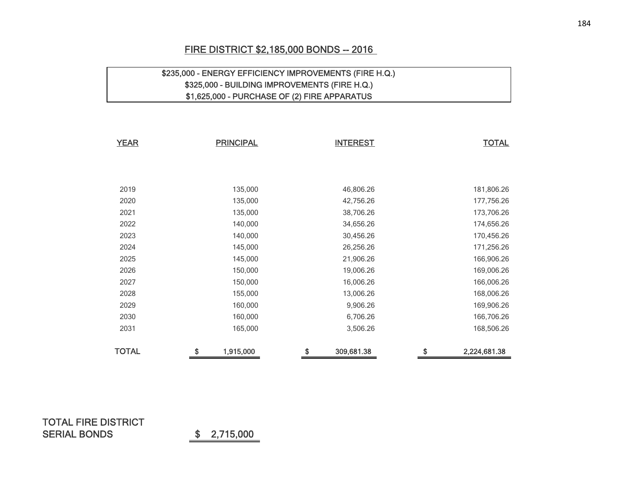# FIRE DISTRICT \$2,185,000 BONDS -- 2016

# \$235,000 - ENERGY EFFICIENCY IMPROVEMENTS (FIRE H.Q.) \$325,000 - BUILDING IMPROVEMENTS (FIRE H.Q.) \$1,625,000 - PURCHASE OF (2) FIRE APPARATUS

| <b>YEAR</b>  | <b>PRINCIPAL</b> | <b>INTEREST</b>  | <b>TOTAL</b>       |
|--------------|------------------|------------------|--------------------|
|              |                  |                  |                    |
|              |                  |                  |                    |
| 2019         | 135,000          | 46,806.26        | 181,806.26         |
| 2020         | 135,000          | 42,756.26        | 177,756.26         |
| 2021         | 135,000          | 38,706.26        | 173,706.26         |
| 2022         | 140,000          | 34,656.26        | 174,656.26         |
| 2023         | 140,000          | 30,456.26        | 170,456.26         |
| 2024         | 145,000          | 26,256.26        | 171,256.26         |
| 2025         | 145,000          | 21,906.26        | 166,906.26         |
| 2026         | 150,000          | 19,006.26        | 169,006.26         |
| 2027         | 150,000          | 16,006.26        | 166,006.26         |
| 2028         | 155,000          | 13,006.26        | 168,006.26         |
| 2029         | 160,000          | 9,906.26         | 169,906.26         |
| 2030         | 160,000          | 6,706.26         | 166,706.26         |
| 2031         | 165,000          | 3,506.26         | 168,506.26         |
| <b>TOTAL</b> | 1,915,000<br>\$  | \$<br>309,681.38 | \$<br>2,224,681.38 |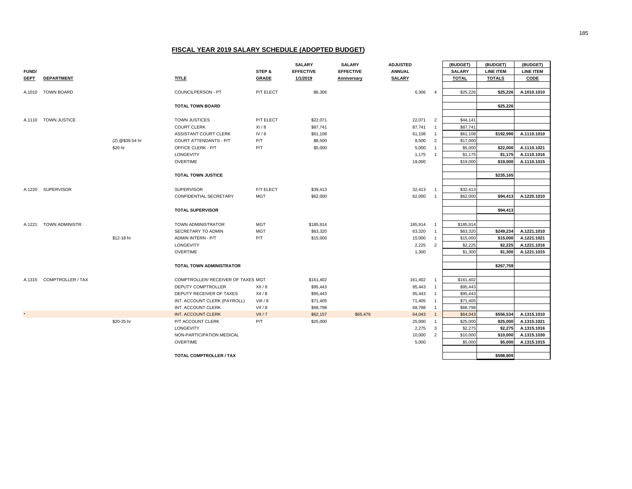|             |                          |                 |                                                 |              | <b>SALARY</b>       | <b>SALARY</b>    | <b>ADJUSTED</b> |                                  | (BUDGET)             | (BUDGET)         | (BUDGET)                   |
|-------------|--------------------------|-----------------|-------------------------------------------------|--------------|---------------------|------------------|-----------------|----------------------------------|----------------------|------------------|----------------------------|
| FUND/       |                          |                 |                                                 | STEP &       | <b>EFFECTIVE</b>    | <b>EFFECTIVE</b> | <b>ANNUAL</b>   |                                  | <b>SALARY</b>        | <b>LINE ITEM</b> | <b>LINE ITEM</b>           |
| <b>DEPT</b> | <b>DEPARTMENT</b>        |                 | <b>TITLE</b>                                    | <b>GRADE</b> | 1/1/2019            | Anniversary      | <b>SALARY</b>   |                                  | <b>TOTAL</b>         | <b>TOTALS</b>    | CODE                       |
|             |                          |                 |                                                 |              |                     |                  |                 |                                  |                      |                  |                            |
|             | A.1010 TOWN BOARD        |                 | COUNCILPERSON - PT                              | P/T ELECT    | \$6,306             |                  | 6,306           | $\overline{4}$                   | \$25,226             | \$25,226         | A.1010.1010                |
|             |                          |                 |                                                 |              |                     |                  |                 |                                  |                      |                  |                            |
|             |                          |                 | <b>TOTAL TOWN BOARD</b>                         |              |                     |                  |                 |                                  |                      | \$25,226         |                            |
|             |                          |                 |                                                 |              |                     |                  |                 |                                  |                      |                  |                            |
| A.1110      | <b>TOWN JUSTICE</b>      |                 | <b>TOWN JUSTICES</b>                            | P/T ELECT    | \$22,071            |                  | 22,071          | $\overline{2}$                   | \$44,14              |                  |                            |
|             |                          |                 | <b>COURT CLERK</b>                              | XI/8         | \$87,741            |                  | 87,741          | $\overline{1}$                   | \$87,741             |                  |                            |
|             |                          | (2) @\$39.54 hr | ASSISTANT COURT CLERK<br>COURT ATTENDANTS - P/T | IV/8<br>P/T  | \$61,108<br>\$8,500 |                  | 61,108<br>8,500 | $\overline{1}$<br>$\overline{2}$ | \$61,108<br>\$17,000 | \$192,990        | A.1110.1010                |
|             |                          | \$20 hr         | OFFICE CLERK - P/T                              | P/T          | \$5,000             |                  | 5,000           | $\overline{1}$                   | \$5,000              | \$22,000         |                            |
|             |                          |                 | LONGEVITY                                       |              |                     |                  | 1,175           | $\overline{1}$                   | \$1,175              | \$1,175          | A.1110.1021<br>A.1110.1016 |
|             |                          |                 | <b>OVERTIME</b>                                 |              |                     |                  | 19,000          |                                  | \$19,000             | \$19,000         | A.1110.1015                |
|             |                          |                 |                                                 |              |                     |                  |                 |                                  |                      |                  |                            |
|             |                          |                 | <b>TOTAL TOWN JUSTICE</b>                       |              |                     |                  |                 |                                  |                      | \$235,165        |                            |
|             |                          |                 |                                                 |              |                     |                  |                 |                                  |                      |                  |                            |
| A.1220      | <b>SUPERVISOR</b>        |                 | <b>SUPERVISOR</b>                               | F/T ELECT    | \$39,413            |                  | 32,413          | $\overline{1}$                   | \$32,413             |                  |                            |
|             |                          |                 | CONFIDENTIAL SECRETARY                          | <b>MGT</b>   | \$62,000            |                  | 62,000          | $\overline{1}$                   | \$62,000             | \$94,413         | A.1220.1010                |
|             |                          |                 |                                                 |              |                     |                  |                 |                                  |                      |                  |                            |
|             |                          |                 | <b>TOTAL SUPERVISOR</b>                         |              |                     |                  |                 |                                  |                      | \$94,413         |                            |
|             |                          |                 |                                                 |              |                     |                  |                 |                                  |                      |                  |                            |
| A.1221      | TOWN ADMINISTR.          |                 | TOWN ADMINISTRATOR                              | <b>MGT</b>   | \$185,914           |                  | 185,914         | $\overline{1}$                   | \$185,914            |                  |                            |
|             |                          |                 | SECRETARY TO ADMIN                              | <b>MGT</b>   | \$63,320            |                  | 63,320          | $\overline{1}$                   | \$63,320             | \$249,234        | A.1221.1010                |
|             |                          | \$12-18 hr      | ADMIN INTERN - P/T                              | P/T          | \$15,000            |                  | 15,000          | $\overline{1}$                   | \$15,000             | \$15,000         | A.1221.1021                |
|             |                          |                 | LONGEVITY                                       |              |                     |                  | 2,225           | $\overline{2}$                   | \$2,225              | \$2,225          | A.1221.1016                |
|             |                          |                 | <b>OVERTIME</b>                                 |              |                     |                  | 1,300           |                                  | \$1,300              | \$1,300          | A.1221.1015                |
|             |                          |                 |                                                 |              |                     |                  |                 |                                  |                      |                  |                            |
|             |                          |                 | TOTAL TOWN ADMINISTRATOR                        |              |                     |                  |                 |                                  |                      | \$267,759        |                            |
|             |                          |                 |                                                 |              |                     |                  |                 |                                  |                      |                  |                            |
|             | A.1315 COMPTROLLER / TAX |                 | COMPTROLLER/ RECEIVER OF TAXES MGT              |              | \$161,402           |                  | 161,402         | $\overline{1}$                   | \$161,402            |                  |                            |
|             |                          |                 | DEPUTY COMPTROLLER                              | XII/8        | \$95,443            |                  | 95,443          | $\overline{1}$                   | \$95,443             |                  |                            |
|             |                          |                 | DEPUTY RECEIVER OF TAXES                        | XII/8        | \$95,443            |                  | 95,443          | $\overline{1}$                   | \$95,443             |                  |                            |
|             |                          |                 | INT. ACCOUNT CLERK (PAYROLL)                    | VIII/8       | \$71,405            |                  | 71,405          | $\overline{1}$                   | \$71,405             |                  |                            |
|             |                          |                 | INT. ACCOUNT CLERK                              | VII / 8      | \$68,798            |                  | 68,798          | $\overline{1}$                   | \$68,798             |                  |                            |
|             |                          |                 | INT. ACCOUNT CLERK                              | VII / 7      | \$62,157            | \$65,476         | 64,043          | $\overline{1}$                   | \$64,043             | \$556,534        | A.1315.1010                |
|             |                          | \$20-25 hr      | P/T ACCOUNT CLERK                               | P/T          | \$25,000            |                  | 25,000          | $\overline{1}$                   | \$25,000             | \$25,000         | A.1315.1021                |
|             |                          |                 | LONGEVITY                                       |              |                     |                  | 2,275           | $\overline{3}$                   | \$2,275              | \$2,275          | A.1315.1016                |
|             |                          |                 | NON-PARTICIPATION MEDICAL<br><b>OVERTIME</b>    |              |                     |                  | 10,000          | $\overline{2}$                   | \$10,000<br>\$5,000  | \$10,000         | A.1315.1030                |
|             |                          |                 |                                                 |              |                     |                  | 5,000           |                                  |                      | \$5,000          | A.1315.1015                |
|             |                          |                 | TOTAL COMPTROLLER / TAX                         |              |                     |                  |                 |                                  |                      | \$598.809        |                            |
|             |                          |                 |                                                 |              |                     |                  |                 |                                  |                      |                  |                            |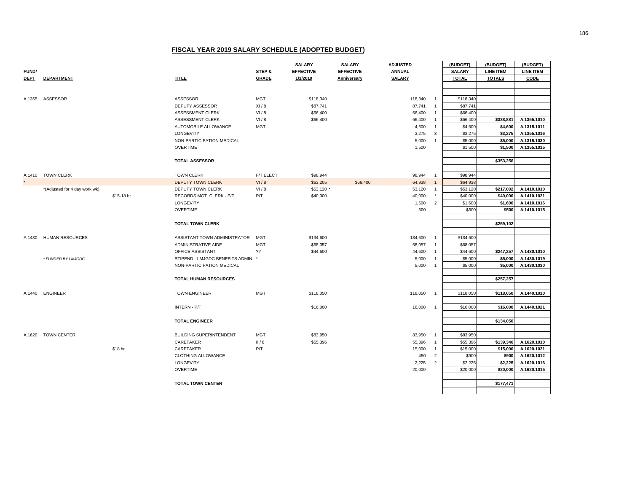|             |                               |            |                                 |              | <b>SALARY</b>    | <b>SALARY</b>    | <b>ADJUSTED</b> |                | (BUDGET)      | (BUDGET)         | (BUDGET)         |
|-------------|-------------------------------|------------|---------------------------------|--------------|------------------|------------------|-----------------|----------------|---------------|------------------|------------------|
| FUND/       |                               |            |                                 | STEP &       | <b>EFFECTIVE</b> | <b>EFFECTIVE</b> | <b>ANNUAL</b>   |                | <b>SALARY</b> | <b>LINE ITEM</b> | <b>LINE ITEM</b> |
| <b>DEPT</b> | <b>DEPARTMENT</b>             |            | <b>TITLE</b>                    | <b>GRADE</b> | 1/1/2019         | Anniversary      | <b>SALARY</b>   |                | <b>TOTAL</b>  | <b>TOTALS</b>    | CODE             |
|             |                               |            |                                 |              |                  |                  |                 |                |               |                  |                  |
|             |                               |            |                                 |              |                  |                  |                 |                |               |                  |                  |
| A.1355      | ASSESSOR                      |            | ASSESSOR                        | <b>MGT</b>   | \$118,340        |                  | 118,340         | $\overline{1}$ | \$118,340     |                  |                  |
|             |                               |            | DEPUTY ASSESSOR                 | XI/8         | \$87,741         |                  | 87,741          | $\overline{1}$ | \$87,741      |                  |                  |
|             |                               |            | ASSESSMENT CLERK                | VI/8         | \$66,400         |                  | 66,400          | $\overline{1}$ | \$66,400      |                  |                  |
|             |                               |            | ASSESSMENT CLERK                | VI/8         | \$66,400         |                  | 66,400          | $\overline{1}$ | \$66,400      | \$338,881        | A.1355.1010      |
|             |                               |            | AUTOMOBILE ALLOWANCE            | <b>MGT</b>   |                  |                  | 4,600           | $\overline{1}$ | \$4,600       | \$4,600          | A.1315.1011      |
|             |                               |            | LONGEVITY                       |              |                  |                  | 3,275           | $\mathbf{3}$   | \$3,275       | \$3,275          | A.1355.1016      |
|             |                               |            | NON-PARTICIPATION MEDICAL       |              |                  |                  | 5,000           | $\overline{1}$ | \$5,000       | \$5,000          | A.1315.1030      |
|             |                               |            | <b>OVERTIME</b>                 |              |                  |                  | 1,500           |                | \$1,500       | \$1,500          | A.1355.1015      |
|             |                               |            |                                 |              |                  |                  |                 |                |               |                  |                  |
|             |                               |            | <b>TOTAL ASSESSOR</b>           |              |                  |                  |                 |                |               | \$353,256        |                  |
|             |                               |            |                                 |              |                  |                  |                 |                |               |                  |                  |
|             | A.1410 TOWN CLERK             |            | <b>TOWN CLERK</b>               | F/T ELECT    | \$98,944         |                  | 98,944          | $\overline{1}$ | \$98,944      |                  |                  |
|             |                               |            | <b>DEPUTY TOWN CLERK</b>        | VI/8         | \$63,205         | \$66,400         | 64,938          | $\overline{1}$ | \$64,938      |                  |                  |
|             | *(Adjusted for 4 day work wk) |            | <b>DEPUTY TOWN CLERK</b>        | VI/8         | \$53,120 *       |                  | 53,120          | $\overline{1}$ | \$53,120      | \$217,002        | A.1410.1010      |
|             |                               | \$15-18 hr | RECORDS MGT. CLERK - P/T        | P/T          | \$40,000         |                  | 40,000          | $^\star$       | \$40,000      | \$40,000         | A.1410.1021      |
|             |                               |            | LONGEVITY                       |              |                  |                  | 1,600           | $\overline{2}$ | \$1,600       | \$1,600          | A.1410.1016      |
|             |                               |            | <b>OVERTIME</b>                 |              |                  |                  | 500             |                | \$500         | \$500            | A.1410.1015      |
|             |                               |            |                                 |              |                  |                  |                 |                |               |                  |                  |
|             |                               |            | <b>TOTAL TOWN CLERK</b>         |              |                  |                  |                 |                |               | \$259,102        |                  |
|             |                               |            |                                 |              |                  |                  |                 |                |               |                  |                  |
| A.1430      | <b>HUMAN RESOURCES</b>        |            | ASSISTANT TOWN ADMINISTRATOR    | <b>MGT</b>   | \$134,600        |                  | 134,600         | $\overline{1}$ | \$134,600     |                  |                  |
|             |                               |            | ADMINISTRATIVE AIDE             | <b>MGT</b>   | \$68,057         |                  | 68,057          | $\overline{1}$ | \$68,057      |                  |                  |
|             |                               |            | OFFICE ASSISTANT                | 22           | \$44,600         |                  | 44,600          | $\overline{1}$ | \$44,600      | \$247,257        | A.1430.1010      |
|             | * FUNDED BY LMJGDC            |            | STIPEND - LMJGDC BENEFITS ADMIN |              |                  |                  | 5,000           | $\overline{1}$ | \$5,000       | \$5,000          | A.1430.1019      |
|             |                               |            | NON-PARTICIPATION MEDICAL       |              |                  |                  | 5,000           | $\overline{1}$ | \$5,000       | \$5,000          | A.1430.1030      |
|             |                               |            |                                 |              |                  |                  |                 |                |               |                  |                  |
|             |                               |            | <b>TOTAL HUMAN RESOURCES</b>    |              |                  |                  |                 |                |               | \$257,257        |                  |
|             |                               |            |                                 |              |                  |                  |                 |                |               |                  |                  |
|             | A.1440 ENGINEER               |            | <b>TOWN ENGINEER</b>            | <b>MGT</b>   | \$118,050        |                  | 118,050         | $\overline{1}$ | \$118,050     | \$118,050        | A.1440.1010      |
|             |                               |            |                                 |              |                  |                  |                 |                |               |                  |                  |
|             |                               |            | <b>INTERN - P/T</b>             |              | \$16,000         |                  | 16,000          | $\overline{1}$ | \$16,000      | \$16,000         | A.1440.1021      |
|             |                               |            |                                 |              |                  |                  |                 |                |               |                  |                  |
|             |                               |            | <b>TOTAL ENGINEER</b>           |              |                  |                  |                 |                |               | \$134,050        |                  |
|             |                               |            |                                 |              |                  |                  |                 |                |               |                  |                  |
| A.1620      | <b>TOWN CENTER</b>            |            | <b>BUILDING SUPERINTENDENT</b>  | <b>MGT</b>   | \$83,950         |                  | 83,950          | $\overline{1}$ | \$83,950      |                  |                  |
|             |                               |            | CARETAKER                       | II/8         | \$55,396         |                  | 55,396          | $\overline{1}$ | \$55,396      | \$139,346        | A.1620.1010      |
|             |                               | \$18 hr    | CARETAKER                       | P/T          |                  |                  | 15,000          | $\overline{1}$ | \$15,000      | \$15,000         | A.1620.1021      |
|             |                               |            | CLOTHING ALLOWANCE              |              |                  |                  | 450             | $\overline{2}$ | \$900         | \$900            | A.1620.1012      |
|             |                               |            | LONGEVITY                       |              |                  |                  | 2,225           | $\overline{2}$ | \$2,225       | \$2,225          | A.1620.1016      |
|             |                               |            | <b>OVERTIME</b>                 |              |                  |                  | 20,000          |                | \$20,000      | \$20,000         | A.1620.1015      |
|             |                               |            |                                 |              |                  |                  |                 |                |               |                  |                  |
|             |                               |            | <b>TOTAL TOWN CENTER</b>        |              |                  |                  |                 |                |               | \$177,471        |                  |
|             |                               |            |                                 |              |                  |                  |                 |                |               |                  |                  |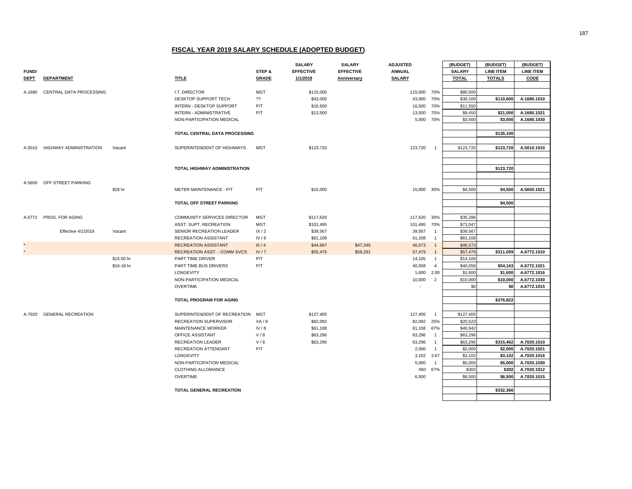|              |                           |            |                                     |              | <b>SALARY</b>    | <b>SALARY</b>    | <b>ADJUSTED</b> |                | (BUDGET)      | (BUDGET)         | (BUDGET)         |
|--------------|---------------------------|------------|-------------------------------------|--------------|------------------|------------------|-----------------|----------------|---------------|------------------|------------------|
| <b>FUND/</b> |                           |            |                                     | STEP &       | <b>EFFECTIVE</b> | <b>EFFECTIVE</b> | <b>ANNUAL</b>   |                | <b>SALARY</b> | <b>LINE ITEM</b> | <b>LINE ITEM</b> |
| <b>DEPT</b>  | <b>DEPARTMENT</b>         |            | <b>TITLE</b>                        | <b>GRADE</b> | 1/1/2019         | Anniversary      | <b>SALARY</b>   |                | <b>TOTAL</b>  | <b>TOTALS</b>    | CODE             |
|              |                           |            |                                     |              |                  |                  |                 |                |               |                  |                  |
| A.1680       | CENTRAL DATA PROCESSING   |            | I.T. DIRECTOR                       | <b>MGT</b>   | \$115,000        |                  | 115,000         | 70%            | \$80,500      |                  |                  |
|              |                           |            | DESKTOP SUPPORT TECH                | ??           | \$43,000         |                  | 43,000          | 70%            | \$30,100      | \$110,600        | A.1680.1010      |
|              |                           |            | INTERN - DESKTOP SUPPORT            | P/T          | \$16,500         |                  | 16,500          | 70%            | \$11,550      |                  |                  |
|              |                           |            | INTERN - ADMINISTRATIVE             | P/T          | \$13,500         |                  | 13,500 70%      |                | \$9,450       | \$21,000         | A.1680.1021      |
|              |                           |            | NON-PARTICIPATION MEDICAL           |              |                  |                  | 5,000 70%       |                | \$3,500       | \$3,500          | A.1680.1030      |
|              |                           |            |                                     |              |                  |                  |                 |                |               |                  |                  |
|              |                           |            | TOTAL CENTRAL DATA PROCESSING       |              |                  |                  |                 |                |               | \$135,100        |                  |
|              |                           |            |                                     |              |                  |                  |                 |                |               |                  |                  |
| A.5010       | HIGHWAY ADMINISTRATION    | Vacant     | SUPERINTENDENT OF HIGHWAYS          | <b>MGT</b>   | \$123,720        |                  | 123,720         | $\overline{1}$ | \$123,720     | \$123,720        | A.5010.1010      |
|              |                           |            |                                     |              |                  |                  |                 |                |               |                  |                  |
|              |                           |            |                                     |              |                  |                  |                 |                |               |                  |                  |
|              |                           |            | TOTAL HIGHWAY ADMINISTRATION        |              |                  |                  |                 |                |               | \$123,720        |                  |
|              |                           |            |                                     |              |                  |                  |                 |                |               |                  |                  |
| A.5650       | OFF STREET PARKING        |            |                                     |              |                  |                  |                 |                |               |                  |                  |
|              |                           | \$28 hr    | METER MAINTENANCE - P/T             | P/T          | \$15,000         |                  | 15,000 30%      |                | \$4,500       | \$4,500          | A.5650.1021      |
|              |                           |            |                                     |              |                  |                  |                 |                |               |                  |                  |
|              |                           |            | TOTAL OFF STREET PARKING            |              |                  |                  |                 |                |               | \$4,500          |                  |
|              |                           |            |                                     |              |                  |                  |                 |                |               |                  |                  |
|              | A.6772 PROG. FOR AGING    |            | COMMUNITY SERVICES DIRECTOR         | <b>MGT</b>   | \$117,620        |                  | 117,620 30%     |                | \$35,286      |                  |                  |
|              |                           |            | ASST. SUPT. RECREATION              | <b>MGT</b>   | \$101,495        |                  | 101,495         | 70%            | \$71,047      |                  |                  |
|              | Effective 4/1/2019        | Vacant     | SENIOR RECREATION LEADER            | IX/2         | \$39,567         |                  | 39,567          | $\overline{1}$ | \$39,567      |                  |                  |
|              |                           |            | RECREATION ASSISTANT                | IV/8         | \$61,108         |                  | 61,108          | $\overline{1}$ | \$61,108      |                  |                  |
|              |                           |            | <b>RECREATION ASSISTANT</b>         | III/4        | \$44,667         | \$47,345         | 46,573          | $\overline{1}$ | \$46,573      |                  |                  |
|              |                           |            | <b>RECREATION ASST. - COMM SVCS</b> | IV/7         | \$55,475         | \$58,291         | 57,479          | $\overline{1}$ | \$57,479      | \$311,059        | A.6772.1010      |
|              |                           | \$15.50 hr | PART TIME DRIVER                    | P/T          |                  |                  | 14,105          | $\overline{1}$ | \$14,105      |                  |                  |
|              |                           | \$16-18 hr | PART TIME BUS DRIVERS               | P/T          |                  |                  | 40,058          | $\overline{4}$ | \$40,058      | \$54,163         | A.6772.1021      |
|              |                           |            | LONGEVITY                           |              |                  |                  | 1,600           | 2.00           | \$1,600       | \$1,600          | A.6772.1016      |
|              |                           |            | NON-PARTICIPATION MEDICAL           |              |                  |                  | 10,000          | $\overline{2}$ | \$10,000      | \$10,000         | A.6772.1030      |
|              |                           |            | <b>OVERTIME</b>                     |              |                  |                  | $\sim$          |                | \$0           | \$0              | A.6772.1015      |
|              |                           |            |                                     |              |                  |                  |                 |                |               |                  |                  |
|              |                           |            | TOTAL PROGRAM FOR AGING             |              |                  |                  |                 |                |               | \$376,822        |                  |
|              |                           |            |                                     |              |                  |                  |                 |                |               |                  |                  |
| A.7020       | <b>GENERAL RECREATION</b> |            | SUPERINTENDENT OF RECREATION        | <b>MGT</b>   | \$127,405        |                  | 127,405         | $\overline{1}$ | \$127,405     |                  |                  |
|              |                           |            | RECREATION SUPERVISOR               | XA/8         | \$82,092         |                  | 82,092 25%      |                | \$20,523      |                  |                  |
|              |                           |            | MAINTENANCE WORKER                  | IV/8         | \$61,108         |                  | 61,108 67%      |                | \$40,942      |                  |                  |
|              |                           |            | OFFICE ASSISTANT                    | V/8          | \$63,296         |                  | 63,296          | $\overline{1}$ | \$63,296      |                  |                  |
|              |                           |            | <b>RECREATION LEADER</b>            | V/8          | \$63,296         |                  | 63,296          | $\overline{1}$ | \$63,296      | \$315,462        | A.7020.1010      |
|              |                           |            | RECREATION ATTENDANT                | P/T          |                  |                  | 2,000           | $\overline{1}$ | \$2,000       | \$2,000          | A.7020.1021      |
|              |                           |            | LONGEVITY                           |              |                  |                  | 3,102 3.67      |                | \$3,102       | \$3,102          | A.7020.1016      |
|              |                           |            | NON-PARTICIPATION MEDICAL           |              |                  |                  | 5,000           | $\overline{1}$ | \$5,000       | \$5,000          | A.7020.1030      |
|              |                           |            | CLOTHING ALLOWANCE                  |              |                  |                  | 450             | 67%            | \$302         | \$302            | A.7020.1012      |
|              |                           |            | <b>OVERTIME</b>                     |              |                  |                  | 6,500           |                | \$6,500       | \$6,500          | A.7020.1015      |
|              |                           |            |                                     |              |                  |                  |                 |                |               |                  |                  |
|              |                           |            | TOTAL GENERAL RECREATION            |              |                  |                  |                 |                |               | \$332,366        |                  |
|              |                           |            |                                     |              |                  |                  |                 |                |               |                  |                  |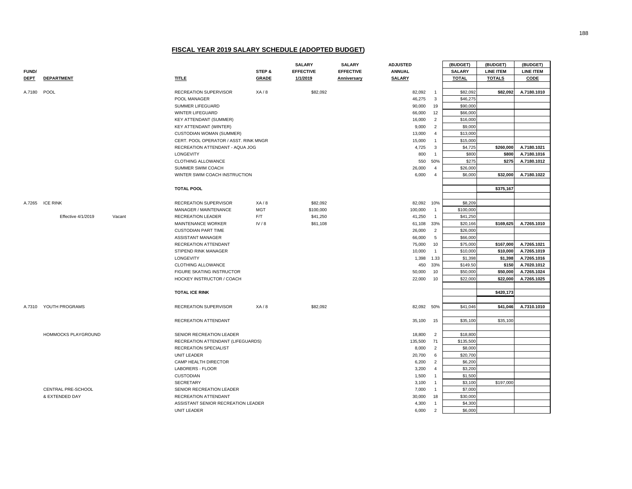|              |                           |        |                                                               |              | <b>SALARY</b>    | <b>SALARY</b>    | <b>ADJUSTED</b>   |                      | (BUDGET)              | (BUDGET)         | (BUDGET)         |
|--------------|---------------------------|--------|---------------------------------------------------------------|--------------|------------------|------------------|-------------------|----------------------|-----------------------|------------------|------------------|
| <b>FUND/</b> |                           |        |                                                               | STEP &       | <b>EFFECTIVE</b> | <b>EFFECTIVE</b> | <b>ANNUAL</b>     |                      | <b>SALARY</b>         | <b>LINE ITEM</b> | <b>LINE ITEM</b> |
| <b>DEPT</b>  | <b>DEPARTMENT</b>         |        | <b>TITLE</b>                                                  | <b>GRADE</b> | 1/1/2019         | Anniversary      | <b>SALARY</b>     |                      | <b>TOTAL</b>          | <b>TOTALS</b>    | CODE             |
|              |                           |        |                                                               |              |                  |                  |                   |                      |                       |                  |                  |
| A.7180       | POOL                      |        | RECREATION SUPERVISOR                                         | XA/8         | \$82,092         |                  | 82,092            | $\overline{1}$       | \$82,092              | \$82,092         | A.7180.1010      |
|              |                           |        | POOL MANAGER                                                  |              |                  |                  | 46,275            | $\mathbf{3}$         | \$46,275              |                  |                  |
|              |                           |        | SUMMER LIFEGUARD                                              |              |                  |                  | 90,000            | 19                   | \$90,000              |                  |                  |
|              |                           |        | <b>WINTER LIFEGUARD</b>                                       |              |                  |                  | 66,000            | 12                   | \$66,000              |                  |                  |
|              |                           |        | <b>KEY ATTENDANT (SUMMER)</b>                                 |              |                  |                  | 16,000            | $\overline{2}$       | \$16,000              |                  |                  |
|              |                           |        | KEY ATTENDANT (WINTER)                                        |              |                  |                  | 9,000             | $\overline{2}$       | \$9,000               |                  |                  |
|              |                           |        | <b>CUSTODIAN WOMAN (SUMMER)</b>                               |              |                  |                  | 13,000            | $\overline{4}$       | \$13,000              |                  |                  |
|              |                           |        | CERT. POOL OPERATOR / ASST. RINK MNGR                         |              |                  |                  | 15,000            | $\overline{1}$       | \$15,000              |                  |                  |
|              |                           |        | RECREATION ATTENDANT - AQUA JOG                               |              |                  |                  | 4,725             | 3                    | \$4,725               | \$260,000        | A.7180.1021      |
|              |                           |        | LONGEVITY                                                     |              |                  |                  | 800               | $\overline{1}$       | \$800                 | \$800            | A.7180.1016      |
|              |                           |        | CLOTHING ALLOWANCE                                            |              |                  |                  | 550               | 50%                  | \$275                 | \$275            | A.7180.1012      |
|              |                           |        | SUMMER SWIM COACH                                             |              |                  |                  | 26,000            | $\overline{4}$       | \$26,000              |                  |                  |
|              |                           |        | WINTER SWIM COACH INSTRUCTION                                 |              |                  |                  | 6,000             | $\overline{4}$       | \$6,000               | \$32,000         | A.7180.1022      |
|              |                           |        |                                                               |              |                  |                  |                   |                      |                       |                  |                  |
|              |                           |        | <b>TOTAL POOL</b>                                             |              |                  |                  |                   |                      |                       | \$375,167        |                  |
|              |                           |        |                                                               |              |                  |                  |                   |                      |                       |                  |                  |
|              | A.7265 ICE RINK           |        | RECREATION SUPERVISOR                                         | XA/8         | \$82,092         |                  | 82,092 10%        |                      | \$8,209               |                  |                  |
|              |                           |        | MANAGER / MAINTENANCE                                         | <b>MGT</b>   | \$100,000        |                  | 100,000           | $\overline{1}$       | \$100,000             |                  |                  |
|              | Effective 4/1/2019        | Vacant | <b>RECREATION LEADER</b>                                      | F/T          | \$41,250         |                  | 41,250            | $\overline{1}$       | \$41,250              |                  |                  |
|              |                           |        | MAINTENANCE WORKER                                            | IV/8         | \$61,108         |                  | 61,108            | 33%                  | \$20,166              | \$169,625        | A.7265.1010      |
|              |                           |        | <b>CUSTODIAN PART TIME</b>                                    |              |                  |                  | 26,000            | $\overline{2}$       | \$26,000              |                  |                  |
|              |                           |        | <b>ASSISTANT MANAGER</b>                                      |              |                  |                  | 66,000            | 5                    | \$66,000              |                  |                  |
|              |                           |        | <b>RECREATION ATTENDANT</b>                                   |              |                  |                  | 75,000            | 10                   | \$75,000              | \$167,000        | A.7265.1021      |
|              |                           |        | STIPEND RINK MANAGER                                          |              |                  |                  | 10,000            | $\overline{1}$       | \$10,000              | \$10,000         | A.7265.1019      |
|              |                           |        | LONGEVITY                                                     |              |                  |                  | 1,398             | 1.33                 | \$1,398               | \$1,398          | A.7265.1016      |
|              |                           |        | CLOTHING ALLOWANCE                                            |              |                  |                  | 450               | 33%                  | \$149.50              | \$150            | A.7020.1012      |
|              |                           |        | FIGURE SKATING INSTRUCTOR                                     |              |                  |                  | 50,000            | 10                   | \$50,000              | \$50,000         | A.7265.1024      |
|              |                           |        | HOCKEY INSTRUCTOR / COACH                                     |              |                  |                  | 22,000            | 10                   | \$22,000              | \$22,000         | A.7265.1025      |
|              |                           |        |                                                               |              |                  |                  |                   |                      |                       |                  |                  |
|              |                           |        | <b>TOTAL ICE RINK</b>                                         |              |                  |                  |                   |                      |                       | \$420,173        |                  |
|              |                           |        |                                                               |              |                  |                  |                   |                      |                       |                  |                  |
|              | A.7310 YOUTH PROGRAMS     |        | <b>RECREATION SUPERVISOR</b>                                  | XA/8         | \$82,092         |                  | 82,092 50%        |                      | \$41,046              | \$41,046         | A.7310.1010      |
|              |                           |        |                                                               |              |                  |                  |                   |                      |                       |                  |                  |
|              |                           |        | RECREATION ATTENDANT                                          |              |                  |                  | 35,100            | 15                   | \$35,100              | \$35,100         |                  |
|              |                           |        |                                                               |              |                  |                  |                   |                      |                       |                  |                  |
|              | HOMMOCKS PLAYGROUND       |        | SENIOR RECREATION LEADER<br>RECREATION ATTENDANT (LIFEGUARDS) |              |                  |                  | 18,800<br>135,500 | $\overline{2}$<br>71 | \$18,800<br>\$135,500 |                  |                  |
|              |                           |        | RECREATION SPECIALIST                                         |              |                  |                  | 8,000             | $\overline{2}$       | \$8,000               |                  |                  |
|              |                           |        | UNIT LEADER                                                   |              |                  |                  | 20,700            | 6                    | \$20,700              |                  |                  |
|              |                           |        | CAMP HEALTH DIRECTOR                                          |              |                  |                  | 6,200             | $\overline{2}$       | \$6,200               |                  |                  |
|              |                           |        | LABORERS - FLOOR                                              |              |                  |                  | 3,200             | $\overline{4}$       | \$3,200               |                  |                  |
|              |                           |        | <b>CUSTODIAN</b>                                              |              |                  |                  | 1,500             | $\overline{1}$       | \$1,500               |                  |                  |
|              |                           |        | <b>SECRETARY</b>                                              |              |                  |                  | 3,100             | $\overline{1}$       | \$3,100               | \$197,000        |                  |
|              | <b>CENTRAL PRE-SCHOOL</b> |        | SENIOR RECREATION LEADER                                      |              |                  |                  | 7.000             | $\overline{1}$       | \$7,000               |                  |                  |
|              | & EXTENDED DAY            |        | RECREATION ATTENDANT                                          |              |                  |                  | 30,000            | 18                   | \$30,000              |                  |                  |
|              |                           |        | ASSISTANT SENIOR RECREATION LEADER                            |              |                  |                  | 4,300             | $\overline{1}$       | \$4,300               |                  |                  |
|              |                           |        | <b>UNIT LEADER</b>                                            |              |                  |                  | 6,000             | $\overline{2}$       | \$6,000               |                  |                  |
|              |                           |        |                                                               |              |                  |                  |                   |                      |                       |                  |                  |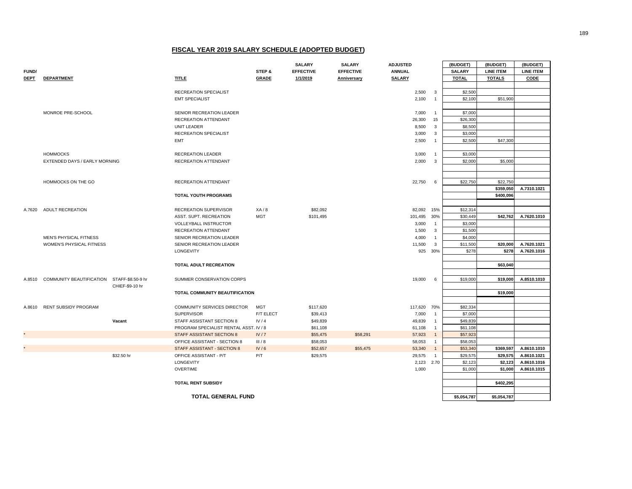|             |                                            |                                        |            | <b>SALARY</b>    | <b>SALARY</b>    | <b>ADJUSTED</b> |                | (BUDGET)      | (BUDGET)         | (BUDGET)         |
|-------------|--------------------------------------------|----------------------------------------|------------|------------------|------------------|-----------------|----------------|---------------|------------------|------------------|
| FUND/       |                                            |                                        | STEP &     | <b>EFFECTIVE</b> | <b>EFFECTIVE</b> | <b>ANNUAL</b>   |                | <b>SALARY</b> | <b>LINE ITEM</b> | <b>LINE ITEM</b> |
| <b>DEPT</b> | <b>DEPARTMENT</b>                          | <b>TITLE</b>                           | GRADE      | 1/1/2019         | Anniversary      | <b>SALARY</b>   |                | <b>TOTAL</b>  | <b>TOTALS</b>    | CODE             |
|             |                                            |                                        |            |                  |                  |                 |                |               |                  |                  |
|             |                                            | RECREATION SPECIALIST                  |            |                  |                  | 2,500           | 3              | \$2,500       |                  |                  |
|             |                                            | <b>EMT SPECIALIST</b>                  |            |                  |                  | 2,100           | $\overline{1}$ | \$2,100       | \$51,900         |                  |
|             |                                            |                                        |            |                  |                  |                 |                |               |                  |                  |
|             | MONROE PRE-SCHOOL                          | SENIOR RECREATION LEADER               |            |                  |                  | 7,000           | $\overline{1}$ | \$7,000       |                  |                  |
|             |                                            | RECREATION ATTENDANT                   |            |                  |                  | 26,300          | 15             | \$26,300      |                  |                  |
|             |                                            | UNIT LEADER                            |            |                  |                  | 8,500           | $\mathbf{3}$   | \$8,500       |                  |                  |
|             |                                            | <b>RECREATION SPECIALIST</b>           |            |                  |                  | 3,000           | 3              | \$3,000       |                  |                  |
|             |                                            | <b>EMT</b>                             |            |                  |                  | 2,500           | $\overline{1}$ | \$2,500       | \$47,300         |                  |
|             |                                            |                                        |            |                  |                  |                 |                |               |                  |                  |
|             | <b>HOMMOCKS</b>                            | RECREATION LEADER                      |            |                  |                  | 3,000           | $\overline{1}$ | \$3,000       |                  |                  |
|             | EXTENDED DAYS / EARLY MORNING              | RECREATION ATTENDANT                   |            |                  |                  | 2,000           | 3              | \$2,000       | \$5,000          |                  |
|             |                                            |                                        |            |                  |                  |                 |                |               |                  |                  |
|             |                                            |                                        |            |                  |                  |                 |                |               |                  |                  |
|             | HOMMOCKS ON THE GO                         | RECREATION ATTENDANT                   |            |                  |                  | 22,750          | 6              | \$22,750      | \$22,750         |                  |
|             |                                            |                                        |            |                  |                  |                 |                |               | \$359,050        | A.7310.1021      |
|             |                                            | <b>TOTAL YOUTH PROGRAMS</b>            |            |                  |                  |                 |                |               | \$400,096        |                  |
|             |                                            |                                        |            |                  |                  |                 |                |               |                  |                  |
| A.7620      | ADULT RECREATION                           | RECREATION SUPERVISOR                  | XA/8       | \$82,092         |                  | 82,092          | 15%            | \$12,314      |                  |                  |
|             |                                            | ASST. SUPT. RECREATION                 | <b>MGT</b> | \$101,495        |                  | 101,495         | 30%            | \$30,449      | \$42,762         | A.7620.1010      |
|             |                                            | VOLLEYBALL INSTRUCTOR                  |            |                  |                  | 3,000           | $\overline{1}$ | \$3,000       |                  |                  |
|             |                                            | RECREATION ATTENDANT                   |            |                  |                  | 1,500           | 3              | \$1,500       |                  |                  |
|             | MEN'S PHYSICAL FITNESS                     | SENIOR RECREATION LEADER               |            |                  |                  | 4,000           | $\overline{1}$ | \$4,000       |                  |                  |
|             | WOMEN'S PHYSICAL FITNESS                   | SENIOR RECREATION LEADER               |            |                  |                  | 11,500          | $\overline{3}$ | \$11,500      | \$20,000         | A.7620.1021      |
|             |                                            | <b>LONGEVITY</b>                       |            |                  |                  |                 | 925 30%        | \$278         | \$278            | A.7620.1016      |
|             |                                            |                                        |            |                  |                  |                 |                |               |                  |                  |
|             |                                            | TOTAL ADULT RECREATION                 |            |                  |                  |                 |                |               | \$63,040         |                  |
|             |                                            |                                        |            |                  |                  |                 |                |               |                  |                  |
| A.8510      | COMMUNITY BEAUTIFICATION STAFF-\$8.50-9 hr | SUMMER CONSERVATION CORPS              |            |                  |                  | 19,000          | 6              | \$19,000      | \$19,000         | A.8510.1010      |
|             | CHIEF-\$9-10 hr                            |                                        |            |                  |                  |                 |                |               |                  |                  |
|             |                                            | TOTAL COMMUNITY BEAUTIFICATION         |            |                  |                  |                 |                |               | \$19,000         |                  |
|             |                                            |                                        |            |                  |                  |                 |                |               |                  |                  |
|             | A.8610 RENT SUBSIDY PROGRAM                | COMMUNITY SERVICES DIRECTOR            | MGT        | \$117,620        |                  | 117,620 70%     |                | \$82,334      |                  |                  |
|             |                                            | <b>SUPERVISOR</b>                      | F/T ELECT  | \$39,413         |                  | 7,000           | $\overline{1}$ | \$7,000       |                  |                  |
|             | Vacant                                     | STAFF ASSISTANT SECTION 8              | IV/4       | \$49,839         |                  | 49,839          | $\overline{1}$ | \$49,839      |                  |                  |
|             |                                            | PROGRAM SPECIALIST RENTAL ASST. IV / 8 |            | \$61,108         |                  | 61,108          | $\overline{1}$ | \$61,108      |                  |                  |
|             |                                            | STAFF ASSISTANT SECTION 8              | IV/7       | \$55,475         | \$58,291         | 57,923          | $\overline{1}$ | \$57,923      |                  |                  |
|             |                                            | OFFICE ASSISTANT - SECTION 8           | III/8      | \$58,053         |                  | 58,053          | $\overline{1}$ | \$58,053      |                  |                  |
|             |                                            | STAFF ASSISTANT - SECTION 8            | IV/6       | \$52,657         | \$55,475         | 53,340          | $\overline{1}$ | \$53,340      | \$369,597        | A.8610.1010      |
|             | \$32.50 hr                                 | OFFICE ASSISTANT - P/T                 | P/T        | \$29,575         |                  | 29,575          | $\overline{1}$ | \$29,575      | \$29,575         | A.8610.1021      |
|             |                                            | LONGEVITY                              |            |                  |                  | 2,123 2.70      |                | \$2,123       | \$2,123          | A.8610.1016      |
|             |                                            | <b>OVERTIME</b>                        |            |                  |                  | 1,000           |                | \$1,000       | \$1,000          | A.8610.1015      |
|             |                                            |                                        |            |                  |                  |                 |                |               |                  |                  |
|             |                                            | <b>TOTAL RENT SUBSIDY</b>              |            |                  |                  |                 |                |               | \$402,295        |                  |
|             |                                            |                                        |            |                  |                  |                 |                |               |                  |                  |

**TOTAL GENERAL FUND**

**\$5,054,787 \$5,054,787**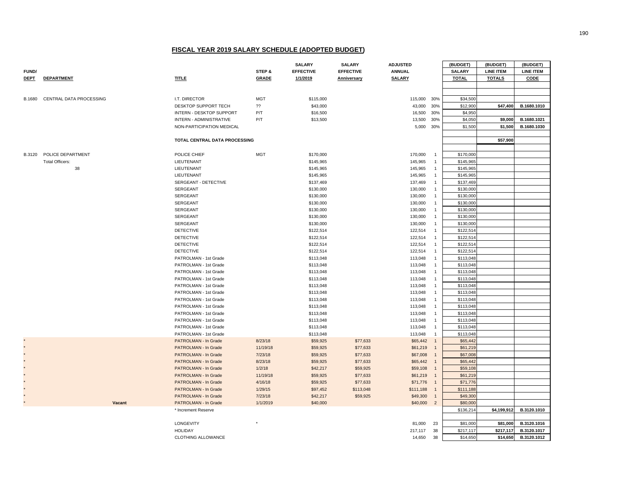|               |                                 |                                      |              | <b>SALARY</b>          | <b>SALARY</b>    | <b>ADJUSTED</b>    |                                  | (BUDGET)               | (BUDGET)         | (BUDGET)         |
|---------------|---------------------------------|--------------------------------------|--------------|------------------------|------------------|--------------------|----------------------------------|------------------------|------------------|------------------|
| <b>FUND/</b>  |                                 |                                      | STEP &       | <b>EFFECTIVE</b>       | <b>EFFECTIVE</b> | <b>ANNUAL</b>      |                                  | <b>SALARY</b>          | <b>LINE ITEM</b> | <b>LINE ITEM</b> |
| <b>DEPT</b>   | <b>DEPARTMENT</b>               | <b>TITLE</b>                         | <b>GRADE</b> | 1/1/2019               | Anniversary      | <b>SALARY</b>      |                                  | <b>TOTAL</b>           | <b>TOTALS</b>    | CODE             |
|               |                                 |                                      |              |                        |                  |                    |                                  |                        |                  |                  |
|               |                                 |                                      |              |                        |                  |                    |                                  |                        |                  |                  |
| <b>B.1680</b> | CENTRAL DATA PROCESSING         | I.T. DIRECTOR                        | <b>MGT</b>   | \$115,000              |                  | 115,000            | 30%                              | \$34,500               |                  |                  |
|               |                                 | DESKTOP SUPPORT TECH                 | 22           | \$43,000               |                  | 43,000             | 30%                              | \$12,900               | \$47,400         | B.1680.1010      |
|               |                                 | INTERN - DESKTOP SUPPORT             | P/T          | \$16,500               |                  | 16,500             | 30%                              | \$4,950                |                  |                  |
|               |                                 | INTERN - ADMINISTRATIVE              | P/T          | \$13,500               |                  | 13,500             | 30%                              | \$4,050                | \$9,000          | B.1680.1021      |
|               |                                 | NON-PARTICIPATION MEDICAL            |              |                        |                  | 5,000 30%          |                                  | \$1,500                | \$1,500          | B.1680.1030      |
|               |                                 |                                      |              |                        |                  |                    |                                  |                        |                  |                  |
|               |                                 | <b>TOTAL CENTRAL DATA PROCESSING</b> |              |                        |                  |                    |                                  |                        | \$57,900         |                  |
|               |                                 |                                      |              |                        |                  |                    |                                  |                        |                  |                  |
|               | <b>B.3120 POLICE DEPARTMENT</b> | POLICE CHIEF                         | <b>MGT</b>   | \$170,000              |                  | 170,000            | $\overline{1}$                   | \$170,000              |                  |                  |
|               | <b>Total Officers:</b><br>38    | LIEUTENANT<br>LIEUTENANT             |              | \$145,965              |                  | 145,965            | $\overline{1}$                   | \$145,965              |                  |                  |
|               |                                 |                                      |              | \$145,965              |                  | 145,965            | $\overline{1}$                   | \$145,965              |                  |                  |
|               |                                 | LIEUTENANT<br>SERGEANT - DETECTIVE   |              | \$145,965<br>\$137,469 |                  | 145,965            | $\overline{1}$<br>$\overline{1}$ | \$145,965<br>\$137,469 |                  |                  |
|               |                                 | SERGEANT                             |              |                        |                  | 137,469            | $\overline{1}$                   | \$130,000              |                  |                  |
|               |                                 | <b>SERGEANT</b>                      |              | \$130,000              |                  | 130,000            | $\overline{1}$                   | \$130,000              |                  |                  |
|               |                                 | <b>SERGEANT</b>                      |              | \$130,000<br>\$130,000 |                  | 130,000<br>130,000 | $\overline{1}$                   | \$130,000              |                  |                  |
|               |                                 | <b>SERGEANT</b>                      |              | \$130,000              |                  | 130,000            | $\overline{1}$                   | \$130,000              |                  |                  |
|               |                                 | <b>SERGEANT</b>                      |              | \$130,000              |                  | 130,000            | $\overline{1}$                   | \$130,000              |                  |                  |
|               |                                 | <b>SERGEANT</b>                      |              | \$130,000              |                  | 130,000            | $\overline{1}$                   | \$130,000              |                  |                  |
|               |                                 | <b>DETECTIVE</b>                     |              | \$122,514              |                  | 122,514            | $\overline{1}$                   | \$122,514              |                  |                  |
|               |                                 | <b>DETECTIVE</b>                     |              | \$122,514              |                  | 122,514            | $\overline{1}$                   | \$122,514              |                  |                  |
|               |                                 | <b>DETECTIVE</b>                     |              | \$122,514              |                  | 122,514            | $\overline{1}$                   | \$122,514              |                  |                  |
|               |                                 | <b>DETECTIVE</b>                     |              | \$122,514              |                  | 122,514            | $\overline{1}$                   | \$122,514              |                  |                  |
|               |                                 | PATROLMAN - 1st Grade                |              | \$113,048              |                  | 113,048            | $\overline{1}$                   | \$113,048              |                  |                  |
|               |                                 | PATROLMAN - 1st Grade                |              | \$113,048              |                  | 113,048            | $\overline{1}$                   | \$113,048              |                  |                  |
|               |                                 | PATROLMAN - 1st Grade                |              | \$113,048              |                  | 113,048            | $\overline{1}$                   | \$113,048              |                  |                  |
|               |                                 | PATROLMAN - 1st Grade                |              | \$113,048              |                  | 113,048            | $\overline{1}$                   | \$113,048              |                  |                  |
|               |                                 | PATROLMAN - 1st Grade                |              | \$113,048              |                  | 113,048            | $\overline{1}$                   | \$113,048              |                  |                  |
|               |                                 | PATROLMAN - 1st Grade                |              | \$113,048              |                  | 113,048            | $\overline{1}$                   | \$113,048              |                  |                  |
|               |                                 | PATROLMAN - 1st Grade                |              | \$113,048              |                  | 113,048            | $\overline{1}$                   | \$113,048              |                  |                  |
|               |                                 | PATROLMAN - 1st Grade                |              | \$113,048              |                  | 113,048            | $\overline{1}$                   | \$113,048              |                  |                  |
|               |                                 | PATROLMAN - 1st Grade                |              | \$113,048              |                  | 113,048            | $\overline{1}$                   | \$113,048              |                  |                  |
|               |                                 | PATROLMAN - 1st Grade                |              | \$113,048              |                  | 113,048            | $\overline{1}$                   | \$113,048              |                  |                  |
|               |                                 | PATROLMAN - 1st Grade                |              | \$113,048              |                  | 113,048            | $\overline{1}$                   | \$113,048              |                  |                  |
|               |                                 | PATROLMAN - 1st Grade                |              | \$113,048              |                  | 113,048            | $\overline{1}$                   | \$113,048              |                  |                  |
|               |                                 | PATROLMAN - In Grade                 | 8/23/18      | \$59,925               | \$77,633         | \$65,442           | $\overline{1}$                   | \$65,442               |                  |                  |
|               |                                 | PATROLMAN - In Grade                 | 11/19/18     | \$59,925               | \$77,633         | \$61,219           | $\overline{1}$                   | \$61,219               |                  |                  |
|               |                                 | PATROLMAN - In Grade                 | 7/23/18      | \$59,925               | \$77,633         | \$67,008           | $\overline{1}$                   | \$67,008               |                  |                  |
|               |                                 | PATROLMAN - In Grade                 | 8/23/18      | \$59,925               | \$77,633         | \$65,442           | $\overline{1}$                   | \$65,442               |                  |                  |
|               |                                 | PATROLMAN - In Grade                 | 1/2/18       | \$42,217               | \$59,925         | \$59,108           | $\overline{1}$                   | \$59,108               |                  |                  |
|               |                                 | PATROLMAN - In Grade                 | 11/19/18     | \$59,925               | \$77,633         | \$61,219           | $\overline{1}$                   | \$61,219               |                  |                  |
|               |                                 | PATROLMAN - In Grade                 | 4/16/18      | \$59,925               | \$77,633         | \$71,776           | $\overline{1}$                   | \$71,776               |                  |                  |
|               |                                 | PATROLMAN - In Grade                 | 1/29/15      | \$97,452               | \$113,048        | \$111,188          | $\overline{1}$                   | \$111,188              |                  |                  |
|               |                                 | PATROLMAN - In Grade                 | 7/23/18      | \$42,217               | \$59,925         | \$49,300           | $\overline{1}$                   | \$49,300               |                  |                  |
|               | Vacant                          | PATROLMAN - In Grade                 | 1/1/2019     | \$40,000               |                  | \$40,000 2         |                                  | \$80,000               |                  |                  |
|               |                                 | * Increment Reserve                  |              |                        |                  |                    |                                  | \$136,214              | \$4,199,912      | B.3120.1010      |
|               |                                 |                                      |              |                        |                  |                    |                                  |                        |                  |                  |
|               |                                 | LONGEVITY                            |              |                        |                  | 81,000             | 23                               | \$81,000               | \$81,000         | B.3120.1016      |
|               |                                 | <b>HOLIDAY</b>                       |              |                        |                  | 217,117            | 38                               | \$217,117              | \$217,117        | B.3120.1017      |
|               |                                 | CLOTHING ALLOWANCE                   |              |                        |                  | 14,650             | 38                               | \$14,650               | \$14,650         | B.3120.1012      |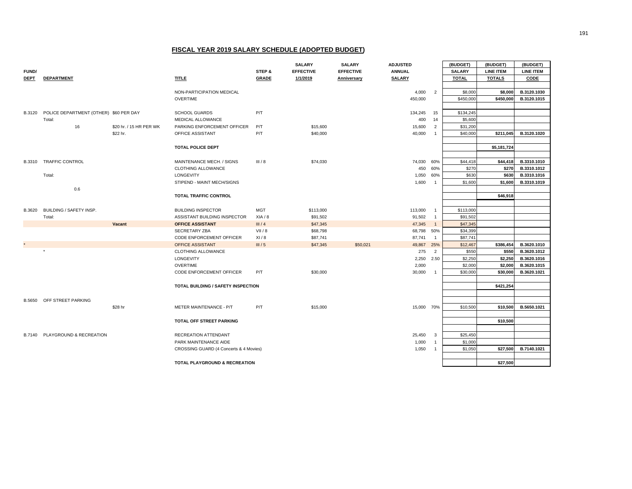|               |                                        |                         |                                                         |                | <b>SALARY</b>        | <b>SALARY</b>    | <b>ADJUSTED</b>  |                                  | (BUDGET)             | (BUDGET)         | (BUDGET)         |
|---------------|----------------------------------------|-------------------------|---------------------------------------------------------|----------------|----------------------|------------------|------------------|----------------------------------|----------------------|------------------|------------------|
| <b>FUND/</b>  |                                        |                         |                                                         | STEP &         | <b>EFFECTIVE</b>     | <b>EFFECTIVE</b> | <b>ANNUAL</b>    |                                  | <b>SALARY</b>        | <b>LINE ITEM</b> | <b>LINE ITEM</b> |
| <b>DEPT</b>   | <b>DEPARTMENT</b>                      |                         | TITLE                                                   | <b>GRADE</b>   | 1/1/2019             | Anniversary      | <b>SALARY</b>    |                                  | <b>TOTAL</b>         | <b>TOTALS</b>    | CODE             |
|               |                                        |                         |                                                         |                |                      |                  |                  |                                  |                      |                  |                  |
|               |                                        |                         | NON-PARTICIPATION MEDICAL                               |                |                      |                  | 4,000            | $\overline{2}$                   | \$8,000              | \$8,000          | B.3120.1030      |
|               |                                        |                         | <b>OVERTIME</b>                                         |                |                      |                  | 450,000          |                                  | \$450,000            | \$450,000        | B.3120.1015      |
|               |                                        |                         |                                                         |                |                      |                  |                  |                                  |                      |                  |                  |
| <b>B.3120</b> | POLICE DEPARTMENT (OTHER) \$60 PER DAY |                         | <b>SCHOOL GUARDS</b>                                    | P/T            |                      |                  | 134,245          | 15                               | \$134,245            |                  |                  |
|               | Total:                                 |                         | MEDICAL ALLOWANCE                                       |                |                      |                  | 400              | 14                               | \$5,600              |                  |                  |
|               | 16                                     | \$20 hr. / 15 HR PER WK | PARKING ENFORCEMENT OFFICER                             | P/T            | \$15,600             |                  | 15,600           | $\overline{2}$                   | \$31,200             |                  |                  |
|               |                                        | \$22 hr.                | OFFICE ASSISTANT                                        | P/T            | \$40,000             |                  | 40,000           | $\overline{1}$                   | \$40,000             | \$211,045        | B.3120.1020      |
|               |                                        |                         |                                                         |                |                      |                  |                  |                                  |                      |                  |                  |
|               |                                        |                         | <b>TOTAL POLICE DEPT</b>                                |                |                      |                  |                  |                                  |                      | \$5,181,724      |                  |
|               |                                        |                         |                                                         |                |                      |                  |                  |                                  |                      |                  |                  |
| <b>B.3310</b> | <b>TRAFFIC CONTROL</b>                 |                         | MAINTENANCE MECH. / SIGNS                               | III/8          | \$74,030             |                  | 74,030           | 60%                              | \$44,418             | \$44,418         | B.3310.1010      |
|               |                                        |                         | <b>CLOTHING ALLOWANCE</b>                               |                |                      |                  | 450              | 60%                              | \$270                | \$270            | B.3310.1012      |
|               | Total:                                 |                         | LONGEVITY                                               |                |                      |                  | 1,050            | 60%                              | \$630                | \$630            | B.3310.1016      |
|               |                                        |                         | STIPEND - MAINT MECH/SIGNS                              |                |                      |                  | 1,600            | $\overline{1}$                   | \$1,600              | \$1,600          | B.3310.1019      |
|               | 0.6                                    |                         |                                                         |                |                      |                  |                  |                                  |                      |                  |                  |
|               |                                        |                         | TOTAL TRAFFIC CONTROL                                   |                |                      |                  |                  |                                  |                      | \$46,918         |                  |
|               |                                        |                         |                                                         |                |                      |                  |                  |                                  |                      |                  |                  |
| <b>B.3620</b> | BUILDING / SAFETY INSP.                |                         | <b>BUILDING INSPECTOR</b>                               | <b>MGT</b>     | \$113,000            |                  | 113,000          | $\overline{1}$                   | \$113,000            |                  |                  |
|               | Total:                                 | Vacant                  | ASSISTANT BUILDING INSPECTOR<br><b>OFFICE ASSISTANT</b> | XIA/8<br>III/4 | \$91,502<br>\$47,345 |                  | 91,502<br>47,345 | $\overline{1}$<br>$\overline{1}$ | \$91,502<br>\$47,345 |                  |                  |
|               |                                        |                         | SECRETARY ZBA                                           | VII/8          | \$68,798             |                  | 68,798           | 50%                              | \$34,399             |                  |                  |
|               |                                        |                         | CODE ENFORCEMENT OFFICER                                | XI/8           | \$87,741             |                  | 87,741           | $\overline{1}$                   | \$87,741             |                  |                  |
|               |                                        |                         | OFFICE ASSISTANT                                        | III/5          | \$47,345             | \$50,021         | 49,867 25%       |                                  | \$12,467             | \$386,454        | B.3620.1010      |
|               | $^\star$                               |                         | <b>CLOTHING ALLOWANCE</b>                               |                |                      |                  | 275              | $\overline{2}$                   | \$550                | \$550            | B.3620.1012      |
|               |                                        |                         | LONGEVITY                                               |                |                      |                  | 2,250            | 2.50                             | \$2,250              | \$2,250          | B.3620.1016      |
|               |                                        |                         | <b>OVERTIME</b>                                         |                |                      |                  | 2,000            |                                  | \$2,000              | \$2,000          | B.3620.1015      |
|               |                                        |                         | CODE ENFORCEMENT OFFICER                                | P/T            | \$30,000             |                  | 30,000           | $\overline{1}$                   | \$30,000             | \$30,000         | B.3620.1021      |
|               |                                        |                         |                                                         |                |                      |                  |                  |                                  |                      |                  |                  |
|               |                                        |                         | TOTAL BUILDING / SAFETY INSPECTION                      |                |                      |                  |                  |                                  |                      | \$421,254        |                  |
|               |                                        |                         |                                                         |                |                      |                  |                  |                                  |                      |                  |                  |
| B.5650        | OFF STREET PARKING                     |                         |                                                         |                |                      |                  |                  |                                  |                      |                  |                  |
|               |                                        | \$28 hr                 | METER MAINTENANCE - P/T                                 | P/T            | \$15,000             |                  | 15,000 70%       |                                  | \$10,500             | \$10,500         | B.5650.1021      |
|               |                                        |                         |                                                         |                |                      |                  |                  |                                  |                      |                  |                  |
|               |                                        |                         | TOTAL OFF STREET PARKING                                |                |                      |                  |                  |                                  |                      | \$10,500         |                  |
|               |                                        |                         |                                                         |                |                      |                  |                  |                                  |                      |                  |                  |
| B.7140        | PLAYGROUND & RECREATION                |                         | RECREATION ATTENDANT                                    |                |                      |                  | 25,450           | $\overline{\mathbf{3}}$          | \$25,450             |                  |                  |
|               |                                        |                         | PARK MAINTENANCE AIDE                                   |                |                      |                  | 1,000            | $\overline{1}$                   | \$1,000              |                  |                  |
|               |                                        |                         | CROSSING GUARD (4 Concerts & 4 Movies)                  |                |                      |                  | 1,050            | $\overline{1}$                   | \$1,050              | \$27,500         | B.7140.1021      |
|               |                                        |                         |                                                         |                |                      |                  |                  |                                  |                      |                  |                  |
|               |                                        |                         | TOTAL PLAYGROUND & RECREATION                           |                |                      |                  |                  |                                  |                      | \$27,500         |                  |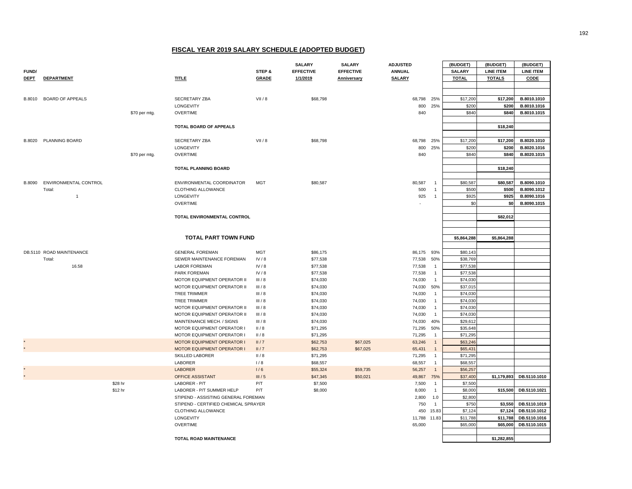|               |                              |               |                                      |              | <b>SALARY</b>    | <b>SALARY</b>    | <b>ADJUSTED</b> |                | (BUDGET)      | (BUDGET)         | (BUDGET)         |
|---------------|------------------------------|---------------|--------------------------------------|--------------|------------------|------------------|-----------------|----------------|---------------|------------------|------------------|
| <b>FUND/</b>  |                              |               |                                      | STEP &       | <b>EFFECTIVE</b> | <b>EFFECTIVE</b> | <b>ANNUAL</b>   |                | <b>SALARY</b> | <b>LINE ITEM</b> | <b>LINE ITEM</b> |
| <b>DEPT</b>   | <b>DEPARTMENT</b>            |               | <b>TITLE</b>                         | <b>GRADE</b> | 1/1/2019         | Anniversary      | <b>SALARY</b>   |                | <b>TOTAL</b>  | <b>TOTALS</b>    | CODE             |
|               |                              |               |                                      |              |                  |                  |                 |                |               |                  |                  |
|               |                              |               |                                      |              |                  |                  |                 |                |               |                  |                  |
| <b>B.8010</b> | <b>BOARD OF APPEALS</b>      |               | SECRETARY ZBA                        | VII / 8      | \$68,798         |                  | 68,798 25%      |                | \$17,200      | \$17,200         | B.8010.1010      |
|               |                              |               | LONGEVITY                            |              |                  |                  | 800             | 25%            | \$200         | \$200            | B.8010.1016      |
|               |                              | \$70 per mtg. | <b>OVERTIME</b>                      |              |                  |                  | 840             |                | \$840         | \$840            | B.8010.1015      |
|               |                              |               |                                      |              |                  |                  |                 |                |               |                  |                  |
|               |                              |               | TOTAL BOARD OF APPEALS               |              |                  |                  |                 |                |               | \$18,240         |                  |
|               |                              |               |                                      |              |                  |                  |                 |                |               |                  |                  |
|               | B.8020 PLANNING BOARD        |               | SECRETARY ZBA                        | VII / 8      | \$68,798         |                  | 68,798 25%      |                | \$17,200      | \$17,200         | B.8020.1010      |
|               |                              |               | LONGEVITY                            |              |                  |                  | 800             | 25%            | \$200         | \$200            | B.8020.1016      |
|               |                              | \$70 per mtg. | <b>OVERTIME</b>                      |              |                  |                  | 840             |                | \$840         | \$840            | B.8020.1015      |
|               |                              |               |                                      |              |                  |                  |                 |                |               |                  |                  |
|               |                              |               | <b>TOTAL PLANNING BOARD</b>          |              |                  |                  |                 |                |               | \$18,240         |                  |
|               |                              |               |                                      |              |                  |                  |                 |                |               |                  |                  |
|               | B.8090 ENVIRONMENTAL CONTROL |               | ENVIRONMENTAL COORDINATOR            | <b>MGT</b>   | \$80,587         |                  | 80,587          | $\overline{1}$ | \$80,587      | \$80,587         | B.8090.1010      |
|               | Total:                       |               | <b>CLOTHING ALLOWANCE</b>            |              |                  |                  | 500             | $\mathbf{1}$   | \$500         | \$500            | B.8090.1012      |
|               | $\mathbf{1}$                 |               | LONGEVITY                            |              |                  |                  | 925             | $\overline{1}$ | \$925         | \$925            | B.8090.1016      |
|               |                              |               | <b>OVERTIME</b>                      |              |                  |                  |                 |                | \$0           | \$0              | B.8090.1015      |
|               |                              |               | <b>TOTAL ENVIRONMENTAL CONTROL</b>   |              |                  |                  |                 |                |               | \$82,012         |                  |
|               |                              |               |                                      |              |                  |                  |                 |                |               |                  |                  |
|               |                              |               |                                      |              |                  |                  |                 |                |               |                  |                  |
|               |                              |               | <b>TOTAL PART TOWN FUND</b>          |              |                  |                  |                 |                | \$5,864,288   | \$5,864,288      |                  |
|               |                              |               |                                      |              |                  |                  |                 |                |               |                  |                  |
|               | DB.5110 ROAD MAINTENANCE     |               | <b>GENERAL FOREMAN</b>               | <b>MGT</b>   | \$86,175         |                  | 86,175 93%      |                | \$80,143      |                  |                  |
|               | Total:                       |               | SEWER MAINTENANCE FOREMAN            | IV/8         | \$77,538         |                  | 77,538          | 50%            | \$38,769      |                  |                  |
|               | 16.58                        |               | <b>LABOR FOREMAN</b>                 | IV/8         | \$77,538         |                  | 77,538          | $\overline{1}$ | \$77,538      |                  |                  |
|               |                              |               | PARK FOREMAN                         | IV/8         | \$77,538         |                  | 77,538          | $\overline{1}$ | \$77,538      |                  |                  |
|               |                              |               | MOTOR EQUIPMENT OPERATOR II          | III/8        | \$74,030         |                  | 74,030          | $\overline{1}$ | \$74,030      |                  |                  |
|               |                              |               | MOTOR EQUIPMENT OPERATOR II          | III/8        | \$74,030         |                  | 74,030          | 50%            | \$37,015      |                  |                  |
|               |                              |               | TREE TRIMMER                         | III/8        | \$74,030         |                  | 74,030          | $\overline{1}$ | \$74,030      |                  |                  |
|               |                              |               | TREE TRIMMER                         | III/8        | \$74,030         |                  | 74,030          | $\overline{1}$ | \$74,030      |                  |                  |
|               |                              |               | MOTOR EQUIPMENT OPERATOR II          | III/8        | \$74,030         |                  | 74,030          | $\overline{1}$ | \$74,030      |                  |                  |
|               |                              |               | MOTOR EQUIPMENT OPERATOR II          | III/8        | \$74,030         |                  | 74,030          | $\overline{1}$ | \$74,030      |                  |                  |
|               |                              |               | MAINTENANCE MECH. / SIGNS            | III/8        | \$74,030         |                  | 74,030 40%      |                | \$29,612      |                  |                  |
|               |                              |               | MOTOR EQUIPMENT OPERATOR I           | II/8         | \$71,295         |                  | 71,295          | 50%            | \$35,648      |                  |                  |
|               |                              |               | MOTOR EQUIPMENT OPERATOR I           | II/8         | \$71,295         |                  | 71,295          | $\overline{1}$ | \$71,295      |                  |                  |
|               |                              |               | <b>MOTOR EQUIPMENT OPERATOR I</b>    | II/7         | \$62,753         | \$67,025         | 63,246          | $\overline{1}$ | \$63,246      |                  |                  |
|               |                              |               | MOTOR EQUIPMENT OPERATOR I           | II/7         | \$62,753         | \$67,025         | 65,431          | $\overline{1}$ | \$65,431      |                  |                  |
|               |                              |               | SKILLED LABORER                      | II/8         | \$71,295         |                  | 71,295          | $\overline{1}$ | \$71,295      |                  |                  |
|               |                              |               | LABORER                              | 1/8          | \$68,557         |                  | 68,557          | $\overline{1}$ | \$68,557      |                  |                  |
|               |                              |               | <b>LABORER</b>                       | 1/6          | \$55,324         | \$59,735         | 56,257          | $\overline{1}$ | \$56,257      |                  |                  |
|               |                              |               | OFFICE ASSISTANT                     | III/5        | \$47,345         | \$50,021         | 49,867          | 75%            | \$37,400      | \$1,179,893      | DB.5110.1010     |
|               | \$28 hr                      |               | LABORER - P/T                        | P/T          | \$7,500          |                  | 7,500           | $\overline{1}$ | \$7,500       |                  |                  |
|               | \$12 hr                      |               | LABORER - P/T SUMMER HELP            | P/T          | \$8,000          |                  | 8,000           | $\overline{1}$ | \$8,000       | \$15,500         | DB.5110.1021     |
|               |                              |               | STIPEND - ASSISTING GENERAL FOREMAN  |              |                  |                  | 2,800           | 1.0            | \$2,800       |                  |                  |
|               |                              |               | STIPEND - CERTIFIED CHEMICAL SPRAYER |              |                  |                  | 750             | $\overline{1}$ | \$750         | \$3,550          | DB.5110.1019     |
|               |                              |               | CLOTHING ALLOWANCE                   |              |                  |                  |                 | 450 15.83      | \$7,124       | \$7,124          | DB.5110.1012     |
|               |                              |               | LONGEVITY                            |              |                  |                  | 11,788          | 11.83          | \$11,788      | \$11,788         | DB.5110.1016     |
|               |                              |               | <b>OVERTIME</b>                      |              |                  |                  | 65,000          |                | \$65,000      | \$65,000         | DB.5110.1015     |
|               |                              |               | TOTAL ROAD MAINTENANCE               |              |                  |                  |                 |                |               | \$1,282,855      |                  |
|               |                              |               |                                      |              |                  |                  |                 |                |               |                  |                  |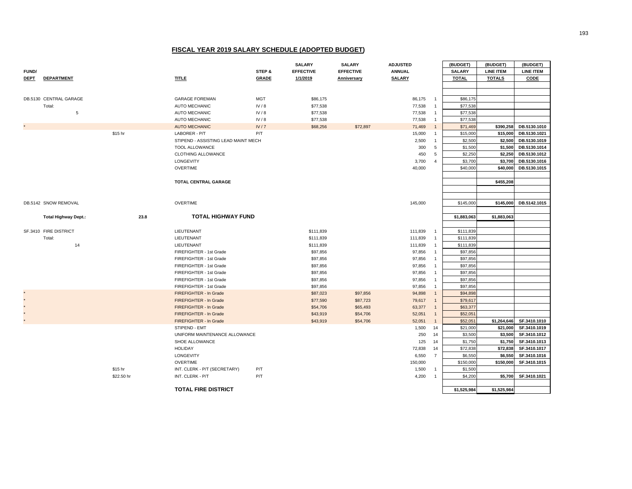|              |                             |            |                                     |              | <b>SALARY</b>    | <b>SALARY</b>    | <b>ADJUSTED</b> |                | (BUDGET)      | (BUDGET)         | (BUDGET)         |
|--------------|-----------------------------|------------|-------------------------------------|--------------|------------------|------------------|-----------------|----------------|---------------|------------------|------------------|
| <b>FUND/</b> |                             |            |                                     | STEP &       | <b>EFFECTIVE</b> | <b>EFFECTIVE</b> | <b>ANNUAL</b>   |                | <b>SALARY</b> | <b>LINE ITEM</b> | <b>LINE ITEM</b> |
| <b>DEPT</b>  | <b>DEPARTMENT</b>           |            | <b>TITLE</b>                        | <b>GRADE</b> | 1/1/2019         | Anniversary      | <b>SALARY</b>   |                | <b>TOTAL</b>  | <b>TOTALS</b>    | CODE             |
|              |                             |            |                                     |              |                  |                  |                 |                |               |                  |                  |
|              |                             |            |                                     |              |                  |                  |                 |                |               |                  |                  |
|              | DB.5130 CENTRAL GARAGE      |            | <b>GARAGE FOREMAN</b>               | <b>MGT</b>   | \$86,175         |                  | 86,175          | $\overline{1}$ | \$86,175      |                  |                  |
|              | Total:                      |            | AUTO MECHANIC                       | IV/8         | \$77,538         |                  | 77,538          | $\overline{1}$ | \$77,538      |                  |                  |
|              | 5                           |            | AUTO MECHANIC                       | IV/8         | \$77,538         |                  | 77,538          | $\overline{1}$ | \$77,538      |                  |                  |
|              |                             |            | <b>AUTO MECHANIC</b>                | IV/8         | \$77,538         |                  | 77,538          | $\overline{1}$ | \$77,538      |                  |                  |
|              |                             |            | <b>AUTO MECHANIC</b>                | IV/7         | \$68,256         | \$72,897         | 71,469          | $\overline{1}$ | \$71,469      | \$390,258        | DB.5130.1010     |
|              |                             | \$15 hr    | LABORER - P/T                       | P/T          |                  |                  | 15,000          | $\overline{1}$ | \$15,000      | \$15,000         | DB.5130.1021     |
|              |                             |            | STIPEND - ASSISTING LEAD MAINT MECH |              |                  |                  | 2,500           | $\overline{1}$ | \$2,500       | \$2,500          | DB.5130.1019     |
|              |                             |            | <b>TOOL ALLOWANCE</b>               |              |                  |                  | 300             | 5              | \$1,500       | \$1,500          | DB.5130.1014     |
|              |                             |            | CLOTHING ALLOWANCE                  |              |                  |                  | 450             | 5              | \$2,250       | \$2,250          | DB.5130.1012     |
|              |                             |            | LONGEVITY                           |              |                  |                  | 3,700           | $\overline{4}$ | \$3,700       | \$3,700          | DB.5130.1016     |
|              |                             |            | <b>OVERTIME</b>                     |              |                  |                  | 40,000          |                | \$40,000      | \$40,000         | DB.5130.1015     |
|              |                             |            |                                     |              |                  |                  |                 |                |               |                  |                  |
|              |                             |            | TOTAL CENTRAL GARAGE                |              |                  |                  |                 |                |               | \$455,208        |                  |
|              |                             |            |                                     |              |                  |                  |                 |                |               |                  |                  |
|              |                             |            |                                     |              |                  |                  |                 |                |               |                  |                  |
|              |                             |            |                                     |              |                  |                  |                 |                |               |                  |                  |
|              | DB.5142 SNOW REMOVAL        |            | <b>OVERTIME</b>                     |              |                  |                  | 145,000         |                | \$145,000     | \$145,000        | DB.5142.1015     |
|              |                             |            |                                     |              |                  |                  |                 |                |               |                  |                  |
|              | <b>Total Highway Dept.:</b> | 23.8       | <b>TOTAL HIGHWAY FUND</b>           |              |                  |                  |                 |                | \$1,883,063   | \$1,883,063      |                  |
|              |                             |            |                                     |              |                  |                  |                 |                |               |                  |                  |
|              | SF.3410 FIRE DISTRICT       |            | LIEUTENANT                          |              | \$111,839        |                  | 111,839         | $\overline{1}$ | \$111,839     |                  |                  |
|              | Total:                      |            | LIEUTENANT                          |              | \$111,839        |                  | 111,839         | $\overline{1}$ | \$111,839     |                  |                  |
|              | 14                          |            | LIEUTENANT                          |              | \$111,839        |                  | 111,839         | $\overline{1}$ | \$111,839     |                  |                  |
|              |                             |            | FIREFIGHTER - 1st Grade             |              | \$97,856         |                  | 97,856          | $\overline{1}$ | \$97,856      |                  |                  |
|              |                             |            | FIREFIGHTER - 1st Grade             |              | \$97,856         |                  | 97,856          | $\overline{1}$ | \$97,856      |                  |                  |
|              |                             |            | FIREFIGHTER - 1st Grade             |              | \$97,856         |                  | 97,856          | $\overline{1}$ | \$97,856      |                  |                  |
|              |                             |            | FIREFIGHTER - 1st Grade             |              | \$97,856         |                  | 97,856          | $\overline{1}$ | \$97,856      |                  |                  |
|              |                             |            | FIREFIGHTER - 1st Grade             |              | \$97,856         |                  | 97,856          | $\overline{1}$ | \$97,856      |                  |                  |
|              |                             |            | FIREFIGHTER - 1st Grade             |              | \$97,856         |                  | 97,856          | $\overline{1}$ | \$97,856      |                  |                  |
|              |                             |            | FIREFIGHTER - In Grade              |              | \$87,023         | \$97,856         | 94,898          | $\overline{1}$ | \$94,898      |                  |                  |
|              |                             |            | FIREFIGHTER - In Grade              |              | \$77,590         | \$87,723         | 79,617          | $\overline{1}$ | \$79,617      |                  |                  |
|              |                             |            | FIREFIGHTER - In Grade              |              | \$54,706         | \$65,493         | 63,377          | $\overline{1}$ | \$63,377      |                  |                  |
|              |                             |            | FIREFIGHTER - In Grade              |              | \$43,919         | \$54,706         | 52,051          | $\overline{1}$ | \$52,05       |                  |                  |
|              |                             |            | FIREFIGHTER - In Grade              |              | \$43,919         | \$54,706         | 52,051          | $\overline{1}$ | \$52,05       | \$1,264,646      | SF.3410.1010     |
|              |                             |            | STIPEND - EMT                       |              |                  |                  | 1,500           | 14             | \$21,000      | \$21,000         | SF.3410.1019     |
|              |                             |            | UNIFORM MAINTENANCE ALLOWANCE       |              |                  |                  | 250             | 14             | \$3,500       | \$3,500          | SF.3410.1012     |
|              |                             |            | SHOE ALLOWANCE                      |              |                  |                  | 125             | 14             | \$1,750       | \$1,750          | SF.3410.1013     |
|              |                             |            | <b>HOLIDAY</b>                      |              |                  |                  | 72,838          | 14             | \$72,838      | \$72,838         | SF.3410.1017     |
|              |                             |            | LONGEVITY                           |              |                  |                  | 6,550           | $\overline{7}$ | \$6,550       | \$6,550          | SF.3410.1016     |
|              |                             |            | <b>OVERTIME</b>                     |              |                  |                  | 150,000         |                | \$150,000     | \$150,000        | SF.3410.1015     |
|              |                             | \$15 hr    | INT. CLERK - P/T (SECRETARY)        | P/T          |                  |                  | 1,500           | $\overline{1}$ | \$1,500       |                  |                  |
|              |                             | \$22.50 hr | INT. CLERK - P/T                    | P/T          |                  |                  | 4,200           | $\overline{1}$ | \$4,200       | \$5,700          | SF.3410.1021     |
|              |                             |            |                                     |              |                  |                  |                 |                |               |                  |                  |
|              |                             |            | <b>TOTAL FIRE DISTRICT</b>          |              |                  |                  |                 |                | \$1,525,984   | \$1,525,984      |                  |
|              |                             |            |                                     |              |                  |                  |                 |                |               |                  |                  |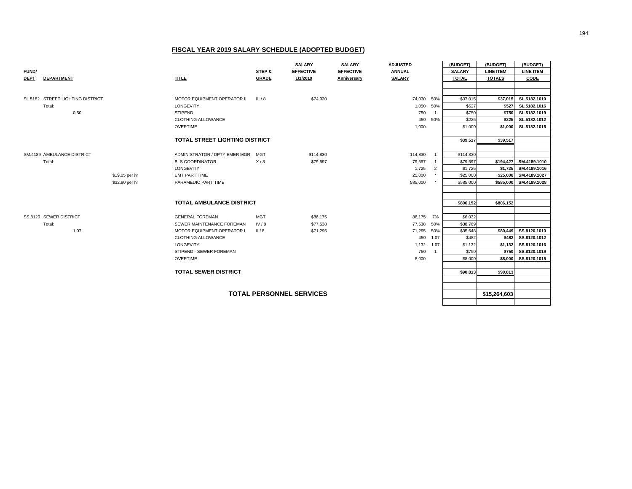|                                 |                                  |                                       |                    | <b>SALARY</b>    | <b>SALARY</b>    | <b>ADJUSTED</b> |                | (BUDGET)      | (BUDGET)         | (BUDGET)              |
|---------------------------------|----------------------------------|---------------------------------------|--------------------|------------------|------------------|-----------------|----------------|---------------|------------------|-----------------------|
| <b>FUND/</b>                    |                                  |                                       | STEP &             | <b>EFFECTIVE</b> | <b>EFFECTIVE</b> | <b>ANNUAL</b>   |                | <b>SALARY</b> | <b>LINE ITEM</b> | <b>LINE ITEM</b>      |
| <b>DEPT</b>                     | <b>DEPARTMENT</b>                | <b>TITLE</b>                          | <b>GRADE</b>       | 1/1/2019         | Anniversary      | <b>SALARY</b>   |                | <b>TOTAL</b>  | <b>TOTALS</b>    | CODE                  |
|                                 |                                  |                                       |                    |                  |                  |                 |                |               |                  |                       |
|                                 |                                  |                                       |                    |                  |                  |                 |                |               |                  |                       |
|                                 | SL.5182 STREET LIGHTING DISTRICT | MOTOR EQUIPMENT OPERATOR II           | III/8              | \$74,030         |                  | 74,030 50%      |                | \$37,015      | \$37,015         | SL.5182.1010          |
|                                 | Total:                           | LONGEVITY                             |                    |                  |                  | 1,050           | 50%            | \$527         | \$527            | SL.5182.1016          |
|                                 | 0.50                             | <b>STIPEND</b>                        |                    |                  |                  | 750             | $\overline{1}$ | \$750         |                  | \$750 SL.5182.1019    |
|                                 |                                  | CLOTHING ALLOWANCE                    |                    |                  |                  | 450             | 50%            | \$225         | \$225            | SL.5182.1012          |
|                                 |                                  | <b>OVERTIME</b>                       |                    |                  |                  | 1,000           |                | \$1,000       | \$1,000          | SL.5182.1015          |
|                                 |                                  |                                       |                    |                  |                  |                 |                |               |                  |                       |
|                                 |                                  | <b>TOTAL STREET LIGHTING DISTRICT</b> |                    |                  |                  |                 |                | \$39,517      | \$39,517         |                       |
|                                 |                                  |                                       |                    |                  |                  |                 |                |               |                  |                       |
|                                 | SM.4189 AMBULANCE DISTRICT       | ADMINISTRATOR / DPTY EMER MGR MGT     |                    | \$114,830        |                  | 114,830         |                | \$114,830     |                  |                       |
|                                 | Total:                           | <b>BLS COORDINATOR</b>                | X/8                | \$79,597         |                  | 79,597          | $\overline{1}$ | \$79,597      | \$194,427        | SM.4189.1010          |
|                                 |                                  | LONGEVITY                             |                    |                  |                  | 1,725           | $\overline{2}$ | \$1,725       |                  | \$1,725 SM.4189.1016  |
|                                 | \$19.05 per hr                   | <b>EMT PART TIME</b>                  |                    |                  |                  | 25,000          |                | \$25,000      |                  | \$25,000 SM.4189.1027 |
|                                 | \$32.90 per hr                   | PARAMEDIC PART TIME                   |                    |                  |                  | 585,000         |                | \$585,000     | \$585,000        | SM.4189.1028          |
|                                 |                                  |                                       |                    |                  |                  |                 |                |               |                  |                       |
|                                 |                                  | <b>TOTAL AMBULANCE DISTRICT</b>       |                    |                  |                  |                 |                |               |                  |                       |
|                                 |                                  |                                       |                    |                  |                  |                 |                | \$806,152     | \$806,152        |                       |
|                                 | SS.8120 SEWER DISTRICT           | <b>GENERAL FOREMAN</b>                |                    | \$86,175         |                  | 86,175 7%       |                | \$6,032       |                  |                       |
|                                 | Total:                           | SEWER MAINTENANCE FOREMAN             | <b>MGT</b><br>IV/8 | \$77,538         |                  | 77,538          | 50%            | \$38,769      |                  |                       |
|                                 | 1.07                             | MOTOR EQUIPMENT OPERATOR I            | II/8               | \$71,295         |                  | 71,295          | 50%            | \$35,648      | \$80,449         | SS.8120.1010          |
|                                 |                                  | CLOTHING ALLOWANCE                    |                    |                  |                  | 450             | 1.07           | \$482         | \$482            | SS.8120.1012          |
|                                 |                                  | LONGEVITY                             |                    |                  |                  | 1,132           | 1.07           | \$1,132       | \$1,132          | SS.8120.1016          |
|                                 |                                  | STIPEND - SEWER FOREMAN               |                    |                  |                  | 750             | $\overline{1}$ | \$750         | \$750            | SS.8120.1019          |
|                                 |                                  | <b>OVERTIME</b>                       |                    |                  |                  | 8,000           |                | \$8,000       | \$8,000          | SS.8120.1015          |
|                                 |                                  |                                       |                    |                  |                  |                 |                |               |                  |                       |
|                                 |                                  | <b>TOTAL SEWER DISTRICT</b>           |                    |                  |                  |                 |                | \$90,813      | \$90,813         |                       |
|                                 |                                  |                                       |                    |                  |                  |                 |                |               |                  |                       |
|                                 |                                  |                                       |                    |                  |                  |                 |                |               |                  |                       |
| <b>TOTAL PERSONNEL SERVICES</b> |                                  |                                       |                    |                  |                  |                 |                |               | \$15,264,603     |                       |
|                                 |                                  |                                       |                    |                  |                  |                 |                |               |                  |                       |
|                                 |                                  |                                       |                    |                  |                  |                 |                |               |                  |                       |